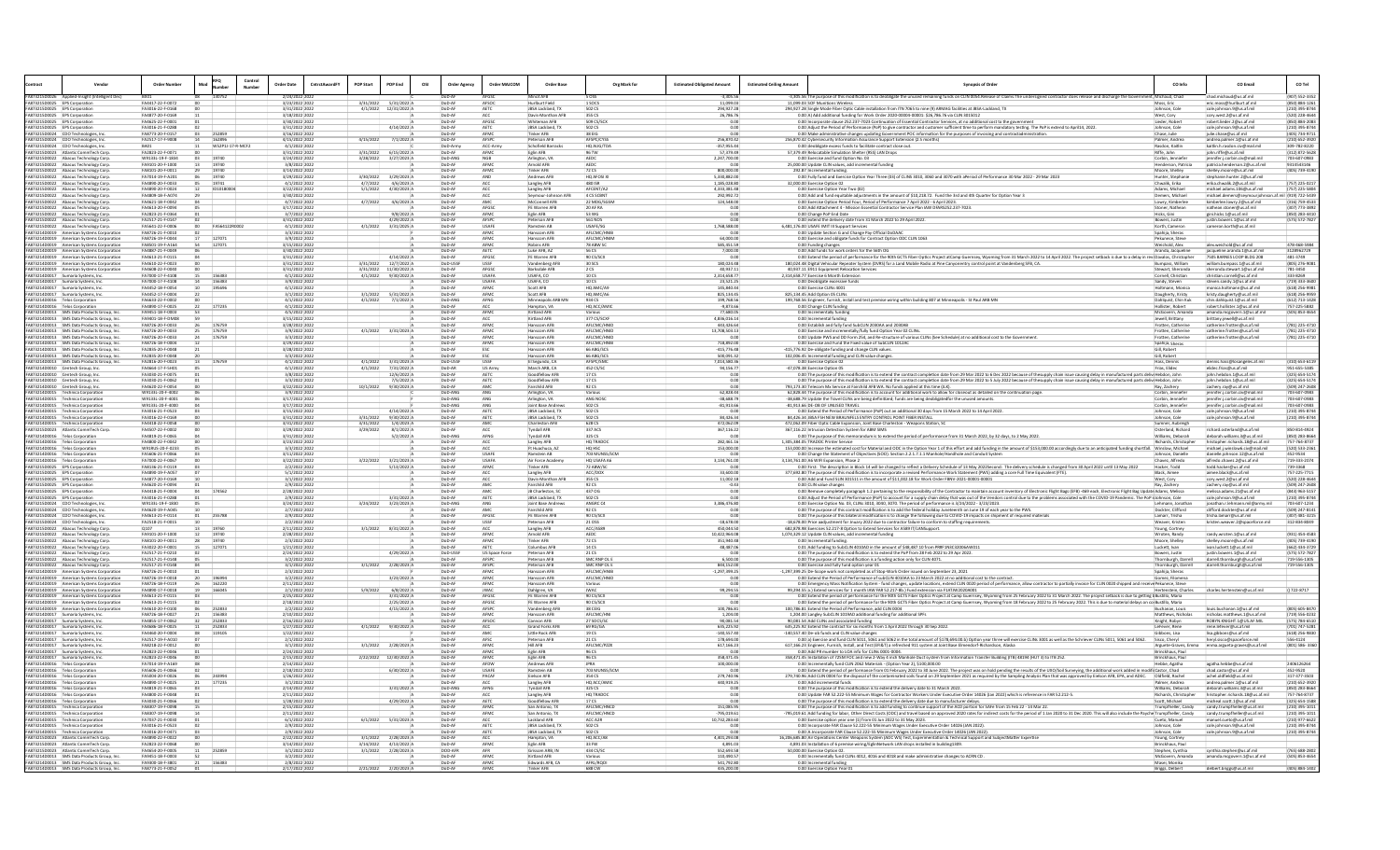|                                       |                                                                                                |                                      | Control<br>Numbe           | <b>Order Date</b>                | POP Star                 | POP End                     | OSI<br><b>Order Agency</b>   | <b>Order MAJCOM</b>        | <b>Order Base</b>                      | Org Mark fo                      | <b>Estimated Obligated Amount</b> | <b>Estimated Ceiling Amour</b> | <b>Synopsis of Orde</b>                                                                                                                                                                                                                                                                                                                                          | CO Info                                       | CO Emai                                                       | CO Tel                            |
|---------------------------------------|------------------------------------------------------------------------------------------------|--------------------------------------|----------------------------|----------------------------------|--------------------------|-----------------------------|------------------------------|----------------------------|----------------------------------------|----------------------------------|-----------------------------------|--------------------------------|------------------------------------------------------------------------------------------------------------------------------------------------------------------------------------------------------------------------------------------------------------------------------------------------------------------------------------------------------------------|-----------------------------------------------|---------------------------------------------------------------|-----------------------------------|
| FA873215D                             | Applied-Insight (Intelliger<br>FAB73215D0025 EPS Corporati                                     | FA4417-22-F-0072                     |                            | 3/23/2022 2022                   | 3/31/2022                | 5/31/2022                   | DoD-AF                       | AFSOC                      | <b>Luthurt Cial</b>                    | 1 SOCS                           | 11.099.03                         |                                | 3,305.56 The purpose of this modification is to deobligate the unused remaining funds on CLIN 0054.Release of Claims: The undersigned contractor does release and discharge the Govern<br>11.099.03 SOF Munitions Wireless                                                                                                                                       | Moss, Eric                                    | chad.michaud@us.af.mi<br>ric.moss@hurlburt.af.mi              | (907) 552-335<br>(850) 884-126    |
|                                       | FA873215D0025 EPS Corporation                                                                  | FA3016-22-F-0168                     |                            | 3/31/2022 2022                   | 4/1/2022 12/31/2022 A    |                             | DoD-AF                       | AETC                       | JBSA Lackland, TX                      | 502 CS                           | 294.927.28                        |                                | 294.927.28 Single Mode Fiber Optic Cable installation from ITN 7065 to nine (9) ARMAG facilities at JBSA-Lackland, TX                                                                                                                                                                                                                                            | Johnson, Cole                                 | cole.iohnson.9@us.af.mil                                      | (210) 395-8744                    |
| FA873215D0025                         | FA873215D0025 EPS Corporation                                                                  | FA4877-20-F-0169<br>FA4625-22-F-000  |                            | 3/18/2022 2022                   |                          |                             | loD-A<br>$00-4$              |                            | Davis-Monthan AFB                      | 355 <sub>CS</sub><br>509 CS/SC   | 26,786.76                         |                                | 0.00 A) Add additional funding for Work Order 2020-00004-00001: \$26,786.76 via CLIN 3015012                                                                                                                                                                                                                                                                     | West, Cory                                    | cory.west.2@us.af.mil                                         | (520) 228-464                     |
|                                       | <b>EPS</b> Corporation                                                                         | FA3016-21-F-0288                     |                            | 3/30/2022 2022<br>3/31/2022 2022 |                          | 4/14/2022                   | DoD-AF                       | AFTO                       | IRSA Lackland TX                       | 20.002                           | 0.00                              |                                | 0.00 Incorporate clause 252.237-7023 Continuation of Essential Contractor Services, at no additional cost to the government<br>0.00 Adjust the Period of Performance (PoP) to give contractor and customer sufficient time to perform mandatory testing. The PoP is extend to April14, 2022.                                                                     | Lieder, Rob<br>Inhason Cale                   | obert.lieder.2@us.af.n<br>ole.iohnson.9@us.af.m               | (850) 884-208<br>(210) 395-874    |
|                                       | FA873215D0025 EPS Corporation<br>FA873215D0024 CDO Technologies, In                            | FA8773-20-F-015                      | 252859                     | 3/16/2022 2022                   |                          |                             | loD-A                        |                            | inker AFB                              |                                  |                                   |                                | 1.00 Make administrative changes updating Government POC information for the purposes of invoicing and contractadministration.                                                                                                                                                                                                                                   | Chase, Julie                                  | ulie.chase@us.af.mil                                          | (405) 734-971                     |
|                                       | FA873215D0024 CDO Technologies, Inc.<br>FA873215D0024 CDO Technologies, Inc.                   | FA2517-17-F-9008<br>RA01             | 162896<br>WS2P1J-17-R-MCF2 | 4/15/2022 2022<br>4/1/2022 2022  | 4/15/2022                | 7/1/2022                    | DoD-AF<br>DoD-Army           | AFSPO<br>ACC-Arm           | Peterson AFR<br>Schofield Barrack      | AFSPC/CYSS<br>HO AUG/TDA         | 256.870.42<br>357.955.44          |                                | 256,870.42 Cybersecurity Information Assurance Support Extension (2.5 months)<br>0.00 deobligate excess funds to facilitate contract close out.                                                                                                                                                                                                                  | Palmer Andrea<br>Rasdon, Kaitlin              | indrea.palmer.1@us.af.m<br>kaitlin.h.rasdon.civ@mail.mil      | (210) 652-392<br>309-782-8220     |
|                                       | FA873215D0023 Atlantic CommTech Corp                                                           | FA2823-22-F-007                      |                            | 3/31/2022 2022                   | 3/31/2022 6/15/2022 /    |                             | OoD-A                        |                            | Eglin AFB                              | 6 TW                             | 57.379.49                         |                                | 57,379.49 Relocatable Simulation Shelter (RSS) LAN Drops                                                                                                                                                                                                                                                                                                         | Riffe, John                                   | ohn.riffe@us.af.mil                                           | (312) 872-562                     |
| <b>FAR73215D0022</b>                  | Abacus Technology Corp                                                                         | W9133L-19-F-1834                     | 19740                      | 3/24/2022 2022                   | 3/28/2022 3/27/2023 /    |                             | <b>MA-AN</b>                 | <b>NGR</b>                 | Arlington, '                           | AEDO                             | 2,247,700.00                      |                                | 0.00 Exercise and fund Option No. 03                                                                                                                                                                                                                                                                                                                             | Corbin, Jenniet                               |                                                               | 703-607-098                       |
|                                       | FA873215D0022 Abacus Technology Corp<br>FA873215D0022 Abacus Technology Corp                   | FA9101-20-F-1000<br>FA8101-20-F-0011 | 19740<br>19740             | 3/8/2022 2022<br>3/14/2022 2022  |                          |                             | DoD-AF<br>DoD-A              | AFMO<br>AFMO               | Arnold AFB<br>Tinker AFB               | AEDC<br>72 CS                    | 0.00<br>800,000.00                |                                | 25.000.00 Update CLIN values, add incremental funding<br>292.87 Incremental funding.                                                                                                                                                                                                                                                                             | Henderson, Patricia<br>Moore, Shelley         | atricia.henderson.2@us.af.mil<br>shelley.moore@us.af.mil      | 9314543146<br>(405) 739-419       |
|                                       | FA873215D0022 Abacus Technology Co                                                             | FA7014-19-F-A201                     | 19740                      | 3/29/2022 2022                   | 3/30/2022                | 3/29/2023 A                 | DoD-A                        | AND                        | Andrews AFP                            | HO AFOSI X                       | 5.330.882.00                      |                                | 0.00 Fully fund and Exercise Option Year Three (03) of CLINS 3010, 3060 and 3070 with aPeriod of Performance 30 Mar 2022 - 29 Mar 2023                                                                                                                                                                                                                           |                                               | tenhanie hunter 2@us af m                                     |                                   |
|                                       | FA873215D0022 Abacus Technology Corp                                                           | FA4890-20-F-0033                     | 19741                      | 4/1/2022 2022                    | 4/7/2022                 | 4/6/2023 A                  | DoD-A                        | AC                         | Langley AFB                            | 480 ISR                          | 1.185.028.80                      |                                | 32.000.00 Exercise Option 02                                                                                                                                                                                                                                                                                                                                     | Chwalik, Erika                                | erika.chwalik.2@us.af.mil                                     | (757) 225-021                     |
| FA873215D0022<br>FA873215D0022        | Abacus Technology Corp.<br>Abacus Technology Cor                                               | FA4890-20-F-0024<br>FA4809-18-F-A074 | ID1018000                  | 3/22/2022 2022<br>3/30/2022 2022 | 5/1/2022                 | 4/30/2023                   | OoD-A<br>$D \cap D - \Delta$ |                            | Langley AFB                            | AFCENT/A<br>4 CS SCRN            | 4,333,381.48<br>292 992 7         |                                | 0.00 Exercise Option Year Two (02)<br>.<br>0.00 Add and fund equitable adjustments in the amount of \$10,218.72. Fund the 3rd and 4th Quarter for Option Year 3                                                                                                                                                                                                  | Adams, Michae<br>Demers Micha                 | nichael.adams.106@us.af.r<br>ichael demersé                   | (757) 225-580<br>(919) 722-543    |
|                                       | FA873215D0022 Abacus Technology Corp                                                           | FA4621-18-F-0042                     |                            | 4/7/2022 2022                    | 4/7/2022                 | 4/6/2023 A                  | DoD-A                        | AM                         | McConnell AFB                          | 22 MDG/SGSM                      | 124,548.00                        |                                | 0.00 Exercise Option Period Four. Period of Performance 7 April 2022 - 6 April 2023.                                                                                                                                                                                                                                                                             | Lowry, Kimberlee                              | kimberlee.lowry.2@us.af.mil                                   | (316) 759-453                     |
|                                       | FA873215D0022 Abacus Technology Corp                                                           | FA4613-20-F-0094                     |                            | 3/17/2022 2022                   |                          |                             | DoD-A                        | AFGS                       | FE Warren AFB                          | 20 AF RA                         | 0.00                              |                                | 0.00 Add Attachment 4 - Mission Essential Contractor Service Plan IAW DFARS252.237-7023                                                                                                                                                                                                                                                                          | Stoner, Nathean                               | athean.stoner@us.af.mil                                       | (307) 773-389                     |
|                                       | FAB73215D0022 Abacus Technology Co<br>FA873215D0022 Abacus Technology Corp                     | FA2823-21-F-0364<br>FA2517-21-F-0147 |                            | 3/7/2022 2022<br>3/31/2022 2022  |                          | $9/8/2022$ A<br>4/29/2022 A | DoD-AF<br>DoD-A              | <b>AFM</b><br><b>AFSPO</b> | Eglin AFB<br>Peterson AFB              | $53 \text{ W}$<br><b>561 NOS</b> | 0.00<br>0.00                      |                                | 0.00 Change PoP End Date<br>0.00 extend the delivery date from 31 March 2022 to 29 April 2022.                                                                                                                                                                                                                                                                   | Hirks Gini<br>Bowers, Justin                  | ini hicks 1@us af mil<br>ustin.bowers.1@us.af.mi              | (850) 283-4410<br>(575) 572-782   |
| FA873215D0022                         | Abacus Technology Corp.                                                                        | FAS641-22-F-000                      | FA564122R000               | 4/1/2022 2022                    |                          | 4/1/2022 3/31/2025 A        | OoD-A                        |                            | amstein Al                             | JSAFE/SO                         | 1,768,588.00                      |                                | 6,481,176.00 USAFE IMIT III Support Services                                                                                                                                                                                                                                                                                                                     | Korth, Cameron                                | cameron.korth@us.af.mi                                        |                                   |
|                                       | FA873214D0019 American Systems Corp                                                            | FA8726-21-F-0010                     |                            | 3/3/2022 2022                    |                          |                             | $D \cap D - \Delta$          | <b>AFM</b>                 | Hanscom AFI                            | AFI CMC/HNI                      |                                   |                                | 0.00 Update Section G and Change Pay Official DoDAA                                                                                                                                                                                                                                                                                                              | Spahija, Sheras                               |                                                               |                                   |
| FA873214D0019                         | FA873214D0019 American Systems Corporation<br>American Systems Corporatio                      | FA8726-19-F-0044<br>FA8501-19-F-A164 | 127071<br>127071           | 3/9/2022 2022<br>3/15/2022 2022  |                          |                             | DoD-A<br>DoD-AF              | AFMO<br>AFM                | Hanscom AFB<br>Robins AFB              | AFLCMC/HNIM<br>78 ABW SC         | 64,000.00<br>585,451.59           |                                | 0.00 Exercise and obligate funds for Contract Option ODC CLIN 1063<br>0.00 Funding changes                                                                                                                                                                                                                                                                       | Pekunece, Steve<br>Weichold, Alex             | lex.weichold@us.af.mi                                         | 478-468-598                       |
|                                       | FA873214D0019 American Systems Corporation                                                     | FA4887-21-F-0049                     |                            | 3/30/2022 2022                   |                          |                             | DoD-AF                       | AETC                       | Luke AFB, AZ                           | 56 CS                            | 7,000.00                          |                                | 0.00 Add funds for work orders for the 56th OG                                                                                                                                                                                                                                                                                                                   | Aranda, Jacqueline                            | iacqueline.aranda.1@us.af.mil                                 | 3128962729                        |
|                                       | FA873214D0019 American Systems Corporation<br>FA873214D0019 American Systems Corporatio        | FA4613-21-F-0115<br>FA4610-22-F-0023 |                            | 3/31/2022 2022                   | 3/31/2022                | 4/14/2022<br>12/7/2022      | DoD-A<br>DoD-USS             | AFGSO<br>USSE              | FE Warren AFB                          | 90 CS/SCX<br>30 SCS              | 0.00<br>180.024.48                |                                | .<br>D.00 Extend the period of performance for the 90th GCTS Fiber Optics Project atCamp Guernsey, Wyoming from 31 March 2022 to 14 April 2022. The project setback is due to a delay in revi Davalos, Christophe                                                                                                                                                | Bumpass, William                              | 505 BARNES LOOP BLDG 208<br>william.bumpass.1@us.af.mi        | 481-3749                          |
|                                       | FA873214D0019 American Systems Corporation                                                     | FA4608-22-F-0040                     |                            | 3/31/2022 2022<br>3/31/2022 2022 | 3/31/2022                | 11/30/2022 A                | DoD-AF                       | AFGSC                      | andenberg AFI<br>Barksdale AFB         | 2C5                              | 40,937.11                         |                                | 180,024.48 Digital Vehicular Repeater System (DVRS) for a Land Mobile Radio at Pine Canyonentry control point at Vandenberg SFB, CA.<br>40.937.11 E911 Equipment Relocation Services                                                                                                                                                                             | Stewart, Sheronda                             | sheronda.stewart.1@us.af.mi                                   | (805) 276-908<br>781-3450         |
| A873214D0017                          | Sumaria Systems, Inc                                                                           | FA7000-17-F-4108                     | 156383                     | 4/1/2022 2022                    | 4/1/2022 9/30/2022 A     |                             | DoD-AF                       | <b>USAFA</b>               | USAFA, CO                              | 10 CS                            | 2,314,658.77                      |                                | 2,314,658.77 Exercise 6 Month Extension                                                                                                                                                                                                                                                                                                                          | Cornell, Christian                            | christian.cornell@us.af.mi                                    | 333-8269                          |
| FA873214D0017                         | Sumaria Systems, In<br>FA873214D0017 Sumaria Systems, Inc                                      | FA7000-17-F-4108<br>FA4452-18-F-0054 | 195696                     | 3/9/2022 2022<br>4/1/2022 2022   |                          |                             | DoD-A<br>DoD-AF              | USAF/<br>AFMO              | USAFA, CO<br>Scott AFB                 | HO AMC/AS                        | 23,521.29<br>145,840.44           |                                | 0.00 Deobligate excessive funds<br>0.00 Exercise CLINs 4001                                                                                                                                                                                                                                                                                                      | Sandy, Steven<br>Holtmann, Monica             | teven.sandy.1@us.af.mil<br>monica.holtmann@us.af.mil          | $(719)$ 333-36<br>(618) 256-998   |
| A873214D0017                          | Sumaria Systems, Inc                                                                           | FA4452-17-F-0004                     |                            | 3/1/2022 2022                    | 3/1/2022                 | 5/31/2022                   | OoD-A                        |                            | Scott AFB                              | HQ AMC/A6                        | 825,134.49                        |                                | 825,134.45 Add Option 05 CLINs                                                                                                                                                                                                                                                                                                                                   | Daugherty, Kristy                             | kristy.daugherty@us.af.mi                                     | (618) 256-995                     |
|                                       | FA873214D0016 Telos Corporation                                                                | FA6633-22-F-0002                     |                            | 4/1/2022 2022                    | 4/1/2022                 | 7/1/2022                    | DoD-ANG                      | AFNG                       | Minneapolis ARB M                      | 934 CS                           | 199,768.56                        |                                | 199,768.56 Engineer, furnish, install and test premise wiring within building 807 at Minneapolis - St Paul ARB MN                                                                                                                                                                                                                                                | Dahlquist, Chin Kul                           | chin.dahlquist.1@us.af.mi                                     | (612) 713-142                     |
| A873214D0013                          | FA873214D0016 Telos Corporation<br>SMS Data Products Group, Inc.                               | FA4890-17-F-0025<br>FA9451-18-F-0003 | 177235                     | 4/1/2022 2022<br>4/5/2022 2022   |                          |                             | DoD-AF<br>DoD-A              | AFM                        | Hampton, VA                            | HO ACC/AM                        | $-9.873.66$                       |                                | 0.00 Change CLIN funding                                                                                                                                                                                                                                                                                                                                         | Hollister, Robert                             | robert.hollister.1@us.af.m                                    | 757-225-5882                      |
|                                       | FA873214D0013 SMS Data Products Group, In                                                      | FA9401-18-F-DM08                     |                            | 3/15/2022 2022                   |                          |                             | DoD-A                        |                            | Kirtland AFE<br>Kirtland AFB           | 377 CS/SCXF                      | 77,680.0<br>4,836,016.14          |                                | 0.00 Incrementally funding<br>0.00 Incremental funding                                                                                                                                                                                                                                                                                                           | McGovern, Amand<br>Jewell, Brittany           | amanda.mcgovern.1@us.af.m<br>brittany.jewell@us.af.mil        | (505) 853-465                     |
|                                       | FA873214D0013 SMS Data Products Group. In                                                      | FA8726-20-F-0033                     | 176759                     | 3/28/2022 2022                   |                          |                             | DoD-A                        | <b>AFM</b>                 | Hanscom AFI                            | AFLCMC/HNII                      | 443,426.64                        |                                | 0.00 Establish and fully fund SubCLIN 2030AA and 2030AB                                                                                                                                                                                                                                                                                                          | Frotten, Catherin                             | catherine.frotten@us.af.mi                                    | (781) 225-471                     |
| A873214D0013                          | SMS Data Products Group, In<br>FA873214D0013 SMS Data Products Group, Inc                      | FA8726-20-F-0033<br>FA8726-20-F-0033 | 176759<br>176759           | 3/9/2022 2022<br>3/3/2022 2022   |                          | $4/1/2022$ $3/31/2023$      | DoD-AF                       | <b>AFM</b>                 | Hanscom AF<br>lanscom AFB              | AFLCMC/HN<br>AFLCMC/HNID         | 13,708,503.13<br>0.00             |                                | 0.00 Exercise and incrementally/fully fund Option Year 02 CLIN<br>0.00 Update PWS and DD Form 254, and Re-structure of various CLINs (See Schedule) at no additional cost to the Governmen                                                                                                                                                                       | rotten, Catherin<br>Frotten Catherine         | atherine.frotten@us.af.m<br>catherine.frotten@us.af.mil       | (781) 225-471<br>(781) 225-471    |
|                                       | FA873214D0013 SMS Data Products Group, Inc                                                     | FA8726-18-F-0004                     |                            | 3/29/2022 2022                   |                          |                             | DoD-A                        | <b>AFM</b>                 | Hanscom AFI                            | AFLCMC/HNII                      | 718,892.00                        |                                | 0.00 Exercise and Fund the Fixed value of SubCLIN 1012AC                                                                                                                                                                                                                                                                                                         | Spahija, Sheras                               |                                                               |                                   |
| A873214D0013                          | SMS Data Products Group, Inc.                                                                  | FA2835-20-F-0048                     |                            | 3/28/2022 2022                   |                          |                             | OoD-A                        |                            | Hanscom AFI                            | 66 ABG/SCS                       | 415,776.48                        |                                | -415,776.92 De-obligate funding and change CLIN values.                                                                                                                                                                                                                                                                                                          | Gill, Robert                                  |                                                               |                                   |
|                                       | FA873214D0013 SMS Data Products Group, In                                                      | FA2835-20-F-0048                     |                            | 3/3/2022 2022                    |                          |                             | DoD-A                        |                            | anscom AFB                             | 66 ABG/SCS                       | 500.091.32                        |                                | 102,006.45 Incremental funding and CLIN value changes.                                                                                                                                                                                                                                                                                                           | Gill, Robert                                  |                                                               |                                   |
| FA873214D0010                         | FA873214D0013 SMS Data Products Group, Inc                                                     | FA2816-20-F-0023<br>FA4664-17-F-5H0  | 176759                     | 4/1/2022 2022<br>4/1/2022 2022   | 4/1/2022<br>4/1/2022     | 3/31/2023<br>7/31/2022      | DoD-USS<br>DoD-AR            | USSF<br>US Arn             | El Segundo, CA<br>March ARB, C         | AFSPC/SMC<br>452 CS/S            | 7.014.580.36<br>94,156.77         |                                | 0.00 Exercise Option 02<br>47,078.38 Exercise Option 05                                                                                                                                                                                                                                                                                                          | Hass, Dennis<br>Frias, Elide                  | dennis.hass@losangeles.af.mil<br>lidec.frias@us.af.mil        | (310) 653-611<br>951-655-538      |
|                                       | FAR73214D0010 Centech Group Inc.                                                               | FA3030-21-F-0075                     |                            | 3/8/2022 2022                    |                          | 12/6/2022 A                 | DoD-AF                       | AFTO                       | <b>Goodfellow AFR</b>                  | 17.05                            | 0.00                              |                                | 0.00 The purpose of this modification is to extend the contract completion date from 29 Mar 2022 to 6 Dec 2022 because of thesupply chain issue causing delay in manufactured parts deliviHebdon, John                                                                                                                                                           |                                               | ohn hehdon 1@us af mil                                        | (325) 654-517                     |
| FA873214D0010                         | Centech Group, Inc.                                                                            | FA3030-21-F-0062                     |                            | 3/3/2022 2022                    |                          | 7/5/2022 A                  | DoD-A<br>OoD-A               |                            | Goodfellow AFI                         | 17 CS                            | 0.00                              |                                | 0.00 The purpose of this modification is to extend the contract completion date from 29 Mar 2022 to 5 July 2022 because of thesupply chain issue causing delay in manufactured parts delivitlebdon, John                                                                                                                                                         |                                               | ohn.hebdon.1@us.af.mi                                         | (325) 654-517                     |
| FA873214D0010<br><b>FAR73214D0015</b> | Centech Group, Inc.<br>Technica Corpora                                                        | FA4620-22-F-005<br>W9133L-20-F-4002  |                            | 3/22/2022 2022<br>3/9/2022 2022  | 10/1/2022 9/30/2023 A    |                             | DoD-ANG                      | ANG                        | Fairchild AFB<br>Arlington, VA         | 92 CS                            | 62.828.44                         |                                | 93,173.30 Telecom Mx Service at Fairchild AFB WA. No funds applied at this time (JLK).<br>62,828.44 The purpose of this modification is to account for additional work to allow for closeout as detailed on the continuation page.                                                                                                                               | Ray, Zachery<br>Corbin, Jennie                | zachery.ray@us.af.mi<br>ennifer.j.corbin.civ@mail.mi          | (509) 247-26<br>703-607-0983      |
| FA873214D0015                         | Technica Corporatio                                                                            | W9133L-20-F-4001                     |                            | 3/17/2022 2022                   |                          |                             | DoD-ANG                      | ANG                        | Arlington, VA                          | ANG NOS                          | $-38.688.79$                      |                                | -38,688.79 Update the Travel CLINs are being definitized; funds are being deobligated for the unused amounts.                                                                                                                                                                                                                                                    | Corbin, Jenniefer                             | ennifer.i.corbin.civ@mail.mi                                  | 703-607-0983                      |
| EA972214D0015                         | <b>Technica Corpo</b>                                                                          | W9133L-20-F-4000                     |                            | 2/17/2022 2023                   |                          |                             | <b>DoDLAN</b>                | AN                         | pint Base And                          | SO <sub>2</sub> CS               | 81,913.66                         |                                | 81.913.66 DE-OB OF UNUSED TRAVEL                                                                                                                                                                                                                                                                                                                                 |                                               |                                                               | 703-607-0983                      |
| FA873214D0015                         | FA873214D0015 Technica Corporatio<br>Technica Corporation                                      | FA3016-21-F-0523<br>FA3016-22-F-0169 |                            | 3/15/2022 2022<br>3/31/2022 2022 | 3/31/2022                | 4/14/2022 A<br>9/30/2022 A  | DoD-AF<br>DoD-AF             | AETC<br>AET                | JBSA Lackland, TX<br>JBSA Lackland, TX | 502 CS<br>502 CS                 | 0.00<br>84,426.34                 |                                | 0.00 Extend the Period of Performance (PoP) out an additional 30 days from 15 March 2022 to 14 April 2022.<br>84,426.34 JBSA FSH NEW BRAUNFELS ENTRY CONTROL POINT FIBER INSTALL                                                                                                                                                                                 | Johnson, Cole<br>Johnson, Cole                | cole.iohnson.9@us.af.mil<br>cole.johnson.9@us.af.mil          | (210) 395-874<br>(210) 395-874    |
| <b>FAR73214D0015</b>                  | <b>Technica Corpor</b>                                                                         | FA4418-22-F-0058                     |                            | 3/31/2022 2022                   | 3/31/2022                | 1/4/2023                    | DoD-AF                       | AN <sub>4</sub>            | Charleston AFB                         | 628.09                           | 472.062.09                        |                                | 472,062.09 Fiber Optic Cable Expansion, Joint Base Charleston - Weapons Station, SC                                                                                                                                                                                                                                                                              | Sumner, Aubreigl                              |                                                               |                                   |
|                                       | FA873215D0023 Atlantic CommTech Corp                                                           | FA4507-22-F-0002                     |                            | 3/29/2022 2022                   | 3/29/2022                | 8/1/2022 A                  | DoD-AF                       |                            | Tyndall AFB                            | 337 ACS                          | 367.116.22                        |                                | 367,116.22 Intrusion Detection System for ABM SIMS                                                                                                                                                                                                                                                                                                               | Osterland, Richard                            | richard.osterland@us.af.mil                                   | 850-814-4924                      |
| FA873214D0016<br>FA873214D0016        | <b>Telos Corporation</b><br>Telos Corporatio                                                   | FA4819-21-F-0065<br>FA4800-22-F-0042 |                            | 3/31/2022 2022<br>3/23/2022 2022 |                          | 5/2/2022 A                  | DoD-ANG<br>DoD-AF            | AFNO                       | Tyndall AFB<br>angley AFB              | 325CS<br>HO TRADOC               | 0.00<br>282 461 16                |                                | 0.00 The purpose of this memorandum is to extend the period of performance from 31 March 2022, by 32 days, to 2 May 2022.<br>1.305.384.05 TRADOC Printer Service                                                                                                                                                                                                 | Williams, Deboral<br><b>Richards Christon</b> | deborah.williams.3@us.af.mi<br>ristooher.richards.18@us.af.mi | (850) 283-866<br>757-764-8737     |
|                                       | FA873214D0016 Telos Corporation                                                                | W91RUS-20-F-0233                     |                            | 3/3/2022 2022                    |                          |                             | DoD-AF                       | ACC                        | Ft Huachuca, AZ                        | HO HSC                           | 153,000.00                        |                                | 153,000.00 increase the estimated cost for Material and ODC in the Option Year 1 of this effort and add funding in the amount of \$153,000.00 accordingly due to an anticipated funding shortfall. Winslow, Michael                                                                                                                                              |                                               | michael.i.winslow6.civ@mail.mil                               | (520) 533-236                     |
| FA873214D0016                         | <b>Telos Corporation</b><br>FAB73214D0016 Telos Corporatio                                     | FAS606-21-F-0066<br>EA7000-22-F-0067 |                            | 3/11/2022 2022<br>3/22/2022 2022 |                          | 3/21/2023                   | OoD-A<br>DoD-AF              | LISAFA                     | Ramstein AB<br>Air Force Acad          | 703 MUNSS/SCM<br>HO USAFA A6     |                                   |                                | 0.00 Change the Statement of Objectives (SOO). Section 2.2.1.7.1.1 Manhole/Handhole and Conduit System                                                                                                                                                                                                                                                           | Johnson, Danielle<br>Chavez Alfredo           | fanielle.johnson.12@us.af.mil                                 | 452-9534<br>719-333-2074          |
|                                       | FA873215D0025 EPS Corporation                                                                  | FA8136-21-F-0119                     |                            | 2/2/2022 2022                    | 3/22/2022                | 5/13/2022 A                 | DoD-A                        | <b>AFM</b>                 | Tinker AFB                             | 72 ABW/SC                        | 3,134,761.00<br>0.00              |                                | 3,134,761.00 A6 WIFI Expansion, Phase 2<br>0.00 First: The description in Block 14 will be changed to reflect a Delivery Schedule of 13 May 2022Second: The delivery schedule is changed from 30 April 2022 until 13 May 2022                                                                                                                                    | Hacker, Todd                                  | lfredo.chavez.2@us.af.mil<br>todd.hacker@us.af.mil            | 739-3368                          |
|                                       | FA873215D0025 EPS Corporation                                                                  | FA4890-19-F-A05                      |                            | 5/1/2022 2022                    |                          |                             | DoD-A                        |                            | Langley AFB                            | ACC/DOX                          | 33,600.00                         |                                | 377,692.80 The purpose of this modification is to incorporate a revised Performance Work Statement (PWS) adding a core Full Time Equivalent (FTE).                                                                                                                                                                                                               | Black, Aimee                                  | aimee.black@us.af.mil                                         | 757-225-771                       |
| FA873215D0025                         | <b>EPS Corporatio</b>                                                                          | FA4877-20-F-016                      |                            | 3/1/2022 2022                    |                          |                             | DoD-A                        | AM <sub>C</sub>            | avis-Monthan AFB                       | 355CS                            | 11,002.18                         |                                | 0.00 Add and Fund SLIN 301511 in the amount of \$11,002.18 for Work Order FBNV-2021-00001-00001                                                                                                                                                                                                                                                                  | Vest, Cory                                    | cory.west.2@us.af.mi                                          | (520) 228-464                     |
| A873215D0025                          | FA873215D0025 EPS Corporation<br>EPS Corporation                                               | FA4620-21-F-0094<br>FA4418-21-F-000  | 174562                     | 2/9/2022 2022<br>2/28/2022 2022  |                          |                             | DoD-A<br>OoD-A               |                            | Fairchild AFB<br>B Charleston, S       | 92 CS<br>437 OG                  | $-0.43$                           |                                | 0.00 CLIN value changes<br>0.00 Remove completely paragraph 1.2 pertaining to the responsibility of the Contractor to maintain account inventory of Electronic Flight Bags (EFB) -469 each, Electronic Flight Bag Update Adams, Melissa                                                                                                                          | Ray, Zachery                                  | zachery.ray@us.af.mil<br>nelissa.adams.21@us.af.n             | (509) 247-260<br>(843) 963-51     |
|                                       | FA873215D0025 EPS Corporation                                                                  | FA3016-21-F-0285                     |                            | 2/9/2022 2022                    |                          | 3/31/2022                   | DoD-AF                       | <b>AFT</b>                 | <b>JBSA Lackland, TX</b>               | 502.05                           |                                   |                                | 0.00 Adjust the Period of Performance (PoP) to account for a supply chain delay that was out of the Vendors control due to the problems associated with the COVID-19 Pandemic. The PoP islohnson, Cole                                                                                                                                                           |                                               | ble.johnson.9@us.af.mil                                       | (210) 395-874                     |
|                                       | FA873215D0024 CDO Technologies, Inc                                                            | W9133L-19-F-1830                     |                            | 3/24/2022 2022<br>2/7/2022 2022  | 3/24/2022 3/23/2023 A    |                             | DoD-ANG<br>DoD-A             | ANG                        | Joint Base Andrew:                     | ANGRC C4                         | 3.386.476.80                      |                                | 0.00 Exercise Option No. 03. CLINs 3010. 3040. 3070. The period of performance is 3/24/2022 - 3/23/2023.                                                                                                                                                                                                                                                         | Lehmann, Jonathar                             | ionathan.r.lehmann.mil@arn<br>clifford.dockter@us.af.mil      | 703-607-1234                      |
|                                       | A873215D0024 CDO Technologies, Inc<br>FA873215D0024 CDO Technologies, Inc                      | FA4620-19-F-A045<br>FA4613-21-F-0114 | 255788                     | 2/9/2022 2022                    |                          |                             | DoD-AF                       | AFGS                       | Fairchild AFB<br>FE Warren AFB         | 12 CS<br>90 CS/SC                | 0.OC                              |                                | 0.00 The purpose of this contract modification is to add the federal holiday Juneteenth on June 19 of each year to the PWS<br>0.00 The purpose of this bilateral modification is to change the following due to COVID-19 impacts on shipment of required materials                                                                                               | Dockter, Clifford<br>Lamarr, Trisha           | risha.lamarr@us.af.mil                                        | (509) 247-814<br>(307) 481-321    |
|                                       | FA873215D0024 CDO Technologies, Inc                                                            | FA2518-21-F-0015                     |                            | 2/2/2022 2022                    |                          |                             | DoD-A                        | USSI                       | Peterson AFE                           | 21 OSS                           | $-18.678.00$                      |                                | 18,678.00 Price aadjustment for Jnuary 2022 due to contractor failure to conform to staffing requirements.                                                                                                                                                                                                                                                       | Weaver, Krister                               | kristen.weaver.2@spaceforce.m                                 | 312-834-8049                      |
| FA873215D0022                         | Abacus Technology Corp                                                                         | FA9101-20-F-1000                     | 19760<br>19740             | 2/11/2022 2022<br>2/28/2022 2022 |                          | $3/1/2022$ $8/31/2022$      | DoD-A<br>DoD-AF              | AC<br><b>AFM</b>           | Langley AFB<br>rnold AFR               | ACC/AS89<br>AFDC                 | 450,044.50<br>0.422.964.08        |                                | 682,878.98 Exercises 52.217-8 Option to Extend Services for A589 IT/LANSupport.                                                                                                                                                                                                                                                                                  | Young, Cortney<br>Wroten Randy                |                                                               | (931) 454-458                     |
|                                       | FAB73215D0022 Abacus Technology Corp<br>FA873215D0022 Abacus Technology Corp                   | FA8101-20-F-0011                     | 19740                      | 2/3/2022 2022                    |                          |                             | DoD-A                        | <b>AFM</b>                 | Tinker AFB                             | 72 CS                            | 351,940.48                        |                                | 1,074,329.12 Update CLIN values, add incremental funding<br>0.00 Incremental funding.                                                                                                                                                                                                                                                                            | Moore, Shelley                                | randy.wroten.1@us.af.mil<br>shelley.moore@us.af.mi            | (405) 739-419                     |
| FA873215D0022                         | Abacus Technology Corp.                                                                        | FA3022-20-F-0001                     | 127071                     | 1/21/2022 2022                   |                          |                             | DoD-A                        |                            | Columbus AF                            |                                  | 48,487.06                         |                                | 0.01 Add funding to SubCLIN 4010AD in the amount of \$48,487.10 from PR#F1N3C32006AW01:                                                                                                                                                                                                                                                                          | Luckett, Ivan                                 | van.luckett.1@us.af.mil                                       | $(662)$ 434-37                    |
|                                       | FAB73215D0022 Abacus Technology Corp                                                           | FA2517-21-F-0210<br>FA2517-21-F-0148 |                            | 2/24/2022 2022<br>3/2/2022 2022  |                          | 4/29/2022                   | DoD-USS<br>DoD-A             | US Space                   | Peterson AFE                           | SMC RNP OL                       | 0.00<br>6,500.00                  |                                | 0.00 The purpose of this modification is to extend the PoP from 28 Feb 2022 to 29 Apr 2022.                                                                                                                                                                                                                                                                      | Bowers, Justin                                | stin.bowers.1@us.af.mil                                       | (575) 572-782<br>719-556-1305     |
| FA873215D0022                         | Abacus Technology Corp<br>FA873215D0022 Abacus Technology Corp                                 | FA2517-21-F-0148                     |                            | 3/1/2022 2022                    |                          | $3/1/2022$ $2/28/2023$      | $D \cap D - \Delta F$        | <b>AFSPO</b><br>AFSPO      | Peterson AFE<br>Peterson AFE           | SMC RNP OLI                      | 844,152.00                        |                                | 0.00 The purpose of this modification is a funding action only for CLIN 4071.<br>0.00 Exercise and fully fund option year 01                                                                                                                                                                                                                                     | hornburgh, Darrel<br>Thornburgh, Darrel       | darrell.thornburgh@us.af.mi<br>darrell.thornburgh@us.af.mil   | 719-556-1305                      |
|                                       | FA873214D0019 American Systems Corporat                                                        | FA8726-21-F-0010                     |                            | 2/3/2022 2022                    |                          |                             | DoD-AF                       | <b>AFM</b>                 | Hanscom AFI                            | AFLCMC/HNIB                      | $-1,297,399.25$                   |                                | -1,297,399.25 De-Scope work not completed as of Stop-Work Order issued on September 23, 2021                                                                                                                                                                                                                                                                     | Spahija, Sheras                               |                                                               |                                   |
|                                       | FA873214D0019 American Systems Corporation                                                     | FA8726-19-F-0018                     | 196994                     | 3/2/2022 2022                    |                          | 3/23/2022                   | OoD-A                        | <b>AFM</b>                 | Hanscom AFI                            | AFLCMC/HNID                      | 0.00<br>000                       |                                | 0.00 Extend the Period of Performance of subCLIN 4010AA to 23 March 2022 at no additional cost to the contract                                                                                                                                                                                                                                                   | iomez, Filomen                                |                                                               |                                   |
|                                       | FA873214D0019 American Systems Corporatio<br><b>EAR73214D0019</b> American Systems Corporation | FA8726-18-F-0119<br>FA4890-17-F-0018 | 162220<br>166045           | /11/2022 2022<br>2/1/2022 2022   | 5/9/2022                 | $6/8/2022$ $\triangle$      | DoD-A<br>DoD-AF              | <b>AFM</b><br><b>IWA</b>   | Hanscom AFB                            | /arious<br><b>WAC</b>            | 99,294.55                         |                                | 0.00 Emergency Mass Notification System - fund changes, update locations, extend CLIN 0020 period of performance, allow contractor to partially invoice for CLIN 0020 shipped and receivePekunece, Steve<br>99.294.55 a 1 Extend services for 1 month JAW FAR 52.217-8h 1 Fund extension via E1ATIW2020A001                                                      | Hertenstein, Charles                          | charles.hertenstein@us.af.mil                                 | () 722-8717                       |
| 73214D0019                            | American Systems Corporatio                                                                    | FA4613-21-F-0115                     |                            | 2/25/2022 2022                   |                          | 3/31/2022 A                 | DoD-A                        | AFGS                       | Dahlgren, VA<br>FE Warren AFB          | 90 CS/SC                         |                                   |                                | 0.00 Extend the period of performance for the 90th GCTS Fiber Optics Project at Camp Guernsey, Wyoming from 25 February 2022 to 31 March 2022. The project setback is due to getting EBustillo, Maria                                                                                                                                                            |                                               |                                                               |                                   |
|                                       | FA873214D0019 American Systems Corporatio                                                      | FA4613-21-F-0115                     |                            | 2/18/2022 2022                   |                          | 2/25/2022 A                 | DoD-AF                       | AFGSC                      | FE Warren AFB                          | 90 CS/SCX                        | 0.00                              |                                | 0.00 Extend the period of performance for the 90th GCTS Fiber Optics Project at Camp Guernsey, Wyoming from 18 February 2022 to 25 February 2022. This is due to material delays on co(Bustillo, Maria                                                                                                                                                           |                                               |                                                               |                                   |
| FA873214D0017                         | FA873214D0019 American Systems Corporation<br>Sumaria Systems, Inc.                            | FA4610-20-F-0100<br>FA8726-18-F-0027 | 252833<br>156383           | 2/2/2022 2022<br>2/10/2022 2022  |                          | 4/15/2022 A                 | DoD-A<br>DoD-A               | AFSPO<br><b>AFM</b>        | Vandenberg AFI<br>Hanscom AFB          | 38 CEIG<br>AFLCMC/HN             | 100.786.81<br>1,204.00            |                                | 100.786.81 Extend the Period of Performance, add CLIN 0004<br>1,204.00 Langley SubCLIN 1019AD additional funding for additional SPFs                                                                                                                                                                                                                             | Buchanan, Louis<br>Matthews, Nicholas         | louis.buchanan.1@us.af.mil<br>icholas.matthews.1@us.af.mil    | (805) 605-847<br>(719) 556-023    |
| EA973214D0017                         | Sumaria Systems,                                                                               | FA4855-17-F-0062                     | 252833                     | 2/16/2022 2022                   |                          |                             | DoD-A                        | <b>AFSO</b>                | Cannon AFB                             | 27 SOCS/SC                       | 90.081.54                         |                                | 90,081.54 Add CLINs and associated funding                                                                                                                                                                                                                                                                                                                       | Knight, Robyn                                 | ROBYN.KNIGHT.1@US.AF.MII                                      | (575) 784-651                     |
| FA873214D0017                         | Sumaria Systems, In                                                                            | FA4686-18-F-0025                     | 252833                     | 1/27/2022 2022                   |                          | 4/1/2022 9/30/2022 A        | DoD-A                        | AC                         | Grand Forks AFI                        | 69 RG/GA                         | 635.225.92                        |                                | 635,225.92 Extend the contract for six months from 1 April 2022 through 30 Sep 2022.                                                                                                                                                                                                                                                                             | LeFever, Rene                                 | rene.lefever@us.af.mil                                        | (701) 747-528                     |
| FA873214D0017<br>FA873214D0017        | Sumaria Systems, Inc<br>Sumaria Systems In                                                     | FA4460-20-F-0004<br>FA2517-19-F-A010 | 119105                     | 1/22/2022 2022<br>2/1/2022 2022  |                          |                             | DoD-A<br>$DnD-A$             | AFS                        | Little Rock AFB<br>Peterson AFF        | 19 CS                            | 140,557.40<br>178,694.00          |                                | -140,557.40 De-ob funds and CLIN value changes<br>0.00 a) Exercise and fund CLIN 5011, 5061 and 5062 in the total amount of \$178,694,00.b) Option year three will exercise CLINs 3001 as well as the Schriever CLINs 5011, 5061 and 5062.                                                                                                                       | Gibbons, Lisa<br>Sisco Chery                  | lisa.gibbons@us.af.mil<br>ervl.sisco@spaceforce.m             | (618) 256-983<br>556-4124         |
| FA873214D0017                         | Sumaria Systems, Inc                                                                           | FA8218-22-F-0012                     |                            | 3/1/2022 2022                    | 3/1/2022 2/28/2023 A     |                             | DoD-A                        | <b>AFM</b>                 | Hill AFB                               | AFLCMC/PZZI                      | 617,166.23                        |                                | 617,166.23 Engineer, Furnish, Install, and Test (EFI&T) a refreshed 911 system at Joint Base Elmendorf-Richardson, Alaska                                                                                                                                                                                                                                        | Arguete-Graves,                               | enma.argueta-graves@us.af.mi                                  | $(801)$ 586-33                    |
| FA873214D0017                         | Sumaria Systems, Inc                                                                           | FA2823-22-F-004                      |                            | 2/24/2022 2022                   |                          |                             | OoD-A                        | AFM                        | Eglin AFB                              |                                  |                                   |                                | 0.00 Add PR mumber to LOA info for CLINs 0001-0004.                                                                                                                                                                                                                                                                                                              | Brinckhaus, Paul                              |                                                               |                                   |
| FA873214D0017<br>FA873214D0016        | Sumaria Systems, In<br><b>Telos Corporation</b>                                                | FA2823-22-F-0046<br>FA7014-19-F-A169 |                            | 2/15/2022 2022<br>2/14/2022 2022 | 2/22/2022 12/30/2022 A   |                             | DoD-AF<br>DoD-A              | AFMO<br>AFDW               | Eglin AFB<br>Andrews AFE               | 20.88                            | 358 471 45<br>100,000.00          |                                | 358,471.45 Installation of 72SM FOC and new 2-Way 4 inch Manhole Duct system from Information Transfer Building (ITB) 48194 (HUT 3) to ITB 252.<br>0.00 Incrementally fund CLIN 2062 Materials - (Option Year 2), \$100,000,00                                                                                                                                   | <b>Brinckhaus</b> Paul<br>Hebbe, Agatha       | agatha.hebbe@us.af.mi                                         | 2406126264                        |
| FA873214D0016                         | <b>Telos Corporation</b>                                                                       | FAS606-21-F-0066                     |                            | 2/18/2022 2022                   |                          | 6/30/2022                   | DoD-AF                       |                            | Ramstein Al                            | 03 MUNSS/SCI                     |                                   |                                | 1.00 Extend the period of performance from 01 February 2022 to 30 June 2022. The project was on hold pending the results of the UXO/Soil Surveying, the additional work added in modifiiCastor, Chad                                                                                                                                                             |                                               | chad.castor@us.af.mil                                         | 452-9520                          |
| FA873214D0016                         | Telos Corporation                                                                              | FAS004-20-F-0026                     | 243994                     | 1/26/2022 2022                   |                          |                             | DoD-A                        | PACA                       | Eielson AFB                            | 354 CS                           | 279,740.96                        |                                | 279,740.96 Add CLIN 0004 for the disposal of the contaminated soils found on 29 September 2021 as required by the Sampling Analysis Plan that was approved by Eielson AFB, EPA, and ADEC.                                                                                                                                                                        | Oldfield, Rache                               | achel.oldfield@us.af.mil                                      | 317-377-3503                      |
| FA873214D0016<br>FA873214D0016        | <b>Telos Corporation</b><br><b>Telos Corporatio</b>                                            | FA4890-17-F-0025<br>FA4819-21-F-006  | 177235                     | 3/1/2022 2022<br>2/14/2022 2022  |                          | 3/31/2022                   | DoD-A<br>OOD-AN              | AFNO                       | Langley AFB<br>ndall AF                | HQ ACC/AMIO<br>325 <sup>o</sup>  | 440,919.25                        |                                | 0.00 Add incremental funds<br>0.00 The purpose of this modification is to extend the delivery date to 31 March 2022.                                                                                                                                                                                                                                             | Palmer, Andrea                                | indrea.palmer.1@us.af.m<br>eborah.williams.3@us.af.m          | $(210)$ 652-392<br>(850) 283-866  |
|                                       | FAB73214D0016 Telos Corporation                                                                | FA4800-21-F-0048                     |                            | 2/11/2022 2022                   |                          |                             | DoD-AF                       |                            | Langley AFB                            | HO TRADOC                        | 0.00                              |                                | 0.00 Update FAR 52.222-55 Minimum Wages for Contractor Workers Under Executive Order 14026 (Jan 2022) which is reference in FAR 52.212-5.                                                                                                                                                                                                                        | <b>Richards Christon</b>                      | hristopher.richards.18@us.af.mi                               | 757-764-8737                      |
| FA873214D0016                         | <b>Telos Corporation</b>                                                                       | FA3030-21-F-0066                     |                            | 1/28/2022 2022                   |                          | 4/29/2022 A                 | DoD-A                        | AETC                       | Goodfellow AFI                         | 17 CS                            | 0.00                              |                                | 0.00 The purpose of this modification is to extend the delivery date due to manufacturer delays.                                                                                                                                                                                                                                                                 | Scott, Michael                                | micheal.scott.1@us.af.mil                                     | (325) 654-158                     |
| A873214D0015<br>FA873214D0015         | Technica Corporatio<br>Technica Corporation                                                    | FA8307-19-F-0098<br>FA8307-19-F-0098 |                            | 2/15/2022 2022<br>2/11/2022 2022 |                          |                             | DoD-A<br>DoD-A               | AFMO                       | San Antonio, TX<br>San Antonio, TX     | AFLCMC/HNC<br>AFLCMC/HNCD        | 151,085.95<br>795.019.61          |                                | 1.00 The purpose of this modification is to add funding to continue support of the ACD portion for SAFe from 15 Feb 22 - 14 Mar 22.<br>-795,019.61 Add funding for labor, Other Direct Costs (ODC) and travel based on approved 2020 rates for indirect costs for the period of 1 Jan 2020 to 31 Dec 2020. This will also include the Payche Trumpfheller, Candy | umpfheller, Cand                              | candy.trumpfheller@us.af.n<br>candy.trumpfheller@us.af.mil    | $(210)$ 395-101<br>(210) 395-101: |
| A873214D0015                          | Fechnica Corporatio                                                                            | FA7037-21-F-003                      |                            | 6/1/2022 2022                    | $6/1/2022$ $5/31/2023$ A |                             | OoD-A                        |                            | Lackland AFB                           | ACC A2R                          | 10,732,283.60                     |                                | 0.00 Exercise option year one (1) from 01 Jun 2022 to 31 May 2023.                                                                                                                                                                                                                                                                                               | Cueto, Manuel                                 | nanuel.cueto@us.af.mi                                         | (210) 977-662                     |
|                                       | FA873214D0015 Technica Corporatio                                                              | FA3016-21-F-0523                     |                            | 2/9/2022 2022                    |                          |                             | DoD-AF                       | <b>AFT</b>                 | JBSA Lackland, T.                      | 502 CS                           | 0 <sub>0</sub>                    |                                | 0.00 Incorporate FAR Clause 52.222-55 Minimum Wages Under Executive Order 14026 (JAN 2022)                                                                                                                                                                                                                                                                       | Johnson, Cole                                 | ole.johnson.9@us.af.m                                         | (210) 395-874                     |
|                                       | FA873214D0015 Technica Corporation<br>FA873215D0023 Atlantic CommTech Corp                     | FA3016-20-F-0471<br>FA4890-22-F-0022 |                            | 2/9/2022 2022<br>2/22/2022 2022  | 3/1/2022                 | 2/28/2023 A                 | DoD-AF<br>DoD-A              | AET                        | JBSA Lackland, TX<br>Hampton, VA       | 502 CS<br>HQ ACC/A8              | 0.00<br>4.401.293.08              |                                | 0.00 A.Incorporate FAR Clause 52.222-55 Minimum Wages Under Executive Order 14026 (JAN 2022).<br>16,206,685.80 Air Operations Center Weapons System (AOC WS) Test, Experimentation & Technical Support and SubjectMatter Expertise                                                                                                                               | Johnson, Cole<br>Young, Cortney               | cole.johnson.9@us.af.mil                                      | (210) 395-8744                    |
|                                       | FA873215D0023 Atlantic CommTech Corp                                                           | FA2823-22-F-0068                     |                            | 3/14/2022 2022                   | 3/14/2022                | 4/13/2022                   | DoD-A                        |                            | Eglin AFB                              |                                  | 4,891.03                          |                                | 4,891.03 Installation of 6 premise wiring/EglinNetwork LAN drops installed in building1309.                                                                                                                                                                                                                                                                      | Brinckhaus, Pau                               |                                                               |                                   |
|                                       | FA873215D0023 Atlantic CommTech Corp.                                                          | FA4654-20-F-0005                     | 252859                     | 3/1/2022 2022                    | 3/1/2022 2/28/2023 A     |                             | DOD-AFR                      | AFF                        | Grissom ARB, IN                        | 434 CS/SC                        | 552,693.58                        |                                | 50.000.00 Exercise Option 02                                                                                                                                                                                                                                                                                                                                     | Stephen, Cynthia                              | vnthia.stephen@us.af.mi                                       | (765) 688-280                     |
|                                       | FA873214D0013 SMS Data Products Group, In<br>FAB73214D0013 SMS Data Products Group, Inc        | FA9451-18-F-0003<br>FA9300-18-F-3801 | 156383                     | 3/2/2022 2022<br>2/8/2022 2022   |                          |                             | OoD-A<br>DoD-AF              | <b>AFM</b>                 | Kirtland AFB<br>Edwards AFB, CA        | AFRL/ROO                         | 110,490.5<br>541 792 80           |                                | 0.00 Incrementally fund CLINs 4012, 4016 and 4018 and make administrative changes to ACRN CD<br>0.00 Incremental funding                                                                                                                                                                                                                                         | McGovern, Amanda<br>Masei, Monika             | amanda.mcgovern.1@us.af.mi                                    | (505) 853-465                     |
|                                       | FA873214D0013 SMS Data Products Group. In                                                      | FA8773-21-F-0052                     |                            | 72022202                         | 2/21/2022                | 2/20/2023                   | $nD-A$                       |                            | inker AFB                              | <b>GRR CW</b>                    | 435,200.0                         |                                | 0.00 Exercise Option Year                                                                                                                                                                                                                                                                                                                                        | Briggs, Delbert                               | lelbert.briggs@us.af.mi                                       | (405) 884-1402                    |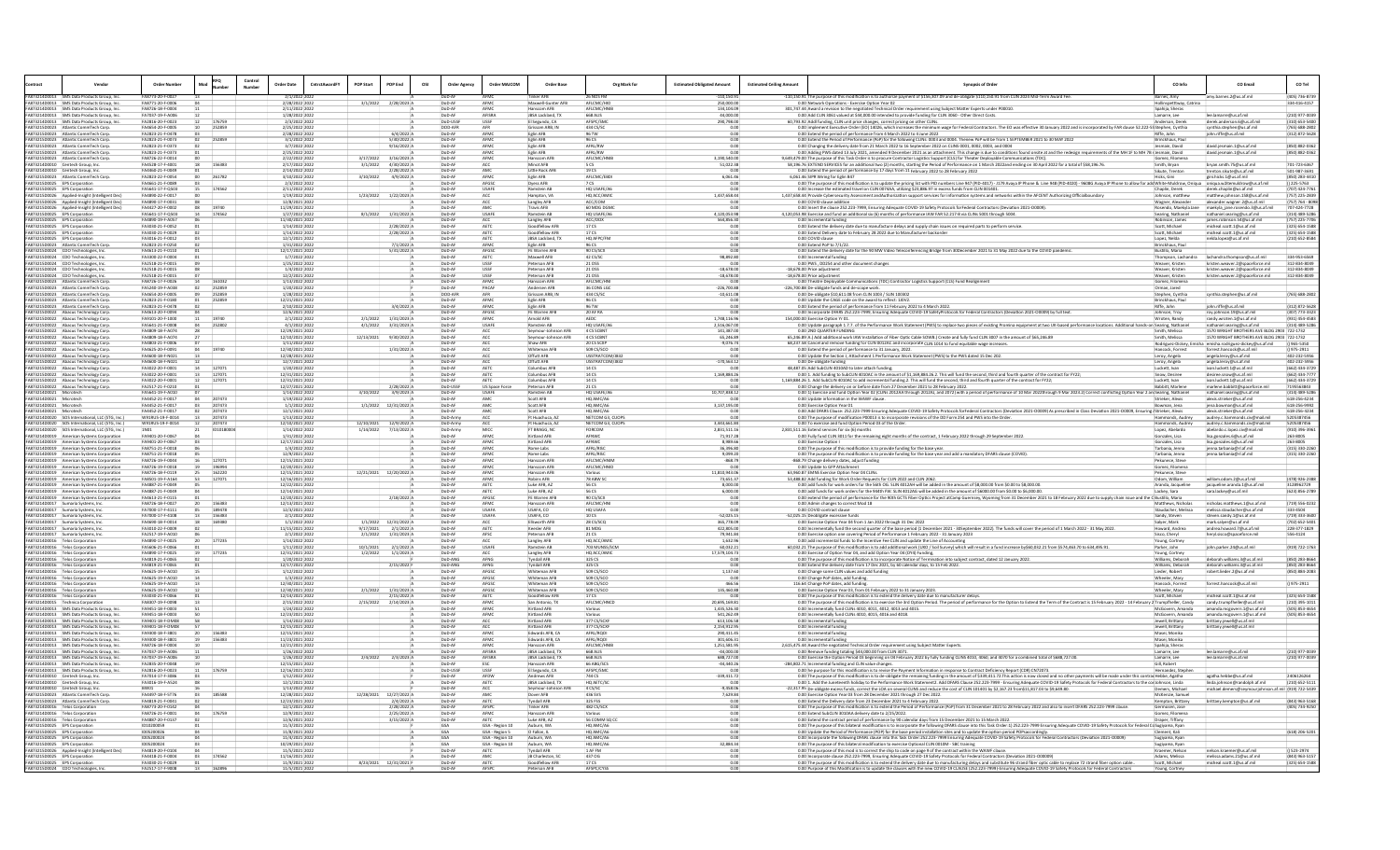|                                                   |                                                                                                      | <b>Order Numbe</b>                   |                  | Control<br>Vumber | <b>Order Date</b>                  | <b>POP Start</b>      | POP End                        | OSI | <b>Order Agency</b>  | Order MAJCOM                 | <b>Order Base</b>                       | Org Mark for                          | <b>Estimated Obligated Amount</b>           | <b>Estimated Ceiling Amoun</b> | <b>Synopsis of Orde</b>                                                                                                                                                                                                                                                                                              | CO Info                                | CO Emai                                                                   | CO Tel                             |
|---------------------------------------------------|------------------------------------------------------------------------------------------------------|--------------------------------------|------------------|-------------------|------------------------------------|-----------------------|--------------------------------|-----|----------------------|------------------------------|-----------------------------------------|---------------------------------------|---------------------------------------------|--------------------------------|----------------------------------------------------------------------------------------------------------------------------------------------------------------------------------------------------------------------------------------------------------------------------------------------------------------------|----------------------------------------|---------------------------------------------------------------------------|------------------------------------|
| FA873214D                                         | roducts Group, In<br>FA873214D0013 SMS Data Products Group, In                                       | FA8771-20-F-0006                     |                  |                   | 2/28/2022 2022                     |                       | $3/1/2022$ $2/28/2023$         |     | $DnD-A$              |                              | Maxwell-Gunter AFB                      | AFLCMC/HIC                            | 250,000.00                                  |                                | 10,150.91 The purpose of this modification is to authorize payment of \$156,307.09 and de-obligate \$110,150.91 from CLIN 2024 Mid-Term Award Fee<br>0.00 Network Operations - Exercise Option Year 02                                                                                                               | Barnes, Am<br>tway, Catrina            | my.barnes.2@us.af.mil                                                     | (405) 736-873<br>334-416-4157      |
|                                                   | EAR73214D0013 SMS Data Products Group Inc.                                                           | FA8726-18-F-0004                     |                  |                   | 2/11/2022 2022                     |                       |                                |     | DoD-AF               | <b>AEMA</b>                  | Hanscom AFR                             | AFLCMC/HNIR                           | 134 104 09                                  |                                | 301.747.44 Award a revision to the negotiated Technical Order requirement using Subject Matter Experts under P00010.                                                                                                                                                                                                 | Snahija Sheras                         |                                                                           |                                    |
|                                                   | FA873214D0013 SMS Data Products Group, Inc                                                           | FA7037-19-F-A006                     |                  |                   | 1/28/2022 2022                     |                       |                                |     | DoD-A                | <b>AFISRA</b>                | JBSA Lackland, T                        | <b>668 ALIS</b>                       | 44,000.00                                   |                                | 0.00 Add CLIN 3061 valued at \$44,000.00 intended to provide funding for CLIN 3060 - Other Direct Costs.                                                                                                                                                                                                             | Lamarre, Lee                           | ee.lamarre@us.af.mi                                                       | (210) 977-003                      |
|                                                   | FA873214D0013 SMS Data Products Group, Inc.<br>EA87321500023 Atlantic CommTech Corr                  | FA2816-20-F-0023<br>FA4654-20-F-0005 | 176759<br>252859 |                   | 2/3/2022 2022<br>2/25/2022 2022    |                       |                                |     | DOD-AFF              | AFF                          | El Segundo, C/<br><b>Crissom ARR IN</b> | <b>AFSPC/SN</b><br>434 CS/SC          | 290,798.0<br>0.00                           |                                | 60,793.92 Addl funding, CLIN unit price changes, correct pricing on other CLINs.<br>0.00 implement Executive Order (EO) 14026, which increases the minimum wage for Federal Contractors. The EO was effective 30 January 2022 and is incorporated by FAR clause 52.222-55 Stephen, Cynthia                           | inderson, Dere                         | derek.anderson.6@us.af.r<br>unthia stenhen@us af mi                       | $(310) 653 - 540$<br>(765) 688-280 |
|                                                   | FA873215D0023 Atlantic CommTech Corp                                                                 | FA2823-21-F-0478                     |                  |                   | 2/28/2022 2022                     |                       | $6/4/2022$ A                   |     | OoD-A                |                              | Eglin AFB                               | 6 TW                                  |                                             |                                | 0.00 Extend the period of performance from 4 March 2022 to 4 June 2022                                                                                                                                                                                                                                               | Riffe, John                            | hn.riffe@us.af.mil                                                        | (312) 872-562                      |
|                                                   | FA873215D0023 Atlantic CommTech Cor<br>FA873215D0023 Atlantic CommTech Corp                          | EA2823-21-E-0072<br>FA2823-21-F-0373 | 252859           |                   | 3/1/2022 2022<br>3/7/2022 2022     |                       | $5/20/2022$ A<br>$9/16/2022$ A |     | DoD-AP<br>DoD-AF     | <b>AEMA</b><br><b>AFM</b>    | Eglin AFB<br>Eglin AFB                  | 06.05<br>AFRL/RW                      | 0.00<br>0.00                                |                                | 0.00 Extend the Period of Performance (PoP) for the following CLINs: 0003 and 0004. Thenew PoP will be from 1 SEPTEMBER 2021 to 30 MAY 2022                                                                                                                                                                          | Brinckhaus, Paul                       | david.iesmain.1@us.af.mil                                                 | (850) 882-036                      |
|                                                   | FA873215D0023 Atlantic CommTech Corp                                                                 | FA2823-21-F-0373                     |                  |                   | 2/25/2022 2022                     |                       |                                |     | DoD-A                |                              | Eglin AFB                               | <b>AFRL/RV</b>                        |                                             |                                | 0.00 Changing the delivery date from 21 March 2022 to 16 September 2022 on CLINS 0001, 0002, 0003, and 0004<br>0.00 Adding PWS dated 13 July 2021, amended 9 December 2021 as an attachment. This change is due to conditions found onsite at and the redesign requirements of the MH 1F to MH 7B r Jesmain, David   | Jesmain, David                         | david.jesmain.1@us.af.mi                                                  | (850) 882-036                      |
| FA873215D0023                                     |                                                                                                      | FA8726-22-F-0014                     |                  |                   | (22/2022 202)                      | 3/17/2022             | 3/16/2023                      |     | $h_0 h_1$            |                              |                                         | <b>AFLCMC/H</b>                       | 3.190.540.0                                 |                                | 9,649,479.00 The purpose of this Task Order is to procure Contractor Logistics Support (CLS) for Theater Deployable Communications (TDC                                                                                                                                                                              |                                        |                                                                           |                                    |
|                                                   | FA873214D0010 Centech Group, Inc.                                                                    | FA4528-17-F-4001                     | 156383           |                   | 2/17/2022 2022                     | 3/1/2022              | $4/30/2022$ $\triangle$        |     | DoD-A                |                              | Minot AFR                               | 505                                   | 51,022.38                                   |                                | 58,196.76 EXTEND SERVICES for an additional two (2) months, starting the Period of Performance on 1 March 2022and ending on 30 April 2022 for a total of \$58,196.76.                                                                                                                                                | Smith Royan                            | hrvan smith 75@us af mil                                                  | 701-723-6367                       |
|                                                   | FA873214D0010 Centech Group, Inc<br>EA87321500023 Atlantic CommTech Cor                              | FA4460-21-F-0049<br>FA2823-22-F-0054 | 261782           |                   | 2/14/2022 2022<br>3/10/2022 2022   | 3/10/2022             | 2/28/2022 A<br>$4/9/2022$ A    |     | DoD-AF<br>DoD-A      | AFM                          | Little Rock AFB<br>Eglin AFB            | 19 CS<br><b>AFLCMC/EBD</b>            | 0.00<br>6.061.46                            |                                | 0.00 Extend the period of performance by 17 days from 11 February 2022 to 28 February 2022<br>6,061.46 SIPR Wiring for Eglin B47                                                                                                                                                                                     | Sikute, Trenton<br>lirks Gini          | trenton.sikute@us.af.mil<br>ini.hicks.1@us.af.mil                         | 501-987-3691<br>(850) 283-441      |
|                                                   | FA873215D0025 EPS Corporation                                                                        | FA4661-21-F-0089                     |                  |                   | 2/3/2022 2022                      |                       |                                |     | DoD-A                | <b>AFGS</b>                  | Dyess AFB                               | 705                                   | 0.00                                        |                                | 0.00 The purpose of this modification is to update the pricing list with PID numbers Line 947 (PID-4017) - J179 Ayaya IP Phone & Line 948 (PID-4020) - 9608G Ayaya IP Phone to allow for add White-Muldrow. Q                                                                                                        |                                        | iqua.w2itemuldrow@us.af.mil                                               | (1225-5763)                        |
| <b>EAR732150002</b>                               | FA873215D0025 EPS Corporation<br>Applied-Insight (Intelligen                                         | FAS641-17-F-Q503<br>FA4890-22-F-001  | 174562           |                   | 2/11/2022 2022<br>/19/2022 202     |                       | 1/23/2022 1/22/2023 A          |     | DoD-A<br>0.04        | <b>USAF</b>                  | Ramstein AB                             | HO USAFE/A<br>IO ACC/AM               | 1,437,658.44                                |                                | 0.00 Increase the estimated travel on CLIN 0074AA, utilizing \$23,886.97 in excess funds from CLIN 001401.<br>1,437,658.44 Provide Cybersecurity Assessment andAuthorization support services for information systems and networks within the AFCENT Authorizing Officialboundary                                    | Chaplin, Derek                         | derek.chaplin@us.af.mil                                                   | $(707)$ 424-77<br>$(757)$ 225-28   |
|                                                   | FA873215D0026 Applied-Insight (Intelligent Dec                                                       | FA4890-17-F-0031                     |                  |                   | 12/8/2021 2022                     |                       |                                |     | DoD-A                |                              | angley AFB                              | ACC/COM                               | 0.OO                                        |                                | 0.00 COVID clause addition                                                                                                                                                                                                                                                                                           | Wagner, Alexander                      | alexander.wagner.2@us.af.mil                                              | $(757) 764 - 80$                   |
| FA873215D0025 EPS Corporat                        | FA873215D0026 Applied-Insight (Intelligent Dec)                                                      | FA4427-20-F-0002<br>FAS641-17-F-0503 | 19740<br>174562  |                   | 11/29/2021 2022<br>1/27/2022 2022  |                       | 8/1/2022 1/31/2022 A           |     | DoD-A<br>$DnD-A$     | LISAFI                       | <b>Travis AFB</b><br><b>Camstein AF</b> | 60 MDG DGM<br>HO USAFE/A              | 4120.053.98                                 |                                | 0.00 Insert the clause 252.223-7999, Ensuring Adequate COVID-19 Safety Protocols for Federal Contractors (Deviation 2021-00009).                                                                                                                                                                                     | Rosendo, Maekyla Jane                  | maekyla jane.rosendo.3@us.af.mil                                          | 707-424-7728<br>(314) 489-528      |
|                                                   | FA873215D0025 EPS Corporation                                                                        | FA4890-19-F-A057                     |                  |                   | 11/30/2021 2022                    |                       |                                |     | DoD-A                | ACC                          | Langley AFB                             | ACC/DOX                               | 564,856.30                                  |                                | 4,120,053.98 Exercise and fund an additional six (6) months of performance IAW FAR 52.217-8 via CLINs 5001 through 5004.<br>0.00 Incremental funding                                                                                                                                                                 | Searing, Nathanie<br>Robinson, James   | athaniel.searing@us.af.mil<br>ames.robinson.54@us.af.mil                  | (757) 225-7706                     |
|                                                   | FA873215D0025 EPS Corporation                                                                        | FA3030-21-F-0052                     |                  |                   | 1/14/2022 2022                     |                       | 2/28/2022                      |     | DoD-A                |                              | odfellow AF                             | L7 CS                                 | 0.00                                        |                                | 1.00 Extend the delivery date due to manufacture delays and supply chain issues on required parts to perform service.                                                                                                                                                                                                | Scott, Michael                         | nicheal.scott.1@us.af.mil                                                 | (325) 654-158                      |
|                                                   | FA873215D0025 EPS Corporatio<br>FA873215D0025 EPS Corporation                                        | FA3030-21-F-0029<br>FA3016-21-F-0012 |                  |                   | 1/14/2022 2022<br>12/1/2021 2022   |                       | 2/28/2022 A                    |     | DoD-A<br>DoD-A       | <b>AFT</b>                   | Goodfellow AFE<br>JBSA Lackland, T      | HO AFPC/FN                            | 0.OO                                        |                                | 0.00 Extend Delivery date to February 28 2022 due to Manufacturer backorder<br>0.00 COVID clause                                                                                                                                                                                                                     | Scott, Michae<br>Lopez, Nelda          | nicheal.scott.1@us.af.mi<br>elda.lopez@us.af.mil                          | $(325) 654 - 158$<br>(210) 652-858 |
|                                                   | FA873215D0023 Atlantic CommTech Corp                                                                 | FA2823-21-F-0250                     |                  |                   | 1/31/2022 2022                     |                       | 7/1/2022 A                     |     | DoD-A                | <b>AFM</b>                   | Eglin AFB                               | 96 CS                                 | 0.00                                        |                                | 0.00 Extend PoP to 7/1/22                                                                                                                                                                                                                                                                                            | Brinckhaus, Pau                        |                                                                           |                                    |
|                                                   | FAB73215D0024 CDO Technologies, Inc                                                                  | FA4613-21-F-0110                     |                  |                   | 12/17/2021 2022                    |                       | 5/31/2022 A                    |     | DoD-AF               | <b>AFGS</b>                  | FF Warren AFR                           | 90 CS/SCX                             | 0.00                                        |                                | 0.00 Extend the delivery date for the 90 MW Video Teleconferencing Bridge from 30December 2021 to 31 May 2022 due to the COVID pandemic                                                                                                                                                                              | <b>Bustillo Maria</b>                  |                                                                           |                                    |
|                                                   | FA873215D0024 CDO Technologies, Inc.<br>FA873215D0024 CDO Technologies, Inc                          | FA3300-22-F-0004<br>FA2518-21-F-0019 |                  |                   | 1/7/2022 2022<br>1/25/2022 2022    |                       |                                |     | DoD-A<br>DoD-A       | AETC                         | Maxwell AFB<br>Peterson AFI             | 42 CS/SC<br>21 OSS                    | 98,892.80                                   |                                | 0.00 Incremental funding<br>0.00 PWS, DD254 and other document changes                                                                                                                                                                                                                                               | Thompson, Lachandra<br>Weaver, Kristen | lachandra.thompson@us.af.mil<br>kristen.weaver.2@spaceforce.m             | 334-953-6569<br>312-834-804        |
|                                                   | FAB73215D0024 CDO Technologies, Inc                                                                  | FA2518-21-F-0015                     |                  |                   | 1/4/2022 2022                      |                       |                                |     | $DnD-A$              | 11558                        | Peterson AFB                            | 21 OSS                                | 18.678.00                                   |                                | 18,678.00 Price adjustment                                                                                                                                                                                                                                                                                           | Weaver, Krister                        | kristen.weaver.2@spaceforce.mi                                            | 312-834-8049                       |
|                                                   | FA873215D0024 CDO Technologies, Inc                                                                  | FA2518-21-F-0015                     |                  |                   | 12/2/2021 2022                     |                       |                                |     | DoD-Al               |                              | Peterson AFB                            |                                       | $-18.678.00$                                |                                | -18.678.00 Price adjustment                                                                                                                                                                                                                                                                                          | Weaver, Kristen                        | kristen.weaver.2@spaceforce.mi                                            | 312-834-8049                       |
|                                                   | FA873215D0023 Atlantic CommTech Corp<br>FA873215D0023 Atlantic CommTech Cor                          | FA8726-17-F-0026<br>FAS240-19-F-A038 | 252859           |                   | 1/13/2022 2022<br>1/20/2022 2022   |                       |                                |     | DoD-A<br>DoD-AF      | PACA                         | Hanscom AFE<br>Andersen AFE             | AFLCMC/HI<br>36 CONS LGC              | $-226.700.88$                               |                                | 0.00 Theatre Deployable Communications (TDC) Contractor Logistics Support (CLS) Fund Realignment<br>-226,700.88 De-obligate funds and de-scope work.                                                                                                                                                                 | Somez, Filomena<br>Orman, Jared        |                                                                           |                                    |
|                                                   | FA873215D0023 Atlantic CommTech Core                                                                 | FA4654-20-F-0005                     | 252859           |                   | 1/28/2022 2022                     |                       |                                |     | DOD-AFF              |                              | Grissom ARB, II                         | 434 CS/SC                             | $-10,611.08$                                |                                | 0.00 De-obligate \$10,611.08 from CLIN 1003 / SLIN 100302                                                                                                                                                                                                                                                            | Stephen, Cynthia                       | cynthia.stephen@us.af.mil                                                 | (765) 688-280                      |
|                                                   | FA873215D0023 Atlantic CommTech Cor<br>EA873215D0023 Atlantic CommTech Cor                           | FA2823-21-F-0180<br>FA2823-21-F-0478 | 252859           |                   | 12/21/2021 2022<br>2/10/2022 2022  |                       | 3/4/2022                       |     | DoD-A<br>$DnD-A$     | <b>AFM</b>                   | Eglin AFB<br>Eglin AFB                  | 6 CS<br><b>96 TW</b>                  | 0.00<br>0.00                                |                                | 0.00 Update the CAGE code on the award to reflect: 1J0V2<br>0.00 Extend the period of performance from 11 February 2022 to 4 March 2022.                                                                                                                                                                             | Brinckhaus, Pau<br>Riffe John          | ohn.riffe@us.af.mil                                                       | (312) 872-562                      |
| FA873215D0022                                     | Abacus Technology Corp                                                                               | FA4613-20-F-0094                     |                  |                   | 12/6/2021 2022                     |                       |                                |     | DoD-A                | <b>AFGS</b>                  | E Warren AFB                            | 20 AF RA                              |                                             |                                | 0.00 Incorporate DFARS 252.223-7999, Ensuring Adequate COVID-19 SafetyProtocols for Federal Contractors (Deviation 2021-00009) by full text.                                                                                                                                                                         | ohnson, Trav                           | oy.johnson.19@us.af.mil                                                   | (307) 773-332                      |
|                                                   | FA873215D0022 Abacus Technology Corp.                                                                | FA9101-20-F-1000                     | 19740            |                   | 2/1/2022 2022                      | 2/1/2022              | 1/31/2023                      |     | DoD-A                |                              | Arnold AFB                              |                                       | 1,748,116.96                                |                                | 154,000.00 Exercise Option Yr 01                                                                                                                                                                                                                                                                                     | Wroten, Randy                          | randy.wroten.1@us.af.m                                                    | (931) 454-45                       |
| FA873215D0022                                     | FA873215D0022 Abacus Technology Cor<br>Abacus Technology Corp                                        | FAS641-21-F-0008<br>FA4809-18-F-A074 | 252802           |                   | 4/1/2022 2022<br>12/29/2021 2022   | 4/1/2022              | $3/31/2023$ A                  |     | DoD-Al<br>DoD-A      | LISAF                        | Ramstein AB<br>Seymour-Johnson A        | IO USAFE/A<br>4 CS SCBN               | 2.516.067.00<br>141,387.00                  |                                | 0.00 Update paragraph 1.7.7. of the Performance Work Statement (PWS) to replace two pieces of existing Promina equipment at two UK-based performance locations. Additional hands-on Searing, Nathani<br>0.00 2ND QUARTER FUNDING                                                                                     | Smith, Melissa                         | nathaniel.searing@us.af.mil<br>570 WRIGHT BROTHERS AVE BLDG 2903 722-1732 | (314) 489-528                      |
|                                                   | FA873215D0022 Abacus Technology Cor                                                                  | FA4809-18-F-4074                     |                  |                   | 12/10/2021 2022                    | 12/13/2021            | $9/30/2022$ A                  |     | DoD-A                |                              | ymour-Johnson AF                        | 4 CS SCBNT                            | 65,246.89                                   |                                | 65,246.89 A.) Add additional work IAW Installation of Fiber Optic Cable SOWB.) Create and fully fund CLIN 3007 in the amount of \$65,246.89                                                                                                                                                                          | Smith, Melissa                         | 1570 WRIGHT BROTHERS AVE BLDG 2903 722-1732                               |                                    |
|                                                   | FA873215D0022 Abacus Technology Cor                                                                  | FA4803-21-F-0006                     |                  |                   | 1/11/2022 2022                     |                       |                                |     | DoD-A                |                              | Shaw AFB                                | 20 CS SCXP                            | $-9.076.74$                                 |                                | 68,237.58 Cancel and remove funding for CLIN 0012AC and incorporate CLIN 1014 to fund equitable wage increases.                                                                                                                                                                                                      | Rodriguez-Dickey                       | emisha.rodriguez-dickey@us.af.mil                                         | 0965-5350                          |
|                                                   | FA873215D0022 Abacus Technology Corp<br>FA873215D0022 Abacus Technology Corp                         | FA4625-20-F-0091<br>FA4600-18-F-N02  | 19740            |                   | 12/30/2021 2022<br>12/28/2021 2022 |                       | $1/31/2022$ A                  |     | DoD-A<br>DoD-AF      |                              | Whiteman AFB<br>Offutt AFB              | 609 CS/SCC<br>SSTRATCOM/              | 0.00                                        |                                | 0.00 Extend the period of performance to 31 January, 2022.<br>0.00 Update the Section J, Attachment 1 Performance Work Statement (PWS) to the PWS dated 15 Dec 202.                                                                                                                                                  | Hancock, Forrest<br>Leroy, Angela      | forrest.hancock@us.af.mi<br>angela.leroy@us.af.mil                        | () 975-2911<br>402-232-595         |
|                                                   | FAB73215D0022 Abacus Technology Cor                                                                  | FA4600-18-F-N021                     |                  |                   | 12/7/2021 2022                     |                       |                                |     | DoD-A                |                              | Offutt AFR                              | USSTRATCOM/J833                       | $-170.563.12$                               |                                | 0.00 De-obligate funding                                                                                                                                                                                                                                                                                             | eroy, Angel                            | ngela.leroy@us.af.mil                                                     | 402-232-5956                       |
| FA873215D0022                                     | Abacus Technology Corp.<br>FA873215D0022 Abacus Technology Corp                                      | FA3022-20-F-0001<br>FA3022-20-F-0001 | 127071<br>127071 |                   | 1/20/2022 2022<br>12/31/2021 2022  |                       |                                |     | DoD-A<br>DoD-A       | <b>ACT</b>                   | Columbus AFI<br>Columbus AFB            | 14C5                                  | 1,169,884.26                                |                                | 48.487.05 Add SubCLIN 4010AD to later attach funding:                                                                                                                                                                                                                                                                | uckett, Ivar<br>Snow, Desiree          | van.luckett.1@us.af.mi<br>desiree.snow@us.af.mi                           | (662) 434-372<br>(662) 434-777     |
|                                                   | FA873215D0022 Abacus Technology Cor                                                                  | FA3022-20-F-0001                     | 127071           |                   | 12/31/2021 2022                    |                       |                                |     | DoD-A                | <b>AFT</b>                   | Columbus AFB                            | 14 CS                                 | 000                                         |                                | 0.00 1. Add funding to SubCLIN 4010AC in the amount of \$1,169,884.26.2. This will fund the second, third and fourth quarter of the contract for FY22;<br>1,169,884.26 1. Add SubCLIN 4010AC to add incremental funding.2. This will fund the second, third and fourth quarter of the contract for FY22;             | Luckett, Ivan                          | ivan.luckett.1@us.af.mil                                                  | (662) 434-372                      |
|                                                   | FA873215D0022 Abacus Technology Corp                                                                 | FA2517-21-F-0210                     |                  |                   | 12/27/2021 2022                    |                       | 2/28/2022                      |     | DoD-USS              | US Space F                   | Peterson AFB                            |                                       |                                             |                                | 0.00 Change the delivery on or before date from 27 December 2021 to 28 February 2022                                                                                                                                                                                                                                 | Babbitt, Marlene                       | marlene.babbitt@spaceforce.mi                                             | 7195563843                         |
| FA873214D0021 Microtec<br>FA873214D0021 Microtech |                                                                                                      | FAS641-19-F-A01<br>FA4452-21-F-0017  | 207473           |                   | 1/14/2022 2023<br>1/19/2022 2022   | 3/10/2022             | 3/9/2023                       |     | DoD-A<br>DoD-AF      |                              | amstein A<br>Scott AFB                  | <b>IQ USAFE/A</b><br>HQ AMC/A6        | 10,707,838.12                               |                                | 0.00 1) Exercise and fund Option Year 02 (CLINs 2012AA through 2012AJ, and 2072) with a period of performance of 10 Mar 2022through 9 Mar 2023.2) Correct conflicting Option Year 2 and Searing, Nathanis<br>0.00 Update information in the WAWF clause.                                                             | Strieker, Alexis                       | athaniel.searing@us.af.mi<br>lexis.strieker@us.af.mil                     | $(314) 489 - 52$<br>618-256-4234   |
| FA873214D0021                                     | Microtec                                                                                             | A4452-21-F-001                       | 207473           |                   | 1/1/2022 2022                      |                       | $1/1/2022$ $12/31/2022$        |     |                      |                              | <b>Scott AFE</b>                        | IQ AMC/A                              | 3,137,195.00                                |                                | 00 Exercise Option Year 01                                                                                                                                                                                                                                                                                           | lowman, Jena                           | ena.bowman@us.af.m                                                        | 618-256-999                        |
| FAR73214D0021 Microtec                            |                                                                                                      | FA4452-21-F-0017                     | 207473           |                   | 12/1/2021 2022                     |                       |                                |     | DoD-AF               |                              | Scott AFR                               | HO AMC/AF                             | 0 <sup>0</sup>                              |                                | 0.00 Add DFARS Clause: 252.223-7999 Ensuring Adequate COVID-19 Safety Protocols forFederal Contractors (Deviation 2021-00009) As prescribed in Class Deviation 2021-00009, Ensuring /Strieker, Alexis                                                                                                                |                                        | lexis.strieker@us.af.mil                                                  | 618-256-4234                       |
|                                                   | FA873214D0020 SOS International, LLC (STG, Inc.)<br>FA873214D0020 SOS International, LLC (STG, Inc.) | W91RUS-19-F-0014<br>W91RUS-19-F-0014 | 207473<br>207473 |                   | 1/13/2022 2022<br>12/10/2021 2022  | 12/10/2021            | 12/9/2022 A                    |     | DoD-Army<br>DoD-Army | ACC                          | Ft Huachuca, A<br>Ft Huachuca, Ai       | NETCOM G3, CUOP<br>NETCOM G3, CUOP    | 0.00<br>3.443.661.84                        |                                | 0.00 The purpose of modification P00013 is to incorporate revisions of the DD Form 254 and PWS into the Order.<br>0.00 To exercise and fund Option Period 03 of the Order.                                                                                                                                           | Hammonds, Audrey<br>Hammonds, Audrey   | audrey.c.hammonds.civ@mail.mi<br>audrey.c.hammonds.civ@mail.mi            | 5205387456<br>5205387456           |
|                                                   | FA873214D0020 SOS International, LLC (STG, Inc.)                                                     |                                      |                  |                   | 1/14/2022 2022                     |                       | 1/14/2022 7/13/2022 A          |     | OoD-Arm              | <b>MAIC</b>                  | FT BRAGG, N                             | ORCOM                                 | 2,831,511.1                                 |                                | 2,831,511.16 Extend services for six (6) months                                                                                                                                                                                                                                                                      | Lopez, Abelard                         | belardo.c.lopez.civ@mail.m                                                | (910) 396-39                       |
|                                                   | FA873214D0019 American Systems Corporation<br>FA873214D0019 American Systems Corporation             | FA9401-20-F-0067<br>FA9401-20-F-0067 |                  |                   | 1/31/2022 2022<br>12/17/2021 2022  |                       |                                |     | DoD-AF               |                              | Kirtland AFB<br>Kirtland AF             | AFNWC                                 | 71,917.28                                   |                                | 0.00 Fully fund CLIN 3011 for the remaining eight months of the contract, 1 February 2022 through 29 September 2022.<br>.00 Exercise Option                                                                                                                                                                          | Gonzales, Lisa<br>ionzales, Lisa       | isa.gonzales.6@us.af.mil<br>isa.gonzales.6@us.af.m                        | 263-8005<br>263-8005               |
|                                                   | FAR73214D0019 American Systems Corporation                                                           | FAR751-21-F-0018                     |                  |                   | 1/4/2022 2022                      |                       |                                |     | DoD-AF               | <b>AFM</b>                   | Rome Labs                               | AFRI /RISC                            | 36 396 80                                   |                                | 0.00 The purpose of this modification is to provide funding for the base year.                                                                                                                                                                                                                                       | Tarbania, Jenna                        | enna.tarbania@rl.af.mil                                                   | (315) 330-226                      |
|                                                   | FA873214D0019 American Systems Corporation                                                           | FA8751-21-F-0018                     |                  |                   | 12/9/2021 2022                     |                       |                                |     | DoD-AF               | <b>AFM</b>                   | Rome Labs                               | AFRL/RISC                             | 9,099.20                                    |                                | 0.00 The purpose of this modification is to provide funding for the base year and add a mandatory DFARS clause (COVID).                                                                                                                                                                                              | Tarbania, Jenna                        | enna.tarbania@rl.af.mil                                                   | (315) 330-226                      |
| FA873214D0019                                     | American Systems Corporation<br>FA873214D0019 American Systems Corporation                           | FA8726-19-F-0044<br>FA8726-19-F-0018 | 127071<br>196994 |                   | 12/15/2021 2022<br>12/20/2021 2022 |                       |                                |     | OoD-A<br>DoD-A       |                              | Hanscom AF<br>lanscom AFE               | AFLCMC/HN<br>AFLCMC/HNII              | $-868.7$                                    |                                | -868.79 Change delivery dates, adjust funding<br>0.00 Update to GFP Attachment                                                                                                                                                                                                                                       | ekunece, Steve<br>Gomez, Filomen       |                                                                           |                                    |
|                                                   | FA873214D0019 American Systems Corporation                                                           | FA8726-18-F-0119                     | 162220           |                   | 12/15/2021 2022                    |                       | 12/21/2021 12/20/2022 A        |     | DoD-A                |                              | Hanscom AFE                             | <b>Jarious</b>                        | 11.810.943.06                               |                                | 63.960.87 EMNS Exercise Option Year 04 CLINs                                                                                                                                                                                                                                                                         | Pekunece, Steve                        |                                                                           |                                    |
|                                                   | FA873214D0019 American Systems Corporation<br><b>EAR73214D0019</b> American Systems Corporation      | FA8501-19-F-A164<br>FA4887-21-F-0049 | 127071           |                   | 12/16/2021 2022<br>12/22/2021 2022 |                       |                                |     | DoD-A<br>DoD-AF      | <b>AFT</b>                   | Robins AFB<br>Luke AFR AZ               | 78 ABW SO<br>56.05                    | 73,651.37<br>8.000.00                       |                                | 53.488.82 Add funding for Work Order Requests for CLIN 2022 and CLIN 2062<br>0.00 add funds for work orders for the S6th OG, SUN 4012AH will be added in the amount of S8,000,00 from \$0.00 to \$8,000,00                                                                                                           | Odom, William                          | villiam.odom.2@us.af.mil<br>acqueline aranda 1@us af mi                   | (478) 926-238<br>3128962729        |
|                                                   | FA873214D0019 American Systems Corporation                                                           | FA4887-21-F-0049                     |                  |                   | 12/14/2021 2022                    |                       |                                |     | DoD-A                | <b>AETO</b>                  | Luke AFB, AZ                            | 56CS                                  | 6,000.00                                    |                                | 0.00 add funds for work orders for the 944th FW. SLIN 4012AG will be added in the amount of \$6000.00 from \$0.00 to \$6,000.00                                                                                                                                                                                      | Aranda, Jacquelin<br>Lackey, Sara      | ara.lackey@us.af.mil                                                      | (623) 856-278                      |
| FA873214D0019                                     | American Systems Corporation                                                                         | FA4613-21-F-0119                     |                  |                   | 12/20/2021 2022                    |                       | 2/18/2022                      |     | DoD-A                |                              | FE Warren AFE                           | 90 CS/SCX                             | 0.00                                        |                                | 0.00 extend the period of performance for the 90th GCTS Fiber Optics Project atCamp Guernsey, Wyoming from 31 December 2021 to 18 February 2022 due to supply chain issue and the C Bustillo, Maria                                                                                                                  |                                        |                                                                           |                                    |
| FA873214D0017                                     | FA873214D0017 Sumaria Systems, In<br>Sumaria Systems, In                                             | FA8726-18-F-0027<br>FA7000-17-F-4111 | 156383<br>189478 |                   | 12/13/2021 2022<br>12/3/2021 2022  |                       |                                |     | $DnD-A$<br>DoD-A     | <b>LISAE</b>                 | anscom AFE<br>USAFA, CO                 | <b>SELCIMO/HIM</b><br>HO USAFA        | 0 <sup>0<sup>c</sup></sup>                  |                                | 0.00 Admin changes to correct Mod 18<br>0.00 COVID contract clause                                                                                                                                                                                                                                                   | Matthews, Nicho<br>Staudacher, Meliss  | icholas.matthews.1@us.af.m<br>melissa.staudacher@us.af.mi                 | (719) 556-023<br>333-4504          |
| FA873214D0017                                     | Sumaria Systems, In                                                                                  | FA7000-17-F-4108                     | 156383           |                   | 2/1/2022 2022                      |                       |                                |     | DoD-A                |                              | USAFA, CO                               | 0 CS                                  | 52,025.15                                   |                                | 52,025.15 Deobligate excessive funds                                                                                                                                                                                                                                                                                 | sandy, Steven                          | steven.sandy.1@us.af.mil                                                  | (719) 333-360                      |
| FA873214D0017                                     | Sumaria Systems, In                                                                                  | FA4690-18-F-0014                     | 169380           |                   | 1/1/2022 2022                      |                       | 1/1/2022 12/31/2022 A          |     | DoD-A                |                              | Ellsworth AFE                           | 28 CS/SCC                             | 365,778.09                                  |                                | 0.00 Exercise Option Year 04 from 1 Jan 2022 through 31 Dec 2022                                                                                                                                                                                                                                                     | Salver, Mark                           | mark.salver@us.af.mil                                                     | (702) 652-540                      |
| FA873214D0017<br>FA873214D0017                    | Sumaria Systems, In<br>Sumaria Systems, In                                                           | FA3010-22-F-0009<br>FA2517-19-F-A010 |                  |                   | 11/15/2021 2022<br>2/1/2022 2022   | 9/17/2021<br>2/1/2022 | $2/1/2022$ A<br>$1/31/2023$ A  |     | DoD-A<br>$DnD-A$     | <b>AETO</b><br><b>AFS</b>    | Keesler AFB<br>Peterson AFI             | 81 MDG<br>21 <sub>CS</sub>            | 422,805.00<br>79,941.84                     |                                | 0.00 incrementally fund the second quarter of the base period (1 December 2021 - 30September 2022). The funds will cover the period of 1 March 2022 - 31 May 2022<br>0.00 Exercise option one covering Period of Performance 1 February 2022 - 31 January 2023                                                       | Howard, Andrea<br>Sisco, Chery         | andrea.howard.7@us.af.mi<br>eryl.sisco@spaceforce.m                       | 228-377-1829<br>556-4124           |
|                                                   | FA873214D0016 Telos Corporation                                                                      | FA4890-17-F-0025                     | 177235           |                   | 1/14/2022 2022                     |                       |                                |     | DoD-AF               |                              | Langley AFB                             | HO ACC/AMI                            | 1.632.96                                    |                                | 0.00 add incremental funds to the Incentive Fee CLIN and update the Line of Accounting                                                                                                                                                                                                                               | foung, Cortney                         |                                                                           |                                    |
| FA873214D0016                                     | <b>Telos Corporation</b>                                                                             | FAS606-21-F-0066                     |                  |                   | 1/11/2022 2022                     | 10/1/2021             | $2/1/2022$ A                   |     | DoD-A                | USAF                         | <b>Ramstein AB</b>                      | 703 MUNSS/SCI                         | 60,032.21                                   |                                | 60,032.21 The purpose of this modification is to add additional work (UXO / Soil Survey) which will result in a fund increase by\$60,032.21 from \$574,463.70 to 634,495.91                                                                                                                                          | Parker, John                           | john.parker.24@us.af.mil                                                  | (919) 722-176                      |
| FA873214D0016<br>FA873214D0016                    | <b>Telos Corporatio</b><br><b>Telos Corporation</b>                                                  | FA4890-17-F-0025<br>FA4819-21-F-0065 | 177235           |                   | 12/31/2021 2022<br>1/20/2022 2022  |                       | $1/2/2022$ $1/1/2023$ A        |     | OoD-A<br>DoD-ANG     | AFNO                         | Langley AFE<br><b>Fyndall AFB</b>       | IQ ACC/AMI<br>325CS                   | 17,579,104.73<br>0.00                       |                                | 0.00 Exercise of Option Year 04, and add Option Year 04 (OY4) Funding,<br>0.00 The purpose of this modification is to incorporate Notice of Termination into subject contract, dated 12 January 2022.                                                                                                                | Young, Cortney<br>Williams, Debora     | deborah.williams.3@us.af.mi                                               | (850) 283-866                      |
| FA873214D0016                                     | <b>Telos Corporation</b>                                                                             | FA4819-21-F-0065                     |                  |                   | 12/17/2021 2022                    |                       | 2/15/2022                      |     | DoD-ANG              | AFNO                         | <b>Tyndall AFB</b>                      | 325CS                                 |                                             |                                | 0.00 Extend the delivery date from 17 Dec 2021, by 60 calendar days, to 15 Feb 2022.                                                                                                                                                                                                                                 | Williams, Deborah                      | deborah.williams.3@us.af.mi                                               | (850) 283-866                      |
| APO00323400016                                    | <b>Telos Corporatio</b><br>FA873214D0016 Telos Corporation                                           | EA4625-19-E-A010<br>FA4625-19-F-A010 |                  |                   | 1/12/2022 2022<br>1/3/2022 2022    |                       |                                |     | DoD-AP<br>DoD-A      | <b>AEGS</b><br><b>AFGS</b>   | Whiteman AFB<br>Whiteman AFB            | sna cs/scc<br>509 CS/SCO              | 1,137.60<br>0.00                            |                                | 0.00 Change some CLIN values and add funding<br>0.00 Change PoP dates, add funding                                                                                                                                                                                                                                   | Lieder Robert<br>Wheeler, Mary         | obert.lieder.2@us.af.mil                                                  | (850) 884-2083                     |
| FA873214D0016                                     | <b>Telos Corporation</b>                                                                             | FA4625-19-F-A010                     |                  |                   | 12/30/2021 2022                    |                       |                                |     | DoD-A                | <b>AFGS</b>                  | Whiteman AFB                            | 609 CS/SCC                            | 466.56                                      |                                | 116.64 Change PoP dates, add funding                                                                                                                                                                                                                                                                                 | Hancock, Forrest                       | forrest.hancock@us.af.mil                                                 | () 975-2911                        |
| FA873214D0016                                     | <b>Telos Corporatio</b>                                                                              | FA4625-19-F-A01                      |                  |                   | 12/30/2021 202:                    | 2/1/2022              | 1/31/2023                      |     | OoD-A                |                              | Whiteman AFB                            | 09 CS/SCO                             | 135,460.8                                   |                                | 0.00 Exercise Option Year 03, from 01 February 2022 to 31 January 2023                                                                                                                                                                                                                                               | Wheeler, Mary                          |                                                                           | (325) 654-158                      |
| FA873214D0015                                     | FA873214D0016 Telos Corporation<br>Technica Corporatio                                               | FA3030-21-F-0066<br>FA8307-19-F-0098 |                  |                   | 12/14/2021 2022<br>2/15/2022 2022  | 2/15/2022             | 2/15/2022 A<br>$2/14/2023$ A   |     | DoD-A<br>DoD-A       | AFTO                         | Goodfellow AFI<br>San Antonio, T.       | 17C <sub>S</sub><br><b>AFLCMC/HNG</b> | 0 <sup>0<sup>c</sup></sup><br>20,695,169.81 |                                | 0.00 The purpose of this modification is to extend the delivery date due to manufacturer delays.<br>0.00 The purpose of this modification is to exercise the 3rd Option Period. The period of performance for the Option to Extend the Term of the Contract is 15 February 2022 - 14 February 2 Trumpfheller, Candra | Scott, Michael                         | nicheal.scott.1@us.af.mil<br>candy.trumpfheller@us.af.m                   | $(210)$ 395-101                    |
|                                                   | FAB73214D0013 SMS Data Products Group, In                                                            | FA9451-18-F-0003                     |                  |                   | 1/24/2022 2022                     |                       |                                |     | DoD-A                | AFM                          | Kirtland AFB                            |                                       | 1,435.526.30                                |                                | 0.00 Incrementally fund CLINs 4010, 4011, 4012, 4013 and 4015                                                                                                                                                                                                                                                        | McGovern, Amand                        | manda.mcgovern.1@us.af.mi                                                 | (505) 853-465                      |
|                                                   | FA873214D0013 SMS Data Products Group, In                                                            | FA9451-18-F-0003                     |                  |                   | 12/23/2021 2022                    |                       |                                |     | DoD-A<br>DoD-A       | <b>AFM</b>                   | Kirtland AFB                            | $377$ CS/SC                           | 541.262.49                                  |                                | 0.00 Incrementally fund CLINs 4010, 4015, 4016 and 4018.                                                                                                                                                                                                                                                             | McGovern, Amanda                       | amanda.mcgovern.1@us.af.mil                                               | (505) 853-4654                     |
| FA873214D0013                                     | SMS Data Products Group, Inc.<br>FA873214D0013 SMS Data Products Group, In                           | FA9401-18-F-DM08<br>FA9401-18-F-DM08 |                  |                   | 1/14/2022 2022<br>12/15/2021 2022  |                       |                                |     | DoD-A                |                              | Kirtland AFB<br>Grtland AFB             | 377 CS/SCX                            | 613,106.58<br>2,154,912.9                   |                                | 0.00 Incremental funding<br>0.00 Incremental fundin                                                                                                                                                                                                                                                                  | Jewell, Brittany<br>Jewell, Brittany   | brittany.jewell@us.af.mil<br>orittany.jewell@us.af.m                      |                                    |
|                                                   | FA873214D0013 SMS Data Products Group, In                                                            | FA9300-18-F-3801                     | 156383           |                   | 12/15/2021 2022                    |                       |                                |     | DoD-A                | <b>AFM</b>                   | Edwards AFB, C                          | AFRL/ROOI                             | 290.411.45                                  |                                | 0.00 Incremental fundin                                                                                                                                                                                                                                                                                              | Masei, Monika                          |                                                                           |                                    |
| FA873214D0013                                     | SMS Data Products Group, In<br>FA873214D0013 SMS Data Products Group, In                             | FA9300-18-F-3801<br>FA8726-18-F-0004 | 156383           |                   | 11/23/2021 2022<br>12/21/2021 2022 |                       |                                |     | DoD-A                | <b>AEMA</b>                  | Edwards AFB, C<br>lanscom AFR           | <b>AFRL/RQD</b><br>AFLCMC/HNI         | 301,606.3<br>1.251.581.95                   |                                | .00 Incremental funding                                                                                                                                                                                                                                                                                              | Masei, Monika                          |                                                                           |                                    |
|                                                   | FA873214D0013 SMS Data Products Group, Inc.                                                          | FA7037-19-F-A006                     |                  |                   | 1/26/2022 2022                     |                       |                                |     | DoD-A                | <b>AFISRA</b>                | JBSA Lackland, T.                       | <b>668 ALIS</b>                       | $-44.000.00$                                |                                | 2,615,475.44 Award the negotiated Technical Order requirement using Subject Matter Experts.<br>0.00 Remove funding totaling \$44,000.00 from CLIN 3071.                                                                                                                                                              | Spahija, Sheras<br>Lamarre, Lee        | ee.lamarre@us.af.mil                                                      | (210) 977-003                      |
| FA873214D0013                                     | SMS Data Products Group, Inc.                                                                        | FA7037-19-F-A006                     |                  |                   | 1/26/2022 2022                     |                       | 2/4/2022 2/3/2023 A            |     | DoD-A                | AFISRA                       | JBSA Lackland, T                        | <b>668 ALIS</b>                       | 688,727.00                                  |                                | 0.00 Exercise the Option Period 03 beginning on 04 February 2022 by fully funding CLINS 4010, 4060, and 4070 for a combined total of \$688,727.00.                                                                                                                                                                   | Lamarre, Lee                           | lee.lamarre@us.af.mil                                                     | (210) 977-003                      |
|                                                   | FA873214D0013 SMS Data Products Group, Inc.<br>FA873214D0013 SMS Data Products Group, In             | FA2835-20-F-0048<br>FA2816-20-F-0023 | 176759           |                   | 12/15/2021 2022<br>12/16/2021 2022 |                       |                                |     | DoD-A<br>DoD-USS     | 11998                        | lanscom AFE<br>El Segundo, CA           | 6 ABG/SC<br>AFSPC/SMC                 | $-44,440.2$                                 |                                | -284,802.71 Incremental funding and CLIN value changes.<br>0.00 he purpose for this modification is to revise the Payment Information in response to Contract Deficiency Report (CDR) CN72073.                                                                                                                       | Gill, Rober<br>Hernandez, Steph        |                                                                           |                                    |
| FA873214D0010                                     | Centech Group, Inc.                                                                                  | FA7014-17-F-308                      |                  |                   | 1/12/2022 202:                     |                       |                                |     |                      |                              | <b>Andrews AFE</b>                      |                                       | 339,411.72                                  |                                | 00 The purpose of this modification is to de-obligate the remaining funding in the amount of \$339,411.72. This action is now closed and no other payments will be made under this o                                                                                                                                 | racHebbe, Agatha                       | gatha.hebbe@us.af.mi                                                      | 2406126264                         |
|                                                   | FA873214D0010 Centech Group In                                                                       | FA3016-19-F-A524                     |                  |                   | 12/1/2021 2022                     |                       |                                |     | DoD-AF               | <b>AFT</b>                   | <b>IRSA Lackland TX</b>                 | HO AFTC/SC                            | 00                                          |                                | 0.00 1. Add the Juneteenth holiday to the Performance Work Statement2. Add DFARS Clause 252.223-7999 - Ensuring Adequate COVID-19 Safety Protocols for Federal Contractors to the cor.Johnson, Linda                                                                                                                 |                                        | inda.iohnson@randolph.af.mil                                              | (210) 652-511                      |
| FA873215D0023                                     | FA873214D0010 Centech Group, Inc<br>Atlantic CommTech Corp                                           | FA4497-18-F-5T76                     | 185588           |                   | 1/13/2022 2022<br>12/28/2021 2022  |                       | 12/28/2021 12/27/2022          |     | DoD-A<br>DoD-A       |                              | Seymour-Johnson A<br>Dover AFB          | 4 CS/SC<br>136 SVS                    | 9.458.06<br>7,629.84                        |                                | -22,317.95 De-obligate excess funds, correct the LOA on several CLINS and reduce the cost of CLIN 101401 by \$2,167.23 from\$11,817.03 to \$9,649.80.<br>0.00 Exercise Option Year 03 from 28 December 2021 through 27 Dec 2022.                                                                                     | Demers, Michae<br>McKenzie, Samur      | michael.demers@seymourjo                                                  | nil (919) 722-543                  |
|                                                   | FA873215D0023 Atlantic CommTech Corp                                                                 | FA4819-21-F-004:                     |                  |                   | 12/23/2021 2022                    |                       | $2/4/2022$ A                   |     | DoD-A                |                              | <b>Tyndall AFB</b>                      | 325 FSS                               |                                             |                                | 0.00 Extend the Delivery date from 23 December 2021 to 4 February 2022.                                                                                                                                                                                                                                              | Cempton, Brittan                       | brittany.kempton@us.af.mil                                                | (843) 963-51                       |
| FA873214D0016<br>FA873214D0016                    | <b>Telos Corporation</b>                                                                             | FA8773-20-F-0142<br>FA8726-21-F-000  | 176759           |                   | 12/1/2021 2022                     |                       | 2/28/2022 A                    |     | DoD-A<br>DoD-AF      | AFSP                         | <b>Tinker AFB</b>                       | 482 CS/SCX                            | 0.00<br>000                                 |                                | 0.00 The purpose of this modification is to extend the Period of Performance (PoP) from 31 December 2021 to 28 February 2022 and also to insert DFARS 252.223-7999 clause.                                                                                                                                           | Germosen, Jose                         |                                                                           | (405) 734-925                      |
|                                                   | <b>Telos Corporatio</b><br>FA873214D0016 Telos Corporation                                           | FA4887-20-F-0137                     |                  |                   | 12/9/2021 2022<br>12/6/2021 2022   |                       | 2/25/2022<br>$3/15/2022$ A     |     | DoD-A                | <b>AFTO</b>                  | Luke AFB, AZ                            | 56 COMM SO O                          | 0.00                                        |                                | 0.00 Extend SubCLIN 3010AA delivery date to 2/25/2022<br>0.00 Extend the contract period of performance by 90 calendar days from 15 December 2021 to 15 March 2021                                                                                                                                                   | iomez, Filomen<br>Draper, Tiffam       |                                                                           |                                    |
|                                                   | FA873215D0025 EPS Corporation                                                                        | ID10200059                           |                  |                   | 11/3/2021 2022                     |                       |                                | GSA |                      | GSA - Region 1               | Auburn, WA                              | HO AMC/A6                             | 0.00                                        |                                | 0.00 The purpose of this bilateral modification is to incorporate the following DFARS clause into this Task Order:1) 252 223-7999 Ensuring Adequate COVID-19 Safety Protocols for Federal CoSugiyama, Ryan                                                                                                           |                                        |                                                                           |                                    |
|                                                   | FA873215D0025 EPS Corporatio<br><b>EAR73215D0025 FPS Corporatio</b>                                  | ID05200026<br>1005200024             |                  |                   | 11/8/2021 2022<br>11/4/2021 2022   |                       |                                | GSC |                      | GSA - Region 5<br>GSA - Regi | O Fallon, IL<br>Auburn WA               | IQ AMC/AE<br>HO AMC/A                 | 0.00<br>0 OC                                |                                | 0.00 Update the Period of Performance (POP) for the base period installation sites and to update the option period POPsaccordingly.<br>0.00 Incorporate the following DFARs clause into this Task Order:252.223-7999 Ensuring Adequate COVID-19 Safety Protocols for Federal Contractors (Deviation 2021-00009)      | Clement, Kali<br>Sugiyama, Ryar        |                                                                           | $(618)$ 206-520                    |
|                                                   | FA873215D0025 EPS Corporation                                                                        | 1005200024                           |                  |                   | 10/29/2021 2022                    |                       |                                |     |                      | GSA - Region 10              | Auburn, WA                              | HQ AMC/A6                             | 32,884.34                                   |                                | 0.00 The purpose of this bilateral modification to exercise Optional CLIN 0010M - SBC training                                                                                                                                                                                                                       | Sugiyama, Ryan                         |                                                                           |                                    |
| <b>FA873215D0026</b>                              | Applied-Insight (Inte                                                                                | FA4819-20-F-0104                     | 174562           |                   | 11/5/2021 2023                     |                       |                                |     | DoD-A                |                              | vndall AFB                              | 1 AF FM                               | 0 <sub>0</sub>                              |                                | 0.00 The purpose of this mod is to correct the ship to code on page 9 of the contract within the WAWF clause<br>0.00 Incorporate clause 252.223-7999. Ensuring Adequate COVID-19 Safety Protocols for Federal Contractors (Deviation 2021-000009)                                                                    |                                        | elson.kraemer@us.af.mi                                                    | 0.523-2974                         |
|                                                   | FA873215D0025 EPS Corporation<br>FA873215D0025 EPS Corporation                                       | FA4418-21-F-0004<br>FA3030-21-F-0029 |                  |                   | 11/16/2021 2022<br>11/9/2021 2022  |                       | 8/23/2021 12/31/2021 F         |     | DoD-A<br>DoD-A       |                              | JB Charleston, S<br>oodfellow AFI       | 437 OG<br>17 <sub>CS</sub>            | 0.00                                        |                                | 0.00 The purpose of this modification is to extend the delivery date due to manufacturing delays and substitute 96 strand fiber optic cable to replace 72 strand fiber option cable                                                                                                                                  | Adams, Melissa<br>Scott, Michael       | nelissa.adams.21@us.af.mil<br>nicheal.scott.1@us.af.mil                   | (843) 963-515<br>(325) 654-1588    |
| FA873215D0024 CDO Tech                            |                                                                                                      | FA2517-17-F-9008                     | 162896           |                   | 11/5/2021 2022                     |                       |                                |     | OoD-A                |                              | eterson AFB                             |                                       |                                             |                                | 00 Purpose of this Modification is to update the clauses with the new COVID-19 CLAUSE (252.223-7999)-Ensuring Adequate COVID-19 Safety Pro                                                                                                                                                                           | oung, Cortner                          |                                                                           |                                    |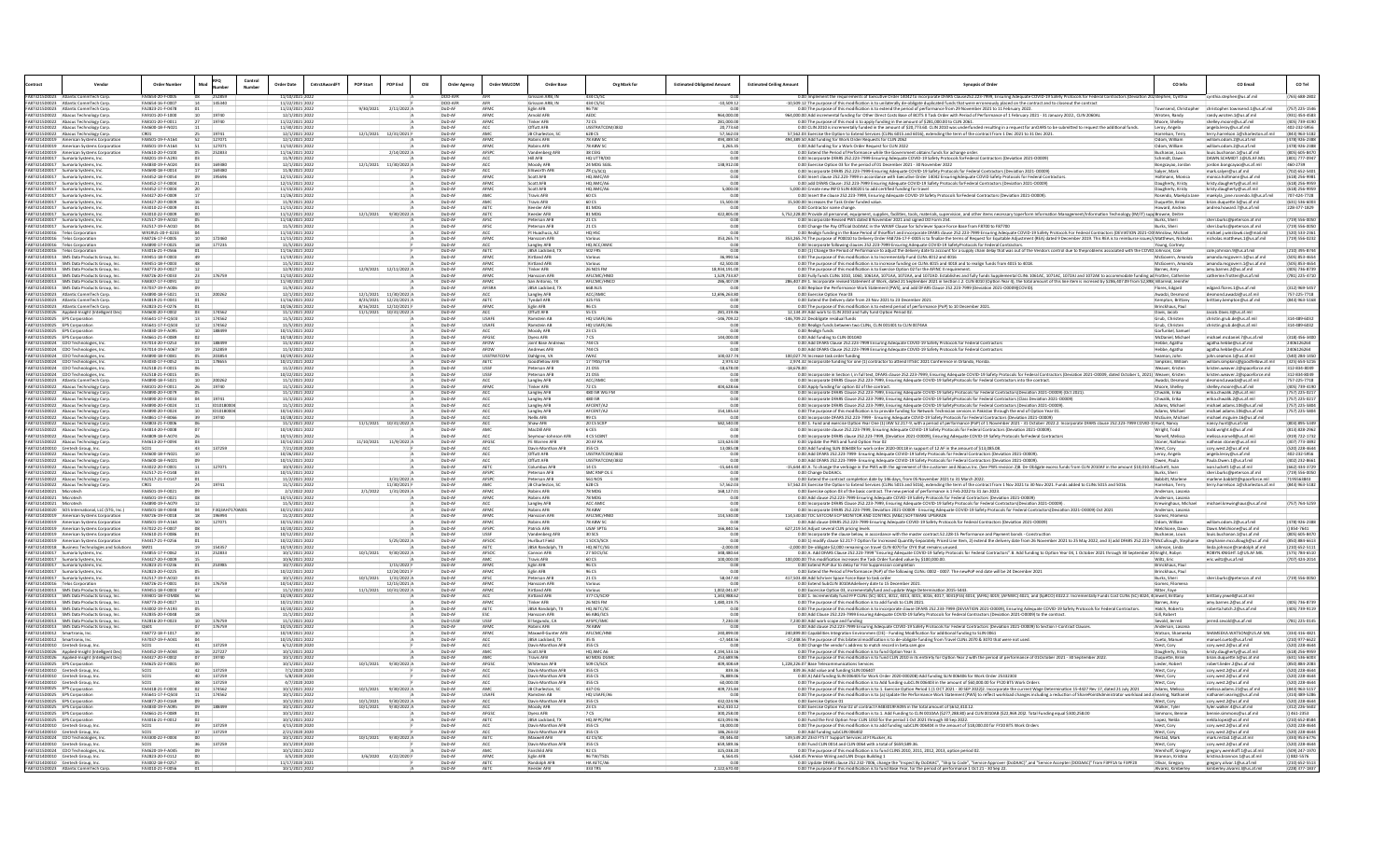|                                                    |                                                                                                 | <b>Order Numbe</b>                   |                     | Control<br>Numbe | <b>Order Date</b>                  | CntrctA | <b>POP Start</b> | POP End                                        | OSI<br><b>Order Agency</b>      | Order MAJCOM              | <b>Order Base</b>                             | Org Mark for                     | <b>Estimated Obligated Amount</b> | <b>Estimated Ceiling Amoun</b> | <b>Synopsis of Order</b>                                                                                                                                                                                                                                                                                                                                                    | CO Info                                | CO Emai                                                         | CO Tel                             |
|----------------------------------------------------|-------------------------------------------------------------------------------------------------|--------------------------------------|---------------------|------------------|------------------------------------|---------|------------------|------------------------------------------------|---------------------------------|---------------------------|-----------------------------------------------|----------------------------------|-----------------------------------|--------------------------------|-----------------------------------------------------------------------------------------------------------------------------------------------------------------------------------------------------------------------------------------------------------------------------------------------------------------------------------------------------------------------------|----------------------------------------|-----------------------------------------------------------------|------------------------------------|
| <b>FA8732150</b>                                   | FA873215D0023 Atlantic CommTech Corp                                                            | FA4654-16-F-0007                     | 145340              |                  | 11/22/2021 2022                    |         |                  |                                                | DOD-AFF                         | AFF                       | som ARB, IN                                   | 434 CS/SO                        | $-10,509.12$                      |                                | 00 Implement the requirements of Executive Order 14042 to incorporate DFARS Clause252.223-7999, Ensuring Adequate COVID-19 Safety Protocols for Federal Contractors (Deviation 2025 tephen, Cynthia<br>10,509.12 The purpose of this modification is to unilaterally de-obligate duplicated funds that were erroneously placed on the contract and to closeout the contract |                                        | cynthia.stephen@us.af.mil                                       | (765) 688-280                      |
|                                                    | EA87321500023 Atlantic CommTech Corp.                                                           | FA2823-21-F-0478                     |                     |                  | 11/23/2021 2022                    |         |                  | $9/30/2021$ $2/11/2022$ A                      | DoD-AF                          | <b>AEMA</b>               | Felin AFR                                     | <b>Q6 TIM</b>                    | 0.00                              |                                | 0.00 The purpose of this modification is to extend the period of performance from 29 November 2021 to 11 February 2022.                                                                                                                                                                                                                                                     | Cownsend Christopher                   | christopher townsend 1@us af mil                                | (757) 225-1546                     |
|                                                    | FA873215D0022 Abacus Technology Corp.                                                           | FA9101-20-F-1000                     |                     |                  | 12/1/2021 2022                     |         |                  |                                                | DoD-Al                          |                           | <b>Irnold AFB</b>                             |                                  | 964,000.00                        |                                | 964,000.00 Add incremental funding for Other Direct Costs Base of BCITS II Task Order with Period of Performance of 1 February 2021 - 31 January 2022., CLIN 2060AL                                                                                                                                                                                                         | Nroten, Randy                          | randy.wroten.1@us.af.mil                                        | (931) 454-458                      |
|                                                    | FA873215D0022 Abacus Technology Corp<br>FAB73215D0022 Abacus Technology Co                      | FA8101-20-F-0011<br>FA4600-18-F-N021 | 19740               |                  | 11/22/2021 202<br>11/30/2021 2022  |         |                  |                                                | DoD-A<br>$D \cap D - \Delta$    |                           | Tinker AFB<br>Offutt AFR                      | LISSTRATCOM/J832                 | 281,000.0<br>20.773.60            |                                | 0.00 The purpose of this mod is to apply funding in the amount of \$281,000.00 to CLIN 2061.                                                                                                                                                                                                                                                                                | Leroy, Angela                          | helley.moore@us.af.m<br>ngela.leroy@us.af.mil                   | (405) 739-419<br>402-232-5956      |
|                                                    | FA873215D0022 Abacus Technology Corp.                                                           |                                      | 19741               |                  | 12/1/2021 2022<br>12/1/2021 2022   |         |                  | 12/1/2021 12/31/2021                           | DoD-Al<br>DoD-AF                |                           | JB Charleston, 5                              | 628 CS                           | 57.562.03                         |                                | 0.00 CLIN 2010 is incrementally funded in the amount of \$20,773.60. CLIN 2010 was underfunded resulting in a request for anOARS to be submitted to request the additional funds (57,562.03) Exercise the Option to Extend Serv                                                                                                                                             | Harrelson, Terr                        | erry.harrelson.1@charlest                                       | (843) 963-518                      |
|                                                    | FAB73214D0019 American Systems Corpor<br>FA873214D0019 American Systems Corporation             | FA8501-19-F-A164<br>FA8501-19-F-A164 | 127071<br>127071    |                  | 11/10/2021 2022                    |         |                  |                                                | DoD-Al                          | <b>AEMA</b><br><b>AFM</b> | <b>Pohine AER</b><br>Robins AFB               | 78 ABW SO<br>78 ABW SC           | 494,389.50<br>3.265.35            |                                | 494,389.50 Add funding for Work Order Requests for CLIN 2062<br>0.00 Add funding for a Work Order Request for CLIN 2022                                                                                                                                                                                                                                                     | Odom, William<br>Odom, William         | villiam.odom.2@us.af.mil<br>william.odom.2@us.af.mil            | (478) 926-238<br>(478) 926-238     |
|                                                    | FA873214D0019 American Systems Corporation                                                      | FA4610-20-F-0100                     | 252833              |                  | 11/16/2021 2022                    |         |                  | 2/14/2022                                      | DoD-Al                          |                           | Vandenberg AF                                 | 38 CEIG                          |                                   |                                | 0.00 Extend the Period of Performance while the Government obtains funds for achange order                                                                                                                                                                                                                                                                                  | Buchanan, Louis                        | ouis.buchanan.1@us.af.m                                         | (805) 605-847                      |
| FA873214D0017                                      | Sumaria Systems, Ir<br>FAR73214D0017 Sumaria Systems In                                         | FA8201-19-F-A293<br>FA4830-19-F-A024 | 169380              |                  | 11/9/2021 202<br>12/1/2021 2022    |         |                  | 12/1/2021 11/30/2022 A                         | 0.04<br>DoD-AF                  |                           | <b>Hill AFR</b><br>Moody AFB                  | <b>IO LITTR/DO</b><br>24 MDG SGS | 138 912 00                        |                                | 0.00 Incorporate DFARS 252.223-7999 Ensuring Adequate COVID-19 Safety Protocols forFederal Contractors (Deviation 2021-00009)<br>0.00 Exercise Option 03 for the period of 01 December 2021 - 30 November 2022                                                                                                                                                              |                                        | AWN.SCHMIDT.1@US.AF.M                                           | (801) 777-09<br>460-2739           |
|                                                    | FA873214D0017 Sumaria Systems, Inc                                                              | FA4690-18-F-0014                     | 169380              |                  | 11/8/2021 2022                     |         |                  |                                                | DoD-AF                          |                           | Ellsworth AFB                                 | 28 CS/SCQ                        | 0.00                              |                                | 0.00 Incorporate DFARS 252.223-7999-Ensuring Adequate COVID-19 Safety Protocols for Federal Contractors (Deviation 2021-00009)                                                                                                                                                                                                                                              | Bongcayao, Jorda<br>Salyer, Mark       | jordon.bongcayao@us.af.mil<br>mark.salyer@us.af.mil             | (702) 652-540                      |
| FA873214D0017                                      | Sumaria Systems, In<br>FA873214D0017 Sumaria Systems, Inc.                                      | FA4452-18-F-0054<br>FA4452-17-F-0004 | 195696              |                  | 12/15/2021 2022<br>12/15/2021 2022 |         |                  |                                                | DoD-AF<br>DoD-Al                | <b>AEMA</b><br><b>AFM</b> | Scott AFR<br>Scott AFB                        | HO AMC/A<br>HO AMC/A6            | 0.00<br>0.00                      |                                | 0.00 Insert clause 252.223-7999 in accordance with Executive Order 14042 EnsuringAdequate COVID Safety Protocols for Federal Contractors<br>0.00 add DFARS Clause: 252.223-7999 Ensuring Adequate COVID-19 Safety Protocols for Federal Contractors (Deviation 2021-00009)                                                                                                  | Joltmann Monic<br>Daugherty, Kristy    | ann@us af mil<br>kristy.daugherty@us.af.mil                     | (618) 256-998<br>(618) 256-995     |
| FA873214D0017                                      | Sumaria Systems, Inc                                                                            | FA4452-17-F-0004                     |                     |                  | 11/15/2021 2022                    |         |                  |                                                | DoD-Al                          |                           | Scott AFB                                     | HQ AMC/A6                        | 5.000.00                          |                                | 5,000.00 Create new INFO SLIN 400201 to add certified funding for travel                                                                                                                                                                                                                                                                                                    | Daugherty, Kristy                      | kristy.daugherty@us.af.mi                                       | (618) 256-995                      |
| EA972214D0011                                      |                                                                                                 | EA4427-20-E-0005                     |                     |                  | 1/26/2021 202                      |         |                  |                                                | 0 <sub>n</sub>                  |                           | ravis AFB                                     |                                  |                                   |                                | 0.00 Insert the clause 252.223-7999, Ensuring Adequate COVID-19 Safety Protocols forFederal Contractors (Deviation 2021-00009                                                                                                                                                                                                                                               |                                        | naekyla_jane.ro                                                 | 707-424-772                        |
| FA873214D0017                                      | FA873214D0017 Sumaria Systems, Inc<br>Sumaria Systems, Inc                                      | FA4427-20-F-0009<br>FA3010-22-F-0009 |                     |                  | 11/9/2021 2022<br>11/15/2021 2022  |         |                  |                                                | DoD-Al<br>DoD-Al                | AETO                      | Travis AFB<br>Keesler AFB                     | 60 CS<br>81 MDG                  | 15,500.00<br>0.00                 |                                | 15,500.00 Increases the Task Order funded value<br>0.00 Contractor name change.                                                                                                                                                                                                                                                                                             | Duquette, Brian<br>Howard, Andrea      | brian.duquette.5@us.af.mil<br>andrea.howard.7@us.af.mil         | (631) 536-600<br>228-377-1829      |
| FA873214D0017                                      | Sumaria Systems In                                                                              | FA3010-22-F-0009                     |                     |                  | 11/12/2021 2022                    |         |                  | 12/1/2021 9/30/2022 /                          | $DnD-AI$                        | AFT                       | Keesler AFB                                   | 81 MDG                           | 422,805.00                        |                                | 5,752,228.00 Provide all personnel, equipment, supplies, facilities, tools, materials, supervision, and other items necessary toperform Information Management/Information Technology (IM/IT) suppBrowne, Deitre                                                                                                                                                            |                                        |                                                                 |                                    |
| FA873214D0017                                      | FA873214D0017 Sumaria Systems, Inc.<br>Sumaria Systems, Inc                                     | FA2517-19-F-A010<br>FA2517-19-F-A010 |                     |                  | 11/18/2021 2022<br>11/5/2021 2022  |         |                  |                                                | DoD-Al<br>DoD-A                 | AFSC                      | Peterson AFB<br>Peterson AFI                  | 21 C5<br>21 CS                   | 0.00                              |                                | 0.00 Incorporate Revised PWS dated 8 November 2021 and signed DD Form 254.<br>0.00 Change the Pay Official DoDAAC in the WAWF Clause for Schriever Space Force Base from F8700 to F87700                                                                                                                                                                                    | Burks, Sheri<br>Burks, Sheri           | sheri.burks@peterson.af.mil<br>sheri.burks@peterson.af.mi       | (719) 556-005<br>(719) 556-005     |
| FA873214D0016                                      | <b>Telos Corporatio</b>                                                                         | W91RUS-20-F-0233                     |                     |                  | 1/10/2021 2022                     |         |                  |                                                | DoD-A                           |                           | Ft Huachuca,                                  | HQ HS                            |                                   |                                | 0.00 Realign funding in the Base Period of thiseffort and incorporate DFARS clause 252.223-7999 Ensuring Adequate COVID-19 Safety Protocols For Federal Contractors (DEVIATION 2021-OO Winslow, Micha                                                                                                                                                                       |                                        | nichael.j.winslow6.civ@mail.r                                   | (520) 533-236                      |
|                                                    | FA873214D0016 Telos Corporation                                                                 | FA8726-17-F-0005                     | 172460              |                  | 11/15/2021 2022                    |         |                  |                                                | DoD-Al                          | <b>AFMO</b>               | Hanscom AFB                                   |                                  | 353.265.74                        |                                | 353,265.74 The purpose of P00010 to Delivery Order FA8726-17-F-0005 is to finalize the terms of Request for Equitable Adjustment (REA) dated 9 December 2019. This REA is to reimburse issues/cMatthews, Nicholas                                                                                                                                                           |                                        | nicholas.matthews.1@us.af.mi                                    | (719) 556-0232                     |
|                                                    | FA873214D0016 Telos Corporation<br><b>EAR73214D0016 Telos Corporatio</b>                        | FA4890-17-F-0025<br>FA3016-21-F-0566 | 177235              |                  | 11/5/2021 2022<br>11/16/2021 2022  |         |                  |                                                | DoD-Al<br>DoD-AF                | <b>AFTO</b>               | Langley AFB<br><b>IRSA Lackland TI</b>        | HQ ACC/AMI<br>SO2 FRS            | 0.00<br>0.00                      |                                | 0.00 Incorporate following clauses 252.223-7999 Ensuring Adequate COVID-19 SafetyProtocols for Federal Contractors.<br>0.00 (1) Change the Period of Performance to adjust the delivery date to account for a supply chain delay that was out of the Vendors control due to theproblems associated with the COVID Johnson, Cole                                             | Young, Cortney                         | ple.iohnson.9@us.af.mil                                         | (210) 395-874                      |
|                                                    | FA873214D0013 SMS Data Products Group, Inc                                                      | FA9451-18-F-0003                     |                     |                  | 11/19/2021 2022                    |         |                  |                                                | DoD-Al                          | AFM                       | Kirtland AFB                                  | Various                          | 36,990.56                         |                                | 0.00 The purpose of this modification is to Incrementally Fund CLINs 4012 and 4016                                                                                                                                                                                                                                                                                          | McGovern, Amanda                       | amanda.mcgovern.1@us.af.mil                                     | (505) 853-4654                     |
|                                                    | FA873214D0013 SMS Data Products Group, In<br>FA873214D0013 SMS Data Products Group, In          | FA9451-18-F-0003<br>FA8773-20-F-0027 |                     |                  | 11/5/2021 2022<br>12/9/2021 2022   |         |                  | $12/9/2021$ $12/11/2022$                       | DoD-Al<br>$D \cap D - \Delta$   | AFM                       | Kirtland AFB<br>Tinker AFB                    | 26 NOS EM                        | 42,500.00<br>18 934 191 00        |                                | 0.00 The purpose of this modification is to increase funding on CLINs 4015 and 4018 and to realign funds from 4015 to 4018.<br>0.00 The purpose of this modification is to Exercise Option 02 for the AFINC II requirement.                                                                                                                                                 | McGovern, Amanda<br>Barnes, Amy        | amanda.mcgovern.1@us.af.mi<br>my.barnes.2@us.af.mil             | (505) 853-465<br>(405) 736-873     |
|                                                    | FA873214D0013 SMS Data Products Group, Inc                                                      | FA8726-20-F-0033                     | 176759              |                  | 11/10/2021 2022                    |         |                  |                                                | DoD-AF                          |                           | Hanscom AFB                                   | AFLCMC/HN                        | 1.529.733.87                      |                                | 0.00 Fully funds CLINs 1010, 1060, 1061AA, 1071AA, 1072AA, and 1072AD. Establishes and fully funds Supplemental CLINs 1061AC, 1071AC, 1072AJ and 1072AK to accommodate funding ad Frotten. Cathering                                                                                                                                                                        |                                        | catherine.frotten@us.af.mil                                     | (781) 225-471                      |
|                                                    | FA873214D0013 SMS Data Products Group, Inc<br>FA873214D0013 SMS Data Products Group, Inc        | FA8307-17-F-009<br>FA7037-19-F-A006  |                     |                  | 11/30/2021 2022<br>11/9/2021 2022  |         |                  |                                                | DoD-A<br>DoD-Al                 | AFISRA                    | San Antonio, T<br>JBSA Lackland, TX           | AFLCMC/HNC<br>668 ALIS           | 286,407.09<br>0.01                |                                | 286,407.09 1. Incorporate revised Statement of Work, dated 21 September 2021 in Section J.2. CLIN 4010 (Option Year 4), the total amount of this line item is incresed by \$286,407.09 from \$2,898, Villarreal, Jennifer                                                                                                                                                   |                                        | deard.flores.1@us.af.mil                                        | (312) 969-545                      |
|                                                    | FA873215D0023 Atlantic CommTech Corp                                                            | FA4890-18-F-5021                     | 200262              |                  | 12/1/2021 2022                     |         |                  | 12/1/2021 11/30/2022 /                         | DoD-Al                          |                           | Langley AFB                                   | ACC/AMI                          | 12,696,263.80                     |                                | 0.00 Replace the Performance Work Statement (PWS), and add DFARS Clause 252.223-7999 (Deviation 2021-00009)(COVID).<br>0.00 Exercise Option Year 03                                                                                                                                                                                                                         | Flores, Edgard<br>Awadzi, Desmon       | smond.awadzi@us.af.mi                                           | 757-225-7718                       |
|                                                    | FA873215D0023 Atlantic CommTech Corp                                                            | FA4819-21-F-0041                     |                     |                  | 11/16/2021 2022                    |         |                  | 8/25/2021 12/23/2021 /                         | DoD-Al                          | AET                       | yndall AFB                                    | 325 FSS                          | 0.01                              |                                | 0.00 Extend the Delivery date from 23 Nov 2021 to 23 December 2021.                                                                                                                                                                                                                                                                                                         | Kempton, Brittan                       | orittany.kempton@us.af.mil                                      | (843) 963-51                       |
|                                                    | EAR73215D0023 Atlantic CommTech Cor<br>FA873215D0026 Applied-Insight (Intelligent Der           | FA2823-21-F-0276<br>FA4600-20-F-0002 | 174562              |                  | 10/26/2021 2022<br>11/1/2021 2022  |         |                  | 8/16/2021 12/10/2021<br>11/1/2021 10/31/2022 A | DoD-AF<br>DoD-Al                | <b>AFM</b>                | Eglin AFB<br><b>Offutt AFB</b>                | 20.88                            | 0.00<br>281.319.46                |                                | 0.00 The purpose of this modification is to extend period of performance (PoP) to 10 December 2021.<br>12,134.39 Add work to CLIN 2010 and fully fund Option Period 02.                                                                                                                                                                                                     | <b>Brinckhaus Paul</b><br>Davis, Jacob | Jacob.Davis.3@us.af.mi                                          |                                    |
|                                                    | FA873215D0025 EPS Corporation                                                                   | FAS641-17-F-Q503                     | 174562              |                  | 11/5/2021 2022                     |         |                  |                                                | DoD-AF                          |                           | tamstein A                                    | HQ USAFE/                        | $-146,709.22$                     |                                | -146,709.22 Deobligate residual funds                                                                                                                                                                                                                                                                                                                                       | Grub, Christen                         | christin.grub.de@us.af.m                                        | 314-489-603                        |
|                                                    | FAB73215D0025 EPS Corporatio<br>FA873215D0025 EPS Corporation                                   | FAS641-17-F-0503<br>FA4830-19-F-A095 | 174562<br>188499    |                  | 11/5/2021 2022<br>10/15/2021 2022  |         |                  |                                                | DoD-AF<br>DoD-A                 | LISAFE                    | <b>Ramstein AF</b>                            | HO USAFE/A                       | 0.01                              |                                | 0.00 Realign funds between two CLINs, CLIN 001401 to CLIN 0074AA                                                                                                                                                                                                                                                                                                            | Grub, Christen<br>Garfunkel, Samue     | hristin.grub.de@us.af.mil                                       | 314-489-6032                       |
|                                                    | FA873215D0025 EPS Corporatio                                                                    | FA4661-21-F-0089                     |                     |                  | 10/18/2021 2022                    |         |                  |                                                | DoD-AF                          | <b>AFGSO</b>              | Moody AFE<br>Dyess AFB                        | 23 CS                            | 144,000.00                        |                                | 0.00 Realign funds<br>0.00 Add funding to CLIN 0010AD                                                                                                                                                                                                                                                                                                                       | McDaniel, Michae                       | nichael.mcdaniel.7@us.af.mil                                    | (318) 456-340                      |
|                                                    | FA873215D0024 CDO Technologies, In                                                              | FA7014-20-F-0253                     | 188499              |                  | 11/3/2021 2022                     |         |                  |                                                | DoD-Al                          | AFDW                      | Joint Base Andre                              | 744 CS                           | 0.00                              |                                | 0.00 Add DFARS Clause 252.223-7999 Ensuring Adequate COVID-19 Safety Protocols for Federal Contractors                                                                                                                                                                                                                                                                      | Hebbe, Agatha                          | agatha.hebbe@us.af.mil                                          | 2406126264                         |
|                                                    | FA873215D0024 CDO Technologies, Inc<br>FA873215D0024 CDO Technologies, Inc                      | FA7014-19-F-A067<br>FA4890-18-F-008  | 252859              |                  | 11/3/2021 2022<br>10/29/2021 2022  |         |                  |                                                | DoD-A<br>DoD-AF                 | USSTRATO                  | Andrews AFB<br>Dahlgren, VA                   |                                  | 100.027.74                        |                                | 0.00 Add DFARS Clause 252.223-7999 Ensuring Adequate COVID-19 Safety Protocols for Federal Contractors<br>100,027.74 Increase task order funding                                                                                                                                                                                                                            | Hebbe, Agatha<br>eamon, John           | agatha.hebbe@us.af.mi<br>ohn.seamon.1@us.af.m                   | 2406126264<br>(540) 284-14!        |
|                                                    | FAB73215D0024 CDO Technologies, In                                                              | FA3030-17-F-0052                     | 178655              |                  | 10/21/2021 2022                    |         |                  |                                                | DoD-AF                          | AFTO                      | nodfellow AFF                                 | 17 TRSS/TSR                      | 297432                            |                                | 2,974.32 Incorporate funding for one (1) contractor to attend IITSEC 2021 Conference in Orlando, Florida.                                                                                                                                                                                                                                                                   | Simnkins William                       | william.simpkins@goodfellow.af.mi                               | (325) 654-521                      |
| FA873215D0024                                      | CDO Technologies, Inc.<br>FAB73215D0024 CDO Technologies, In                                    | FA2518-21-F-0015<br>FA2518-21-F-0015 |                     |                  | 11/2/2021 2022<br>10/22/2021 2022  |         |                  |                                                | DoD-A<br>DoD-AF                 |                           | Peterson AFI<br>eterson AFB                   | 21 OSS<br>21.055                 | $-18,678.00$<br>0.00              | $-18.678.00$                   | 0.00 ncorporate in Section I, in full text, DFARS clause 252.223-7999, Ensuring Adequate COVID-19 Safety Protocols for Federal Contractors (Deviation 2021-00009, dated October 1, 2021) Weaver, Kristen                                                                                                                                                                    | Veaver, Krister                        | kristen.weaver.2@spaceforce.mil<br>risten.weaver.2@spaceforce.m | 312-834-804<br>312-834-8049        |
|                                                    | FA873215D0023 Atlantic CommTech Cor                                                             | FA4890-18-F-5021                     | 200262              |                  | 11/1/2021 2022                     |         |                  |                                                | DoD-Al                          |                           | Langley AFB                                   | ACC/AMIC                         | 0.00                              |                                | 0.00 Incorporate DFARS Clause 252.223-7999, Ensuring Adequate COVID-19 SafetyProtocols for Federal Contractors into the contract.                                                                                                                                                                                                                                           | Awadzi, Desmon                         | desmond.awadzi@us.af.mil                                        | 757-225-7718                       |
|                                                    | FAB73215D0022 Abacus Technology Corp                                                            | FA8101-20-F-0011                     | 19740               |                  | 11/1/2021 2022                     |         |                  |                                                | DoD-A<br>DoD-Al                 |                           | inker AFB                                     | 480 ISR WG F                     | 404,628.66                        |                                | 0.00 Apply funding for option 02 of the contract                                                                                                                                                                                                                                                                                                                            | Moore, Shelley                         | shelley.moore@us.af.mi                                          | (405) 739-419                      |
|                                                    | FA873215D0022 Abacus Technology Cor<br>FAB73215D0022 Abacus Technology Cor                      | FA4890-20-F-0079<br>FA4890-20-F-0033 | 19741               |                  | 11/1/2021 202<br>11/1/2021 2022    |         |                  |                                                | DoD-AF                          |                           | Langley AF<br>Langley AFB                     | 480 ISR                          | 0.00                              |                                | 1.00 Incorporate DFARS Clause 252.223-7999, Ensuring Adequate COVID-19 Safety Protocols for Federal Contractors(Deviation 2021-00009) (Oct 2021).                                                                                                                                                                                                                           | Chwalik, Erika<br>Chwalik, Erika       | rika.chwalik.2@us.af.m<br>erika.chwalik.2@us.af.mil             | (757) 225-021<br>(757) 225-021     |
| FA873215D0022                                      | Abacus Technology Corp                                                                          | FA4890-20-F-0024                     | D1018000            |                  | 11/1/2021 2022                     |         |                  |                                                |                                 |                           | Langley AF                                    | AFCENT/A                         |                                   |                                | 0.00 Incorporate DFARS Clause 252.223-7999, Ensuring Adequate COVID-19 SafetyProtocols for Federal Contractors (Class Deviation 2021-00009)<br>0.00 Incorporate DFARS Clause 252.223-7999, Ensuring Adequate COVID-19 SafetyProto                                                                                                                                           | Adams, Michae                          | iichael.adams.106@us.af.n                                       | (757) 225-580                      |
|                                                    | FAB73215D0022 Abacus Technology Co<br>FA873215D0022 Abacus Technology Corr                      | FA4890-20-F-0024<br>FA4861-17-F-B066 | 1010180004<br>19740 |                  | 10/14/2021 2022<br>10/28/2021 2022 |         |                  |                                                | DoD-AF<br>DoD-AF                |                           | angley AFB<br>Nellis AFB                      | AFCENT/A2<br>99 CS               | 154 185 63<br>0.00                |                                | 0.00 The purpose of this modification is to provide funding for Network Technician services in Pakistan through the end of Option Year 01.<br>0.00 Incorporate DFARS 252.223-7999 - Ensuring Adequate COVID-19 Safety Protocols for Federal Contractors (Deviation 2021-00009)                                                                                              | Adams, Michae<br>McGuire, Michae       | michael.adams.106@us.af.mi<br>michael.mcguire.16@us.af.mil      | (757) 225-580                      |
|                                                    | FA873215D0022 Abacus Technology Corp                                                            | FA4803-21-F-0006                     |                     |                  | 11/1/2021 2022                     |         |                  | 11/1/2021 10/31/2022 A                         | DoD-A                           |                           | Shaw AFB                                      | 20 CS SCXP                       | 582,540.00                        |                                | 0.00 1. Fund and exercise Option Year One (1) IAW 52.217-9, with a period of performance (PoP) of 1 November 2021 - 31 October 2022.2. Incorporate DFARS clause 252.223-7999 COVID-1(Hunt, Nancy                                                                                                                                                                            |                                        | ancy.hunt@us.af.mil                                             | (803) 895-534                      |
|                                                    | FA873215D0022 Abacus Technology Corp<br>FA873215D0022 Abacus Technology Cor                     | FA4814-20-F-0008<br>FA4809-18-F-A074 |                     |                  | 10/19/2021 2022<br>10/15/2021 2022 |         |                  |                                                | DoD-Al<br>DoD-Al                |                           | MacDill AFB<br>Seymour-Johnson AFE            | 4 CS SCBN                        | 0.01<br>n nn                      |                                | 0.00 Incorporate clause 252.223-7999, Ensuring Adequate COVID-19 Safety Protocols for Federal Contractors (Deviation 2021-00009).<br>0.00 Incorporate DFARS clause 252.223-7999, (Deviation 2021-00009), Ensuring Adequate COVID-19 Safety Protocols forFederal Contractors                                                                                                 | Wright, Todo<br>Norvell, Melissa       | odd.wright.6@us.af.mi<br>nelissa.norvell@us.af.mi               | (813) 828-296<br>(919) 722-173     |
| FA873215D0022                                      | Abacus Technology Corp                                                                          | FA4613-20-F-0094                     |                     |                  | 10/14/2021 2022                    |         |                  | 11/10/2021 11/9/2022                           |                                 |                           | FE Warren AFB                                 |                                  | 123,624.0                         |                                | 0.00 Update the PWS and fund Option Year 02                                                                                                                                                                                                                                                                                                                                 | Stoner, Nathea                         | athean.stoner@us.af.m                                           | (307) 773-389                      |
|                                                    | FAR73214D0010 Centech Group Inc                                                                 | SCO <sub>1</sub><br>FA4600-18-F-N021 | 137259              |                  | 7/21/2020 2020                     |         |                  |                                                | DoD-AF<br>DoD-AF                |                           | Davis-Monthan AFR<br>Offutt AFB               | 255.05                           | 13,085,08<br>0.00                 |                                | 0.00 Add funding SLIN 006408 for work order 2020-00118 in support of 12 AF in the amount of \$13.085.08.<br>0.00 Add DFARS 252.223-7999- Ensuring Adequate COVID-19 Safety Protocols for Federal Contractors (Deviation 2021-00009).                                                                                                                                        | West, Cory                             | orv.west.2@us.af.mil                                            | (520) 228-464                      |
|                                                    | FA873215D0022 Abacus Technology Corp<br>FA873215D0022 Abacus Technology Corp                    | FA4600-18-F-N021                     |                     |                  | 10/26/2021 2022<br>10/15/2021 2022 |         |                  |                                                | DoD-A                           |                           | Offutt AFB                                    | USSTRATCOM/J83<br>JSSTRATCOM/J83 |                                   |                                | 0.00 Add DFARS 252.223-7999- Ensuring Adequate COVID-19 Safety Protocols for Federal Contractors (Deviation 2021-00009)                                                                                                                                                                                                                                                     | Leroy, Angela<br>Owen, Paula           | angela.leroy@us.af.mil<br>aula.Owen.1@us.af.m                   | 402-232-5956<br>(402) 232-866      |
|                                                    | FA873215D0022 Abacus Technology Cor                                                             | FA3022-20-F-0001                     | 127071              |                  | 10/4/2021 2022                     |         |                  |                                                | DoD-Al                          |                           | olumbus AFE                                   |                                  | $-15,644.40$                      |                                | 15,644.40 A. To change the verbiage in the PWS with the agreement of the customer and Abacus Inc. (See PWS revision 2)B. De-Obligate excess funds from CLIN 2010AF in the amount \$10,010.4CLuckett, Ivan                                                                                                                                                                   |                                        | van.luckett.1@us.af.mil                                         | $(662)$ 434-372                    |
|                                                    | FA873215D0022 Abacus Technology Corp<br>FA873215D0022 Abacus Technology Corp                    | FA2517-21-F-0148<br>FA2517-21-F-0147 |                     |                  | 10/15/2021 2022<br>11/2/2021 2022  |         |                  | 3/31/2022                                      | $D \cap D - \Delta$<br>DoD-Al   | AFSPI<br><b>AFSP</b>      | Peterson AFB<br>Peterson AFB                  | SMC RNP OL<br><b>561 NOS</b>     | 0.00                              |                                | 0.00 Change DoDAACs.<br>0.00 Extend the contract completion date by 146 days, from 05 November 2021 to 31 March 2022.                                                                                                                                                                                                                                                       | Burks, Sheri<br>Babbitt, Marlene       | sheri.burks@peterson.af.m<br>marlene.babbitt@spaceforce.mi      | (719) 556-005<br>7195563843        |
|                                                    | FA873215D0022 Abacus Technology Co                                                              |                                      | 19741               |                  | 11/1/2021 2022                     |         |                  | 1/30/2021                                      | DoD-AF                          |                           | IR Charleston                                 | 628.05                           | 57.562.03                         |                                | 57,562.03 Exercise the Option to Extend Services (CLINs 5015 and 5016), extending the term of the contract from 1 Nov 2021 to 30 Nov 2021. Funds added to CLINs 5015 and 5016.                                                                                                                                                                                              | Harrelson, Terry                       | erry.harrelson.1@charleston.af.m                                | (843) 963-518                      |
| FA873214D0021 Microtech<br>FA873214D0021 Microtech |                                                                                                 | FA8501-19-F-0021<br>FA8501-19-F-0021 |                     |                  | 2/1/2022 2022<br>10/15/2021 2022   |         | 2/1/2022         | 1/31/2023 A                                    | DoD-Al<br>DoD-Al                |                           | Robins AFB<br><b>Robins AFB</b>               | 78 MDG<br>8 MDC                  | 168,127.01                        |                                | 0.00 Exercise option 03 of the basic contract. The new period of performance is 1 Feb 2022 to 31 Jan 2023.<br>0.00 Add clause 252.223-7999 Ensuring Adequate COVID-19 Safety Protocols for Federal Contractors (Deviation 2021-O0009                                                                                                                                        | Anderson, Lasoni<br>Anderson, Lason    |                                                                 |                                    |
| FA873214D0021 Microtech                            |                                                                                                 | FA4890-19-F-A079                     |                     |                  | 11/5/2021 2022                     |         |                  |                                                | $D \cap D - \Delta$             |                           | angley AFB                                    | ACC AMI                          | 0.OC                              |                                | 0.00 Incorporate DFARS Clause 252.223-7999, Ensuring Adequate COVID-19 Safety Protocols for Federal Contractors(Deviation 2021-00009)                                                                                                                                                                                                                                       | Krewinghaus, Michae                    | michael.krewinghaus@us.af.m                                     | (757) 764-525                      |
|                                                    | FA873214D0020 SOS International, LLC (STG, Inc.)                                                | FA8501-18-F-0048                     | F3Q3AH7170A00       |                  | 10/21/2021 2022                    |         |                  |                                                | DoD-AF                          |                           | Robins AFB                                    | 78 ARW                           |                                   |                                | 0.00 Incorporate DFARS 252.223-7999, Deviation 2021-00009 - Ensuring Adequate COVID-19 Safety Protocols for Federal Contractors (Deviation 2021-00009) Oct 2021                                                                                                                                                                                                             | Anderson, Lasonia                      |                                                                 |                                    |
|                                                    | FA873214D0019 American Systems Corporation<br>FA873214D0019 American Systems Corporation        | FA8726-19-F-0018<br>FA8501-19-F-A164 | 196994<br>127071    |                  | 11/2/2021 2022<br>10/15/2021 2022  |         |                  |                                                | DoD-A<br>DoD-Al                 | <b>AFM</b>                | Hanscom AF<br><b>Robins AFB</b>               | AFLCMC/HN<br>78 ABW SO           | 114,530.00<br>0.00                |                                | 114,530.00 TDC SATCOM ECP MONITOR AND CONTROL (M&C) SOFTWARE UPGRADE<br>0.00 Add clause DFARS 252.223-7999 Ensuring Adequate COVID-19 Safety Protocols for Federal Contractors (Deviation 2021-00009)                                                                                                                                                                       | Gomez, Filomena<br>Odom, William       | illiam.odom.2@us.af.mil                                         | (478) 926-238                      |
|                                                    | FAB73214D0019 American Systems Corporation                                                      | FA7022-21-F-0007                     |                     |                  | 10/20/2021 2022                    |         |                  |                                                | DoD-Al                          |                           | Patrick AFB                                   | <b>USAF SPTG</b>                 | 166,840.56                        |                                | 627,219.54 Adjust several CLIN pricing levels                                                                                                                                                                                                                                                                                                                               | Melchione, Dawr                        | Jawn.Melchione@us.af.mi                                         | () 854-7641                        |
|                                                    | FA873214D0019 American Systems Corporation<br><b>EAR73214D0019</b> American Systems Corporation | FA4610-21-F-0086<br>FA4417-21-F-0256 |                     |                  | 10/12/2021 2022<br>10/22/2021 2022 |         |                  | 5/25/2022                                      | $D \cap D - \Delta I$<br>DoD-AF | <b>LISSI</b><br>AFSO      | Vandenberg AFE<br><b>Hurlburt Field</b>       | 30 SCS<br>150CS/SCI              | 0.01<br>0.00                      |                                | 0.00 Incorporate the clause below, in accordance with the master contract 52.228-15 Performance and Payment bonds - Construction<br>0.00 1) modify clause 52.217-7 Option for Increased Quantity-Separately Priced Line Item, 2) extend the delivery date from 26 November 2021 to 25 May 2022, and 3) add DFARS 252.223-75McCullough, Stephanie                            | Buchanan, Louis                        | ouis.buchanan.1@us.af.mi<br>stephanie.mccullough@us.af.mil      | (805) 605-847<br>(850) 884-661     |
|                                                    | FA873214D0018 Business Technologies and Solution                                                |                                      | 154357              |                  | 10/19/2021 2022                    |         |                  |                                                | DoD-Al                          |                           | JBSA Randolph,                                | HQ AETC/SG                       | $-2.000.00$                       |                                | -2,000.00 De-obligate \$2,000 remaining on travel CLIN 4070 for OY4 that remains unused.                                                                                                                                                                                                                                                                                    | lohnson, Linda                         | linda.johnson@randolph.af.mil                                   | (210) 652-511                      |
| FA873214D001                                       | Sumaria Systems, Inc<br>FA873214D0017 Sumaria Systems, Inc.                                     | FA4855-17-F-0062<br>FA4427-20-F-0009 | 252833              |                  | 10/1/2021 2022<br>10/6/2021 2022   |         |                  | 10/1/2021 9/30/2022 /                          | $D \cap D - \Delta I$           |                           | Cannon AFE<br>Travis AFB                      | 27 SOCS/SO<br>20.09              | 348,480.64<br>100,000.00          |                                | 0.00 A. Add DFARS Clause 252.223-7999 "Ensuring Adequate COVID-19 Safety Protocols for Federal Contractors".B. Add funding to Option Year 04, 1 October 2021 through 30 September 20 Knight, Robyn<br>100,000,00 This modification increases the Task Order funded value by \$100,000,00.                                                                                   | Wiltz, Eric                            | ROBYN.KNIGHT.1@US.AF.MIL<br>eric.wiltz@us.af.mil                | (575) 784-65:<br>(707) 424-201-    |
| FA873214D0017                                      | Sumaria Systems, Inc                                                                            | FA2823-21-F-0236                     | 253985              |                  | 10/7/2021 2022                     |         |                  | 1/15/2022                                      | DoD-Al                          |                           | Eglin AFB                                     | 96 CS                            | 0.00                              |                                | 0.00 Extend PoP dur to delay for Fire Suppression completion                                                                                                                                                                                                                                                                                                                | Brinckhaus, Pa                         |                                                                 |                                    |
| EA97221400017                                      | Sumaria Systems, In<br>FA873214D0017 Sumaria Systems, Inc                                       | FA2823-20-F-0225<br>FA2517-19-F-A010 |                     |                  | 10/22/2021 2022<br>10/1/2021 2022  |         |                  | 12/24/2021<br>1/31/2022 A                      | DoD-AP<br>DoD-Al                | <b>AEMA</b>               | glin AFB                                      | 95.09                            | 000<br>58,047,40                  |                                | 0.00 Extend the Period of Performance (PoP) of the following CLINs: 0002 - 0007. The newPoP end date will be 24 December 2021<br>417,503.48 Add Schriver Space Force Base to task order                                                                                                                                                                                     | <b>Brinckhaus</b> Pau<br>Burks, Sheri  |                                                                 |                                    |
| FA873214D0016                                      | <b>Telos Corporation</b>                                                                        | FA8726-21-F-0001                     | 176759              |                  | 10/14/2021 2022                    |         | 10/1/2021        | 12/15/2021 A                                   | DoD-Al                          | AFSC                      | Peterson AFB<br>Hanscom AF                    | 21 CS<br>Various                 |                                   |                                | 0.00 Extend SubCLIN 3010AAdelivery date to 15 December 2021                                                                                                                                                                                                                                                                                                                 | Gomez, Filomen                         | heri.burks@peterson.af.mil                                      | (719) 556-005                      |
| FA873214D0013                                      | SMS Data Products Group, In                                                                     | FA9451-18-F-0003                     |                     |                  | 11/1/2021 202                      |         |                  | 11/1/2021 10/31/2022 /                         | DoD-A                           |                           | Kirtland AF                                   |                                  | 1.002.041.8                       |                                | 0.00 Excercise Option 03, incrementallyfund and update Wage Deter<br>mination 2015-544<br>0.00 1. Incrementally fund FFP CLINs (SC) 4011, 4012, 4013, 4015, 4016, 4017, 4031/FSS) 4014, (AFRL) 4019, (AFNWC) 4021, and (SoRCO) 4022, 2. Incrementally Funds Cost CLINs (SC) 4024, 4(Jewell, Brittany                                                                        |                                        |                                                                 |                                    |
| FA873214D0013                                      | FA873214D0013 SMS Data Products Group, Inc<br>SMS Data Products Group, Inc                      | FA9401-18-F-DM08<br>FA8773-20-F-002  |                     |                  | 10/29/2021 2022<br>10/21/2021 2022 |         |                  |                                                | DoD-Al<br>DoD-A                 | AC                        | Kirtland AFB<br>inker AFB                     | 377 CS/SCXF<br>6 NOS FM          | 1.343.988.62<br>1,480,319.7       |                                | 0.00 The purpose of this modification is to add funds to CLIN 2021                                                                                                                                                                                                                                                                                                          | Barnes, Amy                            | brittany.iewell@us.af.mi<br>my.barnes.2@us.af.mil               | (405) 736-87                       |
|                                                    | FAB73214D0013 SMS Data Products Group, In                                                       | FA3002-19-F-A193                     |                     |                  | 10/20/2021 2022                    |         |                  |                                                | DoD-AF                          | AFTO                      | JBSA Randolph, T.                             | HO AFTC/SC                       | 000                               |                                | 0.00 The purpose of this modification is to incorporate clause DFARS 252.233-7999 (DEVIATION 2021-00009), Ensuring Adequate COVID-19 Safety Protocols for Federal Contractors.                                                                                                                                                                                              | Hatch, Robert                          | oberta.hatch.2@us.af.mi                                         | (405) 739-911                      |
|                                                    | FA873214D0013 SMS Data Products Group, Inc<br>FA873214D0013 SMS Data Products Group, Inc.       | FA2835-20-F-0048<br>FA2816-20-F-0023 | 176759              |                  | 11/1/2021 2022<br>11/1/2021 2022   |         |                  |                                                | DoD-AF<br>DoD-USS               | USSI                      | Hanscom AFB<br>El Segundo, CA                 | 66 ABG/SCS<br>AFSPC/SM0          | 0.00<br>7,230.00                  |                                | 0.00 Add Clause 252.223-7999 Ensuring Adequate COVID-19 Safety Protocols for Federal Contractors (Deviation 2021-00009) to the contract.<br>230.00 Add work scope and funding                                                                                                                                                                                               | Gill, Robert<br>Sevold, Jerred         | jerred.sevold@us.af.mil                                         | (781) 225-014                      |
|                                                    | FA873214D0013 SMS Data Products Group, Inc.                                                     |                                      | 176759              |                  | 10/25/2021 2022                    |         |                  |                                                | DoD-AF                          |                           | obins AFB                                     | 8 ABW                            |                                   |                                | 0.00 Add clause 252.223-7999 Ensuring Adequate COVID-19 Safety Protocols for Federal Contractors (Deviation 2021-00009) to Section I-Contract Clauses.                                                                                                                                                                                                                      | Inderson, Lason                        |                                                                 |                                    |
| FA873214D0012                                      | FA873214D0012 Smartronix, Inc.<br>Smartronix, Inc.                                              | FA8772-18-F-1017<br>FA7037-19-F-A041 |                     |                  | 10/19/2021 2022<br>10/25/2021 2022 |         |                  |                                                | DoD-Al                          | <b>AFMO</b>               | Maxwell-Gunter AFB<br>JBSA Lackland, TX       | AFLCMC/HN                        | 240.899.00<br>$-17,448.5$         |                                | 240,899.00 Capabilities Integration Environmen (CIE) - Funding Modification for additional funding to SLIN 0061<br>-17,448.56 The purpose of this bilateral modification is to de-obligate funding from Travel CLINs 2070 & 3070                                                                                                                                            | Watson, Shameeka<br>Cueto, Manuel      | SHAMEEKA.WATSON@US.AF.MIL<br>manuel.cueto@us.af.mi              | (334) 416-482<br>$(210)$ 977-66.   |
|                                                    | FAB73214D0010 Centech Group, In                                                                 | 501                                  | 137259              |                  | 6/12/2020 2020                     |         |                  |                                                | DoD-AF                          |                           | Davis-Monthan AFB                             | 255.05                           | 000                               |                                | 0.00 Change the vendor's address to match record in beta.sam.gov                                                                                                                                                                                                                                                                                                            | West, Cory                             | orv.west.2@us.af.mil                                            | (520) 228-464                      |
|                                                    | FA873215D0026 Applied-Insight (Intelligent Dec)                                                 | FA4452-19-F-A044                     | 227227              |                  | 10/1/2021 2022                     |         |                  |                                                | DoD-Al                          |                           | Scott AFB                                     | HO AMC A6                        | 4.194.533.16                      |                                | 0.00 The purpose of this modification is to fund Option Year 3.                                                                                                                                                                                                                                                                                                             | Daugherty, Kristy                      | kristy.daugherty@us.af.mi                                       | (618) 256-995                      |
| FA873215D0025 EPS Corpor                           | FA873215D0026 Applied-Insight (Intelligent Dec)                                                 | FA4427-20-F-0002<br>FA4625-22-F-0001 | 19740               |                  | 10/1/2021 2022<br>10/1/2021 2022   |         |                  | 10/1/2021 9/30/2022 /                          | DoD-Al<br>DoD-Al                | <b>AFGS</b>               | Travis AFB<br>Whiteman AFB                    | 60 MDG DGM<br>609 CS/SCX         | 253,689.9<br>409,408.6            |                                | 002.1-30 September 2022. The purpose of this modification is to fund CLIN 2010 in its entirety for Option Year 2 with the period of performance of 01October 2021 - 30 September 2022.<br>1,228,226.07 Base Telecommunications Services                                                                                                                                     | Duquette, Brian<br>ieder, Robert       | brian.duquette.5@us.af.m<br>obert.lieder.2@us.af.mi             | $(631) 536 - 601$<br>(850) 884-208 |
|                                                    | FA873214D0010 Centech Group, Inc                                                                | <b>SC01</b>                          | 137259              |                  | 7/1/2020 2020                      |         |                  |                                                | DoD-Al                          |                           | Davis-Monthan AFB                             | 355 CS                           | 839.36                            |                                | 839.36 Add value and funding SLIN 006407                                                                                                                                                                                                                                                                                                                                    | West, Corv                             | cory.west.2@us.af.mil                                           | (520) 228-464                      |
| FA873214D0010                                      | Centech Group, In<br>FA873214D0010 Centech Group, Inc                                           | SCO <sub>1</sub>                     | 137259<br>137259    |                  | 5/8/2020 202<br>4/7/2020 2020      |         |                  |                                                | DoD-A<br>DoD-AF                 |                           | avis-Monthan AFI<br>Davis-Monthan AFR         | 355 <sup>o</sup><br>255.05       | 76,889.0<br>60,000.00             |                                | 0.00 A) Add funding SLIN 006405 for Work Order 2020-00020B) Add funding SLIN 006406 for Work Order 25332303<br>0.00 The purpose of this modification is to Add funding subCLIN 006403 in the amount of \$60,000.00 for FY20 BTS Work Orders                                                                                                                                 | Nest, Cory<br>West, Cory               | cory.west.2@us.af.m<br>orv.west.2@us.af.mil                     | (520) 228-46<br>(520) 228-464      |
|                                                    | FA873215D0025 EPS Corporation                                                                   | FA4418-21-F-0004                     | 174562              |                  | 10/1/2021 2022                     |         |                  | 10/1/2021 9/30/2022 /                          | DoD-Al                          |                           | JB Charleston, SC                             | 437 OG                           | 409,725.84                        |                                | 0.00 The purpose of this modification is to:1. Exercise Option Period 1 (1 OCT 2021 - 30 SEP 2022)2. Incorporate the current Wage Determination 15-4427 Rev 17, dated 21 July 2021                                                                                                                                                                                          | Adams, Melissi                         | elissa.adams.21@us.af.mi                                        | (843) 963-515                      |
|                                                    | FA873215D0025 EPS Corporation                                                                   | FAS641-17-F-Q503<br>FA4877-20-F-0165 | 174562              |                  | 10/1/2021 2022                     |         |                  |                                                | DoD-Al                          | USAF                      | Ramstein AB                                   | HQ USAFE/A                       | 432.024.96                        |                                | 0.00 The purpose of this modification is to:(a) Update the Performance Work Statement (PWS) to reflect workload changes including a reduction of SharePointAdministrator workload and a Searing, Nathanie                                                                                                                                                                   |                                        | nathaniel.searing@us.af.m                                       | $(314) 489 - 521$                  |
|                                                    | FAB73215D0025 EPS Corporatio<br>FA873215D0025 EPS Corporation                                   | FA4830-19-F-A095                     | 188499              |                  | 10/1/2021 2022<br>10/1/2021 2022   |         |                  | 10/1/2021 9/30/2022<br>10/1/2021 9/30/2022 A   | DoD-Al<br>DoD-Al                |                           | Davis-Monthan AF<br>Moody AFB                 | 355.05<br>23.05                  | 652.410.12                        |                                | 0.00 Exercise Option 01<br>0.00 Exercise Option Year 02 of contract FA483019FA095 in the total amount of \$652.410.12.                                                                                                                                                                                                                                                      | Walker, Tyler                          | :ory.west.2@us.af.mil<br>tvler.walker.4@us.af.mi                | (520) 228-464<br>(312) 226-560     |
| FA873215D0025 EPS Corporati                        |                                                                                                 | FA4661-21-F-0089                     |                     |                  | 10/1/2021 202                      |         |                  |                                                | DoD-Al                          |                           | yess AFB                                      |                                  | 300.258.0                         |                                | 0.00 The purpose of this modification is to:1. Add Funding to CLIN 0010AA (\$277,288.80) and CLIN 0010AB (\$22,969.20)2. Total Funding equal \$300,258.00                                                                                                                                                                                                                   | Simmons, Ber                           | ennie.simmons@us.af.m                                           | $(1461 - 2353)$                    |
|                                                    | FA873215D0025 EPS Corporation<br>FA873214D0010 Centech Group, Inc                               | FA3016-21-F-0012<br><b>SC01</b>      | 137259              |                  | 10/1/2021 2022<br>4/15/2020 2020   |         |                  |                                                | DoD-Al<br>DoD-Al                | <b>AETI</b>               | <b>JBSA Lackland, TX</b><br>Davis-Monthan AFB | HO AFPC/FM<br>355 CS             | 423.093.96<br>18,000.00           |                                | 0.00 Fund the First Option Year CLIN 1010 for the period 1 Oct 2021 through 30 Sep 2022.<br>0.00 The purpose of this modification is to add funding subCLIN 006404 in the amount of \$18,000.00 for FY20 BTS Work Orders                                                                                                                                                    | Lopez, Nelda<br>West, Cory             | nelda.lopez@us.af.mil<br>cory.west.2@us.af.mi                   | (210) 652-858<br>(520) 228-464     |
|                                                    | FA873214D0010 Centech Group, Inc                                                                | <b>5CO</b>                           | 137259              |                  | 2/21/2020 2020                     |         |                  |                                                | DoD-Al                          |                           | Davis-Monthan AFB                             | 355 <sub>cs</sub>                | 186,263.02                        |                                | 0.00 Add funding subCLIN 006402                                                                                                                                                                                                                                                                                                                                             | Nest, Cory                             | cory.west.2@us.af.mi                                            | (520) 228-464                      |
|                                                    | FAB73215D0024 CDO Technologies, I                                                               | FA3300-22-F-0004                     | 137259              |                  | 10/1/2021 2022                     |         |                  | 10/1/2021 9/30/2022                            | DoD-AF<br>DoD-AR                |                           | Maxwell AFB                                   | 42 CS/St                         | 49 446 40                         |                                | 539.539.20 23rd FTS IT Support Services at Ft Rucker, AL<br>0.00 Fund CLIN 0014 and CLIN 0064 with a total of \$659,589.36                                                                                                                                                                                                                                                  | <b>Restad Mark</b>                     | nark restad 1@us af mi                                          | (334) 953-677                      |
|                                                    | FA873214D0010 Centech Group, Inc.<br>FA873215D0024 CDO Technologies, I                          | FA4620-19-F-A045                     |                     |                  | 10/1/2019 2020<br>10/1/2021 2022   |         |                  |                                                | DoD-A                           |                           | Davis-Monthan AFB<br>Fairchild AFB            | 355 CS                           | 659,589.36<br>325.038.2           |                                | 0.00 The purpose of this modification is to fund CLINS 2010, 2011, 2012, 2013, option period 02.                                                                                                                                                                                                                                                                            | West, Cory<br>Vemhoff, Grego           | cory.west.2@us.af.mil<br>gregory.wemhoff.1@us.af.mi             | (520) 228-464<br>(509) 247-197     |
|                                                    | FA873214D0010 Centech Group, Inc.                                                               | FA2823-20-F-0112<br>FA3002-18-F-0257 |                     |                  | 3/5/2020 2020<br>11/17/2020 2021   |         |                  | 3/6/2020 4/22/2020                             | DoD-Al<br>DoD-Al                |                           | Eglin AFB<br>Randolph AFB                     | 96 TW/TSD<br>HA AETC/A6          | 6,564.45                          |                                | 6,564.45 Premise Wiring and LAN Drops Building 1<br>0.00 Update DFARS clause 252.232-7006, change the "Inspect By DoDAAC", "Ship to Code", "Service Approver (DoDAAC)", and "Service Accepter (DODAAC)" from F3PF1A to F3PF2X                                                                                                                                               | Brannon, Kristina                      | ristina.brannon.1@us.af.mi                                      | (1882-5576)<br>(210) 652-5513      |
| FA873215D0023                                      | FA873214D0010 Centech Group, Inc.                                                               | FA3010-21-F-0056                     |                     |                  | 10/1/2021 2022                     |         |                  |                                                | oD-A                            |                           |                                               | 333 TRS                          | 2.122.670.40                      |                                | 0.00 The purpose of this modification is to fund Base Yea                                                                                                                                                                                                                                                                                                                   | Olivar, Gregory                        | gregory.olivar.1@us.af.mil<br>mberley.alvarez.l@us.af.m         | (228) 377-1837                     |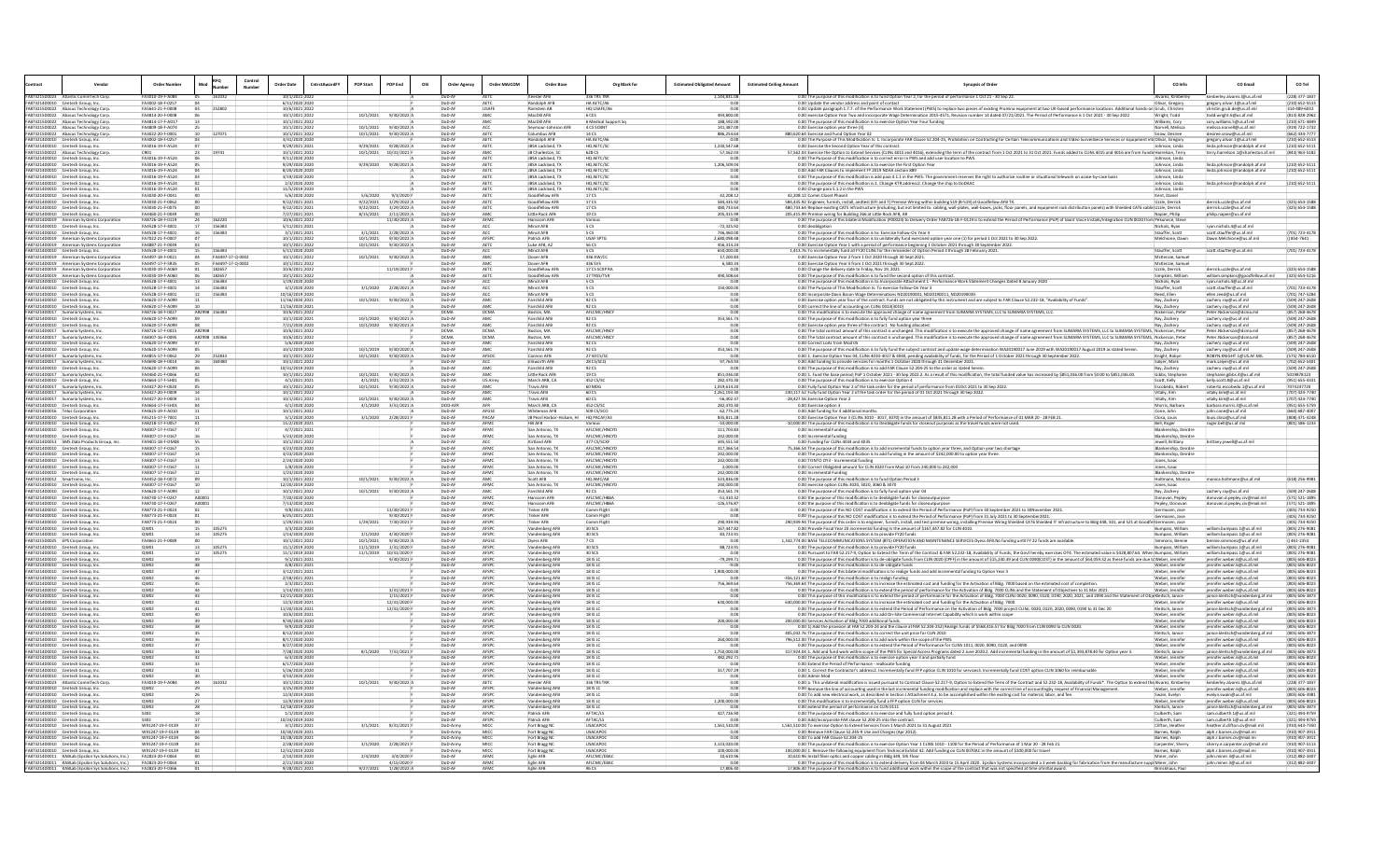|                      |                                                                                                          | <b>Order Numbe</b>                   |        |                  | <b>Number</b> | <b>Order Date</b>                  | <b>POP Start</b>       | POP End                           | OSI<br><b>Order Agency</b>    |                     | Order MAJCOM | Order Base                                       | Org Mark for                       | <b>Estimated Obligated Amount</b> | <b>Estimated Ceiling Amount</b> | <b>Synopsis of Orde</b>                                                                                                                                                                                                                                                                                                                                                           | CO Info                                 | CO Emai                                                        | CO Tel                           |
|----------------------|----------------------------------------------------------------------------------------------------------|--------------------------------------|--------|------------------|---------------|------------------------------------|------------------------|-----------------------------------|-------------------------------|---------------------|--------------|--------------------------------------------------|------------------------------------|-----------------------------------|---------------------------------|-----------------------------------------------------------------------------------------------------------------------------------------------------------------------------------------------------------------------------------------------------------------------------------------------------------------------------------------------------------------------------------|-----------------------------------------|----------------------------------------------------------------|----------------------------------|
|                      | FA873215D0023 Atlantic CommTech Corp<br>FA873214D0010 Centech Group, Inc.                                | FA3010-19-F-A084<br>FA3002-18-F-0257 |        | 161032           |               | 10/1/2021 202<br>6/11/2020 2020    |                        |                                   |                               |                     |              | <b>Ceesler AFR</b>                               | 336 TRS TRE                        | 1.144.831.08                      |                                 | 0.00 The purpose of this modification is to fund Option Year 2, for the period of performance 1 Oct 21 - 30 Sep 22.                                                                                                                                                                                                                                                               | Alvarez, Kimberley                      | kimberley.alvarez.l@us.af.mil                                  | (228) 377-183<br>(210) 652-5513  |
|                      | FAB73215D0022 Abacus Technology Corp                                                                     | FAS641-21-F-0008                     |        | 252802           |               | 10/6/2021 2022                     |                        |                                   | oD-A<br>DoD-AF                | LISAF               |              | Randolph AFE<br>nstein AR                        | HA AETC/A6<br>HO USAFE/A6          |                                   |                                 | 0.00 Update the vendor address and point of contact<br>0.00 Update paragraph 1.7.7. of the Performance Work Statement (PWS) to replace two pieces of existing Promina equipment at two UK-based performance locations. Additional hands-on Grub, Christe                                                                                                                          | Olivar, Gregory                         | gregory.olivar.1@us.af.mil<br>stin.grub.de@us.af.mil           | 314-489-6032                     |
|                      | FA873215D0022 Abacus Technology Corr                                                                     | FA4814-20-F-0008                     |        |                  |               | 10/1/2021 2022                     |                        | 10/1/2021 9/30/2022 A             | DoD-Al                        |                     |              | MacDill AFB                                      | 6 CES                              | 493,800.00                        |                                 | 0.00 exercise Option Year Two and incorporate Wage Determination 2015-4571, Revision number 14 dated 07/21/2021. The Period of Performance is 1 Oct 2021 - 30 Sep 2022                                                                                                                                                                                                            | Wright, Todd                            | todd.wright.6@us.af.mil                                        | (813) 828-296                    |
|                      | FA873215D0022 Abacus Technology Corp                                                                     | FA4814-17-F-AD1                      |        |                  |               | 10/1/2021 2022                     |                        |                                   | DoD-A                         |                     |              | MacDill AFB                                      | 6 Medical Suppi                    | 188,592.00                        |                                 | 0.00 The purpose of this modification is to exercise Option Year Four funding                                                                                                                                                                                                                                                                                                     | Williams, Corv                          | cory.williams.5@us.af.mi                                       | (210) 671-484                    |
| <b>FA873215D0022</b> | Abacus Technology Corp<br>FA873215D0022 Abacus Technology Corp.                                          | FA4809-18-F-A07<br>FA3022-20-F-0001  |        | 127071           |               | 0/1/2021 202<br>10/1/2021 2022     | 10/1/2021<br>10/1/2021 | 0/20/2022<br>9/30/2022 A          | DoD-A<br>DoD-AF               |                     |              | ieymour-Jol<br>Columbus AFB                      | 4 CS SCBN<br>14C5                  | 41 387 0<br>886,254.64            |                                 | 0.00 Exercise option year three (3)<br>880,620.64 Exercise and Fund Option Year 02                                                                                                                                                                                                                                                                                                | Norvell, Meliss<br>Snow, Desiree        | elissa.norvell@us.af.mi<br>desiree.snow@us.af.mil              | (919) 722-173<br>(662) 434-77    |
|                      | FA873214D0010 Centech Group, Inc.                                                                        | FA3002-18-F-0257                     |        |                  |               | 3/31/2020 2020                     |                        |                                   | DoD-A                         |                     |              | Randolph AFE                                     | IA AETC/A                          |                                   |                                 | 0.00 The Purpose of This Modification Is: 1. Incorporate FAR Clause 52.204-25, Prohibition on Contracting for Certain Telecommunications and Video Surveillance Services or Equipment int(Olivar, Gregory                                                                                                                                                                         |                                         | gregory.olivar.1@us.af.mil                                     | $(210) 652 - 551$                |
|                      | FA873214D0010 Centech Group, Inc                                                                         | FA3016-19-F-A524                     |        | 19741            |               | 9/29/2021 2021                     |                        | $9/29/2021$ 9/28/2022 A           | $DnD-AI$                      | AFT                 |              | JBSA Lackland, TX                                | HO AFTC/SC                         | 1 230 547 68                      |                                 | 0.00 Exercise the Second Option Year of this contract                                                                                                                                                                                                                                                                                                                             | Johnson, Line                           | da.johnson@randolph.af.mil                                     | (210) 652-5111                   |
| FA873214D0010        | FA873215D0022 Abacus Technology Corp.<br>Centech Group, Inc                                              | CR01<br>FA3016-19-F-A52              |        |                  |               | 10/1/2021 2022<br>9/11/2020 2020   |                        | 10/1/2021 10/31/2021              | DoD-Al                        |                     |              | JB Charleston, S<br>JBSA Lackland, 1             | 628 CS<br>HQ AETC/S                | 57,562.03                         |                                 | 57,562.03 Exercise the Option to Extend Services (CLINs 4015 and 4016), extending the term of the contract from 1 Oct 2021 to 31 Oct 2021. Funds added to CLINs 4015 and 4016 are from Fundir/Harrelson, Terry<br>0.00 The Purpose of this modification is to correct error in PWS and add user location to PWS.                                                                  | Johnson, Linda                          | terry.harrelson.1@charleston.af.mil                            | (843) 963-5182                   |
|                      | FA873214D0010 Centech Group, In                                                                          | FA3016-19-F-A524                     |        |                  |               | 9/29/2020 2020                     |                        | 9/29/2020 9/28/2021 A             | DoD-A                         |                     |              | JBSA Lackland,                                   | HO AETC/S                          | 1,206,509.04                      |                                 | 0.00 The purpose of this modification is to exercise the First Option Year                                                                                                                                                                                                                                                                                                        | ohnson, Linda                           | linda.johnson@randolph.af.mi                                   | 210) 652-511                     |
| FA873214D0010        | FA873214D0010 Centech Group, Inc.                                                                        | FA3016-19-F-A524<br>FA3016-19-F-A52  |        |                  |               | 8/20/2020 2020                     |                        |                                   | DoD-AF<br>DoD-A               | AETO                |              | JBSA Lackland, TX                                | HO AETC/SC                         | 0.00                              |                                 | 0.00 Add FAR Clauses to implement FY 2019 NDAA section 889                                                                                                                                                                                                                                                                                                                        | Johnson, Linda                          | linda.johnson@randolph.af.mil                                  | (210) 652-5111                   |
|                      | Centech Group, In<br>FA873214D0010 Centech Group, In                                                     | FA3016-19-F-A524                     |        |                  |               | 3/19/2020 202<br>2/3/2020 2020     |                        |                                   | DoD-AF                        | <b>AFTO</b>         |              | <b>BSA Lackland</b> ,<br><b>IRSA Lackland TX</b> | IQ AETC/S<br>HO AFTC/SC            | 0.00                              |                                 | 0.00 The purpose of this modification is add para 4.1.1 in the PWS: The government reserves the right to authorize routine or situational telework on acase-by-case basis<br>0.00 The purpose of this modification is:1. Change KTR address2. Change the ship to DoDAAC                                                                                                           | Johnson, Linda<br>Johnson, Linda        | linda.johnson@randolph.af.mil                                  | (210) 652-5111                   |
|                      | FA873214D0010 Centech Group, Inc                                                                         | FA3016-19-F-A524                     |        |                  |               | 11/5/2019 2020                     |                        |                                   | DoD-Al                        | AETO                |              | JBSA Lackland, TX                                | HQ AETC/SC                         | 0.00                              |                                 | 0.00 Change para 5.1.2 in the PWS                                                                                                                                                                                                                                                                                                                                                 | Johnson, Linda                          |                                                                |                                  |
| FA873214D0010        | Centech Group, Inc                                                                                       | FA3030-20-F-004:<br>FA3030-21-F-0062 |        |                  |               | 5/6/2020 2020<br>9/22/2021 2021    | 5/6/2020<br>9/22/2021  | 9/3/202                           | $D \cap D - \Delta S$         |                     |              | Goodfellow AF<br>Goodfellow AFE                  | 17 <sup>°</sup>                    | 42,208.12<br>584 435 92           |                                 | 12,208.12 Comm Closet Phase3                                                                                                                                                                                                                                                                                                                                                      | Kent, Danie                             |                                                                | (325) 654-158                    |
|                      | FA873214D0010 Centech Group, In<br>FA873214D0010 Centech Group, Inc                                      | FA3030-21-F-0075                     |        |                  |               | 9/22/2021 2021                     | 9/22/2021              | 3/29/2022 A<br>3/29/2022 A        | DoD-Al                        | AETO                |              | Goodfellow AFE                                   | 17 CS                              | 480.733.64                        |                                 | 584,435.92 Engineer, furnish, install, andtest (EFI and T) Premise Wiring within building 519 (B-519) at Goodfellow AFB TX.<br>480,733.64 Replace existing CAT5 Infrastructure (including, but not limited to: cabling, wall-plates, wall-boxes, jacks, floor panels, and equipment rack distribution panels) with Shielded CAT6 cablin Uzzle, Derrick                            | Uzzle, Derrici                          | derrick.uzzle@us.af.mil<br>derrick.uzzle@us.af.mil             | (325) 654-1588                   |
|                      | FA873214D0010 Centech Group, In                                                                          | FA4460-21-F-0049                     |        |                  |               | 7/27/2021 202                      | 8/15/2021              | 2/11/2022                         | DoD-A                         |                     |              | Little Rock AFI                                  |                                    | 205,415.99                        |                                 | 205,415.99 Premise wiring for Building 266 at Little Rock AFB, AR                                                                                                                                                                                                                                                                                                                 | Napier, Philip                          | philip.napier@us.af.mi                                         |                                  |
|                      | FA873214D0019 American Systems Corporation<br>FA873214D0010 Centech Group, Inc.                          | FA8726-18-F-0119<br>FA4528-17-F-4001 |        | 162220<br>156383 |               | 10/6/2021 2022<br>5/11/2021 2021   |                        | 11/30/2021 A                      | DoD-AF<br>DoD-Al              | AFM                 |              | Hanscom AFB<br>Minot AFB                         | Marine<br>5 <sup>o</sup>           | 0.00<br>$-72.325.92$              |                                 | 0.00 The purpose of this bilateral Modification (P00024) to Delivery Order FA8726-18-F-0119 is to extend the Period of Performance (PoP) of Giant Voice Installs/Integration CLIN 0020 from Pekunece, Stev<br>0.00 deobligation                                                                                                                                                   | Nichols, Ryan                           | rvan.nichols.4@us.af.mil                                       |                                  |
| FA873214D0010        | Centech Group, Inc.                                                                                      | FA4528-17-F-4001                     |        | 156383           |               | 3/1/2021 2021                      | 3/1/2021               | 2/28/2022                         |                               |                     |              | Minot AFB                                        |                                    | 46,460.0                          |                                 | 0.00 The purpose of this modification is to: Exercise Follow-On Year 4                                                                                                                                                                                                                                                                                                            | stauffer, Scot                          | scott.stauffer@us.af.mi                                        | 701) 723-417                     |
|                      | FA873214D0019 American Systems Corporatio                                                                | E47022-21-F-0003                     |        |                  |               | 10/1/2021 2022                     | 10/1/2021              | $9/30/2022$ A                     | DoD-AF                        | <b>AFSPI</b>        |              | Patrick AFB                                      | <b>LISAF SPT</b>                   | 2.680.098.48                      |                                 | 0.00 The purpose of this modification is to unilaterally fund exercised option year one (1) for period 1 Oct 2021 to 30 Sep 2022.                                                                                                                                                                                                                                                 | Melchione, Dav                          | Dawn.Melchione@us.af.m                                         | (1854-7641)                      |
|                      | FA873214D0019 American Systems Corporation<br>FA873214D0010 Centech Group, Inc.                          | FA4887-21-F-0049<br>FA4528-17-F-4001 |        | 156383           |               | 10/1/2021 2022<br>5/11/2020 2020   | 10/1/2021              | 9/30/2022 A                       | DoD-AF<br>$D \cap D - \Delta$ | AETO                |              | Luke AFB, AZ<br>Minot AFB                        | 56 CS<br>5 <sup>o</sup>            | 456,314.24<br>650,000.00          |                                 | 0.00 Exercise Option Year 1 with a period of performance beginning 1 October 2021 through 30 September 2022.<br>1,413.76 To incrementally fund all FY20 CLINs for the remainder of Option Period 3 through 28 February 2021.                                                                                                                                                      | Stauffer, Scott                         | scott.stauffer@us.af.mil                                       | (701) 723-417                    |
|                      | FA873214D0019 American Systems Corporation                                                               | FA4497-18-F-0021                     |        | FA4497-17-Q-0002 |               | 10/1/2021 2022                     |                        | 10/1/2021 9/30/2022 A             | DoD-Al                        | AM                  |              | Dover AFB                                        | 436 AW/CO                          | 17,200.83                         |                                 | 0.00 Exercise Option Year 2 from 1 Oct 2020 through 30 Sept 2021.                                                                                                                                                                                                                                                                                                                 | McKenzie, Samue                         |                                                                |                                  |
|                      | FA873214D0019 American Systems Corporation                                                               | FA4497-17-F-5R35                     |        | FA4497-17-Q-0002 |               | 10/1/2021 2022                     |                        |                                   | DoD-Al                        |                     |              | Dover AFB                                        | 436 SVS                            | 6,580.34                          |                                 | 0.00 Exercise Option Year 4 from 1 Oct 2021 through 30 Sept 2022.                                                                                                                                                                                                                                                                                                                 | McKenzie, Samue                         |                                                                |                                  |
|                      | FA873214D0019 American Systems Corporation<br>FA873214D0019 American Systems Corporation                 | FA3030-19-F-A069<br>FA3030-19-F-A060 |        | 182657<br>182657 |               | 10/6/2021 2022<br>10/1/2021 2022   |                        | 11/19/2021                        | DoD-Al<br>DoD-Al              | AFT                 |              | Goodfellow AF<br>Goodfellow AF                   | 17 CS SCXP R<br>17 TRSS/TSR        | 490.508.64                        |                                 | 0.00 Change the delivery date to Friday, Nov 19, 2021                                                                                                                                                                                                                                                                                                                             | Uzzle, Derrick<br>Simpkins, Willian     | derrick.uzzle@us.af.mil<br>william.simpkins@goodfellow.af.mil  | (325) 654-15<br>(325) 654-521    |
|                      | FA873214D0010 Centech Group, Inc                                                                         | FA4528-17-F-4001                     |        | 156383           |               | 1/29/2020 2020                     |                        |                                   | DoD-Al                        |                     |              | Minot AFB                                        |                                    |                                   |                                 | 0.00 The purpose of this modification is to fund the second option of this contract.<br>0.00 The purpose of this modification is to:Incorporate Attachment 1 - Performance Work Statement Changes Dated 8 January 2020                                                                                                                                                            | Nichols, Ryan                           | ryan.nichols.4@us.af.mi                                        |                                  |
|                      | FA873214D0010 Centech Group, In                                                                          | FA4528-17-F-4001                     |        | 156383           |               | 3/1/2020 2020                      |                        | $3/1/2020$ $2/28/2021$ A          | $D \cap D - \Delta I$         |                     |              | Minot AFR                                        | 50                                 | 150,000.00                        |                                 | 0.00 The Purpose of This Modification Is: To exercise Follow-On Year 3                                                                                                                                                                                                                                                                                                            | Stauffer, Scot                          | scott.stauffer@us.af.mil                                       | 7011 723-417                     |
|                      | FA873214D0010 Centech Group, In<br>FA873214D0010 Centech Group, Inc.                                     | FA4528-17-F-4001<br>FA4620-17-F-A09  |        | 156383           |               | 10/16/2019 2020<br>11/16/2020 2021 |                        | 10/1/2021 9/30/2022 /             | DoD-AF<br>DoD-Al              |                     |              | Minot AFB<br>Fairchild AFE                       | 50<br>92 CS                        | 0.00<br>0.00                      |                                 | 0.00 Incorporate Davis Bacon Wage Determinations ND20190001, ND20190011, ND20190039                                                                                                                                                                                                                                                                                               | Reed, Ellen<br>Ray, Zachery             | ellen.reed@us.af.mil<br>zachery.ray@us.af.mil                  | 701) 747-5284<br>(509) 247-260   |
|                      | FA873214D0010 Centech Group, Inc                                                                         | FA4620-17-F-A099                     |        |                  |               | 11/16/2020 2021                    |                        |                                   | DoD-Al                        |                     |              | Fairchild AFB                                    | 92 CS                              | 0.00                              |                                 | 0.00 Exercise option year four of the contract. Funds are not obligated by this instrument and are subject to FAR Clause 52.232-18, "Availability of Funds".<br>0.00 correct the line of accounting on CLINs 0013(3010)                                                                                                                                                           | Ray, Zachery                            | zachery.ray@us.af.mil                                          | (509) 247-260                    |
|                      | FA873214D0017 Sumaria Systems, In                                                                        | FA8726-18-F-0027                     |        | ARZ998 156383    |               | 10/6/2021 2022                     |                        |                                   | <b>DCMA</b>                   | DCM <sub>4</sub>    |              | Boston, MA                                       | AFLCMC/HNC                         |                                   |                                 | 0.00 This modification is to execute the approved change of name agreement from SUMARIA SYSTEMS, LLC to SUMARIA SYSTEMS, LLC                                                                                                                                                                                                                                                      | Nickerson, Pete                         | Peter.Nickerson@dcma.n                                         | (857) 268-4678                   |
|                      | FA873214D0010 Centech Group, Inc                                                                         | FA4620-17-F-A099<br>FA4620-17-F-A099 |        |                  |               | 10/1/2020 2021<br>7/21/2020 2020   |                        | 10/1/2020 9/30/2021 A             | DoD-A<br>DoD-Al               |                     |              | Fairchild AFB                                    | 92 CS                              | 353.561.74                        |                                 | 0.00 The purpose of this modification is to fully fund option year three                                                                                                                                                                                                                                                                                                          | Ray, Zachery                            | zachery.ray@us.af.mil                                          | (509) 247-260                    |
| FA873214D0017        | FA873214D0010 Centech Group, In<br>Sumaria Systems, In                                                   | FA8726-17-F-0015                     | ARZ998 |                  |               | 10/6/2021 2022                     |                        | 10/1/2020 9/30/2021               | DCMA                          | <b>DCM</b>          |              | Fairchild AFE<br>Boston, MA                      | AFLCMC/HNC                         | 0.00                              |                                 | 0.00 Exercise option year three of the contract. No funding allocated.<br>0.00 The total contract amount of this contract is unchanged. This modification is to execute the approved change of name agreement from SUMARIA SYSTEMS, LLC to SUMARIA SYSTEMS, Nickerson, Peter                                                                                                      | Ray, Zachery                            | achery.ray@us.af.mil<br>Peter.Nickerson@dcma.mi                | (509) 247-260<br>(857) 268-4678  |
|                      | FA873214D0017 Sumaria Systems, In                                                                        | FA8307-16-F-0095                     |        | ARZ998 145966    |               | 10/6/2021 2022                     |                        |                                   | DCMA                          | <b>DCM</b>          |              | Boston, MA                                       | AFLCMC/HNC                         | 0.00                              |                                 | 0.00 The total contract amount of this contract is unchanged. This modification is to execute the approved change of name agreement from SUMARIA SYSTEMS, LLC to SUMARIA SYSTEMS, Wickerson, Pete                                                                                                                                                                                 |                                         | Peter.Nickerson@dcma.m                                         | (857) 268-467                    |
|                      | FA873214D0010 Centech Group, In<br>FA873214D0010 Centech Group, Inc                                      | FA4620-17-F-A099<br>FA4620-17-F-A099 |        |                  |               | 5/6/2020 2020<br>10/1/2019 2020    |                        | 10/1/2019 9/30/2020 /             | DoD-AF<br>DoD-Al              |                     |              | Fairchild AFR<br>Fairchild AFB                   | 92.05<br>92C5                      | 0 <sup>0</sup><br>353.561.74      |                                 | 0.00 Correct LoAs from Mod 05<br>0.00 The purpose of this modification is to fully fund the subject contract and update wage determination WA20190017 June 2019 with WA20190017 August 2019 as stated herein                                                                                                                                                                      | Ray, Zachery<br>Ray, Zachery            | zachery.ray@us.af.mil<br>zachery.ray@us.af.mil                 | (509) 247-260<br>(509) 247-260   |
| FA873214D0017        | Sumaria Systems, Inc                                                                                     | FA4855-17-F-0062                     |        | 252833           |               | 10/1/2021 2022                     | 10/1/2021              | 9/30/2022                         | DoD-A                         | AFSO                |              | Cannon AFB                                       | 27 SOCS/S                          |                                   |                                 | 0.00 1. Exercise Option Year 04, CLINs 4010-4017 & 4040, pending availability of funds, for the Period of 1 October 2021 through 30 September 2022.                                                                                                                                                                                                                               | Knight, Robyn                           | ROBYN.KNIGHT.1@US.AF.M                                         | (575) 784-651                    |
| FA873214D0017        | Sumaria Systems, In                                                                                      | FA4690-18-F-0014                     |        | 169380           |               | 10/1/2021 2022                     |                        |                                   | DoD-AF                        |                     |              | Flisworth AFP                                    | 28 CS/SCQ                          | 97,764.93                         |                                 | 0.00 Add funding to provide services for months 1 October 2020 through 31 December 2021.                                                                                                                                                                                                                                                                                          | Salyer, Mark                            | mark.salyer@us.af.mil                                          | (702) 652-540                    |
|                      | FA873214D0010 Centech Group, Inc<br>FA873214D0017 Sumaria Systems, In                                    | FA4620-17-F-A099<br>FA4460-21-F-0066 |        |                  |               | 10/31/2019 2020<br>10/1/2021 2022  |                        | 10/1/2021 9/30/2022 A             | DoD-Al<br>DoD-AF              |                     |              | Fairchild AFB<br>Little Rock AFB                 | 92 CS<br>19 <sub>CS</sub>          | 851.036.00                        |                                 | 0.00 The purpose of this modification is to add FAR Clause 52.204-25 to the order as stated herein<br>0.00 1. Fund the base period; PoP 1 October 2021 - 30 Sep 2022.2. As a result of this modification, the total funded value has increased by \$851,036.00 from \$0.00 to \$851,036.00.                                                                                       | Ray, Zachery<br>Gibbs, Stephan          | zachery.ray@us.af.mil<br>stephanie.gibbs.4@us.af.n             | (509) 247-260<br>5019878123      |
|                      | FAR73214D0010 Centech Group Inc                                                                          | FA4664-17-F-5H01                     |        |                  |               | 4/1/2021 2021                      | 4/1/2021               | $3/31/2022$ A                     | DoD-AR                        | <b>LIS Arm</b>      |              | March ARB, CA                                    | 452 05/5                           | 282 470 30                        |                                 | 0.00 The purpose of this modification is to exercise Option 4                                                                                                                                                                                                                                                                                                                     | Scott, Kelly                            | kelly.scott.8@us.af.mil                                        | 9511655-437                      |
| FA873214D0017        | Sumaria Systems, In                                                                                      | FA4427-20-F-0020                     |        |                  |               | 10/1/2021 2022                     |                        | 10/1/2021 9/30/2022 A             | DoD-A                         |                     |              | Travis AFB                                       | 60 MDG                             | 1,019,614.20                      |                                 | 0.00 Fully fund Option Year 2 of the task order for the period of performance from 01Oct 2021 to 30 Sep 2022                                                                                                                                                                                                                                                                      | Escobedo, Robe                          | roberto.escobedo.1@us.af.m                                     | 7074247720                       |
| FA873214D0017        | Sumaria Systems, In<br>FA873214D0017 Sumaria Systems, In                                                 | FA4427-20-F-0009<br>FA4427-20-F-0009 |        |                  |               | 10/1/2021 2022<br>10/1/2021 2022   | 10/1/2021              | 9/30/2022 4                       | DoD-Al<br>DoD-AF              |                     |              | ravis AFB<br>Travis AFB                          | iso cs                             | 2,261,193.3<br>$-56,402,37$       |                                 | 130,117.52 Fully fund Option Year 2 of the task order for the period of 01 Oct 2021 through 30 Sep 2022.                                                                                                                                                                                                                                                                          | Vitaliy, Kim                            | vitaliy.kim@us.af.mi                                           | 707) 424-774<br>7071424-774      |
| FA873214D0010        | Centech Group, Inc.                                                                                      | FA4664-17-F-5H0                      |        |                  |               | 4/1/2020 2020                      |                        | 4/1/2020 3/31/2021 A              | DOD-AF                        |                     |              | March ARB, CA                                    | 452 CS/S                           | 282,470.30                        |                                 | 28,427.56 Exercise Option Year 2<br>0.00 Exercise option 3                                                                                                                                                                                                                                                                                                                        | Vitaliy, Kim<br>Morris, Barbara         | vitaliy.kim@us.af.mil<br>barbara.morris.3@us.af.mi             | 951) 655-575                     |
|                      | FA873214D0016 Telos Corporatio                                                                           | FA4625-19-F-A010                     |        |                  |               | 10/1/2021 2022                     |                        |                                   | DoD-AF                        | <b>AFGS</b>         |              | Whiteman AFB                                     | 509 CS/SCC                         | 62 775 24                         |                                 | 0.00 Add funding for 4 additional months                                                                                                                                                                                                                                                                                                                                          | Cone, John                              | john.cone@us.af.mil                                            | (660) 687-400                    |
|                      | FA873214D0010 Centech Group, Inc.                                                                        | FAS215-17-F-7001<br>FA8218-17-F-0057 |        |                  |               | 3/1/2020 2020<br>11/2/2020 2021    |                        | 3/1/2020 2/28/2021                | DoD-AF                        | PACAR               |              | JB Pearl Harbor-Hic                              | HO PACAF/A3                        | 835, 811, 28                      |                                 | 0.00 Exercise Option Year 3 (CLINs 3010 - 3017, 3070) in the amount of \$835,811.28 with a Period of Performance of 01 MAR 20 - 28 FEB 21.                                                                                                                                                                                                                                        | Closa, Louis                            | louis.closa@us.af.mil                                          | (808) 471-4248                   |
|                      | FA873214D0010 Centech Group, Inc<br>FA873214D0010 Centech Group, In                                      | FA8307-17-F-0167                     |        |                  |               | 4/7/2021 2021                      |                        |                                   | DoD-Al<br>DoD-AF              | AFM                 |              | Hill AFB<br>San Antonio, TX                      | AFLCMC/HNCY                        | $-10,000.00$<br>111,703.83        |                                 | 10,000.00 The purpose of this modification is to Deobligate funds for closeout purposes as the travel funds were not used.<br>0.00 Incremental Funding                                                                                                                                                                                                                            | Bell, Roger<br>Blankenship, Deird       | roger.bell@us.af.mil                                           | 801) 586-1233                    |
|                      | FAR7321400010 Centech Group In                                                                           | FA8307-17-F-0167                     |        |                  |               | 5/23/2020 2020                     |                        |                                   | DoD-AF                        | <b>AFM</b>          |              | San Antonio TX                                   | AFLOMO/HNOYE                       | 242,000.00                        |                                 | 0.00 Incremental funding                                                                                                                                                                                                                                                                                                                                                          | Blankenship, Deirdre                    |                                                                |                                  |
| FA873214D0013        | SMS Data Products Group, Inc.<br>FA873214D0010 Centech Group, Inc                                        | FA9401-18-F-DM08<br>FA8307-17-F-0167 |        |                  |               | 10/1/2021 2022<br>4/23/2020 2020   |                        |                                   | DoD-A<br>DoD-AF               | AFMO                |              | Kirtland AFB<br>San Antonio, TX                  | 377 CS/SCXF<br>AFLOMO/HNOYD        | 345,551.50<br>317,366.54          |                                 | 0.00 Funding for CLINs 4034 and 4035                                                                                                                                                                                                                                                                                                                                              | Jewell, Brittany<br>Blankenship, Deirdn | brittany.jewell@us.af.mil                                      |                                  |
|                      | FA873214D0010 Centech Group, Inc.                                                                        | FA8307-17-F-0167                     |        |                  |               | 3/23/2020 2020                     |                        |                                   | DoD-AF                        | <b>AFMO</b>         |              | San Antonio, TX                                  | AFLCMC/HNCYD                       | 242,000.00                        |                                 | 75,366.54 The purpose of this modification is to add incremental funds to option year three, and Option year two shortage<br>0.00 The purpose of this modification is to add funding in the amount of \$242,000.00 to option year three.                                                                                                                                          | Blankenship, Deirdre                    |                                                                |                                  |
| FA873214D0010        | Centech Group, In                                                                                        | FA8307-17-F-0167                     |        |                  |               | 2/24/2020 2020                     |                        |                                   | DoD-A                         |                     |              | San Antonio, TX                                  | AFLCMC/HNCY                        | 242,000.00                        |                                 | 0.00 TONTO OY3 - Incremental funding                                                                                                                                                                                                                                                                                                                                              | Jones, Isaac                            |                                                                |                                  |
|                      | FA873214D0010 Centech Group, In<br>FA873214D0010 Centech Group, Inc.                                     | FA8307-17-F-0167<br>FA8307-17-F-0167 |        |                  |               | 1/8/2020 2020<br>1/23/2020 2020    |                        |                                   | $D_2D_2A$<br>DoD-Al           | AEM<br><b>AFM</b>   |              | San Antonio, T.<br>San Antonio, TX               | AFLCMC/HNCY<br>AFLCMC/HNCYD        | 2,000.00<br>242,000.00            |                                 | 0.00 Correct Obligated amount for CLIN 3020 from Mod 10 from 240,000 to 242,000                                                                                                                                                                                                                                                                                                   | ones, Isaa<br>Blankenship, Deirdn       |                                                                |                                  |
|                      | FA873214D0012 Smartronix, Inc.                                                                           | FA4452-18-F-0072                     |        |                  |               | 10/1/2021 2022                     |                        | 10/1/2021 9/30/2022 A             | DoD-Al                        |                     |              | Scott AFB                                        | HQ AMC/A8                          | 523,836.00                        |                                 | 0.00 Incremental Funding<br>0.00 The purpose of this modification is to fund Option Period 3                                                                                                                                                                                                                                                                                      | Holtmann, Monica                        | monica.holtmann@us.af.mil                                      | $(618)$ 256-998                  |
|                      | FA873214D0010 Centech Group, Inc                                                                         | FA8307-17-F-0167                     |        |                  |               | 12/20/2019 2020                    |                        |                                   | DoD-AF                        | AFMO                |              | San Antonio TX                                   | AFLOMO/HNOVE                       | 240,000.00                        |                                 | 0.00 exercise option CLINs 3020, 3020, 3060 & 3070                                                                                                                                                                                                                                                                                                                                | lones Isaac                             |                                                                |                                  |
| FA873214D0010        | FA873214D0010 Centech Group, Inc                                                                         | FA4620-17-F-A099<br>FA8730-17-F-0247 |        |                  |               | 10/1/2021 2022<br>/20/2020 2020    |                        | 10/1/2021 9/30/2022 A             | DoD-Al<br>DoD-A               |                     |              | Fairchild AFB                                    | 92C5<br>AFLCMC/HB                  | 353.561.74                        |                                 | 0.00 The purpose of this modification is to fully fund option year 04                                                                                                                                                                                                                                                                                                             | Ray, Zachery                            | zachery.ray@us.af.mil                                          | 5091247-260<br>(571) 521-189     |
|                      | Centech Group, Inc<br>FA873214D0010 Centech Group, In                                                    | FA8730-17-F-0267                     | 400001 |                  |               | 7/13/2020 2020                     |                        |                                   | DoD-AF                        | AFM                 |              | Hanscom AF<br>anscom AFB                         | AFI CMC/HRR                        | $-51,410.32$<br>126,576.87        |                                 | 0.00 the purpose of this modification is to deobligate funds for closeoutpurpose<br>0.00 the purpose of this modification is to deobligate funds for closeoutpurpose                                                                                                                                                                                                              | Donovan, Peple<br>Pepley, Donov.        | donovan.d.pepley.civ@mail.t<br>onovan.d.pepley.civ@mail.m      | (571) 521-189                    |
|                      | FA873214D0010 Centech Group, Inc.                                                                        | FA8773-21-F-0024                     |        |                  |               | 9/8/2021 2021                      |                        | 11/30/2021                        | DoD-Al                        | AFSP                |              | <b>Tinker AFB</b>                                | Comm Flight                        | 0.00                              |                                 | 0.00 The purpose of this NO COST modification is to extend the Period of Performance (PoP) from 30 September 2021 to 30 November 2021                                                                                                                                                                                                                                             | Germosen, Jose                          |                                                                | (405) 734-925                    |
|                      | FA873214D0010 Centech Group, Inc<br>FAR7321400010 Centech Group In                                       | FA8773-21-F-0024<br>FA8773-21-F-0024 |        |                  |               | 6/25/2021 2021<br>1/29/2021 2021   | 1/29/2021              | 9/30/2021<br>7/30/2021            | DoD-Al<br>DoD-AF              | <b>AFSP</b><br>AFSP |              | Tinker AFB<br>Tinker AFR                         | Comm Flight<br>Comm Flie           | 290 939 94                        |                                 | 0.00 The purpose of this NO COST modification is to extend the Period of Performance (PoP) from 31 July 2021 to 30 September 2021.                                                                                                                                                                                                                                                | Germosen, Jose                          |                                                                | (405) 734-9250<br>(405) 734-9250 |
|                      | FA873214D0010 Centech Group, Inc                                                                         |                                      |        | 105275           |               | 3/3/2020 2020                      |                        |                                   | DoD-Al                        | AFSP                |              | Vandenberg AF                                    | 30 SCS                             | 167,447.82                        |                                 | 290,939.94 The purpose of this order is to engineer, furnish, install, and test premise wiring, installing Premise Wiring Shielded CAT6 Shielded IT Infrastructure to Bldg 448, 501, and 521 at Goodf<br>0.00 Provide Fiscal Year 20 incremental funding in the amount of \$167,447.82 for CLIN 4010.                                                                             | Bumpass, William                        | william.bumpass.1@us.af.mil                                    | (805) 276-908                    |
| FA873214D0010        | Centech Group, Inc.                                                                                      |                                      |        | 105275           |               | 1/14/2020 2020                     | 2/1/2020               | 4/30/2020                         | DoD-A                         | AFSE                |              | Vandenberg AF                                    | 30 SCS                             | 83,723.91                         |                                 | 0.00 The purpose of this modification is to provide FY20 funds                                                                                                                                                                                                                                                                                                                    | <b>Bumpass, Willian</b>                 | william.bumpass.1@us.af.mil                                    | 805) 276-908                     |
|                      | FAB73215D0025 EPS Corporat                                                                               | FA4661-21-F-0089                     |        |                  |               | 10/1/2021 2022                     | 10/1/2021              | $9/30/2022$ A                     | $DnD-AI$                      | <b>AFGS</b>         |              | Dyess AFB                                        |                                    |                                   |                                 | 1,332,774.00 BASE TELECOMMUNICATIONS SYSTEM (BTS) OPERATION AND MAINTENANCE SERVICES Dyess AFB.No funding until FY 22 funds are available                                                                                                                                                                                                                                         |                                         | ns@us.af.mil                                                   | $1461 - 2353$                    |
| FA873214D0010        | FA873214D0010 Centech Group, In<br>Centech Group, In                                                     | QW0                                  |        | 105275<br>105275 |               | 11/1/2019 2020<br>11/1/2019 2020   | 11/1/2019              | 1/31/2020<br>11/1/2019 10/31/2020 | DoD-Al<br>DoD-Al              | AFSP<br>AFSP        |              | Vandenberg AF<br>Vandenberg AFB                  | 30 SCS<br>30 SCS                   | 88,723.91                         |                                 | 0.00 The purpose of this modification is to provide FY20 funds<br>0.00 Pursuant to FAR 52.217-9, Option to Extend the Term of the Contract & FAR 52.232-18, Availability of Funds, the Govt hereby exercises OY4. The estimated value is \$428,807.64. When Bumpass, William                                                                                                      | Bumpass, William                        | william.bumpass.1@us.af.mil<br>william.bumpass.1@us.af.mil     | (805) 276-908<br>(805) 276-908   |
|                      | FA873214D0010 Centech Group. In                                                                          | OW02                                 |        |                  |               | 9/1/2021 2021                      |                        | 9/30/2021                         | DoD-AF                        | AFSP                |              | Vandenberg AFB                                   | 18 IS LC                           | $-79.299.71$                      |                                 | 0.00 The purpose of this modification is to de-obligate funds from CLIN 0020 (CPFF) in the amount of \$15,240.39 and CLIN 0090(COST) in the amount of \$64,059.32 as these funds are due tcWeber, Jennife                                                                                                                                                                         |                                         | iennifer.weber.6@us.af.mi                                      | (805) 606-8023                   |
|                      | FA873214D0010 Centech Group, Inc                                                                         | QW02                                 |        |                  |               | 4/8/2021 2021                      |                        |                                   | DoD-Al<br>DoD-AF              | AFSP                |              | Vandenberg AFB                                   | 18 IS LC                           | $-9.00$                           |                                 | 0.00 The purpose of this modification is to de-obligate funds                                                                                                                                                                                                                                                                                                                     | Weber, Jennife                          | jennifer.weber.6@us.af.mi                                      | (805) 606-802                    |
|                      | FA873214D0010 Centech Group, In<br>FA873214D0010 Centech Group, In                                       | Own?                                 |        |                  |               | 3/12/2021 2021<br>2/18/2021 2021   |                        |                                   | DoD-AF                        | AFSP<br>AFSP        |              | Vandenberg AF<br>Vandenberg AFB                  | 18 IS L<br>18.1510                 | 1,900,000.00<br>0.00              |                                 | 0.00 The purpose of this bilateral modification is to realign funds and add incremental funding to Option Year 3<br>356,121.60 The purpose of this modification is to realign funding                                                                                                                                                                                             | Weber, Jennife<br>Weber lennife         | nifer.weber.6@us.af.m<br>ennifer weber 6@us af mi              | (805) 606-802<br>(805) 606-8023  |
|                      | FA873214D0010 Centech Group, Inc                                                                         | QW02                                 |        |                  |               | 2/3/2021 2021                      |                        |                                   | DoD-Al                        | AFSP                |              | Vandenberg AFB                                   | 18 IS LC                           | 756,369.64                        |                                 | 756,369.64 The purpose of this modification is to increase the estimated cost and funding for the Activation of Bldg. 7000 based on the estimated cost of completion                                                                                                                                                                                                              | Weber, Jennife                          | jennifer.weber.6@us.af.mi                                      | (805) 606-802                    |
| FA873214D0010        | Centech Group, In<br>FA873214D0010 Centech Group, Inc.                                                   | OW02                                 |        |                  |               | 1/14/2021 2021<br>12/21/2020 2021  |                        | 3/31/2021<br>1/15/2021            | DoD-A<br>DoD-AF               | AFSPO               |              | Vandenberg AF<br>Vandenberg AFB                  | 18 IS LO<br>181510                 | 0.00                              |                                 | 0.00 The purpose of this modification is to extend the period of performance for the Activation of Bldg. 7000 CLINs and the Statement of Objectives to 31 Mar 2021<br>0.00 This purpose of this modification is to extend the period of performance for the Activation of Bldg. 7000 CLINs 0020, 0090, 0120, 0130, 2020, 2021, and 2090 and the Statement of ObieKleitsch, Janice | Weber, Jennife                          | jennifer.weber.6@us.af.mil<br>ianice.kleitsch@vandenberg.af.mi | (805) 606-802<br>(805) 606-3873  |
|                      | FA873214D0010 Centech Group, Inc.                                                                        | OW <sub>0</sub>                      |        |                  |               | 12/3/2020 2021                     |                        | 12/31/2020                        | DoD-Al                        | AFSP                |              | Vandenberg AFB                                   | 18 IS LO                           | 630,000.00                        |                                 | 630,000.00 The purpose of this modification is to increase the estimated cost and funding for the Activation of Bldg. 7000                                                                                                                                                                                                                                                        | Weber, Jennife                          | iennifer.weber.6@us.af.mi                                      | (805) 606-802                    |
|                      | FA873214D0010 Centech Group, In                                                                          | QW02                                 |        |                  |               | 11/20/2020 2021                    |                        | 12/31/2020                        | DoD-Al                        | AFSP                |              | Vandenberg AF                                    | 18 IS LC                           |                                   |                                 | 0.00 The purpose of this modification is to extend the Period of Performance on the Activation of Bldg. 7000 project CLINs: 0020, 0120, 2020, 0090, 0190 to 31 Dec 20                                                                                                                                                                                                             | Kleitsch, Janice                        | janice.kleitsch@vandenberg.af.mi                               | (805) 606-387                    |
|                      | FA873214D0010 Centech Group. In                                                                          | OW02                                 |        |                  |               | 10/6/2020 2021                     |                        |                                   | DoD-AF                        | AFSP                |              | Vandenberg AFB                                   | 18 IS LC                           | 0.00                              |                                 | 0.00 The purpose of this modification is to add On-Site Commercial Internet Capability which is work within scope                                                                                                                                                                                                                                                                 | Weber, Jennife                          | iennifer.weber.6@us.af.mi                                      | (805) 606-8023                   |
|                      | FA873214D0010 Centech Group, Inc<br>FA873214D0010 Centech Group, In                                      | QW02                                 |        |                  |               | 9/30/2020 2020<br>9/9/2020 2020    |                        |                                   | DoD-Al<br>DoD-Al              | AFSP<br>AFSP        |              | Vandenberg AFB<br>Vandenberg AF                  | 18 IS LC<br>$18$ IS $\nu$          | 200,000.00                        |                                 | 200,000.00 Services Activation of Bldg 7000 additional funds.<br>0.00 1) Add the provision at FAR 52 204-24 and the clause at FAR 52 204-252) Realign funds of \$568,416.57 for Bidg 7000 from CLIN 0090 to CLIN 0020.                                                                                                                                                            | Weber, Jennife<br>Weber, Jennife        | jennifer.weber.6@us.af.mi<br>jennifer.weber.6@us.af.m          | (805) 606-802<br>(805) 606-802   |
|                      | FAR73214D0010 Centech Group In                                                                           | OWN:                                 |        |                  |               | 8/12/2020 2020                     |                        |                                   | DoD-AF                        | <b>AFSPI</b>        |              | Vandenberg AFB                                   | 181516                             | 0.00                              |                                 | 405,032.76 The purpose of this modification is to correct the unit price for CLIN 2010                                                                                                                                                                                                                                                                                            | Kleitsch Janice                         | janice.kleitsch@vandenberg.af.mi                               | (805) 606-387                    |
| FA873214D0010        | Centech Group, Inc.                                                                                      |                                      |        |                  |               | 3/17/2020 2020<br>8/27/2020 2020   |                        |                                   | DoD-A                         |                     |              | Vandenberg AFB                                   | 18 IS L                            | 260,000.00                        |                                 | 796,512.00 The purpose of this modification is to add work within the scope of the PWS                                                                                                                                                                                                                                                                                            | Weber, Jennife                          | ennifer.weber.6@us.af.mil                                      | (805) 606-802                    |
|                      | FA873214D0010 Centech Group, In<br>FA873214D0010 Centech Group, Inc.                                     | OW03<br>OW02                         |        |                  |               | 7/28/2020 2020                     |                        | 8/1/2020 7/31/2021                | DoD-AF<br>DoD-Al              | AFSP<br>AFSP        |              | Vandenberg AF<br>Vandenberg AFB                  | 181510<br>18 IS LC                 | 00<br>1.750.000.00                |                                 | 0.00 The purpose of this modification is to extend the Period of Performance for CLINS 1011, 0020, 0090, 0120, and 0090<br>317,924.04 1. Add and fund work within scope of the PWS for Special Access Programs dated 2 June 2020.2. Add incremental funding in the amount of \$1,393,878.40 for Option year 3.                                                                    | Weber, Jennife<br>Kleitsch, Janice      | ennifer.weber.6@us.af.mi<br>ianice.kleitsch@vandenberg.af.mi   | (805) 606-802<br>(805) 606-387   |
|                      | FA873214D0010 Centech Group, Inc                                                                         |                                      |        |                  |               | 6/3/2020 2020                      |                        |                                   | DoD-Al                        | AFSP                |              | Vandenberg AFB                                   | 18 IS L                            | 482,292.7                         |                                 | 0.00 The purpose of this modification is to exercise option year 3 and partially fund                                                                                                                                                                                                                                                                                             | Weber, Jennife                          | jennifer.weber.6@us.af.mil                                     | (805) 606-802                    |
|                      | FA873214D0010 Centech Group, In                                                                          |                                      |        |                  |               | 5/17/2020 2020                     |                        |                                   | DoD-Al                        | AFSP                |              | Vandenberg AF                                    | 18 IS L                            |                                   |                                 | 0.00 Extend the Period of Performance - reallocate funding                                                                                                                                                                                                                                                                                                                        | Weber, Jennife                          | jennifer.weber.6@us.af.m                                       | (805) 606-802                    |
| FA873214D0010        | FA873214D0010 Centech Group. In<br>Centech Group, In                                                     |                                      |        |                  |               | 5/26/2020 2020<br>4/10/2020 2020   |                        |                                   | DoD-Al<br>DoD-A               | AFSP                |              | Vandenberg AFB<br>Vandenberg AFB                 | 18 IS LC<br>18 IS LO               | 317.707.29                        |                                 | 0.00 1. Correct the Contractor's address2. Incrementally fund FFP option CLIN 1010 for services3. Incrementally fund COST option CLIN 1060 for reimbursable                                                                                                                                                                                                                       | Weber, Jennife<br>Weber, Jennife        | iennifer.weber.6@us.af.mi<br>ennifer.weber.6@us.af.m           | (805) 606-802<br>(805) 606-802   |
|                      | FA873215D0023 Atlantic CommTech Corp.                                                                    | FA3010-19-F-A084                     |        | 161032           |               | 10/1/2021 2022                     |                        | 10/1/2021 9/30/2022 /             | DoD-AF                        | AFTO                |              | Keesler AFB                                      | 336 TRS TRR                        | 0.00                              |                                 | 0.00 a. This unilateral modification is issued pursuant to Contract Clause 52.217-9, Option to Extend the Term of the Contract and 52.232-18, Availability of Funds*. The Option to extend the Alvarez, Kimberley                                                                                                                                                                 |                                         | kimberley.alvarez.l@us.af.mi                                   | (228) 377-183                    |
|                      | FA873214D0010 Centech Group, Inc.                                                                        |                                      |        |                  |               | 3/25/2020 2020                     |                        |                                   | DoD-AF                        | AFSP                |              | Vandenberg AF                                    | 18 IS LC                           |                                   |                                 | 0.00 Remove the line of accounting used in the last incremental funding modification and replace with the correct line of accountingby request of Financial Management.                                                                                                                                                                                                           | Weber, Jennife                          | jennifer.weber.6@us.af.mi                                      | (805) 606-802                    |
|                      | FA873214D0010 Centech Group, Inc.<br>FA873214D0010 Centech Group, In                                     |                                      |        |                  |               | 12/4/2019 2020<br>12/9/2019 2020   |                        |                                   | DoD-A<br>DoD-Al               | AFSP<br>AFSP        |              | Vandenberg AFB<br>Vandenberg AF                  | 18 IS LO<br>18 IS LC               | 1,200,000.00                      |                                 | 0.00 To add new electrical work, as described in Section J Attachment 4.a, to be accomplished within the existing cost for material, labor, and fee.<br>0.00 This modification is to incrementally fund a FFP option CLIN for services                                                                                                                                            | Swain, Evelyn<br>Weber, Jennife         | evelyn.swain@us.af.mi<br>jennifer.weber.6@us.af.m              | (805) 606-398<br>(805) 606-802   |
|                      | FA873214D0010 Centech Group, Inc                                                                         | OW02                                 |        |                  |               | 12/18/2019 2020                    |                        |                                   | DoD-Al                        | AFSP                |              | Vandenberg AFB                                   | 18 IS LC                           |                                   |                                 | 0.00 extend the period of performance on CLIN 0111                                                                                                                                                                                                                                                                                                                                | Kleitsch, Janice                        | ianice.kleitsch@vandenberg.af.mi                               | (805) 606-387                    |
| FA873214D0010        | Centech Group, In                                                                                        | \$302                                |        |                  |               | 1/1/2020 2020                      |                        |                                   | DoD-Al                        | AFSP                |              | Patrick AFB                                      | AFTAC/L                            | 427,726.90                        |                                 | 0.00 The purpose of this modification is to exercise and fully fund option period 4.                                                                                                                                                                                                                                                                                              | Culberth, San                           | sam.culberth.1@us.af.mil                                       | 321) 494-975                     |
|                      | FAR7321400010 Centech Group In<br>FA873214D0010 Centech Group, Inc                                       | isana<br>W91247-19-F-013             |        |                  |               | 10/24/2019 2020<br>3/1/2021 2021   |                        | $3/1/2021$ $8/31/2021$            | DoD-AF<br>DoD-Army            | AFSP<br>MICO        |              | Patrick AFR<br>Fort Bragg NO                     | AFTAC/LS<br><b>USACAPO0</b>        | 1,561,510.00                      |                                 | 0.00 Add/incorporate FAR clause 52.204-25 into the contract<br>1,561,510.00 To exercise Option to Extend Services from 1 March 2021 to 31 August 2021                                                                                                                                                                                                                             | Culberth Sam<br>Clifton, Heather        | sam culherth 1@us af mil<br>heather.d.clifton.civ@mail.m       | (321) 494-975<br>(910) 643-7350  |
|                      | FA873214D0010 Centech Group, Inc.                                                                        | W91247-19-F-0139                     |        |                  |               | 10/30/2020 2021                    |                        |                                   | DoD-Army                      |                     |              | Fort Bragg NO                                    | USACAPOO                           | 0.00                              |                                 | 0.00 Remove FAR Clause 52.245-9 Use and Charges (Apr 2012).                                                                                                                                                                                                                                                                                                                       | Barnes, Ralph                           | alph.r.barnes.civ@mail.m                                       | (910) 907-391                    |
|                      | FA873214D0010 Centech Group, In                                                                          | W91247-19-F-013                      |        |                  |               | 10/28/2020 2021                    |                        |                                   | DoD-Arr                       | MIO                 |              | Fort Bragg M                                     | <b>USACAPOO</b>                    |                                   |                                 | 0.00 To add FAR Clause 52, 204-25                                                                                                                                                                                                                                                                                                                                                 | Barnes, Ralph                           | alph.r.barnes.civ@mail.m                                       | (910) 907-391                    |
|                      | FA873214D0010 Centech Group, Inc<br>FA873214D0010 Centech Group, In                                      | W91247-19-F-013<br>M01247-10-E-013   |        |                  |               | 2/28/2020 2020<br>12/31/2019 2020  |                        | 3/1/2020 2/28/2021                | DoD-Army<br>DoD-Arm           | MICO<br>MIC         |              | Fort Bragg NO<br>Fort Bragg N                    | <b>USACAPOO</b><br><b>ISACAROO</b> | 3,123,020.00<br>100.000.00        |                                 | 0.00 The purpose of this modification is to exercise Option Year 1 CLINS 1010 - 1100 for the Period of Performance of 1 Mar 20 - 28 Feb 21.<br>100,000.00 1. Remove the following equipment from Technical Exhibit 42. Add funding on CLIN 0070AC in the amount of \$100,000 for trave                                                                                            | Carpenter, Sherry<br>Barnes, Ralph      | sherry.e.carpenter.civ@mail.mi<br>alph.r.barnes.civ@mail.n     | (910) 907-5113<br>(910) 907-391  |
|                      | FA873214D0011 KABLab (Epsilon Sys Solutions, Inc.)                                                       | FA2823-20-F-0064                     |        |                  |               | 2/10/2020 2020                     | 2/4/2020               | 3/4/2020                          | DoD-AF                        |                     |              | Eglin AFB                                        | AFLCMC/EBA                         | 10,610.96                         |                                 | 10.610.96 Install fiber optics and copper cabling in Bldg 349. 5th Floor                                                                                                                                                                                                                                                                                                          | Miner, John                             | iohn.miner.3@us.af.mil                                         | 312) 882-340                     |
|                      | FA873214D0011 KABLab (Epsilon Sys Solutions, Inc.)<br>FA873214D0011 KABLab (Epsilon Sys Solutions, Inc.) | FA2823-20-F-0064<br>FA2823-20-F-0366 |        |                  |               | 2/21/2020 2020<br>9/28/2021 2021   | 9/27/2021              | 4/15/2020<br>1/28/2022 /          | DoD-Al<br>DoD-Al              |                     |              | Eglin AFE<br>Eglin AFE                           | AFLCMC/EBA                         | 17,806.40                         |                                 | 0.00 The purpose of this modification is to extend delivery from 04 March 2020 to 15 April 2020. Epsilon Systems incorporated a 3 week backlog for fabrication from the manufacture suppl Miner, John<br>17.806.40 The purpose of this modification is to fund additional work within the scope of the<br>contract that was not specified at time ofinitial award                 | Brinckhaus, Pa                          | john.miner.3@us.af.mil                                         | $(312) 882 - 3407$               |
|                      |                                                                                                          |                                      |        |                  |               |                                    |                        |                                   |                               |                     |              |                                                  |                                    |                                   |                                 |                                                                                                                                                                                                                                                                                                                                                                                   |                                         |                                                                |                                  |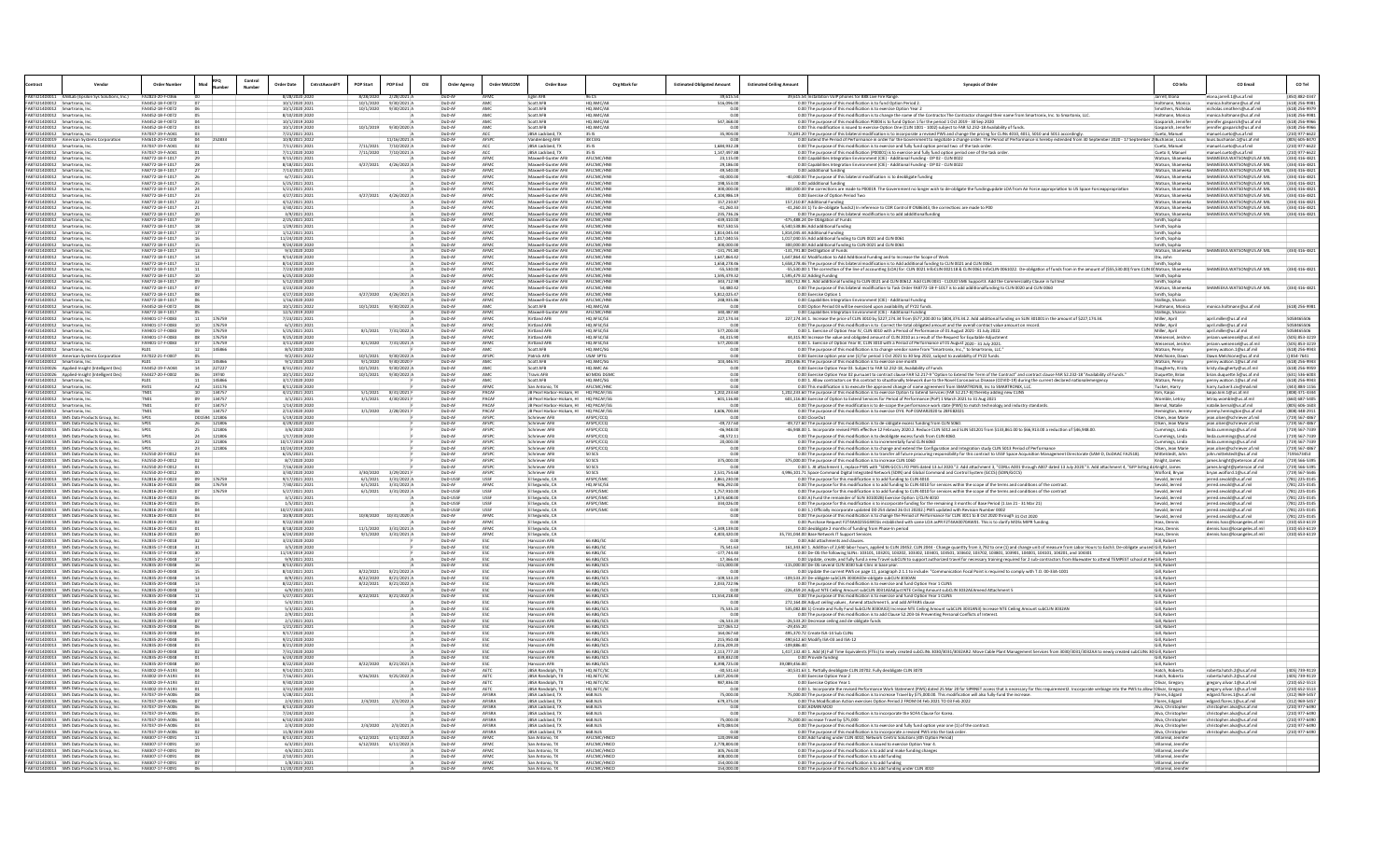|                                |                                                                                            | Order Numbe                          | Mod                  | Contro<br>Numbe | Order Date                        | CotrotAwardF | <b>POP Start</b>       | POP Fnd                         | OSI   | <b>Order Agency</b> | Order MAICOM             | <b>Order Base</b>                                        | Org Mark for                       | <b>Estimated Obligated Amount</b> | <b>Estimated Ceiling Amount</b> | Synopsis of Orde                                                                                                                                                                                                                                                                                                                                   | CO Info                                    | CO Email                                                    | CO Tel                             |
|--------------------------------|--------------------------------------------------------------------------------------------|--------------------------------------|----------------------|-----------------|-----------------------------------|--------------|------------------------|---------------------------------|-------|---------------------|--------------------------|----------------------------------------------------------|------------------------------------|-----------------------------------|---------------------------------|----------------------------------------------------------------------------------------------------------------------------------------------------------------------------------------------------------------------------------------------------------------------------------------------------------------------------------------------------|--------------------------------------------|-------------------------------------------------------------|------------------------------------|
| FA873214D001                   | KABLab (Epsilon Sys Solutions, Inc.)<br>FAR7321400012 Smartronix In                        | FA2823-20-F-036<br>FA4452-18-F-0072  |                      |                 | 10/1/2020 2021                    |              | 10/1/2020              | 2/28/2021<br>$9/30/2021$ A      |       | DoD-AF              |                          | Eglin AFE<br><b>COTT AFR</b>                             | HO AMC/AS                          | 516,096.00                        |                                 | 39,615.54 Installation VoIP phones for B88 Live Fire Range<br>0.00 The purpose of this modification is to fund Option Period                                                                                                                                                                                                                       | Jarrell, Elon<br>Joltmann Monic            | elona.jarrell.1@us.af.mi<br>onica holtmann@us af mil        | (850) 882-034<br>(618) 256-998     |
|                                | FA873214D0012 Smartronix, Inc.                                                             | FA4452-18-F-0072                     |                      |                 | 10/1/2020 2021                    |              | 10/1/2020              | 9/30/2021 A                     |       | DoD-Al              |                          | Scott AFB                                                | HO AMC/AR                          | 0.00                              |                                 | 0.00 The purpose of this modification is to exercise Option Year 2                                                                                                                                                                                                                                                                                 | mothers, Nichola:                          | nicholas.smothers@us.af.mil                                 | (618) 256-9979                     |
| FA873214D0012<br>FA873214D0012 | Smartronix, In                                                                             | FA4452-18-F-0072<br>FA4452-18-F-0073 |                      |                 | 8/10/2020 202                     |              |                        |                                 |       | DoD-A<br>$00-4$     |                          | <b>Scott AFE</b>                                         | HQ AMC/A8<br>HO AMC/A              |                                   |                                 | 1.00 The purpose of this modification is to change the name of the Contractor. The Contractor changed their name from Smartronix, Inc. to Smartonix, LLC.                                                                                                                                                                                          | Ioltmann, Monica                           | nonica.holtmann@us.af.m                                     | $(618)$ 256-99                     |
| FA873214D0012                  | Smartronix, In<br>Smartronix, In                                                           | FA4452-18-F-0072                     |                      |                 | 10/1/2019 2020<br>10/1/2019 2020  |              |                        | 10/1/2019 9/30/2020 A           |       | DoD-A               |                          | <b>Scott AFE</b><br>Scott AFB                            | HO AMC/AS                          | 547,368.00                        |                                 | 0.00 The purpose of this modification P0004 is to fund Option 1 for the period 1 Oct 2019 - 30 Sep 2020<br>0.00 This modification is issued to exercise Option One (CLIN 1001 - 1002) subject to FAR 52.232-18 Availability of func                                                                                                                | Sasparich, Jennife<br>Sasparich, Jennifer  | nnifer.gasparich@us.af.m                                    | (618) 256-99<br>(618) 256-996      |
| FA873214D0012                  | Smartronix, In                                                                             | FA7037-19-F-A04                      |                      |                 | 7/21/2021 202                     |              |                        |                                 |       | DoD-A               |                          | JBSA Lackland, T                                         |                                    | 35,904.00                         |                                 | 72,691.20 The purpose of this bilateral modification is to incorporate a revised PWS and change the pricing for CLINs 4010, 4011, 5010 and 5011 accordingly                                                                                                                                                                                        | Cueto, Manue                               | jennifer.gasparich@us.af.mil<br>manuel.cueto@us.af.mil      | $(210)$ 977-662                    |
| FA873214D0012                  | <b>EAR73214D0019</b> American Systems<br>Smartronix, In                                    | FA4610-20-F-0100<br>FA7037-19-F-A041 | 252833               |                 | 10/8/2021 2022<br>7/11/2021 2021  |              | 7/11/2021              | 11/16/2021<br>7/10/2022 A       |       | $DnD-A$<br>DoD-A    | AECD                     | Vandenberg AFB<br>JBSA Lackland, T.                      | 38 CFIG<br>35 IS                   | 00<br>1,684,932.28                |                                 | 0.00 Extend the Period of Performance in order for the Government to negotiate a change order. The Period of Performance is hereby extended from 30 September 2020 - 17 September 208 - 17 September 208 uchanan, Louis<br>0.00 The purpose of this modification is to exercise and fully fund option period two of the task order                 | Cueto, Manue                               | nuis huchanan 1@us af mil<br>nanuel.cueto@us.af.mi          | (805) 605-847<br>(210) 977-662     |
|                                | FA873214D0012 Smartronix, In                                                               | FA7037-19-F-A04:                     |                      |                 | 7/11/2020 2020                    |              |                        | 7/11/2020 7/10/2021             |       | DoD-AF              |                          | JBSA Lackland, T.                                        |                                    | 1,147,497.88                      |                                 | 0.00 The purpose of this modification (P00001) is to exercise and fully fund option period one of the task order.                                                                                                                                                                                                                                  | Cueto II, Manue                            | manuel.cueto@us.af.mi                                       | $(210)$ 977-662                    |
| FA873214D0012<br>FA873214D0012 | Smartronix, In<br>Smartronix, In                                                           | FAR772-18-F-1017<br>FA8772-18-F-1017 |                      |                 | 9/15/2021 2021<br>8/18/2021 2021  |              |                        | 4/27/2021 4/26/2022 A           |       | $DnD-A$<br>DoD-A    |                          | Manwell-Gunter AFF<br>Maxwell-Gunter AFB                 | AFLCMC/HN<br>AFLCMC/HN             | 23.115.00<br>29,186.00            |                                 | 0.00 Capabilities Integration Environment (CIE) - Additional Funding - OP 02 - CLIN 0022<br>0.00 Capabilities Integration Environment (CIE) - Additional Funding - OP 02 - CLIN 0022                                                                                                                                                               | <b>Natson Shamer</b><br>Watson, Shameeka   | HAMFFKA WATSON@US AF MI<br>SHAMEEKA.WATSON@US.AF.MII        | (334) 416-482<br>(334) 416-482     |
| FA873214D0012                  | Smartronix, In                                                                             | FA8772-18-F-101                      |                      |                 | 7/13/2021 2021                    |              |                        |                                 |       | DoD-AF              |                          | Maxwell-Gunter AFB                                       | <b>AFLCMC/HN</b>                   | 49,540.00                         |                                 | 0.00 addditional funding                                                                                                                                                                                                                                                                                                                           | Watson, Shameeka                           | HAMEEKA.WATSON@US.AF.MI                                     | $(334) 416 - 482$                  |
| FA873214D0012                  | FA873214D0012 Smartronix, Inc<br>Smartronix, Inc                                           | FA8772-18-F-1017<br>FA8772-18-F-1017 |                      |                 | 6/7/2021 2021<br>5/25/2021 2021   |              |                        |                                 |       | DoD-A<br>DoD-A      |                          | Maxwell-Gunter AFE<br>Maxwell-Gunter AFE                 | AFLCMC/HN<br>AFLCMC/HN             | 40,000.00<br>198,553.00           |                                 | -40,000.00 The purpose of this bilateral modification is to deobligate funding                                                                                                                                                                                                                                                                     | Watson, Shameeka                           | HAMEEKA.WATSON@US.AF.MII<br><b>IAMEEKA.WATSON@US.AF.MII</b> | (334) 416-482<br>(334) 416-482     |
|                                | FA873214D0012 Smartronix, In                                                               | FA8772-18-F-1017                     |                      |                 | 5/21/2021 2021                    |              |                        |                                 |       | DoD-A               |                          | Maxwell-Gunter AFE                                       | AFLCMC/HN                          | 300,000.00                        |                                 | 0.00 addditional funding<br>300,000.00 the corrections are made to P00019. The Government no longer wish to de-obligate the fundingupdate LOA from Air Force appropriation to US Space Forceappropriation                                                                                                                                          | Watson, Shameeka<br>Watson, Shameeka       | HAMEEKA.WATSON@US.AF.MII                                    | (334) 416-482                      |
| FA873214D0012                  | Smartronix, In                                                                             | FA8772-18-F-1017                     |                      |                 | 4/27/2021 2021                    |              |                        | 4/27/2021 4/26/2022 A           | DoD-A |                     | <b>AEM</b>               | Maxwell-Gunter AFE                                       | AFLCMC/HN                          | 4.104.986.19                      |                                 | 0.00 Exercise of Option Period Two                                                                                                                                                                                                                                                                                                                 | Watson, Shameeka                           | HAMEEKA.WATSON@US.AF.MII                                    | (334) 416-482                      |
| FA873214D0012<br>FA873214D0012 | Smartronix, In<br>Smartronix, In                                                           | FA8772-18-F-1017<br>FA8772-18-F-101  |                      |                 | 4/12/2021 2021<br>3/30/2021 2021  |              |                        |                                 |       | DoD-A<br>DoD-A      |                          | Maxwell-Gunter AFE<br>Maxwell-Gunter AFE                 | AFLCMC/HN<br>FLCMC/HN              | 157,210.87<br>41,260.3            |                                 | 157,210.87 Additional Funding<br>-41,260.33 1) To de-obligate funds2) In reference to CDR Control # CN86343, the corrections are made to P00                                                                                                                                                                                                       | Watson, Shameeka<br>Watson, Shameek        | SHAMEEKA.WATSON@US.AF.MII<br>AMEEKA.WATSON@US.AF.MI         | (334) 416-482<br>$(334) 416 - 48$  |
|                                | FA873214D0012 Smartronix, Inc                                                              | FA8772-18-F-1017                     |                      |                 | 3/9/2021 2021                     |              |                        |                                 | DoD-A |                     |                          | Maxwell-Gunter AFE                                       | AFLCMC/HN                          | 235.736.26                        |                                 | 0.00 The purpose of this bilateral modification is to add addditionalfunding                                                                                                                                                                                                                                                                       | Watson, Shameeka                           | SHAMEEKA.WATSON@US.AF.MII                                   | (334) 416-482                      |
| FA873214D0012                  | Smartronix, In<br>FA873214D0012 Smartronix, In                                             | FA8772-18-F-1017<br>FA8772-18-F-1017 |                      |                 | 2/25/2021 2021<br>1/29/2021 2021  |              |                        |                                 |       | DoD-A<br>DoD-A      | AFM                      | Maxwell-Gunter AFE<br>Maxwell-Gunter AFP                 | <b>AFLCMC/HN</b><br>AFLCMC/HN      | 439,410.00<br>937,530.55          |                                 | -475,488.24 De-Obligation of Funds<br>6,540,538.86 Add additional funding                                                                                                                                                                                                                                                                          | smith, Sophia<br>smith, Sophia             |                                                             |                                    |
|                                | FA873214D0012 Smartronix. In                                                               | FA8772-18-F-1017                     |                      |                 | 1/12/2021 2021                    |              |                        |                                 | DoD-A |                     | <b>AFM</b>               | Maxwell-Gunter AFE                                       | AFLCMC/HN                          | 1.814.045.44                      |                                 | 1,814,045.44 Additional Funding                                                                                                                                                                                                                                                                                                                    | Smith, Sophia                              |                                                             |                                    |
| FA873214D0012                  | Smartronix, In                                                                             | FA8772-18-F-1017                     |                      |                 | 11/24/2020 2021                   |              |                        |                                 |       | DoD-A               | <b>AFM</b>               | Maxwell-Gunter AFE                                       | AFLCMC/HN                          | 1,017,040.55                      |                                 | 1,017,040.55 Add additional funding to CLIN 0021 and CLIN 0061                                                                                                                                                                                                                                                                                     | smith, Sophia                              |                                                             |                                    |
| FA873214D0012                  | Smartronix, In<br>FA873214D0012 Smartronix, In                                             | FA8772-18-F-1017<br>FA8772-18-F-1017 |                      |                 | 9/24/2020 202<br>9/3/2020 2020    |              |                        |                                 | DoD-A | DoD-A               | <b>AFM</b>               | Aaxwell-Gunter AF<br>Maxwell-Gunter AFB                  | <b>AFLCMC/HN</b><br>AFLCMC/HNI     | 300,000.0<br>$-131,791.80$        |                                 | 00,000.00 Add additional funding to CLIN 0021 and CLIN 0061<br>-131,791.80 DeOligation of Funds                                                                                                                                                                                                                                                    | Smith, Sophia<br>Watson, Shameeka          | SHAMEEKA.WATSON@US.AF.MIL                                   | $(334)$ 416-482                    |
| FA873214D0012                  | Smartronix, In                                                                             | FA8772-18-F-1017                     |                      |                 | 9/14/2020 2020                    |              |                        |                                 |       |                     |                          | laxwell-Gunter AF                                        | <b>AFLCMC/HN</b>                   | 1,647,864.4                       |                                 | 1,647,864.42 Modification to Add Additional Funding and to Increase the Scope of Wor                                                                                                                                                                                                                                                               | lix, Johr                                  |                                                             |                                    |
|                                | FA873214D0012 Smartronix. In<br>FA873214D0012 Smartronix, Inc                              | FAR772-18-F-1017<br>FA8772-18-F-1017 |                      |                 | 8/14/2020 2020<br>7/23/2020 2020  |              |                        |                                 |       | DoD-AF<br>DoD-AF    | <b>AFM</b><br><b>AFM</b> | Maxwell-Gunter AFE<br>Maxwell-Gunter AFB                 | AFLCMC/HN<br>AFLCMC/HNI            | 1.658.278.46<br>$-55.530.00$      |                                 | 1,658,278.46 The purpose of this bilateral modification is to Add additional funding to CLIN 0021 and CLIN 0061                                                                                                                                                                                                                                    | Smith, Sophia                              | SHAMEEKA.WATSON@US.AF.MII                                   | $(334)$ 416-482                    |
| FA873214D0012                  | Smartronix, In                                                                             | FA8772-18-F-1017                     |                      |                 | 6/25/2020 2020                    |              |                        |                                 | DoD-A |                     |                          | Maxwell-Gunter AFE                                       | AFLCMC/HN                          | 1,595,479.32                      |                                 | -55,530.00 1 The correction of the line of accounting (LOA) for: CLIN 0021 InfoCLIN 002118 & CLIN 0061 InfoCLIN 0061022. De-obligation of funds from in the amount of (S55,530.00) from: CLIN 00Watson, Shameeka<br>1,595,479.32 Adding Funding                                                                                                    | Smith, Sophia                              |                                                             |                                    |
| FA873214D0012                  | Smartronix, In                                                                             | FA8772-18-F-1017                     |                      |                 | 5/12/2020 2020                    |              |                        |                                 |       | DoD-A               | AFM                      | Maxwell-Gunter AFE                                       | <b>AFLCMC/HN</b>                   | 343,712.98                        |                                 | 343,712.98 1. Add additional funding to CLIN 0021 and CLIN 00612. Add CLIN 0031 - CLOUD SME Support3. Add the Commerciality Clause in full text                                                                                                                                                                                                    | Smith, Sophia                              | SHAMEEKA.WATSON@US.AF.MIL                                   | $(334)$ 416-482                    |
| FA873214D0012                  | FA873214D0012 Smartronix, In<br>Smartronix, In                                             | FA8772-18-F-1017<br>FA8772-18-F-1017 |                      |                 | 3/23/2020 2020<br>4/27/2020 2020  |              |                        | 4/27/2020 4/26/2021             |       | DoD-A<br>DoD-A      | <b>AFM</b>               | Maxwell-Gunter AFB                                       | AFLCMC/HNI<br><b>AFLCMC/HN</b>     | 54,480.42<br>5,812,025.4          |                                 | 0.00 The purpose of this bilateral modification to Task Order FA8772-18-F-1017 is to add additionalfunding to CLIN 0020 and CLIN 0060<br>0.00 Exercise Option 1                                                                                                                                                                                    | Watson, Shameeka<br>Smith, Sophia          |                                                             |                                    |
|                                | FAR7321400012 Smartronix In                                                                | FA8772-18-F-1017                     |                      |                 | 1/16/2020 2020                    |              |                        |                                 |       | $DnD-A$             | <b>AEMA</b>              | Magwell-Gunter AFR                                       | AFLCMC/HN                          | 248.935.86                        |                                 | 0.00 Capabilities Integration Environment (CIE) - Additional Funding                                                                                                                                                                                                                                                                               | Stallings, Sharon                          |                                                             |                                    |
| A873214D0012                   | FA873214D0012 Smartronix, In<br>Smartronix, Ini                                            | FA4452-18-F-0072<br>FA8772-18-F-101  |                      |                 | 10/1/2021 2022<br>12/5/2019 2020  |              |                        | 10/1/2021 9/30/2022 A           |       | DoD-AF<br>DoD-A     |                          | Scott AFB<br>Maxwell-Gunter AF                           | HQ AMC/A8<br>AFLCMC/HI             | 0.00<br>340,487.80                |                                 | 0.00 Option Period 03 will be exercised upon availability of FY22 funds<br>0.00 Capabilities Integration Environment (CIE) - Additional Funding                                                                                                                                                                                                    | Holtmann, Monica                           | monica.holtmann@us.af.mil                                   | $(618)$ 256-998                    |
|                                | FA873214D0012 Smartronix, In                                                               | FA9401-17-F-0083                     | 176759               |                 | 7/23/2021 2021                    |              |                        |                                 |       | $DnD-A$             |                          | Kirtland AFB                                             | <b>IQ AFSC/SE</b>                  | 227,174.34                        |                                 | 227,174.34 1. Increase the price of CLIN 3010 by \$227,174.34 from \$577,200.00 to \$804,374.34.2. Add additional funding on SLIN 301001 in the amount of \$227,174.34.                                                                                                                                                                            | Stallings, Sharon<br>Miller, April         | pril.miller@us.af.mil                                       | 5058465506                         |
| FA873214D0012                  | Smartronix, In                                                                             | FA9401-17-F-0083                     | 176759<br>176759     |                 | 6/1/2021 2021                     |              |                        |                                 |       | DoD-A               |                          | Kirtland AFB                                             | HO AFSC/SE                         | 577,200.0                         |                                 | 0.00 The purpose of this modification is to :Correct the total obligated amount and the overall contract value amount on record.<br>0.00 1. Exercise of Option Year IV, CLIN 4010 with a Period of Performance of 01 August 2021-                                                                                                                  | Miller, April                              | oril.miller@us.af.mil                                       | 5058465506                         |
| FA873214D0012                  | FA873214D0012 Smartronix, Inc                                                              | FA9401-17-F-0083<br>FA9401-17-F-0083 | 176759               |                 | 5/25/2021 2021<br>9/25/2020 2020  |              |                        | 8/1/2021 7/31/2022              |       | DoD-A               | <b>AEMA</b>              | Grtland AF<br>Kirtland AFB                               | <b>Q AFSC/S</b><br>HO AFSC/SE      | 44.315.90                         |                                 | 44,315.90 Increase the value and obligated amount of CLIN 2010 as a result of the Request for Equitable Adjustment                                                                                                                                                                                                                                 | Miller, Apr<br>Weisensel, JeriAnn          | pril.miller@us.af.m<br>eriann.weisensel@us.af.mil           | 505846550<br>(505) 853-321         |
| FA873214D0012                  | Smartronix, In                                                                             | FA9401-17-F-0083                     | 176759               |                 | 3/11/2020 2020                    |              |                        | 8/1/2020 7/31/2021 A            |       | DoD-A               |                          | Kirtland AFB                                             | HQ AFSC/SE                         | 577,200.00                        |                                 | 0.00 1. Exercise of Option Year III, CLIN 3010 with a Period of Performance of 01 August 2020 - 31 July 2021                                                                                                                                                                                                                                       | Weisensel, JeriAnn                         | jeriann.weisensel@us.af.mil                                 | (505) 853-321                      |
| FA873214D0012                  | Smartronix, In<br>FA873214D0019 American Systems                                           | FA7022-21-F-0007                     | 145866               |                 | 8/5/2020 2020<br>9/2/2021 2022    |              | 10/1/2021              | 9/30/2022                       |       | DoD-A               | AFSP                     | <b>Scott AFE</b><br>Patrick AFB                          | IQ AMC/S<br><b>USAF SPTG</b>       | 0 OC                              |                                 | 1.00 The purpose of this modification is to change vendor name from "Smartronix, Inc.," to Smartronix, LLC<br>0.00 Exercise option year one (1) for period 1 Oct 2021 to 30 Sep 2022, subject to availabilty of FY22 funds.                                                                                                                        | Watson, Penny<br>Melchione Day             | penny.watson.1@us.af.m<br>Dawn.Melchione@us.af.m            | $(618)$ 256-99<br>0.854-7641       |
|                                | FA873214D0012 Smartronix, Inc.                                                             |                                      | 145866               |                 | 9/1/2020 2020                     |              | 9/1/2020               | 9/30/2020 F                     |       | DoD-A               |                          | Scott AFB                                                | HQ AMC/SG                          | 103,446.91                        |                                 | 203,446.91 The purpose of this modification is to exercise one month                                                                                                                                                                                                                                                                               | Watson, Penny                              | enny.watson.1@us.af.mi                                      | (618) 256-994                      |
| FA873215D0026                  | Applied-Insight (I                                                                         | FA4452-19-F-A044                     | 227227               |                 | 8/31/2021 2022                    |              | 10/1/2021              | 9/30/2022 A                     |       | $DnD-A$             |                          | <b>Scott AFE</b>                                         | HO AMC A6                          | 0 <sup>0<sup>c</sup></sup>        |                                 | 0.00 Exercise Option Year 03. Subject to FAR 52.232-18, Availability of Funds                                                                                                                                                                                                                                                                      | Daugherty, Krist                           | risty.daugherty@us.af.m                                     | $(618)$ 256-995                    |
|                                | FA873215D0026 Applied-Insight (In<br>FA873214D0012 Smartronix, In                          | FA4427-20-F-0002                     | 19740<br>145866      |                 | 10/1/2021 2022<br>3/17/2020 2020  |              | 10/1/2021              | 9/30/2022 A                     |       | DoD-A<br>DoD-A      |                          | Travis AFB<br>cott AFB                                   | 60 MDG DGM<br>HQ AMC/SG            | 0.00                              |                                 | 0.00 Exercise Option Year 02 pursuant to contract clause FAR 52.217-9 "Option to Extend the Term of the Contract" and contract clause FAR 52.232-18 "Availability of Funds."<br>0.00 1. Allow contractors on this contract to situationally telework due to the Novel Coronavirus Disease (COVID-19) during the current declared nationalemergency | Duquette, Brian<br>Watson, Penny           | brian.duguette.5@us.af.mi<br>enny.watson.1@us.af.m          | (631) 536-600<br>(618) 256-994     |
| FA873214D0012                  | Smartronix, In                                                                             |                                      | 131176               |                 | 8/11/2020 2020                    |              |                        |                                 | DoD-A |                     |                          |                                                          | <b>AFLCMC/HI</b>                   |                                   |                                 | 0.00 This modification is to execute the approved change of name agreement from SMARTRONIX, Inc to SMARTRONIX, LL                                                                                                                                                                                                                                  | Tucker, Harry                              | arry.tucker3.civ@mail.r                                     | (443) 884-115                      |
| FA873214D0012                  | FA873214D0012 Smartronix, Inc<br>Smartronix, Inc.                                          | TNO:                                 | 134757<br>134757     |                 | 4/21/2021 2021<br>3/1/2021 2021   |              | 5/1/2021               | 8/31/2021<br>3/1/2021 4/30/2021 |       | DoD-AF<br>DoD-A     | PACA<br>PACA             | JB Pearl Harbor-Hickam, HI<br>JB Pearl Harbor-Hickam, HI | HO PACAF/S<br>HQ PACAF/S           | 1,202,233.60<br>601,116.80        |                                 | 1,202,233.60 The purpose of this modification is to exercise Option to Extend Services (FAR 52.217-8) thereby adding new CLINS<br>601,116.80 Exercise of Option to Extend Services for Period of Performance (PoP) 1 March 2021 to 31 Aug 2021                                                                                                     | Kim, Kaipo<br>Womble, Letray               | kaipo, kim. 1@us. af. mil<br>letray.womble@us.af.m          | (808) 471-434<br>(660) 687-540     |
| FA873214D0012                  | Smartronix In                                                                              |                                      | 134757               |                 | 114/2020 2020                     |              |                        |                                 |       | DoD-A               | PACA                     | IR Pearl Harbor-Hickam HI                                | HO PACAE/S                         | $\overline{0}$                    |                                 | 0.00 The purpose of the modification is to de-scope the performance work state (PWS) to match technology and industry standards.                                                                                                                                                                                                                   | <b>Rernal Natalie</b>                      | atalie.bernal@us.af.mi                                      | (805) 606-160                      |
|                                | FA873214D0012 Smartronix, Inc.                                                             |                                      | 134757               |                 | 2/13/2020 2020                    |              |                        | 3/1/2020 2/28/2021              | DoD-A |                     | PACAR                    | JB Pearl Harbor-Hickam, HI                               | HO PACAF/S                         | 3.606.700.84                      |                                 | 0.00 The purpose of this modification is to exercise OY4. PoP 01MAR2020 to 28FEB2021                                                                                                                                                                                                                                                               | Hemington, Jeremy                          | jeremy.hemington@us.af.m                                    | (808) 448-291                      |
|                                | FA873214D0013 SMS Data Products Group, In<br>FAB73214D0013 SMS Data Products Group, In     | 500                                  | 594 121806<br>121806 |                 | 5/19/2020 2020<br>4/29/2020 2020  |              |                        |                                 |       | DoD-A<br>DoD-AF     | AFSP<br>AFSP             | Schriever AFB<br>Schriever AFB                           | AFSPC/CCQ<br>AFSPC/CCC             | $-4972760$                        |                                 | 0.00 CloseOut<br>49,727.60 The purpose of this modification is to de-obligate excess funding from CLIN 5060.                                                                                                                                                                                                                                       | Olsen, Jean Mari<br>Olsen, Jean Marie      | jean.olsen@schriever.af.m<br>an.olsen@schriever.af.m        | $(719) 567 - 48$<br>(719) 567-486  |
|                                | FA873214D0013 SMS Data Products Group, Inc.                                                | <b>SP01</b>                          | 121806               |                 | 3/6/2020 2020                     |              |                        |                                 |       | DoD-AF              | AFSP                     | Schriever AFB                                            | AFSPC/CCO                          | $-46.948.00$                      |                                 | 46,948.00 1. Incorporate revised PWS effective 12 February 2020.2. Reduce CLIN 5012 and SLIN 501201 from \$133,861.00 to \$66,913.00 a reduction of \$46,948.00.                                                                                                                                                                                   | Cummings, Linda                            | linda.cummings@us.af.mi                                     | (719) 567-733                      |
|                                | FA873214D0013 SMS Data Products Group, In<br>FAR73214D0013 SMS Data Products Group In      |                                      | 121806<br>121806     |                 | 1/17/2020 2020<br>10/17/2019 2020 |              |                        |                                 | DoD-A | DoD-A               | AFSP<br>AFSP             | Schriever AFE<br>Schriever AFF                           | AFSPC/CCC<br>AFSPC/CCC             | 48,572.11<br>20,000.00            |                                 | 0.00 The purpose of this modification is to deobligate excess funds from CLIN 4060.<br>0.00 The nurnose of this modification is to incrementally fund CLIN 6060.                                                                                                                                                                                   | Cummings, Linda<br>ummines Linda           | linda.cummings@us.af.m<br>inda.cummings@us.af.mi            | (719) 567-733<br>(719) 567-733     |
|                                | FA873214D0013 SMS Data Products Group, Inc.                                                |                                      | 121806               |                 | 10/24/2019 2020                   |              |                        |                                 |       | DoD-A               | AFSP                     | Schriever AFB                                            | AFSPC/CCQ                          | 0.00                              |                                 | 0.00 The purpose of this modification is to change and extend the Configuration and Integration study CLIN 5013 Period of Performance                                                                                                                                                                                                              | Olsen, Jean Mari                           | jean.olsen@schriever.af.mi                                  | (719) 567-486                      |
|                                | FA873214D0013 SMS Data Products Group, In<br>FAB73214D0013 SMS Data Products Group, Inc    | FA2550-20-F-0012<br>FA2550-20-F-0012 |                      |                 | 6/25/2021 2021<br>8/7/2020 2020   |              |                        |                                 |       | DoD-A<br>DoD-AF     | AFSP                     | Schriever AF<br>Schriever AFR                            | 60 SCS<br>50.503                   | 0.00<br>375,000.00                |                                 | 1.00 The purpose of this modification is to transfer all future procuring responsibility for this contract to USSF Space Acquisition Management Directorate (SAM-D, DoDAAC FA2518).<br>375,000.00 The purpose of this modification is to increase CLIN 1060                                                                                        | Mittelstedt, John<br>Knight, James         | hn.mittelstedt@us.af.m<br>mes.knight@peterson.af.m          | 195673453<br>(719) 566-539         |
|                                | FA873214D0013 SMS Data Products Group, Inc.                                                | FA2550-20-F-0012                     |                      |                 | 7/16/2020 2020                    |              |                        |                                 |       | DoD-A               | AFSP                     | Schriever AFB                                            | 50 SCS                             | n nn                              |                                 | 0.00 1. At attachment 1, replace PWS with "SDIN GCCS LFO PWS dated 13 Jul 2020."2. Add attachment 3, "CDRLs A001 through A007 dated 13 July 2020."3. Add attachment 4, "GFP listing daKnight, James                                                                                                                                                |                                            | ames.knight@peterson.af.mi                                  | (719) 566-539                      |
|                                | FA873214D0013 SMS Data Products Group, Inc                                                 | FA2550-20-F-0012                     |                      |                 | 3/30/2020 2020                    |              | 3/30/2020              | 3/29/2021                       |       | DoD-A               | AFSP                     | Schriever AFE                                            | 50 SCS                             | 2,531,754.68                      |                                 | ,996,101.71 Space Command Digital Integrated Network (SDIN) and Global Command and Control System (GCCS) (SDIN/GCCS)                                                                                                                                                                                                                               | Wolford, Bryar                             | bryan.wolford.1@us.af.mi                                    | (719) 567-56                       |
|                                | FA873214D0013 SMS Data Products Group, Inc.<br>FA873214D0013 SMS Data Products Group, Inc  | FA2816-20-F-0023<br>FA2816-20-F-0023 | 176759<br>176759     |                 | 9/17/2021 2021<br>7/30/2021 2021  |              | 6/1/2021<br>6/1/2021   | 3/31/2022<br>3/31/2022 A        |       | DoD-USS<br>DoD-A    | 11558<br><b>AFM</b>      | El Segundo, C/<br>El Segundo, CA                         | AFSPC/SM<br>HQ AFSC/SE             | 2.861.230.00<br>946,292.00        |                                 | 0.00 The purpose for this modification is to add funding to CLIN 4010.<br>0.00 The purpose for this modification is to add funding to CLIN 4010 for services within the scope of the terms and conditions of the contract.                                                                                                                         | Sevold, Jerre<br>sevold, Jerred            | erred.sevold@us.af.mi<br>erred.sevold@us.af.mil             | (781) 225-014<br>(781) 225-014     |
|                                | FA873214D0013 SMS Data Products Group, In                                                  | FA2816-20-F-0023                     | 176759               |                 | 5/27/2021 2021                    |              | 6/1/2021               | $3/31/2022$ A                   |       | DoD-USSF            | 1155                     | :I Segundo, CA                                           | <b>AFSPC/SM</b>                    | 1,757,910.00                      |                                 | 1.00 The purpose for this modification is to add funding to CLIN 4010 for services within the scope of the terms and conditions of the contract                                                                                                                                                                                                    | Sevold, Jerre                              | erred.sevold@us.af.mi                                       | (781) 225-014                      |
|                                | FAB73214D0013 SMS Data Products Group, In<br>FA873214D0013 SMS Data Products Group, Inc    | FA2816-20-F-0023<br>FA2816-20-F-0023 |                      |                 | 3/1/2021 2021<br>1/5/2021 2021    |              |                        |                                 |       | DoD-USSE<br>DoD-USS | 11558<br>USSF            | El Segundo, CA<br>El Segundo, CA                         | AFSPC/SM<br>AFSPC/SMC              | 1.874.608.00<br>334,026.00        |                                 | 0.00 A) Fund the remainder of SLIN 301002B) Exercise Option 1/CLIN 4010<br>0.00 The purpose for this modification is to incorporate funding for the remaining 3 months of Base Period (1 Jan 21 - 31 Mar 21)                                                                                                                                       | Sevold lerred<br>Sevold, Jerred            | erred.sevold@us.af.mil<br>erred.sevold@us.af.mil            | (781) 225-014<br>(781) 225-014     |
| FA873214D0013                  | SMS Data Products Group, Inc.                                                              | FA2816-20-F-0023                     |                      |                 | 10/27/2020 2021                   |              |                        |                                 |       | DoD-USS             |                          | El Segundo, CA                                           | AFSPC/SMC                          | 0.00                              |                                 | 1.00 1.) Officially incorporate updated DD 254 dated 26 Oct 20202.) PWS updated with Revision Number 0002                                                                                                                                                                                                                                          | sevold, Jerred                             | jerred.sevold@us.af.mi                                      | (781) 225-014                      |
| FA873214D0013                  | FA873214D0013 SMS Data Products Group, Inc<br>SMS Data Products Group, Inc.                | FA2816-20-F-0023<br>FA2816-20-F-0023 |                      |                 | 10/8/2020 2021<br>9/22/2020 2020  |              |                        | 10/8/2020 10/31/2020            |       | DoD-AF<br>DoD-A     | <b>AFM</b>               | El Segundo, CA<br>El Segundo, CA                         |                                    | 0 OC                              |                                 | 0.00 The purpose of this modification is to change the Period of Performance for CLIN 3011 to 8 Oct 2020 through 31 Oct 2020<br>0.00 Purchase Request F2T4AA0255GW01is established with same LOA asPR F2T4AA0070AW01. This is to clarify MDSs MIPR funding                                                                                         | Sevold, Jerred<br>Hass, Dennis             | erred.sevold@us.af.mil<br>dennis.hass@losangeles.af.n       | (781) 225-014<br>(310) 653-611     |
|                                | FA873214D0013 SMS Data Products Group, Inc                                                 | FA2816-20-F-0023                     |                      |                 | 8/18/2020 2020                    |              |                        | 11/1/2020 3/31/2021 A           |       | DoD-A               |                          | El Segundo, CA                                           |                                    | $-1,349,139.00$                   |                                 | 0.00 deobligate 2 months of funding from Phase-In period                                                                                                                                                                                                                                                                                           | Hass, Denni                                | ennis.hass@losangeles.af.m                                  | (310) 653-611                      |
|                                | FA873214D0013 SMS Data Products Group, Inc.                                                | FA2816-20-F-0023                     |                      |                 | 6/24/2020 2020                    |              |                        | 9/1/2020 3/31/2021 A            |       | DoD-AF              | <b>AFM</b>               | El Segundo, CA                                           | 66 ABG/S                           | 4.403.420.00                      |                                 | 35.731.044.00 Base Network IT Support Services                                                                                                                                                                                                                                                                                                     | Hass, Dennis                               | dennis.hass@losangeles.af.mil                               | (310) 653-611                      |
|                                | FA873214D0013 SMS Data Products Group, Inc.<br>FA873214D0013 SMS Data Products Group, Inc. | FA2835-17-F-0018<br>FA2835-17-F-0018 |                      |                 | 3/23/2020 2020<br>3/5/2020 2021   |              |                        |                                 |       | DoD-A<br>DoD-A      |                          | Hanscom AFB<br>Hanscom AFB                               | 6 ABG/S                            | 0.00<br>75,541.63                 |                                 | 0.00 Add attachments and clauses.<br>61,343.60 1. Addition of 2,640 labor hours, applied to CLIN 20452. CLIN 2044 - Change quantity from 3,792 to one (1) and change unit of measure from Labor Hours to Each3. De-obligate unused Gill, Rober                                                                                                     | Gill, Rober                                |                                                             |                                    |
|                                | FA873214D0013 SMS Data Products Group, In                                                  | FA2835-17-F-0018                     |                      |                 | 11/19/2019 2020                   |              |                        |                                 |       | DoD-Al              |                          | lanscom AFE                                              | 66 ABG/SO                          | 177 744 40                        |                                 | 0.00 De-Ob the following SLINs: 103101, 103201, 103202, 103302, 103401, 103501, 103602, 103702, 103801, 103901, 104001, 104101, 104201, and 104301                                                                                                                                                                                                 | Gill Rober                                 |                                                             |                                    |
| FA873214D0013                  | SMS Data Products Group, Inc.<br>FAB73214D0013 SMS Data Products Group, Inc.               | FA2835-20-F-0048<br>FA2835-20-F-0048 |                      |                 | 9/9/2021 2021<br>8/13/2021 2021   |              |                        |                                 | DoD-A | $DnD-A$             |                          | Hanscom AFE<br>lanscom AFE                               | 66 ABG/SCS<br>66 ABG/SCS           | 17,366.44<br>$-115,000.00$        |                                 | 0.00 Update, create, and fully fund a new Travel subCLIN to support authorized travel for necessary training required for 2 sub-contractors from Bluewater to attend TEMPEST school at KeeGill, Rober<br>-115,000.00 De-Ob several CLIN 3030 Sub-Clins in base year.                                                                               | Gill Rober                                 |                                                             |                                    |
|                                | FA873214D0013 SMS Data Products Group, Inc.                                                | FA2835-20-F-0048                     |                      |                 | 8/10/2021 2021                    |              |                        | 8/22/2021 8/21/2022 A           |       | DoD-A               |                          | Hanscom AFE                                              | 66 ABG/SCS                         | 0 <sup>0</sup>                    |                                 | 0.00 Update the current PWS on page 11, paragraph 2.1.1 to include: "Communication Focal Point is required to comply with T.O. 00-33A-1001                                                                                                                                                                                                         | Gill, Rober                                |                                                             |                                    |
| FA873214D0013                  | SMS Data Products Group, Inc.<br>FA873214D0013 SMS Data Products Group, In                 | FA2835-20-F-0048<br>FA2835-20-F-0048 |                      |                 | 8/9/2021 2021<br>8/22/2021 202:   |              | 8/22/2020<br>8/22/2021 | $8/21/2021$ A<br>8/21/2022      |       | DoD-A<br>DoD-A      |                          | Hanscom AFE<br>Hanscom AFE                               | 66 ABG/SCS<br>6 ABG/SC             | 109.533.20<br>2,033,722.96        |                                 | -109,533.20 De-obligate subCLIN 3030AEDe-obligate subCLIN 3030AN<br>0.00 The purpose of this modification is to exercise and fund Option Year 1 CLINS                                                                                                                                                                                              | Gill, Rober<br>Gill, Rober                 |                                                             |                                    |
|                                | FA873214D0013 SMS Data Products Group, In                                                  | FA2835-20-F-0048                     |                      |                 | 6/9/2021 2021                     |              |                        |                                 |       | DoD-A               |                          | Hanscom AFE                                              | 66 ABG/SCS                         | 000                               |                                 | -226,459.24 Adjust NTE Ceiling Amount subCLIN 3031AEAdjust NTE Ceiling Amount subCLIN 3032AEAmend Attachment 5                                                                                                                                                                                                                                     | Gill, Rober                                |                                                             |                                    |
|                                | SMS Data Products Group, Inc.<br>FAB73214D0013 SMS Data Products Group, Inc                | FA2835-20-F-0048                     |                      |                 | (27/2021 2021<br>5/4/2021 2021    |              |                        | 8/22/2021 8/21/2022             |       | DoD-A               |                          | lanscom AF<br>lanscom AFE                                | 6 ABG/SCS<br>66.486/503            | 11,554,218.40                     |                                 | 0.00 The purpose of this modification is to exercise and fund Option Year 1 CLINS<br>272.164.08 Adjust ceiling values . Amend attachment 5, and add AFFARS clause                                                                                                                                                                                  | Gill Rober                                 |                                                             |                                    |
|                                | FA873214D0013 SMS Data Products Group, Inc.                                                | FA2835-20-F-0048                     |                      |                 | 5/3/2021 2021                     |              |                        |                                 |       | DoD-A               |                          | Hanscom AFE                                              | 66 ABG/SCS                         | 75.535.20                         |                                 | 535,082.88 1) Create and Fully Fund SubCLIN 3030AX2) Increase NTE Ceiling Amount subCLIN 3031AN3) Increase NTE Ceiling Amount subCLIN 3032AN                                                                                                                                                                                                       | Gill, Rober                                |                                                             |                                    |
| FA873214D0013                  | SMS Data Products Group, Inc.                                                              | FA2835-20-F-0048                     |                      |                 | 2/9/2021 2021                     |              |                        |                                 |       |                     |                          | Hanscom AF                                               | 6 ABG/SCS                          |                                   |                                 | 0.00 The purpose of this modification is to add Clause 52.203-16 Preventing Personal Conflicts of Interest.                                                                                                                                                                                                                                        | Gill, Rober                                |                                                             |                                    |
|                                | FA873214D0013 SMS Data Products Group, Inc<br>FA873214D0013 SMS Data Products Group, Inc.  | FA2835-20-F-0048<br>FA2835-20-F-0048 |                      |                 | 2/1/2021 2021<br>1/21/2021 2021   |              |                        |                                 |       | DoD-A<br>DoD-A      |                          | lanscom AFE<br>Hanscom AFE                               | 66 ABG/SCS<br>66 ABG/SCS           | $-2653320$<br>127.065.12          | $-29.455.20$                    | -26,533.20 Decrease ceiling and de-obligate funds                                                                                                                                                                                                                                                                                                  | Gill, Rober<br>Gill, Rober                 |                                                             |                                    |
| FA873214D0013                  | SMS Data Products Group, Inc.                                                              | FA2835-20-F-0048                     |                      |                 | 9/17/2020 2020                    |              |                        |                                 |       | DoD-A               |                          | Hanscom AFE                                              | 6 ABG/SCS                          | 164.067.60                        |                                 | 495.370.72 Create ISA-14 Sub CLIN                                                                                                                                                                                                                                                                                                                  | Gill, Rober                                |                                                             |                                    |
|                                | EAR73214D0013 SMS Data Products Group In                                                   | FA2835-20-F-0048                     |                      |                 | 9/21/2020 2020                    |              |                        |                                 |       | DoD-A               |                          | Janscom AFF                                              | 66 ABG/SCS                         | 215 950 48                        |                                 | 490.612.60 Modify ISA-03 and ISA-12                                                                                                                                                                                                                                                                                                                | Gill Rober                                 |                                                             |                                    |
| FA873214D0013                  | FA873214D0013 SMS Data Products Group, Inc<br>SMS Data Products Group, Inc.                | FA2835-20-F-0048<br>FA2835-20-F-0048 |                      |                 | 8/21/2020 2020<br>7/31/2020 2020  |              |                        |                                 |       | DoD-A<br>DoD-A      |                          | Hanscom AFE<br>Hanscom AF                                | 66 ABG/SCS<br>6 ABG/SC             | 2,016,209.20<br>2,113,777.2       | $-109,886.40$                   | 1,417,132.40 1. Add (4) Full Time Equivalents (FTEs) to newly created subCLINs 3030/3031/3032AR2. Move Cable Plant Management Services from 3030/3031/3032AA to newly created subCLINs 30 Gill, Rober                                                                                                                                              | Gill, Rober                                |                                                             |                                    |
|                                | FA873214D0013 SMS Data Products Group, In                                                  | FA2835-20-F-0048                     |                      |                 | 6/24/2020 2020                    |              |                        |                                 |       | DoD-A               |                          | Hanscom AFB                                              | 66 ABG/SCS                         | 839 832 00                        |                                 | 0.00 Provide funding                                                                                                                                                                                                                                                                                                                               | Gill Rober                                 |                                                             |                                    |
| FA873214D0013                  | FA873214D0013 SMS Data Products Group, Inc.<br>SMS Data Products Group, Inc.               | FA2835-20-F-0048<br>FA3002-19-F-A193 |                      |                 | 8/22/2020 2020<br>9/14/2021 2021  |              |                        | 8/22/2020 8/21/2021 A           |       | DoD-A<br>DoD-A      |                          | Hanscom AFB<br>JBSA Randolph, 1                          | 66 ABG/SCS<br><b>IQ AETC/S</b>     | 8.398.725.00<br>$-30,531.63$      | 39 089 456 00                   | -30,531.63 1. Partially deobligate CLIN 20702. Fully deobligate CLIN 3070                                                                                                                                                                                                                                                                          | Gill, Robert<br>Hatch, Roberta             | oberta.hatch.2@us.af.n                                      | (405) 739-91:                      |
|                                | FA873214D0013 SMS Data Products Group, Inc.                                                | FA3002-19-F-A193                     |                      |                 | 7/16/2021 2021                    |              |                        | 9/26/2021 9/25/2022 A           |       | DoD-A               | <b>AFT</b>               | JBSA Randolph, TX                                        | HO AETC/SO                         | 1.007.204.00                      |                                 | 0.00 Exercise Option Year 2                                                                                                                                                                                                                                                                                                                        | Hatch, Roberta                             | oberta.hatch.2@us.af.mi                                     | (405) 739-911                      |
|                                | FA873214D0013 SMS Data Products Group, Inc.<br>FA873214D0013 SMS Data Products Group, Inc  | FA3002-19-F-A193<br>FA3002-19-F-A193 |                      |                 | 9/30/2020 2020<br>3/31/2020 2020  |              |                        |                                 |       | DoD-A<br>DoD-AL     | AFT                      | JBSA Randolph, T)<br>JBSA Randolph, T                    | HQ AETC/SO<br>HO AETC/S            | 987,836.00<br>0 <sup>0</sup>      |                                 | 0.00 Exercise Option Year 1<br>0.00 1. Incorporate the revised Performance Work Statement (PWS) dated 25 Mar 20 for SIPRNET access that is necessary for this requirement2. Incorporate verbiage into the PWS to allow                                                                                                                             | Olivar, Gregory<br>Olivar, Gregory         | gregory.olivar.1@us.af.m<br>gregory.olivar.1@us.af.m        | $(210) 652 - 551$<br>(210) 652-55: |
|                                | FA873214D0013 SMS Data Products Group, In                                                  | FA7037-19-F-A006                     |                      |                 | 5/28/2021 2021                    |              |                        |                                 |       | $DnD-A$             | <b>AFISRA</b>            | <b>IRSA Lackland TX</b>                                  | <b>668 ALIS</b>                    | 75,000.00                         |                                 | 75,000.00 The purpose of this modification is to increase Travel by \$75,000.00. This modification will also fully-fund the increase.                                                                                                                                                                                                              | Flores, Edgard                             | dgard.flores.1@us.af.mil                                    | (312) 969-545                      |
|                                | FA873214D0013 SMS Data Products Group, Inc                                                 | FA7037-19-F-A006                     |                      |                 | 2/4/2021 2021                     |              |                        | 2/4/2021 2/3/2022 A             |       | DoD-A               | AFISRA                   | JBSA Lackland, TX                                        | 668 ALIS                           | 679,375.04                        |                                 | 0.00 This Modification Action exercises Option Period 2 FROM 04 Feb 2021 TO 03 Feb 2022                                                                                                                                                                                                                                                            | Flores, Edgard                             | edgard.flores.1@us.af.mil                                   | (312) 969-545                      |
| FA873214D0013                  | SMS Data Products Group, Inc.<br>FA873214D0013 SMS Data Products Group, Inc.               | FA7037-19-F-A006<br>FA7037-19-F-A006 |                      |                 | 8/13/2020 2020<br>7/24/2020 2020  |              |                        |                                 |       | DoD-A<br>$DnD-A$    | AFISRA                   | JBSA Lackland, T.<br>JBSA Lackland, TX                   | <b>68 ALIS</b><br><b>668 ALIS</b>  | 0.00                              |                                 | 00 ADMIN MOD<br>0.00 The purpose of this modification is to incorporate the SOFA Clause for Korea.                                                                                                                                                                                                                                                 | Alva, Christoph<br>Alva. Christophe        | christopher.alva@us.af.m<br>christopher.alva@us.af.mi       | (210) 977-649<br>(210) 977-649     |
|                                | FA873214D0013 SMS Data Products Group, Inc.                                                | FA7037-19-F-A006                     |                      |                 | 6/10/2020 2020                    |              |                        |                                 |       | DoD-A               | AFISRA                   | JBSA Lackland, T                                         | <b>68 ALIS</b>                     | 5.000.00                          |                                 | 75,000.00 increase Travel by \$75,000                                                                                                                                                                                                                                                                                                              | Alva, Christophe                           | hristopher.alva@us.af.m                                     | (210) 977-649                      |
|                                | FAB73214D0013 SMS Data Products Group, In<br>FA873214D0013 SMS Data Products Group, Inc.   | FA7037-19-F-A006<br>FA7037-19-F-A006 |                      |                 | 2/4/2020 2020<br>11/8/2019 2020   |              | 2/4/2020               | 2/3/2021                        |       | DoD-AL<br>DoD-AF    | <b>AEICRA</b><br>AFISRA  | JBSA Lackland, T.<br><b>JBSA Lackland, TX</b>            | <b>668 ALIS</b><br><b>668 ALIS</b> | 670,084.04<br>0.00                |                                 | 0.00 The purpose of this modification is to exercise and fully fund option year one (1) of the contract<br>0.00 The purpose of this modification is to incorporate a revised PWS into the task order                                                                                                                                               | Alva, Christoph<br>Alva. Christophe        | hristopher.alva@us.af.m<br>christopher.alva@us.af.mi        | (210) 977-649<br>(210) 977-6490    |
|                                | FA873214D0013 SMS Data Products Group, Inc                                                 | FA8307-17-F-0091                     |                      |                 | 8/13/2021 2021                    |              |                        | 6/12/2021 6/11/2022 A           |       | DoD-A               | <b>AFM</b>               | San Antonio, TX                                          | AFLCMC/HNC0                        | 120.099.80                        |                                 | 0.00 Add funding under CLIN 4010, Network Centric Solutions (4th Option Period)                                                                                                                                                                                                                                                                    | Villarreal, Jennife                        |                                                             |                                    |
|                                | FA873214D0013 SMS Data Products Group, Inc.<br>FA873214D0013 SMS Data Products Group, Inc. | FA8307-17-F-009:<br>FA8307-17-F-0091 |                      |                 | 6/3/2021 2021<br>4/6/2021 2021    |              |                        | $6/12/2021$ $6/11/2022$         |       | DoD-A<br>DoD-A      |                          | san Antonio, T.<br>San Antonio. TX                       | <b>AFLCMC/HNCC</b><br>AFLCMC/HNCC  | 2,778,804.0<br>305.764.00         |                                 | 0.00 The purpose of this modification is issued to exercise Option Year 4.<br>0.00 The purpose of this modfication is to add and make funding changes                                                                                                                                                                                              | /illarreal, Jennife<br>Villarreal, Jennife |                                                             |                                    |
|                                | FA873214D0013 SMS Data Products Group, Inc.                                                | FA8307-17-F-009:                     |                      |                 | 2/10/2021 2021                    |              |                        |                                 |       | DoD-A               |                          | San Antonio, TX                                          | AFLCMC/HNC                         | 308,000.00                        |                                 | 0.00 The purpose of this modfication is to add funding                                                                                                                                                                                                                                                                                             | /illarreal, Jennife                        |                                                             |                                    |
|                                | FA873214D0013 SMS Data Products Group, Inc.                                                | FA8307-17-F-0091                     |                      |                 | 1/8/2021 2021                     |              |                        |                                 |       | DoD-AF              | <b>AFM</b>               | San Antonio, TX                                          | AFLCMC/HNCC                        | 154,000.00                        |                                 | 0.00 The purpose of this modfication is to add funding                                                                                                                                                                                                                                                                                             | Villarreal, Jennifer                       |                                                             |                                    |
|                                | FA873214D0013 SMS Data Products Group, Inc.                                                | FA8307-17-F-0091                     |                      |                 | 1/20/2020 202                     |              |                        |                                 |       |                     |                          | san Antonio. T.                                          | <b>AFLCMC/HNCC</b>                 | 154,000.0                         |                                 | 0.00 The purpose of this modfication is to add funding under CLIN 3010                                                                                                                                                                                                                                                                             | /illarreal, Jennife                        |                                                             |                                    |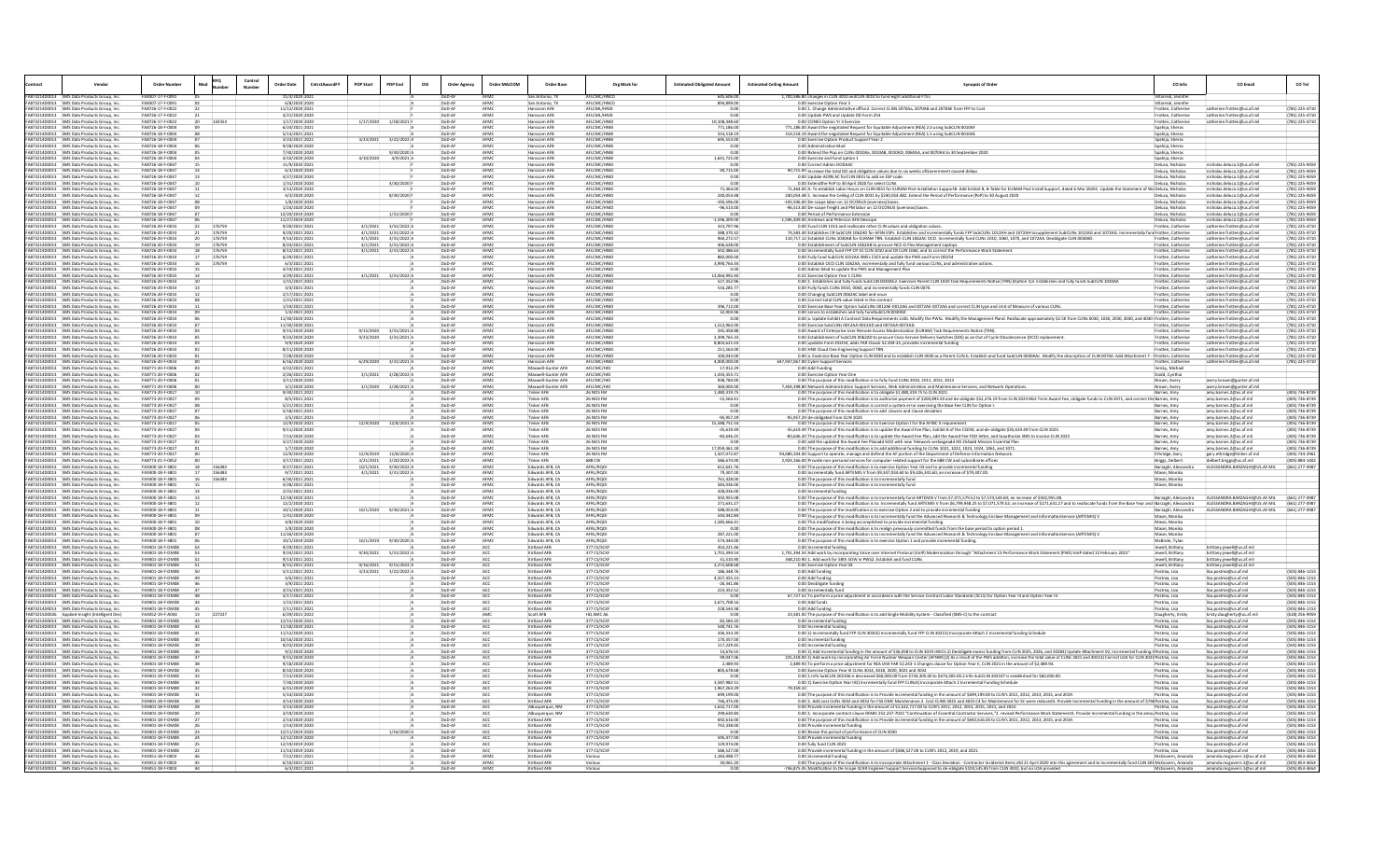|               |                                                                                                | <b>Order Numbe</b>                   |                  | Number | Order Date                        | <b>POP Start</b>         | POP End                      | OSI | <b>Order Agency</b>             | Order MAJCOM       | Order Base                         | Org Mark for                 | <b>Estimated Obligated Amount</b> | <b>Estimated Ceiling Amoun</b> | <b>Synopsis of Orde</b>                                                                                                                                                                                                                                                                                                                                                                                           | CO Info                                    | CO Emai                                                                     |                                    |
|---------------|------------------------------------------------------------------------------------------------|--------------------------------------|------------------|--------|-----------------------------------|--------------------------|------------------------------|-----|---------------------------------|--------------------|------------------------------------|------------------------------|-----------------------------------|--------------------------------|-------------------------------------------------------------------------------------------------------------------------------------------------------------------------------------------------------------------------------------------------------------------------------------------------------------------------------------------------------------------------------------------------------------------|--------------------------------------------|-----------------------------------------------------------------------------|------------------------------------|
| FA873214D0013 | FA873214D0013 SMS Data Products Group, Inc.<br>SMS Data Products Group, Inc.                   | FA8307-17-F-0091<br>FA8307-17-F-0091 |                  |        | 11/3/2020 202<br>6/8/2020 202     |                          |                              |     | DoD-AF                          |                    | San Antonio TX<br>San Antonio, TX  | AFICMC/HNCO<br>AFLCMC/HNCC   | 645 606 00<br>894,899.00          |                                | 1,700,586.80 changes in CLIN 3010 andCLIN 4010 to fund eight additional FTEs<br>0.00 exercise Option Year 3                                                                                                                                                                                                                                                                                                       | Villarreal, Jennife<br>Villarreal, Jennife |                                                                             |                                    |
|               | FA873214D0013 SMS Data Products Group, In                                                      | FA8726-17-F-0022                     |                  |        | 11/12/2020 2021                   |                          |                              |     | $DnD-A8$                        | AFMO               | <b>Inscom AFB</b>                  | AFLOML/HNID                  | 00                                |                                | 0.00 1. Change Administrative office2. Correct CLINS 2070Aa, 2070AB and 2070AE from FFP to Cost                                                                                                                                                                                                                                                                                                                   | Frotten, Catherin                          | atherine.frotten@us.af.mil                                                  | (781) 225-471                      |
|               | FA873214D0013 SMS Data Products Group, Inc.                                                    | FA8726-17-F-0022                     |                  |        | 4/21/2020 2020                    |                          |                              |     | DoD-AF                          | AFMC               | Hanscom AFB                        | AFLCML/HNI                   | 0.00                              |                                | 0.00 Update PWS and Update DD Form 254                                                                                                                                                                                                                                                                                                                                                                            | Frotten, Catherine                         | catherine.frotten@us.af.mil                                                 | (781) 225-471                      |
|               | FA873214D0013 SMS Data Products Group, Inc.<br>FAB73214D0013 SMS Data Products Group, In       | FA8726-17-F-0022<br>FA8726-18-F-0004 | 142353           |        | 1/17/2020 2020<br>5/24/2021 202   | $1/17/2020$ $1/18/2021$  |                              |     | DoD-Al<br>DoD-Al                |                    | Hanscom AFB<br>lanscom AFE         | AFLCMC/HN<br>AFLCMC/HNI      | 10,108,448.60<br>71,186.0         |                                | 0.00 CONES Option Yr 3 Exercise<br>1,186.00 Award the negotiated Request for Equitable Adjustment (REA) 2.0 using SubCLIN 0010AI                                                                                                                                                                                                                                                                                  | Frotten, Catherine<br>pahija, Shera        | catherine.frotten@us.af.mil                                                 | (781) 225-471                      |
|               | FA873214D0013 SMS Data Products Group, Inc.                                                    | FA8726-18-F-0004                     |                  |        | 5/13/2021 2021                    |                          |                              |     | DoD-Al                          | <b>AFM</b>         | Hanscom AFB                        | AFLCMC/HNI                   | 314,518.19                        |                                | 314,518.19 Award the negotiated Request for Equitable Adjustment (REA) 1.5 using SubCLIN 0010AE                                                                                                                                                                                                                                                                                                                   | Spahija, Sheras                            |                                                                             |                                    |
|               | FA873214D0013 SMS Data Products Group, Inc.<br>FAR73214D0013 SMS Data Products Group Inc.      | FA8726-18-F-0004<br>FA8726-18-F-0004 |                  |        | 3/23/2021 202<br>9/28/2020 2020   | $3/23/2021$ $3/22/2022$  |                              |     | DoD-Al<br>$DnD-AI$              | AFM<br>AFMO        | lanscom AF<br>Hanscom AFB          | AFLCMC/HNI<br>AFLOMO/HNIE    | 695,553.00<br>00                  |                                | 0.00 Exercise Option Product Support Year 2<br>0.00 Administrative Mod                                                                                                                                                                                                                                                                                                                                            | Spahija, Sheras<br>spahija, Sheras         |                                                                             |                                    |
|               | FA873214D0013 SMS Data Products Group. Inc.                                                    | FA8726-18-F-0004                     |                  |        | 7/30/2020 2020                    |                          | 9/30/2020 A                  |     | DoD-Al                          | AFMC               | Hanscom AFB                        | AFLCMC/HNIE                  | 0.00                              |                                | 0.00 Rxtend the Pop on CLINs 0010Aa, 0010AB, 0010AD, 0060AA, and 0070AA to 30 September 2020                                                                                                                                                                                                                                                                                                                      | Spahija, Sheras                            |                                                                             |                                    |
| FA873214D0013 | SMS Data Products Group, Inc.                                                                  | FA8726-18-F-0004                     |                  |        | 4/10/2020 2020                    | 4/10/2020 4/9/2021 A     |                              |     | DoD-Al                          |                    | Hanscom AFE                        | AFLCMC/HNI                   | 1,641,725.00                      |                                | 0.00 Exercise and fund option 1                                                                                                                                                                                                                                                                                                                                                                                   | Spahija, Sheras                            |                                                                             |                                    |
|               | FA873214D0013 SMS Data Products Group, In<br>FA873214D0013 SMS Data Products Group. Inc.       | FA8726-18-F-0047<br>FA8726-18-F-0047 |                  |        | 11/9/2020 2021<br>6/3/2020 2020   |                          |                              |     | DoD-Al<br>DoD-Al                | AFM<br>AFMC        | lanscom AFE<br>Hanscom AFB         | AFLCMC/HN<br>AFLCMC/HNID     | 90.715.00                         |                                | 0.00 Correct Admin DODAA<br>90,715.00 Increase the total DO and obligation values due to six weeks ofGovernment caused delays                                                                                                                                                                                                                                                                                     | Deluca, Nichola<br>Deluca, Nicholas        | icholas.deluca.1@us.af.mi<br>nicholas.deluca.1@us.af.mil                    | (781) 225-945<br>(781) 225-945     |
|               | FA873214D0013 SMS Data Products Group, Inc                                                     | FA8726-18-F-004                      |                  |        | 1/27/2020 202                     |                          |                              |     | DoD-AF                          |                    |                                    | AFLCMC/HN                    |                                   |                                | 0.00 Update ACRN AC forCLIN 0031 to add an ESP code.                                                                                                                                                                                                                                                                                                                                                              |                                            | cholas.deluca.1@us.af.m                                                     | 781) 225-945                       |
|               | FA873214D0013 SMS Data Products Group. Inc.                                                    | FA8726-18-F-0047                     |                  |        | 1/31/2020 2020                    |                          | 4/30/2020                    |     | DoD-Al                          | AFM                | Hanscom AFB                        | AFLCMC/HNID                  | 0.00                              |                                | 0.00 Extendthe PoP to 30 April 2020 for select CLINs                                                                                                                                                                                                                                                                                                                                                              | Deluca, Nicholas                           | nicholas.deluca.1@us.af.mil                                                 | (781) 225-945                      |
|               | FA873214D0013 SMS Data Products Group, Inc.<br>FA873214D0013 SMS Data Products Group, Inc.     | FA8726-18-F-0047<br>FA8726-18-F-0047 |                  |        | 3/13/2020 2020<br>4/3/2020 202    |                          | 8/30/2020                    |     | DoD-Al<br>$DnD-AI$              | AFMO<br>AFM        | Hanscom AFB<br>Hanscom AF          | AFLCMC/HNI<br>AFLCMC/HN      | 71,464.00<br>240,054.48           |                                | .<br>11.464.00 A. To establish Labor Hours on CLIN 0031 for EURAM Post Installation SupportB. Add Exhibit B, B-Table for EURAM Post Install Support, dated 6 Mar 2020C. Update the Statement of WoDeluca, Nicholas<br>240,054.48 1. Increase the Ceiling of CLIN 0031 by \$240,054.482. Extend the Period of Performance (PoP) to 30 August 2020                                                                  | Deluca, Nichola                            | icholas.deluca.1@us.af.mi<br>icholas.deluca.1@us.af.m                       | (781) 225-945<br>(781) 225-945     |
|               | FA873214D0013 SMS Data Products Group, Inc.                                                    | FA8726-18-F-0047                     |                  |        | 1/8/2020 2020                     |                          |                              |     | $D \cap D - \Delta S$           | <b>AFM</b>         | Hanscom AFB                        | AFICMC/HNID                  | 193 596.00                        |                                | -193,596.00 De-scope labor on 12 OCONUS (overseas) bases.                                                                                                                                                                                                                                                                                                                                                         | Deluca Nicholas                            | nicholas.deluca.1@us.af.mil                                                 | (781) 225-945                      |
|               | FA873214D0013 SMS Data Products Group, Inc.<br>FA873214D0013 SMS Data Products Group. In       | FA8726-18-F-0047<br>FA8726-18-F-0047 |                  |        | 1/24/2020 2020<br>12/20/2019 202  |                          | 1/31/2020                    |     | DoD-Al<br>$D \cap D - \Delta I$ | AFM<br>AFM         | Hanscom AFB<br>Inscom AF           | AFLCMC/HNID<br>AFLCMC/HNI    | $-96,513.00$                      |                                | -96,513.00 De-scope freight and PM labor on 12 OCONUS (overseas) bases.<br>0.00 Period of Performance Extensio                                                                                                                                                                                                                                                                                                    | Deluca, Nicholas<br>Deluca Nichola         | nicholas.deluca.1@us.af.mi<br>nicholas.deluca.1@us.af.m                     | (781) 225-945<br>(781) 225-945     |
|               | FA873214D0013 SMS Data Products Group, Inc.                                                    | FA8726-18-F-0047                     |                  |        | 11/27/2019 2020                   |                          |                              |     | DoD-Al                          | AFMC               | Hanscom AFB                        | AFLCMC/HNID                  | 1.596.309.00                      |                                | -1.596.309.00 Andrews and Peterson AFB Descope                                                                                                                                                                                                                                                                                                                                                                    | Deluca, Nicholas                           | nicholas.deluca.1@us.af.mil                                                 | (781) 225-945                      |
|               | FAB73214D0013 SMS Data Products Group, Inc.                                                    | FA8726-20-F-0033<br>EA9726-20-E-0032 | 176759           |        | 9/20/2021 2021                    | 4/1/2021                 | 3/31/2022                    |     | DoD-Al<br>DoD-AP                | AFM<br>AFM         | Hanscom AFE                        | AFLCMC/HN                    | 313,797.96                        |                                | 0.00 Fund CLIN 1013 and reallocate other CLIN values and obligation values.                                                                                                                                                                                                                                                                                                                                       | Frotten, Catherine                         | catherine.frotten@us.af.m                                                   | (781) 225-47                       |
|               | FA873214D0013 SMS Data Products Group, Inc.<br>FA873214D0013 SMS Data Products Group, Inc.     | FA8726-20-F-0033                     | 176759<br>176759 |        | 9/20/2021 202<br>9/14/2021 2021   | 4/1/202<br>4/1/2021      | 3/31/2022 A<br>$3/31/2022$ A |     | DoD-Al                          | AFMC               | Hanscom AFE<br>Hanscom AFB         | AFLCMC/HN<br>AFLCMC/HNID     | 588 370 37<br>960.272.57          |                                | 74,583.40 Establishes CR SubCLIN 1062AD for AFSN ESPs. Establishes and incrementally funds FFP SubCLINs 1012AH and 1072AH tosupplement SubCLINs 1012AG and 1072AG. Incrementally funcFrotten, Catherine<br>110,717.12 Establish CLINs 1030AB for EURAM TRN. Establish CLIN 1062AC OCO. Incrementally fund CLINs 1010, 1060, 1070, and 1072AA. Deobligate CLIN 0030AD.                                             | Frotten, Catherine                         | atherine.frotten@us.af.m<br>catherine.frotten@us.af.mil                     | (781) 225-471<br>(781) 225-471     |
|               | FA873214D0013 SMS Data Products Group, Inc.                                                    | FA8726-20-F-0033                     | 176759           |        | 8/24/2021 2021                    | 4/1/2021                 | 3/31/2022 A                  |     | DoD-Al                          | AFMC               | Hanscom AFB                        | AFLCMC/HNID                  | 406,628.00                        |                                | 0.00 Establishment of SubCLIN 1062AB to procure NCC-D Flex Management Laptops                                                                                                                                                                                                                                                                                                                                     | Frotten, Catherine                         | catherine.frotten@us.af.mi                                                  | (781) 225-471                      |
|               | FAR73214D0013 SMS Data Products Group Inc.<br>FA873214D0013 SMS Data Products Group, Inc.      | FA8726-20-F-0033<br>FA8726-20-F-0033 | 176759<br>176759 |        | 8/12/2021 2021<br>6/29/2021 2021  | 4/1/2021                 | $3/31/2022$ A                |     | DoD-AF<br>DoD-Al                | AFMO<br>AFMC       | Hanscom AFR<br>Hanscom AFB         | AFLOMO/HNID<br>AFLCMC/HNID   | 502,486.63<br>882,000.00          |                                | 0.00 Incrementally fund FEP OY 01 CLIN 1010 and CR CLIN 1060, and to correct the Performance Work Statement<br>0.00 Fully fund SubCLIN 1012AA SMEs CSCS and update the PWS and Form DD254                                                                                                                                                                                                                         | Frotten Catherine<br>Frotten, Catherine    | catherine frotten@us af mil<br>catherine.frotten@us.af.mil                  | (781) 225-4716<br>(781) 225-4710   |
|               | FA873214D0013 SMS Data Products Group, Inc.                                                    | FA8726-20-F-0033                     | 176759           |        | 6/3/2021 2021                     |                          |                              |     | DoD-Al                          |                    | Hanscom AFE                        | AFLCMC/HN                    | 3,990,764.34                      |                                | 0.00 Establish OCO CLIN 1062AA, incrementally and fully fund various CLINs, and admnistrative actions.                                                                                                                                                                                                                                                                                                            | Frotten, Catherine                         | catherine.frotten@us.af.m                                                   | (781) 225-471                      |
|               | FA873214D0013 SMS Data Products Group, Inc.                                                    | FA8726-20-F-0033                     |                  |        | 4/19/2021 2021                    |                          |                              |     | $D \cap D - \Delta I$           | AFMO               | Hanscom AFB                        | AFLOMO/HNID                  | 00                                |                                | 0.00 Admin Mod to update the PWS and Management Plan                                                                                                                                                                                                                                                                                                                                                              | Frotten, Catherine                         | catherine.frotten@us.af.mi                                                  | (781) 225-471                      |
|               | FA873214D0013 SMS Data Products Group, Inc.<br>FA873214D0013 SMS Data Products Group, Inc.     | FA8726-20-F-0033<br>FA8726-20-F-0033 |                  |        | 3/29/2021 2021<br>1/15/2021 2021  | $4/1/2021$ $3/31/2022$ A |                              |     | DoD-Al<br>DoD-Al                | AFM<br><b>AFM</b>  | Hanscom AFB<br>Hanscom AFB         | AFLCMC/HNID<br>AFLCMC/HNI    | 13.064.992.40<br>527,352.96       |                                | -0.22 Exercise Option Year 1 CLINs<br>0.00 1. Establishes and fully funds SubCLIN 0030AE2. Exercises Parent CLIN 1030 Task Requirements Notice (TRN) (Option 1)3. Establishes and fully funds SubCLIN 1030AA                                                                                                                                                                                                      | Frotten, Catherine<br>Frotten, Catherine   | catherine.frotten@us.af.mil<br>catherine.frotten@us.af.m                    | (781) 225-471<br>(781) 225-471     |
|               | FA873214D0013 SMS Data Products Group, Inc.                                                    | FA8726-20-F-0033                     |                  |        | 3/4/2021 2021                     |                          |                              |     | DoD-AF                          | AFMC               | Hanscom AFB                        | AFLCMC/HNID                  | 516,285.77                        |                                | 0.00 Fully funds CLINs 0010, 0060, and incrementally funds CLIN 0070.                                                                                                                                                                                                                                                                                                                                             | Frotten, Catherine                         | catherine.frotten@us.af.mil                                                 | (781) 225-471                      |
|               | FA873214D0013 SMS Data Products Group, Inc.<br>FA873214D0013 SMS Data Products Group, Inc.     | FA8726-20-F-0033<br>FA8726-20-F-0033 |                  |        | 2/17/2021 2021<br>1/21/2021 2021  |                          |                              |     | DoD-Al<br>DoD-Al                | <b>AFM</b><br>AFM  | Hanscom AFB<br>Hanscom AFE         | AFLCMC/HNID<br>AFLCMC/HNI    | 0.00                              |                                | 0.00 Changing SubCLIN 0062AC label and noun<br>0.00 Correct total CLIN value listed in the contract                                                                                                                                                                                                                                                                                                               | Frotten, Catherine<br>Frotten, Catherin    | catherine.frotten@us.af.mil<br>catherine.frotten@us.af.m                    | (781) 225-4710<br>(781) 225-471    |
|               | FA873214D0013 SMS Data Products Group, Inc.                                                    | FA8726-20-F-0033                     |                  |        | 1/19/2021 2021                    |                          |                              |     | DoD-AF                          | AFMO               | Hanscom AFB                        | AFLCMC/HNID                  | 396 712 00                        |                                | 0.00 Exercise Base Year Option SubCLINs 0012AE-0012AG and 0072AE-0072AG and correct CLIN type and Unit of Measure of various CLINs.                                                                                                                                                                                                                                                                               | Frotten Catherine                          | catherine.frotten@us.af.mi                                                  | (781) 225-471                      |
|               | FA873214D0013 SMS Data Products Group, Inc.                                                    | FA8726-20-F-0033                     |                  |        | 1/4/2021 2021                     |                          |                              |     | DoD-Al                          | <b>AFM</b>         | Hanscom AFB                        | AFLCMC/HNI                   | 32,904.96                         |                                | 0.00 serves to establishes and fully fundSubCLIN 0030AD                                                                                                                                                                                                                                                                                                                                                           | Frotten, Catherine                         | catherine.frotten@us.af.mil                                                 | (781) 225-471                      |
|               | FA873214D0013 SMS Data Products Group, Inc.<br>FA873214D0013 SMS Data Products Group, In       | FA8726-20-F-0033<br>FA8726-20-F-0033 |                  |        | 11/30/2020 202<br>11/30/2020 202: |                          |                              |     | DoD-Al<br>DoD-AF                | <b>AFM</b><br>AFMO | Hanscom AFB<br>lanscom AFE         | AFLCMC/HNI<br>AFLCMC/HNID    | 1.512.962.00                      |                                | 0.00 a. Update Exhibit A Contract Data Requirements Listb. Modify the PWSc. Modify the Management Pland. Reallocate approximately \$2.5K from CLINs 0030, 1030, 2030, 3030, 3030, 3030, and 4030 (Frotten, Catherine<br>0.00 Exercize SubCLINs 0012AA-0012AD and 0072AA-0072AD.                                                                                                                                   | Frotten, Catherine                         | catherine.frotten@us.af.mi<br>atherine.frotten@us.af.m                      | $(781)$ 225-47:<br>(781) 225-471   |
|               | FA873214D0013 SMS Data Products Group, Inc.                                                    | FA8726-20-F-0033                     |                  |        | 9/15/2020 2020                    | $9/15/2020$ $3/31/2021$  |                              |     | DoD-Al                          | <b>AFM</b>         | Hanscom AFE                        | AFLCMC/HN                    | 245.458.88                        |                                | 0.00 Award of Enterprise User Remote Access Modernization (EURAM) Task Requirements Notice (TRN).                                                                                                                                                                                                                                                                                                                 | Frotten, Catherine                         | catherine.frotten@us.af.mi                                                  | (781) 225-471                      |
|               | FA873214D0013 SMS Data Products Group, Inc.                                                    | FA8726-20-F-0033                     |                  |        | 9/23/2020 2020                    | 9/23/2020 3/31/2021 /    |                              |     | $D \cap D - \Delta$             | AFM                | lanscom AFB                        | AFLCMC/HNID                  | 2,399,765.33                      |                                | 0.00 Establishment of SubCLIN 0062AD to procure Cisco Service Delivery Switches (SDS) as an Out of Cycle Obsolescence (OCO) replacement                                                                                                                                                                                                                                                                           | Frotten, Catherine                         | catherine.frotten@us.af.mil                                                 | (781) 225-471                      |
|               | FA873214D0013 SMS Data Products Group. Inc.<br>FAB73214D0013 SMS Data Products Group, Inc.     | FA8726-20-F-0033<br>FA8726-20-F-0033 |                  |        | 9/9/2020 2020<br>8/11/2020 2020   |                          |                              |     | DoD-Al<br>DoD-Al                | AFMO<br>AFM        | Hanscom AFB<br>Hanscom AFB         | AFLCMC/HN<br>AFLCMC/HN       | 8.803.621.03<br>211,563.00        |                                | 0.00 updates Form DD254, adds FAR Clause 52.204-25, provides incremental funding<br>0.00 HNII Cloud One Enginering Support TRN                                                                                                                                                                                                                                                                                    | Frotten, Catherine<br>Frotten, Catherine   | catherine.frotten@us.af.mi<br>catherine.frotten@us.af.mi                    | (781) 225-471<br>(781) 225-471     |
|               | FA873214D0013 SMS Data Products Group, Inc.                                                    | FA8726-20-F-0033                     |                  |        | 7/28/2020 202                     |                          |                              |     | DoD-Al                          | AFM                | Hanscom AFB                        | AFLCMC/HNI                   | 100,043.00                        |                                | 0.00 a. Excersice Base Year Option CLIN 0030 and to establish CLIN 0030 as a Parent CLIN.b. Establish and fund SubCLIN 0030AAc. Modify the description of CLIN 0070d. Add Attachment 7                                                                                                                                                                                                                            | Frotten, Catherin                          | catherine.frotten@us.af.m                                                   | $(781)$ 225-471                    |
|               | FAR73214D0013 SMS Data Products Group Inc<br>FA873214D0013 SMS Data Products Group, Inc.       | FA8726-20-F-0033                     |                  |        | 6/16/2020 2020<br>4/22/2021 2021  | 6/29/2020 3/31/2021 A    |                              |     | DoD-AF<br>DoD-Al                | <b>AFMO</b>        | lanscom AFR<br>Maxwell-Gunter AFE  | AFLCMC/HNID<br>AFLCMC/HIC    | 4,000,000.00<br>17,912.29         |                                | 647.937,067.00 Cyber Support Services<br>0.00 Add Funding                                                                                                                                                                                                                                                                                                                                                         | Frotten Catherine<br>isky, Michae          | catherine.frotten@us.af.mil                                                 | (781) 225-471                      |
|               | FA873214D0013 SMS Data Products Group, Inc.                                                    | FA8771-20-F-0006                     |                  |        | 2/26/2021 2021                    | $3/1/2021$ $2/28/2022$   |                              |     | DoD-AF                          | AFMO               | Maxwell-Gunter AFB                 | AFLOMO/HIO                   | 143335371                         |                                | 0.00 Exercise Option Year One                                                                                                                                                                                                                                                                                                                                                                                     | Dodd, Cynthia                              |                                                                             |                                    |
|               | FA873214D0013 SMS Data Products Group. Inc.                                                    | FA8771-20-F-0006                     |                  |        | 3/11/2020 2020                    |                          |                              |     | DoD-Al                          | AFMO               | Maxwell-Gunter AFB                 | AFLCMC/HIC                   | 938,784.00                        |                                | 0.00 The purpose of this modification is to fully fund CLINs 2010, 2011, 2012, 2013                                                                                                                                                                                                                                                                                                                               | Brown, Avery                               | avery.brown@gunter.af.mil                                                   |                                    |
| FA873214D0013 | SMS Data Products Group, Inc.<br>FA873214D0013 SMS Data Products Group, In                     | FA8773-20-F-0027                     |                  |        | 3/1/2020 202<br>9/30/2021 202     | $3/1/2020$ $2/28/2021$ A |                              |     | DoD-Al                          | AFM                | Maxwell-Gunter AFE<br>Tinker AFB   | AFLCMC/HI<br>26 NOS FM       | 360,000.00<br>1.480.319.75        |                                | 7,404,398.80 Network Administration Support Services, Web Administration and Maintenance Services, and Network Operations.<br>0.00 The purpose of this modification is to obligate \$1,480,319.75 to CLIN 2021.                                                                                                                                                                                                   | Brown, Avery<br>Barnes, Amy                | avery.brown@gunter.af.mil<br>amy.barnes.2@us.af.mil                         | (405) 736-873                      |
|               | FA873214D0013 SMS Data Products Group. Inc.                                                    | FA8773-20-F-0027                     |                  |        | 8/5/2021 2021                     |                          |                              |     | DoD-Al                          | AFMC               | Tinker AFB                         | 26 NOS FM                    | $-15,564.41$                      |                                |                                                                                                                                                                                                                                                                                                                                                                                                                   |                                            | amy.barnes.2@us.af.mil                                                      | (405) 736-873                      |
|               | FA873214D0013 SMS Data Products Group, In<br>FAR73214D0013 SMS Data Products Group Inc.        | FA8773-20-F-0027<br>FA8773-20-F-0027 |                  |        | /21/2021 202<br>5/18/2021 2021    |                          |                              |     | DoD-AF<br>DoD-AF                | AFM<br>AFMO        | Tinker AFR                         | 26 NOS FM<br>26 NOS EM       | 0.00                              |                                | 0.04 The purpose of this modification is to authorize payment of \$200,893.59 and de-obligate \$52,376.19 from CLIN 2023 Mid-Term Award Fee, obligate funds to CLIN 2071, and correct theBarnes, Amy<br>0.00 The purpose of this mo                                                                                                                                                                               |                                            | amy.barnes.2@us.af.m<br>amy harnes 2@us af mil                              | (405) 736-87<br>(405) 736-8739     |
|               | FA873214D0013 SMS Data Products Group, Inc.                                                    | FA8773-20-F-0027                     |                  |        | 2/5/2021 2021                     |                          |                              |     | DoD-Al                          | AFMC               | <b>Tinker AFB</b>                  | 26 NOS FM                    | $-95,957.29$                      |                                | 0.00 The purpose of this modification is to add clauses and clause deviation<br>-95,957.29 de-obligated from CLIN 1024                                                                                                                                                                                                                                                                                            | Rarnes Amy<br>Barnes, Amy                  | amy.barnes.2@us.af.mil                                                      | (405) 736-873                      |
|               | FA873214D0013 SMS Data Products Group, Inc.                                                    | FA8773-20-F-0027                     |                  |        | 12/9/2020 202                     | 12/9/2020 12/8/2021 /    |                              |     | DoD-Al                          | AFM                |                                    | 26 NOS FM                    | 15,588,751.54                     |                                | 0.00 The purpose of this modification is to Exercise Option I for the AFINC II requirement                                                                                                                                                                                                                                                                                                                        | Barnes, Amy                                | amy.barnes.2@us.af.mi                                                       | (405) 736-873                      |
|               | FA873214D0013 SMS Data Products Group, In<br>FA873214D0013 SMS Data Products Group, Inc.       | FA8773-20-F-0027<br>FA8773-20-F-0027 |                  |        | 9/11/2020 2020<br>7/14/2020 2020  |                          |                              |     | $D \cap D - \Delta S$<br>DoD-Al | AFM<br><b>AFM</b>  | Tinker AFB<br><b>Tinker AFB</b>    | 26 NOS EM<br>26 NOS FM       | $-35.619.49$<br>$-83.646.25$      |                                | 35,619.49 The purpose of this modification is to update the Award Fee Plan, Exhibit 8 of the CSOW, and de-obligate \$35,619.49 from CLIN 1023.                                                                                                                                                                                                                                                                    | Barnes, Amy<br>Barnes, Amy                 | amy.barnes.2@us.af.mil<br>amy.barnes.2@us.af.mil                            | (405) 736-873<br>(405) 736-873     |
|               | FA873214D0013 SMS Data Products Group, In                                                      | EA9773-20-E-0027                     |                  |        | 3/27/2020 202                     |                          |                              |     | DoD-AP                          | AFM                | <b>Tinker AFB</b>                  | 26 NOS EM                    |                                   |                                | -83,646.20 The purpose of this modification is to update the Award Fee Plan, add the Award Fee FDO letter, and toauthorize SMS to invoice CLIN 1023<br>0.00 add the updated the Award Fee Planadd SOO with new Telework verbiageadd DD 254add Mission Essential Plan                                                                                                                                              |                                            | amy.barnes.2@us.af.mi                                                       | (405) 736-873                      |
|               | FA873214D0013 SMS Data Products Group, Inc.                                                    | FA8773-20-F-0027                     |                  |        | 1/7/2020 2020                     | 12/9/2019 12/8/2020 A    |                              |     | DoD-AF                          | AFMC               | <b>Tinker AFB</b>                  | 26 NOS FM                    | 17.059.461.18                     |                                | 0.00 The purpose of this modification is to add additional funding to CLINs 1021, 1022, 1023, 1024, 1061, and 1071.                                                                                                                                                                                                                                                                                               | Barnes, Amy                                | amy.barnes.2@us.af.mil                                                      | (405) 736-8739                     |
|               | FA873214D0013 SMS Data Products Group, Inc.<br>FA873214D0013 SMS Data Products Group, Inc      | FA8773-20-F-0027<br>FA8773-21-F-0052 |                  |        | 12/9/2019 2020<br>3/17/2021 202   | 3/21/2021                | 2/20/2022                    |     | DoD-Al<br>DoD-AF                | AFMC<br>AFM        | <b>Tinker AFB</b><br>Tinker AFB    | 26 NOS FM<br>688 CW          | 1,507,072.87<br>586,674.00        |                                | 4,680,104.00 Support to operate, manage and defend the AF portion of the Department of Defense Information Network.<br>2,924,166.00 Provide non-personal services for computer-related support for the 688 CW and subordinate offices                                                                                                                                                                             | Ethridge, Gary<br>Briggs, Delbert          | gary.ethridge@tinker.af.mi<br>lelbert.briggs@us.af.mil                      | (405) 734-296<br>(405) 884-140     |
|               | FA873214D0013 SMS Data Products Group, In                                                      | FA9300-18-F-3801                     | 156387           |        | 9/27/2021 2021                    | 10/1/2021                | 9/30/2022 A                  |     | $D \cap D - \Delta I$           | AFM                | <b>Edwards AFR CA</b>              | AFRI /ROO                    | 612 641 76                        |                                | 0.00 The purpose of this modification is to exercise Option Year 03 and to provide incremental funding                                                                                                                                                                                                                                                                                                            | Barzaghi, Alessandi                        | ALESSANDRA BARZAGHI@US.AF.MII                                               | (661) 277-0987                     |
|               | FA873214D0013 SMS Data Products Group, Inc.<br>FA873214D0013 SMS Data Products Group, Inc.     | FA9300-18-F-3801<br>FA9300-18-F-3801 | 156383<br>156383 |        | 9/7/2021 2021<br>6/30/2021 2021   | $4/1/2021$ $3/31/2022$ A |                              |     | DoD-Al<br>DoD-Al                | <b>AFM</b>         | Edwards AFB, CA<br>Edwards AFB, CA | AFRL/RQO<br>AFRL/RQC         | 79,307.00<br>761,428.00           |                                | 0.00 Incrementally fund ARTEMIS V from \$9,347,034.60 to \$9,426,341.60; an increase of \$79,307.00.<br>0.00 The purpose of this modification is to incrementally fund                                                                                                                                                                                                                                            | Masei, Monika<br>Masei, Monika             |                                                                             |                                    |
|               | FA873214D0013 SMS Data Products Group, Inc.                                                    | FA9300-18-F-3801                     |                  |        | 4/28/2021 2021                    |                          |                              |     | DoD-Al                          | AFMC               | Edwards AFB, CA                    | AFRL/ROO                     | 583,036.00                        |                                | 0.00 The purpose of this modification is to incrementally fund                                                                                                                                                                                                                                                                                                                                                    | Masei, Monika                              |                                                                             |                                    |
|               | FA873214D0013 SMS Data Products Group, Inc.                                                    | FA9300-18-F-3801                     |                  |        | 2/25/2021 2021                    |                          |                              |     | DoD-Al                          | <b>AFM</b>         | Edwards AFB, CA                    | AFRL/RQO                     | 428,036.00                        |                                | 0.00 Incremental funding                                                                                                                                                                                                                                                                                                                                                                                          |                                            |                                                                             |                                    |
|               | FA873214D0013 SMS Data Products Group, In<br>FA873214D0013 SMS Data Products Group, Inc.       | FA9300-18-F-3801<br>FA9300-18-F-3801 |                  |        | 12/18/2020 2021<br>12/2/2020 202  |                          |                              |     | $D \cap D - \Delta I$<br>DoD-Al | AFM<br>AFM         | Edwards AFB, CA<br>Edwards AFB, CA | AFRL/ROO<br>AFRL/ROO         | 502.955.08<br>271.631.27          |                                | 0.00 The purpose of this modification is to incrementally fund ARTEMIS V from \$7,071,579.52 to \$7,574,534.60; an increase of \$502,955.08.<br>0.00 The purpose of this modification is to: Incrementally fund ARTEMIS V from \$6,799,948.25 to \$7,071,579.52; an increase of \$271,631.27 and to reallocate funds from the Base Year and (Barzaghi, Alessandra                                                 | Barzaghi, Alessandra                       | ALESSANDRA.BARZAGHI@US.AF.MIL (661) 277-09<br>ALESSANDRA BARZAGHI@US.AF.MIL | $(661)$ 277-098                    |
|               | FAB73214D0013 SMS Data Products Group, Inc.                                                    | FA9300-18-F-3801                     |                  |        | 10/1/2020 2021                    | 10/1/2020 9/30/2021 /    |                              |     | DoD-Al                          |                    | Edwards AFB, C/                    | AFRL/ROO                     | \$88,054.00                       |                                | 0.00 The purpose of the modification is to exercise Option 2 and to provide incremental funding                                                                                                                                                                                                                                                                                                                   | Barzaghi, Alessandra                       | ALESSANDRA.BARZAGHI@US.AF.MIL                                               | (661) 277-09                       |
|               | FA873214D0013 SMS Data Products Group, Inc.<br>FA873214D0013 SMS Data Products Group, Inc.     | FA9300-18-F-3801<br>FA9300-18-F-3801 |                  |        | 1/31/2020 2020<br>4/8/2020 2020   |                          |                              |     | DoD-AF<br>DoD-Al                | <b>AFM</b><br>AFMO | Edwards AFB, CA<br>Edwards AFB, CA | AFRL/RQO<br>AFRL/RQO         | 544,442.84<br>1,585,666.41        |                                | 0.00 The purpose of this modification is to incrementally fund the Advanced Research & Technology Enclave Management and InformationService (ARTEMIS) V<br>0.00 This modification is being accomplished to provide incremental funding.                                                                                                                                                                           | Masei, Monika<br>Masei, Monika             |                                                                             |                                    |
|               | FA873214D0013 SMS Data Products Group, Inc.                                                    | FA9300-18-F-3801                     |                  |        | 1/9/2020 202                      |                          |                              |     | DoD-Al                          | AFM                | Edwards AFB, CA                    | AFRL/RQO                     |                                   |                                | 0.00 The purpose of this modification is to realign previously committed funds from the base period to option period 1.                                                                                                                                                                                                                                                                                           | Masei, Monika                              |                                                                             |                                    |
|               | FA873214D0013 SMS Data Products Group, Inc.                                                    | FA9300-18-F-3801                     |                  |        | 11/26/2019 2020                   |                          |                              |     | $D \cap D - \Delta I$           | AFMO               | <b>Edwards AFR CA</b>              | AFRI /ROO                    | 287 221 00                        |                                | 0.00 The purpose of this modification is to incrementally fund the Advanced Research & Technology Enclave Management and InformationService (ARTEMIS) V                                                                                                                                                                                                                                                           | Masei Monika                               |                                                                             |                                    |
|               | FA873214D0013 SMS Data Products Group, Inc.<br>FA873214D0013 SMS Data Products Group, Inc.     | FA9300-18-F-3801<br>FA9401-18-F-DM0  |                  |        | 10/1/2019 2020<br>9/29/2021 202   | 10/1/2019 9/30/2020 A    |                              |     | DoD-Al<br>DoD-Al                | <b>AFMO</b>        | Edwards AFB, CA<br>Kirtland AFB    | AFRL/ROO<br>$377 \text{ CS}$ | 574,444.00<br>454,221.46          |                                | 0.00 The purpose of this modification is to exercise Option 1 and provide incremental funding.<br>0.00 Incremental funding                                                                                                                                                                                                                                                                                        | McBride, Tvlan<br>Jewell, Brittany         | brittany.jewell@us.af.m                                                     |                                    |
|               | FA873214D0013 SMS Data Products Group, In                                                      | FA9401-18-F-DM08                     |                  |        | 9/24/2021 202                     | 9/30/2021 5/31/2022 A    |                              |     | DoD-AF                          |                    | Kirtland AFB                       | 377 CS/SCX                   | 1,701,394.54                      |                                | 1701,394.54 Add work by incorporating Voice over Internet Protocol (VoIP) Modernization through "Attachment 13 Performance Work Statement (PWS) VoIP dated 12 February 2021"                                                                                                                                                                                                                                      | Jewell, Brittany                           | orittany.jewell@us.af.m                                                     |                                    |
|               | FA873214D0013 SMS Data Products Group, Inc.<br>FA873214D0013 SMS Data Products Group, In       | FA9401-18-F-DM08<br>FA9401-18-F-DM08 |                  |        | 9/13/2021 2021<br>8/15/2021 202   | 9/16/2021 9/15/2022 A    |                              |     | DoD-Al<br>$D \cap D - \Delta I$ |                    | Kirtland AFB<br>Kirtland AFB       | 377 CS/SCX<br>377 CS/SCX     | 31,510.90<br>3,272,608.68         |                                | 348,210.90 1. Add work for 58th SOW in PWS2. Establish and fund CLINs<br>0.00 Exercise Option Year 04                                                                                                                                                                                                                                                                                                             | Jewell, Brittany<br>Jewell, Brittany       | brittany.jewell@us.af.m                                                     |                                    |
|               | <b>EAR73214D0013 SMS Data Products Group Inc.</b>                                              | FA9401-18-F-DM08                     |                  |        | 5/11/2021 2021                    | 3/23/2021 3/22/2022 A    |                              |     | DoD-AF                          |                    | Kirtland AFR                       | 377 CS/SCXE                  | 186 348 76                        |                                | 0.00 Add funding                                                                                                                                                                                                                                                                                                                                                                                                  | Postma Lisa                                | brittany.jewell@us.af.mi<br>isa nostma@us af mil                            | (505) 846-115                      |
|               | FA873214D0013 SMS Data Products Group, Inc.                                                    | FA9401-18-F-DM08                     |                  |        | 4/6/2021 2021                     |                          |                              |     | DoD-Al                          |                    | Kirtland AFB                       | 377 CS/SCXI                  | 4,327,455.14                      |                                | 0.00 Add funding                                                                                                                                                                                                                                                                                                                                                                                                  | Postma, Lisa                               | lisa.postma@us.af.mil                                                       | (505) 846-115                      |
|               | FA873214D0013 SMS Data Products Group, Inc.<br>FA873214D0013 SMS Data Products Group, Inc.     | FA9401-18-F-DM0<br>FA9401-18-F-DM0F  |                  |        | 3/9/2021 202<br>3/15/2021 2021    |                          |                              |     | DoD-Al<br>DoD-AF                |                    | Grtland AFI<br>Kirtland AFR        | 377 CS/SCX<br>377 CS/SCX     | $-26,341.86$<br>223,352.52        |                                | 0.00 Deobligate funding<br>0.00 Incrementally fund                                                                                                                                                                                                                                                                                                                                                                | Postma, Lisa<br>Postma, Lisa               | lisa.postma@us.af.m<br>lisa.postma@us.af.mi                                 | $(505) 846 - 11$<br>(505) 846-1153 |
|               | FA873214D0013 SMS Data Products Group, Inc.                                                    | A9401-18-F-DM08                      |                  |        | 3/17/2021 2021                    |                          |                              |     | DoD-Al                          |                    | Kirtland AFI                       | 377 CS/SCX                   |                                   |                                | 67,727.52 To perform a price adjustment in accordance with the Service Contract Labor Standards (SCLS) for Option Year III and Option Year IV.                                                                                                                                                                                                                                                                    | Postma, Lisa                               | lisa.postma@us.af.m                                                         | (505) 846-115                      |
|               | FAR73214D0013 SMS Data Products Group, In                                                      | FA9401-18-F-DM08                     |                  |        | 1/15/2021 2021                    |                          |                              |     | DoD-AF                          |                    | Kirtland AFB                       | 377 CS/SCX                   | 2.671.708.16                      |                                | 0.00 Add funds                                                                                                                                                                                                                                                                                                                                                                                                    | Postma, Lisa                               | lisa.postma@us.af.mi                                                        | (505) 846-115                      |
|               | FA873214D0013 SMS Data Products Group, Inc.<br>FA873215D0026 Applied-Insight (Intelligent Dec) | FA9401-18-F-DM08<br>FA4452-19-F-A044 | 227227           |        | 2/11/2021 2021<br>6/29/2021 2022  |                          |                              |     | DoD-Al<br>DoD-Al                |                    | Kirtland AFB<br>Scott AFB          | 377 CS/SCXF<br>HO AMC A6     | 228,544.38                        |                                | 0.00 Add funding<br>23,581.92 The purpose of this modification is to add Single Mobility System - Classified (SMS-C) to the contract                                                                                                                                                                                                                                                                              | Postma, Lisa<br>Daugherty, Kristy          | lisa.postma@us.af.mil<br>kristy.daugherty@us.af.m                           | (505) 846-115<br>(618) 256-995     |
|               | FA873214D0013 SMS Data Products Group, Inc.                                                    | FA9401-18-F-DM0                      |                  |        | 12/15/2020 202                    |                          |                              |     | DoD-Al                          |                    | Kirtland AFI                       | 377 CS/SCX                   | 82,584.20                         |                                | 0.00 Incremental funding                                                                                                                                                                                                                                                                                                                                                                                          | 'ostma, Lisa                               | sa.postma@us.af.mi                                                          | (505) 846-11                       |
|               | FA873214D0013 SMS Data Products Group, Inc.                                                    | FA9401-18-F-DM08                     |                  |        | 11/18/2020 2021                   |                          |                              |     | DoD-Al                          |                    | Kirtland AFB                       | 377 CS/SCX                   | 540.741.76                        |                                | 0.00 Incremental funding                                                                                                                                                                                                                                                                                                                                                                                          | Postma, Lisa                               | isa.postma@us.af.mi                                                         | (505) 846-115                      |
|               | FA873214D0013 SMS Data Products Group, Inc.<br>FA873214D0013 SMS Data Products Group. In       | FA9401-18-F-DM08<br>FA9401-18-F-DM0F |                  |        | 11/12/2020 2021<br>10/16/2020 202 |                          |                              |     | DoD-Al<br>DoD-AF                |                    | Kirtland AFB<br>Kirtland AF        | 377 CS/SCX<br>377 (S/SCX)    | 336,333.20<br>170 357 00          |                                | 0.00 1) Incrementally fund FFP CLIN 30202) Incrementally fund FFP CLIN 30213) Incorporate Attach 2 Incremental funding Schedule<br>0.00 Incrimental funding                                                                                                                                                                                                                                                       | Postma, Lisa<br>Postma, Lisa               | lisa.postma@us.af.mi<br>isa.postma@us.af.m                                  | (505) 846-115<br>(505) 846-115     |
|               | FA873214D0013 SMS Data Products Group, Inc.                                                    | FA9401-18-F-DM08                     |                  |        | 9/23/2020 2020                    |                          |                              |     | DoD-Al                          |                    | Kirtland AFB                       | 377 CS/SCXF                  | 117.229.45                        |                                | 0.00 Incremental funding                                                                                                                                                                                                                                                                                                                                                                                          | Postma, Lisa                               | lisa.postma@us.af.mi                                                        | (505) 846-115                      |
|               | FA873214D0013 SMS Data Products Group, Inc.<br>FA873214D0013 SMS Data Products Group, In       | FA9401-18-F-DM08<br>FA9401-18-F-DM08 |                  |        | 9/2/2020 2020<br>9/15/2020 2020   |                          |                              |     | DoD-AF                          |                    | Kirtland AFI<br>Kirtland AFB       | 377 CS/SCX<br>377 CS/SCX     | 14,676.55<br>99.047.06            |                                | 0.00 1) Add incremental funding in the amount of \$36,058 to CLIN 3019 JWICS.2) Deobligate excess funding from CLIN 2025, 2026, and 20283) Update Attachment 02, Incremental Funding 4Postma, Lisa<br>225,318.00 1) Add work by incorporating Air Force Nuclear Weapon Center (AFNWC)2) As a result of the PWS addition, increase the total value of CLINs 3021 and 40213) Correct LOA for CLIN 3023 Postma, Lisa |                                            | lisa.postma@us.af.m<br>isa.postma@us.af.mi                                  | (505) 846-11<br>(505) 846-11       |
|               | FA873214D0013 SMS Data Products Group. Inc.                                                    | FA9401-18-F-DM08                     |                  |        | 9/18/2020 2020                    |                          |                              |     | DoD-Al                          |                    | Kirtland AFB                       | 377 CS/SCX                   | 2,489.93                          |                                | 2,489.93 To perform a price adjustment for REA IAW FAR 52.243-1 Changes clause for Option Year II, CLIN 2021 in the amount of \$2,489.93.                                                                                                                                                                                                                                                                         | Postma, Lisa                               | lisa.postma@us.af.mi                                                        | (505) 846-115                      |
| FA873214D0013 | SMS Data Products Group, Inc.<br><b>EAR73214D0013 SMS Data Products Group Inc.</b>             | FA9401-18-F-DM08<br>FA9401-18-F-DM08 |                  |        | 8/10/2020 2020<br>7/13/2020 2020  |                          |                              |     | DoD-Al<br>$D \cap D - \Delta I$ |                    | Kirtland AFI<br>Kirtland AFR       | 377 CS/SCX<br>377 CS/SCX     | 805,678.68                        |                                | 0.00 Exercise Option Year III CLINs 3014, 3018, 3020, 3021 and 3032<br>0.00 1. Info SubCLIN 202106 is decreased \$60,000.00 from \$734,305.00 to \$674,305.00.2. Info SubCLIN 202107 is established for \$60,000.00.                                                                                                                                                                                              | Postma, Lisa<br>Postma Lisa                | lisa.postma@us.af.m<br>isa nostma@us af mi                                  | (505) 846-115<br>(505) 846-115     |
|               | FA873214D0013 SMS Data Products Group, Inc.                                                    | FA9401-18-F-DM08                     |                  |        | 7/30/2020 2020                    |                          |                              |     | DoD-Al                          |                    | Kirtland AFB                       | 377 CS/SCX                   | 3,587,982.51                      |                                | 0.00 1) Exercise Option Year III2) Incrementally fund FFP CLINs3) Incorporate Attach 2 Incremental Funding Schedule                                                                                                                                                                                                                                                                                               | Postma, Lisa                               | lisa.postma@us.af.mi                                                        | (505) 846-115                      |
|               | FA873214D0013 SMS Data Products Group, Inc.                                                    | FA9401-18-F-DM0                      |                  |        | 6/15/2020 202                     |                          |                              |     | DoD-AF                          |                    | Kirtland AF                        | 377 CS/SCX                   | 1,967,263.29                      | 79.359.32                      |                                                                                                                                                                                                                                                                                                                                                                                                                   | Postma, Lisa                               | lisa.postma@us.af.m                                                         | (505) 846-115                      |
|               | FA873214D0013 SMS Data Products Group, In<br>FA873214D0013 SMS Data Products Group, Inc.       | FA9401-18-F-DM05<br>FA9401-18-F-DM08 |                  |        | 5/14/2020 2020<br>4/14/2020 2020  |                          |                              |     | $D \cap D - \Delta I$<br>DoD-Al |                    | Kirtland AFB<br>Kirtland AFB       | 377 CS/SCXI<br>377 CS/SCXI   | 699,199.00<br>746,475.00          |                                | 0.00 The purpose of this modification is to Provide incremental funding in the amount of \$699,199.00 to CLIN's 2011, 2012, 2013, 2015, and 2019.<br>0.00 1. Add cost CLINs 3032 and 4032 for FSS OMC Maintenance.2. Cost CLINS 3025 and 4025 C4 for Maintenance for SC were reduced3. Provide Incremental Funding in the amount of \$746Postma, Lisa                                                             | Postma, Lisa                               | lisa.postma@us.af.mil<br>lisa.postma@us.af.mi                               | (505) 846-115<br>(505) 846-115     |
|               | FA873214D0013 SMS Data Products Group, Inc.                                                    | FA9401-18-F-DM0                      |                  |        | 3/13/2020 202                     |                          |                              |     |                                 |                    | Albuquerque, NI                    | 377 CS/SCX                   | 1,632,717.00                      |                                | 0.00 Provide incremental funding in the amount of \$1,632,717.00 to CLIN's 2011, 2012, 2013, 2015, 2021, and 2022.                                                                                                                                                                                                                                                                                                | Postma, Lisa                               | lisa.postma@us.af.m                                                         | (505) 846-11                       |
|               | FA873214D0013 SMS Data Products Group, Inc.<br>FAB73214D0013 SMS Data Products Group, Inc.     | FA9401-18-F-DM08<br>FA9401-18-F-DM0  |                  |        | 3/19/2020 2020                    |                          |                              |     | DoD-Al                          |                    | Albuquerque, NM                    | 377 CS/SCXF                  | 299.630.84                        |                                | 0.00 1. Incorporate contract clause DFARS 252.237-7023 "Continuation of Essential Contractor Services."2. revised Performance Work Statement3. Provide Incremental Funding in the amouPostma, Lisa                                                                                                                                                                                                                |                                            | lisa.postma@us.af.mil                                                       | (505) 846-1153<br>(505) 846-115    |
|               | FA873214D0013 SMS Data Products Group, In                                                      | FA9401-18-F-DM08                     |                  |        | 2/14/2020 2020<br>1/14/2020 2020  |                          |                              |     | oD-Al<br>DoD-AP                 |                    | Kirtland AFB<br>Kirtland AFB       | 377 CS/SCX<br>377 (S/SCX)    | 692,616.00<br>742,338.00          |                                | 0.00 The purpose of this modification is to Provide incremental funding in the amount of \$692,616.00 to CLIN's 2011, 2012, 2015, 2015, and 2019.<br>0.00 Provide incremental funding                                                                                                                                                                                                                             | Postma, Lisa<br>Postma, Lisa               | lisa.postma@us.af.mi<br>isa.postma@us.af.mi                                 | (505) 846-115                      |
|               | FA873214D0013 SMS Data Products Group, Inc.                                                    | FA9401-18-F-DM08                     |                  |        | 12/11/2019 2020                   |                          | 1/16/2020 A                  |     | DoD-Al                          |                    | Kirtland AFB                       | 377 CS/SCXF                  | 0.00                              |                                | 0.00 Revise the period of performance of CLIN 2030                                                                                                                                                                                                                                                                                                                                                                | Postma, Lisa                               | lisa.postma@us.af.mil                                                       | (505) 846-1153                     |
|               | FA873214D0013 SMS Data Products Group. Inc.<br>FA873214D0013 SMS Data Products Group, Inc.     | FA9401-18-F-DM08<br>FA9401-18-F-DM0  |                  |        | 12/12/2019 2020<br>12/19/2019 202 |                          |                              |     | DoD-Al<br>DoD-Al                |                    | Kirtland AFB<br>Grtland AF         | 377 CS/SCX<br>377 CS/SCX     | 595,477.00<br>129,974.00          |                                | 0.00 Provide incremental funding<br>0.00 fully fund CLIN 2023                                                                                                                                                                                                                                                                                                                                                     | Postma, Lisa<br>Postma, Lisa               | lisa.postma@us.af.mi<br>lisa.postma@us.af.m                                 | (505) 846-115<br>(505) 846-11      |
|               | FA873214D0013 SMS Data Products Group, Inc.                                                    | FA9401-18-F-DM08                     |                  |        | 11/14/2019 2020                   |                          |                              |     | DoD-Al                          |                    | Kirtland AFB                       | 377 CS/SCXF                  | 586.527.00                        |                                | 0.00 Provide incremental funding in the amount of \$586,527.00 to CLIN's 2012, 2019, and 2021.                                                                                                                                                                                                                                                                                                                    | Postma, Lisa                               | lisa.postma@us.af.mil                                                       | (505) 846-1153                     |
|               | FA873214D0013 SMS Data Products Group, Inc.<br>FA873214D0013 SMS Data Products Group, Inc.     | FA9451-18-F-0003<br>FA9451-18-F-0003 |                  |        | 7/12/2021 202<br>6/10/2021 2021   |                          |                              |     | DoD-Al<br>DoD-AF                | AFMO               | Kirtland AFB<br>Kirtland AFB       | Various<br>Various           | 1,183,998.7                       |                                | 0.00 Incremental Funding                                                                                                                                                                                                                                                                                                                                                                                          | McGovern, Amanda                           | amanda.mcgovern.1@us.af.                                                    | (505) 853-465<br>(505) 853-4654    |
|               | FA873214D0013 SMS Data Products Group, Inc                                                     | FA9451-18-F-0003                     |                  |        | 6/3/2021 202                      |                          |                              |     | $nD-A$                          | <b>AFMO</b>        | Grtland AFB                        |                              | 30,061.20                         |                                | 0.00 The purpose of this modification is to incorporate Attachment 1 - Class Deviation - Contractor Incidental Items dtd 21 April 2020 into this agreement and to incrementally fund CLIN 301McGovern, Amanda<br>746,875.45 Modification to De-Scope SCAR Engineer Support ServicesSupposed to de-obligate \$104,535.85 from CLIN 3010, but no LOA provided                                                       | McGovern, Amanda                           | amanda.mcgovern.1@us.af.mi<br>amanda.mcgovern.1@us.af.mi                    | (505) 853-4654                     |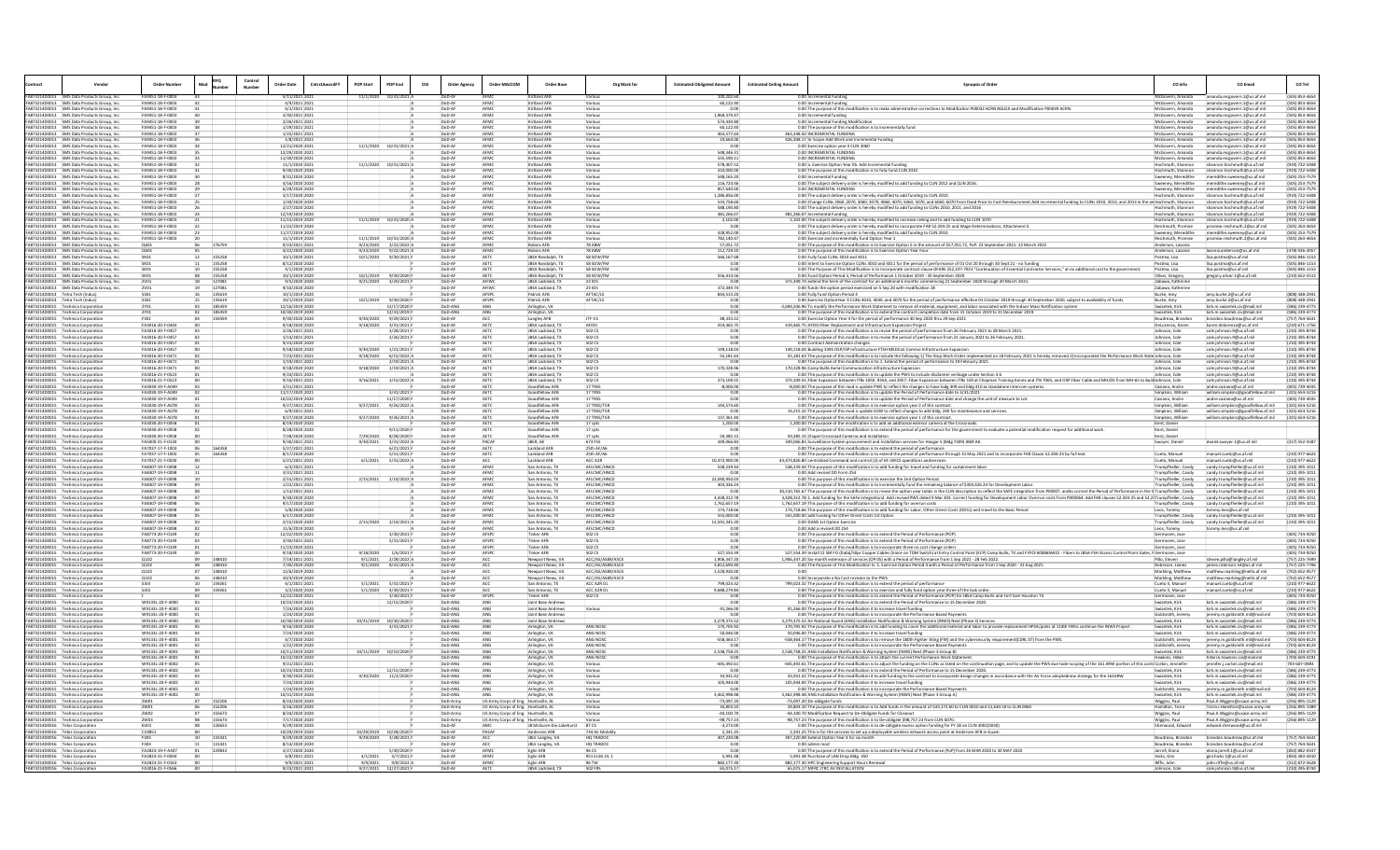|                                |                                                                                           |                                      |                  | Control<br><b>Order Date</b><br>CntrctAv<br>Number | POP End<br><b>POP Start</b>                              | OSI<br><b>Order Agency</b>      | Order MAJCOM                                                               | Order Bas                                           | Org Mark for                        | <b>Estimated Obligated Amount</b> | <b>Estimated Ceiling Amount</b> | <b>Synopsis of Orde</b>                                                                                                                                                                                                                                                                                                                                                                                                                         | CO Info                                    | CO Emai                                                                | CO Tel                          |
|--------------------------------|-------------------------------------------------------------------------------------------|--------------------------------------|------------------|----------------------------------------------------|----------------------------------------------------------|---------------------------------|----------------------------------------------------------------------------|-----------------------------------------------------|-------------------------------------|-----------------------------------|---------------------------------|-------------------------------------------------------------------------------------------------------------------------------------------------------------------------------------------------------------------------------------------------------------------------------------------------------------------------------------------------------------------------------------------------------------------------------------------------|--------------------------------------------|------------------------------------------------------------------------|---------------------------------|
| FA873214D00*                   | roducts Group, In<br>FA873214D0013 SMS Data Products Group, In                            | A9451-18-F-00<br>FA9451-18-F-0003    |                  | 4/9/2021 2021                                      | 11/1/2020                                                | DoD-AF                          | AFM                                                                        | <b>Grtland AFB</b>                                  |                                     | 60,122.40                         |                                 | 0.00 Incremental Funding                                                                                                                                                                                                                                                                                                                                                                                                                        | McGovern, Amanda                           | amanda.mcgovern.1@us.af.mil<br>amanda.mcgovern.1@us.af.mil             | (505) 853-465<br>(505) 853-4654 |
|                                | <b>EAR73214D0013 SMS Data Products Group Inc.</b>                                         | FA9451-18-F-0003                     |                  | 4/1/2021 2021                                      |                                                          | DoD-AF                          | <b>AFMO</b>                                                                | Kirtland AFR                                        | Various                             | 00                                |                                 | 0.00 The purpose of this modification is to make administrative corrections to Modification P00032 ACRN BGLOA and Modification P00039 ACRN.                                                                                                                                                                                                                                                                                                     | McGovern Amanda                            | amanda.mcgovern.1@us.af.mil                                            | 5051853-4654                    |
|                                | FA873214D0013 SMS Data Products Group, Inc<br>FA873214D0013 SMS Data Products Group, Inc. | A9451-18-F-0003<br>A9451-18-F-000    |                  | 3/30/2021 2021<br>2/26/2021 202                    |                                                          | DoD-AF<br>$DnD-AI$              | AFM<br>AFM                                                                 | Kirtland AFB<br>Grtland AFI                         | Variou:                             | 1.969.379.47<br>574,430.8         |                                 | 0.00 Incremental funding<br>0.00 Incremental Funding Modification                                                                                                                                                                                                                                                                                                                                                                               | McGovern, Amanda<br>McGovern, Amanda       | amanda.mcgovern.1@us.af.mil                                            | (505) 853-4654<br>(505) 853-465 |
|                                | FA873214D0013 SMS Data Products Group, Inc                                                | FA9451-18-F-0003                     |                  | 1/29/2021 2021                                     |                                                          | DoD-AF                          | AFM                                                                        | Kirtland AFR                                        |                                     | 60 122 40                         |                                 | 0.00 The purpose of this modification is to incrementally fund<br>463,348.50 INCREMENTAL FUNDING                                                                                                                                                                                                                                                                                                                                                | McGovern, Amanda                           | amanda.mcgovern.1@us.af.m<br>amanda.mcgovern.1@us.af.mil               | 5051853-4654                    |
|                                | A873214D0013 SMS Data Products Group, Inc.<br>FAR73214D0013 SMS Data Products Group, In   | A9451-18-F-000<br>EA9451-19-E-0002   |                  | 1/25/2021 2021<br>1/8/2021 2021                    |                                                          | oD-Al<br>DoD-AF                 | AFM<br><b>AEMA</b>                                                         | Kirtland AF<br>Kirtland AFB                         | Variou:<br>Varios                   | 163,577.64<br>24,664.00           |                                 |                                                                                                                                                                                                                                                                                                                                                                                                                                                 | McGovern, Amanda                           | amanda.mcgovern.1@us.af.mi                                             | 505) 853-465<br>(505) 853-4654  |
|                                | FA873214D0013 SMS Data Products Group, Inc.                                               | FA9451-18-F-0003                     |                  | 12/21/2020 2021                                    | 11/1/2020 10/31/2021 A                                   | DoD-AF                          | AFM                                                                        | Kirtland AFB                                        | Variou:                             | 00                                |                                 | 426,308.17 In-Scope Add Work and Incremental Funding<br>0.00 Exercise option year II CLIN 3060                                                                                                                                                                                                                                                                                                                                                  | McGovern, Amanda<br>McGovern, Amanda       | amanda.mcgovern.1@us.af.mil<br>amanda.mcgovern.1@us.af.mil             | (505) 853-4654                  |
|                                | FA873214D0013 SMS Data Products Group, Inc                                                | A9451-18-F-0003                      |                  | 12/29/2020 2021                                    |                                                          | DoD-Al                          | AFM                                                                        | Kirtland AFB                                        | Variou:                             | 548.346.31                        |                                 | 0.00 INCREMENTAL FUNDING                                                                                                                                                                                                                                                                                                                                                                                                                        | McGovern, Amanda                           | amanda.mcgovern.1@us.af.mi                                             | (505) 853-465                   |
| FA873214D0013                  | SMS Data Products Group, Inn<br>FAR73214D0013 SMS Data Products Group In                  | 49451-18-F-000<br>FA9451-18-F-0003   |                  | 1/30/2020 20<br>11/1/2020 2021                     | 11/1/2020 10/31/2021 A                                   | 0 <sub>0</sub><br>DoD-AF        | AFM<br><b>AFMO</b>                                                         | Kirtland AFI<br>Kirtland AFR                        | Variou                              | 535,590.1<br>578 407 52           |                                 | <b>DO INCREMENTAL FUNDING</b><br>0.00 a. Exercise Option Year IIb. Add Incremental Funding                                                                                                                                                                                                                                                                                                                                                      | McGovern, Amanda<br>Hochmuth Shannon       | amanda.mcgovern.1@us.af.mi<br>shannon hochmuth@us af mil               | 505) 853-465<br>9191722-5408    |
|                                | FA873214D0013 SMS Data Products Group, Inc                                                | FA9451-18-F-0003                     |                  | 9/30/2020 2020                                     |                                                          | DoD-AF                          | AFMC                                                                       | Kirtland AFB                                        | Variou:                             | 310,000.00                        |                                 | 0.00 The purpose of this modification is to fully fund CLIN 2010                                                                                                                                                                                                                                                                                                                                                                                | Hochmuth, Shannon                          | shannon.hochmuth@us.af.mil                                             | (919) 722-540                   |
|                                | FAB73214D0013 SMS Data Products Group. In<br>FA873214D0013 SMS Data Products Group, Inc.  | FA9451-18-F-0003<br>FA9451-18-F-0003 |                  | 8/31/2020 2020<br>4/16/2020 2020                   |                                                          | DoD-AF<br>DoD-AF                | <b>AFM</b><br>AFMO                                                         | Kirtland AFR<br>Kirtland AFB                        | Variou:                             | 548 165 20<br>116,724.46          |                                 | ntal Funding<br>0.00 The subject delivery order is hereby modified to add funding to CLIN 2012 and CLIN 2016.                                                                                                                                                                                                                                                                                                                                   | Sweeney, Meredithe<br>Sweeney, Meredithe   | eredithe.sweeney@us.af.m<br>meredithe.sweenev@us.af.mi                 | 5051253-7579<br>(505) 253-7579  |
|                                | A873214D0013 SMS Data Products Group, Inc.                                                | A9451-18-F-0003                      |                  | 6/29/2020 2020                                     |                                                          | DoD-AF                          | AFM                                                                        | Kirtland AFB                                        | Variou:                             | 857,640.00                        |                                 | 0.00 INCREMENTAL FUNDING                                                                                                                                                                                                                                                                                                                                                                                                                        | Sweeney, Meredithe                         | meredithe.sweeney@us.af.m                                              | (505) 253-757                   |
| FA873214D0013                  | KMS Data Products Group, In                                                               | 10451-19-6-000                       |                  | 3/17/2020 202                                      |                                                          | 0 <sub>0</sub>                  | AFM                                                                        | Kirtland AFI                                        |                                     | 1,286,856.0                       |                                 | 0.00 The subject delivery order is hereby modified to add funding to CLIN 2010                                                                                                                                                                                                                                                                                                                                                                  |                                            |                                                                        | 919) 722-540                    |
|                                | FA873214D0013 SMS Data Products Group, In<br>FA873214D0013 SMS Data Products Group, Inc   | FA9451-18-F-0003                     |                  | 1/30/2020 2020<br>2/27/2020 2020                   |                                                          | DoD-AF<br>DoD-AF                | AFM                                                                        | Kirtland AFB                                        | Variou:                             | 533,758.60                        |                                 | 0.00 Change CLINs 2060 ,2070, 3060, 3070, 4060, 4070, 5060, 5070, and 6060, 6070 from Fixed Price to Cost Reimbursment.Add incremental funding to CLINs 2010, 2012, and 2013 in the arrivochmuth, Shannon                                                                                                                                                                                                                                       |                                            | shannon.hochmuth@us.af.mi                                              | 919) 722-5408<br>(919) 722-540  |
|                                | FAB73214D0013 SMS Data Products Group. In                                                 | FA9451-18-F-0003<br>FA9451-18-F-0003 |                  | 12/19/2019 2020                                    |                                                          | DoD-AF                          | AFM<br><b>AFM</b>                                                          | Kirtland AFB<br>Kirtland AFR                        | Variou:<br>Varios                   | 588,190.80<br>481.266.07          |                                 | 0.00 The subject delivery order is hereby modified to add funding to CLINs 2010, 2011, and 2016<br>481,266.07 Incremental Funding                                                                                                                                                                                                                                                                                                               | Hochmuth, Shannon<br>Hochmuth Shannor      | shannon.hochmuth@us.af.mi<br>shannon bochmuth@us af mi                 | 9191722-5408                    |
|                                | FA873214D0013 SMS Data Products Group, Inc.                                               | FA9451-18-F-0003                     |                  | 11/15/2019 2020                                    | 11/1/2019 10/31/2020 A                                   | DoD-AF                          | <b>AFM</b>                                                                 | Kirtland AFB                                        | Variou:                             | 2,102.00                          |                                 | 2.102.00 The subject delivery order is hereby modified to increase ceiling and to add funding to CUN 1070                                                                                                                                                                                                                                                                                                                                       | Hochmuth, Shannon                          | shannon.hochmuth@us.af.mil                                             | 919) 722-5408                   |
|                                | FA873214D0013 SMS Data Products Group, Inc<br>FA873214D0013 SMS Data Products Group, In   | A9451-18-F-0003<br>A9451-18-F-0003   |                  | 11/22/2019 2020<br>1/27/2019 202                   |                                                          | DoD-Al<br>$DnD-A8$              | AFM<br>AFM                                                                 | Kirtland AF<br>Kirtland AFB                         | Variou:                             | 428,952.00                        |                                 | 0.00 The subject delivery order is hereby modified to incorporate FAR 52.204-25 and Wage Determinations, Attachment 5.<br>0.00 The subject delivery order is hereby modified to add funding to CLIN 2010                                                                                                                                                                                                                                        | Reichmuth, Promise<br>Sweeney, Meredithe   | promise.reichmuth.2@us.af.m<br>eredithe.sweeney@us.af.m                | (505) 263-465<br>(505) 253-757  |
|                                | FA873214D0013 SMS Data Products Group, In                                                 | FA9451-18-F-0003                     |                  | 11/1/2019 2020                                     | 11/1/2019<br>10/31/2020 /                                | DoD-AF                          | AFM                                                                        | Kirtland AFB                                        | Variou                              | 782,140.47                        |                                 | 0.00 Exercise and incrementally fund Option Year 1                                                                                                                                                                                                                                                                                                                                                                                              | Reichmuth, Promise                         | promise.reichmuth.2@us.af.mi                                           | (505) 263-4654                  |
|                                | FA873214D0013 SMS Data Products Group, Inc<br>FAR73214D0013 SMS Data Products Group In    | 0601<br>0601                         | 176759           | 9/23/2021 2021<br>4/22/2020 2020                   | 3/22/2022<br>9/23/2020<br>9/23/2020<br>9/22/2021         | DoD-AF<br>DoD-AF                | <b>AFM</b><br><b>AFMO</b>                                                  | Robins AFB<br><b>Robins AFR</b>                     | <b>78 ABW</b><br><b>78 ARW</b>      | 57,051.72<br>112 729 20           |                                 | 0.00 The purpose of this modification is to Exercise Option 5 in the amount of \$57,051.72, PoP: 23 September 2021-22 March 2022                                                                                                                                                                                                                                                                                                                | Anderson, Lasonia<br>Anderson Lasonia      | asonia anderson@us af mi                                               | (478) 926-205                   |
|                                | FA873214D0013 SMS Data Products Group, Inc                                                | SK01                                 | 155258           | 10/1/2020 2021                                     | 10/1/2020 9/30/2021 F                                    | DoD-AF                          | AETO                                                                       | JBSA Randolph, TX                                   | 58 SOW/FM                           | 566,167.68                        |                                 | 0.00 The purpose of this modification is to Exercise Option Year Four<br>0.00 Fully fund CLINs 3010 and 3011                                                                                                                                                                                                                                                                                                                                    | Postma, Lisa                               | lisa.postma@us.af.mil                                                  | (505) 846-1153                  |
|                                | FA873214D0013 SMS Data Products Group, Inc                                                |                                      | 155258           | 8/12/2020 2020                                     |                                                          | DoD-AF                          | AET                                                                        | JBSA Randolph, T.                                   | 58 SOW/FM                           | 0.00                              |                                 | 0.00 Intent to Exercise Option CLINs 3010 and 3011 for the period of performance of 01 Oct 20 through 30 Sept 21 - no funding                                                                                                                                                                                                                                                                                                                   | ostma, Lisa                                | lisa.postma@us.af.mil                                                  | (505) 846-115                   |
|                                | FA873214D0013 SMS Data Products Group, Inc<br>FA873214D0013 SMS Data Products Group, Inc. |                                      | 155258<br>155258 | 4/1/2020 2020<br>10/1/2019 2020                    | 9/30/2020<br>10/1/2019                                   | DoD-AF<br>DoD-AF                | AET<br>AFT                                                                 | JBSA Randolph, TX<br>JBSA Randolph, T.              | <b>SR SOW/FM</b><br>58 SOW/FN       | 000<br>556,414.56                 |                                 | 0.00 The Purpose of This Modification is to Incorporate contract clause DFARS 252.237-7023 "Continuation of Essential Contractor Services," at no additional cost to the government.<br>0.00 Fund Option Period 3. Period of Performance 1 October 2019 - 30 September 2020.                                                                                                                                                                    | Postma, Lisa<br>Olivar, Gregory            | lisa.postma@us.af.mil                                                  | (505) 846-115                   |
|                                | FA873214D0013 SMS Data Products Group, Inc.                                               |                                      | 127081           | 9/5/2020 2020                                      | 9/21/2020<br>3/20/2021                                   | DoD-Al                          | AFIW                                                                       | JBSA Lackland, TX                                   | <b>2310S</b>                        |                                   |                                 | 372,349.74 extend the term of the contract for an additional 6 months commencing 21 September 2020 through 20 March 2021.                                                                                                                                                                                                                                                                                                                       | Zabawa, Katherin                           | gregory.olivar.1@us.af.mil                                             | (210) 652-5513                  |
|                                | FA873214D0013 SMS Data Products Group, Inc.<br>FA873214D0014 Tetra Tech (Indus)           | 7vn1                                 | 127081<br>135619 | 9/10/2020 2020                                     |                                                          | DoD-AF                          | AFIW                                                                       | JBSA Lackland, TX                                   | <b>23105</b>                        | 372, 349.74                       |                                 | 0.00 funds the option period exercised on 5 Sep 20 with modification 18                                                                                                                                                                                                                                                                                                                                                                         | Zabawa, Katherine                          |                                                                        | (808) 448-29                    |
|                                | FA873214D0014 Tetra Tech (Indu                                                            | \$301                                | 135619           | 10/1/2019 2020<br>10/1/2019 2020                   | 9/30/2020<br>10/1/2019                                   | OD-AF<br>DoD-AF                 | AFSP<br>AFSP                                                               | Patrick AFB<br>Patrick AFB                          | AFTAC/LS<br>AFTAC/LS                | 844,513.20<br>0.00                |                                 | 0.00 Fully fund Option Period 4<br>0.00 Exercise OptionYear 4 CLINs 4010, 4040, and 4070 for the period of performance effective 01 October 2019 through 30 September 2020, subject to availability of funds                                                                                                                                                                                                                                    | Burke, Amy<br>Burke, Amy                   | amy.burke.2@us.af.mil<br>amy.burke.2@us.af.mil                         | (808) 448-294                   |
|                                | FAR73214D0015 Technica Cornoratio                                                         |                                      | 185459           | 12/16/2019 2020                                    | 12/17/2020 F                                             | DoD-ANG                         | ANG                                                                        | Arlington, VA                                       |                                     | 00                                |                                 | -2,694,506.96 To modify the Performance Work Statement to remove all material, equipment, and labor associated with the Indoor Mass Notification system                                                                                                                                                                                                                                                                                         | Swiantek, Kirk                             | kirk.m.swiantek.civ@mail.m                                             | 5861239-477                     |
| FA873214D0015<br>FA873214D0015 | Technica Corporatio<br>Technica Corporatio                                                |                                      | 185459<br>150459 | 10/30/2019 2020<br>9/30/2020 202                   | 12/31/2019<br>9/30/2020<br>9/29/2021                     | DoD-ANO<br>DoD-AF               |                                                                            | Arlington, VA                                       | $JTF-C$                             | 48,333.2                          |                                 | 0.00 The purpose of this modification is to extend the contract completion date from 31 October 2019 to 31 December 2019.                                                                                                                                                                                                                                                                                                                       | Swiantek, Kirk<br>Boudreau, Brand          | kirk.m.swiantek.civ@mail.mi<br>brandon.boudreau@us.af.m                | (586) 239-477<br>(757) 764-563  |
| FAR73214D0015                  | Technica Corporatio                                                                       | FA3016-20-F-044                      |                  | 9/18/2020 2020                                     | 3/31/2021<br>9/18/2020                                   | DoD-AF                          | AET                                                                        | Langley AFB<br><b>BSA Lackland, T</b>               | AFO:                                | 419,465.75                        |                                 | 0.00 Exercise Option Year 4 for the period of performance 30 Sep 2020 thru 29 Sep 2021                                                                                                                                                                                                                                                                                                                                                          | DeLorenzo, Karen                           | karen.delorenzo@us.af.mi                                               | 210) 671-175                    |
| FA873214D0015                  | Technica Corporatio                                                                       | A3016-20-F-045                       |                  | 2/26/2021 2021                                     | 3/28/2021                                                | DoD-Al                          | AET                                                                        | <b>IBSA Lackland, TJ</b>                            | $502 \, \text{CS}$                  | 0.0                               |                                 | 419,465.75 AFOSI Fiber Replacement and Infrastructure Expansion Project<br>0.00 The purpose of this modification is to revise the period of performance from 26 February 2021 to 28 March 2021.                                                                                                                                                                                                                                                 | Johnson, Cole                              | cole.johnson.9@us.af.mi                                                | (210) 395-874                   |
|                                | FA873214D0015 Technica Corporatio<br>FA873214D0015 Technica Corporatio                    | FA3016-20-F-0457<br>FA3016-20-F-0457 |                  | 1/14/2021 2021<br>9/23/2020 2020                   | 2/26/2021                                                | DoD-AF<br>DoD-AF                | AET<br>AET                                                                 | <b>JBSA Lackland, TX</b><br>JBSA Lackland, TX       | 502 <sup>o</sup><br>502 CS          | 0.00<br>00                        |                                 | 0.00 The purpose of this modification is to revise the period of performance from 21 January 2021 to 26 February 2021.<br>0.00 Contract Administration changes.                                                                                                                                                                                                                                                                                 | Johnson, Cole<br>Johnson, Cole             | cole.johnson.9@us.af.mi<br>cole.iohnson.9@us.af.mi                     | 210) 395-874<br>210) 395-8744   |
| FA873214D0015                  | Technica Corporatio                                                                       | A3016-20-F-045                       |                  | 9/18/2020 2020                                     | 1/21/2021<br>9/30/2020                                   | DoD-Al                          | <b>AET</b>                                                                 | <b>IBSA Lackland</b> , TJ                           | 502 C                               | 149,118.04                        |                                 | 149,118.04 Building 3395 OSP/ISP Infrastructure FTSH MEDCoE Commo Infrastructure Expansion                                                                                                                                                                                                                                                                                                                                                      | Johnson, Cole                              | cole.johnson.9@us.af.mi                                                | (210) 395-874                   |
| FA873214D0015                  | Technica Corporatio                                                                       | A3016-20-F-047                       |                  | 7/23/2021 202                                      | 9/18/2020<br>6/15/2022                                   | DoD-AF                          |                                                                            | <b>BSA Lackland, T</b>                              | 502 C                               | 55,181.63                         |                                 | 55,181.63 The purpose of this modification is to include the following:1) The Stop Work Order implemented on 18 February 2021 is hereby removed.2) Incorporated the Performance Work State Johnson, Cole                                                                                                                                                                                                                                        |                                            | cole.johnson.9@us.af.mi                                                | (210) 395-874                   |
| FA873214D0015                  | FAR73214D0015 Technica Cornoratio<br>Technica Corporatio                                  | FA3016-20-F-047<br>A3016-20-F-047    |                  | 1/19/2021 2021<br>9/18/2020 202                    | 2/19/2021<br>$9/18/2020$ $1/19/2021$ A                   | DoD-AF                          | AFT                                                                        | <b>IRSA Lackland TX</b><br><b>IBSA Lackland, T.</b> | 502.03<br>502 C                     | 00<br>170,328.96                  |                                 | 0.00 The purpose of this modification is to:1. Extend the period of performance to 19 February 2021.<br>170,328.96 Camp Bullis Aerial Communication Infrastructure Expansion                                                                                                                                                                                                                                                                    | Johnson Cole<br>Johnson, Cole              | cole.iohnson.9@us.af.mi<br>cole.johnson.9@us.af.mi                     | 2101395-8744<br>210) 395-874    |
|                                | FAR73214D0015 Technica Corporatio                                                         | FA3016-21-F-0523                     |                  | 9/24/2021 2021                                     |                                                          | DoD-AF                          | AET                                                                        | JBSA Lackland, TX                                   | 502.03                              | 000                               |                                 | 0.00 The purpose of this modification is to update the PWS to include disclaimer verbiage under Section 3.6                                                                                                                                                                                                                                                                                                                                     |                                            | cole.johnson.9@us.af.mi                                                | (210) 395-8744                  |
| FA873214D0015                  | FA873214D0015 Technica Corporatio                                                         | FA3016-21-F-0523<br>A3030-19-F-A049  |                  | 9/16/2021 2021<br>3/31/2021 2021                   | $9/16/2021$ $3/15/2022$                                  | DoD-AF<br>DoD-Al                | AET                                                                        | JBSA Lackland, TX                                   | 502 CS                              | 373.109.55                        |                                 | 373,109.55 Fiber Expansion between ITBs 1050, 935A, and 2057; Fiber Expansion between ITBs 100 at Chapman Training Annex and ITB 7065; and OSP Fiber Cable and MH/DS from MH-65 to BuildJohnson, Cole                                                                                                                                                                                                                                           |                                            | cole.iohnson.9@us.af.mil                                               | (210) 395-8744<br>(405) 739-403 |
| FA873214D0015                  | Technica Corporatio<br>Technica Corporatio                                                | FA3030-19-F-A04                      |                  | 1/17/2020 202                                      | 3/31/2021                                                | DoD-AF                          |                                                                            | Goodfellow AFB<br>oodfellow AFE                     | 17 TRS                              | $-8,000.00$                       |                                 | -8,000.00 The purpose of this mod is update PWS to reflect the changes to have bidg 409 and bldg 410 as standalone intercom systems.<br>0.00 The purpose of this modification is to update the Period of Performance date to 3/31/2021                                                                                                                                                                                                          | Casiano, Andre<br>Simpkins, Willia         | andre.casiano@us.af.mil<br>william.simpkins@goodfe                     | (325) 654-521                   |
|                                | FA873214D0015 Technica Corporation                                                        | FA3030-19-F-A049                     |                  | 10/22/2019 2020                                    | 11/17/2020 F                                             | DoD-AF                          | <b>AET</b>                                                                 | Goodfellow AFB                                      | 17 TRSS                             | 00                                |                                 | 0.00 The purpose of this modification is to update the Period of Performance date and change the unit of measure to Lot.                                                                                                                                                                                                                                                                                                                        | Casiano, Andre                             | andre.casiano@us.af.mil                                                | (405) 739-403                   |
| FA873214D0015                  | Fechnica Corporatio<br>FA873214D0015 Technica Corporatio                                  | A3030-19-F-A078<br>FA3030-19-F-A078  |                  | 9/27/2021 202<br>6/9/2021 2021                     | $9/27/2021$ $9/26/2022$                                  | DoD-AF                          | AFT                                                                        | podfellow AFE<br><b>Goodfellow AFR</b>              | 17 TRSS/TSR                         | 144,574.60<br>000                 |                                 | 0.00 The purpose of this modification is to exercise option year 2 of this contract.<br>14,215.32 The purpose of this mod is update SOW to reflect changes to add bldg. 240 for maintenance and services.                                                                                                                                                                                                                                       | Simpkins, William<br>Simpkins, William     | william.simpkins@goodfellow.af.m<br>william.simpkins@goodfellow.af.mil | (325) 654-521<br>(325) 654-521  |
|                                | FA873214D0015 Technica Corporatio                                                         | FA3030-19-F-A078                     |                  | 9/27/2020 2020                                     | 9/27/2020<br>9/26/2021 A                                 | DoD-AF                          | AETO                                                                       | Goodfellow AFB                                      | 17 TRSS/TSR                         | 137, 361, 40                      |                                 | 0.00 The purpose of this modification is to exercise option year 1 of this contract.                                                                                                                                                                                                                                                                                                                                                            | Simpkins, William                          | william.simpkins@goodfellow.af.mil                                     | (325) 654-5216                  |
| FA873214D0015                  | Technica Corporatio                                                                       | A3030-20-F-0058                      |                  | 8/19/2020 2020                                     | 111/2020                                                 | DoD-Al                          | AET                                                                        | oodfellow AFB                                       | 17 cpts                             | 1,200.00                          |                                 | 1,200.00 The purpose of the modification is to add an additional exterior camera at the Crossroads.                                                                                                                                                                                                                                                                                                                                             | Kent, Daniel                               |                                                                        |                                 |
| FA873214D0015                  | Technica Corporatio<br>FA873214D0015 Technica Corporation                                 | FA3030-20-F-0058<br>FA3030-20-F-0058 |                  | 8/28/2020 2020<br>7/28/2020 2020                   | 7/29/2020<br>8/28/2020 F                                 | DoD-AF<br>DoD-AF                | AET<br><b>AET</b>                                                          | Goodfellow AFB<br>oodfellow AFB                     | 17 cpt                              | 0.00<br>59.385.19                 |                                 | 0.00 The purpose of this modification is to extend the period of performance for the government to evaluate a potential modification request for additional work<br>59.385.15 Chapel Crossroad Cameras and Installation                                                                                                                                                                                                                         | Kent, Danie<br>Kent, Daniel                |                                                                        |                                 |
| FA873214D0015                  | echnica Corporatio                                                                        | AS000-21-F-013                       |                  | 9/30/2021 202                                      | 9/30/2021<br>3/31/2022                                   | DoD-Al                          | PACA                                                                       | <b>JBER, AK</b>                                     |                                     | 349,066.83                        |                                 | 349,066.83 Surveillance System procurement and Installation services for Hangar 5 (Bldg 7309) JBER AK.                                                                                                                                                                                                                                                                                                                                          | Swoyer, Daniel                             | daniel.swoyer.1@us.af.mil                                              | (317) 552-558                   |
|                                | FAB73214D0015 Technica Corporatio<br>FA873214D0015 Technica Corporation                   | FA7037-17-F-1003<br>FA7037-17-F-1003 | 164259<br>164358 | 5/27/2021 2021<br>8/17/2020 2020                   | $6/21/2021$ F<br>5/31/2021 F                             | DoD-AF<br>DoD-AF                | AFTO<br>AETO                                                               | Lackland AFB<br>Lackland AFB                        | 25th AF/A6<br>25th AF/A6            | 0.00<br>0.00                      |                                 | 0.00 The purpose of this modification is to extend the period of performance<br>0.00 The purpose of this modification is to extend the period of performance through 31 May 2021 and to incorporate FAR Clause 52.204-25 by full text.                                                                                                                                                                                                          | Cueto, Manuel                              | manuel.cueto@us.af.mil                                                 | (210) 977-662                   |
| FA873214D0015                  | Technica Corporatio                                                                       | A7037-21-F-003                       |                  | 5/21/2021 2021                                     | $6/1/2021$ $5/31/2022$ A                                 | DoD-Al                          |                                                                            | ackland AFE                                         | ACC A2R                             | 10,472,900.0                      |                                 | 43,473,826.80 centralized Command and control (2) of AF JWICS operations andservices                                                                                                                                                                                                                                                                                                                                                            | Cueto, Manue                               | manuel.cueto@us.af.mil                                                 | (210) 977-662                   |
| FA873214D0015                  | Technica Corporatio                                                                       | A8307-19-F-0098                      |                  | 6/3/2021 2021                                      |                                                          | DoD-AF                          | AFM                                                                        | San Antonio, 1                                      | AFLCMC/HNC                          | 538,239.44                        |                                 | 538,239.44 This purpose of this modification is to add funding for travel and funding for sustainment labor                                                                                                                                                                                                                                                                                                                                     | Trumpfheller, Candy                        | candy.trumpfheller@us.af.m                                             | (210) 395-101                   |
| FA873214D0015<br>FA873214D0015 | Technica Corporation<br>Technica Corporatio                                               | FA8307-19-F-0098<br>A8307-19-F-0098  |                  | 3/31/2021 2021<br>2/15/2021 2021                   | 2/15/2021 2/14/2022 A                                    | $D \cap D - \Delta F$<br>DoD-AF | AFM<br>AFM                                                                 | San Antonio, TX<br>San Antonio, T)                  | AFLCMC/HNCL<br>AFLCMC/HNCL          | 22,040,950.03                     |                                 | 0.00 Add revised DD Form 254<br>0.00 This purpose of this modification is to exercise the 2nd Option Period.                                                                                                                                                                                                                                                                                                                                    | Trumpfheller, Candy<br>Trumpfheller, Candy | candy.trumpfheller@us.af.mi<br>candy.trumpfheller@us.af.mi             | 210) 395-101<br>(210) 395-101   |
|                                | FAR73214D0015 Technica Cornoratio                                                         | FA8307-19-F-0098                     |                  | 1/22/2021 2021                                     |                                                          | DoD-AF                          | AFM                                                                        | San Antonio TX                                      | AFLCMC/HNCL                         | 303,426.24                        |                                 | 0.00 The purpose of this modification is to incrementally fund the remaining balance of \$303,426.24 for Development Labor.                                                                                                                                                                                                                                                                                                                     | Trumnfheller Candy                         | candy.trumpfheller@us.af.mi                                            | 2101395-101                     |
| FA873214D0015<br>FA873214D0015 | Technica Corporation<br>Technica Corporatio                                               | FA8307-19-F-0098<br>A8307-19-F-009   |                  | 1/13/2021 2021<br>9/30/2020 202                    |                                                          | DoD-AF<br>DoD-Al                | AFM<br>AFM                                                                 | San Antonio, TX<br>San Antonio, T                   | AFLCMC/HNCI<br>AFLCMC/HNC           | 0.00<br>3,428,312.78              |                                 | 30,510,765.67 The purpose of this modification is to revise the option year totals in the CLIN description to reflect the SAFE integration from P00007, andto correct the Period of Performance in the STrumpfheller, Candy<br>3,428,312.78 1. Add funding for the SAFe Integration2. Add revised PWS dated 9 Mar 203. Correct funding for Development Labor Overrun costs from P000064. Add FAR clauses 52.204-25 and 52.23Trumpfheller, Candy |                                            | candy.trumpfheller@us.af.mi<br>candy.trumpfheller@us.af.m              | (210) 395-101<br>(210) 395-101  |
| FAR73214D0015                  | Technica Corporatio                                                                       | 48307-19-F-0098                      |                  | 9/17/2020 2020                                     |                                                          | DoD-AF                          | AFM                                                                        | San Antonio. T                                      | AFLCMC/HNCL                         | 1.762.657.19                      |                                 | ,762,657.19 This purpose of this modification is to add funding for overrun costs                                                                                                                                                                                                                                                                                                                                                               | Trumpfheller, Candy                        | candy.trumpfheller@us.af.m                                             | (210) 395-101                   |
| FA873214D0015                  | Technica Corporatio                                                                       | FA8307-19-F-0098                     |                  | 5/8/2020 2020                                      |                                                          | DoD-AF                          | AFM                                                                        | San Antonio, T                                      | AFLCMC/HNCL                         | 174,718.66                        |                                 | 174,718.66 This purpose of this modification is to add funding for Labor, Other Direct Costs (ODCs) and travel to the Basic Period                                                                                                                                                                                                                                                                                                              | Leos. Tommy                                | tommy.leos@us.af.mil                                                   |                                 |
| FA873214D0015                  | Technica Corporatio<br>FA873214D0015 Technica Corporatio                                  | A8307-19-F-009<br>FA8307-19-F-0098   |                  | 6/17/2020 2020<br>2/15/2020 2020                   | 2/15/2020 2/14/2021 /                                    | DoD-AF                          | AFM                                                                        | an Antonio, TX<br>San Antonio, TX                   | AFLCMC/HNCI<br>AFLCMC/HNCD          | 555,000.0<br>13,591,345.20        |                                 | 555,000.00 add funding for Other Direct Costs 1st Option<br>0.00 DANS 1st Option Exercise                                                                                                                                                                                                                                                                                                                                                       | Trumpfheller, Candy<br>Trumpfheller, Candy | candy.trumpfheller@us.af.mi<br>candy.trumpfheller@us.af.mi             | (210) 395-10<br>(210) 395-101   |
| FA873214D0015                  | Technica Corporation                                                                      | FA8307-19-F-009                      |                  | 11/6/2019 2020                                     |                                                          | DoD-AF                          | AFM                                                                        | an Antonio, TX                                      | AFLCMC/HNCD                         | 0.0                               |                                 | 0.00 Add a revised DD 254                                                                                                                                                                                                                                                                                                                                                                                                                       | Leos, Tommy                                | tommy.leos@us.af.mil                                                   |                                 |
| FA873214D0015                  | Technica Corporatio<br>FA873214D0015 Technica Corporatio                                  | FA8773-20-F-0149<br>FA8773-20-F-0149 |                  | 12/22/2020 2021<br>3/30/2021 2021                  | 3/30/2021<br>5/31/2021                                   | DoD-AF<br>DoD-AF                | AFSP<br>AFSP                                                               | Tinker AFB<br>Tinker AFR                            | 502 <sup>o</sup><br>502.05          | 0.00                              |                                 | 0.00 The purpose of this modification is to extend the Period of Performance (POP)<br>0.00 The purpose of this modification is to extend the Period of Performance (POP)                                                                                                                                                                                                                                                                        | Germosen, Jose<br>Germosen Inse            |                                                                        | (405) 734-92<br>(405) 734-925   |
| FA873214D0015                  | Technica Corporatio                                                                       | FA8773-20-F-0149                     |                  | 11/23/2020 2021                                    |                                                          | DoD-AF                          | AFSP                                                                       | Tinker AFB                                          | 502 CS                              |                                   |                                 | 0.00 The purpose of this modification is to incorporate three no cost change orders                                                                                                                                                                                                                                                                                                                                                             | Germosen, Jose                             |                                                                        | (405) 734-925                   |
| FA873214D0015                  | Technica Corporatio                                                                       | A8773-20-F-0149                      | 148410           | 9/18/2020 202                                      | 9/18/2020<br>1/6/2021                                    |                                 |                                                                            | inker AFB                                           |                                     | 527,554.3                         |                                 | 527,554.39 Install 12 SM FO (Data)/SOpr Copper Cables (Voice on TDM Switch) at Entry Control Point (ECP) Camp Bullis, TX and F3YCFA0086AW01 - Fibers to JBSA-FSH Access Control Point Gates, FGermosen, Jose                                                                                                                                                                                                                                    |                                            |                                                                        | 405) 734-925                    |
| FA873214D0015                  | FA873214D0015 Technica Corporatio<br>Technica Corporatio                                  | 0102<br>3102                         | 148410           | 7/19/2021 2021<br>7/30/2020 2020                   | 9/1/2021<br>$2/28/2022$ $\mu$<br>9/1/2020<br>8/31/2021 / | DoD-AF<br>DoD-AF                | ACC                                                                        | Newport News, VA<br>Newport News, VA                | ACC/AS/AS89/ASC<br>ACC/AS/AS89/ASCH | 1.906.347.20<br>3,812,694.40      |                                 | 1.906.347.20 Six-month extension of services (OP 05) with a Period of Performance from 1 Sep 2021 - 28 Feb 2022.<br>0.00 The Purpose of This Modification Is: 1. Exercise Option Period 4 with a Period of Performance from 1 Sep 2020 - 31 Aug 2021.                                                                                                                                                                                           | Pillo, Steven<br>Robinson, Jame            | steven.pillo@langley.af.mil<br>james.robinson.54@us.af.mi              | 757) 225-769<br>757) 225-7706   |
|                                | FA873214D0015 Technica Corporatio                                                         | 0102                                 | 149410           | 12/6/2019 2020                                     |                                                          | DoD-AF                          | AC                                                                         | lewport News, VA                                    | ACC/AS/AS89/ASC                     | 1,528,920.00                      |                                 |                                                                                                                                                                                                                                                                                                                                                                                                                                                 | Markling, Matthe                           | natthew.markling@nellis.af.m                                           | 7021652-957                     |
|                                | FA873214D0015 Technica Corporatio                                                         | 0102                                 | 148410<br>159261 | 10/4/2019 2020<br>4/1/2021 2021                    | $5/31/2021$ F<br>5/1/2021                                | DoD-AF<br>DoD-AF                | ACC<br>ACC                                                                 | Newport News, VA                                    | ACC/AS/AS89/ASCX<br>ACC A2R OL      | 00<br>99.023.32                   |                                 | 0.00 Incorporate a No Cost revision to the PWS.<br>799,023.32 The purpose of this modification is to extend the period of performance                                                                                                                                                                                                                                                                                                           | Markling, Matthew                          | matthew.markling@nellis.af.mi                                          | 7021 652-957<br>(210) 977-662   |
| FA873214D0015<br>FA873214D0015 | Technica Corporatio<br>Fechnica Corporatio                                                |                                      | 159261           | 3/2/2020 202                                       | 5/1/2020<br>4/30/2021                                    | DoD-AF                          |                                                                            | San Antonio, TX<br>ian Antonio, TX                  | ACC A2R OL                          | 9,688,279.84                      |                                 | 0.00 The purpose of this modification is to exercise and fully fund option year three of the task order                                                                                                                                                                                                                                                                                                                                         | Cueto II, Manuel<br>Cueto II, Manue        | manuel.cueto@us.af.mil<br>manuel.cueto@us.af.mil                       | (210) 977-662                   |
|                                | FA873214D0015 Technica Corporatio                                                         |                                      |                  | 12/22/2020 2021                                    | 3/30/2021 F                                              | DoD-AF                          | AFSPO                                                                      | Tinker AFB                                          | 502 CS                              | 00                                |                                 | 0.00 The purpose of this modification is to extend the Period of Performance (POP) for JBSA Camp Bullis and Fort Sam Houston TX.                                                                                                                                                                                                                                                                                                                | Germosen, Jose                             |                                                                        | (405) 734-9250                  |
| FA873214D0015                  | Technica Corporatio<br>FA873214D0015 Technica Corporation                                 | V9133L-20-F-4000<br>W9133L-20-F-4000 |                  | 10/23/2020 202<br>7/24/2020 2020                   | 12/15/2020                                               | DoD-ANO<br>DoD-ANG              | ANG                                                                        | oint Base Andrew<br>Joint Base Andrew               | Variou:                             | 91,266.00                         |                                 | 0.00 The purpose of this modification is to extend the Period of Performance to 15 December 2020.<br>91,266.00 The purpose of this modification it to increase travel funding                                                                                                                                                                                                                                                                   | Swiantek, Kirk<br>Swiantek, Kirk           | drk.m.swiantek.civ@mail.m<br>kirk.m.swiantek.civ@mail.mil              | (586) 239-47<br>(586) 239-477   |
|                                | FA873214D0015 Technica Corporatio                                                         | W9133L-20-F-4000                     |                  | 1/24/2020 2020                                     |                                                          | DoD-ANG                         | ANG                                                                        | Joint Base Andrews                                  |                                     | 00                                |                                 | 0.00 The purpose of this modification is to incorporate the Performance Based Payments                                                                                                                                                                                                                                                                                                                                                          | Goldsmith, Jerem                           | jeremy.m.goldsmith.mil@mail.mil                                        | (703) 604-8124                  |
| A873214D0015                   | Technica Corporation                                                                      | V9133L-20-F-4000                     |                  | 10/30/2019 2020                                    | 10/31/2019 10/30/2020                                    | DoD-ANG                         |                                                                            | Joint Base Andrews                                  |                                     | 3.279.375.52                      |                                 | 3,279,375.52 Air National Guard (ANG) Installation Notification & Warning System (INWS) Next (Phase 3) Services                                                                                                                                                                                                                                                                                                                                 | Swiantek, Kirk                             | kirk.m.swiantek.civ@mail.mil                                           | (586) 239-47                    |
| FA873214D0015                  | Technica Corporati<br>FA873214D0015 Technica Corporation                                  | V9133L-20-F-4001<br>W9133L-20-F-4001 |                  | 9/16/2020 202<br>7/24/2020 2020                    | 3/31/2021                                                | DoD-ANO<br>DoD-ANG              |                                                                            | <b>Vrlington</b> , VA<br>Arlington, VA              | ANG NOS<br>ANG NOSC                 | 170,705.92<br>50.046.00           |                                 | 170,705.92 The purpose of this modification is to add funding to cover the additional material and labor to provide replacement HPSA/poles at 114th FW to continue the INWS Project.<br>50,046.00 The purpose of this modification it to increase travel funding                                                                                                                                                                                | Swiantek, Kirl<br>Swiantek, Kirk           | kirk.m.swiantek.civ@mail.mi<br>kirk.m.swiantek.civ@mail.mil            | (586) 239-47<br>(586) 239-477   |
| FA873214D0015                  | Fechnica Corporatio                                                                       | V9133L-20-F-4001                     |                  | 4/7/2020 202                                       |                                                          | OD-ANO                          |                                                                            | <b>Vrlington</b> , V.                               | ANG NOS                             | $-558,464.1$                      |                                 | 558,464.17 The purpose of this modification is to remove the 180th Fighter Wing (FW) and the cybersecurity requirement(CDRL 07) from the PWS.                                                                                                                                                                                                                                                                                                   | Goldsmith, Jerem                           | jeremy.m.goldsmith.mil@mail.r                                          | 703) 604-812                    |
|                                | FA873214D0015 Technica Corporatio<br>FA873214D0015 Technica Corporation                   | W9133L-20-F-4001<br>W9133L-20-F-4001 |                  | 1/22/2020 2020<br>10/11/2019 2020                  | 10/11/2019 10/10/2020                                    | DoD-ANG<br>DoD-ANG              | ANG<br>ANG                                                                 | Arlington, VA<br>Arlington, VA                      | ANG NOS<br>ANG NOSO                 | 00<br>2.538.758.25                |                                 | 0.00 The purpose of this modification is to incorporate the Performance Based Payments<br>2,538,758.25 ANG Installation Notification & Warning System (INWS) Next (Phase 3 Group B)                                                                                                                                                                                                                                                             | Goldsmith, Jerem<br>Swiantek, Kirk         | emy.m.goldsmith.mil@mail.mil<br>kirk.m.swiantek.civ@mail.mil           | 7031604-812<br>(586) 239-477    |
| FA873214D0015                  | Technica Corporatio                                                                       | V9133L-20-F-4001                     |                  | 10/22/2019 2020                                    |                                                          | DoD-ANG                         |                                                                            | Arlington, VA                                       | ANG NOS                             |                                   |                                 | 0.00 The purpose of this modification is to attach the current Performance Work Statement                                                                                                                                                                                                                                                                                                                                                       | Hawkins, Hillari                           | hillari.k.hawkins.civ@mail.mi                                          | (704) 604-419                   |
| FA873214D0015                  | Technica Corporati                                                                        | V9133L-20-F-4002                     |                  | 9/21/2021 202                                      |                                                          | DoD-ANO                         |                                                                            | <b>Irlington</b> , V.                               |                                     | $-445,492.61$                     |                                 | 445,492.61 The purpose of this modification is to adjust the funding on the CLINs as listed on the continuation page, and to update the PWS due tode-scoping of the 161 ARW portion of this contr Corbin, Jenniefe                                                                                                                                                                                                                              |                                            | nnifer.j.corbin.civ@mail.mi                                            | 703-607-0983                    |
| FA873214D0015<br>FA873214D0015 | Technica Corporatio<br>Technica Corporatio                                                | V9133L-20-F-4002<br>V9133L-20-F-4002 |                  | 10/23/2020 2021<br>9/30/2020 202                   | 12/15/2020<br>$9/30/2020$ $11/2/2020$                    | DoD-ANG<br>DoD-ANO              |                                                                            | Arlington, VA<br>Arlington, VA                      | Variou:<br>Variou:                  | 33,931.42                         |                                 | 0.00 The purpose of this modification is to extend the Period of Performance to 15 December 2020.<br>33,931.42 The purpose of this modification it to add funding to the contract to incorporate design changes in accordance with the Air Force adoptednew strategy for the 161ARW.                                                                                                                                                            | Swiantek, Kirk<br>Swiantek, Kirl           | kirk.m.swiantek.civ@mail.mil<br>drk.m.swiantek.civ@mail.m              | (586) 239-477<br>(586) 239-477  |
|                                | FAR73214D0015 Technica Cornoration                                                        | W9133L-20-F-4002                     |                  | 7/24/2020 2020                                     |                                                          | DoD-ANG                         | <b>ANG</b>                                                                 | Arlington, VA                                       | Various                             | 105,944.00                        |                                 | 105,944.00 The purpose of this modification it to increase travel funding                                                                                                                                                                                                                                                                                                                                                                       | Swiantek Kirk                              | kirk m swiantek civ@mail mil                                           | 5861239-477                     |
| FA873214D0015<br>FA873214D0015 | Technica Corporatio<br>Technica Corporatio                                                | W9133L-20-F-4002<br>V9133L-20-F-4002 |                  | 1/24/2020 2020<br>10/31/2019 202                   |                                                          | DoD-ANG<br>DoD-ANG              |                                                                            | Arlington, VA                                       | Variou:                             | 3,462,998.48                      |                                 | 0.00 The purpose of this modification is to incorporate the Performance Based Payments                                                                                                                                                                                                                                                                                                                                                          | Goldsmith, Jeren<br>Swiantek, Kirk         | jeremy.m.goldsmith.mil@mail.mil<br>drk.m.swiantek.civ@mail.mil         | (703) 604-812<br>(586) 239-47   |
| FA873214D0015                  | Technica Corporatio                                                                       |                                      | 15220            | 8/24/2020 2020                                     |                                                          | DoD-Army                        | US Army Corps of Eng. Huntsville, A                                        | Arlington, VA                                       | Various                             | $-73.097.20$                      |                                 | 462,998.48 ANG Installation Notification & Warning System (INWS) Next (Phase 3 Group A)<br>-73,097.20 De-obligate funds                                                                                                                                                                                                                                                                                                                         | Wiggins, Paul                              | Paul.A.Wiggins@usace.army.m                                            | 256) 895-112                    |
| FA873214D0015                  | Technica Corporatio                                                                       | ZW01                                 | 152206           | 4/16/2020 2020                                     |                                                          | DoD-Army                        | US Army Corps of Eng. Huntsville, A                                        |                                                     | Variou:                             | 34,803.10                         |                                 | 34,803.10 The purpose of this modification is to Add funds in the amount of \$33,172.60 to CLIN 0010 and \$1,630.50 to CLIN 0060<br>-44,100.70 Modification Request to De-Obligate Funds for Closecut                                                                                                                                                                                                                                           | Hamilton, Tezra                            | Tezra.J.Hamilton@usace.army.mil                                        | (256) 895-1389                  |
| FA873214D0015                  | Technica Corporati<br>FA873214D0015 Technica Corporatio                                   | ZW03                                 | 155673<br>155674 | 8/24/2020 2020<br>7/17/2020 2020                   |                                                          | DoD-Arm<br>DoD-Arm              | US Army Corps of Eng. Huntsville, A<br>US Army Corps of Eng. Huntsville, A |                                                     |                                     | 44,100.70<br>$-98.757.23$         |                                 | -98,757.23 The purpose of this modification is to De-obligate \$98,757.23 from CLIN 0070                                                                                                                                                                                                                                                                                                                                                        | Wiggins, Pau<br>Wiggins, Paul              | Paul.A.Wiggins@usace.army.mi<br>Paul.A.Wiggins@usace.army.m            | (256) 895-112<br>(256) 895-1129 |
| FA873214D0016                  | Telos Corporation                                                                         | 6V01                                 | 126653           | 9/29/2020 2020                                     |                                                          | DoD-AF                          |                                                                            | JB McGuire-Dix-Lake                                 | 87 CS                               | $-3,273.00$                       |                                 | 0.00 The purpose of this modification is to de-obligate excess option funding for FY 18 on CLIN 3002(3030)                                                                                                                                                                                                                                                                                                                                      | Sherwood, Edward                           | edward.sherwood@us.af.mil                                              |                                 |
|                                | FA873214D0016 Telos Corporatio<br>FA873214D0016 Telos Corporatio                          | C4851<br>303                         | 131421           | 10/29/2019 2020<br>9/29/2020 2020                  | 10/29/2019 10/28/2020<br>9/29/2020 3/28/2021             | DoD-AF<br>DoD-AF                | PACAR<br>ACC                                                               | Andersen AFB                                        | 734 Air Mobil<br>HO TRADOC          | 2,341.25                          |                                 | 2,341.25 This is for the services to set up a deployable wireless network access point at Andersen AFB in Guam.<br>407.220.08 Extend Option Year 4 for six month                                                                                                                                                                                                                                                                                | Boudreau, Brandon                          |                                                                        | 7571764-563                     |
|                                | FA873214D0016 Telos Corporation                                                           | F303                                 | 131421           | 8/14/2020 2020                                     |                                                          | DoD-AF                          |                                                                            | JBLE Langley, VA<br>JBLE Langley, VA                | HQ TRADOO                           | 407,220.08<br>0.00                |                                 | 0.00 admin mod                                                                                                                                                                                                                                                                                                                                                                                                                                  | Boudreau, Brandon                          | brandon.boudreau@us.af.mil<br>brandon.boudreau@us.af.mil               | (757) 764-5631                  |
| FA873214D0016                  | Telos Corporati                                                                           | FA2823-19-F-A407                     | 229833           | 3/27/2020 202                                      | 5/30/2020<br>4/1/2021                                    | DoD-AF                          | AFM                                                                        | Eglin AFB                                           |                                     |                                   |                                 | 0.00 The purpose of this modification is to extend the Period of Performance (PoP) from 26 MAR 2020 to 30 MAY 2020                                                                                                                                                                                                                                                                                                                              | Jarrell, Elona                             | lona.jarrell.1@us.af.mil                                               | (850) 882-034                   |
|                                | FA873214D0016 Telos Corporation<br>FA873214D0016 Telos Corporation                        | FA2823-21-F-0094<br>A2823-21-F-0163  |                  | 4/8/2021 2021<br>9/9/2021 2021                     | S/7/2021 F<br>9/9/2021<br>$9/8/2022$ A                   | DoD-AF<br>DoD-AF                | AFM<br>AFM                                                                 | Eglin AFB<br>Eglin AFB                              | 951 ELSG OL 1<br>96 TW              | 5.991.48<br>882,177,30            |                                 | 5.991.48 Purchase of LAN Drop Bldg. 350<br>882,177.30 HPC Engineering Support Hours Renewal                                                                                                                                                                                                                                                                                                                                                     | Hicks, Gini<br>Riffe, John                 | gini.hicks.1@us.af.mil<br>ohn.riffe@us.af.mil                          | 850) 283-441<br>(312) 872-5628  |
| FA873214D0016                  |                                                                                           | A3016-21-F-056                       |                  | 9/23/2021 202                                      | 9/27/2021<br>12/27/2021                                  | DoD-AF                          | AETO                                                                       | <b>BSA Lackland, TJ</b>                             | <b>SO2 FR</b>                       | 65.075.17                         |                                 | 65.075.17 MFRC JTRC AV INSTALLATION                                                                                                                                                                                                                                                                                                                                                                                                             |                                            | e.iohnson.9@us.af.m                                                    | (210) 395-8744                  |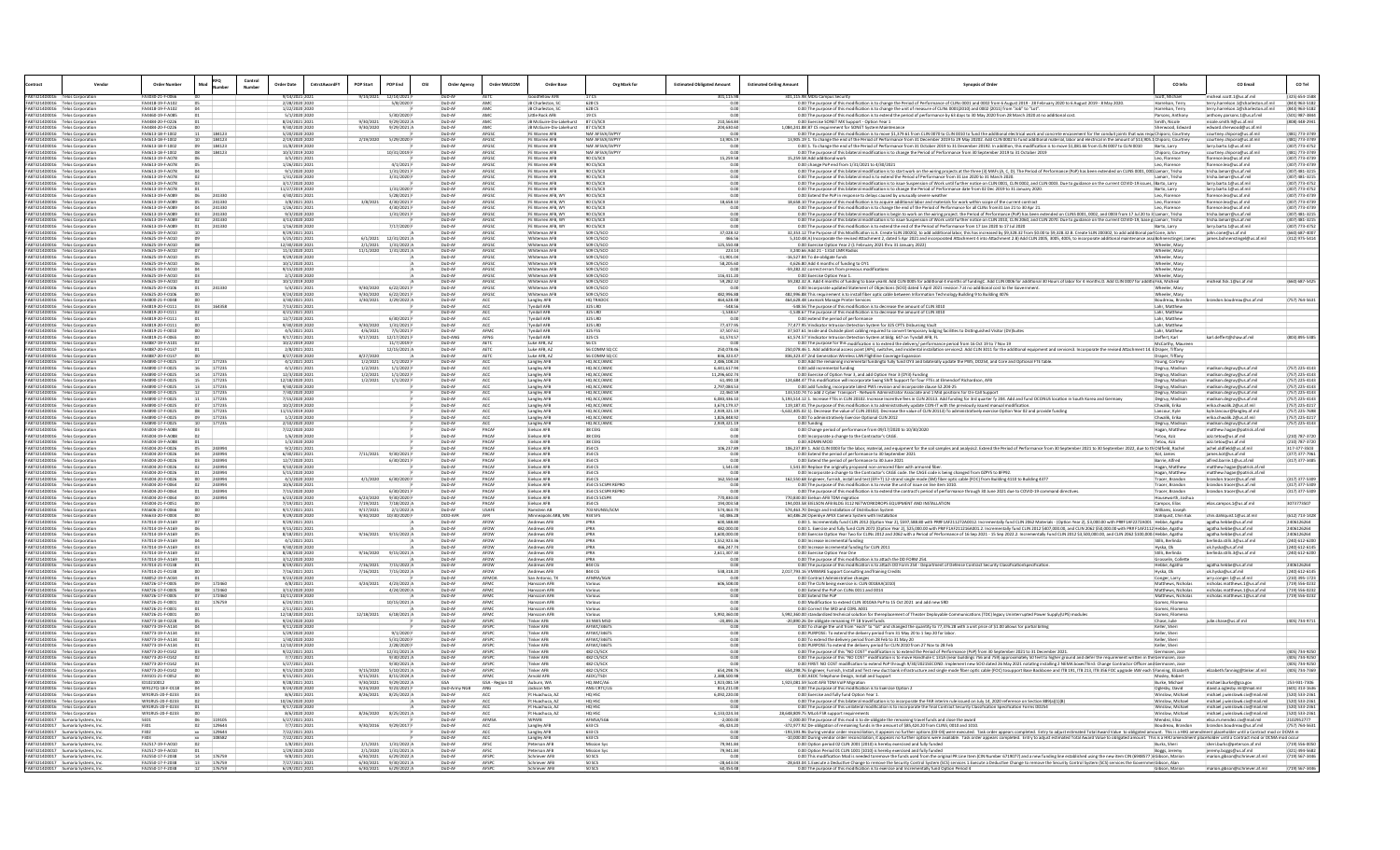|                                |                                                                    | <b>Order Number</b>                  |                  | Number | Order Date                        | CntrctAwardF | <b>POP Start</b>       | POP End                     | OSI | <b>Order Agency</b>             | Order MAJCON               | <b>Order Base</b>                                    | Org Mark for                       | <b>Estimated Obligated Amount</b> | <b>Estimated Ceiling Amount</b> | <b>Synopsis of Order</b>                                                                                                                                                                                                                                                                                                                                                                              | CO Info                                 | CO Email                                                          | CO Tel                          |
|--------------------------------|--------------------------------------------------------------------|--------------------------------------|------------------|--------|-----------------------------------|--------------|------------------------|-----------------------------|-----|---------------------------------|----------------------------|------------------------------------------------------|------------------------------------|-----------------------------------|---------------------------------|-------------------------------------------------------------------------------------------------------------------------------------------------------------------------------------------------------------------------------------------------------------------------------------------------------------------------------------------------------------------------------------------------------|-----------------------------------------|-------------------------------------------------------------------|---------------------------------|
| FA873214D0016                  | FA873214D0016 Telos Corporation                                    | EA2020-21-E-0066<br>FA4418-19-F-A102 |                  |        | 2/14/2021 202<br>2/28/2020 2020   |              |                        | 5/8/2020 F                  |     | DoD-Al                          |                            | odfellow AEE<br>JB Charleston, SC                    | 628 CS                             | 2011150<br>0.00                   |                                 | 11 115.98 MDG Campus Security<br>0.00 The purpose of this modification is to change the Period of Performance of CLINs 0001 and 0002 from 6 August 2019 - 28 February 2020 to 6 August 2019 - 8 May 2020.                                                                                                                                                                                             | <b>Scott Michae</b><br>Harrelson, Terry | cheal scott 1@us af mil<br>terry.harrelson.1@charleston.af.mi     | (325) 654-158<br>(843) 963-5182 |
| FA873214D0016                  | Telos Corporation                                                  | FA4418-19-F-A102                     |                  |        | 1/22/2020 202                     |              |                        |                             |     |                                 |                            | JB Charleston, SC                                    | 628 C                              |                                   |                                 | 0.00 The purpose of this modification is to change the unit of measure of CLINs 0001(2010) and 0002 (2011) from "Job" to "Lot".                                                                                                                                                                                                                                                                       | Harrelson, Terry                        | erry.harrelson.1@charleston.af.mi                                 | (843) 963-518                   |
|                                | FA873214D0016 Telos Corporation                                    | FA4460-19-F-A085                     |                  |        | 5/1/2020 2020                     |              |                        | 5/30/2020                   |     | DoD-AF                          |                            | Little Rock AFR                                      |                                    |                                   |                                 | 0.00 The purpose of this modification is to extend the period of performance by 63 days to 30 May 2020 from 28 March 2020 at no additional cos                                                                                                                                                                                                                                                        | Parsons, Anthon                         | inthony.parsons.1@us.af.mil                                       | (501) 987-384                   |
| FA873214D0016                  | FA873214D0016 Telos Corporation<br><b>Telos Corporation</b>        | FA4484-20-F-0226<br>FA4484-20-F-0226 |                  |        | 8/24/2021 2021<br>9/30/2020 202   |              | 9/30/2021<br>9/30/2020 | 9/29/2022 A<br>9/29/2021    |     | DoD-Al<br>DoD-Al                |                            | JB McGuire-Dix-Lakehurst<br>JB McGuire-Dix-Lakehurst | 87 CS/SCX<br>87 CS/SCX             | 210.564.84<br>204,630.60          |                                 | 0.00 Exercise SONET MX Support - Option Year 1<br>1,084,241.88 87 CS requirement for SONET System Mainter                                                                                                                                                                                                                                                                                             | Smith, Nicole<br>Sherwood, Edward       | icole.smith.9@us.af.mil<br>edward.sherwood@us.af.n                | (808) 448-294                   |
|                                | FA873214D0016 Telos Corporation                                    | FA4613-18-F-1002                     | 184123           |        | 5/20/2020 2020                    |              |                        |                             |     | DoD-Al                          | AFGS0                      | FE Warren AFB                                        | NAF AFSVA/SVPY                     | 00                                |                                 | 0.00 The purpose of this modification is to move \$1.379.61 from CLIN 0070 to CLIN 0010 to fund the additional electrical work and concrete encasement for the conduit ioints that was regulChiporo. Courtney                                                                                                                                                                                         |                                         | ourtney.chiporo@us.af.mil                                         | (481) 773-374                   |
|                                | FA873214D0016 Telos Corporation<br>FA873214D0016 Telos Corporatio  | FA4613-18-F-1002<br>FA4613-18-F-1002 | 184123<br>184123 |        | 2/19/2020 2020<br>11/8/2019 202   |              | 2/19/2020 5/29/2020    |                             |     | DoD-Al<br>DoD-Al                | AFGS0<br>AFGS              | FE Warren AFB<br>FE Warren AFB                       | NAF AFSVA/SVPY<br>NAF AFSVA/SVPY   | 13,905.19<br>0.00                 |                                 | 13,905.19 1. To change the end of the Period of Performance from 31 December 2019 to 29 May 20202. Add CLIN 0002 to fund additional material, labor and electrical in the amount of \$13,905.1Chiporo, Courtney<br>0.00 1. To change the end of the Period of Performance from 31 October 2019 to 31 December 20192. In addition, this modification is to move \$1,081.66 from CLIN 0007 to CLIN 0010 |                                         | courtney.chiporo@us.af.mil<br>arry.barto.1@us.af.mil              | (481) 773-374<br>(307) 773-475  |
|                                | FA873214D0016 Telos Corporatio                                     | FA4613-18-F-1002                     | 184123           |        | 10/3/2019 2020                    |              |                        | 10/31/2019                  |     | $D \cap D - \Delta I$           | <b>AFGSO</b>               | FF Warren AFR                                        | NAF AFSVA/SVPY                     | 0 <sup>0<sup>c</sup></sup>        |                                 | 0.00 The purpose of this bilateral modification is to change the Period of Performance from 30 September 2019 to 31 October 2019                                                                                                                                                                                                                                                                      | Chiporo, Courtn                         | urtney.chiporo@us.af.m                                            | (481) 773-374                   |
| FA873214D0016                  | <b>Telos Corporation</b>                                           | FA4613-19-F-A078                     |                  |        | 3/5/2021 2021                     |              |                        |                             |     | DoD-Al                          | AFGS                       | FE Warren AFB                                        | 90 CS/SCX                          | 15,259.58                         |                                 | 15,259.58 Add additional work                                                                                                                                                                                                                                                                                                                                                                         | Leo. Florence                           | lorence.leo@us.af.mi                                              | (307) 773-473                   |
| FA873214D0016                  | Telos Corporation                                                  | FA4613-19-F-A078<br>FA4613-19-F-A078 |                  |        | 1/26/2021 202<br>$9/1/2020$ 2020  |              |                        | 4/1/2021<br>1/31/2021       |     | DoD-Al<br>DoD-AF                |                            | FE Warren AFE                                        | 90 CS/SCX<br>90 CS/SCX             |                                   |                                 | 0.00 change PoP end from 1/31/2021 to 4/30/2021                                                                                                                                                                                                                                                                                                                                                       | Leo, Florence                           | lorence.leo@us.af.mil                                             | (307) 773-473                   |
| FA873214D0016                  | FAB73214D0016 Telos Corporatio<br>elos Corporatio                  | A4613-19-F-A078                      |                  |        | 1/31/2020 202                     |              |                        | 3/31/2020                   |     | DoD-Al                          | AFGSO<br>AFGS              | FE Warren AFB<br>FE Warren AFB                       | 90 CS/SC/                          | 0.00                              |                                 | 0.00 The purpose of this bilateral modification is to start work on the wiring projects at the three (3) MAFs (A, C, D). The Period of Performance (PoP) has been extended on CLINS 0001, 0001, 0001, 0001, 0001, 0001, 0001,                                                                                                                                                                         |                                         | trisha.lamarr@us.af.mil<br>trisha.lamarr@us.af.mi                 | (307) 481-321<br>(307) 481-32:  |
|                                | FA873214D0016 Telos Corporatio                                     | FA4613-19-F-A078                     |                  |        | 3/17/2020 2020                    |              |                        |                             |     | DoD-Al                          | AFGS0                      | FE Warren AFB                                        | 90 CS/SCX                          | 0.00                              |                                 | 0.00 The purpose of this bilateral modification is to issue Suspension of Work until further notice on CLIN 0001, CLIN 0002, and CLIN 0003. Due to guidance on the current COVID-19 issues, (Barto, Larry                                                                                                                                                                                             |                                         | larry.barto.1@us.af.mil                                           | (307) 773-475                   |
|                                | FA873214D0016 Telos Corporation                                    | FA4613-19-F-A078                     |                  |        | 11/27/2019 2020                   |              |                        | 1/31/2020                   |     | DoD-Al                          | AFGS0                      | FE Warren AFB                                        | 90 CS/SCX                          | 0.00                              |                                 | 0.00 The purpose of this bilateral modification is to change the Period of Performance date from 02 Dec 2019 to 31 January 2020.                                                                                                                                                                                                                                                                      | Barto, Larry                            | larry.barto.1@us.af.mil                                           | (307) 773-475                   |
| FA873214D0016<br>FA873214D0016 | elos Corporatio<br>Telos Corporatio                                | FA4613-19-F-A089<br>FA4613-19-F-A089 | 241330<br>241330 |        | 4/30/2021 202<br>3/8/2021 202     |              | 3/8/2021               | /28/2021<br>4/30/2021       |     | OoD-A<br>DoD-Al                 | AFGS<br>AFGS               | E Warren AFB, W<br>FE Warren AFB, W                  | 90 CS/SC<br>90 CS/SC               | 18.658.10                         |                                 | 0.00 Extend the PoP in response to delays caused by unusually severe weather<br>18,658.10 The purpose of this modification is to acquire additional labor and materials for work within scope of the current contrac                                                                                                                                                                                  | Leo. Florence<br>Leo, Florence          | lorence.leo@us.af.mi<br>lorence.leo@us.af.m                       | (307) 773-473<br>(307) 773-473  |
|                                | FAB73214D0016 Telos Corporatio                                     | FA4613-19-F-A089                     | 241330           |        | 1/26/2021 2021                    |              |                        | 4/30/2021                   |     | DoD-AF                          | <b>AFGSO</b>               | FF Warren AFR WY                                     | 90 CS/SCX                          | 00                                |                                 |                                                                                                                                                                                                                                                                                                                                                                                                       | Leo Florence                            | Intence len@us af mi                                              | (307) 773-473                   |
| FA873214D0016                  | elos Corporatio                                                    | FA4613-19-F-A089                     | 241330           |        | 9/3/2020 202                      |              |                        | 1/31/2021                   |     |                                 |                            | E Warren AFB, W                                      | 90 CS/SCX                          |                                   |                                 | 0.00 The purpose of this modification is to change the end of the Period of Performance for all CLINs from 31 Jan 21 to 30 Apr 21.<br>0.00 The purpose of this bilateral modification is begin to work on the wiring project. the<br>nded on CLINS 0001, 0002, and 0003 from 17 Jul 20 to 3:Lamarr, Trisha                                                                                            |                                         | trisha.lamarr@us.af.mil                                           | $(307)$ 481-32:                 |
|                                | FAB73214D0016 Telos Corporation<br>FA873214D0016 Telos Corporation | FA4613-19-F-A089<br>FA4613-19-F-A089 | 241330<br>241330 |        | 3/13/2020 2020<br>1/16/2020 2020  |              |                        | 7/17/2020                   |     | $D \cap D - \Delta I$<br>DoD-Al | AFGSO<br>AFGS0             | FE Warren AFB, WY<br>FE Warren AFB, WY               | 90 <sup>°</sup><br>90 CS/SCX       | 0.00<br>0.OO                      |                                 | 0.00 The purpose of this bilateral modification is to issue Suspension of Work until further notice on CLIN 2010, CLIN 2060, and CLIN 2070. Due to guidance on the current COVID-19, base g(Lamarr, Trisha<br>0.00 The purpose of this modification is to extend the end of the Period of Performance from 17 Jan 2020 to 17 Jul 2020                                                                 | Barto, Larry                            | trisha.lamarr@us.af.mil<br>arry.barto.1@us.af.mil                 | (307) 481-321<br>(307) 773-475  |
| FA873214D0016                  | elos Corporatio                                                    | A4625-19-F-A010                      |                  |        | 9/29/2021 2021                    |              |                        |                             |     |                                 |                            | Whiteman AFB                                         | 09 CS/SC                           | 37.028.32                         |                                 | 12,353.12 The Purpose of this Modification is:A. Create SLIN 200202, to add additional labor, this has increased by \$9,328.32 from \$0.00 to \$9,328.32. E. Create SLIN 200302, to add additional par Cone, John                                                                                                                                                                                     |                                         | john.cone@us.af.mil                                               | (660) 687-401                   |
| FA873214D0016                  | <b>Telos Corporatio</b>                                            | FA4625-19-F-A010                     |                  |        | 5/25/2021 202                     |              | 6/1/2021               | 12/31/2021 /                |     | DoD-Al                          | AFGS                       | Whiteman AFE                                         | 609 CS/SCO                         | 466.56                            |                                 | 5,310.48 A) Incorporate the revised Attachment 2, dated 5 Apr 2021 and incorporated Attachment 4 into Attachment 2.8) Add CLIN 2005, 3005, 4005, to incorporate additional maintenance asscBohnenstingel, Jan                                                                                                                                                                                         |                                         | james.bohnenstingel@us.a                                          | (312) 975-541                   |
| FA873214D0016                  | FA873214D0016 Telos Corporation<br>Telos Corporatio                | FA4625-19-F-A010<br>FA4625-19-F-A010 |                  |        | 12/30/2020 2021<br>11/3/2020 202  |              | 2/1/2021<br>11/1/2020  | 1/31/2022 A<br>1/31/2021    |     | DoD-Al<br>DoD-Al                | AFGS0                      | Whiteman AFB<br>Whiteman AFE                         | 509 CS/SCO<br>609 CS/SC            | 125,550.48<br>223.14              |                                 | 0.00 Exercise Option Year 2 (1 February 2021 thru 31 January 2022)<br>3,240.66 Add 21 - 131st LMR Radios                                                                                                                                                                                                                                                                                              | Wheeler, Mary<br>Wheeler, Mary          |                                                                   |                                 |
|                                | FAB73214D0016 Telos Corporation                                    | FA4625-19-F-A010                     |                  |        | 9/29/2020 2020                    |              |                        |                             |     | $D \cap D - \Delta I$           | AFGSO                      | Whiteman AFR                                         | 509 05/500                         | $-1190104$                        |                                 | 16,527.84 To de-obligate funds                                                                                                                                                                                                                                                                                                                                                                        | Wheeler Mary                            |                                                                   |                                 |
|                                | FA873214D0016 Telos Corporation                                    | FA4625-19-F-A010                     |                  |        | 10/1/2020 2021                    |              |                        |                             |     | DoD-Al                          | <b>AFGSO</b>               | Whiteman AFB                                         | 509 CS/SCO                         | 58,205.60                         |                                 | 4,626.80 Add 4 months of funding to OY1                                                                                                                                                                                                                                                                                                                                                               | Wheeler, Mary                           |                                                                   |                                 |
| FA873214D0016<br>FA873214D0016 | Telos Corporatio<br><b>Telos Corporatio</b>                        | FA4625-19-F-A010<br>FA4625-19-F-A010 |                  |        | 9/15/2020 202<br>2/1/2020 202     |              |                        |                             |     | $DnD-A8$                        | AFGS<br><b>AFGS</b>        | Whiteman AFE<br>Whiteman AFE                         | 609 CS/SC<br>509 05/500            | 116 411 20                        |                                 | -59,282.32 correct errors from previous modifications<br>0.00 Exercise Option Year 1                                                                                                                                                                                                                                                                                                                  | Wheeler, Mary<br>Wheeler, Ma            |                                                                   |                                 |
|                                | FA873214D0016 Telos Corporation                                    | FA4625-19-F-A010                     |                  |        | 10/1/2019 2020                    |              |                        |                             |     | DoD-Al                          | AFGS0                      | Whiteman AFB                                         | 509 CS/SCO                         | 59,282.32                         |                                 | 59.282.32 A. Add 4 months of funding to base yearB. Add CLIN 0005 for additional 4 months of fundingC. Add CLIN 0006 for additional 30 Hours of labor for 4 months. D. Add CLIN 0007 for additicitisk. Micheal                                                                                                                                                                                        |                                         | nicheal.fisk.1@us.af.mil                                          | (660) 687-542                   |
| FA873214D0016                  | <b>Telos Corporatio</b>                                            | FA4625-20-F-0106                     | 241330           |        | 5/4/2021 202                      |              | 9/30/2020              | 6/22/2021                   |     | $D \cap D - \Delta$             | AFGS                       |                                                      | 509 CS/SCO                         |                                   |                                 | 0.00 Incorporate updated Statement of Objections (SOO) dated 5 April 2021 revision 7 at no addit                                                                                                                                                                                                                                                                                                      |                                         |                                                                   |                                 |
| FA873214D0016                  | FA873214D0016 Telos Corporation<br><b>Telos Corporation</b>        | FA4625-20-F-0106<br>FA4800-21-F-0048 |                  |        | 9/24/2020 2020<br>3/30/2021 2021  |              | 9/30/2020<br>3/30/2021 | 6/22/2021 F<br>3/29/2022    |     | DoD-Al<br>DoD-Al                | AFGS0                      | Whiteman AFB<br>Langley AFB                          | 509 CS/SCC<br>HQ TRADOI            | 482.996.88<br>464,628.48          |                                 | 482,996.88 This requirement is to install fiber optic cable between Information Technology Building 9 to Building 4076<br>464,628.48 Lexmark Manage Printer Services                                                                                                                                                                                                                                  | Wheeler, Mary<br>Boudreau, Brandon      | brandon.boudreau@us.af.mi                                         | (757) 764-563                   |
| FA873214D0016                  | <b>Telos Corporatio</b>                                            | FA4819-20-F-0111                     | 164358           |        | /13/2021 202                      |              |                        |                             |     | DoD-Al                          |                            | ndall AFB                                            | 325 LRD                            |                                   |                                 | 548.56 The purpose of this modification is to decrease the amount of CLIN 3010                                                                                                                                                                                                                                                                                                                        | Lahr, Matthew                           |                                                                   |                                 |
| FA873214D0016                  | <b>Telos Corporatio</b>                                            | FA4819-20-F-0111                     |                  |        | 4/21/2021 202                     |              |                        |                             |     | DoD-AR                          |                            | vndall AFR                                           | 325 LRD                            | 1.538.67                          |                                 | -1,538.67 The purpose of this modification is to decrease the amount of CLIN 3010                                                                                                                                                                                                                                                                                                                     | Lahr, Matthew                           |                                                                   |                                 |
|                                | FA873214D0016 Telos Corporation                                    | FA4819-20-F-0111                     |                  |        | 12/7/2020 2021                    |              |                        | 6/30/2021                   |     | DoD-Al                          |                            | <b>Tyndall AFB</b>                                   | 325 LRD                            | 0.00                              |                                 | 0.00 extend the period of performance                                                                                                                                                                                                                                                                                                                                                                 | Lahr, Matthew                           |                                                                   |                                 |
| FA873214D0016                  | Telos Corporatio<br>FA873214D0016 Telos Corporation                | FA4819-20-F-0111<br>FA4819-21-F-0010 |                  |        | 9/30/2020 202<br>4/5/2021 2021    |              | 9/30/2020<br>4/6/2021  | 1/31/2021<br>7/5/2021       |     | DoD-Al<br>DoD-Al                | <b>AFMO</b>                | <b>Tyndall AFB</b><br><b>Fyndall AFB</b>             | 325 LRD<br>325 FSS                 | 77,477.95<br>37,507.61            |                                 | 77,477.95 Vindicator Intrusion Detection System for 325 CPTS Disbursing Vault<br>37,507.61 Inside and Outside plant cabling required to convert temporary lodging facilities to Distinguished Visitor (DV)Suites                                                                                                                                                                                      | Lahr, Matthew<br>Lahr, Matthew          |                                                                   |                                 |
| FA873214D0016                  | <b>Telos Corporation</b>                                           | FA4819-21-F-0065                     |                  |        | 9/17/2021 2021                    |              | 9/17/2021              | 12/17/2021                  |     | DoD-ANO                         | AFNO                       | <b>Tyndall AFB</b>                                   | 325 <sup>o</sup>                   | 61,574.57                         |                                 | 61,574.57 Vindicator Intrusion Detection System at bldg. 647 on Tyndall AFB, FL                                                                                                                                                                                                                                                                                                                       | Deffert, Karl                           | karl.deffert@shaw.af.mi                                           | (803) 895-538                   |
|                                | FA873214D0016 Telos Corporatio                                     | FA4887-19-F-A101                     |                  |        | 10/2/2019 202                     |              |                        | 11/7/2019                   |     | DoD-AF                          |                            | Luke AFB, A                                          | <b>56 CS</b>                       |                                   |                                 | 0.00 The purpose for this modification is to extend the delivery/ performance period from 16 Oct 19 to 7 Nov 19                                                                                                                                                                                                                                                                                       | McCarthy, Ma                            |                                                                   |                                 |
| FA873214D0016                  | FA873214D0016 Telos Corporation<br>Telos Corporation               | FA4887-20-F-0137<br>FA4887-20-F-0137 |                  |        | 2/8/2021 2021<br>8/27/2020 2020   |              | 8/27/2020              | 12/15/2021 /                |     | DoD-Al<br>DoD-Al                |                            | Luke AFB, A<br>Luke AFB, A                           | 56 COMM SO<br>56 COMM SO O         | 250.078.46<br>836, 323.47         |                                 | 250,078.46 1. Add additional access point (APs), switches, and incidental installation services2. Add CLIN 3011 for the additional equipment and services3. Incorporate the revised Attachment 14. EDraper, Tiffany<br>836,323.47 2nd Generation Wireless LAN Flightline Coverage Expansion                                                                                                           | Draper, Tiffany                         |                                                                   |                                 |
| FA873214D0016                  | <b>Telos Corporatio</b>                                            | FA4890-17-F-002                      | 17723            |        | 4/1/2021 202                      |              | 1/2/202                | 1/1/2022                    |     | DoD-Al                          |                            | Langley AFE                                          | HQ ACC/AM                          | 2,486,108.24                      |                                 | 0.00 Add the remaining incremental fundingto fully fund OY3 and bilaterally update the PWS, DD254, and Core and Optional FTE table.                                                                                                                                                                                                                                                                   | Young, Cortney                          |                                                                   |                                 |
| FA873214D0016                  | FA873214D0016 Telos Corporation<br><b>Telos Corporatio</b>         | FA4890-17-F-0025<br>FA4890-17-F-0025 | 177235<br>177235 |        | 4/1/2021 2021<br>12/3/2020 202    |              | 1/2/2021<br>1/2/2021   | 1/1/2022 F<br>1/1/2022      |     | DoD-Al<br>DoD-Al                |                            | Langley AFB                                          | HO ACC/AMI<br>HQ ACC/AM            | 6.441.617.94<br>11,296,602.74     |                                 | 0.00 add incremental funding<br>0.00 Exercise of Option Year 3, and add Option Year 3 (OY3) Funding                                                                                                                                                                                                                                                                                                   | Degruy, Madisc                          | nadison.degruv@us.af.mi                                           | (757) 225-414<br>(757) 225-414  |
|                                | FA873214D0016 Telos Corporatio                                     | FA4890-17-F-0025                     | 177235           |        | 12/18/2020 2021                   |              | 1/2/2021               | 1/1/2022                    |     | $DnD-AI$                        |                            | Langley AFE<br>Langley AFE                           | HO ACC/AMI                         | 61,490.18                         |                                 | 124,684.47 This modification will incorporate Swing Shift Support for four FTEs at Elmendorf Richardson, AFB                                                                                                                                                                                                                                                                                          | Degruy, Madiso<br>Degruy, Madiso        | nadison.degruy@us.af.mil<br>nadison.degruy@us.af.mi               | (757) 225-414                   |
|                                | FA873214D0016 Telos Corporation                                    | FA4890-17-F-0025                     | 177235           |        | 9/30/2020 2020                    |              |                        |                             |     | DoD-Al                          |                            | Langley AFB                                          | HO ACC/AMI                         | 2.797.084.53                      |                                 | 0.00 add funding, incorporate latest PWS revision and incorporate clause 52.204-25                                                                                                                                                                                                                                                                                                                    | Degruy, Madison                         | madison.degruy@us.af.mil                                          | (757) 225-414                   |
| FA873214D0016                  | <b>Telos Corporation</b>                                           | FA4890-17-F-0025<br>EA4990-17-C-0025 | 177235           |        | 7/30/2020 202                     |              |                        |                             |     | DoD-Al                          |                            | Langley AFE                                          | HO ACC/AM                          | 22,460.59                         |                                 | 133,510.74 To add 2 Cyber Transport - Network Administrator Associate and 1 Mid positions for On-Call Suppor                                                                                                                                                                                                                                                                                          | Degruy, Madiso                          | madison.degruy@us.af.m                                            | (757) 225-414                   |
| FA873214D0016                  | FA873214D0016 Telos Corporatio<br><b>Telos Corporation</b>         | FA4890-17-F-0025                     | 177235<br>177235 |        | 7/15/2020 202<br>10/2/2019 202    |              |                        |                             |     | DoD-AP<br>DoD-Al                |                            | Langley AFB<br>Langley AFE                           | HO ACC/AMI<br>HQ ACC/AMI           | 6,083,436.10<br>3,674,179.37      |                                 | 5,193,514.12 1. Increase FTEs in CLIN 20102. Increase Incentive fees in CLIN 20113. Add funding for 3rd quarter fy 204. Add and fund OCONUS location in South Korea and Germany<br>119,187.41 The purpose of this modification is to administratively update CON-IT with the previously issued manual modificati                                                                                      | Degruy, Madisc<br>Chwalik, Erika        | nadison.degruy@us.af.mi<br>erika.chwalik.2@us.af.m                | (757) 225-414<br>(757) 225-021  |
|                                | FA873214D0016 Telos Corporatio                                     | FA4890-17-F-0025                     | 177235           |        | 11/15/2019 202                    |              |                        |                             |     | DoD-Al                          |                            | Langley AFB                                          | HQ ACC/AM                          | 2,939,321.19                      |                                 | 5,632,405.02 1). Decrease the value of CLIN 20102). Decrease the value of CLIN 20113) To administratively exercise Option Year 02 and provide funding                                                                                                                                                                                                                                                 | ancour, Kyl                             | yle.lancour@langley.af.i                                          | (757) 225-769                   |
|                                | <b>EAR73214D0016 Telos Corporation</b>                             | FA4890-17-F-0025                     | 177235           |        | 1/2/2020 2020                     |              |                        |                             |     | DoD-AF                          | ACC                        | Langley AFE                                          | HO ACC/AMI                         | 182684892                         |                                 | 0.00 To administratively Exercise Optional CLIN 2012                                                                                                                                                                                                                                                                                                                                                  | Chwalik Frika                           | erika chwalik 2@us af mil                                         | (757) 225-021                   |
| FA873214D0016                  | FA873214D0016 Telos Corporation<br>Telos Corporation               | FA4890-17-F-0025<br>FAS004-19-F-A088 | 177235           |        | 2/10/2020 2020<br>7/22/2020 202   |              |                        |                             |     | DoD-Al                          | PAC.                       | Langley AFB<br>Eielson AFE                           | HQ ACC/AMI<br>38 CEIG              | 2,939,321.19                      |                                 | 0.00 funding<br>0.00 Change period of performance from 09/17/2020 to 10/30/2020                                                                                                                                                                                                                                                                                                                       | Degruy, Madisor<br>Hagan, Matthew       | madison.degruy@us.af.mi<br>matthew.hagan@patrick.af.              | (757) 225-414                   |
|                                | FAB73214D0016 Telos Corporatio                                     | FAS004-19-F-A088                     |                  |        | 1/6/2020 2020                     |              |                        |                             |     | DoD-AF                          | PACA                       | Eielson AFB                                          | 38 CEIG                            |                                   |                                 | 0.00 Incorporate a change to the Contractor's CAGE.                                                                                                                                                                                                                                                                                                                                                   | Fetou, Aziz                             | sziz.tetou@us.af.mil                                              | (210) 787-373                   |
| FA873214D0016                  | <b>Telos Corporation</b>                                           | FAS004-19-F-A088<br>FAS004-20-F-0026 | 243994           |        | 1/3/2020 2020<br>9/2/2021 2021    |              |                        |                             |     | DoD-Al<br>$D \cap D - \Delta$   | PACA<br>PACAR              | Eielson AFB                                          | 38 CEIO<br>354.09                  |                                   |                                 | 0.00 ADMIN MOD                                                                                                                                                                                                                                                                                                                                                                                        | etou, Aziz                              | aziz.tetou@us.af.mil                                              | (210) 787-372<br>317-377-3503   |
|                                | FA873214D0016 Telos Corporatio<br>FA873214D0016 Telos Corporation  | FAS004-20-F-0026                     | 243994           |        | 6/30/2021 2021                    |              | 7/11/2021 9/30/2021    |                             |     | DoD-AF                          | PACAR                      | Eielson AFB<br>Eielson AFB                           | 354 CS                             | 106,237.89<br>0.00                |                                 | 106,237.89 1. Add CLIN 0003 for the labor, material, and equipment for the soil samples and analysis2. Extend the Period of Performance from 30 September 2021 to 30 September 2022, due to th Oldfield, Rache<br>0.00 Extend the period of performance to 30 September 2021                                                                                                                          | Kot, James                              | achel.oldfield@us.af.mil<br>mes.kot@us.af.mil                     | (377) 377-796                   |
|                                | FA873214D0016 Telos Corporation                                    | FAS004-20-F-0026                     | 243994           |        | 12/7/2020 2021                    |              |                        | 6/30/2021                   |     | DoD-Al                          | PACAR                      | Eielson AFB                                          | 354 CS                             |                                   |                                 | 0.00 Extend the period of performance to 30 June 2021                                                                                                                                                                                                                                                                                                                                                 | Barrie, Alfred                          | alfred.barrie.1@us.af.m                                           | (317) 377-348                   |
| FA873214D0016                  | <b>Telos Corporatio</b>                                            | FAS004-20-F-0026<br>FA5004-20-F-0026 | 243994<br>243994 |        | 9/10/2020 202<br>5/15/2020 2020   |              |                        |                             |     | DoD-Al<br>DoD-AF                | <b>PACA</b><br><b>PACA</b> | Eielson AFE<br>Eielson AFB                           | 354.05                             | 1,541.00                          |                                 | 1,541.00 Replace the originally proposed non-armored fiber with armored fibe                                                                                                                                                                                                                                                                                                                          | Hagan, Matthew                          | matthew.hagan@patrick.a                                           |                                 |
|                                | FA873214D0016 Telos Corporatio<br>FA873214D0016 Telos Corporation  | FAS004-20-F-0026                     | 243994           |        | 4/1/2020 2020                     |              |                        | 4/1/2020 6/30/2020          |     | DoD-Al                          | PACA                       | Eielson AFB                                          | 354 CS                             | 162,550.68                        |                                 | 0.00 Incorporate a change to the Contractor's CAGE code. the CAGE code is being changed from 02PY5 to 8FP92.<br>162,550.68 Engineer, furnish, install and test (EFI+T) 12-strand single mode (SM) fiber optic cable (FOC) from Building 4110 to Building 4377                                                                                                                                         | Hagan, Matthev<br>Tracer, Brandor       | natthew.hagan@patrick.af.m<br>brandon.tracer@us.af.mil            | (317) 377-530                   |
| FA873214D0016                  | Telos Corporatio                                                   | FA5004-20-F-0064                     | 243994           |        | 10/6/2020 202                     |              |                        |                             |     | $DnD-A8$                        | PACAR                      | Eielson AFB                                          | 354 CS SCSPR REPRO                 |                                   |                                 | 0.00 The purpose of this modification is to revise the unit of issue on line item 1010.                                                                                                                                                                                                                                                                                                               | Tracer, Brando                          | randon.tracer@us.af.mi                                            | (317) 377-530                   |
| FA873214D0016                  | FA873214D0016 Telos Corporation                                    | FAS004-20-F-0064<br>FAS004-20-F-0064 | 243994<br>243994 |        | 7/15/2020 2020<br>6/23/2020 2020  |              | 6/23/2020              | 6/30/2021<br>9/30/2020      |     | DoD-Al<br>DoD-Al                | PACA<br>PACA               | Eielson AFB<br>Eielson AFB                           | 354 CS SCSPR REPRO<br>354 CS SCSPR | 0.00<br>770,830.00                |                                 | 0.00 The purpose of this modification is to extend the contract's period of performance through 30 June 2021 due to COVID-19 command directives.<br>770,830.00 Eielson AFB TDM migration                                                                                                                                                                                                              | Tracer, Brandor                         | brandon.tracer@us.af.mil                                          | (317) 377-530                   |
| FA873214D0016                  | <b>Telos Corporation</b><br><b>Telos Corporatio</b>                | FAS004-21-F-0051                     |                  |        | 7/19/2021 202                     |              | 7/19/2021              | 7/18/2022                   |     | DoD-Al                          | PACA                       | Eielson AFB                                          |                                    | 194,003.58                        |                                 | 94,003.58 EIELSON AFB BLDG 3112 NETWORKDROPS EQUIPMENT AND INSTALLATION                                                                                                                                                                                                                                                                                                                               | Houseworth, Joshi<br>Campos, Elias      | lias.campos.1@us.af.mi                                            | 3073773507                      |
|                                | FA873214D0016 Telos Corporatio                                     | FAS606-21-F-0066                     |                  |        | 9/17/2021 202                     |              | 9/17/2021              | 2/1/2022                    |     | DoD-Al                          | USAFE                      | Ramstein AE                                          | 703 MUNSS/SCN                      | 574.463.70                        |                                 | 574,463.70 Design and Installation of Distribution System                                                                                                                                                                                                                                                                                                                                             | Williams, Josep                         |                                                                   |                                 |
| FA873214D0016<br>FA873214D0016 | Telos Corporation<br>Telos Corporatio                              | FA6633-20-F-0004<br>FA7014-19-F-A169 |                  |        | 9/29/2020 2020<br>9/29/2021 202   |              |                        | 9/30/2020 10/30/2020 F      |     | DOD-AFR<br>DoD-AF               | AFF<br>AFDV                | Minneapolis ARB, MI<br>Andrews AFB                   | 934 SFS                            | 60,486.28<br>600 588.80           |                                 | 60,486.28 OpenEye APEX Camera System with Installa<br>0.00 1. Incrementally fund CLIN 2012 (Option Year 2), \$597,588.80 with PR#F1AF211272A0012. Incrementally fund CLIN 2062 Materials - (Option Year 2), \$3,000.00 with PR#F1AF2272A001. Hebbe, Agatha                                                                                                                                            | Dahlquist, Chin Kuk                     | chin.dahlquist.1@us.af.mi<br>gatha.hebbe@us.af.mil                | (612) 713-142<br>2406126264     |
|                                | FA873214D0016 Telos Corporation                                    | FA7014-19-F-A169                     |                  |        | 9/15/2021 2021                    |              |                        |                             |     | DoD-AR                          | AFDW                       | Andrews AFB                                          |                                    | 482,000.00                        |                                 | 0.00 1. Exercise and fully fund CLIN 2072 (Option Year 2), \$25,000.00 with PR# F1AF211216A001.2, Incrementally fund CLIN 2012 \$407,000.00, and CLIN 2062 \$50,000.00 with PR# F1AF2112 Hebbe. Agatha                                                                                                                                                                                                |                                         | agatha.hebbe@us.af.mi                                             | 2406126264                      |
| FA873214D0016                  | <b>Telos Corporatio</b>                                            | FA7014-19-F-A169                     |                  |        | 8/18/2021 2021                    |              |                        | 9/16/2021 9/15/2022 A       |     |                                 | AFDV                       | <b>Andrews AFB</b>                                   |                                    | 3,600,000.00                      |                                 | 0.00 Exercise Option Year Two for CLINs 2012 and 2062 with a Period of Performance of 16 Sep 2021 - 15 Sep 2022.2. Incrementally Fund CLIN 2012 \$3,500,000.00, and CLIN 2062 \$100,000.(Hebbe, Agatha                                                                                                                                                                                                |                                         | agatha.hebbe@us.af.mil                                            | 2406126264                      |
| FA873214D0016                  | Telos Corporatio                                                   | FA7014-19-F-A169                     |                  |        | 4/1/2021 2021                     |              |                        |                             |     | DoD-AF                          | AFDV                       | <b>Andrews AFB</b>                                   |                                    | 1,552,923.36                      |                                 | 0.00 Increase incremental funding                                                                                                                                                                                                                                                                                                                                                                     | Stills, Berlind                         | erlinda.stills.3@us.af.mi                                         | $(240)$ 612-620                 |
| FA873214D0016                  | FA873214D0016 Telos Corporation<br><b>Telos Corporatio</b>         | FA7014-19-F-A169<br>FA7014-19-F-A169 |                  |        | 9/30/2020 2020<br>8/28/2020 2020  |              |                        | 9/16/2020 9/15/2021 /       |     | DoD-Al<br>DoD-Al                | AFDW                       | Andrews AFB<br>Andrews AFE                           |                                    | 466.247.74<br>2,611,307.30        |                                 | 0.00 Increase incremental funding for CLIN 2011<br>0.00 Exercise Option Year One                                                                                                                                                                                                                                                                                                                      | Hyska, Ok<br>Stills, Berlinda           | ok.hyska@us.af.mil<br>berlinda.stills.3@us.af.mil                 | (240) 612-614<br>(240) 612-620  |
|                                | <b>EAR73214D0016 Telos Corporation</b>                             | FA7014-19-F-A169                     |                  |        | 3/12/2020 2020                    |              |                        |                             |     | $D \cap D - \Delta I$           | AFDW                       | <b>Indrews AFR</b>                                   |                                    | 00                                |                                 | 0.00 The purpose of this modification is to attach the DD FORM 254.                                                                                                                                                                                                                                                                                                                                   | Grosselin Collet                        |                                                                   |                                 |
| FA873214D0016                  | FA873214D0016 Telos Corporation                                    | FA7014-21-F-0138<br>FA7014-21-F-0138 |                  |        | 8/19/2021 2021<br>7/16/2021 202   |              | 7/16/2021<br>7/16/2021 | 7/15/2022 A<br>7/15/2022    |     | DoD-Al<br>DoD-Al                | AFDW<br>AFDV               | <b>Andrews AFB</b><br>drews AFE                      | 844 CO<br>844 CO                   | 538,318.20                        |                                 | 0.00 The purpose of this modification is to attach DD Form 254 - Department of Defense Contract Security ClassificationSpecification.                                                                                                                                                                                                                                                                 | Hebbe, Agatha<br>Hyska, Ok              | agatha.hebbe@us.af.mi<br>k.hyska@us.af.mil                        | 2406126264<br>(240) 612-614     |
|                                | Telos Corporatio<br>FAB73214D0016 Telos Corporation                | FA8052-19-F-A034                     |                  |        | 9/23/2020 2020                    |              |                        |                             |     | DoD-AF                          | <b>AFMOA</b>               | San Antonio, T.                                      | AFMRA/SGA                          | 0 <sup>0</sup>                    |                                 | 2,017,793.16 VMWARE Support Consulting and Training Credits<br>0.00 Contract Administrative changes                                                                                                                                                                                                                                                                                                   | Conger, Larry                           | arry.conger.1@us.af.mil                                           | (210) 395-172                   |
|                                | FA873214D0016 Telos Corporation                                    | FA8726-17-F-0005                     | 172460           |        | 4/8/2021 2021                     |              | 4/24/2021              | 4/23/2022                   |     | DoD-Al                          | AFMC                       | Hanscom AFB                                          |                                    | 606,508.00                        |                                 | 0.00 The CLIN being exercise is: CLIN 0018AA(1010)                                                                                                                                                                                                                                                                                                                                                    | Matthews, Nichola                       | icholas.matthews.1@us.af.n                                        | (719) 556-023                   |
| FA873214D0016                  | Telos Corporatio                                                   | FA8726-17-F-0005                     | 172460           |        | 3/13/2020 2020                    |              |                        | 4/24/2020 4                 |     | DoD-A                           |                            | Hanscom AFB                                          | Variou:                            | 0.00                              |                                 | 0.00 Extend the PoP on CLINs 0011 and 0014                                                                                                                                                                                                                                                                                                                                                            | Matthews, Nichola                       | nicholas.matthews.1@us.af.m                                       | (719) 556-023                   |
| FA873214D0016                  | FA873214D0016 Telos Corporation<br><b>Telos Corporation</b>        | FA8726-17-F-0005<br>FA8726-21-F-0001 | 172460<br>176759 |        | 10/11/2019 2020<br>6/24/2021 2021 |              |                        | 10/15/2021 /                |     | DoD-Al<br>DoD-Al                | AFM<br><b>AFM</b>          | lanscom AFB<br>lanscom AFE                           | Variou:<br>Variou:                 |                                   |                                 | 0.00 Extend the PoP<br>0.00 Modification to extend CLIN 3010AA PoP to 15 Oct 2021 and add new SRD                                                                                                                                                                                                                                                                                                     | Matthews, Nicholas<br>Gomez, Filomena   | nicholas.matthews.1@us.af.m                                       | (719) 556-023                   |
| FA873214D0016                  | Telos Corporatio                                                   | FA8726-21-F-0001                     |                  |        | 2/11/2021 202                     |              |                        |                             |     | DoD-AF                          | AFM                        | lanscom AFE                                          |                                    |                                   |                                 | 0.00 Correct the SRD and CDRL A001                                                                                                                                                                                                                                                                                                                                                                    | Gomez, Filomen                          |                                                                   |                                 |
|                                | FA873214D0016 Telos Corporation                                    | FA8726-21-F-0001                     |                  |        | 12/18/2020 2021                   |              | 12/18/2021 6/18/2021 / |                             |     | DoD-Al                          | AFM                        | lanscom AFB                                          |                                    | 5.992.360.00                      |                                 | 5,992,360.00 standardized technical solution for thereplacement of Theater Deployable Communications (TDC) legacy Uninterrupted Power Supply(UPS) modules                                                                                                                                                                                                                                             | Gomez, Filomen                          |                                                                   |                                 |
| FA873214D0016<br>FA873214D0016 | <b>Telos Corporation</b><br>elos Corporatio                        | FA8773-18-F-0228<br>FA8773-19-F-A134 |                  |        | 9/24/2020 2020<br>9/11/2020 202   |              |                        |                             |     | DoD-Al<br>DoD-Al                | AFSP<br>AFS                | <b>Finker AFB</b><br><b>Finker AFI</b>               | 33 NWS MS<br>AFIWC/346             | $-20,890.26$                      |                                 | -20,890.26 De-obligate remaining FY 18 travel funds<br>0.00 To change the unit from "each" to "lot" and changed the quantity to 77,376.28 with a unit price of \$1.00 allows for partial billing                                                                                                                                                                                                      | Chase, Julie<br>Celler, Sher            | julie.chase@us.af.mil                                             | (405) 734-971                   |
|                                | FAB73214D0016 Telos Corporation                                    | FA8773-19-F-A134                     |                  |        | 5/29/2020 2020                    |              |                        | 9/1/2020                    |     | DoD-AF                          | AFSP                       | Tinker AFR                                           | AFIWC/346T                         | 0.00                              |                                 |                                                                                                                                                                                                                                                                                                                                                                                                       | Keller Sheri                            |                                                                   |                                 |
| FA873214D0016                  | elos Corporation                                                   | A8773-19-F-A134<br>FA8773-19-F-A134  |                  |        | 1/30/2020 202                     |              |                        | 5/31/2020                   |     | DoD-Al<br>DoD-AF                |                            | inker AFB                                            | AFIWC/346T<br>AFIWC/346T           |                                   |                                 | 0.00 PURPOSE: To extend the delivery period from 31 May 20 to 1 Sep 20 for labor.<br>0.00 To extend the delivery period from 28 Feb to 31 May 20                                                                                                                                                                                                                                                      | Keller, Sheri                           |                                                                   |                                 |
|                                | FAB73214D0016 Telos Corporation<br>FA873214D0016 Telos Corporation | FA8773-20-F-0142                     |                  |        | 12/10/2019 2020<br>9/22/2021 2021 |              |                        | 2/28/2020 F<br>12/31/2021 A |     | DoD-AF                          | AFSP<br>AFSPO              | <b>Tinker AFB</b><br><b>Tinker AFB</b>               | 482 CS/SCX                         | 0.00<br>0.00                      |                                 | 0.00 PURPOSE: To extend the delivery period for CLIN 2010 from 27 Nov to 28 Feb<br>0.00 The purpose of this "NO COST" modification is to extend the Period of Performance (PoP) from 30 September 2021 to 31 December 2021.                                                                                                                                                                           | Keller, Sheri<br>Germosen, Jose         |                                                                   | (405) 734-925                   |
| FA873214D0016                  | elos Corporation                                                   | FA8773-20-F-0142                     |                  |        | 7/7/2021 2021                     |              |                        | 9/30/2021 A                 |     | DoD-Al                          | AFSPO                      | <b>Tinker AFB</b>                                    | 482 CS/SO                          |                                   |                                 | 0.00 The purpose of this "NO COST" modification is to move Handhole C 131A (near buildings 756 and 759) approximately 50 feet to higher ground and defer the requirement written in the Germosen, Jose                                                                                                                                                                                                |                                         |                                                                   | (405) 734-92                    |
| FA873214D0016                  | Telos Corporatio                                                   | FA8773-20-F-0142                     |                  |        | 5/27/2021 202                     |              |                        | 9/30/2021                   |     | $D \cap D - \Delta I$           | AFS                        | Tinker AFB                                           | 482 CS/SO                          |                                   |                                 | 0.00 FIRST: NO COST modification to extend PoP through 9/30/2021SECOND: Implement new SOO dated 26 May 2021 notating installing 2 NEMA boxesThird: Change Contractor Officer and Germosen, Jos                                                                                                                                                                                                        |                                         |                                                                   | (405) 734-925                   |
| FA873214D0016                  | FA873214D0016 Telos Corporation<br>elos Corporatio                 | FA8773-20-F-0142<br>FA9101-21-F-0052 |                  |        | 9/15/2020 2020<br>9/15/2021 202   |              | 9/15/2020<br>9/15/2021 | 5/10/2021 A<br>8/15/2024    |     | DoD-Al<br>DoD-Al                | AFSP                       | <b>Tinker AFB</b><br><b>Arnold AFB</b>               | 482 CS/SO<br>AEDC/TSD              | 654.298.76<br>2,388,500.98        |                                 | 654,298.76 Engineer, Furnish, Install and Test new duct bank infrastructure and single mode fiber optic cable (FOC) tosupport Base Backbone and ITB 191, ITB 213, ITB 356 FOC upgrade IAW each SFanning, Elizabeth<br>0.00 AEDC Telephone Design, Install and Support                                                                                                                                 | Mosley, Rober                           | elizabeth.fanning@tinker.af.mi                                    | (405) 734-736                   |
|                                | FA873214D0016 Telos Corporation                                    | 1010210012                           |                  |        | 9/28/2021 2021                    |              | 9/30/2021              | $9/29/2022$ A               |     | GSA.                            | GSA - Regio                | Auburn, WA                                           | HO AMC/A                           | 1923.081.59                       |                                 | 1,923,081.59 Scott AFB TDM VolP Migration                                                                                                                                                                                                                                                                                                                                                             | Burke Michael                           | nichael.burke@gsa.gov                                             | 253-931-7306                    |
|                                | FA873214D0016 Telos Corporation                                    | W91270-18-F-0118                     |                  |        | 9/24/2020 2020                    |              | 9/24/2020              | 9/23/2021 F                 |     | DoD-Army NGB                    |                            | Jackson MS                                           | ANG CRTC/LO                        | 814,211.00                        |                                 | 0.00 The purpose of this modification is to Exercise Option 2                                                                                                                                                                                                                                                                                                                                         | Oglesby, David                          | david.a.oglesby.mil@mail.mi                                       | (601) 313-163                   |
| FA873214D0016<br>FA873214D0016 | <b>Telos Corporation</b><br><b>Telos Corporatio</b>                | W91RUS-20-F-0233<br>W91RUS-20-F-0233 |                  |        | 8/6/2021 202<br>10/26/2020 202    |              | 8/26/2021              | 8/25/2022 /                 |     | DoD-Al<br>$DnD-A8$              |                            | t Huachuca, A<br>Ft Huachuca, AZ                     | HQ HSC                             | 6,092,220.00                      |                                 | 0.00 Exercise and fully fund Option Year 1.<br>0.00 The purpose of this bilateral modification is to incorporate the FAR interim rule issued on July 14, 2020 reference on Section 889(a)(1)(B)                                                                                                                                                                                                       | Winslow, Michae<br>Winslow, Michae      | michael.j.winslow6.civ@mail.mil<br>iichael.j.winslow6.civ@mail.mi | (520) 533-23<br>(520) 533-23    |
|                                | FA873214D0016 Telos Corporation                                    | W91RUS-20-F-0233                     |                  |        | 9/17/2020 2020                    |              |                        |                             |     | DoD-Al                          |                            | Ft Huachuca, AZ                                      | HO HSC                             |                                   |                                 | 0.00 The purpose of this unilateral modification is to incorporate the final Contract Security Classification Specification Forms DD254                                                                                                                                                                                                                                                               | Winslow, Michae                         | michael.i.winslow6.civ@mail.mil                                   | (520) 533-236                   |
| FA873214D0016                  | <b>Telos Corporatio</b>                                            | W91RUS-20-F-0233                     |                  |        | 8/6/2020 202                      |              |                        | 8/26/2020 8/25/2021 /       |     | DoD-Al                          |                            | t Huachuca, Az                                       | HQ HS                              | 6.133.024.34                      |                                 | 28,648,809.75 MLoS FSR support requirements                                                                                                                                                                                                                                                                                                                                                           | Winslow, Michae                         | ichael.j.winslow6.civ@mail.mi                                     | (520) 533-23                    |
| FA873214D0017                  | FAR73214D0017 Sumaria Systems In<br>Sumaria Systems, In            | F301                                 | 119105<br>129644 |        | 5/27/2021 2021<br>7/7/2021 2021   |              |                        | 9/30/2016 9/29/2017         |     | DoD-AF<br>DoD-Al                | AEMAS                      | WPAFR<br>Langley AFB                                 | AFMSA/SGI<br>633 CS                | $-200000$<br>$-85,424.20$         |                                 | -2,000.00 The purpose of this mod is to de-obligate the remaining travel funds and close the award<br>-372,977.92 De-obligation of remaining funds in the amount of \$85,424.20 from CLINS; 0010 and 1010.                                                                                                                                                                                            | Mendez Flisa<br>Boudreau, Brandon       | lisa m mendez civ@mail mil<br>brandon.boudreau@us.af.mi           | 2102952777<br>(757) 764-563     |
| FA873214D0017                  | Sumaria Systems, In                                                | F302                                 | 129644           |        | 7/22/2021 202                     |              |                        |                             |     | DoD-Al                          |                            | Langley AFE                                          | 633 CS                             |                                   |                                 | -193,593.96 During vendor order reconciliation, it appears no further options (03-04) were executed. Task order appears completed. Entry to adjust estimated Total Award Value to obligated amount. This is a HIKJ as                                                                                                                                                                                 |                                         | ent placeholder until a Contract m                                | DCMA m                          |
| FA873214D0017                  | Sumaria Systems, In                                                |                                      | 108582           |        | 7/22/2021 202                     |              |                        |                             |     | DoD-AF                          |                            | Langley AFB                                          | 633.09                             | 0 <sup>0</sup>                    |                                 | 10,000.00 During vendor order reconciliation, it appears no further options were available. Task order appears completed. Entry to adjust estimated Total Award Value to obligated amount. This is a HIKJ amenc                                                                                                                                                                                       |                                         | older until a Contract mod or DCM/                                |                                 |
| FA873214D0017<br>EA97221400017 | Sumaria Systems, Inc<br>Sumaria Systems, In                        | FA2517-19-F-A010<br>FA2517-19-F-A010 |                  |        | 1/8/2021 2021<br>1/29/2020 202    |              | 2/1/2021<br>2/1/2020   | 1/31/2022<br>1/31/2021      |     | DoD-Al<br>DoD-Al                | AFS                        | Peterson AFB<br>eterson AFB                          | Mission Sy                         | 79,941.84<br>79,941.84            |                                 | 0.00 Option period 02 CLIN 2001 (2010) is hereby exercised and fully funded<br>0.00 Option Period 01 CLIN 1001 (1010) is hereby exercised and fully funded                                                                                                                                                                                                                                            | Burks, Sheri<br>Boggs, Jeremy           | sheri.burks@peterson.af.mil<br>jeremy.boggs@us.af.mi              | (719) 556-005<br>(321) 494-561  |
|                                | FA873214D0017 Sumaria Systems, Inc                                 | FA2550-17-F-2038                     | 176759           |        | 9/8/2021 2021                     |              | 6/30/2021              | 6/29/2022 A                 |     | DoD-AF                          | AFSPO                      | Schriever AFB                                        | 50 SCS                             | 0.00                              |                                 | 0.00 This modification Mod is needed toremove the funds used from the original PR Line Item (CIN Number 6719077) and a new funding line established using the new item CIN (6948577 )(GBson, Marion                                                                                                                                                                                                   |                                         | marion.gibson@schriever.af.mil                                    | (719) 567-344                   |
| FA873214D0017                  | Sumaria Systems, Inc.                                              | FA2550-17-F-2038                     | 176759           |        | 7/27/2021 2021                    |              | 6/30/2021              | 9/30/2021 A                 |     | DoD-Al                          | AFSP                       | Schriever AFE                                        | 50 SCS                             | $-28.643.04$                      |                                 | -28,643.04 L Execute a Deductive Change to remove the Security Control System (SCS) services 1. Execute a Deductive Change to remove the Security Control System (SCS) services the Governme (Gibson, Alan                                                                                                                                                                                            |                                         |                                                                   |                                 |
| FA873214D0017                  | Sumaria Systems, In                                                | FA2550-17-F-2038                     | 176759           |        | 6/29/2021 202                     |              | 6/30/2021              | 6/29/2022                   |     | DoD-Al                          | AFSP                       | Schriever AFE                                        |                                    | 60,454.48                         |                                 | 0.00 The purpose of this mod<br>ification is to exercise and Incrementally fund Option Period 4                                                                                                                                                                                                                                                                                                       |                                         |                                                                   | (719) 567-3446                  |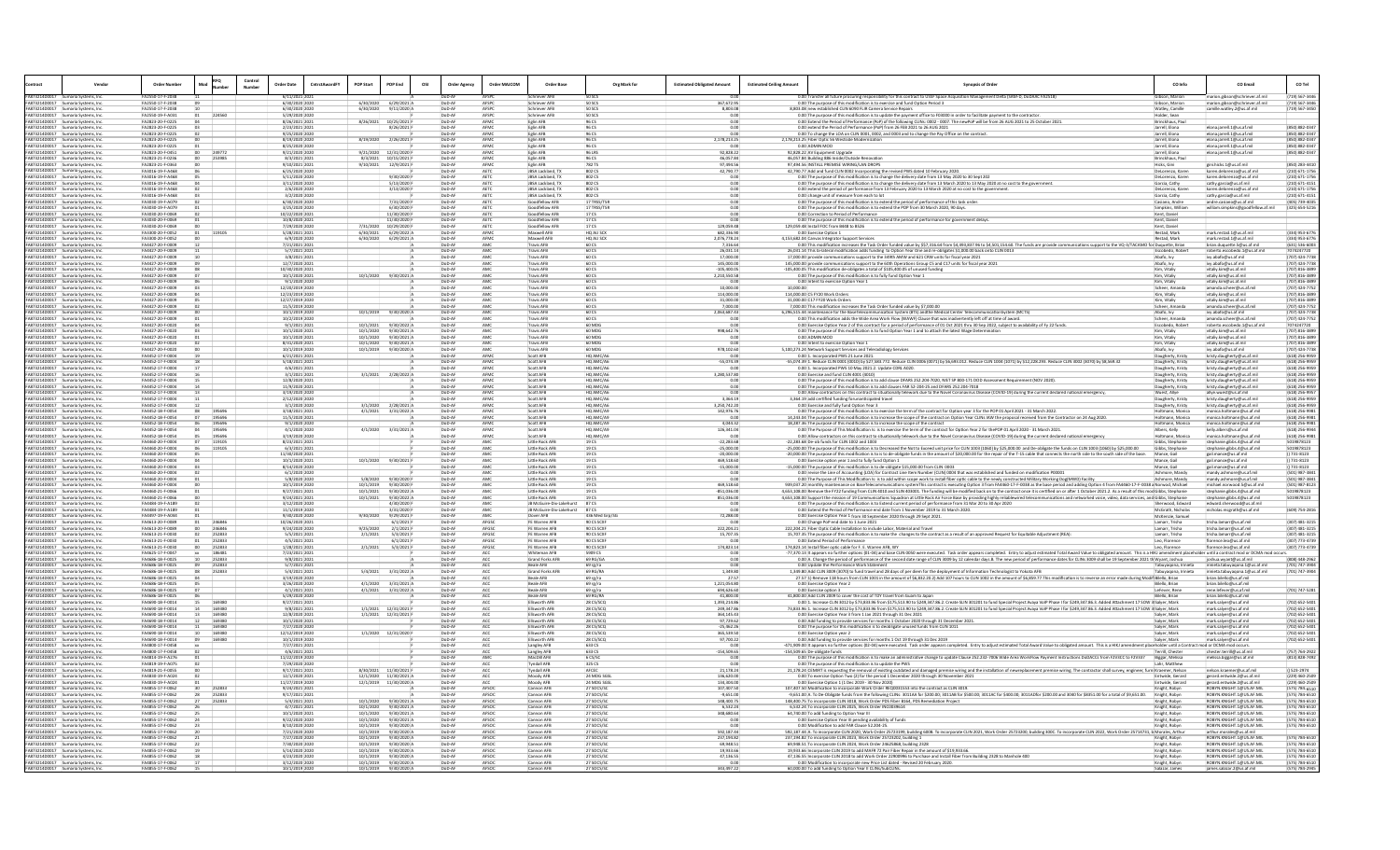|                                |                                                                            | <b>Order Numbe</b>                   |                  | Control<br>Number | <b>Order Date</b>                 | CntrctAwardF | <b>POP Start</b>       | POP End                                  | OSI<br><b>Order Agenc</b>              | Order MAJCOM         | <b>Order Base</b>                                    | Org Mark for             | stimated Obligated Amount    | <b>Estimated Ceiling Amo</b> | <b>Synopsis of Orde</b>                                                                                                                                                                                                                                                                                                                                                                          | CO Info                                | CO Emai                                                        | CO Tel                           |
|--------------------------------|----------------------------------------------------------------------------|--------------------------------------|------------------|-------------------|-----------------------------------|--------------|------------------------|------------------------------------------|----------------------------------------|----------------------|------------------------------------------------------|--------------------------|------------------------------|------------------------------|--------------------------------------------------------------------------------------------------------------------------------------------------------------------------------------------------------------------------------------------------------------------------------------------------------------------------------------------------------------------------------------------------|----------------------------------------|----------------------------------------------------------------|----------------------------------|
| FA873214D0                     | Sumaria Systems, Ini<br>FAB73214D0017 Sumaria Systems, In                  | FA2550-17-F-2038                     |                  |                   | 6/30/2020 2020                    |              | 000000018              | 6/29/2021                                | DoD-AP                                 | AFSP                 | chriever AFE                                         | 50.509                   | 367.672.95                   |                              | Transfer all future procuring responsibility for this contract to USSF Space Acquisition Management Delta (SAM-D, DoDAAC FA2518<br>0.00 The purpose of this modification is to exercise and fund Option Period 3                                                                                                                                                                                 | Gibson, Mario<br>Gibson, Mario         | marion.gibson@schriever.af.m<br>narion.gibson@schriever.af.mil | (719) 567-344<br>719) 567-344    |
|                                | FA873214D0017 Sumaria Systems, Inc.                                        | FA2550-17-F-2038                     |                  |                   | 6/30/2020 2020                    |              |                        | 6/30/2020 9/11/2020 A                    | DoD-AF                                 | AFSPC                | Schriever AFB                                        | 50 SCS                   | 8,803.08                     |                              | 8.803.08 new established CLIN 6090 FLIR Camera Service Repairs                                                                                                                                                                                                                                                                                                                                   | Watley, Camille                        | camille.watley.2@us.af.mil                                     | (719) 567-3450                   |
| FA873214D0017<br>FA873214D0017 | Sumaria Systems, Inc<br>Sumaria Systems, In                                | FA2550-19-F-A031<br>FA2823-20-F-0225 | 224560           |                   | 5/29/2020 2020<br>8/26/2021 202   |              | 8/26/2021              | 10/25/2021                               | <b>IOD-AF</b><br>$D \cap D - \Delta F$ | AFSP<br>AFN          | Schriever AFE<br>Eglin AFB                           | 50 SCS                   |                              |                              | 0.00 The purpose of this modification is to update the payment office to F03000 in order to facilitate payment to the contracto<br>0.00 Extend the Period of Performance (PoP) of the following CLINs: 0002 - 0007. The newPoP will be from 26 AUG 2021 to 25 October 2021                                                                                                                       | Holder, Sean<br>Brinckhaus, Par        |                                                                |                                  |
| FA873214D0017                  | Sumaria Systems, In                                                        | FA2823-20-F-0225                     |                  |                   | 2/23/2021 2021                    |              |                        | 8/26/2021                                | DoD-AF                                 | <b>AFM</b>           | Eglin AFB                                            | 960                      | 0.00                         |                              | 0.00 extend the Period of Performance (PoP) from 26 FEB 2021 to 26 AUG 2021.                                                                                                                                                                                                                                                                                                                     | Jarrell Flona                          | lona jarrell 1@us af mil                                       | 8501882-034                      |
| FA873214D0017                  | Sumaria Systems, In<br>FA873214D0017 Sumaria Systems, In                   | FA2823-20-F-0225<br>FA2823-20-F-0225 |                  |                   | 9/25/2020 2021<br>8/19/2020 2020  |              |                        | 8/19/2020 2/26/2021                      | OoD-A<br>DoD-AF                        | AFMO<br>AFMO         | Eglin AFB<br>Eglin AFB                               | 96.09                    | 2,178,213.25                 |                              | 0.00 To change the LOA on CLIN 0001, 0002, and 0003 and to change the Pay Office on the contract<br>2,178,213.25 Fiber Optic 56 Westside Modernization                                                                                                                                                                                                                                           | Jarrell, Elona<br>Jarrell Flona        | elona.jarrell.1@us.af.mil<br>elona.jarrell.1@us.af.mil         | 850) 882-034<br>8501882-034      |
|                                | FA873214D0017 Sumaria Systems, Inc.                                        | FA2823-20-F-0225                     |                  |                   | 8/25/2020 2020                    |              |                        |                                          | DoD-AF                                 | AFMO                 | Eglin AFB                                            | 96 CS                    | 0.00                         |                              | 0.00 ADMIN MOD                                                                                                                                                                                                                                                                                                                                                                                   | Jarrell, Elona                         | elona.iarrell.1@us.af.mil                                      | (850) 882-0347                   |
| FA873214D0017<br>EA972214D0017 | Sumaria Systems, Inc                                                       | FA2823-20-F-0451<br>EA2923-21-E-0236 | 253985           |                   | 9/21/2020 2020<br>8/3/2021 202:   |              | 9/21/2020<br>8/3/2021  | 12/31/2020<br>10/15/2021                 | DoD-AF<br>DoD-AP                       | AFM<br>AFM           | Eglin AFB<br>glin AFB                                | 96 LF                    | 92.828.22<br>46.057.9/       |                              | 92,828.22 AV Equipment Upgrade<br>46,057.84 Building 886 Inside/Outside Renovatio                                                                                                                                                                                                                                                                                                                | Jarrell, Elona<br>Brinckhaus, Pau      | elona.jarrell.1@us.af.mil                                      | (850) 882-034                    |
|                                | FA873214D0017 Sumaria Systems, Inc.                                        | FA2823-21-F-0363                     |                  |                   | 9/10/2021 2021                    |              |                        | 9/10/2021 12/9/2021                      | DoD-AF                                 | AFMO                 | Eglin AFB                                            | 782 TS                   | 97,494.56                    |                              | 97.494.56 INSTALL PREMISE WIRING/LAN DROPS                                                                                                                                                                                                                                                                                                                                                       | Hicks, Gini                            | gini.hicks.1@us.af.mil                                         | 850) 283-441                     |
| FA873214D0017<br>FA873214D0017 | Sumaria Systems, Inc.<br>Sumaria Systems In                                | FA3016-19-F-A468<br>FA3016-19-F-A468 |                  |                   | 6/25/2020 2020<br>5/11/2020 2020  |              |                        | 9/30/2020                                | DoD-AF<br>DoD-AF                       | AET<br>AFTO          | JBSA Lackland, T<br><b>IRSA Lackland TX</b>          | 802 CS<br>802.05         | 42,790.77                    |                              | 42,790.77 Add and fund CLIN 0002 Incorporating the revised PWS dated 10 February 2020<br>0.00 The purpose of this modification is to change the delivery date from 13 May 2020 to 30 Sept 202                                                                                                                                                                                                    | DeLorenzo, Kare<br>Del orenzo Karer    | karen.delorenzo@us.af.n<br>karen delorenzo@us af mi            | (210) 671-175<br>2101671-175     |
|                                | FA873214D0017 Sumaria Systems, Inc.                                        | FA3016-19-F-A468                     |                  |                   | 3/11/2020 2020                    |              |                        | 5/13/2020 8                              | DoD-AF                                 | AET0                 | JBSA Lackland, TX                                    | 802 CS                   | 0.00                         |                              | 0.00 The purpose of this modification is to change the delivery date from 13 March 2020 to 13 May 2020 at no cost to the government.                                                                                                                                                                                                                                                             | Garcia, Cathy                          | cathy.garcia@us.af.mil                                         | (210) 671-4151                   |
| FA873214D0017<br>FA873214D0017 | Sumaria Systems, In                                                        | FA3016-19-F-A468<br>FA3016-19-F-A468 |                  |                   | 2/6/2020 2020<br>3/2/2020 2021    |              |                        | 3/13/2020                                | OoD-A<br>DoD-AF                        |                      | JBSA Lackland, T<br>JBSA Lackland,                   | 802 C<br>802.09          |                              |                              | 0.00 extend the period of performance from 13 February 2020 to 13 March 2020 at no cost to the government.<br>0.00 change unit of measure from each to lot                                                                                                                                                                                                                                       | DeLorenzo, Kare<br>Garcia, Cathy       | karen.delorenzo@us.af.r<br>athy.garcia@us.af.mil               | (210) 671-175<br>(210) 671-415   |
| FA873214D0017                  | Sumaria Systems, In                                                        | FA3030-19-F-A079                     |                  |                   | 6/30/2020 2020                    |              |                        | 7/31/2020                                | DoD-AF                                 | AET                  | Soodfellow AFB                                       | 17 TRSS/TS               |                              |                              | 0.00 The purpose of this modification is to extend the period of performance of this task order                                                                                                                                                                                                                                                                                                  | Casiano, Andre                         | andre.casiano@us.af.mil                                        | (405) 739-4035                   |
| FA873214D0017                  | Sumaria Systems, Inc<br>FA873214D0017 Sumaria Systems, In                  | FA3030-19-F-A079<br>FA3030-20-F-0069 |                  |                   | 3/25/2020 2020<br>10/22/2020 2021 |              |                        | 6/30/2020<br>11/30/2020                  | DoD-AF<br>DoD-AF                       | AET<br>AETO          | oodfellow AFB<br>Goodfellow AFB                      | 17 TRSS/TSF<br>17 CS     |                              |                              | 0.00 The purpose of this modification is to extend the POP from 30 March 2020, 90 days.<br>0.00 Correction to Period of Performance                                                                                                                                                                                                                                                              | Simpkins, William<br>Kent, Daniel      | william.simpkins@goodfellow.af.mil                             | (325) 654-521                    |
| FA873214D0017                  | Sumaria Systems, Inc.                                                      | FA3030-20-F-0069                     |                  |                   | 10/8/2020 2021                    |              |                        | 11/30/2020                               | DoD-AF                                 | AETO                 | oodfellow AFB                                        | 17 CS                    |                              |                              | 0.00 The purpose of this modification is to extend the period of performance for government delays.                                                                                                                                                                                                                                                                                              | Kent, Danie                            |                                                                |                                  |
| FA873214D0017<br>FA873214D0017 | Sumaria Systems, In<br>Sumaria Systems, In                                 | FA3030-20-F-0069<br>FA3300-20-F-0052 | 119105           |                   | 7/29/2020 2021<br>5/28/2021 2021  |              | 7/31/2020<br>6/30/2021 | 10/29/2020<br>6/29/2022 4                | DoD-AF<br>DoD-AF                       | AET<br>AFM           | oodfellow AFB<br>Maxwell AFR                         | HO AU SO                 | 129.059.48<br>682 336 90     |                              | 129,059.48 Install FOC from B448 to B526<br>0.00 Exercise Option 1                                                                                                                                                                                                                                                                                                                               | Kent, Danie<br>Restad Mari             | mark.restad.1@us.af.mil                                        | 3341953-677                      |
| FA873214D0017                  | Sumaria Systems, Inc.                                                      | FA3300-20-F-0052                     |                  |                   | 6/9/2020 2020                     |              |                        | 6/30/2020 6/29/2021 A                    | DoD-AF                                 | <b>AFM</b>           | Maxwell AFB                                          | HQ AU SCX                | 2,076,778.24                 |                              | 4,153,682.04 Canvas Integrator Support Services                                                                                                                                                                                                                                                                                                                                                  | Restad, Mark                           | mark.restad.1@us.af.mil                                        | (334) 953-677                    |
| FA873214D0017                  | Sumaria Systems, In<br>FA873214D0017 Sumaria Systems, Inc.                 | FA4427-20-F-0009<br>FA4427-20-F-0009 |                  |                   | 7/21/2021 2021<br>5/7/2021 2021   |              |                        |                                          | DoD-A<br>DoD-AF                        | AM                   | ravis AFB<br><b>Travis AFB</b>                       | 60 CS<br>60 CS           | 7,316.64<br>26.031.14        |                              | 0.00 This modification increases the Task Order funded value by \$\$7,316.64 from \$4,493,837.96 to \$4,501,154.60. The funds are provide communications support to the VQ-3/TACAMO for Duquette, Brian<br>26.031.14 This bi-lateral modification adds funding to Option Year One and re-obligates \$1.000.00 back onto CLIN 0013                                                                | Escobedo, Rober                        | brian.duquette.5@us.af.m<br>roberto.escobedo.1@us.af.m         | (631) 536-600<br>7074247720      |
| FA873214D0017                  | Sumaria Systems, Inc.                                                      | A4427-20-F-0009                      |                  |                   | 3/8/2021 2021                     |              |                        |                                          | DoD-AF                                 |                      | ravis AFB                                            | 60 C                     | 17,000.00                    |                              | 17,000.00 provide communications support to the 349th AMW and 621 CRW units for fiscal year 2021                                                                                                                                                                                                                                                                                                 | Abafo, Ivy                             | ivy.abafo@us.af.mil                                            | 707) 424-773                     |
|                                | FA873214D0017 Sumaria Systems, Inc<br>FA873214D0017 Sumaria Systems, Inc.  | FA4427-20-F-0009<br>FA4427-20-F-0009 |                  |                   | 12/7/2020 2021<br>10/30/2020 2021 |              |                        |                                          | DoD-AF<br>DoD-AF                       | AM<br>AM             | Travis AFB<br>Travis AFB                             | 60 CS<br>60 C            | 145,000.00<br>$-105.400.05$  |                              | 145,000.00 provide communications support to the 60th Operations Group C5 and C17 units for fiscal year 2021<br>-105,400.05 This modification de-obligates a total of \$105,400.05 of unused funding                                                                                                                                                                                             | Abafo, Ivy<br>Kim, Vitaliv             | ivy.abafo@us.af.mil<br>vitaliy.kim@us.af.mil                   | (707) 424-7738<br>707) 816-389   |
| FA873214D0017                  | Sumaria Systems, Inc                                                       | FA4427-20-F-0009                     |                  |                   | 10/1/2020 202:                    |              |                        | 10/1/2020 9/30/2021 A                    |                                        |                      | <b>Travis AFI</b>                                    |                          | 2,210,550.58                 |                              | 0.00 The purpose of this modification is to fully fund Option Year 1                                                                                                                                                                                                                                                                                                                             | Kim, Vitaliv                           | vitaliy.kim@us.af.mil                                          | 707) 816-389                     |
| FA873214D0017                  | Sumaria Systems, In<br>FA873214D0017 Sumaria Systems, Inc.                 | FA4427-20-F-0009<br>FA4427-20-F-0009 |                  |                   | 9/1/2020 2020<br>12/20/2019 2020  |              |                        |                                          | DoD-AF<br>DoD-AF                       | AM                   | Travis AF<br>Travis AFB                              | 60 C<br>60 CS            | 10,000.00                    |                              | 0.00 Intent to exercise Option Year 1<br>10,000.00                                                                                                                                                                                                                                                                                                                                               | Kim, Vitaliy<br>Scheer, Amanda         | vitaliy.kim@us.af.mil<br>amanda.scheer@us.af.m                 | (707) 816-389<br>(707) 424-775   |
| FA873214D0017                  | iumaria Systems, In                                                        | FA4427-20-F-0009                     |                  |                   | 12/23/2019 202                    |              |                        |                                          | DoD-AF                                 |                      | Fravis AF                                            |                          | 114,000.00                   |                              | 114,000.00 C5 FY20 Work Orders                                                                                                                                                                                                                                                                                                                                                                   | Kim, Vitaliy                           | ritaliy.kim@us.af.mil                                          | (707) 816-389                    |
| FA873214D0017                  | FA873214D0017 Sumaria Systems, In<br>Sumaria Systems, Inc.                 | FA4427-20-F-0009<br>FA4427-20-F-0009 |                  |                   | 12/27/2019 2020<br>11/5/2019 2020 |              |                        |                                          | DoD-AF<br>DoD-AF                       | AM                   | Travis AFB<br>Travis AFB                             | 60 CS<br>60 C            | 31,000.00<br>7.000.00        |                              | 31,000,00 C17 FY20 Work Orders<br>7,000.00 This modification increases the Task Order funded value by \$7,000.00                                                                                                                                                                                                                                                                                 | Kim, Vitaliy<br>Scheer, Amanda         | vitaliy.kim@us.af.mil<br>amanda.scheer@us.af.m                 | 707) 816-389<br>707) 424-775     |
| FA873214D0017                  | Sumaria Systems, In                                                        |                                      |                  |                   | 10/1/2019 202                     |              |                        | 10/1/2019 9/30/2020 A                    |                                        |                      | ravis AF                                             |                          | 2,063,687.4                  |                              | 6,296,515.44 maintenance for the BaseTelecommunication System (BTS) andthe Medical Center TelecommunicationSystem (MCTS)                                                                                                                                                                                                                                                                         | Abafo, Ivy                             | ivy.abafo@us.af.mil                                            | (707) 424-77                     |
| FA873214D0017                  | FA873214D0017 Sumaria Systems, In<br>Sumaria Systems, In                   | FA4427-20-F-0009<br>FA4427-20-F-0020 |                  |                   | 10/2/2019 202<br>9/1/2021 2021    |              | 10/1/2021              | 9/30/2022                                | DoD-AF<br>DoD-AF                       | AM                   | Travis AFB<br><b>Travis AFB</b>                      | 60 C<br>60 MD            | 0.00                         |                              | 0.00 This modification adds the Wide Area Work Flow (WAWF) Clause that was inadvertently left off at time of award.<br>0.00 Exercise Option Year 2 of this contract for a period of performance of 01 Oct 2021 thru 30 Sep 2022, subject to availability of Fy 22 funds                                                                                                                          | Scheer, Amand<br>Escobedo, Rober       | amanda.scheer@us.af.mi<br>roberto.escobedo.1@us.af.m           | (707) 424-775<br>7074247720      |
| FA873214D0017                  | iumaria Systems, In                                                        | FA4427-20-F-0020                     |                  |                   | 0/1/2020 202                      |              | 10/1/2020              | 9/30/2021                                | DoD-A                                  |                      |                                                      | 60 MD                    | 998,642.7                    |                              | 0.00 The purpose of this modification is to fund Option Year 1 and to attach the latest Wage Determination                                                                                                                                                                                                                                                                                       | Kim, Vitaliy                           | vitaliy.kim@us.af.m                                            | 707) 816-38                      |
| FA873214D0017                  | FAR73214D0017 Sumaria Systems Inc.<br>Sumaria Systems, Inc                 | FA4427-20-F-0020<br>FA4427-20-F-0020 |                  |                   | 10/1/2020 2021<br>8/31/2020 2021  |              | 10/1/2020<br>10/1/2020 | $9/30/2021$ $\triangle$<br>$9/30/2021$ A | DoD-AF<br>DoD-AF                       | AM<br>AM             | Travis AFR<br><b>Travis AFB</b>                      | 60 MDG<br>60 MDG         | 0.00                         |                              | 0.00 ADMIN MOD<br>0.00 Intent to exercise Option Year 1                                                                                                                                                                                                                                                                                                                                          | Kim Vitaliy<br>Kim, Vitaliy            | vitaliy.kim@us.af.mil<br>vitaliy.kim@us.af.mil                 | 7071816-3899<br>707) 816-389     |
| FA873214D0017                  | Sumaria Systems, In                                                        | FA4427-20-F-0020                     |                  |                   | 10/1/2019 202                     |              |                        | 10/1/2019 9/30/2020 A                    |                                        |                      |                                                      |                          | 978,102.60                   |                              | 5,100,273.24 Network Support Services and Teleradiology Services                                                                                                                                                                                                                                                                                                                                 | Abafo, Ivy                             | ivy.abafo@us.af.mil                                            | 707) 424-77                      |
|                                | FA873214D0017 Sumaria Systems, In<br>FA873214D0017 Sumaria Systems, Inc.   | FA4452-17-F-0004<br>FA4452-17-F-0004 |                  |                   | 6/21/2021 202:<br>5/18/2021 2021  |              |                        |                                          | DoD-AF<br>DoD-AF                       | AFM<br>AFMO          | Scott AFB<br>Scott AFB                               | HO AMC/A<br>HO AMC/A6    | $-55.074.39$                 |                              | 0.00 1. Incorporated PWS 21 June 2021.<br>-55.074.39 1. Reduce CLIN 0001 (0010) by \$27.583.772. Reduce CLIN 0006 (0071) by \$6.693.012. Reduce CLIN 1004 (1071) by \$12.228.293. Reduce CLIN 3002 (3070) by \$8.569.32                                                                                                                                                                          | Daugherty, Krist<br>Daugherty, Kristy  | kristy.daugherty@us.af.m<br>kristy.daugherty@us.af.mi          | (618) 256-995<br>(618) 256-995   |
| FA873214D0017                  |                                                                            | EA4452-17-E-0004                     |                  |                   | 4/6/2021 202:                     |              |                        |                                          | $D_0D_2AB$                             | AFM                  | <b>Scott AFE</b>                                     | HO AMC/AL                |                              |                              | 0.00 1. Incorporated PWS 10 May 2021.2. Update CDRL A020.                                                                                                                                                                                                                                                                                                                                        | Daugherty, Kris                        | isty.daugherty@us.af.m                                         | (618) 256-995                    |
| FA873214D0017                  | FA873214D0017 Sumaria Systems, In<br>Sumaria Systems, Inc                  | FA4452-17-F-0004<br>FA4452-17-F-0004 |                  |                   | 3/1/2021 2021<br>12/8/2020 2021   |              |                        | 3/1/2021 2/28/2022 A                     | DoD-AF<br>DoD-AF                       | AFMO<br>AFM          | Scott AFB<br>Scott AFB                               | HO AMC/A6<br>HQ AMC/A6   | 3.280.537.80                 |                              | 0.00 Exercise and fund CLIN 4001 (4010)<br>0.00 The purpose of this modification is to add clause DFARS 252.204-7020, NIST SP 800-171 DOD Assessment Requirement (NOV 2020).                                                                                                                                                                                                                     | Daugherty, Kristy<br>Daugherty, Kristy | kristy.daugherty@us.af.mi<br>kristy.daugherty@us.af.m          | (618) 256-9959<br>(618) 256-995  |
| FA873214D0017                  | umaria Systems, In                                                         | FA4452-17-F-0004                     |                  |                   | 11/9/2020 202                     |              |                        |                                          |                                        | AFN                  |                                                      | HO AMC/                  |                              |                              | 0.00 The purpose of this modification is to add clauses FAR 52-204-25 and DFARS 252 204-7018                                                                                                                                                                                                                                                                                                     | Daugherty, Kristy                      | kristy.daugherty@us.af.m                                       | 618) 256-995                     |
| FA873214D0017                  | FA873214D0017 Sumaria Systems, In<br>Sumaria Systems, Inc.                 | FA4452-17-F-0004<br>FA4452-17-F-0004 |                  |                   | 3/19/2020 2020<br>2/12/2020 2020  |              |                        |                                          | DoD-AF<br>DoD-AF                       | AFM<br>AFMO          | Scott AFB<br>Scott AFB                               | HO AMC/A6<br>HQ AMC/A6   | 3,364.19                     |                              | 0.00 Allow contractors on this contract to situationally telework due to the Novel Coronavirus Disease (COVID-19) during the current declared national emergency,<br>3,364.19 add certified funding forunanticipated travel                                                                                                                                                                      | Wuest, Allye<br>Daugherty, Kristy      | allye.wuest@us.af.mil<br>kristy.daugherty@us.af.m              | (618) 256-995<br>(618) 256-995   |
| FA873214D0017                  | Sumaria Systems. In                                                        | FA4452-17-F-0004                     |                  |                   | 3/1/2020 2021                     |              |                        | 3/1/2020 2/28/2021                       | DoD-AF                                 | <b>AFM</b>           | Cott AFF                                             | HO AMC/A                 | 3250 742 20                  |                              | 0.00 Exercise and fully fund Option Year 3                                                                                                                                                                                                                                                                                                                                                       | Jaugherty, Krist                       | kristy.daugherty@us.af.m                                       | 6181256-995                      |
| FA873214D0017                  | FA873214D0017 Sumaria Systems, Inc<br>Sumaria Systems, Inc.                | FA4452-18-F-0054<br>FA4452-18-F-0054 | 195696<br>195696 |                   | 3/18/2021 2021<br>11/5/2020 2021  |              | 4/1/2021               | 3/31/2022 A                              | DoD-AF<br>DoD-AF                       | AFMO<br>AFMO         | Scott AFB<br>Scott AFB                               | HO AMC/AS<br>HQ AMC/AS   | 142,976.76                   |                              | 0.00 The purpose of this modification is to exercise the term of the contract for Option year 3 for the POP 01 April 2021 - 31 March 2022.<br>14,243.04 The purpose of this modification is to increase the scope of the contract on Option Year CLINs IAW the proposal received from the Contractor on 24 Aug 2020.                                                                             | Holtmann, Monica<br>Holtmann, Monica   | monica.holtmann@us.af.m<br>monica.holtmann@us.af.mi            | (618) 256-998<br>(618) 256-998   |
| FA873214D0017                  | Sumaria Systems, In                                                        | FA4452-18-F-0054                     | 195696           |                   | 9/1/2020 2020                     |              |                        |                                          | $D \cap D - \Delta F$                  | AFM                  | Scott AFB                                            | HO AMC/AS                | 4.044.32                     |                              | 18,287.36 The purpose of this modification is to increase the scope of the contract                                                                                                                                                                                                                                                                                                              | Holtmann, Monica                       | ica.holtmann@us.af.m                                           | $(618)$ 256-998                  |
| FA873214D0017<br>FA873214D0017 | Sumaria Systems, In<br>Sumaria Systems, Inc.                               | FA4452-18-F-0054<br>FA4452-18-F-0054 | 195696<br>195696 |                   | 4/1/2020 2020<br>3/19/2020 2020   |              |                        | $4/1/2020$ $3/31/2021$ A                 | DoD-AF<br>DoD-AF                       | AFM<br>AFMO          | Scott AFB<br>Scott AFB                               | HO AMC/AS<br>HQ AMC/A9   | 126,341.04                   |                              | 0.00 The Purpose of This Modification Is: is to exercise the term of the contract for Option Year 2 for the POP 01 April 2020 - 31 March 2021.<br>0.00 Allow contractors on this contract to situationally telework due to the Novel Coronavirus Disease (COVID-19) during the current declared national emergency                                                                               | Albers, Kelly<br>Joltmann, Monic       | kelly.albers@us.af.mil<br>monica.holtmann@us.af.r              | (618) 256-994<br>(618) 256-998   |
| FA87321400017                  | Sumaria Systems In                                                         | FA4460-20-F-0004                     | 119105           |                   | 8/23/2021 2021                    |              |                        |                                          | DoD-AF                                 | AM                   | Little Rock AFF                                      | 19.05                    | $-2228368$                   |                              | -22.283.68 De-ob funds for CLIN 1002 and 1003                                                                                                                                                                                                                                                                                                                                                    | Gibbs Stephanie                        | stephanie.gibbs.4@us.af.mi                                     | 5019878123                       |
| FA873214D0017<br>FA873214D0017 | Sumaria Systems, Inc.<br>Sumaria Systems, In                               | FA4460-20-F-0004<br>FA4460-20-F-0004 | 119105           |                   | 6/3/2021 2021<br>11/30/2020 202:  |              |                        |                                          | DoD-AF<br>OoD-AF                       | AM                   | Little Rock AFB<br>Little Rock AFE                   | 19 CS<br>19 CS           | $-25,000.00$<br>$-20,000.00$ |                              | -25,000.00 The purpose of this modification is to Decreased the Not to Exceed unit price for CLIN 1003 (1060) by \$25,000.00 and De-obligate the funds on CLIN 1003 (1060) by \$25,000.00<br>-20,000.00 The purpose of this modification is to is to de-obligate funds in the amount of \$20,000.00 for the repair of the T-15 cable that connects the north side to the south side of the base. | Gibbs, Stephani<br>Mance, Gail         | stephanie.gibbs.4@us.af.mi<br>gail.mance@us.af.mil             | 5019878123<br>$1731 - 8123$      |
| FA873214D0017                  | Sumaria Systems, In                                                        | FA4460-20-F-0004                     |                  |                   | 10/1/2020 2021                    |              |                        | 10/1/2020 9/30/2021                      | DoD-AF                                 | AM                   | Little Rock AFF                                      | 19 C                     | 469 518 60                   |                              | 0.00 Exercise option year 1 and to fully fund Option 1                                                                                                                                                                                                                                                                                                                                           | Mance, Gail                            | ail.mance@us.af.mil                                            | 1731-8123                        |
| FA873214D0017<br>FA873214D0017 | Sumaria Systems, In<br>Sumaria Systems, In                                 | FA4460-20-F-0004<br>FA4460-20-F-0004 |                  |                   | 8/14/2020 2020<br>6/1/2020 202    |              |                        |                                          | <b>JoD-AF</b><br>OoD-A                 |                      | Little Rock AFE<br>Little Rock AFE                   | 19C<br>19 C              | $-15.000.00$                 |                              | -15,000.00 The purpose of this modification is to de-obligate \$15,000.00 from CLIN 0003<br>0.00 revise the Line of Accounting (LOA) for Contract Line Item Number (CLIN) 0004 that was established and funded on modification P00001                                                                                                                                                            | Mance, Gail<br>Ashmore, Mano           | zail.mance@us.af.mil<br>mandy.ashmore@us.af.m                  | 1731-8123<br>(501) 987-38        |
| FA873214D0017                  | Sumaria Systems, In                                                        | FA4460-20-F-0004                     |                  |                   | 5/8/2020 2020                     |              | 5/8/2020               | 9/30/2020                                | DoD-AF                                 | AM                   | Little Rock AFE                                      | 19 C                     |                              |                              | 0.00 The Purpose of This Modification is: is to add within scope work to install fiber optic cable to the newly constructed Military Working Dog(MWD) Facility. [Ashmore, Mandy Ashmore, Mandy Ashmore, Mandy and add in Depar                                                                                                                                                                   |                                        | mandy.ashmore@us.af.mil                                        | (501) 987-3841                   |
| FA873214D0017<br>FAR73214D0017 | Sumaria Systems, In<br>Sumaria Systems, In                                 | FA4460-20-F-0004<br>FA4460-21-F-0066 |                  |                   | 10/1/2019 2020<br>9/27/2021 2021  |              | 10/1/2019<br>10/1/2021 | 9/30/2020<br>9/30/2022                   | DoD-AF<br>DoD-AF                       | AM                   | Little Rock AFB<br>Little Rock AFB                   | 19 C<br>19 CS            | 469,518.60<br>$-851.036.00$  |                              | 939,037.20 monthly maintenance on BaseTeleco<br>4,653,108.00 Remove the FY22 funding from CLIN 4010 and SLIN 403001. The funding will be modified back on to the contract once it is certified on or after 1 October 2021.2. As a result of this modiGibbs, Stephanie                                                                                                                            |                                        | michael.norwood.5@us.af.m<br>stephanie.gibbs.4@us.af.mi        | (501) 987-812<br>5019878123      |
| FA873214D0017                  | Sumaria Systems, In                                                        | FA4460-21-F-0066                     |                  |                   | 9/24/2021 2021                    |              | 10/1/2021              | 9/30/2022 A                              | DoD-AF                                 | AM                   | Little Rock AFB                                      | 19 C                     | 851,036.00                   |                              | 4,653,108.00 Support the mission of 19 Communications Squadron at Little Rock Air Force Base by providing highly reliablewired telecommunications and networked voice, video, data services, and Gibbs, Stephanie                                                                                                                                                                                |                                        | stephanie.gibbs.4@us.af.mi                                     | 5019878123                       |
| FA873214D0017<br>FA873214D0017 | Sumaria Systems, In<br>Sumaria Systems, In                                 | FA4484-19-F-A189<br>FA4484-19-F-A189 |                  |                   | 3/12/2020 202<br>11/1/2019 202    |              |                        | 4/30/2020<br>3/31/2020                   | DoD-A<br>OoD-A                         |                      | B McGuire-Dix-Lake<br><b>B McGuire-Dix-Lakehurst</b> | 87 C                     |                              |                              | 0.00 The purpose of this modification is to Extend current period of performance from 31 Mar 20 to 30 Apr 2020<br>0.00 Extend the Period of Performance end date from 1 November 2019 to 31 March 2020.                                                                                                                                                                                          | Sherwood, Edwar<br>McGrath, Nichola    | edward.sherwood@us.af.m<br>nicholas.mcgrath@us.af.mi           | (609) 754-2816                   |
| FA873214D0017                  | Sumaria Systems Ing                                                        | FA4497-19-F-A044                     |                  |                   | 9/30/2020 2020                    |              | 9/30/2020              | 9/29/2021                                | DoD-AF                                 | AM                   | Dover AFB                                            | 436 Med Grn/St           | 72,288.00                    |                              | 0.00 Exercise Option Year 1 from 30 September 2020 through 29 Sept 2021.                                                                                                                                                                                                                                                                                                                         | McKenzie Samuel                        |                                                                |                                  |
| FA873214D0017                  | iumaria Systems, Ini<br>FA873214D0017 Sumaria Systems, In                  | A4613-20-F-0089<br>FA4613-20-F-0089  | 246846<br>246846 |                   | 0/26/2020 202:<br>9/24/2020 2020  |              | 9/25/2020              | 6/1/2021<br>2/1/2021                     | DoD-AF                                 | AFGS<br>AFGSO        | E Warren AFE<br>FE Warren AFB                        | 90 CS SCX<br>90 CS SCXE  | 222, 204.21                  |                              | 0.00 Change PoP end date to 1 June 2021<br>222,204.21 Fiber Optic Cable Installation to include Labor, Material and Travel                                                                                                                                                                                                                                                                       | Lamarr, Trisha<br>Lamarr, Trisha       | trisha.lamarr@us.af.mi<br>trisha.lamarr@us.af.mil              | (307) 481-321<br>(307) 481-3219  |
| FA873214D0017                  | Sumaria Systems, In                                                        | FA4613-21-F-0030                     | 252833           |                   | 5/5/2021 2021                     |              | 2/1/2021               | 5/3/2021                                 | DoD-AF                                 | AFGSO                | FE Warren AFB                                        | 90 CS SCXF               | 15,707.35                    |                              | 15,707.35 The purpose of this modification is to make the changes to the contract as a result of an approved Request for Equitable Adjustment (REA):                                                                                                                                                                                                                                             | Lamarr, Trisha                         | trisha.lamarr@us.af.mil                                        | (307) 481-321                    |
| FA873214D0017<br>FA873214D0017 | Sumaria Systems, In<br>Sumaria Systems, II                                 | A4613-21-F-0030<br>FA4613-21-F-0030  | 25283<br>252833  |                   | 4/5/2021 202:<br>1/28/2021 2021   |              | 2/1/2021               | 1/2021<br>5/3/2021                       | $D \cap D - \Delta F$                  | AFGS                 | E Warren AFE<br>FE Warren AFB                        | 90 CS SCX<br>90 CS SCX   | 174,823.14                   |                              | 0.00 Extend Period of Performance<br>174,823.14 Install fiber optic cable for F. E. Warren AFB, WY                                                                                                                                                                                                                                                                                               | Leo, Florence<br>Leo, Florenc          | lorence.leo@us.af.mi<br>lorence.leo@us.af.mi                   | 307) 773-473<br>(307) 773-473    |
|                                | FA873214D0017 Sumaria Systems, In                                          | FA4625-17-F-0047                     | 186481           |                   | 7/23/2021 2021                    |              |                        |                                          | DoD-AF                                 |                      | Vhiteman AFB                                         | 5909 CS                  | 0.00                         |                              | -77,370.13 It appears no further options (01-04) and base CLIN 0050 were executed. Task order appears completed. Entry to adjust estimated Total Award Value to obligated amount. This is a HIKJ amendment pl                                                                                                                                                                                    |                                        | r until a contract mod or DCMA more                            |                                  |
| FA873214D0017                  | iumaria Systems, In<br>FAR73214D0017 Sumaria Systems Inc                   | FA4686-18-F-0025<br>FA4686-18-F-0025 | 252833<br>252833 |                   | 9/8/2021 202:<br>5/7/2021 2021    |              |                        |                                          | OoD-A<br>DoD-AF                        |                      | <b>Grand Forks AFE</b><br><b>Beale AFR</b>           | 69 rg/ra                 | 0.00                         |                              | 0.00 A. Change the period of performance of the second date range of CLIN 3009 by 12 calendar days.B. The new period of performance dates for CLINs 3009 shall be 19 September 2021 th Wyant, Joshua<br>0.00 Undate the Performance Work Statement                                                                                                                                               | Tabuyaqona, Irinieta                   | joshua.wyant@us.af.mi<br>irinieta.tabuyaqona.1@us.af.mi        | (808) 448-296<br>(701) 747-3904  |
| FA873214D0017                  | Sumaria Systems, Inc.                                                      | FA4686-18-F-0025                     | 252833           |                   | 5/4/2021 2021                     |              |                        | $5/4/2021$ $3/31/2022$ A                 | DoD-AF                                 |                      | Grand Forks AFB                                      | 69 BG/R/                 | 1,349.80                     |                              | 1.349.80 Add CLIN 3009 (3070) to fund travel and 28 days of per diem for the deployment of Information Technologist to Yokota AFB                                                                                                                                                                                                                                                                | Tabuvagona, Irinieta                   | irinieta.tabuvagona.1@us.af.mi                                 | (701) 747-390                    |
| FA873214D0017<br>FA873214D0017 | Sumaria Systems, In<br>Sumaria Systems, I                                  | A4686-18-F-0025<br>FA4686-18-F-0025  |                  |                   | 3/19/2020 202<br>3/26/2020 2020   |              |                        | $4/1/2020$ $3/31/2021$ A                 | $00-45$                                |                      | Beale AFB<br><b>Beale AFB</b>                        | 69 rg/ra<br>69 rg/ra     | 1 221 054 80                 |                              | 27.57 1) Remove 118 hours from CLIN 1001 in the amount of \$6,832.20.2) Add 107 hours to CLIN 1002 in the amount of \$6,859.77. This modification is to reverse an error made during Modifi Bilello, Brian<br>0.00 Exercise Option Year 2                                                                                                                                                        | Bilello, Brian                         | brian.bilello@us.af.m<br>brian.bilello@us.af.m                 |                                  |
|                                | FA873214D0017 Sumaria Systems, Inc.                                        | FA4686-18-F-0025                     |                  |                   | 4/1/2021 2021                     |              |                        | 4/1/2021 3/31/2022 A                     | DoD-AF                                 |                      | Beale AFB                                            | 69 rg/ra<br>69.90.00     | 694,626.60                   |                              | 0.00 Exercise option 3                                                                                                                                                                                                                                                                                                                                                                           | LeFever, Rene                          | rene.lefever@us.af.mi                                          | (701) 747-5281                   |
| FA873214D0017                  | iumaria Systems, li<br>FA873214D0017 Sumaria Systems, In                   | FA4686-18-F-0025<br>FA4690-18-F-0014 | 169380           |                   | 5/29/2020 2021<br>9/27/2021 2021  |              |                        |                                          | DoD-AF<br>DoD-AF                       |                      | Beale AFB<br>Ellsworth AFB                           | 28 CS/SCO                | 41,800.00<br>1.393.214.86    |                              | 41,800.00 Add CLIN 2009 to cover the cost of TDY travel from Guam to Japa<br>0.00 1. Increase CLIN 3012 by \$73.833.96 from \$175.513.90 to \$249.347.86.2. Create SLIN 301201 to fund Special Project Avava VoIP Phase I for \$249.347.86.3. Added Attachment 17 SOW 3/Salver. Mark                                                                                                             | Bilello, Bria                          | rian.bilello@us.af.m<br>mark.salver@us.af.mil                  | (702) 652-540                    |
| FA873214D0017                  | Sumaria Systems, Inc.                                                      | FA4690-18-F-0014                     | 169380           |                   | 9/8/2021 2021                     |              |                        | $1/1/2021$ $12/31/2021$                  | DoD-AF                                 |                      | Ellsworth AFB                                        | 28 CS/SCQ                | 249,347.86                   |                              | 73,833.96 1. Increase CLIN 3012 by \$73,833.96 from \$175,513.90 to \$249,347.86.2. Create SLIN 301201 to fund Special Project Avaya VoIP Phase I for \$249,347.86.3. Added Attachment 17 SOW 3/Salyer, Mark                                                                                                                                                                                     |                                        | mark.salyer@us.af.mil                                          | (702) 652-540                    |
| FA873214D0017<br>FA873214D0017 | Sumaria Systems, In<br>Sumaria Systems, II                                 | FA4690-18-F-0014<br>FA4690-18-F-0014 | 169380<br>169380 |                   | 12/8/2020 202:<br>10/1/2020 202:  |              |                        | $1/1/2021$ $12/31/2021$                  | DoD-AF<br>DoD-AF                       |                      | Ilsworth AF<br><b>Ilsworth AFP</b>                   | 28 CS/SCC<br>28 CS/SCC   | 64,145.43<br>97 729 62       |                              | 0.00 Exercise Option Year 3 from 1 Jan 2021 through 31 Dec 2021<br>0.00 Add funding to provide services for months 1 October 2020 through 31 December 2021                                                                                                                                                                                                                                       | Salyer, Mark<br>Salver, Mark           | mark.salyer@us.af.mi<br>mark.salyer@us.af.mil                  | (702) 652-540<br>(202) 652-540   |
| FA873214D0017                  | Sumaria Systems, In                                                        | FA4690-18-F-0014                     | 169380           |                   | 7/27/2020 2020                    |              |                        |                                          | DoD-AF                                 |                      | Ilsworth AFB                                         | 28 CS/SCQ                | $-25,462.26$                 |                              | 0.00 The purpose for this modification is to deobligate unused funds from CLIN 1011                                                                                                                                                                                                                                                                                                              | Salyer, Mark                           | mark.salyer@us.af.mil                                          | (702) 652-540                    |
| FA873214D0017<br>FA873214D0017 | Sumaria Systems, In<br>Sumaria Systems, In                                 | FA4690-18-F-0014<br>FA4690-18-F-0014 | 169380<br>169380 |                   | 12/12/2019 202<br>10/1/2019 2020  |              |                        | 1/1/2020 12/31/2020                      | DoD-A<br>DoD-AF                        |                      | Ilsworth AFI<br>Ilsworth AFB                         | 28 CS/SCO<br>28 CS/SCO   | 365,539.50<br>97,700.22      |                              | 0.00 Exercise Option year 2<br>0.00 Add funding to provide services for months 1 Oct 19 through 31 Dec 2019                                                                                                                                                                                                                                                                                      | Salyer, Mar<br>Salver, Mark            | mark.salyer@us.af.mil<br>mark.salver@us.af.mil                 | (702) 652-540<br>(702) 652-540   |
| FA873214D0017                  | Sumaria Systems, Inc.                                                      | FA4800-17-F-0458                     |                  |                   | 7/27/2021 2021                    |              |                        |                                          | DoD-AF                                 |                      | Langley AFB                                          | 633 CS                   | 0.00                         |                              | 471,909.00 it appears no further options (02-04) were executed. Task order appears completed. Entry to adjust estimated Total Award Value to obligated amount. This is a HIKJ amendment placeholder until a Co                                                                                                                                                                                   |                                        | od or DCMA mod occurs                                          |                                  |
| FA873214D0017<br>FA873214D0017 | Sumaria Systems, In<br>Sumaria Systems, In                                 | FA4800-17-F-0458<br>FA4814-19-F-A276 |                  |                   | 4/6/2021 202:<br>11/22/2019 2020  |              |                        |                                          | $D \cap D - \Delta F$<br>DoD-AF        |                      | angley AFB<br>MacDill AFB                            | 633 CS<br>6CS/S          | $-154,509.65$                |                              | -154,509.65 De-obligate funds<br>0.00 The purpose of this modification is to make an administrative change to update Clause 252.232-7006 Wide Area WorkFlow Payment Instructions DoDACCs from F2V3CC to F2V337 Biggar, Melissa                                                                                                                                                                   | Terrill, Chester                       | chester.terrill@us.af.m<br>melissa.biggar@us.af.mil            | 757) 764-29<br>(813) 828-749     |
| FA873214D0017                  | Sumaria Systems, In                                                        | FA4819-19-F-A075                     |                  |                   | 7/29/2020 2020                    |              |                        |                                          | DoD-AF                                 |                      | <b>Tyndall AFB</b>                                   | 325 <sup>o</sup>         |                              |                              | 0.00 The purpose of this modification is to update the PWS                                                                                                                                                                                                                                                                                                                                       | Lahr. Matthew                          |                                                                |                                  |
| FA873214D0017<br>FA873214D0017 | Sumaria Systems, In<br>Sumaria Systems, In                                 | FA4819-21-F-005<br>FA4830-19-F-A024  |                  |                   | 9/17/2021 202:<br>12/1/2020 2021  |              | 12/1/2020              | 11/30/2021<br>11/30/2021 A               | DoD-AF                                 |                      | yndall AFB<br><b>Moody AFB</b>                       | 24 MDG SGS               | 21,178.24<br>136.620.00      |                              | 21,178.24 CEMIRT is requesting the removal of existing outdated and damaged premise wiring and the installation of newreplacement premise wiring. The contractor shall survey, engineer, furni Kraemer, Nelson<br>0.00 To exercise Option Two (2) for the period 1 December 2020 through 30 November 2021                                                                                        | Entwisle, Gerard                       | nelson.kraemer@us.af.m<br>gerard.entwisle.2@us.af.mi           | [323-2974]<br>(229) 460-250      |
| FA873214D0017                  | Sumaria Systems, In                                                        | FA4830-19-F-A024                     |                  |                   | 11/27/2019 202                    |              | 12/1/2019              | 11/30/2020                               | DoD-AF                                 |                      | <b>Moody AFB</b>                                     | 24 MDG SGS               | 134,304.00                   |                              | 0.00 Exercise Option 1 (1 Dec 2019 - 30 Nov 2020)                                                                                                                                                                                                                                                                                                                                                | Entwisle, Gerard                       | gerard.entwisle.2@us.af.m                                      | $(229)$ 460-250                  |
| FA873214D0017<br>FA873214D0017 | Sumaria Systems, In<br>Sumaria Systems, In                                 | FA4855-17-F-0062<br>FA4855-17-F-0062 | 252837<br>252833 |                   | 9/24/2021 2021<br>9/17/2021 202:  |              |                        |                                          | DoD-AF<br>DoD-AF                       | AFSO<br>AFSO         | Cannon AFE<br>Cannon AFE                             | 27 SOCS/SO<br>27 SOCS/SO | 107 407 50<br>$-9.651.00$    |                              | 107,407.50 Modification to incorporate Work Order REQ0031553 into the contract as CLIN 3019.<br>-9,651.00 A. To De-Obligate funds from the following CLINs: 3011AA for \$200.00; 3011AB for \$500.00; 3011AC for \$400.00; 3011ADfor \$200.00 and 3040 for \$8351.00 for a total of \$9,651.00. Knight, Robyn                                                                                    | Knight, Robyr                          | ROBYN.KNIGHT.1@US.AF.MI<br>ROBYN.KNIGHT.1@US.AF.MIL            | (575) 784-651<br>(575) 784-651   |
| FA873214D0017                  | Sumaria Systems, In                                                        | FA4855-17-F-0062                     | 252833           |                   | 5/4/2021 2021                     |              | 10/1/2020              | $9/30/2021$ A                            | DoD-A                                  | AFSOC                | Cannon AFE                                           | 27 SOCS/SC               | 148,400.75                   |                              | 148,400.75 To incorporate CLIN 3018, Work Order PDS Fiber B164, PDS Remediation Project                                                                                                                                                                                                                                                                                                          | Knight, Robyn                          | ROBYN.KNIGHT.1@US.AF.MI                                        | (575) 784-6510                   |
| FA873214D0017<br>FA873214D0017 | Sumaria Systems, II<br>Sumaria Systems, In                                 | FA4855-17-F-0062<br>FA4855-17-F-0062 |                  |                   | 4/7/2021 202:<br>10/1/2020 202:   |              | 10/1/2020<br>10/1/2020 | 9/30/2021 A<br>9/30/2021 A               | DoD-AF<br>DoD-AF                       | AFSO<br>AFSO0        | Cannon AFE<br>Cannon AFE                             | 27 SOCS/S<br>27 SOCS/SO  | 6,532.24<br>348,680.64       |                              | 6,532.24 To incorporate CLIN 2025, Work Order INC0039614<br>64,740.00 To add funding to Option Year III                                                                                                                                                                                                                                                                                          | Knight, Robyr<br>Knight, Robyn         | ROBYN.KNIGHT.1@US.AF.MI<br>ROBYN.KNIGHT.1@US.AF.MI             | (575) 784-651<br>(575) 784-6510  |
|                                | FA873214D0017 Sumaria Systems, In                                          | FA4855-17-F-0062                     |                  |                   | 9/22/2020 2020                    |              | 10/1/2020              | $9/30/2021$ A                            | DoD-AF                                 | AFSOC                | Cannon AFE                                           | 27 SOCS/S                | 0.00                         |                              | 0.00 Exercise Option Year III pending availability of funds                                                                                                                                                                                                                                                                                                                                      | Knight, Robyr                          | ROBYN.KNIGHT.1@US.AF.MI                                        | (575) 784-651                    |
| FA873214D0017                  | FAR73214D0017 Sumaria Systems Inc<br>Sumaria Systems, In                   | FA4855-17-F-0062<br>FA4855-17-F-0062 |                  |                   | 8/10/2020 2020<br>7/21/2020 202   |              | 10/1/2019<br>10/1/2019 | $9/30/2020$ $\Delta$<br>9/30/2020 A      | DoD-AF<br>OoD-AF                       | AFSOC<br>AFSOC       | Cannon AFP<br>Cannon AFE                             | 275005/50<br>27 SOCS/SC  | 0.00<br>592,187.44           |                              | 0.00 Modification to add EAR Clause 52.204-25<br>592,187.44 A. To incorporate CLIN 2020, Work Order 25723199, building 600B. To incorporate CLIN 2021, Work Order 25723200, building 300C. To incorporate CLIN 2022, Work Order 25714731, b Morales, Arthur                                                                                                                                      | Knight, Robyr                          | ROBYN KNIGHT 1@US AF MIL<br>arthur.morales@us.af.mil           | (575) 784-6510                   |
| FA873214D0017                  | Sumaria Systems, In                                                        | FA4855-17-F-006.                     |                  |                   | /27/2020 202                      |              | 10/1/2019              | 9/30/2020                                |                                        | AFSO                 | Cannon AFI                                           | 27 SOCS/S                | 137,194.82                   |                              | 237,194.82 To incorporate CLIN 2023, Work Order 25723202, building 1                                                                                                                                                                                                                                                                                                                             | Knight, Robyn                          | ROBYN.KNIGHT.1@US.AF.M                                         | (575) 784-6510                   |
| FA873214D0017                  | FAB73214D0017 Sumaria Systems, In<br>Sumaria Systems, In                   | FA4855-17-F-0062<br>A4855-17-F-0062  |                  |                   | 7/30/2020 2020<br>5/14/2020 2021  |              | 10/1/2019<br>10/1/2019 | 9/30/2020 4<br>9/30/2020 A               | DoD-AF<br>loD-A                        | AFSOC<br><b>AFSO</b> | Cannon AFE<br>Cannon AFE                             | 27 5005/50<br>27 SOCS/SC | 69 948 51<br>19.933.66       |                              | 69,948.51 To incorporate CLIN 2024, Work Order 24625868, building 2328<br>19,933.66 Incorporate CLIN 2019 to add MAFR 72 Pair Fiber Repair in the amount of \$19,933.66.                                                                                                                                                                                                                         | Knight, Robyn<br>Knight, Robyr         | RORYN KNIGHT 1@US AF MI<br>ROBYN.KNIGHT.1@US.AF.MI             | 575) 784-6510<br>(575) 784-6510  |
|                                | FA873214D0017 Sumaria Systems, In                                          | FA4855-17-F-0062                     |                  |                   | 4/23/2020 2020                    |              | 10/1/2019              | $9/30/2020$ $\Delta$                     | DoD-AF                                 | AFSOC                | Cannon AFE                                           | 27 SOCS/SC               | 47,136.55                    |                              | 47,136.55 Incorporate CLIN 2018 to add Work Order 22900996 to Purchase and Install Fiber from Building 2328 to Manhole 400                                                                                                                                                                                                                                                                       | Knight, Robyr                          | ROBYN.KNIGHT.1@US.AF.MI                                        | (575) 784-6510                   |
|                                | FA873214D0017 Sumaria Systems, Inc.<br>FA873214D0017 Sumaria Systems, Inc. | FA4855-17-F-0062<br>FA4855-17-F-0062 |                  |                   | 3/12/2020 2020<br>10/1/2019 202   |              | 10/1/2019<br>10/1/2019 | 9/30/2020 A<br>9/30/2020 A               | DoD-AF                                 | AFSOC<br><b>AFSO</b> | Cannon AFB<br>Cannon AFE                             | 27 SOCS/SO<br>27 SOCS/S  | 0.00<br>43.497.22            |                              | 0.00 Modification to incorporate new Price List dated - Revised 20 February 2020.<br>60,000.00 To add funding to Option Year II CLINs/SubCLINs                                                                                                                                                                                                                                                   | Knight, Robyn<br>alazar, James         | ROBYN.KNIGHT.1@US.AF.MIL<br>ames.salazar.2@us.af.mil           | (575) 784-6510<br>(575) 784-2945 |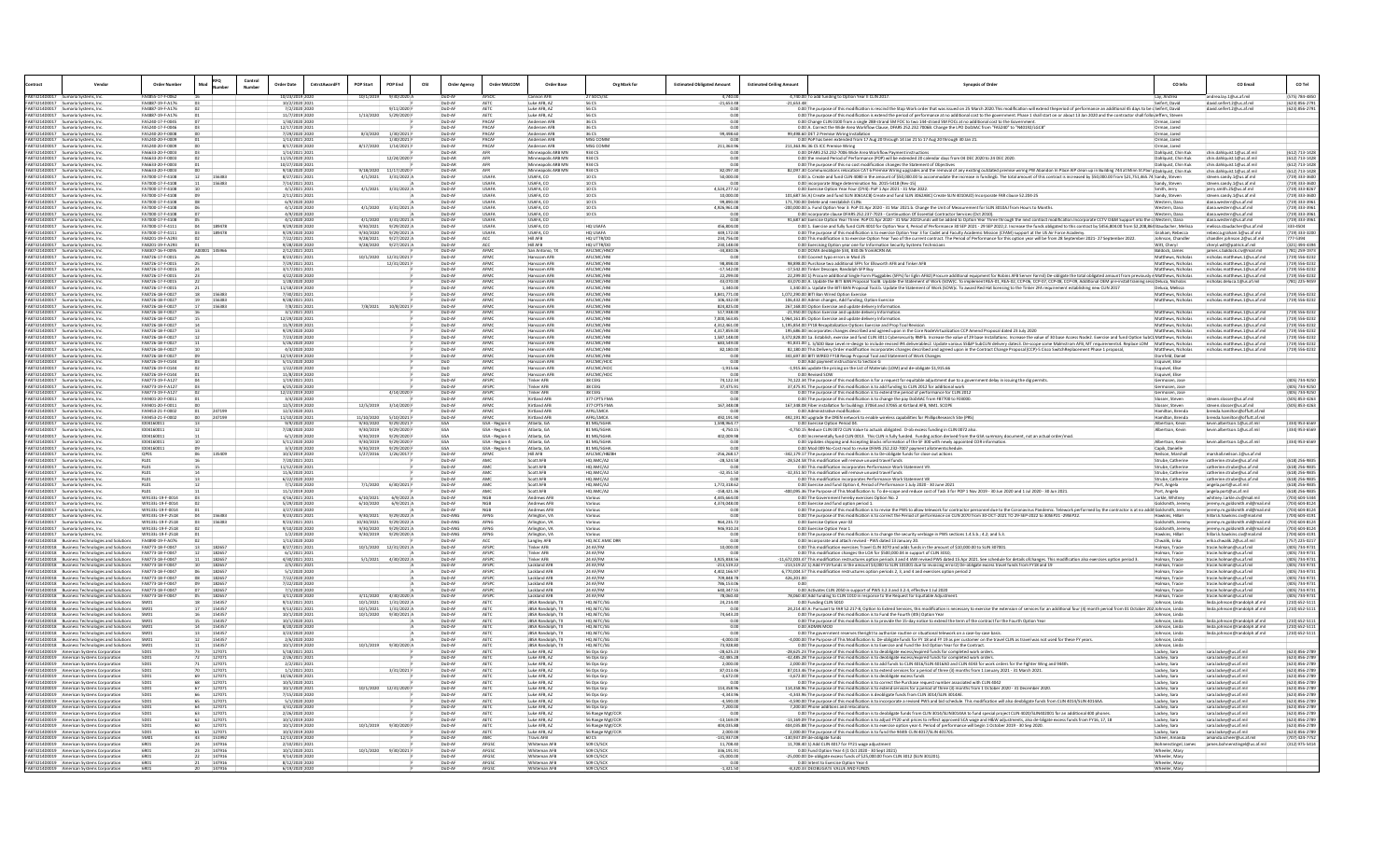|                                |                                                                                                        | <b>Order Numbe</b>                   |               | Contro<br>Number | <b>Order Date</b> |                                   | <b>POP Start</b>        | POP End                               | OSI | <b>Order Agency</b>                | Order MAJCOM                 | <b>Order Base</b>                       | Org Mark fo                           | <b>Estimated Obligated Amount</b> | <b>Estimated Ceiling Amour</b> |                                                                                                                                                                                                                                                                                                                                                                                                              | CO Info                                   | <b>CO Email</b>                                                  | CO Tel                             |
|--------------------------------|--------------------------------------------------------------------------------------------------------|--------------------------------------|---------------|------------------|-------------------|-----------------------------------|-------------------------|---------------------------------------|-----|------------------------------------|------------------------------|-----------------------------------------|---------------------------------------|-----------------------------------|--------------------------------|--------------------------------------------------------------------------------------------------------------------------------------------------------------------------------------------------------------------------------------------------------------------------------------------------------------------------------------------------------------------------------------------------------------|-------------------------------------------|------------------------------------------------------------------|------------------------------------|
|                                | FA873214D0017 Sumaria Systems, In                                                                      | FA4887-19-F-A176                     |               |                  |                   | 10/2/2020 2021                    |                         |                                       |     | $DnD-A$                            | <b>AFT</b>                   | uke AFB, AZ                             | 27 SOCS/S                             | $-21,653.48$                      | $-21,653.48$                   | 0.00 To add funding to Option Year II CLIN 2017                                                                                                                                                                                                                                                                                                                                                              | Lav. Andre<br>Seifert Davis               | andrea.lay.1@us.af.mil<br>david.seifert.2@us.af.mi               | (575) 784-485<br>(623) 856-2791    |
|                                | FAR73214D0017 Sumaria Systems Inc.                                                                     | FA4887-19-F-A176                     |               |                  |                   | 7/2/2020 2020                     |                         | 9/11/2020                             |     | DoD-AF                             | AFTO                         | Luke AFR AZ                             | 56.03                                 | 0.00                              |                                | 0.00 The nurnose of this modification is rescind the Ston Work order that was issued on 25 March 2020 This modification will extend theneriod of nerformance an additional 45 days to be cSeifert. David                                                                                                                                                                                                     |                                           | lavid seifert 2@us af mil                                        | (623) 856-2791                     |
| FA873214D0017<br>FA873214D0017 | Sumaria Systems, Inc.<br>Sumaria Systems, In                                                           | FA4887-19-F-A176<br>FAS240-17-F-004  |               |                  |                   | 11/7/2019 2020<br>1/30/2020 2020  |                         | 1/13/2020 5/29/2020                   |     | OoD-A<br>$\overline{\text{on}}$ -4 |                              | Luke AFB, AZ<br>Indersen AF             |                                       |                                   |                                | 0.00 The purpose of this modification is extend the period of performance at no additional cost to the government. Phase 1 shall start on or about 13 Jan 2020 and the contractor shall follouleffers, Stever<br>00 Change CLIN 0100 from a single 288-strand SM FOC to two 144-strand SM FOCs at no additional cost to the Gove                                                                             | Orman, Jared                              |                                                                  |                                    |
| FA873214D0017                  | Sumaria Systems, In                                                                                    | FAS240-17-F-0046                     |               |                  |                   | 12/17/2020 2021                   |                         |                                       |     | $DnD-A$                            | <b>PACA</b>                  | Andersen AFB                            | 36.05                                 |                                   |                                | 0.00 A. Correct the Wide Area Workflow Clause, DFARS 252.232.7006B. Change the LPO DoDAAC from "FA5240" to "N40192/LGCB"                                                                                                                                                                                                                                                                                     |                                           |                                                                  |                                    |
| FA873214D0017                  | Sumaria Systems, Inc<br>FA873214D0017 Sumaria Systems, In                                              | FAS240-20-F-0008<br>EAS240-20-F-0009 |               |                  |                   | 7/29/2020 2020<br>1/13/2021 2021  | 8/3/2020                | 1/30/2021<br>1/20/2021                |     | DoD-A<br>DoD-AP                    | PACA<br><b>PACAL</b>         | Andersen AFE<br>Andersen AFB            | MSG COMM                              | 9.498.60                          |                                | 99,498.60 DET 2 Premise Wiring Installation<br>0.00 PoP has been extended from 17 Aug 20 through 14 Jan 21 to 17 Aug 20 through 30 Jan 21.                                                                                                                                                                                                                                                                   | Orman, Jared<br>Orman, Jared              |                                                                  |                                    |
|                                | FA873214D0017 Sumaria Systems, Inc.                                                                    | FAS240-20-F-0009                     |               |                  |                   | 8/17/2020 2020                    |                         | 8/17/2020 1/14/2021                   |     | DoD-AF                             | PACAR                        | Andersen AFB                            | MSG COMM                              | 211.363.96                        |                                | 211.363.96 36 CS ICC Premise Wiring                                                                                                                                                                                                                                                                                                                                                                          | Orman, Jared                              |                                                                  |                                    |
| FA873214D0017<br>FAR73214D0017 | Sumaria Systems, Inc                                                                                   | FA6633-20-F-0003<br>E46633-20-F-0003 |               |                  |                   | 1/14/2021 2021<br>11/25/2020 202  |                         | 12/24/2020                            |     | DoD-AF<br>$DoD-A$                  |                              | Minneapolis ARB M<br>Minneapolis ARB MI | 934 CS<br>924C                        |                                   |                                | 0.00 DFARS 252.232-7006 Wide Area Workflow Payment instruction<br>00 the revised Period of Performance (POP) will be extended 20 calendar days from 04 DEC 2020 to 24 DEC 2020.                                                                                                                                                                                                                              | Dahlquist, Chin Kul<br>Dahlquist, Chin Ku | chin.dahlquist.1@us.af.mi<br>hin.dahlquist.1@us.af.m             | (612) 713-142<br>612) 713-142      |
|                                | umaria Systems, In<br>FAR73214D0017 Sumaria Systems In                                                 | FA6633-20-F-0003                     |               |                  |                   | 10/27/2020 2021                   |                         |                                       |     | DoD-AR                             | AFF                          | Minneapolis ARB MN                      | 934 05                                | 0 <sup>0<sup>c</sup></sup>        |                                | 0.00 The purpose of this no cost modification changes the Statement of Objectives                                                                                                                                                                                                                                                                                                                            | Dahlquist, Chin Kul                       | chin.dahlquist.1@us.af.mi                                        | (612) 713-1428                     |
| FA873214D0017<br>FA873214D0017 | Sumaria Systems, Inc.                                                                                  | FA6633-20-F-0003<br>FA7000-17-F-4108 |               | 156383           |                   | 9/18/2020 2020<br>8/27/2021 2021  | 4/1/2021                | 9/18/2020 11/17/2020<br>$3/31/2022$ A |     | DoD-AR<br>DoD-A                    | LISAFA                       | Minneapolis ARB MN<br>USAFA CO          | 934 CS                                | 82,097.30<br>50,000.00            |                                | 82,097.30 Communications relocation CAT 6 Premise Wiring upgrades and the removal of any existing outdated premise wiring PW Abandon In Place AIP clean up in Building 744 at Minn St.Paul ADahlquist, Chin Kuk<br>0.00 a. Create and fund CLIN 4080 in the amount of \$50,000.00 to accome<br>in fundingb. The total amount of this contract is increased by \$50,000.00 from \$21,751,465.74 Sandy, Stever |                                           | chin.dahlquist.1@us.af.mi<br>ven.sandy.1@us.af.mi                | (612) 713-1428<br>(719) 333-3600   |
|                                | FA873214D0017 Sumaria Systems, Inc.                                                                    | FA7000-17-F-4108                     |               | 156383           |                   | 7/14/2021 2021                    |                         |                                       |     | DoD-AF                             | <b>LISAFA</b>                | USAFA, CO                               | 10C5                                  | 0.00                              |                                | 0.00 incorporate Wage determination No. 2015-5418 (Rev-15)                                                                                                                                                                                                                                                                                                                                                   | Sandy, Steven                             | steven.sandy.1@us.af.mi                                          | (719) 333-3600                     |
| FA873214D0017<br>149722140001  | Sumaria Systems, Inc                                                                                   | FA7000-17-F-4108<br>EA7000-17-E-4108 |               |                  |                   | 4/1/2021 2021                     |                         | $4/1/2021$ $3/31/2022$ A              |     | DoD-A<br>0.04                      | <b>USAFA</b><br>LISAE.       | USAFA, CO                               |                                       | 4,524,277.32                      |                                | 0.00 Exercise Option Year Four (OY4): PoP 1 Apr 2021 - 31 Mar 2022                                                                                                                                                                                                                                                                                                                                           | Smith, Jerry                              | jerry.smith.25@us.af.m                                           | (719) 333-826                      |
| FA873214D0017                  | Sumaria Systems, Inc.                                                                                  | FA7000-17-F-4108                     |               |                  |                   | 11/2021 20<br>6/9/2020 2020       |                         |                                       |     | DoD-A                              | <b>USAFA</b>                 | JSAFA, C<br>USAFA, CO                   | 10 <sup>c</sup>                       | 99,890.00                         |                                | 01,687.56 A) Create and fund SLIN 3061ACB) Create and fund SLIN 3062ABC) Create SLIN 4010AJD) Incorporate FAR clause 52.204-25<br>171.700.00 Delete and reestablish CLINs                                                                                                                                                                                                                                    | Sandy, Ste<br>Western, Dana               | teven.sandy.1@us.af.n<br>dana.western@us.af.mi                   | 719) 333-360<br>(719) 333-396      |
| FA873214D0017<br>FA873214D0017 | Sumaria Systems, Inc<br>Sumaria Systems In                                                             | FA7000-17-F-4108<br>FA7000-17-F-4108 |               |                  |                   | 4/1/2020 2020<br>4/9/2020 2020    |                         | 4/1/2020 3/31/2021 A                  |     | DoD-A<br>DoD-A                     | <b>USAFA</b><br>LISAFA       | USAFA, CO<br>USAFA CO                   | 10 CS<br>10 <sub>CS</sub>             | 4,926,961.08<br>00                |                                | -200,000.00 a. Fund Option Year 3: PoP 01 Apr 2020 - 31 Mar 2021.b. Change the Unit of Measurement for SLIN 3010AJ from Hours to Months<br>0.00 ncorporate clause DFARS 252.237-7023 - Continuation Of Essential Contractor Services (Oct 2010).                                                                                                                                                             | Western, Dana<br>Western Dani             | dana.western@us.af.mi                                            | (719) 333-396<br>(719) 333-396     |
|                                | FA873214D0017 Sumaria Systems, Inc.                                                                    | FA7000-17-F-4108                     |               |                  |                   | 4/1/2020 2020                     | 4/1/2020                | 3/31/2021 A                           |     | DoD-A                              | <b>LISAFA</b>                | USAFA, CO                               |                                       | 0.00                              |                                | 91.687.60 Exercise Option Year Three: PoP 01 Apr 2020 - 31 Mar 2021Funds will be added to Option Year Three through the next contract modification. Incorporate CCTV O&M Support into the ciWestern, Dana                                                                                                                                                                                                    |                                           | dana.western@us.af.m<br>dana.western@us.af.mi                    | (719) 333-3961                     |
| FA873214D0017                  | Sumaria Systems, Inc                                                                                   | FA7000-17-F-411:                     |               | 189478           |                   | 9/29/2020 2020                    | 9/30/2021               | $9/29/2022$ A                         |     | DoD-A                              | <b>USAF</b>                  | USAFA, CO                               | HQ USAF                               | 456,804.00                        |                                | 0.00 1. Exercise and fully fund CLIN 4010 for Option Year 4, Period of Performance 30 SEP 2021 - 29 SEP 2022;2. Increase the funds obligated to this contract by \$456,804.00 from \$2,208,864 Staudacher, Meliss                                                                                                                                                                                            |                                           | melissa.staudacher@us.af.m                                       | 333-4504                           |
| FA8732140001<br>FA873214D0017  | Sumaria Systems, I<br>Sumaria Systems, Inc.                                                            | FA7000-17-F-4111<br>FA8201-19-F-A293 |               | 189478           |                   | 9/29/2020 2020<br>7/22/2021 2021  | 9/30/2020<br>9/28/2021  | 9/29/2021<br>$9/27/2022$ A            |     | DoD-A<br>DoD-A                     | <b>USAFA</b>                 | USAFA, CO<br>Hill AFB                   | HO USAFA<br>HO UTTR/DO                | 449.172.00<br>234,756.00          |                                | 0.00 The purpose of this modification is to exercise Option Year 3 for Cadet and Faculty Academic Mission (CFAM) support at the US Air Force Academy<br>0.00 This modification is to exercise Option Year Two of the current contract. The Period of Performance for this option year will be from 28 September 2021-27 September 2022.                                                                      | Graham, Rebecca<br>Johnson, Chandler      | ecca.graham.5@us.af.mi<br>chandler.iohnson.2@us.af.mil           | (719) 333-320<br>777-5394          |
| FA873214D0017                  | Sumaria Systems, Inc                                                                                   | FA8201-19-F-A293                     |               |                  |                   | 9/28/2020 2020                    | 9/28/2020               | 9/27/2021 A                           |     | DoD-A                              |                              | Hill AFB                                | HQ UTTR/DO                            | 230,148.00                        |                                | 0.00 Exercising Option year one for Information Security Systems Technicians                                                                                                                                                                                                                                                                                                                                 | Witt, Cheryl                              | cheryl.witt@patrick.af.mil                                       | (321) 494-439                      |
| FA873214D0017                  | FAR73214D0017 Sumaria Systems Inc.<br>Sumaria Systems, Inc.                                            | FA8307-16-F-0095<br>FA8726-17-F-0015 | A00001 145966 |                  |                   | 2/12/2021 2021<br>8/23/2021 2021  |                         | 10/1/2020 12/31/2021                  |     | DoD-AF<br>DoD-A                    | <b>AFM</b><br><b>AFM</b>     | San Antonio T.<br>Hanscom AFE           | AFLOMO/HNC<br>AFLCMC/HN               | $-34.830.06$<br>0.00              |                                | 0.00 DCMA deobligate \$34, 830.06 fromACRN AA<br>0.00 Coorect typo errors in Mod 25                                                                                                                                                                                                                                                                                                                          | <b>Baldock Jame</b><br>Matthews, Nichola  | ames s haldock civ@mail mi<br>nicholas.matthews.1@us.af.mi       | (781) 259-1973<br>(719) 556-0232   |
| FA873214D0017                  | Sumaria Systems, Inc                                                                                   | FA8726-17-F-0019                     |               |                  |                   | 7/29/2021 2021                    |                         | 12/31/2021                            |     | DoD-A                              |                              | Hanscom AF                              | AFLCMC/HN                             | 98,898.00                         |                                | 98,898.00 Purchase two additional SFPs for Ellsworth AFB and Tinker AFB                                                                                                                                                                                                                                                                                                                                      | Matthews, Nicholas                        | nicholas.matthews.1@us.af.m                                      | (719) 556-023                      |
| FA873214D0017<br>FA873214D0017 | Sumaria Systems, In<br>Sumaria Systems, Inc                                                            | FA8726-17-F-0015<br>FA8726-17-F-0019 |               |                  |                   | 3/17/2021 2021<br>4/22/2020 2020  |                         |                                       |     | $DnD-A$<br>DoD-A                   | AFM                          | Hanscom AFE<br>Hanscom AFE              | AFLCMC/HN<br>AFLCMC/HN                | 17.542.00<br>22.299.00            |                                | 17,542.00 Tinker Descope; Randolph SFP Buy<br>22,299.00 1) Procure additional Single Form Pluggables (SFPs) for Eglin AFB2) Procure additional equipment for Robins AFB Server Farm3) De-obligate the total obligated amount from previously eMatthews, Nicholas                                                                                                                                             | Matthews, Nicholas                        | nicholas.matthews.1@us.af.mi<br>nicholas.matthews.1@us.af.mi     | (719) 556-023<br>(719) 556-0232    |
| FA873214D0017                  | Sumaria Systems, Inc                                                                                   | FA8726-17-F-0019                     |               |                  |                   | 1/28/2020 2020                    |                         |                                       |     | DoD-A                              |                              | Hanscom AFE                             | AFLCMC/HNI                            | 43,070.00                         |                                | 43,070.00 A. Update the BITI BAN Proposal ToolB. Update the Statement of Work (SOW)C. To implement REA-01, REA-02, CCP-06, CCP-07, CCP-08, CCP-09, Additional OEM pre-install training sessiDeluca, Nicholas                                                                                                                                                                                                 |                                           | nicholas.deluca.1@us.af.mil                                      | (781) 225-945                      |
| FA873214D0017                  | FA873214D0017 Sumaria Systems, Inc.<br>Sumaria Systems, Inc                                            | FA8726-17-F-0015<br>FA8726-18-F-0027 |               | 156383           |                   | 11/18/2019 2020<br>7/30/2021 2021 |                         |                                       |     | DoD-AF<br>OoD-A                    | <b>AFM</b>                   | Hanscom AFE<br>Hanscom AFE              | AFLCMC/HN<br>AFLCMC/HN                | 1,340.00<br>3.841.771.00          |                                | 1,340.00 a. Update the BITI BAN Proposal Tool.b. Update the Statement of Work (SOW)c. To award Red Hat licensing to the Tinker 2FA requirement establishing new CLIN 2017<br>1.072.290.00 BITI Ban Wired Option Exercise                                                                                                                                                                                     | Deluca, Melissa<br>Matthews, Nicholas     | nicholas.matthews.1@us.af.mi                                     | (719) 556-023                      |
|                                | FA873214D0017 Sumaria Systems, In                                                                      | FA8726-18-F-0027                     |               | 156383           |                   | 9/28/2021 2021                    |                         |                                       |     | DoD-A                              | <b>AFM</b>                   | lanscom AFE                             | AFLCMC/HN                             | 106,432.00                        |                                | 106,432.00 Admin changes, Add funding, Option Exercis                                                                                                                                                                                                                                                                                                                                                        | Matthews, Nichola                         | nicholas.matthews.1@us.af.m                                      | (719) 556-023                      |
| FA873214D0017                  | Sumaria Systems, Inc                                                                                   | FA8726-18-F-0023                     |               | 156383           |                   | 7/8/2021 2021                     |                         | 7/8/2021 10/8/2021                    |     | $DnD-A$                            | <b>AFM</b>                   | Hanscom AFE                             | AFLCMC/HN                             | 824 825.00                        |                                | 267.168.00 Option Exercise and update delivery Information                                                                                                                                                                                                                                                                                                                                                   |                                           |                                                                  | (719) 556-023                      |
| FA873214D0017<br>FA873214D0017 | Sumaria Systems, Inc<br>Sumaria Systems, Inc.                                                          | FA8726-18-F-0027<br>FA8726-18-F-002  |               |                  |                   | 3/1/2021 2021<br>12/29/2020 2021  |                         |                                       |     | DoD-A<br>DoD-AF                    |                              | Hanscom AFE<br>Hanscom AF               | AFLCMC/HN<br>AFLCMC/HM                | 517,938.00<br>7,000,563.85        |                                | 21,950.00 Option Exercise and update delivery Information<br>1,964,161.85 Option Exercise and update delivery Informatio                                                                                                                                                                                                                                                                                     | Matthews, Nicholas<br>Matthews, Nicholas  | nicholas.matthews.1@us.af.mi<br>nicholas.matthews.1@us.af.m      | (719) 556-023                      |
| FA873214D0017<br>FA873214D0017 | Sumaria Systems, In                                                                                    | FA8726-18-F-0023<br>FA8726-18-F-0027 |               |                  |                   | 11/9/2020 2021<br>9/29/2020 2020  |                         |                                       |     | DoD-Al<br>DoD-A                    |                              | lanscom AFE                             | AFLCMC/HN<br>AFLCMC/HN                | 4 312 461 00<br>4.317.859.00      |                                | 1,195,854.00 FY18 Recapitalization Options Exercise and Prop Tool Revisi                                                                                                                                                                                                                                                                                                                                     | Matthews Nichola                          | nicholas.matthews.1@us.af.mi                                     | (719) 556-023                      |
|                                | Sumaria Systems, Inc<br>FA873214D0017 Sumaria Systems, In                                              | FA8726-18-F-0027                     |               |                  |                   | 7/23/2020 2020                    |                         |                                       |     | DoD-A                              | <b>AFM</b>                   | lanscom AFE<br>lanscom AFE              | AFLCMC/HN                             | 1,587,148.00                      |                                | 195,686.00 incorporates changes described and agreed upon in the Core NodeVirtualization CCP Amend Proposal dated 23 July 2020<br>3,372,828.00 1a. Establish, exercise and fund CLIN 3011 Cybersecurity RMFb. Increase the value of 29 base Installationc. Increase the value of 30 base Access Node2. Exercise and fund Option SubCL Matthews, Nicholas                                                     | Matthews, Nicholas                        | nicholas.matthews.1@us.af.mi<br>nicholas.matthews.1@us.af.mi     | (719) 556-023<br>(719) 556-023     |
|                                | FA873214D0017 Sumaria Systems, Inc                                                                     | FA8726-18-F-0027                     |               |                  |                   | 5/26/2020 2020                    |                         |                                       |     | DoD-A                              | <b>AFM</b>                   | Hanscom AFE                             | AFLCMC/HN                             | 683,549.00                        |                                | -91,831.00 1. S/SDD Base Level re-design to include revised IPA deliverables2. Update various SS&IP SubCLIN delivery dates3. De-scope some Malmstrom AFB, MT requirements4. Replace LOM Matthews, Nicholas                                                                                                                                                                                                   |                                           | nicholas.matthews.1@us.af.mi                                     | (719) 556-023                      |
| FA873214D0017<br>FA873214D0017 | Sumaria Systems, Inc.<br>Sumaria Systems, In                                                           | FA8726-18-F-0027<br>FA8726-18-F-002  |               |                  |                   | 4/3/2020 2020<br>12/19/2019 2020  |                         |                                       |     | DoD-A<br>DoD-A                     |                              | Hanscom AFE<br>Hanscom AFE              | AFLCMC/HN<br>AFLCMC/HN                | 82,180.00<br>0.00                 |                                | 82,180.00 This Delivery Order modification incorporates changes described and agreed upon in the Contract Change Proposal (CCP)-5 Cisco SwitchReplacement Phase 1 proposal,<br>341,697.00 BITI WIRED FY18 Recap Proposal Tool and Statement of Work Changes                                                                                                                                                  | Matthews, Nicholas<br>Dornfeld, Danie     | nicholas.matthews.1@us.af.mil                                    | (719) 556-0232                     |
| FA873214D0017                  | Sumaria Systems Inc                                                                                    | FA8726-19-F-0144                     |               |                  |                   | 5/15/2020 2020                    |                         |                                       |     |                                    | <b>AFM</b>                   | lanscom AFB                             | AFLOMO/HOL                            | 0.00                              |                                | 0.00 Add payment instructions to Section G                                                                                                                                                                                                                                                                                                                                                                   | Esquivel Elise                            |                                                                  |                                    |
| FA873214D0017                  | Sumaria Systems, Inc<br>FA873214D0017 Sumaria Systems, In                                              | FA8726-19-F-0144<br>FA8726-19-F-0144 |               |                  |                   | 1/22/2020 2020<br>11/8/2019 2020  |                         |                                       |     |                                    | <b>AFM</b>                   | lanscom AFE<br>anscom AFE               | AFLCMC/HO<br>AFLCMC/HCIO              | $-1,915.66$<br>0.00               |                                | -1,915.66 update the pricing on the List of Materials (LOM) and de-obligate \$1,915.66<br>0.00 Revised SOW                                                                                                                                                                                                                                                                                                   | Esquivel, Elise<br>Esquivel, Elise        |                                                                  |                                    |
|                                | FA873214D0017 Sumaria Systems, Inc                                                                     | FA8773-19-F-A12                      |               |                  |                   | 1/19/2021 2021                    |                         |                                       |     | DoD-A                              | AFSP                         | <b>Tinker AFB</b>                       | 38 CEIG                               | 74.122.34                         |                                | 74,122.34 The purpose of this modification is for a request for equitable adjustment due to a government delay in issuing the dig permits.                                                                                                                                                                                                                                                                   | Germosen, Jose                            |                                                                  | (405) 734-92                       |
| FA873214D0017<br>FA873214D0017 | Sumaria Systems, Inc.<br>Sumaria Systems, In                                                           | FA8773-19-F-A12<br>FA8773-19-F-A12   |               |                  |                   | 6/25/2020 2020<br>12/23/2019 202  |                         | 4/14/2020                             |     | DoD-A<br>DoD-A                     | AFSP                         | inker AFB<br>Tinker AFB                 | 38 CEIG<br><b>B</b> CEIG              | 37,475.91                         |                                | 37,475.91 The purpose of this modification is to add funding to CLIN 2012 for additional work<br>0.00 The purpose of this modification is to extend the period of performance for CLIN 201                                                                                                                                                                                                                   | Germosen, Jose<br>Germosen, Jose          |                                                                  | (405) 734-925<br>405) 734-925      |
|                                | FA873214D0017 Sumaria Systems, Inc                                                                     | FA9401-20-F-0011                     |               |                  |                   | 3/4/2020 2020                     |                         |                                       |     | DoD-AF                             | <b>AFM</b>                   | Kirtland AFB                            | 377 CPTS FM                           | 0.00                              |                                | 0.00 The purpose of this modification is to change the pay DoDAAC from F87700 to F03000                                                                                                                                                                                                                                                                                                                      | Slosser, Steven                           | steven.slosser@us.af.mi                                          | (505) 853-426                      |
| A873214D001                    | Sumaria Systems, In<br>FA873214D0017 Sumaria Systems, In                                               | FA9401-20-F-001:<br>FA9453-21-F-0003 |               | 247199           |                   | 12/5/2019 2020<br>12/3/2020 2021  |                         | 12/5/2019 3/14/2020                   |     | DoD-A                              | AFMO                         | Kirtland AF<br>Kirtland AFB             | AFRI / MCA                            | 167,348.08                        |                                | 167,348.08 Fiber installation for buildings 37064 and 37065 at Kirtland AFB, NM1. SCOPE<br>0.00 Administrative modification                                                                                                                                                                                                                                                                                  | Slosser, Stever<br>Hamilton, Brend        | teven.slosser@us.af.m<br>brenda.hamilton@offutt.af.mi            | (505) 853-4263                     |
|                                | FA873214D0017 Sumaria Systems, Inc.                                                                    | FA9453-21-F-0002                     |               | 247199           |                   | 11/10/2020 2021                   | 11/10/2020              | 5/10/2021                             |     | DoD-AF                             | AFMO                         | Kirtland AFB                            | AFRL/LMCA                             | 492.191.90                        |                                | 492.191.90 upgrade the DREN network to enable wireless capabilities for PhillipsResearch Site (PRS)                                                                                                                                                                                                                                                                                                          | Hamilton, Brenda                          | brenda.hamilton@offutt.af.mi                                     |                                    |
| FA873214D0017                  | Sumaria Systems, Inc<br>FA873214D0017 Sumaria Systems, In                                              | ID04160011<br>ID0416001              |               |                  |                   | 9/9/2020 2020<br>7/28/2020 2020   | 9/30/2020<br>9/30/2019  | 9/29/2021<br>9/29/2020                |     |                                    | GSA - Region<br>GSA - Region | Atlanta, GA<br>Atlanta, GA              | 81 MG/SGH/<br><b>B1 MG/SGHA</b>       | 1.598.964.7<br>$-4,750.15$        |                                | 0.00 Exercise Option Period 04.<br>-4,750.15 Reduce CLIN 0072 CLIN Value to actuals obligated. D-ob excess funding in CLIN 0072 also                                                                                                                                                                                                                                                                         | Albertson, Kevir<br>Albertson, Kevir      | kevin.albertson.1@us.af.mi<br>kevin.albertson.1@us.af.mi         | (334) 953-656<br>(334) 953-656     |
| FA873214D0017                  | Sumaria Systems, Inc                                                                                   | ID04160011                           |               |                  |                   | 6/1/2020 2020                     | 9/30/2019               | 9/29/2020                             | GSA |                                    | GSA - Region                 | Atlanta, GA                             | 81 MG/SGH/                            | 402,009.98                        |                                | 0.00 Incrementally fund CLIN 0013. This CLIN is fully funded. Fundng action derived from the GSA summary document, not an actual order/mod                                                                                                                                                                                                                                                                   |                                           |                                                                  |                                    |
| FA873214D001                   | Sumaria Systems, In<br>FAR73214D0017 Sumaria Systems Inc.                                              | ID0416001<br>1004160011              |               |                  |                   | 5/11/2020 2020<br>3/3/2020 2020   | 9/30/2019<br>9/30/2019  | 9/29/2020<br>9/29/2020 F              | GSA |                                    | GSA - Region<br>GSA - Region | Atlanta, GA<br>Atlanta, GA              | <b>B1 MG/SGH</b><br><b>81 MG/SGHA</b> | 0.00                              |                                | 00 Updates shipping and Accepting blocks information of the SF 300 with newly appointed COR information.<br>0.00 Mod 009 No-Cost mod to revise DFARS 252,232-7007 payment allotmentschedule                                                                                                                                                                                                                  | Albertson, Kev<br>Capik, Danielle         | kevin.albertson.1@us.af.mi                                       | (334) 953-6569                     |
|                                | FA873214D0017 Sumaria Systems, Inc.                                                                    | QPO1                                 |               | 135409           |                   | 10/3/2019 2020                    | 1/27/2016               | 1/26/2017                             |     | DoD-A                              | AFMO                         | Hill AFB                                | AFLCMC/HBZBI                          | $-256,268.17$                     |                                | -342,179.17 The purpose of this modification is to De-obligate funds for close out actions                                                                                                                                                                                                                                                                                                                   | Neilson, Marshal                          | marshall neilson 1@us af mi                                      |                                    |
| FA873214D001<br>FA873214D0017  | Sumaria Systems, Inc                                                                                   |                                      |               |                  |                   | 7/20/2021 2021<br>11/12/2020 2021 |                         |                                       |     | DoD-A<br>DoD-A                     |                              | <b>Scott AFE</b><br><b>Scott AFE</b>    | HQ AMC/A2<br>HO AMC/A2                | $-28,524.58$                      |                                | -28,524.58 This modification will remove unused travel funds                                                                                                                                                                                                                                                                                                                                                 | Strube, Catherine<br>Strube, Catherin     | catherine.strube@us.af.mil<br>catherine.strube@us.af.mil         | $(618)$ 256-983<br>$(618)$ 256-983 |
| FA873214D0017                  | Sumaria Systems, In<br>Sumaria Systems, Inc.                                                           | <b>RIO</b>                           |               |                  |                   | 11/6/2020 2021                    |                         |                                       |     | DoD-A                              |                              | Scott AFE                               | HO AMC/A2                             | $-32.351.50$                      |                                | 0.00 This modification incorporates Performance Work Statement V9<br>-32.351.50 This modification will remove unused travel funds                                                                                                                                                                                                                                                                            | Strube, Catherine                         | catherine.strube@us.af.mil                                       | (618) 256-983                      |
| FA873214D0017                  | Sumaria Systems, Inc<br>FAR73214D0017 Sumaria Systems Inc.                                             | RL01<br><b>RIO</b>                   |               |                  |                   | 6/22/2020 2020<br>7/1/2020 2020   |                         | $7/1/2020$ 6/30/2021                  |     | DoD-A<br>DoD-AF                    |                              | Scott AFB<br>Scott AFR                  | HO AMC/A2<br>HO AMC/A2                | 1 772 318 62                      |                                | 0.00 This modification incorporates Performance Work Statement V8                                                                                                                                                                                                                                                                                                                                            | Strube, Catherine                         | catherine.strube@us.af.mil<br>angela.port@us.af.mil              | (618) 256-9835<br>(618) 256-9835   |
| FA873214D0017                  | Sumaria Systems, Inc                                                                                   | RL01                                 |               |                  |                   | 11/1/2019 2020                    |                         |                                       |     | DoD-A                              |                              | Scott AFB                               | HQ AMC/A2                             | $-158,421.36$                     |                                | 0.00 Exercise and fund Option 4, Period of Performance 1 July 2020 - 30 June 2021<br>-400,095.36 The Purpose of This Modification Is: To de-scope and reduce cost of Task 3 for POP 1 Nov 2019 - 30 Jun 2020 and 1 Jul 2020 - 30 Jun 2021.                                                                                                                                                                   | Port, Angela<br>Port, Angela              | angela.port@us.af.mil                                            | (618) 256-9835                     |
| FA873214D0017<br>FA873214D0017 | Sumaria Systems, Inc                                                                                   | W9133L-19-F-0014<br>W9133L-19-F-0014 |               |                  |                   | 4/16/2021 2021<br>5/29/2020 2020  | 6/10/2021               | 6/9/2022                              |     | DoD-A<br>DoD-A                     | NG                           | Andrews Al                              | Various                               | 4,445,664.00<br>4,374,048.00      |                                | 0.00 The Government hereby exercises Option No. 2                                                                                                                                                                                                                                                                                                                                                            | Larkle, Whitney<br>Goldsmith, Jeremy      | whitney.Larkle.civ@mail.m                                        | (703) 604-534<br>(703) 604-8124    |
| FA873214D0017                  | Sumaria Systems, In<br>Sumaria Systems, Inc                                                            | W9133L-19-F-001                      |               |                  |                   | 3/27/2020 2020                    | 6/10/2020               | $6/9/2021$ A                          |     | DoD-Al                             |                              | Andrews AFB<br>Andrews AFB              | Various                               |                                   |                                | 0.00 Exercise and fund option period 1.<br>0.00 The purpose of this modification is to revise the PWS to allow telework for contractor personnel due to the Coronavirus Pandemic. Telework performed by the contractor is at no addit Goldsmith. Jeremy                                                                                                                                                      |                                           | jeremy.m.goldsmith.mil@mail.m<br>ieremy.m.goldsmith.mil@mail.mil | (703) 604-812                      |
| FA873214D0017<br>FA873214D0017 | Sumaria Systems, Inc<br>Sumaria Systems, Inc.                                                          | W9133L-19-F-2518<br>W9133L-19-F-2518 |               | 156383<br>156383 |                   | 9/23/2021 2021<br>9/23/2021 2021  | 9/30/2021<br>10/30/2021 | $9/29/2022$ A<br>$9/29/2022$ A        |     | OOD-AN<br>DoD-ANG                  | AFN<br><b>AFNO</b>           | Arlington, VA                           | Various                               | 964.235.72                        |                                | 0.00 The purpose of this modification is to correct the Period of performance on CLIN 2070 from 30-OCT-2021 TO 29-SEP-2022 to 30SEP21-29SEP22.<br>0.00 Exercise Option year 02                                                                                                                                                                                                                               | Hawkins, Hillari<br>Goldsmith, Jeremy     | illari.k.hawkins.civ@mail.mil<br>jeremy.m.goldsmith.mil@mail.mi  | (704) 604-419<br>(703) 604-8124    |
| FA873214D0017                  | Sumaria Systems, Inc.                                                                                  | W9133L-19-F-2518                     |               |                  |                   | 9/10/2020 2020                    | 9/30/2020               | $9/29/2021$ A                         |     | DoD-ANG                            | AFNO                         | Arlington, VA<br>Arlington, VA          | Various<br>Various                    | 946,910.24                        |                                | 0.00 Exercise Option Year 1                                                                                                                                                                                                                                                                                                                                                                                  | Goldsmith, Jeremy                         | eremy.m.goldsmith.mil@mail.mil                                   | (703) 604-812                      |
| FA873214D0017                  | Sumaria Systems, Inc.                                                                                  | W9133L-19-F-2518                     |               |                  |                   | 1/2/2020 2020                     | 9/30/2019               | 9/29/2020                             |     | DoD-AN                             | AFNO                         | Arlington, V.                           |                                       | 0.00                              |                                | 0.00 The purpose of this modification is to change the security verbiage in PWS sections 1.4.5.b.; 4.2; and 5.3.                                                                                                                                                                                                                                                                                             |                                           | illari.k.hawkins.civ@mail.mi                                     | (704) 604-419                      |
|                                | FA873214D0018 Business Technologies and Solutions<br>FA873214D0018 Business Technologies and Solutions | FA4890-19-F-A076<br>FA8773-18-F-0047 |               | 182657           |                   | 1/13/2020 2020<br>8/27/2021 2021  |                         | 10/1/2020 12/31/2021 A                |     | DoD-AF<br>DoD-A                    | AFSP                         | Langley AFB<br>Tinker AFB               | HO ACC AMIC DR<br>24 AF/FM            | 0.00<br>10,000.00                 |                                | 0.00 Incorporate and attach revised - PWS dated 13 January 20.<br>0.00 This modification exercises Travel CLIN 3070 and adds funds in the amount of \$10,000.00 to SLIN 307001.                                                                                                                                                                                                                              | Chwalik, Erika<br>Holman, Tracie          | erika chwalik 2@us af mil<br>tracie.holman@us.af.mi              | (757) 225-021<br>(405) 734-973     |
| FA873214D0018                  | <b>Business Technologies and Solutions</b>                                                             |                                      |               |                  |                   | 6/1/2021 2021                     |                         |                                       |     |                                    |                              | <b>Finker AFB</b>                       | 24 AF/F                               |                                   |                                | 0.00 This modification changes the LOA for \$500,000.04 in support of CLIN 3010,                                                                                                                                                                                                                                                                                                                             | Iolman, Tracie                            | tracie.holman@us.af.m                                            | (405) 734-97                       |
|                                | FA873214D0018 Business Technologies and Solutions<br>FA873214D0018 Business Technologies and Solutions | FA8773-18-F-0047<br>FA8773-18-F-004  |               | 182657<br>182657 |                   | 4/30/2021 2021<br>2/5/2021 2021   |                         | 5/1/2021 4/30/2022 A                  |     | DoD-A<br>DoD-A                     | AFSP<br>AFSP                 | <b>Tinker AFB</b><br>Lackland AFB       | 24 AF/FM<br>24 AF/FM                  | 3.925.838.56<br>$-213,519.22$     |                                | -11.672.003.47 This modification restructures option periods 3 and 4 IAW revised PWS dated 15 Apr 2021. See schedule for details of changes. This modification also exercises option period 3.<br>-213,519.22 1) Add FY19 funds in the amount \$4,000 to SLIN 101001 due to invoicing error2) De-obligate excess travel funds from FY18 and 19                                                               | Holman, Tracie<br>Jolman, Tracie          | tracie.holman@us.af.mi<br>tracie.holman@us.af.m                  | (405) 734-9731<br>(405) 734-973    |
|                                | FA873214D0018 Business Technologies and Solutions                                                      | EA9772-19-E-0043                     |               | 182657           |                   | 5/1/2020 2020                     |                         |                                       |     | DoD-AL                             | AECO                         | Lackland AFB                            | 24 AE/EM                              | 4 402 166 97                      |                                | 6,770,004.57 This modification restructures option periods 2, 3, and 4 and exercises option period 2                                                                                                                                                                                                                                                                                                         | Holman, Traci                             | tracie.holman@us.af.m                                            | (405) 734-973                      |
|                                | FA873214D0018 Business Technologies and Solutions<br>FA873214D0018 Business Technologies and Solutions | FA8773-18-F-0047<br>FA8773-18-F-004  |               | 182657<br>182657 |                   | 7/22/2020 2020<br>7/22/2020 2020  |                         |                                       |     | DoD-A<br>DoD-A                     | AFSP<br>AFSP                 | Lackland AFB<br>Lackland AFB            | 24 AF/FM<br>24 AF/FN                  | 709, 848.78<br>786,153.06         | 426.201.00                     |                                                                                                                                                                                                                                                                                                                                                                                                              | Holman, Tracie<br>Holman, Tracie          | tracie.holman@us.af.mi<br>tracie.holman@us.af.m                  | (405) 734-9731<br>(405) 734-973    |
| FA873214D0018                  | <b>Business Technologies and Solutions</b>                                                             | FA8773-18-F-0047                     |               | 182657           |                   | 7/1/2020 2020                     |                         |                                       |     | DoD-A                              |                              | Lackland AF                             | 24 AF/FN                              | 640,347.5                         |                                | 0.00 Activates CLIN 2050 in support of PWS 3.2.3 and 3.2.4, effective 1 Jul 2020                                                                                                                                                                                                                                                                                                                             | Iolman, Traci                             | tracie.holman@us.af.m                                            | (405) 734-973                      |
|                                | FA873214D0018 Business Technologies and Solutions<br>FA873214D0018 Business Technologies and Solutions | FA8773-18-F-0047                     |               | 182657<br>154357 |                   | 3/11/2020 2020<br>9/13/2021 2021  | 3/11/2020<br>10/1/2021  | 4/30/2020 A<br>$1/31/2022$ A          |     | DoD-A<br>DoD-A                     | AFSP                         | Lackland AFB<br>JBSA Randolph, T        | 24 AF/FM<br>HQ AETC/S                 | 78,060.40<br>24,214.40            |                                | 78.060.40 Add funding to CLIN 1010 in response to the Request for Equitable Adjustment<br>0.00 Funding CLIN 5010                                                                                                                                                                                                                                                                                             | Holman, Tracie<br>lohnson, Linda          | tracie.holman@us.af.mi<br>inda.johnson@randolph.af.n             | (405) 734-9731<br>$(210)$ 652-51:  |
|                                | FA873214D0018 Business Technologies and Solutions                                                      | SMO                                  |               | 154357           |                   | 9/13/2021 2021                    | 10/1/2021               | $1/31/2022$ $\Delta$                  |     | DoD-AF                             | AFTO                         | JBSA Randolph, TX                       | HO AFTC/SG                            | 0.00                              |                                | 24,214.40 A: Pursuant to FAR 52.217-8, Option to Extend Services, this modification is necessary to exercise the extension of services for an additional four (4) month period from 01 October 202 Johnson, Linda                                                                                                                                                                                            |                                           | linda.johnson@randolph.af.mi                                     | $(210)$ 652-511                    |
|                                | FA873214D0018 Business Technologies and Solutions<br>FA873214D0018 Business Technologies and Solutions | SM <sub>0</sub><br>SM <sub>0</sub>   |               | 154357<br>154357 |                   | 10/1/2020 2021<br>10/1/2020 2021  | 10/1/2020               | $9/30/2021$ A                         |     | DoD-A<br>DoD-A                     | AFTO                         | JBSA Randolph, TX<br>JBSA Randolph, T   | HO AETC/SG<br>HO AETC/SO              | 74.643.20<br>0.00                 |                                | 0.00 The purpose of this modification is to Fund the Fourth (4th) Option Year<br>0.00 The purpose of this modification is to provide the 15-day notice to extend the term of the contract for the Fourth Option Year                                                                                                                                                                                         | Johnson, Linda<br>Johnson, Linda          | linda.johnson@randolph.af.m                                      | (210) 652-51                       |
|                                | FA873214D0018 Business Technologies and Solutions                                                      |                                      |               | 154357           |                   | 8/20/2020 2020                    |                         |                                       |     | DoD-A                              |                              | BSA Randolph, 1                         | HQ AETC/S                             |                                   |                                | 0.00 ADMIN MOD                                                                                                                                                                                                                                                                                                                                                                                               | Johnson, Linda                            | inda.johnson@randolph.af.m                                       | (210) 652-51:                      |
| FA873214D0018                  | FA873214D0018 Business Technologies and Solutions<br><b>Business Technologies and Solutions</b>        | SM <sub>0</sub>                      |               | 154357<br>15435  |                   | 3/23/2020 2020<br>2/6/2020 2020   |                         |                                       |     | DoD-A                              | <b>AFT</b>                   | JBSA Randolph, TX<br>BSA Randolph, 7    | HO AETC/SG<br>IQ AETC/S               | 0.00                              |                                | 0.00 The government reserves theright to authorize routine or situational telework on a case-by-case basis                                                                                                                                                                                                                                                                                                   | Johnson, Linda                            | linda.johnson@randolph.af.mil                                    | (210) 652-5111                     |
|                                | FAB73214D0018 Business Technologies and Solutions                                                      | SMO                                  |               | 154357           |                   | 10/1/2019 2020                    |                         | 10/1/2019 9/30/2020                   |     | DoD-AF                             | <b>AFT</b>                   | JBSA Randolph, TX                       | HO AFTC/SG                            | 73 928 80                         |                                | 4,000.00 The Purpose of This Modification Is: De-obligate funds for FY 18 and FY 19 as per customer on the travel CLIN as travel was not used for these FY years.<br>0.00 The purpose of this modification is to Exercise and Fund the 3rd Option Year for the Contract.                                                                                                                                     | Johnson, Linda<br>Johnson, Linda          |                                                                  |                                    |
|                                | FA873214D0019 American Systems Corporation                                                             | <b>SD0</b>                           |               | 127071           |                   | 5/18/2021 2021                    |                         |                                       |     | DoD-A                              | AFT                          | Luke AFB, AZ                            | 56 Ops Gro                            | $-28.625.23$                      |                                | -28,625.23 The purpose of this modification is to deobligate excess/expired funds for completed work orders                                                                                                                                                                                                                                                                                                  | Lackey, Sara                              | sara.lackev@us.af.mi                                             | (623) 856-278                      |
|                                | A873214D0019 American Systems Corporation<br>FA873214D0019 American Systems Corporation                | <b>SD0</b>                           |               | 127071<br>127071 |                   | 2/26/2021 2021<br>2/2/2021 2021   |                         |                                       |     | DoD-A<br>DoD-A                     |                              | Luke AFB, AZ<br>Luke AFB, A             | 56 Ops Grp<br>6 Ops Gr                | $-42,485.28$<br>2,000.00          |                                | 42,485.28 The purpose of this modification is to deobligate excess/expired funds for completed work orders<br>2,000.00 The purpose of this modification is to add funds to CLIN 4016/SLIN 4016AD and CLIN 4043 for work orders for the Fighter Wing and 944th.                                                                                                                                               | Lackey, Sara<br>Lackey, San               | sara.lackey@us.af.mil<br>sara.lackey@us.af.mi                    | (623) 856-278<br>(623) 856-278     |
|                                | FA873214D0019 American Systems Corporation                                                             |                                      |               | 127071           |                   | 1/1/2021 2021                     |                         | 3/31/2021                             |     | DoD-A                              | <b>AFT</b>                   | Luke AFB, AZ                            | 56 Ops Gro                            | 87.013.46                         |                                | 87,013.46 The purpose of this modification is to extend services for a period of three (3) months from 1 January 2021 - 31 March 2021.                                                                                                                                                                                                                                                                       | Lackey, Sara                              | sara.lackey@us.af.mi                                             | (623) 856-2789                     |
|                                | FA873214D0019 American Systems Corporation<br><b>EAR73214D0019</b> American Systems Cornoration        | 500                                  |               | 127071<br>127071 |                   | 10/26/2020 2021<br>10/5/2020 2021 |                         |                                       |     | DoD-A<br>DoD-AF                    | <b>AFT</b>                   | uke AFB, AZ<br>Luke AFR AZ              | 6 Ops Grp<br>56 Ops Gro               | $-3,672.00$<br>0.00               |                                | -3,672.00 The purpose of this modification is to deobligate excess funds<br>0.00 The purpose of this modification is to correct the Purchase request number associated with CLIN 4042                                                                                                                                                                                                                        | Lackey, San<br>Lackey Sara                | sara.lackey@us.af.m<br>sara lackev@us af mi                      | (623) 856-278<br>(623) 856-2789    |
|                                | FA873214D0019 American Systems Corporation                                                             |                                      |               | 127071           |                   | 10/1/2020 2021                    |                         | 10/1/2020 12/31/2020                  |     | DoD-A                              | AET                          | Luke AFB, AZ                            | 56 Ops Grp                            | 114,358.96                        |                                | 114,358.96 The purpose of this modification is to extend services for a period of three (3) months from 1 October 2020 - 31 December 2020.                                                                                                                                                                                                                                                                   | Lackey, Sara                              | sara.lackey@us.af.mi                                             | (623) 856-2789                     |
|                                | FA873214D0019 American Systems Corporation<br>FA873214D0019 American Systems Corporatio                |                                      |               | 127071<br>127071 |                   | 7/15/2020 2020<br>5/1/2020 2020   |                         |                                       |     | DoD-A<br>DoD-A                     |                              | Luke AFB, AZ<br>Luke AFB, A             | 56 Ops Grp<br>6 Ops Grp               | $-4,343.96$<br>$-4.590.00$        |                                | -4,343.96 The purpose of this modification is deobligate funds from CLIN 3014/SLIN 3014AE<br>4,590.00 The purpose of this modification is to incorporate a revised PWS and bid schedule. This modification will also deobligate funds from CLIN 4014/SLIN 4014AA                                                                                                                                             | Lackey, Sara<br>Lackey, San               | sara.lackey@us.af.m<br>sara.lackey@us.af.mi                      | (623) 856-278<br>(623) 856-278     |
|                                | FA873214D0019 American Systems Corporation                                                             |                                      |               | 127071           |                   | 3/31/2020 2020                    |                         |                                       |     | DoD-A                              | <b>AFT</b>                   | Luke AFB, AZ                            | 56 Ops Grp                            | 7,200.00                          |                                | 7.200.00 Phone additions and relocations.                                                                                                                                                                                                                                                                                                                                                                    | Lackey, Sara                              | sara.lackey@us.af.mi                                             | (623) 856-2789                     |
|                                | FA873214D0019 American Systems Corporatio<br>FA873214D0019 American Systems Corporation                | isno                                 |               | 127071<br>127071 |                   | 2/26/2020 2020<br>10/1/2019 2020  |                         |                                       |     | DoD-A<br>DoD-A                     | <b>AFT</b>                   | Luke AFB, AZ<br>Luke AFB, AZ            | 56 Range Mgt/CC<br>56 Range Mgt/CCF   | 0 <sub>0</sub><br>$-13.169.09$    |                                | 0.00 The purpose of this modification is to deobligate funds from CLIN 3014/SLIN3014AA to fund special project CLIN 4020/SLIN402001 for an additional 400 phone<br>13,169.09 The purpose of this modification is to adjust FY20 unit prices to reflect approved SCA wage and H&W adjustments, also de-bligate excess funds from FY16, 17, 18                                                                 | Lackey, San<br>Lackey, Sara               | sara.lackey@us.af.m<br>sara.lackey@us.af.mi                      | (623) 856-278<br>(623) 856-2789    |
|                                | FA873214D0019 American Systems Corporation                                                             |                                      |               | 127071           |                   | 10/1/2019 2020                    |                         | 10/1/2019 9/30/2020                   |     | DoD-A                              | <b>AET</b>                   | Luke AFB, AZ                            | 56 Range Mgt/CC                       | 404,035.88                        |                                | 404,035.88 The purpose of this modification is to exercise option year 4. Period of performance will begin 1 October 2019 - 30 Sep 2020.                                                                                                                                                                                                                                                                     | Lackey, Sara                              | sara.lackey@us.af.mi                                             | (623) 856-2789                     |
|                                | FA873214D0019 American Systems Corporation<br>FAR73214D0019 American Systems Corporatio                |                                      |               | 127071<br>151992 |                   | 10/3/2019 2020<br>12/13/2019 2020 |                         |                                       |     | DoD-A<br>DoD-A                     |                              | uke AFB, AZ<br>Travis AFB               | 56 Range Mgt/CCF<br>SO CS             | 2,000.00<br>131 937 09            |                                | 2,000.00 The purpose of this modification is to fund the 944th CLIN 4017/SLIN 401701.<br>130,937.09 de-obligate fund                                                                                                                                                                                                                                                                                         | Lackey, Sara<br>Scheer, Amanda            | sara.lackey@us.af.m                                              | (623) 856-278<br>$(707)$ 424-77    |
|                                | FA873214D0019 American Systems Corporation                                                             |                                      |               | 147916           |                   | 2/10/2021 2021                    |                         |                                       |     | DoD-A                              | AFGS                         | Whiteman AFB                            | 509 CS/SCX                            | 11,708.40                         |                                | 11,708.40 1) Add CLIN 4017 for FY21 wage adjustmen                                                                                                                                                                                                                                                                                                                                                           | Bohnenstingel, James                      | manda.scheer@us.af.mi<br>james.bohnenstingel@us.af.mil           | (312) 975-5414                     |
|                                | FA873214D0019 American Systems Corporatio<br>FA873214D0019 American Systems Corporation                | 6R01                                 |               | 147916<br>147916 |                   | 10/1/2020 202<br>9/14/2020 2020   |                         | 10/1/2020 9/30/2021                   |     | DoD-A<br>DoD-A                     | AFGS                         | Whiteman AFB<br>Whiteman AFB            | 509 CS/SCX<br>509 CS/SCX              | 336.191.91<br>$-25.000.00$        |                                | 0.00 Fund Option Year 4 (1 Oct 2020 - 30 Sept 2021)<br>-25,000.00 De-obligate excess funds of \$25,000.00 from CLIN 3012 (SLIN 301201)                                                                                                                                                                                                                                                                       | Wheeler, Mar<br>Wheeler, Mar-             |                                                                  |                                    |
|                                | FA873214D0019 American Systems Corporation                                                             |                                      |               | 147916           |                   | 8/12/2020 2020                    |                         |                                       |     | DoD-A                              | <b>AFGS</b>                  | Whiteman AFB                            | 09 <sub>CS</sub>                      | 0.00                              |                                | 0.00 Intent to Exercise Option Year 4                                                                                                                                                                                                                                                                                                                                                                        | Wheeler, Mary                             |                                                                  |                                    |
|                                | FA873214D0019 American Systems                                                                         |                                      |               | 147916           |                   | 6/19/2020 2020                    |                         |                                       |     | OoD-A                              |                              |                                         | 09 < S/SO                             | $-1.321.50$                       |                                | -8.320.33 DEOBLIGATE VALUE AND FUNDS                                                                                                                                                                                                                                                                                                                                                                         |                                           |                                                                  |                                    |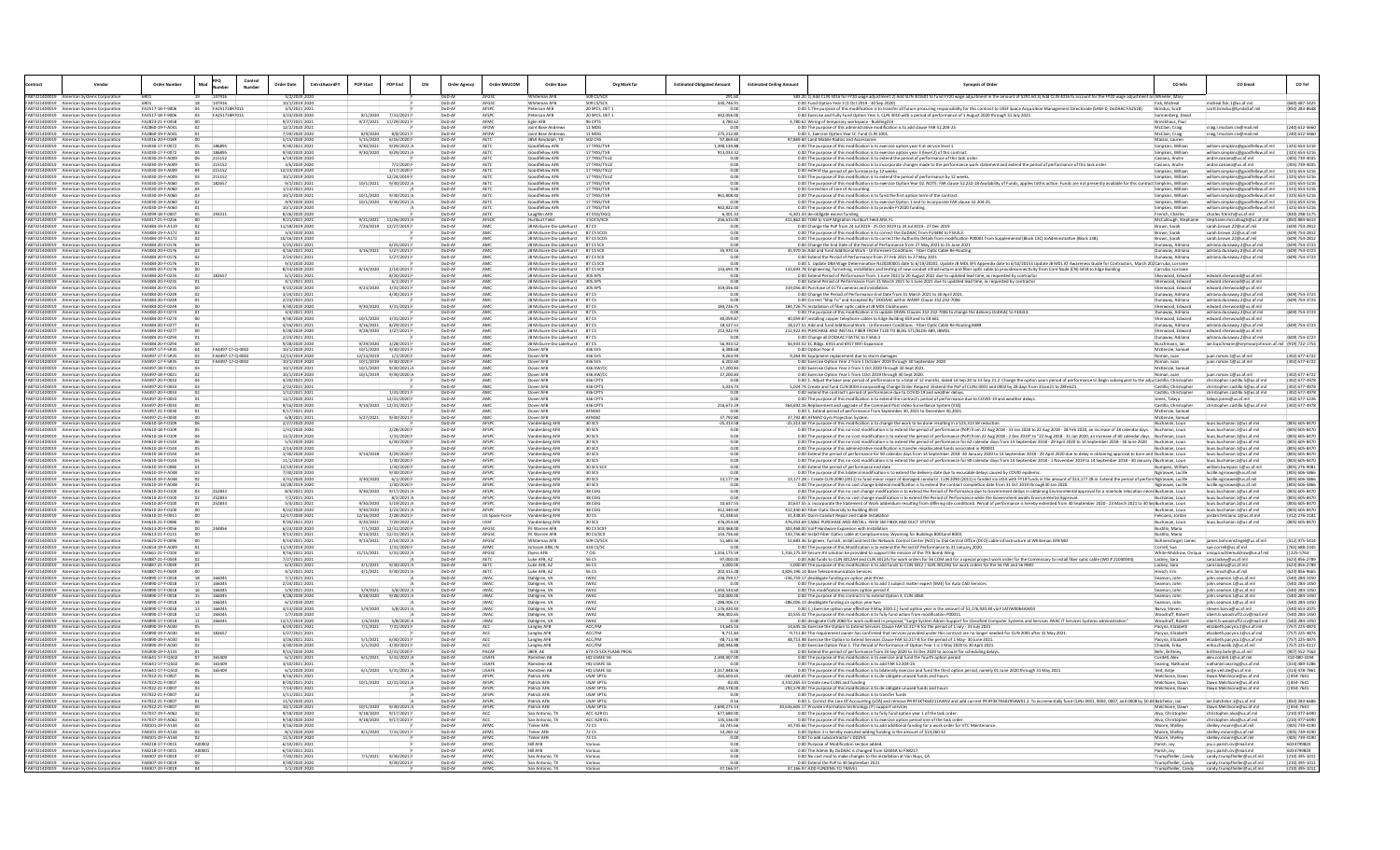|               |                                                                                                 |                                      | Control<br>Number | <b>Order Date</b>                 | CntrctAwardF<br>POP Start | POP End                              | OSI | <b>Order Agency</b> | Order MAJCON              | <b>Order Base</b>                                              | Org Mark for                    | <b>Estimated Obligated Amount</b> | <b>Estimated Ceiling Amount</b> | Synopsis of Order                                                                                                                                                                                                                                                                                                                                                                    | CO Info                                  | CO Emai                                                                  | CO Tel                           |
|---------------|-------------------------------------------------------------------------------------------------|--------------------------------------|-------------------|-----------------------------------|---------------------------|--------------------------------------|-----|---------------------|---------------------------|----------------------------------------------------------------|---------------------------------|-----------------------------------|---------------------------------|--------------------------------------------------------------------------------------------------------------------------------------------------------------------------------------------------------------------------------------------------------------------------------------------------------------------------------------------------------------------------------------|------------------------------------------|--------------------------------------------------------------------------|----------------------------------|
|               | American Systems Corporatio<br>FA873214D0019 American Systems Corporatio                        |                                      | 147916            | 10/1/2019 2020                    |                           |                                      |     | DoD-AP              | AFGSO                     | Whiteman AFB                                                   | 509 CS/SO                       | 330,746.91                        |                                 | 583.20 [1] Add CLIN 3016 for FY20 wage adjustment.2) Add SLIN 301601 to fund FY20 wage adjustment in the amount of \$291.60.3) Add CLIN 4016 to account for the FY20 wage adjustm<br>0.00 Fund Option Year 3 (1 Oct 2019 - 30 Sep 2020)                                                                                                                                              | Fisk, Michea                             | cheal.fisk.1@us.af.mil                                                   | (660) 687-542                    |
|               | <b>EAR73214D0019</b> American Systems Corporation                                               | FA2517-18-F-9006                     | FA25171887015     | 3/5/2021 2021                     |                           |                                      |     | DoD-AF              | AFSPO                     | Peterson AFR                                                   | 20 SPCS DET                     | 0.00                              |                                 | 0.00 1. The purpose of this modification is to transfer all future procuring responsibility for this contract to USSF Space Acquisition Management Directorate (SAM-D, DoDAAC FA2518).                                                                                                                                                                                               | <b>Brindus Scott</b>                     | scott.brindus@tyndall.af.mil                                             | (850) 283-8648                   |
|               | FA873214D0019 American Systems Corporation                                                      | FA2517-18-F-9006<br>FA2823-21-F-0458 | FA251718R701      | 3/23/2020 2020                    |                           | 8/1/2020 7/31/2021                   |     | DoD-Al<br>$DnD-AI$  | AFSPO                     | Peterson AFB                                                   | 20 SPCS, DET                    | 142.056.00                        |                                 | 0.00 Exercise and Fully Fund Option Year 3, CLIN 3010 with a period of performance of 1 August 2020 through 31 July 2021.                                                                                                                                                                                                                                                            | Sonnenberg, Day                          |                                                                          |                                  |
|               | FA873214D0019 American Systems Corporation<br>FA873214D0019 American Systems Corporation        | FA2860-19-F-A041                     |                   | 9/27/2021 202<br>12/2/2020 2021   | 9/27/2021                 | 11/29/2021                           |     | DoD-AF              | AFDW                      | Eglin AFB<br>oint Base Andrew                                  | 11 MDG                          | 4,780.6                           |                                 | 4,780.62 Wiring of temporary workspace - Building214<br>0.00 The purpose of this administrative modification is to add clause FAR 52.204-25                                                                                                                                                                                                                                          | Brinckhaus, Pau<br>McClain, Craig        | traig.l.mcclain.civ@mail.mi                                              | 2401612-566                      |
|               | FA873214D0019 American Systems Corporation                                                      | FA2860-19-F-A04                      |                   | 7/29/2020 202                     | 8/9/2020                  | 8/8/2021                             |     | DoD-Al              | AFDV                      | Joint Base Andrews                                             | 11 MDG                          | 275.212.80                        |                                 | 0.00 1. Exercise Option Year I2. Fund CLIN 1001.                                                                                                                                                                                                                                                                                                                                     | McClain, Craig                           | craig.l.mcclain.civ@mail.m                                               | (240) 612-566                    |
|               | FA873214D0019 American Systems Corporation<br>FA873214D0019 American Systems Corporation        | EA2016-20-F-0189<br>FA3030-17-F-0072 | 186895            | 5/15/2020 2020<br>9/30/2021 2021  | 5/15/2020                 | 6/16/2020<br>9/30/2021 9/29/2022 A   |     | DoD-AF<br>DoD-AF    | <b>AFT</b><br>AFT         | JBSA Randolph, TX<br>Goodfellow AFB                            | SO2 OCC<br>17 TRSS/TSR          | 97,869.60<br>1.390.139.88         |                                 | 97,869.60 Land Mobile Radios and Accessori<br>0.00 The purpose of this modification is to exercise option year 4 at service level 1.                                                                                                                                                                                                                                                 | Macias, Laur<br>Simpkins, William        | william.simpkins@goodfellow.af.mil                                       | (325) 654-5216                   |
|               | FA873214D0019 American Systems Corporation                                                      | FA3030-17-F-0072                     | 186895            | 9/30/2020 2021                    |                           | 9/30/2020 9/29/2021 A                |     | DoD-Al              |                           | Soodfellow AFB                                                 | 17 TRSS/TSF                     | 913,033.32                        |                                 | 0.00 The purpose of this modification is to exercise option year 3 (level 2) of this contrac                                                                                                                                                                                                                                                                                         | Simpkins, William                        | william.simpkins@goodfellow.af.mil                                       | (325) 654-521                    |
|               | FAB73214D0019 American Systems Corporatio                                                       | FA3030-19-F-A005                     | 215152            | 6/19/2020 202                     |                           |                                      |     | DoD-AP              |                           | Soodfellow AFE                                                 | <b>7 TRSS/TSLI</b>              |                                   |                                 | 0.00 The purpose of this modification is to extend the period of performance of this task orde                                                                                                                                                                                                                                                                                       | Casiano, Andre                           | andre.casiano@us.af.mil                                                  | 405) 739-403                     |
|               | FAR73214D0019 American Systems Corporation<br>FA873214D0019 American Systems Corporation        | FA3030-19-F-A009<br>FA3030-19-F-A009 | 215152<br>215152  | 3/6/2020 2020<br>12/23/2019 2020  |                           | 7/1/2020<br>$3/17/2020$ i            |     | DoD-AF<br>DoD-Al    | AFT                       | <b>Goodfellow AFR</b><br>Goodfellow AFB                        | 17 TRSS/TSLD<br>17 TRSS/TSU     | 0.001<br>0.00                     |                                 | 0.00 The purpose of this modification is to incorporate changes made to the performance work statement and extend the period of performance of this task order.<br>0.00 extend the period of performance by 12 weeks                                                                                                                                                                 | Casiano Andre<br>Simpkins, William       | andre.casiano@us.af.mil<br>william.simpkins@goodfellow.af.mi             | (405) 739-4039<br>(325) 654-5216 |
|               | FAR73214D0019 American Systems Corporatio                                                       | FA3030-19-F-A009                     | 215152            | 10/1/2019 2020                    |                           | 12/24/2019 1                         |     | DoD-AF              |                           | <b>Goodfellow AFR</b>                                          | 17 TRSS/TSLD                    |                                   |                                 | 0.00 The purpose of this modification is to extend the period of performance by 12 weeks                                                                                                                                                                                                                                                                                             | Simnkins William                         | william.simpkins@goodfellow.af.mil                                       | (325) 654-521                    |
|               | FA873214D0019 American Systems Corporation                                                      | FA3030-19-F-A060                     | 182657            | 9/1/2021 2021                     |                           | 10/1/2021 9/30/2022 A                |     | DoD-AF              | AFT                       | Goodfellow AFB                                                 | 17 TRSS/TSR                     | 0.00                              |                                 | 0.00 The purpose of this modification is to exercise Option Year 02. NOTE: FAR clause 52.232-18 Availability of Funds, applies tothis action. Funds are not presently available for this contract Simpkins. William                                                                                                                                                                  |                                          | william.simpkins@goodfellow.af.mil                                       | (325) 654-5216                   |
|               | A873214D0019 American Systems Corporation<br>FAR73214D0019 American Sys                         | FA3030-19-F-A060<br>EA2020-19-F-A050 |                   | 1/13/2021 2021<br>0/1/2020 202    | 10/1/2020                 | 0/20/2021                            |     | DoD-Al<br>DoD-AP    |                           | Soodfellow AFB<br><b>Sondfellow AFF</b>                        | 17 TRSS/TSR<br>7 TOCC/TCG       | 961,808.40                        |                                 | 0.00 Correction of Line of Accounting<br>0.00 The purpose of this modification is to fund the first option term of the contract                                                                                                                                                                                                                                                      | Simpkins, William<br>Simpkins, William   | william.simpkins@goodfellow.af.mil<br>william.simpkins@goodfellow.af.mil | (325) 654-5216<br>(325) 654-52   |
|               | FA873214D0019 American Systems Corporation                                                      | FA3030-19-F-A060                     |                   | 9/9/2020 2020                     |                           | 10/1/2020 9/30/2021 A                |     | DoD-AF              | AET                       | Goodfellow AFB                                                 | 17 TRSS/TSR                     | 0.00                              |                                 | 0.00 The purpose of this modification is to exercise Option 1 and to incorporate FAR clause 52.204-25.                                                                                                                                                                                                                                                                               | Simpkins, William                        | william.simpkins@goodfellow.af.mil                                       | (325) 654-521                    |
|               | FA873214D0019 American Systems Corporation                                                      | FA3030-19-F-A060                     |                   | 10/1/2019 2020                    |                           |                                      |     | DoD-Al              |                           | Goodfellow AFB                                                 | 17 TRSS/TSR                     | 942,822.00                        |                                 | 0.00 The purpose of this modification is to provide FY2020 funding.                                                                                                                                                                                                                                                                                                                  | Simpkins, William                        | william.simpkins@goodfellow.af.mil                                       | (325) 654-521                    |
|               | <b>EAR73214D0019</b> American Systems Corporation<br>FA873214D0019 American Systems Corporation | FA3099-18-F-0007<br>FA4417-21-F-0256 | 193311            | 8/26/2020 2020<br>9/21/2021 2021  |                           | 9/21/2021 11/26/2021 A               |     | DoD-AF<br>DoD-Al    | <b>AFT</b><br><b>AFSO</b> | Laughlin AFB<br><b>Hurlburt Field</b>                          | 47.055/060<br>1 SOCS/SCX        | $-630133$<br>256,615.00           |                                 | -6,301.33 de-obligate excess funding<br>411.862.00 TDM to VolP Migration Hurlburt Field AFB. FL                                                                                                                                                                                                                                                                                      | Frerich Charles<br>McCullough, Stephanie | charles.frerich@us.af.mil<br>stephanie.mccullough@us.af.mil              | 8301298-517<br>(850) 884-6613    |
|               | FA873214D0019 American Systems Corporation                                                      | FA4484-19-F-A119                     |                   | 11/18/2019 2020                   |                           | 7/24/2019 12/27/2019                 |     | DoD-Al              |                           | <b>B</b> McGuire-Dix-Lakehurst                                 | 87 CS                           |                                   |                                 | 0.00 Change the PoP from 24 Jul 2019 - 25 Oct 2019 to 24 Jul 2019 - 27 Dec 2019                                                                                                                                                                                                                                                                                                      | Brown, Sarah                             | sarah.brown.22@us.af.mil                                                 | (609) 754-281                    |
|               | FA873214D0019 American Systems Corporatio                                                       | FA4484-19-F-A177                     |                   | 3/4/2020 2020                     |                           |                                      |     | DoD-AF              |                           | JB McGuire-Dix-Lakehurst                                       | 875550                          |                                   |                                 | 0.00 The purpose of this modification is to correct the DoDAAC from FU4484 to F3A3L3.                                                                                                                                                                                                                                                                                                | Brown, Sarah                             | arah.brown.22@us.af.m                                                    | (609) 754-281                    |
|               | FA873214D0019 American Systems Corporation<br>FA873214D0019 American Systems Corporation        | FA4484-19-F-A172<br>FA4484-20-F-0176 |                   | 10/16/2019 2020<br>5/25/2021 2021 |                           | 6/25/2021                            |     | DoD-Al<br>DoD-Al    |                           | JB McGuire-Dix-Lakehurst<br>JB McGuire-Dix-Lakehurst           | 87 CS SCOS<br>87 CS SCX         | 0.00                              |                                 | 0.00 The purpose of this modification is to correct the Authority Details from modification P00001 from Supplemental (Block 13C) toAdministrative (Block 13B).<br>0.00 Change the End Date of the Period of Performance from 27 May 2021 to 25 June 2021                                                                                                                             | Brown, Sarah                             | sarah.brown.22@us.af.mil                                                 | (609) 754-2812<br>(609) 754-372  |
|               | <b>EAR73214D0019</b> American Systems Corporation                                               | FA4484-20-F-0176                     |                   | 4/16/2021 2021                    | 4/16/2021                 | 5/27/2021                            |     | DoD-AF              |                           | IR McGuire-Dix-Lakehurst                                       | 87 05 50 X                      | 35,970,16                         |                                 | 35.970.16 Add and fund Additional Work - Unforeseen Conditions - Fiber Optic Cable Re-Routing                                                                                                                                                                                                                                                                                        | Dunaway, Adrian<br>Dunaway Adriana       | adriana.dunaway.2@us.af.mi<br>adriana dunaway 2@us af mil                | (609) 754-3723                   |
|               | FA873214D0019 American Systems Corporation                                                      | FA4484-20-F-0176                     |                   | 2/24/2021 2021                    |                           | 5/27/2021                            |     | DoD-Al              |                           | JB McGuire-Dix-Lakehurst                                       | 87 CS SCX                       | 0.00                              |                                 | 0.00 Extend the Period of Performance from 27 Feb 2021 to 27 May 2021                                                                                                                                                                                                                                                                                                                | Dunaway, Adriana                         | adriana.dunaway.2@us.af.mil                                              | (609) 754-3723                   |
|               | FA873214D0019 American Systems Corporation<br>FA873214D0019 American Systems Corporation        | FA4484-20-F-0176<br>FA4484-20-F-0176 |                   | 9/3/2020 202<br>8/14/2020 2020    | 8/14/2020                 | 2/14/2021                            |     | DoD-Al<br>DoD-AF    |                           | JB McGuire-Dix-Lakehurst<br>JB McGuire-Dix-Lakehurst 87 CS SCX | 87 CS SO                        | 133,693.78                        |                                 | 0.00 1. Update DBA Wage Determination NJ20200001 date to 6/19/20202. Update JB MDL SFS Appendix date to 6/10/20153 Update JB MDL AT Awareness Guide for Contractors, March 202Carruba, Lorraine<br>133,693.78 Engineering, furnishing, installation and testing of new conduit infrastructure and fiber optic cable to provideconnectivity from Core Node (CN) 5418 to Edge Building | Carruba, Lorraine                        |                                                                          |                                  |
|               | FA873214D0019 American Systems Corporation                                                      | FA4484-20-F-0235                     | 182657            | 6/1/2021 2021                     |                           | 8/20/2021                            |     | DoD-Al              |                           | JB McGuire-Dix-Lakehurst 305 APS                               |                                 | 0.00                              |                                 | 0.00 Extend Period of Performance from 1 June 2021 to 20 August 2021 due to updated lead time, as requested by contractor                                                                                                                                                                                                                                                            | Sherwood, Edward                         | edward.sherwood@us.af.mil                                                |                                  |
|               | FA873214D0019 American Systems Corporation                                                      | FA4484-20-F-0235                     |                   | 4/1/2021 202:                     |                           | 6/1/2021                             |     | DoD-Al              |                           | JB McGuire-Dix-Lakehurst                                       | 305 APS                         |                                   |                                 | 0.00 Extend Period of Performance from 31 March 2021 to 1 June 2021 due to updated lead time, as requested by contractor                                                                                                                                                                                                                                                             | Sherwood, Edward                         | edward.sherwood@us.af.mil                                                |                                  |
|               | FA873214D0019 American Systems Corporation<br>FA873214D0019 American Systems Corporation        | FA4484-20-F-0235<br>FA4484-20-F-0249 |                   | 9/23/2020 2020<br>3/24/2021 2021  | 9/23/2020                 | 3/31/2021<br>4/30/2021 8             |     | DoD-AF<br>DoD-Al    |                           | JB McGuire-Dix-Lakehurst<br>JB McGuire-Dix-Lakehurst           | 305 APS<br>87 CS                | 319,056.40<br>0.00                |                                 | 319.056.40 Purchase of CCTV cameras and installation.<br>0.00 Change the Period of Performance End Date from 31 March 2021 to 30 April 2021.                                                                                                                                                                                                                                         | Sherwood, Edward<br>Dunaway, Adriana     | edward.sherwood@us.af.mil<br>adriana.dunaway.2@us.af.mil                 | (609) 754-372                    |
|               | FA873214D0019 American Systems Corporation                                                      | FA4484-20-F-0249                     |                   | 2/23/2021 202:                    |                           |                                      |     | DoD-Al              |                           | JB McGuire-Dix-Lakehurst                                       | 87 C                            |                                   |                                 | 0.00 Correct "Ship To" and Accepted By" DODAAC within WAWF Clause 252.232-7006                                                                                                                                                                                                                                                                                                       | Dunaway, Adriana                         | adriana.dunaway.2@us.af.mi                                               | (609) 754-372                    |
|               | FA873214D0019 American Systems Corporation                                                      | FA4484-20-F-0249                     |                   | 9/30/2020 2020                    |                           | 9/30/2020 3/31/2021                  |     | DoD-AF              |                           | IB McGuire-Dix-Lakeburst                                       | 870                             | 184,726.75                        |                                 | 184,726.75 Installation of fiber optic cable at JB MDL Clubhouses                                                                                                                                                                                                                                                                                                                    | Sherwood Edward                          | edward sherwood@us af mil                                                |                                  |
|               | FA873214D0019 American Systems Corporation<br>FA873214D0019 American Systems Corporation        | FA4484-20-F-0274<br>FA4484-20-F-0274 |                   | 3/4/2021 2021<br>9/30/2020 202    | 10/1/2020                 | 3/31/2021                            |     | DoD-Al<br>DoD-Al    |                           | JB McGuire-Dix-Lakehurst 87 C<br>JB McGuire-Dix-Lakehurst      |                                 | 40,059.87                         |                                 | 0.00 The purpose of this modification is to update DFARs Clauses 252.232-7006 to change the delivery DoDAAC to F3A3L3.                                                                                                                                                                                                                                                               | Dunaway, Adriana<br>Sherwood, Edward     | adriana.dunaway.2@us.af.mil                                              | (609) 754-372                    |
|               | FA873214D0019 American Systems Corporation                                                      | FA4484-20-F-0222                     |                   | 4/16/2021 202:                    | 4/16/2021                 | 8/29/2021                            |     | DoD-AF              |                           | JB McGuire-Dix-Lakehurst                                       | 87 <sub>0</sub>                 | 18 527 51                         |                                 | 40,059.87 installing copper telephone cables to Edge Building 659 and to EB 661<br>18,527.51 Add and fund Additional Work - Unforeseen Conditions - Fiber Optic Cable Re-Routing B489                                                                                                                                                                                                | Dunaway, Adriana                         | edward.sherwood@us.af.mi<br>adriana.dunaway.2@us.af.mi                   | (609) 754-372                    |
|               | FA873214D0019 American Systems Corporation                                                      | FA4484-20-F-0277                     |                   | 9/28/2020 2021                    | 9/28/2020                 | 3/27/2021 1                          |     | DoD-Al              |                           | JB McGuire-Dix-Lakehurst                                       | 87 C                            | 212,922.93                        |                                 | 212,922.93 PURCHASE AND INSTALL FIBER FROM T120 TO BLDG 571/BLDG 489, JBMDL                                                                                                                                                                                                                                                                                                          | Sherwood, Edward                         | edward.sherwood@us.af.mil                                                |                                  |
|               | FA873214D0019 American Systems Corporation<br>FA873214D0019 American Systems Corporation        | FA4484-20-F-0293<br>FA4484-20-F-0293 |                   | 2/23/2021 202:<br>9/28/2020 2020  | 9/29/2020                 | 3/28/2021                            |     | DoD-AF<br>DoD-Al    |                           | JB McGuire-Dix-Lakehurst                                       | 87 C<br>87 CS                   | 000<br>56.933.52                  |                                 | 0.00 Change all DODAAC F3ATSC to F3A3L3                                                                                                                                                                                                                                                                                                                                              | Dunaway, Adriana<br>Buschmann, Jan       | adriana.dunaway.2@us.af.mi                                               | (609) 754-372                    |
|               | FA873214D0019 American Systems Corporation                                                      | FA4497-17-F-5R35                     | FA4497-17-Q-000   | 10/1/2020 2021                    | 10/1/2020                 | 9/30/2021                            |     | DoD-Al              |                           | JB McGuire-Dix-Lakehurst<br>Dover AFB                          | 436 SVS                         | 6,388.68                          |                                 | 56,933.52 EC Bldgs. 6915 and 6917 WiFi Expansion<br>0.00 Option Year 3                                                                                                                                                                                                                                                                                                               | McKenzie, Samue                          | ian.buschmann@seymourjo                                                  | (919) 722-175                    |
|               | FA873214D0019 American Systems Corporation                                                      | FA4497-17-F-5R3!                     | FA4497-17-Q-00    | 12/13/2019 202                    | 12/13/2019                | 1/1/2020                             |     | DoD-Al              |                           | Dover AFB                                                      | 436 SVS                         | 9,264.94                          |                                 | 9,264.94 Equipment replacement due to storm damages                                                                                                                                                                                                                                                                                                                                  | Roman, Juan                              | juan.roman.1@us.af.mi                                                    | 302) 677-672                     |
|               | <b>EAR73214D0019</b> American Systems Corporation<br>FA873214D0019 American Systems Corporation | FA4497-17-F-5835<br>FA4497-18-F-0021 | FA4497-17-Q-0002  | 10/1/2019 2020<br>10/1/2020 202:  | 10/1/2019<br>10/1/2020    | 9/30/2020<br>$9/30/2021$ A           |     | DoD-AF<br>DoD-Al    |                           | Dover AFR<br>Dover AFB                                         | 436 SVS                         | 6.202.60                          |                                 | 0.00 Exercise Option Year 2 from 1 October 2019 through 30 September 2020<br>0.00 Exercise Option Year 2 from 1 Oct 2020 through 30 Sept 2021.                                                                                                                                                                                                                                       | Roman, Juan<br>McKenzie, Samue           | juan.roman.1@us.af.mil                                                   | (302) 677-672                    |
|               | FAB73214D0019 American Systems Corporation                                                      | FA4497-18-F-0021                     |                   | 10/1/2019 2020                    | 10/1/2019                 | 9/30/2020 A                          |     | DoD-AF              |                           | Dover AFB                                                      | 436 AW/C<br>436 AW/C            | 17,200.83<br>17,200.83            |                                 | 0.00 Exercise Option Year 1 from 10ct 2019 through 30 Sept 2020.                                                                                                                                                                                                                                                                                                                     | Roman, Juan                              | an.roman.1@us.af.mil                                                     | 302) 677-672                     |
|               | FA873214D0019 American Systems Corporation                                                      | FA4497-20-F-0033                     |                   | 4/20/2021 2021                    |                           |                                      |     | DoD-Al              |                           | Dover AFB                                                      | 436 CPTS                        | 000                               |                                 | 0.00 1. Adjust the base year period of performance to a total of 12 months, dated 14 Sep 20 to 13 Sep 21.2. Change the option years period of performance to begin subsequent to the adju Castillo, Christophe                                                                                                                                                                       |                                          | christopher.castillo.5@us.af.m                                           | (302) 677-4978                   |
|               | FA873214D0019 American Systems Corporation                                                      | FA4497-20-F-0033                     |                   | 2/22/2021 202:                    |                           |                                      |     | DoD-Al              |                           | Dover AFB                                                      | 436 CPTS                        | 5.024.74                          |                                 | 5,024.74 Create and fund CLIN 0004 incorporating Change Order Request 1Extend the PoP of CLINs 0001 and 0002 by 28 days from 31Jan21 to 28Feb21.                                                                                                                                                                                                                                     | Castillo, Christopher                    | christopher.castillo.5@us.af.m                                           | 3021 677-497                     |
|               | FA873214D0019 American Systems Corporation<br>FA873214D0019 American Systems Corporation        | FA4497-20-F-0033<br>FA4497-20-F-0033 |                   | 1/12/2021 202<br>12/1/2020 202:   |                           | 1/31/2021<br>12/31/2020              |     | DoD-Al<br>DoD-AF    |                           | Dover AFB<br>Dover AFB                                         | 436 CPTS<br>436 CPTS            | 0.00<br>0.00                      |                                 | 0.00 extend the contract's period of performance due to COVID-19 and weather delays<br>0.00 The purpose of this modification is to extend the contract's period of performance due to COVID-19 and weather delays.                                                                                                                                                                   | Castillo, Christophe<br>Jones, Talaya    | christopher.castillo.5@us.af.m<br>talaya.jones@us.af.mil                 | (302) 677-497<br>3021 677-5226   |
| FA873214D0019 | American Systems Corporation                                                                    |                                      |                   | 9/16/2020 202                     |                           | 9/14/2020 12/31/2021                 |     |                     |                           |                                                                | 436 CPT                         | 216,672.29                        |                                 | 364,692.16 Replacement and upgrade of the Command Post Video Surveillance System (VSS)                                                                                                                                                                                                                                                                                               | Castillo, Christophe                     | christopher.castillo.5@us.af.mi                                          | (302) 677-4978                   |
|               | FA873214D0019 American Systems Corporation                                                      | FA4497-21-F-0030                     |                   | 9/17/2021 2021                    |                           |                                      |     | DoD-AF              |                           | Dover AFB                                                      | ΔΕΜΔΟ                           | 000                               |                                 | 0.00 1. Extend period of performance from September 30, 2021 to December 30, 2021                                                                                                                                                                                                                                                                                                    | McKenzie, Samuel                         |                                                                          |                                  |
|               | FA873214D0019 American Systems Corporation<br>FA873214D0019 American Systems Corporation        | FA4497-21-F-0030<br>FA4610-18-F-0109 |                   | 6/8/2021 2021<br>2/27/2020 2020   | 5/27/2021                 | 9/30/2021                            |     | DoD-AF<br>DoD-Al    |                           | Dover AFB<br>/andenberg AFE                                    | AFMAO<br>30 SC                  | 37,792.80<br>$-25,313.58$         |                                 | 37.792.80 AFMAO Gym Projection System.<br>-25,313.58 The purpose of this modification is to change the work to be done resulting in a \$25,313.58 reduction                                                                                                                                                                                                                          | McKenzie, Samue<br>Buchanan, Louis       | louis.buchanan.1@us.af.mil                                               | 805) 605-847                     |
|               | FA873214D0019 American Systems Corporation                                                      | FA4610-18-F-0109                     |                   | 1/31/2020 202                     |                           | 2/28/2020                            |     | DoD-AF              | AFSF                      | Vandenberg AFE                                                 | 30 SC                           | 0.00                              |                                 | 0.00 The purpose of this no-cost modification is to extend the period of performance (PoP) from 22 Aug 2018 - 31 Jan 2020 to 22 Aug 2018 - 28 Feb 2020, an increase of 28 calendar days. Buchanan, Louis                                                                                                                                                                             |                                          | louis.buchanan.1@us.af.mi                                                | (805) 605-847                    |
|               | FA873214D0019 American Systems Corporation                                                      | FA4610-18-F-0109<br>FA4610-18-F-0144 |                   | 12/2/2019 2020<br>5/5/2020 202    |                           | 1/31/2020                            |     | DoD-Al<br>DoD-Al    | AFSPO                     | Vandenberg AFE                                                 | 30 SCS                          | 0.00                              |                                 | 0.00 The purpose of this no-cost modification is to extend the period of performance (PoP) from 22 Aug 2018 - 2 Dec 2019" to "22 Aug 2018 - 31 Jan 2020, an increase of 60 calendar days. Buchanan, Louis                                                                                                                                                                            |                                          | louis.buchanan.1@us.af.mi                                                | (805) 605-847                    |
|               | FA873214D0019 American Systems Corporatio<br><b>EAR73214D0019</b> American Systems Corporation  | FA4610-18-F-0144                     |                   | 2/14/2020 2020                    |                           | 6/30/2020                            |     | DoD-AF              | AFSPO                     | andenberg AF<br>Vandenberg AFB                                 | 30.505                          | 0.00                              |                                 | 0.00 The purpose of this no-cost modification is to extend the period of performance for 62 calendar days from 14 September 2018 - 29 April 2020 to 14 September 2018 - 30 June 2020<br>0.00 The purpose of this administrative modification is transfer misallocated funds associated in P00001                                                                                     | Buchanan Louis                           | is.buchanan.1@us.af.m<br>louis.buchanan.1@us.af.mil                      | 805) 605-847<br>805) 605-8470    |
|               | FA873214D0019 American Systems Corporation                                                      | FA4610-18-F-0144                     |                   | 1/30/2020 2020                    | 9/14/2018                 | 4/29/2020                            |     | DoD-Al              | AFSPO                     | Vandenberg AFE                                                 | 30 SCS                          | n nn                              |                                 | 0.00 Extend the period of performance for 90 calendar days from 14 September 2018-30 January 2020 to 14 September 2018-29 April 2020 due to delay in obtaining approval to bore and Buchanan, Louis                                                                                                                                                                                  |                                          | louis.buchanan.1@us.af.mi                                                | (805) 605-8470                   |
|               | FA873214D0019 American Systems Corporation                                                      | FA4610-18-F-0144<br>FA4610-19-F-0080 |                   | 11/1/2019 202                     |                           | 1/30/2020                            |     | DoD-Al<br>DoD-AF    |                           | andenberg AFE                                                  |                                 |                                   |                                 | 0.00 The purpose of this no-cost modification is to extend the period of performance for 90 calendar days from 14 September 2018 - 1 November 2019 to 14 September 2018 - 30 January 2Buchanan, Louis                                                                                                                                                                                |                                          | uis.buchanan.1@us.af.m                                                   | (805) 605-847                    |
|               | FA873214D0019 American Systems Corporation<br>FA873214D0019 American Systems Corporation        | FA4610-19-F-A048                     |                   | 12/19/2019 2020<br>7/30/2020 2020 |                           | 1/30/2020 8<br>9/30/2020             |     | DoD-Al              | AFSP<br>AFSPO             | andenberg AFE<br>Vandenberg AFE                                | 30 SCS SCX<br>30 SCS            | n co                              |                                 | 0.00 Extend the period of performance end date<br>0.00 The purpose of this bilateral modification is to extend the delivery date due to excusable delays caused by COVID epidemic                                                                                                                                                                                                    | Bumpass, William<br>Ngiraswei, Lucille   | william.bumpass.1@us.af.mil<br>lucille.ngiraswei@us.af.mil               | (805) 276-9081<br>(805) 606-586  |
|               | FA873214D0019 American Systems Corporation                                                      | FA4610-19-F-A048                     |                   | 3/31/2020 202                     | 3/30/2020                 | 6/1/2020                             |     | DoD-Al              | AFSP                      | Vandenberg AFE                                                 | 30 SCS                          | 13.177.28                         |                                 | 13,177.28 i. Create CLIN 2090 (2011) to fund minor repair of damaged conduit. E. CLIN 2090 (2011) is funded via UOA with FY19 funds in the amount of \$13,177.28 iii. Extend the period of perform Ngiraswei, Lucille                                                                                                                                                                |                                          | ucille.ngiraswei@us.af.mil                                               | (805) 606-586                    |
|               | <b>EAR73214D0019</b> American Systems Corporation                                               | FA4610-19-F-A048<br>FA4610-20-F-0100 | 252833            | 10/28/2019 2020                   |                           | 1/30/2020                            |     | DoD-AF              | AFSPO                     | <b>Jandenhere AFF</b>                                          | 30,505                          | 0.00                              |                                 | 0.00 The purpose of this no cost change bilateral modification is to extend the contract completion date from 31 Oct 2019 through 30 Jan 2020.                                                                                                                                                                                                                                       | Ngiraswei, Lucille                       | lucille.ngiraswei@us.af.mil                                              | 8051606-586                      |
|               | FA873214D0019 American Systems Corporation<br>FA873214D0019 American Systems Corporation        | FA4610-20-F-0100                     | 252833            | 8/4/2021 2021<br>7/2/2021 202:    | 9/30/2020                 | $9/17/2021$ A<br>3/2/2021            |     | DoD-Al<br>DoD-AF    | AFSPO<br>AFSF             | Vandenberg AFE<br>andenberg AFE                                | 38 CEIO<br>38 CE                |                                   |                                 | 0.00 The purpose of this no cost change modification is to extend the Period of Performance due to Government delays in obtaining Environmental approval for a manhole relocation neces Buchanan, Louis<br>0.00 The purpose of this no cost change modification is to extend the Period of Performance while the Government awaits Environmental Approval.                           | Buchanan, Loui                           | louis.buchanan.1@us.af.mi<br>ouis.buchanan.1@us.af.m                     | (805) 605-847<br>805) 605-847    |
|               | FA873214D0019 American Systems Corporation                                                      | FA4610-20-F-0100                     | 252833            | 5/4/2021 2021                     | 9/30/2020                 | $5/19/2021$ A                        |     | DoD-AF              | AFSPO                     | andenberg AFE                                                  | 38 CFIC                         | 10.637.55                         |                                 | 10,637.55 a. Incorporate the Statement of Work addendum resulting from differing site conditionb. Period of performance is hereby extended from 30 September 2020 - 23 March 2021 to 30 SejBuchanan, Louis                                                                                                                                                                           |                                          | louis.buchanan.1@us.af.mi                                                | 805) 605-8470                    |
|               | FA873214D0019 American Systems Corporation                                                      | FA4610-20-F-0100                     |                   | 9/22/2020 2020                    | 9/30/2020                 | 3/23/2021 A                          |     | DoD-Al              | AFSPO                     | Vandenberg AFB                                                 | 38 CEIG                         | 412,440.60                        |                                 | 412.440.60 Fiber Optic Diversity to Building 8510                                                                                                                                                                                                                                                                                                                                    | Buchanan, Louis                          | louis.buchanan.1@us.af.mi                                                | (805) 605-847                    |
|               | FA873214D0019 American Systems Corporation<br>FA873214D0019 American Systems Corporation        | FA4610-21-F-0011<br>FA4610-21-F-0086 |                   | 12/17/2020 2021<br>9/20/2021 202: | 12/16/2020<br>9/20/2021   | 2/28/2021<br>7/20/2022 A             |     | DoD-A<br>DoD-Al     | <b>US Space Ford</b>      | Vandenberg AFE<br>andenberg AFE                                | 30 CS<br>30,505                 | 31,438.65<br>476.053.69           |                                 | 31,438.65 Dorm Conduit Repair and Cable Install<br>476.053.69 CABLE PURCHASE AND INSTALL -NEW SM FIBER AND DUCT SYSTEM                                                                                                                                                                                                                                                               | Feliciano, Jordan<br>Buchanan, Louis     | jordan.feliciano.1@us.af.m<br>louis.buchanan.1@us.af.mi                  | (312) 276-218<br>(805) 605-8470  |
|               | FA873214D0019 American Systems Corporation                                                      | FA4613-20-F-0056                     | 244856            | 6/23/2020 2021                    | 7/1/2020                  | 12/31/2020                           |     | DoD-Al              | AFGS0                     | FE Warren AFB                                                  | 90 CS SCX                       | 303,468.00                        |                                 | 303,468.00 VolP Hardware Expansion with Installation                                                                                                                                                                                                                                                                                                                                 | Bustillo, Maria                          |                                                                          |                                  |
|               | FA873214D0019 American Systems Corporation                                                      | FA4613-21-F-0115                     |                   | 9/13/2021 202                     | 9/14/2021                 | 12/31/2021 A                         |     | DoD-AF              | <b>AFGS</b>               | FE Warren AFB                                                  | 90 CS/SC                        | 133,756.60                        |                                 | 133,756.60 Install Fiber Optics cable at CampGuernsey, Wyoming for Buildings B001and B003.                                                                                                                                                                                                                                                                                           | Bustillo, Maria                          |                                                                          |                                  |
|               | FAR73214D0019 American Systems Corporation<br>FA873214D0019 American Systems Corporation        | FA4625-21-F-0096<br>FA4654-19-F-A009 |                   | 9/14/2021 2021<br>11/19/2019 2020 | 9/13/2021                 | $2/14/2022$ $\triangle$<br>1/31/2020 |     | DoD-AF<br>DoD-Al    | AFGSO<br><b>AFM</b>       | Whiteman AFR<br>Grissom ARB, IN                                | 509 05/502<br>434 CS/SC         | 51,683.36<br>0.00                 |                                 | 51,683.36 Engineer, furnish, install and test the Network Control Center (NCC) to Dial Central Office (DCO) cable infrastructure at Whiteman AFB MO<br>0.00 The purpose of this Modification is to extend the Period Of Performance to 31 January 2020.                                                                                                                              | Bohnenstingel, Jam<br>Correll, Sue       | james.bohnenstingel@us.af.m<br>sue.correll@us.af.mil                     | (312) 975-541<br>(765) 688-234   |
|               | FA873214D0019 American Systems Corporation                                                      | FA4661-21-F-0104                     |                   | 9/16/2021 202:                    | 11/15/2021                | 5/31/2022 A                          |     |                     |                           | Dyess AFB                                                      |                                 | 1,316,175.59                      |                                 | 1,316,175.59 Secure AV solution be provided to support the mission of the 7th Bomb Wing.                                                                                                                                                                                                                                                                                             | White-Muldrow, Oniqua                    | oniqua.w2itemuldrow@us.af.mi                                             | $1225 - 5763$                    |
|               | FA873214D0019 American Systems Corporation                                                      | FA4887-21-F-0049                     |                   | 7/27/2021 2021                    |                           |                                      |     | DoD-AF              | <b>AFT</b>                | Luke AFB, AZ                                                   | 56 CS                           | 97,000.00                         |                                 | 0.00 Add funds to CUN 3012AH and CLIN 3012AJ for work orders for 56 COM and for a special project work order for the Commissary to install fiber optic cable (WO # 21040044).                                                                                                                                                                                                        | Lackey, Sara                             | sara.lackev@us.af.mil                                                    | (623) 856-2789                   |
|               | FA873214D0019 American Systems Corporation<br>FA873214D0019 American Systems Corporatio         | FA4887-21-F-0049<br>EA4997-71-E-0049 |                   | 6/3/2021 2021<br>4/1/2021 202     | 4/1/2021<br>4/1/2021      | $9/30/2021$ A<br>9/30/2021           |     | DoD-Al<br>DoD-AF    |                           | Luke AFB, AZ<br>Luke AFB, A                                    | <b>56 CS</b><br>56 C            | 3,000.00<br>202,415.28            |                                 | 3,000.00 The purpose of this modification is to add funds to CLIN 3012 / SLIN 3012AG for work orders for the 56 FW and 56 RMO<br>4,826,196.14 Base Telecommunication Services                                                                                                                                                                                                        | Lackey, Sara<br>Hinsch, Eri              | sara.lackey@us.af.mil<br>eric.hinsch@us.af.mi                            | (623) 856-278<br>(623) 856-966   |
|               | FA873214D0019 American Systems Corporation                                                      | FA4890-17-F-0018                     | 166045            | 7/1/2021 2021                     |                           |                                      |     | DoD-Al              | <b>IWA</b>                | Dahlgren, VA                                                   | <b>IWA</b>                      | $-236.759.17$                     |                                 | -236,759.17 deobligate funding on option year three                                                                                                                                                                                                                                                                                                                                  | Seamon, John                             | iohn.seamon.1@us.af.mi                                                   | (540) 284-1450                   |
|               | FA873214D0019 American Systems Corporation                                                      | FA4890-17-F-0018                     | 166045            | 2/24/2021 2021                    |                           |                                      |     | DoD-Al              |                           | Dahlgren, VA                                                   | <b>JWAC</b>                     | 0.00                              |                                 | 0.00 The purpose of this modification is to add 1 subject matter expert (SME) for Auto CAD Services                                                                                                                                                                                                                                                                                  | Seamon, John                             | john.seamon.1@us.af.mi                                                   | (540) 284-145                    |
|               | FA873214D0019 American Systems Corporation<br>FA873214D0019 American Systems Corporation        | FA4890-17-F-0018<br>FA4890-17-F-0018 | 16604<br>166045   | 5/9/2021 202:<br>9/28/2020 2020   | 5/9/2021                  | 5/8/2022<br>9/28/2020 9/28/2021 A    |     | DoD-Al<br>DoD-AF    | <b>IWA</b>                | Dahlgren, VA<br>Dahlgren, VA                                   | <b>IWAC</b>                     | 1,344,534.6<br>150,000.00         |                                 | 0.00 This modification exercises option period 4<br>0.00 The purpose of this contract is to extend Option 3, CLIN 3060.                                                                                                                                                                                                                                                              | Seamon, John<br>Seamon, John             | john.seamon.1@us.af.mi<br>iohn.seamon.1@us.af.mi                         | (540) 284-145<br>(540) 284-1450  |
|               | FA873214D0019 American Systems Corporation                                                      | FA4890-17-F-0018                     | 166045            | 6/1/2020 2021                     |                           |                                      |     | DoD-Al              |                           | Dahlgren, VA                                                   | <b>JWA</b>                      | 286,006.13                        |                                 | -286,006.13 deobligate funding on option year two                                                                                                                                                                                                                                                                                                                                    | Seamon, John                             | john.seamon.1@us.af.mi                                                   | (540) 284-145                    |
|               | FA873214D0019 American Systems Corporation                                                      | FA4890-17-F-0018                     | 166045            | 3/13/2020 2020                    | 5/9/2020                  | 5/8/2021                             |     | DoD-AF              | <b>IWA</b>                | Dahlgren, V                                                    | <b>IWA</b>                      | 1,176,920.40                      |                                 | 0.00 1.) Exercise option year effective 9 May 2020.2.) Fund option year in the amount of \$1,176,920.40 via F1ATJW0064AW03                                                                                                                                                                                                                                                           | Barva, Stever                            | even.barva@us.af.mil                                                     | (540) 653-207                    |
|               | FA873214D0019 American Systems Corporation<br>FA873214D0019 American Systems Corporation        | FA4890-17-F-0018<br>FA4890-17-F-0018 | 166045            | 1/7/2020 2020<br>12/17/2019 2020  | 1/6/2020                  | 5/8/2020                             |     | DoD-AF<br>DoD-Al    | <b>JWA</b>                | Dahlgren, VA                                                   | <b>JWAC</b>                     | 266,402.65                        |                                 | 10,555.32 The purpose of this modification is to fully fund action from modification P00011.<br>0.00 designate CLIN 2060 for work outlined in proposal, "Surge System Admin Support for Classified Computer Systems and Services JWAC IT Services Systems administration"                                                                                                            | Woodruff, Rober<br>Woodruff, Rober       | obert.b.woodruff2.civ@mail.mi<br>obert.b.woodruff2.civ@mail.m            | (540) 284-1450<br>(540) 284-145  |
|               | FA873214D0019 American Systems Corporati                                                        | FA4890-19-F-A030                     | 166045            | 6/24/2021 202:                    | 7/1/2021                  | 7/31/2021                            |     | DoD-AF              |                           | Dahlgren, VA<br>Langley AFB                                    | <b>JWAC</b><br>ACC/FM           | 14,645.1                          |                                 | 14,645.16 Exercise the Option to Extend Services Clause FAR 52.217-8 for the period of 1 July - 31 July 2021                                                                                                                                                                                                                                                                         | Pacyna, Elizabeth                        | izabeth.pacyna.1@us.af.mi                                                | 757) 225-487                     |
|               | FA873214D0019 American Systems Corporation                                                      | FA4890-19-F-A030                     | 182657            | 5/27/2021 2021                    |                           |                                      |     | DoD-Al              |                           | Langley AFB                                                    | ACC/FM                          | $-9.711.83$                       |                                 | -9,711.83 The requirement owner has confirmed that services provided under this contract are no longer needed for CLIN 2005 after 31 May 2021.                                                                                                                                                                                                                                       | Pacyna, Elizabeth                        | elizabeth.pacyna.1@us.af.mil                                             | 757) 225-4874                    |
|               | FA873214D0019 American Systems Corporation<br>FA873214D0019 American Systems Corporation        | FA4890-19-F-A03<br>FA4890-19-F-A030  |                   | 3/26/2021 202<br>4/30/2020 2020   | 5/1/2021                  | 6/30/2021<br>4/30/2021               |     | DoD-AF              |                           | Langley AFB                                                    | ACC/FM<br>ACC/FM                | 48,713.98                         |                                 | 48,713.98 Exercise the Option to Extend Services Clause FAR 52.217-8 for the period of 1 May-30 June 2021.<br>0.00 Exercise Option Year 1. The Period of Performance of Option Year 1 is 1 May 2020 to 30 April 2021                                                                                                                                                                 | Pacyna, Elizabet<br>Chwalik, Erika       | elizabeth.pacyna.1@us.af.m                                               | 757) 225-487<br>757) 225-021     |
|               | FA873214D0019 American Systems Corporation                                                      | FAS000-19-F-A131                     |                   | 9/15/2020 2020                    | 5/1/2020                  | 12/31/2020                           |     | DoD-Al              | <b>PACA</b>               | angley AFE<br>JBER, AK                                         | 673 CS SCX PLANS PROG           | 280,946.88                        |                                 | 0.00 Extend the period of performance from 24 Sep 2020 to 31 Dec 2020 to account for scheduling delays                                                                                                                                                                                                                                                                               | Behr, Brittney                           | erika.chwalik.2@us.af.mil<br>brittney.behr@us.af.mil                     | (907) 552-7563                   |
|               | FA873214D0019 American Systems Corporation                                                      | FAS641-17-F-Q502                     | 165409            | $6/1/2021$ 202:                   |                           | $6/1/2021$ $5/31/2022$ A             |     | DoD-Al              |                           | Ramstein A                                                     | HQ USAFE SO                     | 2,340,407.00                      |                                 | 0.00 The purpose of this modification is to exercise and fund the fourth option period                                                                                                                                                                                                                                                                                               | Cordell, Alex                            | alex.cordell.1@us.af.mi                                                  | 314-480-304                      |
|               | FA873214D0019 American Systems Corporation                                                      | FAS641-17-F-0502                     | 165409            | 3/10/2021 202:                    |                           |                                      |     | DoD-Al              | LISAF                     |                                                                | HQ USAFE SO                     |                                   |                                 | 0.00 The purpose of this modification is to add FAR 52.204-25                                                                                                                                                                                                                                                                                                                        | Searing, Nathanie                        | nathaniel.searing@us.af.m                                                | (314) 489-528                    |
|               | FA873214D0019 American Systems Corporation<br>FA873214D0019 American Systems Corporation        | FAS641-17-F-0502<br>FA7022-21-F-00   | 165409            | 6/1/2020 2020<br>9/16/2021 202    |                           | 6/1/2020 5/31/2021 A                 |     | DoD-Al<br>DoD-Al    | LISAFE<br>AFSP            | Ramstein AE<br>atrick AFB                                      | HO USAFE SG<br><b>USAF SPTG</b> | 2.317.848.56<br>$-265,603.69$     |                                 | 0.00 The purpose of this modification is to bilaterally exercise and fund the third option period, namely 01 June 2020 through 31 May 2021<br>-265,603.65 The purpose of this modification is to de-obligate unused funds and hours.                                                                                                                                                 | Veit, Antie<br>Melchione, Dav            | antje.veit.de@us.af.mil<br>Dawn.Melchione@us.af.mi                       | (314) 478-786<br>854-7641        |
|               | <b>EAR73214D0019</b> American Systems Corporation                                               | FA7022-21-F-0007                     |                   | 8/20/2021 2021                    |                           | 10/1/2020 12/31/2021                 |     | DoD-AF              | AFSPO                     | Patrick AFR                                                    | <b>LISAF SPTG</b>               | $-82.85$                          |                                 | 4.310.265.53 Create new CLINS and funding                                                                                                                                                                                                                                                                                                                                            | Melchione Dawn                           | Dawn.Melchione@us.af.mi                                                  | 1854-7641                        |
|               | FA873214D0019 American Systems Corporation                                                      | FA7022-21-F-0007                     |                   | 7/14/2021 202:                    |                           |                                      |     | DoD-Al              | AFSP                      | Patrick AFB                                                    | USAF SPT                        | $-292,578.00$                     |                                 | -292,578.00 The purpose of this modification is to de-obligate unused funds and hours                                                                                                                                                                                                                                                                                                | Melchione, Dawn                          | Dawn.Melchione@us.af.mi                                                  | () 854-7641                      |
|               | FA873214D0019 American Systems Corporation<br>FA873214D0019 American Systems Corporation        | FA7022-21-F-0007<br>FA7022-21-F-0007 |                   | 5/11/2021 202<br>11/5/2020 202:   |                           |                                      |     | DoD-Al<br>DoD-AF    | AFSP<br>AFSF              | Patrick AFB<br>Patrick AFB                                     | <b>USAF SPTC</b><br>USAF SPT    |                                   |                                 | 0.00 The purpose of this modification is to transfer funds<br>0.00 1. Correct the Line Of Accounting (LOA) and remove PR #F3KTK60211AW02 and add current PR #F3KTK60295AW01.2. To incrementally fund CLINs 0001, 0004, 0007, and 0008 by \$0.04 Batchelor, lan                                                                                                                       |                                          | ian.batchelor.1@us.af.mi                                                 | 8501283-668                      |
|               | FA873214D0019 American Systems Corporation                                                      | FA7022-21-F-0007                     |                   | 10/1/2020 2021                    | 10/1/2020                 | 9/30/2021 A                          |     | DoD-Al              | AFSPO                     | Patrick AFB                                                    | USAF SPT                        | 2.690.275.14                      |                                 | 20.616.605.17 Provide information technology (IT) support services                                                                                                                                                                                                                                                                                                                   | Melchione, Dawn                          | Dawn.Melchione@us.af.mi                                                  | (1854-7641)                      |
|               | FA873214D0019 American Systems Corporatio                                                       | FA7037-19-F-A062                     |                   | 9/18/2020 202                     | 9/18/2020                 | 9/17/2021                            |     | DoD-Al              |                           | San Antonio, T                                                 | ACC A2R O                       | 677,680.00                        |                                 | 0.00 The purpose of this modification is to fully fund option year 1 of the task order.                                                                                                                                                                                                                                                                                              | Alva, Christophe                         | nristopher.alva@us.af.m                                                  | (210) 977-649                    |
|               | FA873214D0019 American Systems Corporation<br>FA873214D0019 American Systems Corporation        | FA7037-19-F-A062<br>FA8101-19-F-A144 |                   | 9/18/2020 2020<br>9/16/2020 202   | 9/18/2020                 | 9/17/2021                            |     | DoD-Al<br>DoD-Al    | AFM                       | San Antonio, TX<br><b>Tinker AFB</b>                           | ACC A2R OI<br>72 CS             | 135,536.00<br>34,745.66           |                                 | 0.00 The purpose of this modification is to exercise option period one of the task order<br>34,745.66 The purpose of this modification is to add additional funding for a work order for VTC Maintenance.                                                                                                                                                                            | Alva, Christophe<br>Moore, Shelley       | christopher.alva@us.af.mi<br>shelley.moore@us.af.mil                     | 2101977-6490<br>(405) 739-4190   |
|               | FA873214D0019 American Systems Corporation                                                      | FA8101-19-F-A144                     |                   | 8/1/2020 2021                     |                           | 8/1/2020 7/31/2021                   |     | DoD-Al              | AFN                       | Tinker AFB                                                     | 72 C                            | 14,260.32                         |                                 | 0.00 Option 1 is hereby executed adding funding in the amount of \$14,260.32                                                                                                                                                                                                                                                                                                         | Moore, Shelley                           | shelley.moore@us.af.mil                                                  | (405) 739-419                    |
|               | FAR73214D0019 American Systems Cornoration                                                      | FA8101-19-F-A144                     |                   | 11/5/2019 2020                    |                           |                                      |     | DoD-AF              | <b>AFM</b>                | Tinker AFR                                                     | 72 CS                           |                                   |                                 | 0.00 To add subcontractor's DD254.                                                                                                                                                                                                                                                                                                                                                   | Moore, Shelley                           | shelley.moore@us.af.mil                                                  | (405) 739-4190                   |
|               | FA873214D0019 American Systems Corporation<br>FA873214D0019 American Systems Corporation        | FA8218-17-F-0015<br>FA8218-17-F-0019 | LADDDD.           | 6/10/2021 2021<br>6/10/2021 202   |                           |                                      |     | DoD-AF<br>DoD-AF    | AFM<br>AFN                | Hill AFB<br>Hill AFB                                           | Variou                          | 0.00                              |                                 | 0.00 Purpose of Modification section added<br>0.00 The Admin By DoDAAC is changed from S2404A to FA8217.                                                                                                                                                                                                                                                                             | Parish, Joy<br>Parish, Joy               | joy.s.parish.civ@mail.mil<br>joy.s.parish.civ@mail.mi                    | 6034799820<br>6034799820         |
|               | FA873214D0019 American Systems Corporation                                                      | FA8307-19-F-0019                     |                   | 7/20/2021 2021                    |                           | 7/1/2021 9/30/2021                   |     | DoD-AF              | AFM                       | San Antonio, TX                                                | Variou                          | 0.00                              |                                 | 0.00 No cost mod to make changes to the installation at Van Nuys, CA                                                                                                                                                                                                                                                                                                                 | Trumpfheller, Candy                      | candy.trumpfheller@us.af.mi                                              | (210) 395-101                    |
|               | FA873214D0019 American Systems Corporation                                                      | FA8307-19-F-0019                     |                   | 9/30/2020 2020                    |                           | 9/30/2021                            |     | DoD-Al              |                           | San Antonio, TX                                                |                                 |                                   |                                 | 0.00 Extend the PoP to 30 September 2021                                                                                                                                                                                                                                                                                                                                             | Trumpfheller, Candy                      | candy.trumpfheller@us.af.mi                                              | $(210)$ 395-1011                 |
|               | FA873214D0019 American Syste                                                                    | FA8307-19-F-0019                     |                   | 1/1/2020 202                      |                           |                                      |     | DoD-Al              |                           |                                                                |                                 | 47.166.97                         |                                 | 47.166.97 ADD FUNDING TO TRAVEL                                                                                                                                                                                                                                                                                                                                                      | Frumpfheller, Candy                      | candy.trumpfheller@us.af.m                                               | (210) 395-101                    |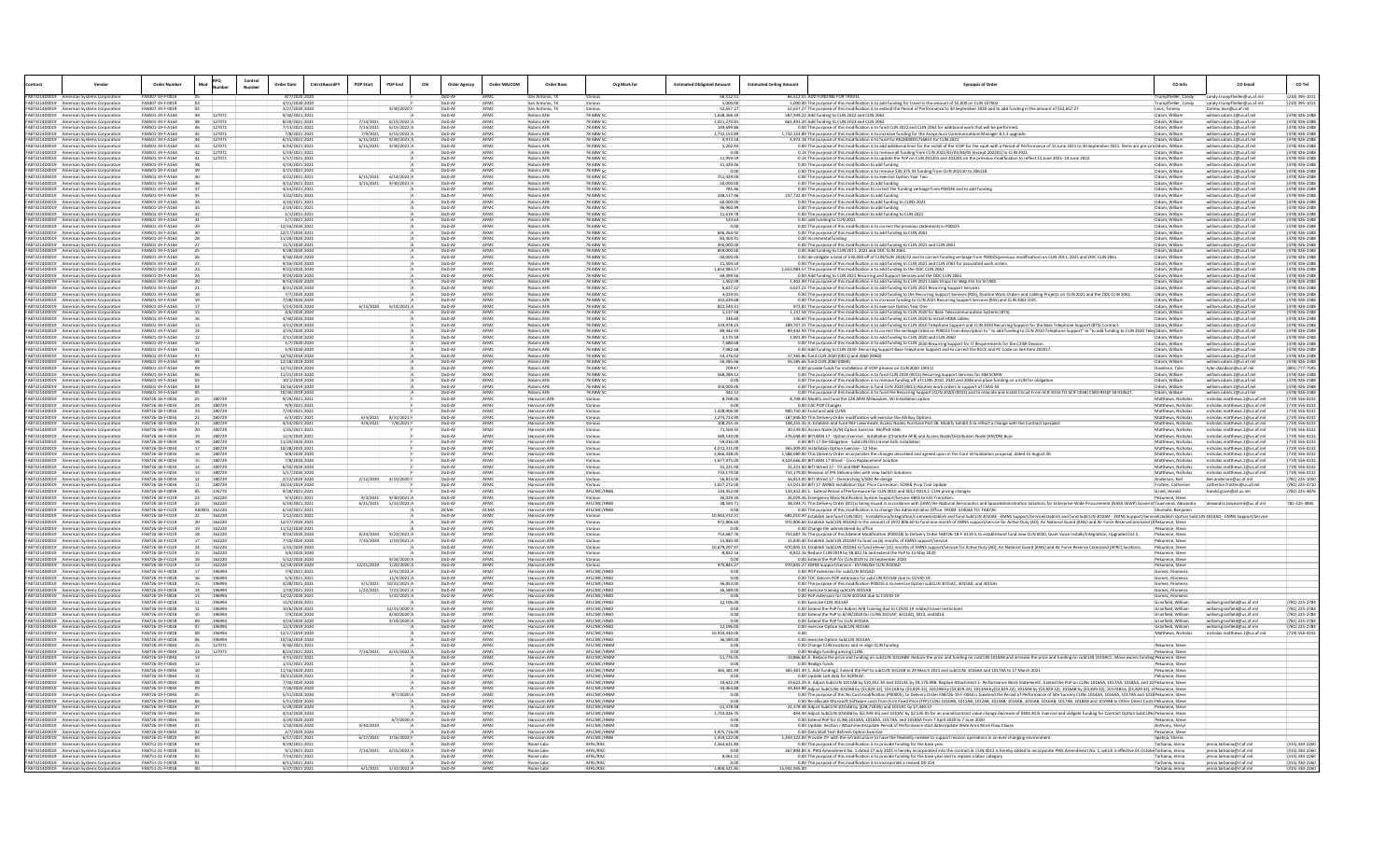|                                                                                                 | Order Numbe                          |                  | Control<br>Order Date<br>Vumber    | CntrctAwardFY<br>POP Star          | POP End                                  | OSI<br>Order Agency           | Order MAJCON              | Order Base                             |                                | Org Mark fo | <b>Estimated Obligated Amour</b> | <b>Estimated Ceiling Amour</b> | <b>Synopsis of Orde</b>                                                                                                                                                                                                                                                                                                                                                                                                                          | CO Info                                  | CO Emai                                                      | CO Tel                           |
|-------------------------------------------------------------------------------------------------|--------------------------------------|------------------|------------------------------------|------------------------------------|------------------------------------------|-------------------------------|---------------------------|----------------------------------------|--------------------------------|-------------|----------------------------------|--------------------------------|--------------------------------------------------------------------------------------------------------------------------------------------------------------------------------------------------------------------------------------------------------------------------------------------------------------------------------------------------------------------------------------------------------------------------------------------------|------------------------------------------|--------------------------------------------------------------|----------------------------------|
| American Systems Corporation<br>FA873214D0019 American Systems Corporatio                       | FA8307-19-F-0019                     |                  | 4/21/2020 2020                     |                                    |                                          | DoD-AF                        | AEM                       | San Antonio, TX                        |                                |             | 5,000.00                         |                                | 6.512.51 ADD FUNDING FOR TRAVE<br>5,000.00 The purpose of this modification is to add funding for travel in the amount of \$5,000 on CLIN 107002                                                                                                                                                                                                                                                                                                 | Frumpfheller, Candy                      | candy.trumpfheller@us.af.m<br>candy.trumpfheller@us.af.mi    | (210) 395-10:<br>(210) 395-101   |
| FA873214D0019 American Systems Corporation                                                      | FA8307-19-F-0019                     |                  | 3/27/2020 2020                     |                                    | 9/30/2020                                | DoD-AF                        | AFM                       | San Antonio, TX                        |                                |             | 52.657.27                        |                                | 52,657.27 The purpose of this modification is to extend the Period of Performance to 30 September 2020 and to add funding in the amount of \$52,657.27.                                                                                                                                                                                                                                                                                          | Leos. Tommy                              | tommy.leos@us.af.mil                                         |                                  |
| FA873214D0019 American Systems Corporation                                                      | FA8501-19-F-A164                     | 127071           | 9/30/2021 2021                     |                                    |                                          | OoD-A                         |                           | <b>Robins AFB</b>                      | 78 ABW S                       |             | 1,638,366.39                     |                                | 587,949.22 Add funding to CLIN 2022 and CLIN 2062                                                                                                                                                                                                                                                                                                                                                                                                | Odom, William                            | villiam.odom.2@us.af.mi                                      | (478) 926-238                    |
| FA873214D0019 American Systems Corporation<br>FAR73214D0019 American Systems Cornoration        | FA8501-19-F-A164<br>FAR501-19-F-A164 | 12707<br>127071  | 3/20/2021 202<br>113/2021 2021     | 7/14/2021<br>7/14/2021             | 6/15/2022<br>6/15/2022 A                 | $D \cap D - \Delta$<br>DoD-AF | <b>AFM</b>                | Robins AFB<br><b>Robins AFR</b>        | 78 ABW<br>78 ARW SO            |             | 1,021,270.8<br>149 699 86        |                                | 661,491.20 Add funding to CLIN 2022 and CLIN 2062                                                                                                                                                                                                                                                                                                                                                                                                | Odom William                             | villiam.odom.2@us.af.m<br>villiam.odom.2@us.af.mil           | (478) 926-23<br>(478) 926-238    |
| FA873214D0019 American Systems Corporation                                                      | FA8501-19-F-A164                     | 127071           | 7/8/2021 202:                      | 7/9/2021                           | 6/15/2022                                | DoD-A                         |                           | Robins AFB                             | 78 ABW S                       |             | 1,732,153.89                     |                                | 0.00 The purpose of this modification is to fund CLIN 2022 and CLIN 2062 for additional work that will be performed.<br>1,732,153.89 The purpose of this modification is to increase funding for the Avaya Aura Communications Ma                                                                                                                                                                                                                | Odom, William                            | villiam.odom.2@us.af.m                                       | (478) 926-238                    |
| FA873214D0019 American Systems Corporation<br>FA873214D0019 American Systems Corporation        | FA8501-19-F-A164<br>FA8501-19-F-A164 | 127071<br>127071 | 6/15/2021 2021<br>6/14/2021 2021   | 6/15/2021<br>6/15/2021 9/30/2021 A | $9/30/2021$ $\Delta$                     | DoD-AF<br>DoD-AF              | AFMO<br><b>AFMO</b>       | Robins AFB<br>Robins AFB               | <b>78 ARW SO</b><br>78 ABW SO  |             | 4.973.18<br>5.202.93             |                                | 4,973.18 The purpose of this modification is to fund for REQ000001716813 for CLIN 2021<br>0.00 The purpose of this modification is to add additional lines for the install of the VOIP for the vault with a Period of Performance of 15 June 2021 to 30 September 2021, Items are pre-priodom. William                                                                                                                                           | Odom William                             | william.odom.2@us.af.mi<br>william.odom.2@us.af.mil          | (478) 926-238<br>(478) 926-2388  |
| A873214D0019 American Systems Corporation                                                       | FA8501-19-F-A164                     | 127071           | 5/19/2021 2021                     |                                    |                                          | DoD-A                         |                           | <b>Robins AFB</b>                      | 78 ABW S                       |             |                                  |                                | 0.14 The purpose of this modification is to remove all funding from CLIN 2022/02/03/04/05 (except 202201) to CLIN 2021.                                                                                                                                                                                                                                                                                                                          | Odom, William                            | villiam.odom.2@us.af.m                                       | (478) 926-238                    |
| FAB73214D0019 American Systems Corporati                                                        | EARS01-10-E-A16/                     | 127071           | (17/2021 20)                       |                                    |                                          | DoD-A                         | <b>AEA</b>                | <b>Robins AFB</b>                      | 78 ARW                         |             | 11 959 5                         |                                | 0.14 The purpose of this modification is to update the PoP on CLIN 201201 and 202201 on the previous modification to reflect 15 June 2021-14 June 2022.                                                                                                                                                                                                                                                                                          | Odom, Willian                            | villiam.odom.2@us.af.n                                       | (478) 926-231                    |
| FA873214D0019 American Systems Corporation                                                      | FA8501-19-F-A164                     |                  | 4/19/2021 2021                     |                                    |                                          | DoD-AF                        | <b>AFM</b>                | Robins AFB                             | 78 ABW SO                      |             | 31,429.46                        |                                | 0.00 The purpose of this modification to add funding<br>0.00 The purpose of this modification is to remove \$30,375.43 funding from CLIN 202130 to 206118.                                                                                                                                                                                                                                                                                       | Odom, William                            | william.odom.2@us.af.mil                                     | (478) 926-238                    |
| FA873214D0019 American Systems Corporation<br>FAR73214D0019 American Systems Corporation        | FA8501-19-F-A164<br>FA8501-19-F-A164 |                  | 4/21/2021 2021<br>$4/22/2021$ 2021 | $6/15/2021$ $6/14/2022$            |                                          | DoD-AF<br>DoD-AF              | <b>AFM</b><br>AFM         | <b>Robins AFB</b><br><b>Robins AFR</b> | 78 ABW SC<br>78 ARW SO         |             | 0.00<br>751 429 00               |                                | 0.00 The purpose of this modification is to exercise Option Year Tw                                                                                                                                                                                                                                                                                                                                                                              | Odom, William<br>Odom William            | william.odom.2@us.af.mil<br>villiam odom 2@us af mi          | (478) 926-238<br>(478) 926-238   |
| FA873214D0019 American Systems Corporation                                                      | FA8501-19-F-A164                     |                  | 4/12/2021 2021                     | 4/15/2021 9/30/2021 A              |                                          | DoD-AF                        | <b>AFMO</b>               | Robins AFB                             | 78 ABW SC                      |             | 50,000.00                        |                                | 0.00 The purpose of this modification to add funding                                                                                                                                                                                                                                                                                                                                                                                             | Odom, William                            | william.odom.2@us.af.mil                                     | (478) 926-2388                   |
| FA873214D0019 American Systems Corporation<br>FA873214D0019 American Systems Corporat           | FA8501-19-F-A164<br>FA8501-19-F-A164 |                  | 4/14/2021 2021                     |                                    |                                          | DoD-A<br>DoD-A                | <b>AFN</b>                | <b>Robins AFB</b><br><b>Robins AFE</b> | 78 ABW S<br>78 ARW             |             | 785.46<br>248.517.4              |                                | 0.00 The purpose of this modification to correct the funding verbiage from P00036 and to add funding                                                                                                                                                                                                                                                                                                                                             | Odom, William                            | william.odom.2@us.af.mi                                      | (478) 926-238<br>(478) 926-231   |
| FA873214D0019 American Systems Corporation                                                      | FA8501-19-F-A164                     |                  | (22/2021 20)<br>3/10/2021 2021     |                                    |                                          | DoD-AF                        | <b>AFMO</b>               | Robins AFB                             | 78 ABW SO                      |             | 60,000.00                        |                                | 247,732.00 The purpose of this modification to add funding<br>0.00 The purpose of this modification to add funding to CLINS 2021                                                                                                                                                                                                                                                                                                                 | Odom, Willian<br>Odom, William           | villiam.odom.2@us.af.m<br>william.odom.2@us.af.mil           | (478) 926-238                    |
| FA873214D0019 American Systems Corporation                                                      | FA8501-19-F-A164                     |                  | 2/24/2021 2021                     |                                    |                                          | DoD-AF                        | AFM                       | <b>Robins AFB</b>                      | 78 ABW SC                      |             | 96,960.99                        |                                | 0.00 The purpose of this modification to add funding                                                                                                                                                                                                                                                                                                                                                                                             | Odom, William                            | william.odom.2@us.af.mi                                      | (478) 926-238                    |
| <b>EAR73214D0019</b> American Systems Corporation                                               | FA8501-19-F-A164<br>FA8501-19-F-A164 |                  | 2/1/2021 2021<br>1/7/2021 2021     |                                    |                                          | DoD-AF<br>DoD-AF              | <b>AFMO</b><br><b>AFM</b> | <b>Robins AFR</b>                      | <b>78 ARW SO</b>               |             | 11 619 78<br>523.64              |                                | 0.00 The purpose of this modification to add funding to CLIN 2021                                                                                                                                                                                                                                                                                                                                                                                | Odom William                             | william odom 2@us af mi                                      | (478) 926-238                    |
| FA873214D0019 American Systems Corporation<br>FA873214D0019 American Systems Corporation        | FA8501-19-F-A164                     |                  | 12/16/2020 202:                    |                                    |                                          | DoD-A                         |                           | <b>Robins AFB</b><br><b>Robins AFE</b> | 78 ABW SO<br>78 ABW S          |             |                                  |                                | 0.00 add funding to CLIN 2021<br>0.00 The purpose of this modification is to correct the previous statements in P00025                                                                                                                                                                                                                                                                                                                           | Odom, William<br>Odom, William           | villiam.odom.2@us.af.mil<br>villiam.odom.2@us.af.m           | (478) 926-238<br>(478) 926-23    |
| FA873214D0019 American Systems Corporation                                                      | FA8501-19-F-A164                     |                  | 12/17/2020 2021                    |                                    |                                          | DoD-A                         | AFM                       | <b>Robins AFB</b>                      | <b>78 ARW S</b>                |             | 606 264 93                       |                                | 0.00 The purpose of this modification is to add funding to CLIN 2061                                                                                                                                                                                                                                                                                                                                                                             | Odom, William                            | villiam.odom.2@us.af.m                                       | (478) 926-238                    |
| FA873214D0019 American Systems Corporation<br>FA873214D0019 American Systems Corporation        | FA8501-19-F-A164<br>FA8501-19-F-A16  |                  | 11/20/2020 2021<br>11/5/2020 2021  |                                    |                                          | DoD-AF<br>DoD-A               | <b>AFM</b>                | Robins AFB                             | 78 ABW SC                      |             | 83,403.91                        |                                | 0.00 Incremental funding                                                                                                                                                                                                                                                                                                                                                                                                                         | Odom, William                            | villiam.odom.2@us.af.mil                                     | (478) 926-238<br>(478) 926-238   |
| FA873214D0019 American Systems Corporation                                                      | FA8501-19-F-A164                     |                  | 9/28/2020 2020                     |                                    |                                          | DoD-AF                        | AFM                       | Robins AFB<br>Robins AFB               | 78 ABW S<br>78 ABW SO          |             | 450,000.00<br>859,000.00         |                                | 0.00 The purpose of this modification is to add funding to CLIN 2021 and CLIN 2061<br>0.00 Add funding to CLIN 2011, 2021 and ODC CLIN 2061.                                                                                                                                                                                                                                                                                                     | Odom, William<br>Odom, William           | william.odom.2@us.af.m<br>william.odom.2@us.af.mil           | (478) 926-238                    |
| FA873214D0019 American Systems Corporation                                                      | FA8501-19-F-A164                     |                  | 9/30/2020 2020                     |                                    |                                          | DoD-A                         | AFM                       | <b>Robins AFB</b>                      | 78 ABW SO                      |             | $-30,000,00$                     |                                | 0.00 de-obligate a total of \$30,000 off of CLIN/SLIN 2020/22 and to correct funding verbiage from P00025(previous modification) on CLIN 2011, 2021 and ODC CLIN 2061                                                                                                                                                                                                                                                                            | Odom, William                            | villiam.odom.2@us.af.mi                                      | (478) 926-238                    |
| FA873214D0019 American Systems Corporation<br>FA873214D0019 American Systems Corporation        | FA8501-19-F-A164<br>FA8501-19-F-A164 |                  | 9/16/2020 2020<br>9/22/2020 2020   |                                    |                                          | DoD-AF<br>DoD-AF              | AFM<br>AFM                | Robins AFB<br>Robins AFB               | 78 ABW SO<br>78 ABW S          |             | 21,504.50<br>1.653.983.57        |                                | 0.00 The purpose of this modification is to add funding to CLIN 2021 and CLIN 2061 for associated work orders.                                                                                                                                                                                                                                                                                                                                   | Odom, William<br>Odom, William           | william.odom.2@us.af.mil<br>william.odom.2@us.af.mil         | (478) 926-238<br>(478) 926-238   |
| FA873214D0019 American Systems Corporation                                                      | FA8501-19-F-A164                     |                  | 9/24/2020 2020                     |                                    |                                          | DoD-A                         |                           | <b>Robins AFB</b>                      | 78 ABW S                       |             | 69,499.5                         |                                | 1,653,983.57 The purpose of this modification is to add funding to the ODC CLIN 2061<br>0.00 Add funding to CLIN 2021 Recurring and Support Services and the ODC CLIN 206                                                                                                                                                                                                                                                                        | Odom, William                            | villiam.odom.2@us.af.mi                                      | (478) 926-238                    |
| FA873214D0019 American Systems Corporation                                                      | FA8501-19-F-A164                     |                  | 8/14/2020 202                      |                                    |                                          | DoD-AF                        |                           | Robins AFB                             | 78 ABW S                       |             | 1,402.0                          |                                | 1,402.09 The purpose of this modification is to add funding to CLIN 2021 Cable Drops for Bldg 255 for JSTARS.                                                                                                                                                                                                                                                                                                                                    | Odom, Willian                            | villiam.odom.2@us.af.mi                                      | (478) 926-23                     |
| FA873214D0019 American Systems Corporation<br>FA873214D0019 American Systems Corporation        | FA8501-19-F-A164<br>FA8501-19-F-A164 |                  | 8/31/2020 2020<br>7/7/2020 2021    |                                    |                                          | DoD-AF                        | <b>AFM</b>                | Robins AFB<br><b>Robins AFE</b>        | 78 ABW SO<br>78 ABW S          |             | 6.627.22<br>4,019.9              |                                | 6,627.22 The purpose of this modification is to add funding to CLIN 2021 Recurring Support Services<br>0.00 The purpose of this modification is to add funding to the Recurring Support Services (RSS), Routine Work Orders and Cabling Projects on CLIN 2021 and the ODC CLIN 2061.                                                                                                                                                             | Odom, William<br>Odom, William           | william.odom.2@us.af.mil<br>illiam.odom.2@us.af.m            | (478) 926-238<br>(478) 926-238   |
| FA873214D0019 American Systems Corporation                                                      | FA8501-19-F-A164                     |                  | 7/28/2020 2020                     |                                    |                                          | DoD-AF                        | <b>AFM</b>                | Robins AFB                             | 78 ABW SO                      |             | 332.629.68                       |                                | 0.00 The purpose of this modification is to increase funding to CLIN 2021 Recurring Support Services (RSS) and CLIN 2061 ODC.                                                                                                                                                                                                                                                                                                                    | Odom, William                            | william.odom.2@us.af.mi                                      | (478) 926-238                    |
| FA873214D0019 American Systems Corporation                                                      | FA8501-19-F-A164                     |                  | 5/14/2020 2020                     | $6/15/2020$ $6/14/2021$            |                                          | DoD-AF                        | <b>AFM</b>                | Robins AFB                             | 78 ABW SO                      |             | 822.549.31                       |                                | 972.82 The purpose of this modification is to exercise Option Year One                                                                                                                                                                                                                                                                                                                                                                           | Odom, William                            | william.odom.2@us.af.mil                                     | (478) 926-238                    |
| A873214D0019 American Systems Corporation                                                       | FA8501-19-F-A164                     |                  | 4/6/2020 2021<br>4/30/2020 2020    |                                    |                                          | DoD-AF                        | <b>AEM</b>                | <b>Robins AFB</b>                      | '8 ABW S<br>78 ABW S           |             | 1,137.58<br>336.60               |                                | L137.58 The purpose of this modification is to add funding to CLIN 2020 for Base Telecommunication Systems (BTS).                                                                                                                                                                                                                                                                                                                                | Odom, William                            | villiam.odom.2@us.af.m                                       | (478) 926-23                     |
| FA873214D0019 American Systems Corporation<br>FA873214D0019 American Systems Corporation        | FA8501-19-F-A164<br>FA8501-19-F-A164 |                  | 3/11/2020 2020                     |                                    |                                          | DoD-AF                        | <b>AFM</b>                | Robins AFB<br>Robins AFB               | 78 ABW SO                      |             | 229.978.25                       |                                | 336.60 The purpose of this modification is to add funding to CLIN 2020 to install HDMI cables                                                                                                                                                                                                                                                                                                                                                    | Odom, William                            | villiam.odom.2@us.af.m<br>william.odom.2@us.af.mi            | (478) 926-23<br>(478) 926-238    |
| FA873214D0019 American Systems Corporation                                                      | FA8501-19-F-A16                      |                  | 3/25/2020 2021                     |                                    |                                          |                               |                           | Robins AFE                             | 8 ABW S                        |             | 89,442.9                         |                                | 189,707.21 The purpose of this modification is to add funding to CLIN 2010 Telephone Support and CLIN 2020 Recurring Support for the Base Telephone Support (BTS) Contract. [Odom, William<br>89,442.93 The purpose of this modif                                                                                                                                                                                                                |                                          | illiam.odom.2@us.af.n                                        | (478) 926-238                    |
| <b>EAR73214D0019</b> American Systems Corporation                                               | FAR501-19-F-A164                     |                  | 2/11/2020 2020                     |                                    |                                          | DoD-AF                        | AFMO                      | <b>Robins AFR</b>                      | 78 ARW SO                      |             | 3 170 18                         |                                | 1,901.09 The purpose of this modification is to add funding to CLIN 2020 and CLIN 2060<br>0.00 The purpose of this modification is to add funding to CLIN 2020 Recurring Support for IT Requirements for the C2ISR Division                                                                                                                                                                                                                      | Odom William                             | william.odom.2@us.af.mil                                     | (478) 926-238                    |
| FA873214D0019 American Systems Corporation<br>A873214D0019 American Systems Corporation         | FA8501-19-F-A164<br>FA8501-19-F-A164 |                  | 1/7/2020 2020<br>1/9/2020 2021     |                                    |                                          | DoD-AF                        | <b>AFMO</b>               | Robins AFB<br><b>Robins AFE</b>        | 78 ABW SO<br>'8 ABW S          |             | 7.680.68<br>7,082.68             |                                | 0.00 Add funding to CLIN 2020- Recurring Support Base Telephone Support and to correct the RCCC and PC Code on line item 202017.                                                                                                                                                                                                                                                                                                                 | Odom, William<br>Odom, William           | william.odom.2@us.af.mil<br>villiam.odom.2@us.af.m           | (478) 926-238<br>(478) 926-238   |
| FAB73214D0019 American Systems Corporation                                                      | FA8501-19-F-A164                     |                  | 12/10/2019 202                     |                                    |                                          | DoD-A                         | AFM                       | <b>Robins AFB</b>                      | 78 ABW S                       |             | 54.376.02                        |                                | 27,365.86 fund CLIN 2020 (0011) and 2060 (0060)                                                                                                                                                                                                                                                                                                                                                                                                  | Odom, William                            | villiam.odom.2@us.af.m                                       | (478) 926-23                     |
| FA873214D0019 American Systems Corporation                                                      | FA8501-19-F-A164<br>FA8501-19-F-A164 |                  | 12/18/2019 2020                    |                                    |                                          | DoD-AF<br>$D \cap D - \Delta$ | <b>AFMO</b>               | Robins AFB                             | 78 ABW SO<br>8 ABW S           |             | 56,585.66<br>700A                |                                | 56.585.66 fund CLIN 2060 (0060)                                                                                                                                                                                                                                                                                                                                                                                                                  | Odom, William                            | william.odom.2@us.af.mil                                     | (478) 926-238<br>(801) 777-759   |
| FA873214D0019 American Systems Corporation<br><b>EAR73214D0019</b> American Systems Corporation | FA8501-19-F-A164                     |                  | 12/31/2019 202<br>11/21/2019 2020  |                                    |                                          | DoD-AF                        | AFMO                      | Robins AFE<br><b>Robins AFR</b>        | 78 ARW SO                      |             | S68 289 12                       |                                | 0.00 provide funds for installation of VOIP phones on CLIN 2020 (0011)<br>0.00 The purpose of this modification is to fund CLIN 2020 (0011) Recurring Support Services for 448 SCMW                                                                                                                                                                                                                                                              | Davidson, Tyle<br>Odom William           | tyler.davidson@us.af.m<br>villiam odom 2@us af mil           | (478) 926-238                    |
| FA873214D0019 American Systems Corporation                                                      | FA8501-19-F-A164                     |                  | 10/1/2019 2020                     |                                    |                                          | DoD-AF                        | <b>AFM</b>                | Robins AFB                             | 78 ABW SC                      |             | 0.00                             |                                | 0.00 The purpose of this modification is to remove funding off of CLINS 2010, 2020 and 2046 and place funding on a SLIN for obligation.                                                                                                                                                                                                                                                                                                          | Odom, William                            | william.odom.2@us.af.mil                                     | (478) 926-238                    |
| A873214D0019 American Systems Corporation                                                       | FA8501-19-F-A16                      |                  | 10/16/2019 202                     |                                    |                                          |                               |                           | <b>Robins AFE</b>                      | 8 ABW !                        |             | 350,000.0                        |                                | 0.00 The purpose of this modification is fund CLIN 2020 (0011) Routine work orders in support of CSAG-M                                                                                                                                                                                                                                                                                                                                          | Odom, William                            | villiam.odom.2@us.af.m                                       | (478) 926-23                     |
| FA873214D0019 American Systems Corporation<br>FA873214D0019 American Systems Corporation        | FA8501-19-F-A164<br>FA8726-18-F-0034 | 180729           | 10/30/2019 202<br>9/29/2021 2021   |                                    |                                          | DoD-AF<br>DoD-AF              | AFM<br><b>AFMO</b>        | <b>Robins AFB</b><br>Hanscom AFB       | 78 ABW S<br>Various            |             | 442.12<br>8,708.00               |                                | 0.00 The purpose of this modification is to fund the Recurring Support (CLIN 2020) (0011) and to relocate and Install Circuit From SCIF B116 TO SCIF C038) CSRD REQ# 18-910627.<br>8,708.00 Modify and fund the 128 ARW Milwaukee, WI Installation option                                                                                                                                                                                        | Odom, William<br>Matthews, Nichola       | villiam.odom.2@us.af.mil<br>nicholas.matthews.1@us.af.m      | (478) 926-231<br>(719) 556-023   |
| FA873214D0019 American Systems Corporation                                                      | FA8726-18-F-003-                     | 180729           | 9/9/2021 202                       |                                    |                                          | DoD-AL                        |                           | Hanscom AF                             |                                |             |                                  |                                | 0.00 CAC POP Change:                                                                                                                                                                                                                                                                                                                                                                                                                             |                                          | nolas.matthews.1@us.af.m                                     | (719) 556-023                    |
| FA873214D0019 American Systems Corporation                                                      | FA8726-18-F-0034                     | 180729           | 7/29/2021 2021                     | $6/4/2021$ $8/31/2021$             |                                          | DoD-AF                        | AFM                       | Hanscom AFB                            | Various                        |             | 1,428,906.90                     |                                | 900,750.30 Fund and add CLINS                                                                                                                                                                                                                                                                                                                                                                                                                    | Matthews, Nicholas                       | nicholas.matthews.1@us.af.mi                                 | (719) 556-023                    |
| FA873214D0019 American Systems Corporation<br>FA873214D0019 American Systems Corporation        | FA8726-18-F-0034<br>FA8726-18-F-0034 | 180729<br>180729 | 6/3/2021 2021<br>4/14/2021 2021    | 4/9/2021                           | 7/8/2021                                 | DoD-AF<br>DoD-AF              | <b>AFM</b><br>AFM         | Hanscom AFB<br>Hanscom AFI             | Various                        |             | 1,274,723.90<br>108.255.3        |                                | -187,846.00 This Delivery Order modification will exercise the AN Buy Options<br>108,255.35 A. Establish and fund RAF Lakenheath Access Nodes Purchase Part 3B. Modify Exhibit A to reflect a change with the Contract Specallist                                                                                                                                                                                                                | Matthews, Nicholas<br>Matthews, Nichola  | nicholas.matthews.1@us.af.mi<br>icholas.matthews.1@us.af.m   | (719) 556-023<br>(719) 556-023   |
| FA873214D0019 American Systems Corporation                                                      | FA8726-18-F-0034                     | 180729           | 1/25/2021 2021                     |                                    |                                          | DoD-AF                        | AFM                       | Hanscom AFB                            | Variou                         |             | 71.504.35                        |                                | 30,539.00 Access Node (A/N) Option Exercise -Moffett ANG                                                                                                                                                                                                                                                                                                                                                                                         | Matthews, Nicholas                       | nicholas.matthews.1@us.af.mi                                 | (719) 556-023                    |
| FA873214D0019 American Systems Corporation<br>FAB73214D0019 American Systems Corporatio         | FA8726-18-F-0034<br>FAR726-18-F-0034 | 180729<br>180729 | 12/4/2020 2021<br>11/20/2020 202   |                                    |                                          | DoD-AF<br>$D \cap D - \Delta$ | AFM<br>AFM                | Hanscom AFB                            | Various                        |             | 589,530.00<br>$-59.016.01$       |                                | 276,048.00 BITI BAN 17 - Option Exercise - Installation (Charlotte AFB) and Access Node/Distribution Node (AN/DN) Buys                                                                                                                                                                                                                                                                                                                           | Matthews, Nicholas<br>Matthews, Nichola  | nicholas.matthews.1@us.af.mi                                 | (719) 556-023<br>(719) 556-023   |
| FA873214D0019 American Systems Corporation                                                      | FA8726-18-F-0034                     | 180729           | 10/28/2020 2021                    |                                    |                                          | DoD-AF                        | AFMO                      | anscom AFI<br>Hanscom AFB              | Various                        |             | 4.072.311.00                     |                                | 0.00 BITI 17 De-Obligation - SubCLIN 0311 Great Falls Installation<br>365.909.00 Installation Option Exercise - 12 Sites                                                                                                                                                                                                                                                                                                                         | Matthews, Nicholas                       | icholas.matthews.1@us.af.m<br>nicholas.matthews.1@us.af.mi   | (719) 556-023                    |
| FAB73214D0019 American Systems Corporation                                                      | FA8726-18-F-003                      | 180729           | 9/8/2020 2020                      |                                    |                                          | DoD-A                         |                           | Hanscom AFB                            | Various                        |             | 3.066.438.05                     |                                | 1,588,080.00 This Delivery Order incorporates the changes described and agreed upon in the Core Virtualization proposal, dated 31 August 20.                                                                                                                                                                                                                                                                                                     | Matthews, Nicholas                       | nicholas.matthews.1@us.af.m                                  | (719) 556-023                    |
| FA873214D0019 American Systems Corporation                                                      | FA8726-18-F-0034                     | 180729           | 7/8/2020 2020                      |                                    |                                          | DoD-AF                        | <b>AFM</b>                | Hanscom AFB                            | Variou                         |             | 1.677.975.00                     |                                | 4,424,666.00 BITI BAN 17 Wired - Cisco Replacement Solution                                                                                                                                                                                                                                                                                                                                                                                      | Matthews, Nichola                        | nicholas.matthews.1@us.af.mi                                 | (719) 556-023                    |
| FA873214D0019 American Systems Corporation<br>FA873214D0019 American Systems Corporation        | FA8726-18-F-0034<br>FA8726-18-F-0034 | 180729<br>180729 | 6/10/2020 2020<br>5/17/2020 2020   |                                    |                                          | DoD-AF<br>DoD-A               | <b>AFM</b>                | Hanscom AFB<br>Hanscom AFI             | Various<br>Various             |             | 31,221.00<br>733,179.00          |                                | 31.221.00 BITI Wired 17 - TO and RMF Revisions<br>33,179.00 Revision of IPA Delivera bles with new Switch Solution                                                                                                                                                                                                                                                                                                                               | Matthews, Nicholas<br>Matthews, Nicholas | nicholas.matthews.1@us.af.mi<br>nicholas.matthews.1@us.af.mi | (719) 556-023<br>(719) 556-023   |
| FA873214D0019 American Systems Corporation                                                      | FA8726-18-F-0034                     | 180729           | 2/12/2020 202                      | 2/12/2020 4/10/2020                |                                          | DoD-AF                        |                           | Hanscom AFI                            |                                |             | 56,813.00                        |                                | 56,813.00 BITI Wired 17 - Overarching S/SDD Re-design                                                                                                                                                                                                                                                                                                                                                                                            | Anderson, Kiel                           | kiel.anderson@us.af.mil                                      | (781) 225-105                    |
| FA873214D0019 American Systems Corporation<br>FA873214D0019 American Systems Corporation        | FA8726-18-F-0034<br>FA8726-18-F-003  | 180729<br>176770 | 10/23/2019 2020<br>9/28/2021 202:  |                                    |                                          | DoD-AF<br>DoD-AF              | AFM                       | Hanscom AFB<br>Hanscom AFI             | AFLCMC/HN                      |             | 1,027,272.00<br>134,452.00       |                                | 53,031.00 BITI 17 WIRED Installation Opt; Price Correction; SOW& Prop Tool Update                                                                                                                                                                                                                                                                                                                                                                | Frotten, Catherin<br>Grant, Harold       | catherine.frotten@us.af.mil                                  | (781) 225-471<br>(781) 225-487   |
| FA873214D0019 American Systems Corporation                                                      | FAR726-18-F-0119                     | 162220           | 9/3/2021 2021                      | $9/3/2021$ 9/30/2021               |                                          | DoD-AF                        | <b>AFM</b>                | Hanscom AFB                            |                                |             | 26.029.26                        |                                | 134,452.00 1. Extend Period of Performance for CLIN 0010 and 0011-0014.2. CLIN pricing changes<br>26,029.26 Emergency Mass Notification System Support/Service HBSS to ESS Transition.                                                                                                                                                                                                                                                           | Pekunece, Stev                           | arold.grant@af.us.mil                                        |                                  |
| FA873214D0019 American Systems Corporation                                                      | FA8726-18-F-0119                     | 162220           | 5/19/2021 2021                     | 6/21/2021 5/31/2022 A              |                                          | DoD-AF                        | <b>AFM</b>                | Hanscom AFB                            | AFLCMC/HN                      |             | 38.593.71                        |                                | 38,593.71 This Delivery Order (DO) is being issued in accordance with (IAW) the National Aeronautics and SpaceAdministration Solutions for Enterprise-Wide Procurement (NASA SEWP) Governm Townsend, Alexandra                                                                                                                                                                                                                                   |                                          | alexandra.townsend@us.af.mil                                 | 781-225-4845                     |
| A873214D0019 American Systems Corporation                                                       | FA8726-18-F-011<br>FAR726-18-F-0119  | 162220<br>162220 | 6/10/2021 202:                     |                                    |                                          | DCMA<br>DoD-AF                | <b>AFM</b>                | Hanscom AF                             | AFLCMC/HN                      |             | 10 943.372.31                    |                                | 0.00 The purpose of this modification is to change the Administration Office: FROM: S2404A TO: FA8726                                                                                                                                                                                                                                                                                                                                            | Shumate, Benjamir                        |                                                              |                                  |
| FA873214D0019 American Systems Corporation<br>FA873214D0019 American Systems Corporation        | FA8726-18-F-0119                     | 162220           | 1/12/2021 2021<br>12/17/2020 2021  |                                    |                                          | DoD-A                         | AFM                       | Hanscom AFB<br>Hanscom AFI             | Various                        |             | 972,806.60                       |                                | -681,010.50 Establish and fund CLIN 0021 - Installationa/Integration/LicensesEstablish and fund SubCLIN 3010AE - EMNS Support/ServiceEstablish and fund SubCLIN 3010AE - EMNS Support/ServiceEstablish Option SubCLIN 4010AD -<br>972,806.60 Establish SubCLIN 3010AD in the amount of \$972,806.60 to fund one month of EMNS support/service for Active Duty (AD), Air National Guard (ANG) and Air Force ReserveCommand (APekunece, Steve      |                                          |                                                              |                                  |
| FA873214D0019 American Systems Corporation                                                      | FA8726-18-F-0119                     | 162220           | 11/12/2020 202:                    |                                    |                                          | DoD-AF                        | <b>AEM</b>                | Hanscom AFI                            | Various                        |             |                                  |                                | 0.00 Change the administered by office                                                                                                                                                                                                                                                                                                                                                                                                           | Pekunece, Stev                           |                                                              |                                  |
| <b>EAR73214D0019</b> American Systems Corporation                                               | FA8726-18-F-0119                     | 162220           | 9/24/2020 2020                     | $9/24/2020$ 9/23/2021 4            |                                          | DoD-AF                        | <b>AFMO</b>               | Hanscom AFR                            | Various                        |             | 753 687 76                       |                                | 753,687.76 The purpose of this bilateral Modification (P00018) to Delivery Order FA8726-18-F-0119 is to establishand fund new CLIN 0020, Giant Voice Installs/Integration, Upgraded Lot 2,                                                                                                                                                                                                                                                       | Pekunece Stew                            |                                                              |                                  |
| FA873214D0019 American Systems Corporation<br>A873214D0019 American Systems Corporation         | FA8726-18-F-0119<br>FA8726-18-F-011  | 162220<br>162220 | 7/10/2020 2020<br>1/15/2020 2021   | 7/10/2020 1/10/2021 A              |                                          | DoD-AF<br>DoD-A               | AFM                       | Hanscom AFB<br>Hanscom AFE             | Various<br>Various             |             | 15,830.40<br>0,679,297.9         |                                | 15,830.40 Establish SubCLIN 2010AF to fund six (6) months of EMNS support/service<br>970,845.51 Establish SubCLIN 2010AE to fund eleven (11) months of EMNS support/service for Active Duty (AD), Air National Guard (ANG) and Air Force Reserve Command (AFRC) locations.                                                                                                                                                                       | ekunece, Steve<br>Pekunece, Steve        |                                                              |                                  |
| FA873214D0019 American Systems Corporation                                                      | FAR726-18-F-0119                     | 162220           | 3/6/2020 2020                      |                                    |                                          | DoD-AF                        | <b>AEMA</b>               | Hanscom AFB                            |                                |             | $-8,822.16$                      |                                | -8,822.16 Reduce CLIN 0019 by \$8,822.16 and extend the PoP to 15 May 2020                                                                                                                                                                                                                                                                                                                                                                       | Pekunece, Steve                          |                                                              |                                  |
| FA873214D0019 American Systems Corporation                                                      | FA8726-18-F-0119<br>FA8726-18-F-0119 | 162220           | 5/12/2020 2020<br>12/19/2019 2020  | 12/21/2019                         | 9/24/2020                                | DoD-A<br>DoD-AF               | <b>AEMA</b>               | Hanscom AFI                            | Various                        |             |                                  |                                | 0.00 Extend the PoP for CLIN 0019 to 24 September 2020                                                                                                                                                                                                                                                                                                                                                                                           | Pekunece, Steve                          |                                                              |                                  |
| FA873214D0019 American Systems Corporation<br>FA873214D0019 American Systems Corporation        | FA8726-19-F-0018                     | 162220<br>196994 | 7/8/2021 2021                      |                                    | $1/20/2020$ $\mu$<br>3/31/2022 A         | DoD-AF                        | <b>AFM</b>                | lanscom AFB<br>Hanscom AFB             | AFLCMC/HNI                     |             | 970,845.27<br>000                |                                | 970,845.27 EMNS Support/Service - ESTABLISH CLIN 2010AD<br>0.00 POP extension for subCLIN 3015AD                                                                                                                                                                                                                                                                                                                                                 | Pekunece, Steve<br>Gomez, Filomena       |                                                              |                                  |
| FA873214D0019 American Systems Corporation                                                      | FA8726-19-F-0018                     | 196994           | 5/4/2021 2021                      |                                    | 11/4/2021 A                              | DoD-AF                        | AFM                       | Hanscom AFI                            | AFLCMC/HNID                    |             |                                  |                                | 0.00 TDC Satcom POP extension for subCLIN 3015AF due to COVID-19.                                                                                                                                                                                                                                                                                                                                                                                | Somez, Filomena                          |                                                              |                                  |
| A873214D0019 American Systems Corporation                                                       | FA8726-19-F-001                      | 196994           | (28/2021 202                       | 5/1/2021                           | 10/31/2021                               | DoD-A                         |                           | Hanscom AFI                            | AFLCMC/HN                      |             | 6,853.0                          |                                | 0.00 The purpose of this modification P00015 is to exercise Option subCLIN 3015AC, 3015AD, and 3015AJ.                                                                                                                                                                                                                                                                                                                                           | Somez, Filomena                          |                                                              |                                  |
| <b>EAR73214D0019</b> American Systems Corporation<br>FA873214D0019 American Systems Corporation | FA8726-19-F-0018<br>FA8726-19-F-0018 | 196994<br>196994 | 1/19/2021 2021<br>12/22/2020 2021  | 1/22/2021                          | $7/21/2021$ $\triangle$<br>$5/31/2021$ A | DoD-AF<br>DoD-A               | <b>AFMO</b>               | Hanscom AFB<br>Hanscom AF              | AFLOMO/HNID<br>AFLCMC/HN       |             | 36,589.00                        |                                | 0.00 Exercise training subCLIN 3015AB<br>0.00 PoP extension for CLIN 3015AA due to COVID-19                                                                                                                                                                                                                                                                                                                                                      | Gomez Filomenz<br>iomez, Filomen         |                                                              |                                  |
| FA873214D0019 American Systems Corporation                                                      | FAR726-19-F-0018                     | 196994           | 11/4/2020 2021                     |                                    |                                          | DoD-AF                        | <b>AFM</b>                | Hanscom AFB                            | AFLCMC/HNL                     |             | 12,196.00                        |                                | 0.00 Exercise CLIN 3015AF                                                                                                                                                                                                                                                                                                                                                                                                                        | Granfield, William                       | villiam.granfield@us.af.mil                                  | (781) 225-278                    |
| FA873214D0019 American Systems Corporation                                                      | FA8726-19-F-0018<br>FA8726-19-F-0018 | 196994           | 10/6/2020 2021<br>7/9/2020 2020    |                                    | 12/31/2020 A<br>8/30/2020 A              | DoD-AF                        | <b>AFMO</b>               | Hanscom AFB                            | AFLCMC/HNID<br>AFLCMC/HNI      |             | 0.00                             |                                | 0.00 Extend the PoP for Robins AFB Training due to COVID 19 related travel restrictions<br>0.00 Extend the PoP to 8/30/2020 for CLINS 3011AP, 3011AQ, 3013, and 3014.                                                                                                                                                                                                                                                                            | Granfield, William                       | william.granfield@us.af.mil                                  | (781) 225-278<br>(781) 225-278   |
| FA873214D0019 American Systems Corporation<br>FA873214D0019 American Systems Corporation        | FA8726-19-F-0018                     | 196994<br>196994 | 3/24/2020 2020                     |                                    | 9/19/2020                                | DoD-A<br>DoD-A                | AFM<br><b>AEM</b>         | Hanscom AFI<br>Hanscom AFB             | AFLCMC/HNI                     |             | 0.01                             |                                | 0.00 Extend the PoP for CLIN 3015AA                                                                                                                                                                                                                                                                                                                                                                                                              | Sranfield, William<br>Granfield, Willian | william.granfield@us.af.mi<br>villiam.granfield@us.af.mi     | (781) 225-278                    |
| FA873214D0019 American Systems Corporation                                                      | FA8726-19-F-0018                     | 196994           | 12/3/2019 2020                     |                                    |                                          | DoD-AF                        | <b>AFM</b>                | Hanscom AFB                            | AFLCMC/HNI                     |             | 12,196.00                        |                                | 0.00 exercise Option SubCLIN 3015A                                                                                                                                                                                                                                                                                                                                                                                                               | Granfield, William                       | william.granfield@us.af.mi                                   | (781) 225-278                    |
| FA873214D0019 American Systems Corporation                                                      | FA8726-19-F-0018                     | 196994           | 12/17/2019 2020                    |                                    |                                          | DoD-A                         |                           | Hanscom AFI                            | AFLCMC/HNI                     |             | 10,910,430.00                    |                                |                                                                                                                                                                                                                                                                                                                                                                                                                                                  | Matthews, Nicholas                       | nicholas.matthews.1@us.af.mi                                 | (719) 556-023                    |
| FA873214D0019 American Systems Corporation<br>FA873214D0019 American Systems Corporation        | FAR726-19-F-0018<br>FA8726-19-F-0044 | 196994<br>127071 | 10/16/2019 2020<br>9/30/2021 2021  |                                    |                                          | DoD-AF<br>DoD-A               | AFM<br><b>AFM</b>         | Hanscom AFB<br>Hanscom AFB             | AFLCMC/HNL<br>AFLCMC/HNIM      |             | 36,589.00<br>000                 |                                | 0.00 exercise Ontion SubCLIN 301544<br>0.00 Change CLIN locations and re-align CLIN funding                                                                                                                                                                                                                                                                                                                                                      | Pekunece, Steve                          |                                                              |                                  |
| FA873214D0019 American Systems Corporation                                                      | FA8726-19-F-0044                     | 127071           | 8/23/2021 2021                     | $7/14/2021$ 6/15/2022 /            |                                          | DoD-A                         | AFN                       | Hanscom AF                             | AFLCMC/HNI                     |             |                                  |                                | 0.00 Realign funding among CLINS                                                                                                                                                                                                                                                                                                                                                                                                                 | ekunece, Steve                           |                                                              |                                  |
| FA873214D0019 American Systems Corporation                                                      | FAR726-19-F-0044                     |                  | 3/15/2021 2021                     |                                    |                                          | DoD-AF                        | <b>AFM</b>                | Hanscom AFB                            | AFLCMC/HNIM                    |             | $-11.776.05$                     |                                | 19,866.84 A. Reduce the price and funding on subCLIN 1012ABB. Reduce the price and funding on subCLIN 1019AB and increase the price and funding on subCLIN 1019ACC. Move excess fund                                                                                                                                                                                                                                                             | e Pekunece, Steve                        |                                                              |                                  |
| FA873214D0019 American Systems Corporation<br>FA873214D0019 American Systems Corporation        | FA8726-19-F-0044<br>FA8726-19-F-004  |                  | 1/15/2021 2021<br>11/16/2020 202:  |                                    |                                          | DoD-AF                        | <b>AFM</b>                | Hanscom AFB<br>Hanscom AF              | AFLCMC/HNIN<br>AFLCMC/HNI      |             | 0.00<br>365,381.49               |                                | 0.00 Realign funds<br>365,381.49 1. Add funding2. Extend the PoP to subCLIN 1012AB to 29 March 2021 and subCLINs 1016AA and 1017AA to 17 March 2021                                                                                                                                                                                                                                                                                              | Pekunece, Steve<br>Pekunece, Steve       |                                                              |                                  |
| FA873214D0019 American Systems Corporation                                                      | FA8726-19-F-0044                     |                  | 10/21/2020 2021                    |                                    |                                          | DoD-AF                        | <b>AFM</b>                | Hanscom AFB                            | AFLCMC/HNIN                    |             | 000                              |                                | 0.00 Update LoA data for ACRN AC                                                                                                                                                                                                                                                                                                                                                                                                                 | Pekunece, Steve                          |                                                              |                                  |
| FA873214D0019 American Systems Corporation                                                      | FA8726-19-F-0044                     |                  | 7/20/2020 2020                     |                                    |                                          | DoD-A                         |                           | Hanscom AFB                            | AFLCMC/HNIN                    |             | 19,622.29                        |                                | 19,622.29 A. Adjust SubCLIN 1011AB by \$10,451.30 and 1011AC by \$9,170.99B. Replace Attachment 1- Performance Work StatementC. Extend the PoP on CLINs 1016AA, 1017AA, 1018AA, and 10 Pekunece, Steve                                                                                                                                                                                                                                           |                                          |                                                              |                                  |
| FA873214D0019 American Systems Corporation<br>FAB73214D0019 American Systems Corporation        | EART36-19-F-0044<br>FA8726-19-F-0044 |                  | 7/30/2020 2020<br>5/11/2020 2020   |                                    | 8/7/2020 A                               | $D \cap D - \Delta$<br>DoD-AF | AFM<br><b>AFMO</b>        | Hanscom AFI<br>Hanscom AFB             | AFLCMC/HNL<br>AFLOMO/HNIN      |             | 34,463.88<br>0.00                |                                | 34,463.88 Adjust SubCLINs 1010AB by (\$3,829.32), 1011AB by (\$3,829.32), 1012AB by (\$3,829.32), 1013AB by(\$3,829.32), 1014AB by (\$3,829.32), 1016AB by (\$3,829.32), 1017AB by (\$3,829.32), 1017AB by (\$3,829.32), 1017AB by (\$3<br>0.00 The purpose of this No Cost modification (P00005), to Delivery Order FA8726-19-F-0044 is toextend the Period of Performance of Site Survery CLINs 1014AA, 1016AA, 1017AA and 1018Pekunece, Steve |                                          |                                                              |                                  |
| FA873214D0019 American Systems Corporation                                                      | FA8726-19-F-0044                     |                  | 5/11/2020 2020                     |                                    |                                          | DoD-AF                        | <b>AFM</b>                | Hanscom AFB                            | AFLCMC/HNIM                    |             | 0.00                             |                                | 0.00 Re-allocate Microsoft Software costs from Firm Fixed Price (FFP) CLINs 1010AB, 1011AB, 1012AB, 1013AB, 1014AB, 1015AB, 1016AB, 1017AB, 1018AB and 1019AB to Other Direct Costs Pekunece, Steve                                                                                                                                                                                                                                              |                                          |                                                              |                                  |
| FA873214D0019 American Systems Corporation                                                      | FA8726-19-F-004                      |                  | 5/29/2020 202                      |                                    |                                          |                               |                           | Hanscom AFE                            | AFLCMC/HN                      |             | $-21,378.48$                     |                                | 21,378.48 Adjust SubCLIN 1015AB by (\$28,718.85) and 1015AC by \$7,340.37                                                                                                                                                                                                                                                                                                                                                                        | ekunece, Steve                           |                                                              |                                  |
| FA873214D0019 American Systems Corporation<br>A873214D0019 American Systems Corporation         | FA8726-19-F-0044<br>FA8726-19-F-004  |                  | 4/13/2020 2020<br>3/20/2020 2020   |                                    | 6/7/2020                                 | DoD-AF<br>DoD-A               | <b>AFMO</b>               | Hanscom AFB<br>Hanscom AFE             | AFLCMC/HNIN<br>AFLCMC/HNI      |             | 1.710.026.70                     |                                | -404.30 Adjust SubCLIN 1010AB by (\$2,939.35) and 1010AC by \$2,535.05 for an overall contract value change decrease of \$404.30.B. Exercise and obligate funding for Contract Option SubCLINs Pekunece, Steve<br>0.00 Extend PoP for CLINS 1014AA, 1016AA, 1017AA, and 1018AA from 7 April 2020 to 7 June 2020                                                                                                                                  | Pekunece, Steve                          |                                                              |                                  |
| FAB73214D0019 American Systems Corporatio                                                       | EAR736-19-E-0044                     |                  | 1/10/2020 2020                     | 9/30/2019                          |                                          | DoD-AP                        | <b>AEMA</b>               | Hanscom AFI                            | AFLOMO/HNIM                    |             | 0 <sub>0</sub>                   |                                | 0.00 Update Section J AttachmentsUpdate Period of Performance start datesUpdate Wide Area Work Flow Clause                                                                                                                                                                                                                                                                                                                                       | Anthony, Sher                            |                                                              |                                  |
| FA873214D0019 American Systems Corporation                                                      | FA8726-19-F-0044                     |                  | 2/7/2020 2020                      |                                    |                                          | DoD-AF                        | AFM                       | Hanscom AFB                            | AFLCMC/HNIN                    |             | 3.975.716.00                     |                                | 0.00 Data Wall Tech Refresh Option Exercise                                                                                                                                                                                                                                                                                                                                                                                                      | Pekunece, Steve                          |                                                              |                                  |
| FA873214D0019 American Systems Corporation<br>FA873214D0019 American Systems Corporation        | FA8726-21-F-0010<br>FA8751-21-F-001  |                  | 6/17/2021 2021<br>9/29/2021 202    | 6/17/2021 3/16/2022                |                                          | DoD-AF                        | AFM                       | Hanscom AFB<br>tome Labs               | AFLCMC/HNI<br>AFRL/RISC        |             | 1.459.122.00<br>2,563,621.8      |                                | 1,459,122.00 Provide JTF with the infrastructure to have the flexibility needed to support mission operations in an ever changing environment.                                                                                                                                                                                                                                                                                                   | Spahija, Sheras<br>Farbania, Jenna       | nna.tarbania@rl.af.m                                         | (315) 330-22                     |
| FA873214D0019 American Systems Corporation                                                      | FA8751-21-F-0018                     |                  | 9/1/2021 2021                      | 7/14/2021 6/15/2022 A              |                                          | DoD-AF                        | <b>AFM</b>                | Rome Labs                              | AFRL/RISC                      |             | 000                              |                                | 0.00 The purpose of this modification is to provide funding for the base year.<br>267.894.84 A. PWS Amendment No. 1 dated 27 July 2021 is hereby incorporated into the contract.B. CLIN 4012 is hereby added to incorporate PWS Amendment No. 1, which is effective 01 Octobe Tarbania, Jenna                                                                                                                                                    |                                          | enna.tarbania@rl.af.mil                                      | (315) 330-2260                   |
| FA873214D0019 American Systems Corporation                                                      | FA8751-21-F-001                      |                  | /14/2021 202:                      |                                    |                                          | DoD-A                         |                           | Rome Labs                              | AFRL/RIS                       |             | 8,061.12                         |                                | 0.00 The purpose of this modification is to provide funding for the base year and to replace a labor category.                                                                                                                                                                                                                                                                                                                                   | Tarbania, Jenna                          | enna.tarbania@rl.af.mi                                       | $(315) 330 - 226$                |
| FA873214D0019 American Systems Corporation<br>FA873214D0019 American Systems Corporation        | FA8751-21-F-0018<br>FA8751-21-F-0018 |                  | 6/11/2021 2021<br>/27/2021 202:    | 6/1/2021                           | 5/31/2022                                | DoD-AF<br>$n - \Omega$        | AFMO                      | Rome Labs<br>tome Lab                  | AFRI /RISC<br><b>AFRI /RIS</b> |             | 0.00<br>1.904.521.8              | 15.931.945.00                  | 0.00 The purpose of this modification is to incorporate a revised DD 254.                                                                                                                                                                                                                                                                                                                                                                        | Tarbania, Jenna<br>Farbania, Jenna       | enna.tarbania@rl.af.mil<br>enna.tarbania@rl.af.mil           | (315) 330-2260<br>(315) 330-2260 |
|                                                                                                 |                                      |                  |                                    |                                    |                                          |                               |                           |                                        |                                |             |                                  |                                |                                                                                                                                                                                                                                                                                                                                                                                                                                                  |                                          |                                                              |                                  |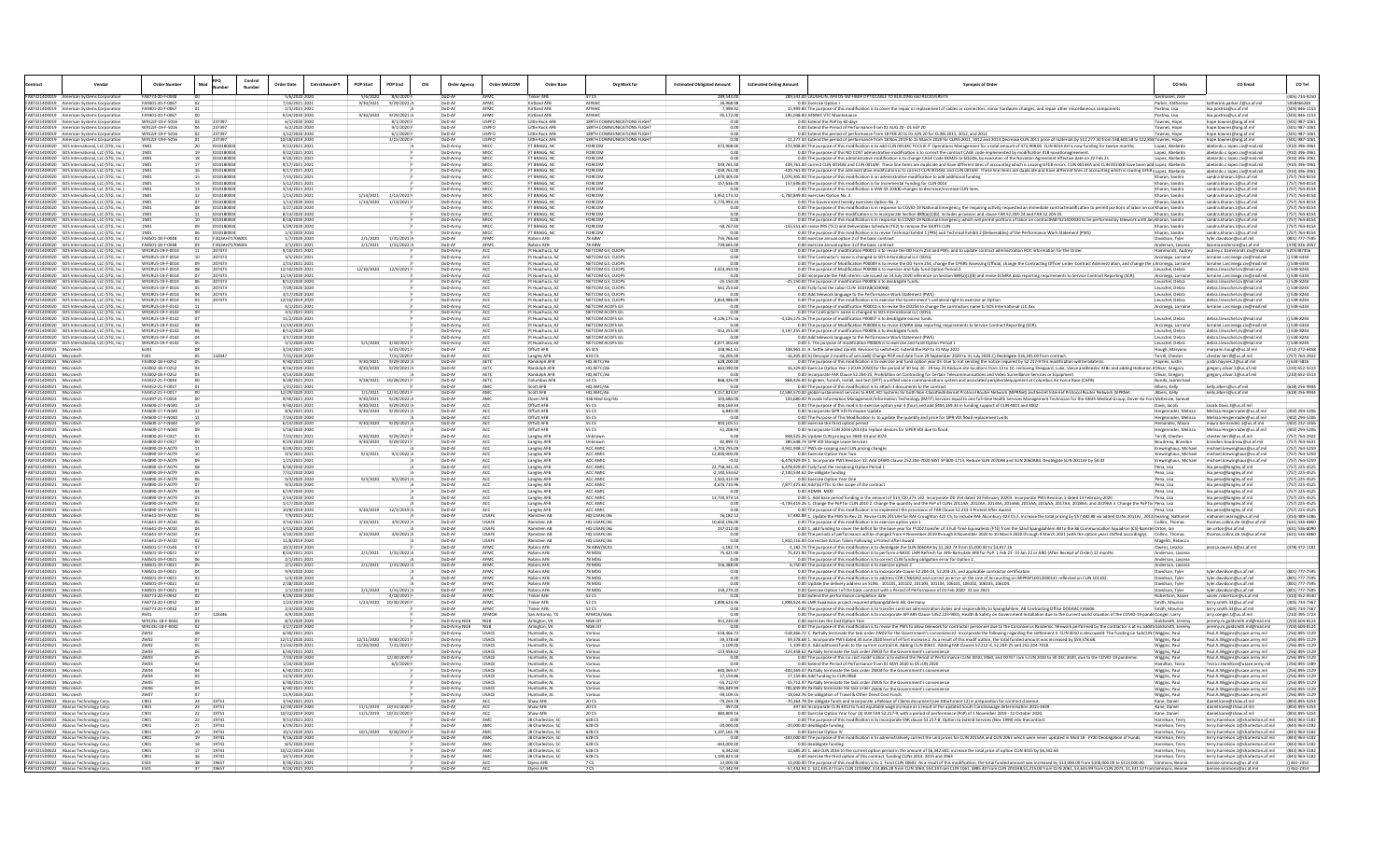|                                                    |                                                                                                      | <b>Order Numbe</b>                   |                                | Control<br>Number | <b>Order Date</b>                 | <b>POP Start</b>       | POP End                                  | OSI | <b>Order Agency</b>           | Order MAJCOM        | <b>Order Base</b>                    | Org Mark for                                              | <b>Estimated Obligated Amount</b>        | <b>Estimated Ceiling Amoun</b> | <b>Synopsis of Orde</b>                                                                                                                                                                                                                                                                                                                                               | CO Info                                     | CO Emai                                                                  | CO Tel                                |
|----------------------------------------------------|------------------------------------------------------------------------------------------------------|--------------------------------------|--------------------------------|-------------------|-----------------------------------|------------------------|------------------------------------------|-----|-------------------------------|---------------------|--------------------------------------|-----------------------------------------------------------|------------------------------------------|--------------------------------|-----------------------------------------------------------------------------------------------------------------------------------------------------------------------------------------------------------------------------------------------------------------------------------------------------------------------------------------------------------------------|---------------------------------------------|--------------------------------------------------------------------------|---------------------------------------|
| FA873214D                                          | FA873214D0019 American Systems Corporatio                                                            | FA9401-20-F-0067                     |                                |                   | 7/16/2021 2021                    | 9/30/2021              | 9/29/2022                                |     | $DnD-A$                       |                     | Kirtland AFB                         |                                                           | 26,968.98                                |                                | 39.543.00 LAUGHLIN, AFB DS-SM FIBER OPTICCABLE TO BUILDING 650 RECEIVERSITE<br>0.00 Exercise Option                                                                                                                                                                                                                                                                   | Parker, Katherin                            | katherine.parker.2@us.af.mil                                             | (405) 734-925<br>5058466284           |
|                                                    | <b>EAR73214D0019</b> American Systems Corporation                                                    | FA9401-20-F-0067                     |                                |                   | 2/3/2021 2021                     |                        |                                          |     | DoD-AF                        | <b>AEMA</b>         | Kirtland AFR                         | <b>AENMAC</b>                                             | 7 999 92                                 |                                | 15,999.84 The purpose of this modification is to cover the repair or replacement of cables or connectors, minor hardware changes, and repair other miscellaneous components                                                                                                                                                                                           | Postma Lisa                                 | isa nostma@us af mil                                                     | (505) 846-1153                        |
|                                                    | FA873214D0019 American Systems Corporation                                                           | FA9401-20-F-0067                     |                                |                   | 9/24/2020 2020                    | 9/30/2020              | $9/29/2021$ A                            |     | DoD-A                         |                     | Kirtland AFB                         |                                                           | 95,172.00                                |                                | 195,048.00 AFNWC VTC Maintenance                                                                                                                                                                                                                                                                                                                                      | Postma, Lisa                                | lisa.postma@us.af.mil                                                    | (505) 846-115                         |
|                                                    | FA873214D0019 American Systems Corporation<br>FA873214D0019 American Systems Corporation             | W912JF-19-F-5016<br>W912IF-19-F-5016 | 237397<br>237397               |                   | 6/1/2020 2020<br>6/2/2020 2020    |                        | 8/1/2020<br>9/1/2020                     |     | DoD-A<br>$DnD-A$              | LISPEC              | Little Rock AF<br>Little Rock AFR    | 189TH COMMUNICATIONS FLIGHT<br>RATH COMMUNICATIONS FLIGHT | 0.00                                     |                                | 0.00 Extend the PoP by 60 days<br>0.00 Extend the Period of Performance from 01 AUG 20 - 01 SEP 20                                                                                                                                                                                                                                                                    | ownes, Hope<br><b>Cownes</b> Hor            | ope.townes@ang.af.r<br>ope.townes@ang.af.m                               | (501) 987-10<br>(501) 987-106         |
|                                                    | FA873214D0019 American Systems Corporation                                                           | W912JF-19-F-5016                     | 237397                         |                   | 3/12/2020 2020                    |                        | 6/1/2020                                 |     | DoD-A                         |                     | Little Rock AFE                      | <b>IS9TH COMMUNICATIONS FLIGH</b>                         |                                          |                                | 0.00 Extend the period of performance from 18 FEB 20 to 01 JUN 20 for CLINS 2011, 2012, and 2013                                                                                                                                                                                                                                                                      | ownes, Hope                                 | ope.townes@ang.af.m                                                      | (501) 987-106                         |
|                                                    | FA873214D0019 American Systems Corporatio                                                            | W912JF-19-F-5016                     | 237397                         |                   | 10/18/2019 2020                   |                        | 3/15/2020 F                              |     | DoD-AF                        | <b>LISPEC</b>       | Little Rock AFB                      | <b>189TH COMMUNICATIONS FLIGHT</b>                        | 0.00                                     |                                | 11,277.50 Extend the period of performance from 18 Nov 2019 to 15 March 2020 for CLINS 2011, 2012 and 2013;Decrease CLIN 2011 price of materials by \$11,277.50 from \$38,600.58 to \$22,858 Townes, Hope                                                                                                                                                             |                                             | ope.townes@ang.af.mi                                                     | (501) 987-106                         |
|                                                    | FA873214D0020 SOS International, LLC (STG, Inc.)<br>FA873214D0020 SOS International, LLC (STG, Inc.) |                                      | ID10180004<br>ID1018000        |                   | 9/22/2021 2021<br>9/22/2021 2021  |                        |                                          |     | DoD-Army<br>DoD-Army          | MICO                | <b>FT BRAGG, NC</b><br>T BRAGG, NO   | FORCOM<br>ORCOM                                           | 472,908.00                               |                                | 472,908.00 The purpose of this modification is to add CLIN 0014XC FCCS III IT Operations Management for a total amount of 472,908.00. CLIN 0014 AH is now funding for twelve months.<br>0.00 The purpose of this NO COST adminstr                                                                                                                                     | Lopez, Abelarda<br>Lopez, Abelardo          | abelardo.c.lopez.civ@mail.m<br>belardo.c.lopez.civ@mail.m                | (910) 396-396<br>(910) 396-396        |
| FA873214D0020                                      |                                                                                                      |                                      | D1018000                       |                   | 9/20/2021 202:                    |                        |                                          |     | OoD-Army                      | MK                  | FT BRAGG N                           | FORCOR                                                    |                                          |                                | 0.00 The purpose of this administrative modification is to change CAGE Code 0XMZ5 to 6QG06, by execution of the Novation Agreement effect<br>ve date on 22 Feb 2                                                                                                                                                                                                      | Lopez, Abelard                              | belardo.c.lopez.civ@mail                                                 | (910) 396-39                          |
|                                                    | EAR73214D0020 SOS International LLC (STG Inc.)                                                       |                                      | ID10180004                     |                   | 9/17/2021 2021                    |                        |                                          |     | DoD-Army                      | MICO                | FT BRAGG NO                          | FORCOM                                                    | 439 761 00                               |                                | 439,761.00 correct CLIN 0014AE and CLIN 0014AF. These line items are duplicate and have different lines of accounting which is causing GFEB errors. CLIN 0014XA and CLIN 0014XA have been add Lopez, Abelardo                                                                                                                                                         |                                             | tbelardo.c.lopez.civ@mail.mi                                             | (910) 396-396                         |
|                                                    | FA873214D0020 SOS International, LLC (STG, Inc.)<br>EAR73214D0020 SOS International LLC (STG Inc.    |                                      | ID10180004<br>ID10180004       |                   | 9/17/2021 2021<br>7/15/2021 2021  |                        |                                          |     | DoD-Army<br>DoD-Arm           | MICO<br>MICO        | FT BRAGG, NO<br>FT BRAGG NO          | FORCOM<br>FORCOM                                          | $-439,761.00$<br>1.070.305.00            |                                | -439,761.00 The purpose of the administrative modification is to correct CLIN 0014AE and CLIN 0014AF. These line items are duplicate and have different lines of accounting which is causing GFEB (Lopez, Abelardc<br>1,070,305.00 The purpose of this modification is an administrative modification to add additional funding                                       |                                             | abelardo.c.lopez.civ@mail.mi<br>andra kharan 1@us af mi                  | (910) 396-396<br>(757) 764-815        |
|                                                    | FA873214D0020 SOS International, LLC (STG, Inc.)                                                     |                                      | ID10180004                     |                   | 5/12/2021 2021                    |                        |                                          |     | DoD-Army                      | MICO                | FT BRAGG, NC                         | FORCOM                                                    | 157,636.00                               |                                | 157.636.00 The purpose of this modification is for Incremental Funding for CLIN 0014                                                                                                                                                                                                                                                                                  | Kharan, Sandra                              | sandra.kharan.1@us.af.mi                                                 | (757) 764-8154                        |
| FA873214D0020                                      | FA873214D0020 SOS International, LLC (STG, Inc.)                                                     |                                      | ID10180004<br>01018000         |                   | 3/14/2021 2021<br>/13/2021 202    | 1/14/2021              | 1/13/2022                                |     | DoD-Army                      |                     | T BRAGG, NO<br>FT RRAGG N            | <b>FORCOM</b><br>FORCOM                                   | 3 952 173 3                              |                                | 0.00 The purpose of this modification is IAW 43.103(B) changes to decrease/increase CLIN lines.<br>1,700,849.00 exe<br>rcises Option No. 3.                                                                                                                                                                                                                           | Kharan, Sandra                              | sandra.kharan.1@us.af.m<br>andra.kharan.1@us.af.n                        | (757) 764-815<br>(757) 764-815        |
|                                                    | FA873214D0020 SOS International, LLC (STG, Inc.)                                                     |                                      | ID10180004                     |                   | 1/13/2020 2020                    |                        | 1/14/2020 1/13/2021                      |     | DoD-Army                      | MIC                 | FT BRAGG, NO                         | <b>FORCOM</b>                                             | 5,770,993.24                             |                                | 0.00 The Government hereby exercises Option No. 2                                                                                                                                                                                                                                                                                                                     | Kharan, Sandra                              | andra.kharan.1@us.af.mi                                                  | (757) 764-815                         |
|                                                    | FA873214D0020 SOS International, LLC (STG, Inc.)                                                     |                                      | ID10180004                     |                   | 3/27/2020 2020                    |                        |                                          |     | DoD-Army                      | MICO                | FT BRAGG, NO                         | <b>FORCOM</b>                                             | 0.00                                     |                                | 0.00 The purpose of this modification is in response to COVID-19 National Emergency, the requiring activity requested an immediate contractmodification to permit portions of labor on cor Kharan, Sandra                                                                                                                                                             |                                             | sandra.kharan.1@us.af.mi                                                 | (757) 764-815                         |
|                                                    | EAR73214D0020 SOS International LLC (STG Inc.)<br>FA873214D0020 SOS International, LLC (STG, Inc.)   |                                      | 1010180004<br>ID10180004       |                   | 8/13/2020 2020<br>8/18/2020 2020  |                        |                                          |     | DoD-Army<br>DoD-Army          | MICO<br>MICO        | FT BRAGG NO<br>FT BRAGG, NC          | FORCOM<br>FORCOM                                          | 0.00<br>0.00                             |                                | 0.00 The purpose of the modification is to incorporate Section 889(a)(1)(b). Includes provision and clause FAR 52.204-24 and FAR 52.204-25.<br>0.00 The purpose of this modification is in response to COVID-19 National Emergency, which will permit portions of labor on contractFA87321400020 to be performed by telework until Jan(Kharan, Sandra                 | Kharan Sandra                               | andra.kharan.1@us.af.mi<br>sandra.kharan.1@us.af.mi                      | (757) 764-815<br>(757) 764-8154       |
|                                                    | FA873214D0020 SOS International, LLC (STG, Inc.)                                                     |                                      | D10180004                      |                   | 5/29/2020 2020                    |                        |                                          |     | DoD-Army                      |                     | T BRAGG, NO                          | ORCOM                                                     | $-58,767.60$                             |                                | -155,551.60 revise PRS (TE1) and Deliverables Schedule (TE2) to remove the DARTS CLIN                                                                                                                                                                                                                                                                                 | Kharan, Sandra                              | andra.kharan.1@us.af.m                                                   | (757) 764-815                         |
|                                                    | FA873214D0020 SOS International, LLC (STG, Inc.)                                                     |                                      | D10180004                      |                   | 1/3/2020 2020                     |                        |                                          |     | DoD-Army                      | MK                  | FT BRAGG, N                          | FORCOM                                                    |                                          |                                | 0.00 The purpose of this modification is to revise Technical Exhibit 1 (PRS) and Technical Exhibit 2 (Deliverables) of the Performance Work Statement (PWS)                                                                                                                                                                                                           | Kharan, Sandra                              | andra.kharan.1@us.af.mi                                                  | (757) 764-815                         |
|                                                    | FA873214D0020 SOS International, LLC (STG, Inc.)<br>FA873214D0020 SOS International, LLC (STG, Inc.) | FA8501-18-F-0048<br>FA8501-18-F-0048 | F3Q3AH7170A00<br>F3Q3AH7170A00 |                   | 1/7/2020 2020<br>2/1/2021 2021    |                        | 2/1/2020 1/31/2021<br>2/1/2021 1/31/2022 |     | DoD-AF<br>DoD-AF              |                     | Robins AFB<br>Robins AFB             | 78 ABW<br><b>78 ABW</b>                                   | 735.766.60<br>739,665.00                 |                                | 0.00 exercise annual option 2 of the basic contract<br>0.00 exercise annual option 3 of the basic contract                                                                                                                                                                                                                                                            | Davidson, Tyler<br>Anderson, Lason          | tyler.davidson@us.af.mil<br>asonia.anderson@us.af.mi                     | (801) 777-759<br>(478) 926-20         |
|                                                    | EAR73214D0020 SOS International LLC (STG Inc.)                                                       | W91RUS-19-F-0014                     | 207473                         |                   | 9/10/2021 2021                    |                        |                                          |     | DoD-Army                      | ACC                 | Ft Huachuca, A2                      | NETCOM G3 CHOP                                            | 00                                       |                                | 0.00 The purpose of modification P00011 is to revise the DD Form 254 and PWS, and to update contract administration POC information for the Order.                                                                                                                                                                                                                    | Hammonds Audre                              | audrey c hammonds civi@mail mi                                           | 5205387456                            |
|                                                    | FA873214D0020 SOS International, LLC (STG, Inc.)<br>FA873214D0020 SOS International, LLC (STG, Inc.) | W91RUS-19-F-0014<br>W91RUS-19-F-0014 | 207473<br>207473               |                   | 3/5/2021 2021<br>1/15/2021 2021   |                        |                                          |     | DoD-Army<br>DoD-Army          |                     | Ft Huachuca, A<br>Ft Huachuca, Al    | NETCOM G3, CUOPS<br>NETCOM G3, CUOP                       | 0.00<br>0.00                             |                                | 0.00 The Contractor's name is changed to SOS International LLC (SOSi).                                                                                                                                                                                                                                                                                                | Arciniega, Lorraine                         | orraine.i.arciniega.civ@mail.mil                                         | () 538-6334<br>$(1538 - 633)$         |
|                                                    | FA873214D0020 SOS International, LLC (STG, Inc.)                                                     | W91RUS-19-F-0014                     | 207473                         |                   | 12/10/2020 2021                   |                        | 12/10/2020 12/9/2021                     |     | DoD-Army                      |                     | Ft Huachuca, Al                      | NETCOM G3 CHOP                                            | 3,424,450.00                             |                                | 0.00 The purpose of Modification P00009 is to revise the DD Form 254, change the CPARS Assessing Official, change the Contracting Officer under Contract Administration, and change the cArciniega, Lorraine<br>0.00 The purpose of Modification P00008 is to exercise and fully fund Option Period 2.                                                                | Leuschel, Debra                             | orraine.i.arciniega.civ@mail.m<br>debra.l.leuschel.civ@mail.mil          | 0538-8244                             |
|                                                    | FA873214D0020 SOS International, LLC (STG, Inc.)                                                     | W91RUS-19-F-0014                     | 207473                         |                   | 11/19/2020 2021                   |                        |                                          |     | DoD-Army                      |                     | Ft Huachuca, Ai                      | NETCOM G3, CUOP                                           | n nr                                     |                                | .<br>1.00 incorporate the FAR interim rule issued on 14 July 2020 reference on Section 889(a)(1)(8) and revise ECMRA data reporting requirements to Service Contract Reporting (SCR).                                                                                                                                                                                 | Arciniega, Lorraine                         | lorraine.i.arciniega.civ@mail.m                                          | (1538-6334                            |
|                                                    | FA873214D0020 SOS International, LLC (STG, Inc.)<br>FA873214D0020 SOS International, LLC (STG, Inc.) | W91RUS-19-F-0014<br>W91RUS-19-F-0014 | 207473<br>207473               |                   | 8/12/2020 2020<br>7/29/2020 2020  |                        |                                          |     | DoD-Army<br>DoD-Army          |                     | t Huachuca, Ai<br>Ft Huachuca, A     | <b>VETCOM G3, CUOP</b><br>NETCOM G3, CUOPS                | $-25,150.00$<br>561.253.60               |                                | -25,150.00 The purpose of modification P00006 is to deobligate funds.<br>0.00 Fully fund the Labor CLIN 0101AB(1030AB)                                                                                                                                                                                                                                                | Leuschel, Debra<br>Leuschel, Debra          | debra.l.leuschel.civ@mail.mi<br>debra.l.leuschel.civ@mail.mil            | $($ ] 538-824<br>0 538-8244           |
|                                                    | FA873214D0020 SOS International, LLC (STG, Inc.)                                                     | W91RUS-19-F-0014                     | 207473                         |                   | 3/17/2020 2020                    |                        |                                          |     | oD-Army                       |                     | Ft Huachuca, Al                      | NETCOM G3, CUOP!                                          |                                          |                                | 0.00 Add telework language to the Performance Work Statement (PWS)                                                                                                                                                                                                                                                                                                    | Leuschel, Debra                             | debra.l.leuschel.civ@mail.mi                                             | 0 538-8244                            |
|                                                    | FA873214D0020 SOS International, LLC (STG, Inc.)                                                     | W91RUS-19-F-0014                     | 207473                         |                   | 12/10/2019 2020                   |                        |                                          |     | DoD-Army                      |                     | Ft Huachuca, Al                      | NETCOM G3, CUOP!                                          | 2,854,988.00                             |                                | 0.00 The purpose of this modification is to exercise the Government's unilateral right to exercise an Option                                                                                                                                                                                                                                                          | Leuschel, Debra                             | debra.l.leuschel.civ@mail.mi                                             | () 538-8244                           |
|                                                    | FA873214D0020 SOS International, LLC (STG, Inc.)                                                     | W91RUS-19-F-0142<br>W91RUS-19-F-0142 |                                |                   | $4/1/2021$ 2021                   |                        |                                          |     | DoD-Army<br><b>IoD-Army</b>   |                     | Ft Huachuca, A                       | NETCOM ACOES GS                                           | 0 <sup>0<sup>c</sup></sup>               |                                | 0.00 The purpose of modification P00010 is to revise the DD254 to change the contractors name to SOS International LLC.Xxx                                                                                                                                                                                                                                            | Arciniega, Lorraine                         | lorraine.i.arciniega.civ@mail.m                                          | () 538-6334                           |
|                                                    | FA873214D0020 SOS International, LLC (STG, Inc.)<br>FA873214D0020 SOS International, LLC (STG, Inc.) | W91RUS-19-F-0142                     |                                |                   | 3/5/2021 2021<br>11/2/2020 2021   |                        |                                          |     | DoD-Army                      |                     | Ft Huachuca, Al<br>Ft Huachuca, Al   | NETCOM ACOFS G!<br><b>VETCOM ACOFS G</b>                  | $-4,126,175.16$                          |                                | 0.00 The Contractor's name is changed to SOS International LLC (SOSi<br>-4,126,175.16 The purpose of modification P00007 is to deobligate excess funds                                                                                                                                                                                                                | Leuschel, Debra                             | debra.l.leuschel.civ@mail.m                                              | () 538-8244                           |
|                                                    | FA873214D0020 SOS International, LLC (STG, Inc.                                                      | W91RUS-19-F-0142                     |                                |                   | 11/19/2020 2021                   |                        |                                          |     | DoD-Army                      |                     | Ft Huachuca, Al                      | NETCOM ACOES G                                            |                                          |                                | 0.00 The purpose of Modification P00008 is to revise ECMRA data reporting requirements to Service Contract Reporting (SCR).                                                                                                                                                                                                                                           | Arciniega, Lorrair                          | orraine.i.arciniega.civ@mail.m                                           | 0.538-6334                            |
|                                                    | FA873214D0020 SOS International, LLC (STG, Inc.)<br>FA873214D0020 SOS International, LLC (STG, Inc.  | W91RUS-19-F-0142<br>W91RUS-19-F-0142 |                                |                   | 8/13/2020 2020<br>3/17/2020 2020  |                        |                                          |     | oD-Army<br>DoD-Army           |                     | Ft Huachuca, Ai<br>Ft Huachuca, A    | NETCOM ACOFS G<br>NETCOM ACOFS GS                         | $-352,255.00$                            |                                | -3,197,255.00 The purpose of modification P00006 is to deobligate funds<br>0.00 Add telework language to the Performance Work Statement (PWS)                                                                                                                                                                                                                         | Leuschel, Debra<br>Leuschel, Debra          | debra.l.leuschel.civ@mail.mi<br>debra.l.leuschel.civ@mail.mi             | 0 538-824<br>0 538-8244               |
|                                                    | FA873214D0020 SOS International, LLC (STG, Inc.)                                                     | W91RUS-19-F-0142                     |                                |                   | 5/1/2020 2020                     | 5/1/2020               | 4/30/2021                                |     | DoD-Army                      |                     | Ft Huachuca, AZ                      | NETCOM ACOFS GS                                           | 4.077.302.60                             |                                | 0.00 1. The purpose of modification P00005 is to exercise and fund Option Period 1                                                                                                                                                                                                                                                                                    | Leuschel, Debra                             | debra.l.leuschel.civ@mail.mi                                             | 0 538-8244                            |
| FA873214D0021 Microtech                            |                                                                                                      |                                      |                                |                   | 3/24/2021 2021                    |                        | 5/31/2021                                |     | DoD-A                         |                     | Offutt AFB                           | 55 SCS                                                    | 338,961.31                               |                                | 338,961.31 A. Settle amended claimB. Revision to switchesC. Extend the PoP to 31 May 2021                                                                                                                                                                                                                                                                             | lough, Maryann                              | maryann.hough@us.af.mi                                                   | (312) 272-645                         |
| FA873214D0021 Microted<br>FAR73214D0021 Microtec   |                                                                                                      | FA3002-18-F-0252                     | 132047                         |                   | 7/31/2020 2020<br>9/30/2021 2021  | 9/30/2021              | 9/29/2022                                |     | DoD-AF<br>DoD-AF              |                     | Langley AFE<br>Randolph AFB          | HO AFTC/A                                                 | 16,205.0<br>628.200.00                   |                                | -16,205.00 A) Descope 2 months of serviceB) Change POP end date from 29 September 2020 to 31 July 2020.C) Deobligate \$16,205.00 from contract                                                                                                                                                                                                                        | Ferrill, Chester                            | hester.terril@us.af.mi<br>ustin havnes 2@us af mil                       | (757) 764-29.<br>0.634-5816           |
| FA873214D0021                                      | Microtec                                                                                             | FA3002-18-F-0252                     |                                |                   | 9/16/2020 2020                    | 9/20/2020              | 9/29/2021 A                              |     | DoD-A                         |                     | Randolph AFE                         | 10 AETC/A                                                 | 663,090.00                               |                                | 0.00 The purpose of this modification is to exercise and fund option year 03. Due to not sending the notice required by \$2.217-9 this modification will be bilateral. (Names, Justin in States of the period of 30 Sep 20 - 29                                                                                                                                       |                                             | gregory.olivar.1@us.af.m                                                 | (210) 652-551                         |
| FAR73214D0021 Microtec                             |                                                                                                      | FA3002-18-F-0252                     |                                |                   | 4/14/2020 2020                    |                        |                                          |     | DoD-AF                        | AFT                 | Randolph AFB                         | HO AETC/A6                                                | 0.00                                     |                                | 0.00 Incorporate FAR Clause 52.204-25, Prohibition on Contracting for Certain Telecommunications and Video Surveillance Services or Equipment                                                                                                                                                                                                                         | Olivar, Gregory                             | gregory.olivar.1@us.af.mi                                                | (210) 652-551                         |
| FA873214D0021 Microtech<br>FA873214D0021 Microtech |                                                                                                      | FA3022-21-F-0044<br>FA4452-21-F-0017 |                                |                   | 9/28/2021 2021<br>1/21/2021 2021  |                        | 9/28/2021 10/28/2021                     |     | DoD-A<br>DoD-A                | <b>AFT</b>          | Columbus AFB<br>Scott AFB            | 14 CS<br>HQ AMC/A                                         | 868,426.00                               |                                | 868,426.00 Engineer, furnish, install, and test (EFIT) a unified voice communications system and associated peripheralequipment at Columbus Air Force Base (CAFB)<br>0.00 The purpose of this modification is to attach 3 documents to the contract                                                                                                                   | Bunda, Janmicha<br>Albers, Kelly            | kelly.albers@us.af.mil                                                   | $(618)$ 256-99                        |
| FA873214D0021 Microtec                             |                                                                                                      | FA4452-21-F-001                      |                                |                   | 12/29/2020 202:                   | 1/1/2021               | 12/31/2021                               |     | DoD-A                         |                     | <b>Scott AFB</b>                     | IQ AMC/A                                                  | 3.157.823.87                             |                                | 12,584,570.00 global sustainment services to AMC HCl Systems for both Non-ClassifiedInternet Protocol Router Network (NIPRNet) and Secret Internet Protocol Router Network (SIPRNe                                                                                                                                                                                    | Albers, Kelly                               | elly.albers@us.af.mi                                                     | $(618)$ 256-99                        |
| FA873214D0021 Microtech<br>FA873214D0021           |                                                                                                      | FA4497-21-F-0050<br>FA4600-17-F-N04  |                                |                   | 9/30/2021 2021<br>9/30/2021 2021  | 9/30/2021<br>3/30/2021 | 9/29/2022 A<br>9/29/2022                 |     | DoD-AF<br>DoD-A               |                     | Dover AFB<br>Offutt AFE              | 436 Med Grp/SG                                            | 103,680.00<br>104,169.3                  |                                | 103,680.00 Provide Information Management/Information Technology (IM/IT) Services equal to one full-time Health Services Management Technician for the 436th Medical Group, Dover Air Forc/McKenzie, Samu                                                                                                                                                             |                                             | acob.Davis.3@us.af.mi                                                    |                                       |
| FAR73214D0021 Microter                             |                                                                                                      | FA4600-17-F-N040                     |                                |                   | 8/6/2021 2021                     | 9/30/2020              | $9/29/2021$ A                            |     | DoD-AF                        |                     | Offutt AFR                           | 555                                                       | 6,840.00                                 |                                | 0.00 The purpose of this mod is to exercise option year 4 (four) and add \$404,169.34 in funding support of CLIN 4001 and 4002<br>0.00 Incorporate SIPR VDI Firmware Update                                                                                                                                                                                           | Davis, Jacob<br>Hergenrader, Melissa        | Melissa.Hergenrader@us.af.mi                                             | (402) 294-520                         |
| FA873214D0021 Microtech                            |                                                                                                      | FA4600-17-F-N040                     |                                |                   | 7/24/2020 2020                    |                        |                                          |     | DoD-AF                        |                     | Offutt AFB                           | <b>SS CS</b>                                              | 0.00                                     |                                | 0.00 The Purpose of This Modification Is: to update the quantity and price for SIPR VDI flood replacement units                                                                                                                                                                                                                                                       | Hergenrader, Melissa                        | Melissa.Hergenrader@us.af.mil                                            | (402) 294-520                         |
| FA873214D0021 Microtech<br>FA873214D0021 Microtec  |                                                                                                      | FA4600-17-F-N040<br>FA4600-17-F-N04  |                                |                   | 6/15/2020 2020<br>5/18/2020 2020  |                        | 9/30/2020 9/29/2021 A                    |     | DoD-A<br>DoD-A                |                     | Offutt AFB<br>Offutt AFE             | <b>55 CS</b><br><b>55 CS</b>                              | 403.105.51<br>61,208.94                  |                                | 0.00 exercise the third option period<br>0.00 Incorporate CLIN 2004 (2013) to replace devices for SIPER VDI due to flood.                                                                                                                                                                                                                                             | lemandez, Mavra<br>tergenrader, Melissa     | mayra.hernandez.1@us.af.mi<br>Melissa.Hergenrader@us.af.m                | (402) 232-145<br>(402) 294-520        |
| FA873214D0021 Microtech                            |                                                                                                      | FA4800-20-F-0327                     |                                |                   | 7/23/2021 2021                    | 9/30/2020              | 9/29/2021                                |     | DoD-A                         |                     | Langley AFB                          | <b>Unknoy</b>                                             | 0.00                                     |                                | 848,525.26 Update CLIN pricing on 3040-44 and 3074                                                                                                                                                                                                                                                                                                                    | Terrill, Chester                            | chester.terrill@us.af.mil                                                | (757) 764-292                         |
| FA873214D0021                                      |                                                                                                      | FA4800-20-F-032                      |                                |                   | 9/29/2020 2020                    | 9/30/2020              | 9/29/2021                                |     |                               |                     | Langley AF                           |                                                           | 82,899.72                                |                                | 35,648.74 SIPR VDI Storage Lease Service                                                                                                                                                                                                                                                                                                                              | Boudreau, Brando                            | orandon.boudreau@us.af.m                                                 | (757) 764-56                          |
| FAR73214D0021 Microtech<br>FA873214D0021 Microtech |                                                                                                      | FA4890-19-F-A079<br>FA4890-19-F-A079 |                                |                   | 9/29/2021 2021<br>9/3/2021 2021   | 9/3/2021               | $9/2/2022$ A                             |     | DoD-AF<br>DoD-AF              |                     | Langley AFB<br>Langley AFB           | ACC AMIC<br>ACC AMIC                                      | 3 703 795 09<br>12,000,000.00            |                                | -3,941,948.17 PWS de-scoping and CLIN pricing changes<br>0.00 Exercise Option Year Two                                                                                                                                                                                                                                                                                | Krewinghaus, Michae<br>Krewinghaus, Michael | michael.krewinghaus@us.af.mi<br>michael.krewinghaus@us.af.mi             | (757) 764-525<br>(757) 764-525        |
| FA873214D0021 Microtec                             |                                                                                                      | FA4890-19-F-A07                      |                                |                   | 1/21/2021 2021                    |                        |                                          |     | DoD-A                         |                     | Langley AFE                          | ACC AM                                                    |                                          |                                | 5,478,929.09 1. Incorporate PWS Revision 32. Add DFARS Clause 252.204-7020 NIST SP 800-1713. Reduce SLIN 2070AB and SLIN 2060AB4. Deobligate SLIN 2011AF by \$0.02                                                                                                                                                                                                    | Krewinghaus, Michael                        | michael.krewinghaus@us.af.mi                                             | (757) 764-525                         |
| FA873214D0021 Microtec                             |                                                                                                      | FA4890-19-F-A079                     |                                |                   | 9/30/2020 2020                    |                        |                                          |     | DoD-A                         |                     | Langley AFB                          | ACC AMI                                                   | 22 758 341 35                            |                                | 6,478,929.09 Fully fund the remaining Option Period 1                                                                                                                                                                                                                                                                                                                 | ena, Lisa                                   | isa.pena@langley.af.mil                                                  | (757) 225-452                         |
| FA873214D0021 Microtech<br>FA873214D0021 Microtec  |                                                                                                      | FA4890-19-F-A079<br>FA4890-19-F-A079 |                                |                   | 7/31/2020 2020<br>9/3/2020 2020   |                        | 9/3/2020 9/2/2021 A                      |     | DoD-A<br>DoD-A                |                     | Langley AFB<br>Langley AFE           | ACC AMI<br>ACC AMI                                        | $-2.140.534.62$<br>1.502.413.39          |                                | 2,140,534.62 De-obligate funding<br>0.00 Exercise Option Year One                                                                                                                                                                                                                                                                                                     | Pena, Lisa<br>Pena, Lisa                    | lisa.pena@langley.af.mil<br>lisa.pena@langley.af.mi                      | (757) 225-452<br>(757) 225-4525       |
| FA873214D0021 Microtec                             |                                                                                                      | FA4890-19-F-A079                     |                                |                   | 9/3/2020 2020                     |                        |                                          |     | DoD-AF                        |                     | angley AFB                           | ACC AMIC                                                  | 4,676,710.96                             |                                | 7,877,475.64 Add (6) FTEs to the scope of the contract                                                                                                                                                                                                                                                                                                                | Pena Lisa                                   | lisa.pena@langley.af.mil                                                 | (757) 225-452                         |
| FA873214D0021 Microtech<br>FA873214D0021 Microtec  |                                                                                                      | FA4890-19-F-A079<br>FA4890-19-F-A07  |                                |                   | 6/19/2020 2020<br>2/14/2020 2020  |                        |                                          |     | DoD-A<br>DoD-A                |                     | Langley AFB                          | ACC AMIC<br>ACC AMI                                       | 13,720,373.14                            |                                | 0.00 ADMIN MOD<br>0.00 1. Add base period funding in the amount of \$13,720,373.142. Incorporate DD 254 dated 10 February 20203. Incorporate PWS Revision 1 dated 13 February 2020                                                                                                                                                                                    | Pena, Lisa<br>ena, Lisa                     | lisa.pena@langley.af.mil                                                 | (757) 225-452<br>(757) 225-452        |
| FA873214D0021 Microtecl                            |                                                                                                      | FA4890-19-F-A079                     |                                |                   | 1/17/2020 2020                    |                        |                                          |     | $DnD-A$                       |                     | Langley AFE<br>angley AFB            | ACC AMI                                                   | 0.00                                     |                                | 4,739,419.26 1. Change the PoP for CLIN 2010 2. Change the quantity and the PoP of CLINs 2011AA; 2012AA; 2013AA; 2014AB; 2015AA; 2015AA; 2015AA; 2018AA; and 2019AA 3. Change the PoP for Pena, Lisa                                                                                                                                                                  |                                             | isa.pena@langley.af.mil<br>isa.pena@langley.af.mi                        | (757) 225-452                         |
| FA873214D0021 Microtech                            |                                                                                                      | FA4890-19-F-A07                      |                                |                   | 10/8/2019 2020                    |                        | $9/20/2019$ 12/2/2019 A                  |     | DoD-A                         |                     | Langley AFE                          | ACC AMIC                                                  | 0 OC                                     |                                | 0.00 The purpose of this modification is to implement the provisions of FAR Clause 52,233-3 Protest After Award.                                                                                                                                                                                                                                                      | Pena, Lisa                                  | lisa.pena@langley.af.mil                                                 | (757) 225-452                         |
| FA873214D0021 Microtec<br>FA873214D0021 Microtec   |                                                                                                      | FAS641-19-F-A01<br>FAS641-19-F-A010  |                                |                   | 7/9/2021 2021<br>3/10/2021 2021   | 3/10/2021              | 3/9/2022 A                               |     | DoD-A<br>DoD-A                | LISAFI              | Ramstein Al<br>Ramstein AB           | HQ USAFE/A<br>HO USAFE/A                                  | 16,182.12<br>10.650.196.00               |                                | 57,482.88 1. Update the PWS to Rev 22. Revise CLIN 2011AH for RAF Croughton 422 CS, to include RAF Alconbury 423 CS.3. Increase the total pricing by \$57,482.88 via added CLINs 2011AI, 2012/Searing, Nathaniel<br>0.00 The purpose of this modification is to exercise option year 1                                                                                | Collins, Thomas                             | nathaniel.searing@us.af.m<br>homas.collins.de.16@us.af.m                 | $(314) 489 - 528$<br>(631) 536-686    |
| FA873214D0021 Microtec                             |                                                                                                      | FAS641-19-F-A010                     |                                |                   | 5/15/2020 2020                    |                        |                                          |     | DoD-A                         | USAFI               | Ramstein AE                          | HQ USAFE/A                                                | 237,012.00                               |                                | 0.00 1. add funding to cover the deficit for the base year for FY202 transfer of 3 Full-Time Equivalents (FTE) from the 52nd Spangdahlem AB to the 86 Communication Squadron (CS) Ran                                                                                                                                                                                 |                                             | ian.orton@us.af.mil                                                      | (631) 536-809                         |
| FA873214D0021 Microtec                             |                                                                                                      | FAS641-19-F-A01                      |                                |                   | 3/10/2020 2020                    |                        | 3/10/2020 3/9/2021 A                     |     | $DnD-A$                       | USAFI               | Ramstein AB                          | HO USAFE/A                                                | 0 <sup>0</sup>                           |                                | 0.00 The periods of performance will be changed from 9 November 2019 through 8 November 2020 to 10 March 2020 through 9 March 2021 (with the option years shifted accordingly). Collins, Thomas                                                                                                                                                                       |                                             | homas.collins.de.16@us.af.m                                              | (631) 536-686                         |
| EA873214D0021 Microtech<br>FA873214D0021 Microtech |                                                                                                      | FAS641-19-F-A010<br>FA8501-17-F-0144 |                                |                   | 11/8/2019 2020<br>10/2/2019 2020  |                        |                                          |     | DoD-A<br>DoD-A                | LISAFI              | Ramstein AB<br>Robins AFB            | HO USAFE/A<br>78 ABW/SCX                                  | 0.00<br>$-1.182.74$                      |                                | 1,810,116.00 Corrective Action Taken Following a Protest After Award<br>-1,182.74 The purpose of this modification is to deobligate the SLIN 0060AH by \$1,182.74 from \$5,000.00 to \$3,817.26                                                                                                                                                                       | Magelitz, Rebecc<br>Owens, Jessica          | jessica.owens.5@us.af.mi                                                 | $(478) 472 - 118$                     |
| FA873214D0021                                      |                                                                                                      | FA8501-19-F-002:                     |                                |                   | 8/24/2021 2021                    |                        | 2/1/2021 1/31/2022 A                     |     |                               |                     | <b>Robins AF</b>                     | 8 MDG                                                     | 75,421.90                                |                                | 75,421.90 The purpose of this modification is to perform a NAOC LMR Refresh for AFB-Barksdale AFB for PoP: 1 Feb 21- 31 Jan 22 or ARO (After Receipt of Order) 12 months                                                                                                                                                                                              | Anderson, Lasoni                            |                                                                          |                                       |
| FA873214D0021 Microted                             |                                                                                                      | FA8501-19-F-0021<br>FA8501-19-F-0021 |                                |                   | 2/1/2021 2021                     |                        |                                          |     | DoD-A<br>DoD-A                | <b>AFM</b>          | Robins AFB<br>Robins AFB             | 78 MDG<br>78 MDG                                          | 0 <sup>0<sup>c</sup></sup><br>156,388.00 |                                | 0.00 The purpose of this modification is to correct CLIN funding obligation error for Option 2.<br>6,750.00 The purpose of this modification is to exercise option 2                                                                                                                                                                                                  | Anderson, Lasoni                            |                                                                          |                                       |
| FA873214D0021 Microted<br>FAR73214D0021 Microter   |                                                                                                      | EARS01-19-E-0021                     |                                |                   | 2/1/2021 2021<br>9/9/2020 2020    |                        | $2/1/2021$ $1/31/2022$ A                 |     | DoD-AL                        | <b>AEMA</b>         | <b>Robins AFR</b>                    | <b>78 MDC</b>                                             |                                          |                                | 0.00 The purpose of this modification is to incorporate clause 52.204-24, 52.204-25, and applicable contractor certification                                                                                                                                                                                                                                          | Anderson, Lasonia<br>Davidson, Tyle         | tyler.davidson@us.af.mi                                                  | (801) 777-759                         |
| FA873214D0021 Microtech                            |                                                                                                      | FA8501-19-F-0021                     |                                |                   | 5/4/2020 2020                     |                        |                                          |     | DoD-A                         | <b>AFM</b>          | Robins AFB                           | 78 MDG                                                    | 0.00                                     |                                | 0.00 The purpose of this modification is to address CDR CN64262 and correct an error on the Line of Accounting on MIPRSP10012000141 reflected on CLIN 101102.                                                                                                                                                                                                         | Davidson, Tyle                              | tyler.davidson@us.af.mi                                                  | (801) 777-759                         |
| FA873214D0021 Microtech<br>FA873214D0021           |                                                                                                      | FA8501-19-F-002:<br>FA8501-19-F-0021 |                                |                   | 2/28/2020 2020<br>2/1/2020 2021   | 2/1/2020               | 1/31/2021                                |     | DoD-A<br>DoD-A                |                     | Robins AFB<br>Robins AFB             | 78 MDG<br>8 MDC                                           | 159,279.20                               |                                | 0.00 Update the delivery address on SLINs: 101101, 101102, 101103, 101104, 105101, 105102, 105103, 105104.<br>0.00 Exercise Option I of the basic contract with a Period of Performance of 01 Feb 2020-31 Jan 2021                                                                                                                                                    | Davidson, Tyler<br>Davidson, Tyle           | tyler.davidson@us.af.m<br>tyler.davidson@us.af.m                         | (801) 777-759<br>(801) 777-759        |
| FA873214D0021 Microtech                            |                                                                                                      | FA8773-20-F-0032                     |                                |                   | 9/29/2020 2020                    |                        | 4/18/2021                                |     | DoD-A                         | <b>AFM</b>          | <b>Tinker AFB</b>                    | 52.05                                                     | 0 <sup>0<sup>c</sup></sup>               |                                | 0.00 extend the performance completion date                                                                                                                                                                                                                                                                                                                           | Robertson, Xavie                            | xavier.robertson@us.af.m                                                 | (314) 452-9540                        |
| FA873214D0021                                      |                                                                                                      | FA8773-20-F-0032                     |                                |                   | 1/23/2020 2020                    |                        | 1/23/2020 10/30/2020                     |     | OoD-A                         |                     | <b>Tinker AFB</b>                    | 52 <sub>CS</sub>                                          | 1,898,624.46                             |                                | 1,898,624.46 LMR Expansion project required atSpangdahlem AB, Germany                                                                                                                                                                                                                                                                                                 | Smith, Maurice                              | terry.smith.33@us.af.mi                                                  | (405) 734-73                          |
| FAR73214D0021 Microtec<br>FA873214D0021 Microtech  |                                                                                                      | FA8773-20-F-0032                     | 123346                         |                   | 2/4/2020 2020<br>4/9/2020 2020    |                        |                                          |     | DoD-AF<br>DoD-AF              | <b>AFM</b><br>AFMOA | <b>Tinker AFB</b><br>San Antonio, TX | 52C5<br>AFMOA/SGA                                         | 0 <sup>0</sup><br>0.00                   |                                | 0.00 The purpose of this modification is to transfer contract administration duties and responsibility to Spangdahlem, AB Contracting Office DODAAC FA5606.<br>0.00 The purpose of this modification is to incorporate AFFARS Clause 5352.223-9001, Health & Safety on Government Installation due to the current world situation of the COVID-19 pande Conger, Larry | Smith, Maurice                              | erry.smith.33@us.af.mi<br>rry.conger.1@us.af.mil                         | (405) 734-736<br>(210) 395-172        |
| FA873214D0021 Microtec                             |                                                                                                      | W9133L-18-F-004                      |                                |                   | 8/3/2020 2020                     |                        |                                          |     | DoD-Army NGE                  | <b>NGB</b>          | Arlington, VA                        | <b>NGB J37</b>                                            | 351,220.00                               |                                | 0.00 exercises the 2nd Option Year                                                                                                                                                                                                                                                                                                                                    | Soldsmith, Jeremy                           | jeremy.m.goldsmith.mil@mail                                              | (703) 604-812                         |
| FA873214D0021 Microtec                             |                                                                                                      | W9133L-18-F-004                      |                                |                   | 3/27/2020 202                     |                        |                                          |     | DoD-Army NGB                  | <b>NG</b>           | Arlington, V                         | <b>NGB J37</b>                                            |                                          |                                | 0.00 The purpose of this modification is to revise the PWS to allow telework for contractor personnel due to the Coronavirus Pandemic. Telework performed by the contractor is at no additi Goldsmith, Jeremy                                                                                                                                                         |                                             | eremy.m.goldsmith.mil@mail.mi                                            | (703) 604-812                         |
| FA873214D0021 Microtech<br>FA873214D0021           |                                                                                                      | 7W02                                 |                                |                   | 6/30/2021 2021<br>12/11/2020 2021 |                        | 12/11/2020 9/30/2021                     |     | DoD-Army<br>oD-Army           | USACE               | Huntsville, AL<br>funtsville, A      | Various<br>/arious                                        | $-518.466.72$<br>59,378.68               |                                | -518,466.72 1. Partially terminate the task order ZW02 for the Government's convenience2. Incorporate the following regarding the settlement 3. CLIN 0010 is descoped4. The funding on SubCLIN (Wiggins, Paul<br>59,378.68 1. Inc                                                                                                                                     |                                             | Paul.A.Wiggins@usace.army.mil<br>aul.A.Wiggins@usace.army.m              | (256) 895-112<br>(256) 895-11.        |
| FAR73214D0021 Microtec                             |                                                                                                      | 7W02                                 |                                |                   | 11/24/2020 2021                   | 11/20/2020             | 7/31/2021                                |     | DoD-Army                      | LISACE              | Huntsville A                         | Variou                                                    | 1 109.00                                 |                                | 1,109.00 A. Add aditional funds to the current contract.B. Adding CLIN 0061C. Adding FAR Clauses 52.212-4, 52.204-25 and 252.204-7018.                                                                                                                                                                                                                                | <b>Niggins</b> , Pau                        | Paul.A.Wiggins@usace.army.m                                              | (256) 895-112                         |
| FA873214D0021 Microtech                            |                                                                                                      | ZW03                                 |                                |                   | 6/30/2021 2021                    |                        |                                          |     | DoD-Army                      | USACE               | Huntsville, AL                       | Various                                                   | $-123.458.62$                            |                                | -123.458.62 Partially terminate the task order ZW03 for the Government's convenience                                                                                                                                                                                                                                                                                  | Wiggins, Paul                               | Paul.A.Wiggins@usace.army.mil                                            | (256) 895-1129                        |
| FA873214D0021 Microtec<br>FA873214D0021 Microtec   |                                                                                                      | ZW03                                 |                                |                   | 7/10/2020 2020<br>1/24/2020 2020  |                        | 12/30/2020<br>6/5/2020                   |     | DoD-Army<br>DoD-Army          | USAC<br><b>USAC</b> | Huntsville, A<br>funtsville, A       | Various                                                   | 0.00                                     |                                | 0.00 The purpose of this no cost modification is to extend the Period of Performance CLINs 0010, 0060, and 0070 from 5 JUN 2020 to 30 DEC 2020, due to the COVID-19 pandemic.<br>0.00 Extend the Period of Performance from 01 MAY 2020 to 05 JUN 2020                                                                                                                | Wiggins, Paul<br>milton, Tezra              | Paul.A.Wiggins@usace.army.mil<br>ton@usace.army.m                        | $(256) 895 - 11$<br>$(256) 895 - 138$ |
| FA873214D0021 Microtech                            |                                                                                                      | ZW04                                 |                                |                   | 6/30/2021 2021                    |                        |                                          |     | DoD-Army                      | USACE               | Huntsville, A                        | Various                                                   | -440.369.47                              |                                | -440.369.47 Partially terminate the task order ZW04 for the Government's convenience                                                                                                                                                                                                                                                                                  | Wiggins, Pau                                | Paul.A.Wiggins@usace.army.mil                                            | (256) 895-112                         |
| FA873214D0021<br>FAR73214D0021 Microtech           |                                                                                                      | ZWOS                                 |                                |                   | 12/4/2020 2021<br>6/30/2021 2021  |                        |                                          |     | DoD-Army<br>DoD-Army          | USACE<br>LISACE     | funtsville, A<br>Huntsville Al       | /arious<br>Variou                                         | 17,159.8<br>-55 712 97                   |                                | 17,159.86 Add funding to CLIN 0060<br>-55,712.97 Partially terminate the task order ZW05 for the Government's convenience                                                                                                                                                                                                                                             | Niggins, Pau<br>Wiggins, Paul               | aul.A.Wiggins@usace.army.m<br>Paul.A.Wiggins@usace.army.mil              | $(256) 895 - 11$<br>(256) 895-112     |
| FA873214D0021 Microtech                            |                                                                                                      | ZW06                                 |                                |                   | 6/30/2021 2021                    |                        |                                          |     | DoD-Army                      | USACE               | Huntsville, A                        | Various                                                   | 785,849.99                               |                                | -785,849.99 Partially terminate the task order ZW06 for the Government's convenience                                                                                                                                                                                                                                                                                  | Wiggins, Pau                                | Paul.A.Wiggins@usace.army.mil                                            | (256) 895-112                         |
| FA873214D0021 Microtech                            |                                                                                                      |                                      |                                |                   | 11/9/2020 2021                    |                        |                                          |     | DoD-Army                      | USACE               | Huntsville, A                        | Various                                                   | 39,109.59                                |                                | 18,062.76 De-obligation of Travel & Other Direct Cost Funds                                                                                                                                                                                                                                                                                                           | Wiggins, Pau                                | Paul.A.Wiggins@usace.army.mil                                            | $(256) 895 - 11$                      |
|                                                    | FAB73215D0022 Abacus Technology Corp<br>FA873215D0022 Abacus Technology Corp                         | C90<br>C901                          | 1975<br>19751                  |                   | 3/16/2021 2021<br>12/20/2019 2020 |                        | 11/1/2019 10/31/2020                     |     | $D \cap D - \Delta$<br>DoD-AF |                     | Shaw AFB<br>Shaw AFB                 | 20.05<br>20C <sub>5</sub>                                 | $-70,264.78$<br>497.04                   |                                | 70,264.78 De-obligate funds and Incorporate a Release of Claims document (see Attachment 12) in preparation for contract closeout<br>497.04 Incorporate CLIN 4013 to fund equitable wage increase as a result of the updated South Carolinawage determination 2015-4439                                                                                               | Kane, Danie<br>Kane, Daniel                 | daniel.kane@shaw.af.mil<br>daniel.kane@shaw.af.mil                       | (803) 895-535<br>(803) 895-5354       |
|                                                    | FA873215D0022 Abacus Technology Cor                                                                  | C901                                 | 19751                          |                   | 10/22/2019 202                    |                        | 11/1/2019 10/31/2020                     |     | DoD-AF                        |                     | Shaw AFB                             |                                                           | 484,809.16                               |                                | 0.00 Exercise Option Year Four (4) IAW FAR 52.217-9, with a period of performance (PoP) of 1 November 2019 - 31 October 2020.                                                                                                                                                                                                                                         | Cane, Danie                                 | aniel.kane@shaw.af.m                                                     | (803) 895-535                         |
|                                                    | FA873215D0022 Abacus Technology Cor                                                                  | CRO1                                 | 19741                          |                   | 9/13/2021 2021                    |                        |                                          |     | DoD-A                         |                     | JB Charleston.                       | 628 C                                                     |                                          |                                | 0.00 The purpose of this modification is to incorporate FAR clause 52.217-8, Option to Extend Services (Nov 1999) into the contract                                                                                                                                                                                                                                   | Harrelson, Terr                             | terry.harrelson.1@charleston.af.m                                        | (843) 963-518                         |
|                                                    | FA873215D0022 Abacus Technology Corp.<br>FA873215D0022 Abacus Technology Corp                        | CRO1<br>CRO1                         | 19741<br>19741                 |                   | 6/29/2021 2021<br>10/1/2020 2021  |                        | 10/1/2020 9/30/2021                      |     | DoD-A<br>DoD-A                |                     | JB Charleston, S<br>JB Charleston, S | 628 C<br>628 C                                            | $-20.000.00$<br>1,197,165.78             |                                | -20,000.00 deobligate funding<br>0.00 Exercise Option P                                                                                                                                                                                                                                                                                                               | Harrelson, Terry<br>larrelson, Terry        | terry.harrelson.1@charleston.af.mi<br>terry.harrelson.1@charleston.af.mi | (843) 963-518<br>$(843) 963 - 518$    |
|                                                    | FAB73215D0022 Abacus Technology Co                                                                   | CRO1                                 | 19741                          |                   | 9/16/2020 2020                    |                        |                                          |     | DoD-A                         |                     | IR Charleston <sup>5</sup>           | 628.09                                                    | 0 <sup>0<sup>c</sup></sup>               |                                | -443,000.00 The purpose of this modification is to administratively correct the unit prices for CLIN 2015AA and CLIN 2063 which were never updated in Mod 18 - FY20 Deobligation of Funds                                                                                                                                                                             | Harrekon Terr                               | erry.harrelson.1@charleston.af.mi                                        | (843) 963-518                         |
|                                                    | FA873215D0022 Abacus Technology Corp                                                                 | CR01                                 | 19741                          |                   | 8/5/2020 2020                     |                        |                                          |     | DoD-A                         |                     | JB Charleston, S                     | 6280                                                      | 443,000.00                               |                                | 0.00 deobligate funding                                                                                                                                                                                                                                                                                                                                               | Harrelson, Terry                            | terry.harrelson.1@charleston.af.mi                                       | (843) 963-5182                        |
|                                                    | FAR73215D0022 Abacus Technology Cor<br>FA873215D0022 Abacus Technology Corp                          | CRO1<br>CRO1                         | 19741<br>19741                 |                   | 10/22/2019 202<br>10/1/2019 2020  |                        |                                          |     | DoD-A<br>DoD-A                |                     | JB Charleston,<br>JB Charleston, SO  | 628.0<br>628 CS                                           | 6.342.60<br>1.190.823.18                 |                                | 12,685.20 1. add CLIN 2016 to the current option period in the amount of \$6,342.602. increase the total price of option CLIN 3015 by \$6,342.60<br>0.00 exercise the third option of this contract, funding CLINs 2014, 2015 and 2063                                                                                                                                | Harrelson, Terry                            | erry.harrelson.1@charleston.af.mi<br>terry.harrelson.1@charleston.af.mil | (843) 963-518.<br>(843) 963-5182      |
|                                                    | FA873215D0022 Abacus Technology Corp.                                                                | E501                                 | 19657                          |                   | 9/30/2021 2021                    |                        |                                          |     | DoD-A                         |                     | Dyess AFB                            |                                                           | 13,000.00                                |                                | 13,000.00 The purpose of this modification is to:1. Fund CLIN 30602. As a result of this modification, the total funded amount was increased by \$13,000.00 from \$100,000.00 to \$113,000.00.                                                                                                                                                                        | Simmons, Bennie                             | ennie.simmons@us.af.mil                                                  | () 461-2353                           |
|                                                    | FA873215D0022 Abacus Technology Corp                                                                 | E501                                 |                                |                   | 9/24/2021 2021                    |                        |                                          |     | OoD-A                         |                     | vess AFB                             |                                                           | 57,442.94                                |                                | 57.442.94 1. \$22.435.47 from CLIN 1010AM. \$14.885.28 from CLIN 1060. \$54.24 from CLIN 1061. \$885.40 from CLIN 2010AB.\$1.215.04 from CLIN 2061. \$3.635.99 from CLIN 2073. \$1.331.52 from                                                                                                                                                                        |                                             |                                                                          | 0461-2353                             |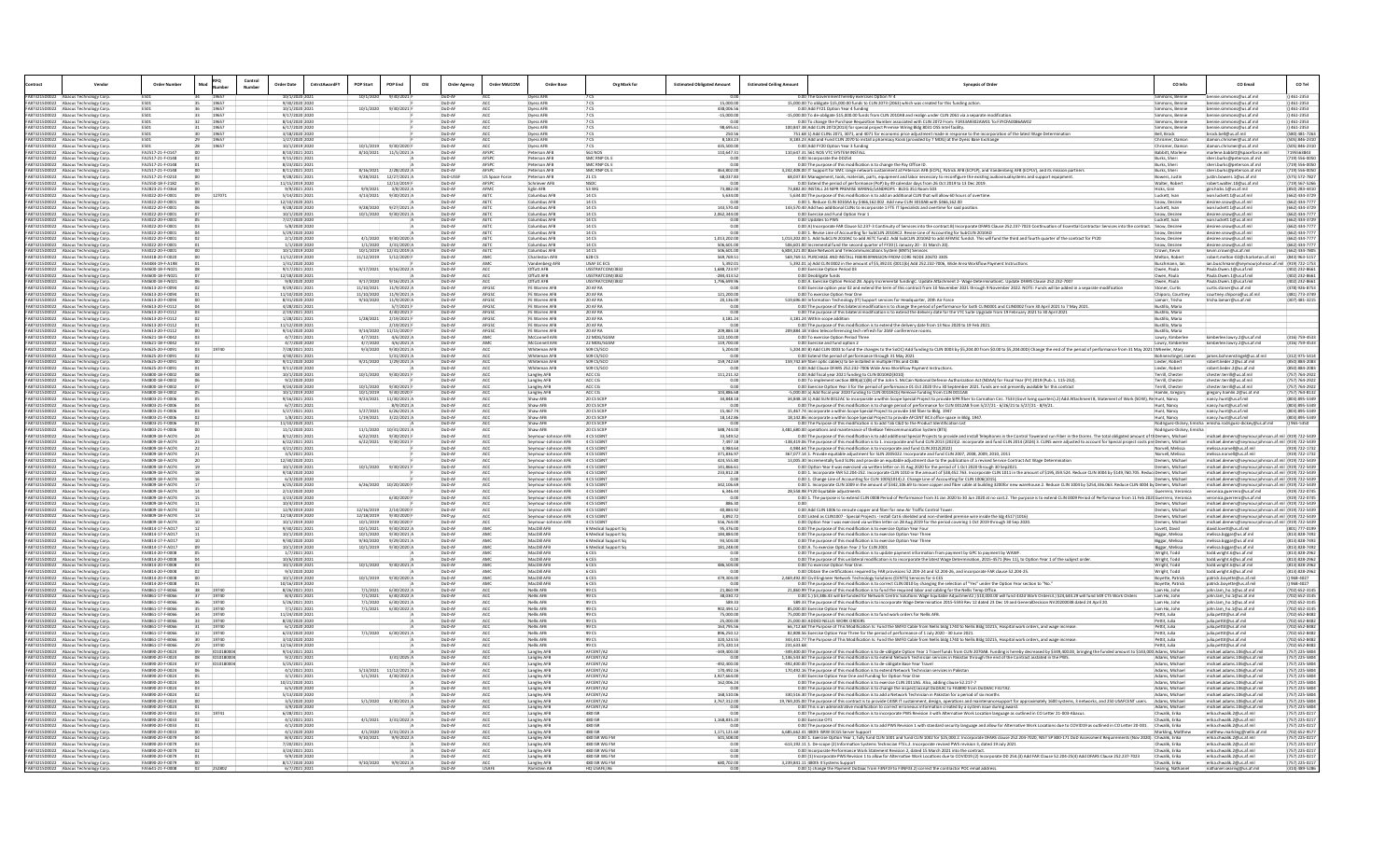|                                         |                                                                              | <b>Order Numbe</b>                   |                        | Control<br>Number | Order Date                        | <b>POP Start</b>        | POP End                               | OSI | <b>Order Agenc</b>  | Order MAJCOM       | Order Base                                 | Org Mark for                                 | <b>Estimated Obligated Amount</b> | <b>Estimated Ceiling Amoun</b> | <b>Synopsis of Orde</b>                                                                                                                                                                                                                                                                                                                                                                                                            | CO Info                             | CO Emai                                                                                                  | CO Tel                                      |
|-----------------------------------------|------------------------------------------------------------------------------|--------------------------------------|------------------------|-------------------|-----------------------------------|-------------------------|---------------------------------------|-----|---------------------|--------------------|--------------------------------------------|----------------------------------------------|-----------------------------------|--------------------------------|------------------------------------------------------------------------------------------------------------------------------------------------------------------------------------------------------------------------------------------------------------------------------------------------------------------------------------------------------------------------------------------------------------------------------------|-------------------------------------|----------------------------------------------------------------------------------------------------------|---------------------------------------------|
| FA873215D<br>FA873215D0022 Abacus Techn | ology Corp                                                                   |                                      | 19657                  |                   | 9/30/2020 2020                    |                         |                                       |     | DoD-AF              |                    | wess AFB                                   |                                              | 15,000.00                         |                                | 15,000.00 To obligate \$15,000.00 funds to CLIN 2073 (2063) which was created for this funding action                                                                                                                                                                                                                                                                                                                              | ons, Benn                           | ons@us.af.mil<br>ns@us.af.mil                                                                            | 1461-2353<br>1461-2353                      |
|                                         | FAB73215D0022 Abacus Technology Corp                                         | ESO1                                 | 19657                  |                   | 10/1/2020 2021                    |                         | $10/1/2020$ $9/30/2021$               |     | DoD-AF              | $\Lambda$ C        | Duess AFR                                  |                                              | 438,006.56                        |                                | 0.00 Add FY21 Option Year 4 funding                                                                                                                                                                                                                                                                                                                                                                                                | Simmons Rennie                      | hennie simmons@us af mil                                                                                 | 0.461-2353                                  |
|                                         | FA873215D0022 Abacus Technology Corp<br>FA873215D0022 Abacus Technology Corp | E501                                 | 19657<br>1965          |                   | 9/17/2020 2020<br>8/14/2020 202   |                         |                                       |     | OoD-AF<br>DoD-A     |                    | Dyess AFB<br>Dyess AFE                     |                                              | $-15,000.00$                      |                                | -15,000.00 To de-obligate \$15,000.00 funds from CLIN 2010AB and realign under CLIN 2061 via a separate modification<br>0.00 To change the Purchase Requisition Number associated with CLIN 2072 From: F1R33A9302AW01 To:F3YCFA0086AW0                                                                                                                                                                                             | Simmons, Bennie<br>Simmons, Benni   | bennie.simmons@us.af.mil<br>bennie.simmons@us.af.mi                                                      | 1461-2353<br>1461-2353                      |
|                                         | FA873215D0022 Abacus Technology Co                                           | F501                                 | 19657                  |                   | 6/17/2020 2020                    |                         |                                       |     | DoD-AF              |                    | Dyess AFB                                  |                                              | 98 695 61                         |                                | 100,847.38 Add CLIN 2072(2013) for special project Premise Wiring Bldg 8031 OSS Intel facility.<br>751.68 1) Add CLINs 2071, 3071, and 4071 for economic price adjustment made in response to the incorporation of the latest Wag                                                                                                                                                                                                  |                                     | bennie simmons@us.af.mil                                                                                 | 1461-2353                                   |
|                                         | FA873215D0022 Abacus Technology Corp<br>FAB73215D0022 Abacus Technology Corp | ESOT                                 | 1965<br>19657          |                   | 3/18/2020 2020<br>1/27/2020 2020  |                         |                                       |     | DoD-AF              | AC                 | Dyess AFB<br>Dyess AFB                     |                                              | 250.56<br>8.183.23                |                                | 8,183.23 Add and Fund CLIN 2070 to install a pharmacy Kiosk (provided by 7 MDG) at the Dyess Base Exchange                                                                                                                                                                                                                                                                                                                         | Bell, Brock<br>Chrismer, Damo       | brock.bell@us.af.mil<br>damon.chrismer@us.af.mil                                                         | 5801481-726<br>(505) 846-2310               |
|                                         | FA873215D0022 Abacus Technology Corp                                         | F501                                 | 19657                  |                   | 10/1/2019 2020                    |                         | 10/1/2019 9/30/2020                   |     | DoD-AF              | ACC                | Dyess AFB                                  |                                              | 435,500.00                        |                                | 0.00 Add FY20 Option Year 3 funding                                                                                                                                                                                                                                                                                                                                                                                                | Chrismer, Damo                      | damon.chrismer@us.af.mil                                                                                 | (505) 846-2310                              |
| FA873215D0022                           | FA873215D0022 Abacus Technology Corp<br>Abacus Technology Corp               | FA2517-21-F-014<br>FA2517-21-F-014   |                        |                   | 8/10/2021 2021<br>9/15/2021 202   | 8/10/2021               | 11/5/2021                             |     | DoD-AF<br>$h$ -0o   | AESE               | Peterson AF                                | 561 NO<br>SMC RNP O                          | 110,647.31                        |                                | 110,647.31 561 NOS VTC SYSTEM INSTALL<br>0.00 Incorporate the DD254                                                                                                                                                                                                                                                                                                                                                                | Babbitt, Marlene                    | marlene.babbitt@spaceforce.m                                                                             | 7195563843<br>719) 556-005                  |
|                                         | FA873215D0022 Abacus Technology Cor                                          | FA2517-21-F-0148                     |                        |                   | 8/23/2021 2021                    |                         |                                       |     | DoD-AF              | AFSPO              | Peterson AFB                               | SMC RNP OLI                                  | 000                               |                                | 0.00 The purpose of this modification is to change the Pay Office ID.                                                                                                                                                                                                                                                                                                                                                              | <b>Burks Sher</b>                   | sheri.burks@peterson.af.m<br>sheri.burks@peterson.af.mi                                                  | (719) 556-0050                              |
|                                         | FA873215D0022 Abacus Technology Corp<br>FA873215D0022 Abacus Technology C    | FA2517-21-F-0148<br>FA2517-21-F-021  |                        |                   | 8/11/2021 2021<br>9/28/2021 2021  | 8/16/2021               | 2/28/2022 A<br>12/27/2021A            |     | DoD-AF<br>DoD-LISSE | AFSPC<br>LIS Space | Peterson AFB<br>Peterson AF                | SMC RNP OL E<br>21C5                         | 463,802.00<br>68.037.83           | 68.037.83 Ma                   | 3,242,408.00 IT Support for SMC range network sustainment at Peterson AFB (ECPL), Patrick AFB (ECPLP), and Vandenberg AFB (ECPLV), and its mission partners                                                                                                                                                                                                                                                                        | Burks, Sheri                        | sheri.burks@peterson.af.mi<br>tin.bowers.1@us.af.mil                                                     | (719) 556-0050<br>575) 572-7827             |
|                                         | FA873215D0022 Abacus Technology Corp                                         | FA2550-18-F-2182                     |                        |                   | 11/15/2019 2020                   | 9/28/2021               | 12/13/2019 F                          |     | DoD-AF              | AFSPO              | Schriever AFB                              | <b>NSDC</b>                                  | 0.00                              |                                | terials, parts, equipment and labor nece<br>0.00 Extend the period of performance (PoP) by 49 calendar days from 26 Oct 2019 to 13 Dec 2019                                                                                                                                                                                                                                                                                        | Walter, Rober                       | robert.walter.10@us.af.mil                                                                               | (719) 567-5266                              |
|                                         | FA873215D0022 Abacus Technology Corp                                         | FA2823-21-F-036                      |                        |                   | 9/9/2021 2021                     | 9/9/2021                | 3/8/2022 A                            |     | DoD-AF              | <b>AFM</b>         | Eglin AFB                                  | 53 WG                                        | 3,882.00                          |                                | 3.882.00 INSTALL 24 NIPR PREMISE WIRING/LANDROPS - BLDG 351 Room 503                                                                                                                                                                                                                                                                                                                                                               | Hicks, Gini                         | gini.hicks.1@us.af.mil                                                                                   | (850) 283-4410                              |
| FA873215D0022                           | Abacus Tech<br>nology Corp<br>FA873215D0022 Abacus Technology Corp           | F43022-20-F-000<br>FA3022-20-F-0001  | 127071                 |                   | (14/2021 20)<br>12/10/2020 2021   | 4/13/2021               | 9/30/2021                             |     | $h$ -OnC<br>DoD-AF  | AFTI               | Columbus AFB                               | 14C                                          | 5,634.0<br>0.00                   |                                | 5,634.00 The purpose of this modification is to add an additional CLIN that will allow 60<br>0.00 1. Reduce CLIN 3010AA by \$466.162.002. Add new CLIN 3010AB with \$466.162.00                                                                                                                                                                                                                                                    | Snow, Desiree                       | n.luckett.1@us.af.m<br>desiree.snow@us.af.mi                                                             | 662) 434-372<br>(662) 434-777               |
|                                         | FA873215D0022 Abacus Technology Corp                                         | FA3022-20-F-0001                     |                        |                   | 9/28/2020 2020                    | 9/28/2020               | $9/27/2021$ A                         |     | DoD-AF              | AETC               | Columbus AFB                               | 14 CS                                        | 143,570.40                        |                                | 143,570.40 Add two additional CLINs to incorporate 1 FTE IT Specialists and overtime for said position                                                                                                                                                                                                                                                                                                                             | Luckett, Ivan                       | ivan.luckett.1@us.af.mi                                                                                  | (662) 434-3729                              |
|                                         | FAB73215D0022 Abacus Technology C<br>FA873215D0022 Abacus Technology Corp    | FA3022-20-F-000<br>FA3022-20-F-0001  |                        |                   | 10/1/2020 2021<br>7/27/2020 2020  | 10/1/2020               | $9/30/2021$ A                         |     | DoD-AF<br>DoD-AF    | <b>AFT</b><br>AFTI | Columbus AFR<br>Columbus AFB               | 14C<br>14.05                                 | 2.062.344.00<br>0.00              |                                | 0.00 Exercise and Fund Option Year 1<br>0.00 Updates to PWS                                                                                                                                                                                                                                                                                                                                                                        | Snow Desire<br>Luckett, Ivan        | desiree snow@us af m<br>ivan.luckett.1@us.af.mi                                                          | 6621434-7777<br>(662) 434-3729              |
|                                         | FA873215D0022 Abacus Technology Corp                                         | FA3022-20-F-000                      |                        |                   | 5/8/2020 2020                     |                         |                                       |     | DoD-A               |                    | Columbus AFB                               | 14 C                                         |                                   |                                | 0.00 A) Incorporate FAR Clause 52.237-3 Continuity of Services into the contract.B) Incorporate DFARS Clause 252.237-7023 Continuation of Essential Contractor Services into the contract.                                                                                                                                                                                                                                         | Snow, Desiree                       | desiree.snow@us.af.m                                                                                     | (662) 434-777                               |
|                                         | FA873215D0022 Abacus Technology Corp<br>FA873215D0022 Abacus Technology Corp | FA3022-20-F-000<br>FA3022-20-F-0001  |                        |                   | (29/2020 2021<br>2/1/2020 2020    | 4/1/2020                | 9/30/2020 A                           |     | $DoD-A$<br>DoD-AF   | AFTI               | Columbus AFE<br>Columbus AFB               | 14.05                                        | 1.013.202.00                      |                                | 0.00 1. Revise Line of Accounting for SubCLIN 2010AC2. Revise Line of Accounting for SubCLIN 2010AD<br>1,013,202.00 1. Add SubCLIN 2010AC to add AETC fund2. Add SubCLIN 2010AD to add AFIMSC funds3. This will fund the third and fourth quarter of the contract for FY20                                                                                                                                                         | Snow, Desiree                       | desiree.snow@us.af.m<br>desiree.snow@us.af.mi                                                            | 662) 434-77<br>(662) 434-777                |
|                                         | FA873215D0022 Abacus Technology Corp                                         | FA3022-20-F-0001                     |                        |                   | 1/1/2020 2020                     | 1/1/2020                | 3/31/2020 A                           |     | DoD-AF              | <b>AET</b>         | Columbus AFB                               | 14 CS                                        | 506,601.00                        |                                | 506,601.00 Incremental fund the second quarter of FY20 (1 January 20 - 31 March 20).                                                                                                                                                                                                                                                                                                                                               | Snow, Desiree                       | desiree.snow@us.af.mi                                                                                    | (662) 434-777                               |
|                                         | FAB73215D0022 Abacus Technology Cor                                          | FA3022-20-F-0001                     |                        |                   | 10/1/2019 2020                    | 10/1/2019               | 12/31/2019 4                          |     | DoD-AF<br>DoD-AF    | AFTI               | Columbus AFR                               | 14C5<br>628 CS                               | 506,601.00                        |                                | 6.804.321.00 Base Network and Telecommunications System (BNTS) Services<br>569,769.51 PURCHASE AND INSTALL FIBEREXPANSION FROM CORE NODE 206TO 3305                                                                                                                                                                                                                                                                                | Crown Kevin                         | kevin.crown@us.af.mil                                                                                    | (662) 434-7805                              |
|                                         | FA873215D0022 Abacus Technology Corp<br>FA873215D0022 Abacus Technology Corp | FA4418-20-F-0020<br>FA4484-19-F-A198 |                        |                   | 11/12/2019 2020<br>1/31/2020 2021 | 11/12/2019              | 5/12/2020 F                           |     | DoD-A               |                    | Charleston AFB<br>Vandenberg AFB           | <b>USAF ECECS</b>                            | 569,769.51<br>5,392.01            |                                | 5,392.01 a) Add CLIN 0002 in the amount of \$5,392.01 (0011)b) Add 252.232-7006, Wide Area Workflow Payment Instructions                                                                                                                                                                                                                                                                                                           | Melton, Rober<br>Buschmann, Ia      | robert.melton-02@charlseton.af.mil<br>ian.buschmann@seymo                                                | (843) 963-5157<br>nson.af.mil (919) 722-175 |
|                                         | FA873215D0022 Abacus Technology Corp                                         | FA4600-18-F-N021                     |                        |                   | 9/17/2021 2021                    | 9/17/2021               | 9/16/2022                             |     | DoD-AF              |                    | Offutt AFB                                 | LISSTRATCOM/J83                              | 1 688 723 97                      |                                | 0.00 Exercise Option Period 03                                                                                                                                                                                                                                                                                                                                                                                                     | Owen, Paula                         | Paula.Owen.1@us.af.mil                                                                                   | (402) 232-866                               |
|                                         | FA873215D0022 Abacus Technology Corr<br>FA873215D0022 Abacus Technology Corp | FA4600-18-F-N021<br>A4600-18-F-N02   |                        |                   | 12/18/2020 2021<br>9/8/2020 2021  | 9/17/2020               | 9/16/2021                             |     | DoD-AF<br>DoD-A     |                    | Offutt AFB<br>Offutt AFB                   | USSTRATCOM/J83<br>USSTRATCOM/J83             | $-28441352$<br>1,796,699.96       |                                | 0.00 Deobligate funds<br>0.00 A. Exercise Option Period 2B. Apply Incremental fundingC. Update Attachment 2- Wage DeterminationC. Update DFARS Clause 252.232-7007                                                                                                                                                                                                                                                                 | Owen Paula<br>Owen, Paula           | Paula.Owen.1@us.af.mi<br>Paula.Owen.1@us.af.m                                                            | (402) 232-8661<br>(402) 232-866             |
|                                         | FA873215D0022 Abacus Technology Cor                                          | FA4613-20-F-0094                     |                        |                   | 9/29/2021 2021                    | 11/10/2021              | 11/9/2022 A                           |     | DoD-AF              | AFGSO              | FE Warren AFE                              | 20 AF RA                                     | 0.01                              |                                | 0.00 Exercise option year 02 and extend the term of this contract from 10 November 2021 through 9 November 2022. NOTE: Funds will be added in a separate modification                                                                                                                                                                                                                                                              | Stoner, Curtis                      | curtis.stoner@us.af.mi                                                                                   | (478) 926-8753                              |
|                                         | FA873215D0022 Abacus Technology Corp<br>FA873215D0022 Abacus Technology Corp | FA4613-20-F-009<br>FA4613-20-F-009   |                        |                   | 11/10/2020 2021<br>8/31/2020 2020 | 11/10/2020<br>9/10/2020 | 11/9/2021 A<br>11/9/2020 A            |     | OoD-A<br>DoD-AF     | AFGSO<br>AFGSO     | FE Warren AFE<br>FE Warren AFE             | 20 AF RA<br>20 AF RA                         | 121,200.00<br>20,136.00           |                                | 0.00 To exercise Option Year One<br>519,696.00 Information Technology (IT) Support services for Headquarter, 20th Air Force                                                                                                                                                                                                                                                                                                        | Chiporo, Courtn<br>Lamarr, Trisha   | courtney.chiporo@us.af.mi<br>trisha.lamarr@us.af.mi                                                      | (481) 773-3749<br>$(307)$ 481-3215          |
|                                         | FAB73215D0022 Abacus Technology Cor                                          | FA4613-20-F-0112                     |                        |                   | 4/28/2021 2021                    |                         | 5/7/2021                              |     | DoD-AF              | AFGSC              | FF Warren AFF                              | 20 AF RA                                     | 0.00                              |                                | 0.00 The purpose of this bilateral modification is to change the period of performance for both CLIN0001 and CLIN0002 from 30 April 2021 to 7 May 2021.                                                                                                                                                                                                                                                                            | <b>Bustillo Maria</b>               |                                                                                                          |                                             |
|                                         | FA873215D0022 Abacus Technology Corp<br>FA873215D0022 Abacus Technology Corp | FA4613-20-F-011<br>FA4613-20-F-011   |                        |                   | 2/19/2021 2021<br>1/28/2021 202:  | 1/28/2021               | 1/30/2021<br>2/19/2021                |     | OoD-A<br>DoD-AF     | AFGSO<br>AFGSO     | FE Warren AFE<br>FE Warren AFI             | 20 AF RA<br><b>20 AF RA</b>                  | 3,181.24                          |                                | 0.00 The purpose of this bilateral modification is to extend the delivery date for the VTC Suite Upgrade from 19 February 2021 to 30 April 2021<br>3,181.24 Within scope addition                                                                                                                                                                                                                                                  | Bustillo, Maria<br>Bustillo, Maria  |                                                                                                          |                                             |
|                                         | FA873215D0022 Abacus Technology Co                                           | FA4613-20-F-011                      |                        |                   | 1/12/2020 2021                    |                         | 119/2021                              |     | DoD-AF              | AFGSC              | FE Warren AFE                              | 20 AF RA                                     |                                   |                                | 0.00 The purpose of this modification is to extend the delivery date from 13 Nov 2020 to 19 Feb 2021.                                                                                                                                                                                                                                                                                                                              | Bustillo, Maria                     |                                                                                                          |                                             |
|                                         | FA873215D0022 Abacus Technology Corp<br>FAB73215D0022 Abacus Technology Corp | FA4613-20-F-011<br>FA4621-18-F-0042  |                        |                   | 9/14/2020 2020<br>4/7/2021 2021   | 9/14/2020<br>4/7/2021   | 11/15/2020<br>$4/6/2022$ A            |     | DoD-AF<br>DoD-AF    | AFGSC              | FE Warren AFE<br>McConnell AFE             | 20 AF RA<br>22 MDG/SGSI                      | 209.884.18<br>122,100.00          |                                | 209,884.18 Video teleconferencing tech refresh for 20AF conferernce rooms.<br>0.00 To exercise Option Period Three                                                                                                                                                                                                                                                                                                                 | Bustillo, Maria                     | kimberlee.lowry.2@us.af.mi                                                                               | (216) 759-4522                              |
|                                         | FA873215D0022 Abacus Technology Cor                                          | FA4621-18-F-0042                     |                        |                   | 4/7/2020 2020                     | 4/7/2020                | $4/6/2021$ A                          |     | DoD-AF              |                    | McConnell AFE                              | 22 MDG/SGSM                                  | 119,700.00                        |                                | 0.00 Exercise and fund option 2                                                                                                                                                                                                                                                                                                                                                                                                    | Lowry, Kimberle<br>Lowry, Kimberlee | kimberlee.lowry.2@us.af.mil                                                                              | (316) 759-4533                              |
|                                         | FA873215D0022 Abacus Technology Corp                                         | FA4625-20-F-009                      | 19740                  |                   | 7/28/2021 2021                    | 9/3/2020                | $9/30/2021$ A                         |     | OoD-A               |                    | Whiteman AFE                               | 509 CS/SCO                                   | 5,204.00                          |                                | 5,204.00 B) Add CLIN 0003 to fund the changes to the SoOC) Add funding to CLIN 0003 by \$5,204.00 from \$0.00 to \$5,204.00D) Change the end of the period of performance from 31 May 2021 (Wheeler, Mary                                                                                                                                                                                                                          |                                     |                                                                                                          |                                             |
|                                         | FA873215D0022 Abacus Technology Corp<br>FAB73215D0022 Abacus Technology Cor  | FA4625-20-F-009<br>FA4625-20-F-009   |                        |                   | 4/30/2021 202:<br>9/11/2020 2020  | 9/21/2020               | 5/31/2021<br>1/29/2021 A              |     | DoD-AF<br>DoD-AF    |                    | Whiteman AFI<br>Whiteman AFP               | 509 CS/SC<br>509 05/500                      | 159,742.69                        |                                | 0.00 Extend the period of performance through 31 May 202<br>159.742.69 fiber optic cable(s) to be installed in multiple ITBs and CEB                                                                                                                                                                                                                                                                                               | Bohnenstingel, Jame<br>Lieder Rober | james.bohnenstingel@us.af.mil<br>robert lieder 2@us af mil                                               | (312) 975-5414<br>(850) 884-2083            |
|                                         | FA873215D0022 Abacus Technology Corp                                         | A4625-20-F-009                       |                        |                   | 9/11/2020 2020                    |                         |                                       |     | DoD-A               |                    | Whiteman AFI                               | 509 CS/SCO                                   |                                   |                                | 0.00 Add Clause DFARS 252.232-7006 Wide Area WorkFlow Payment Instructions                                                                                                                                                                                                                                                                                                                                                         | Lieder, Rober                       | robert.lieder.2@us.af.m                                                                                  | (850) 884-2083                              |
|                                         | FAB73215D0022 Abacus Technology Cor<br>FA873215D0022 Abacus Technology Cor   | FA4800-18-F-0002<br>FA4800-18-F-0002 |                        |                   | 10/1/2020 2021<br>9/2/2020 2020   | 10/1/2020               | 9/30/2021                             |     | DoD-AF<br>DoD-AF    |                    | Langley AFB<br>Langley AFB                 | ACC CG<br>ACC CG                             | 111,211.32<br>0.00                |                                | 0.00 Add fiscal year 2021 funding to CLIN 0010AD(3010)<br>0.00 To implement section 889(a)(1)(B) of the John S. McCain National Defense Authorization Act (NDAA) for Fiscal Year (FY) 2019 (Pub. L. 115-232).                                                                                                                                                                                                                      | Terrill, Cheste<br>Terrill, Chester | chester.terrill@us.af.mi<br>chester.terrill@us.af.mi                                                     | (757) 764-2922<br>(757) 764-2922            |
|                                         | FA873215D0022 Abacus Technology Corp                                         | FA4800-18-F-0002                     |                        |                   | 9/24/2020 2020                    | 10/1/2020               | 9/30/2021                             |     | DoD-A               |                    | Langley AFB                                | ACC CG                                       |                                   |                                | 0.00 Exercise Option Year 3 for the period of performance 01 Oct 2020 thru 30 September 2021. funds are not presently available for this contract                                                                                                                                                                                                                                                                                  | Terrill, Chester                    | chester.terrill@us.af.m                                                                                  | 757) 764-292                                |
| FA873215D0022                           | Abacus Technology Corp<br>FA873215D0022 Abacus Technology Cor                | FA4800-18-F-000<br>FA4803-21-F-0006  |                        |                   | 10/1/2019 202<br>9/16/2021 2021   | 0/1/2019                | 9/30/2020<br>11/30/2021 A             |     | DoD-AF<br>DoD-AF    |                    | Langley AFB<br>Shaw AFB                    | ACC CO<br>20 CS SCX                          | 03.886.68<br>34,848.18            |                                | 5,000.00 a) Add fiscal year 2020 funding to CLIN 0010ACb) Remove funding from CLIN 0011AB                                                                                                                                                                                                                                                                                                                                          | Hamlin, Gregory                     | gregory.hamlin.2@us.af.<br>ancy.hunt@us.af.mil                                                           | (757) 764-813<br>(803) 895-5349             |
| A873215D0022                            | Abacus Technology Corp                                                       | A4803-21-F-000                       |                        |                   | 5/7/2021 2021                     | 9/23/2021               | 8/9/2021 A                            |     |                     |                    | Shaw AFB                                   | 20 CS SCX                                    |                                   |                                | 34,848.18 1) Add SLIN 0012AC to incorporate a within Scope Special Project to provide SIPR fiber to Carnation Circ. 7533 (Govt living quarters).2) Add Attachment 8, Statement of Work (SOW), Re Hunt, Nancy<br>0.00 The purpose of this modification is to change period of performance for CLIN 0012AB from 5/27/21 - 6/26/21 to 5/27/21 - 8/9/21.                                                                               | Hunt, Nancy                         | nancy.hunt@us.af.m                                                                                       | 803) 895-5349                               |
|                                         | FAB73215D0022 Abacus Technology Co<br>FA873215D0022 Abacus Technology Corp   | FA4803-21-F-0006<br>FA4803-21-F-0006 |                        |                   | 5/27/2021 2021<br>1/8/2021 2021   | 5/27/2021<br>1/19/2021  | 6/26/2021 A<br>$3/22/2021$ A          |     | DoD-AF<br>DoD-AF    | AC                 | Shaw AFB<br>Shaw AFB                       | 20 CS SCXP<br>20 CS SCXP                     | 15 467 74<br>18,142.86            |                                | 15,467.74 incorporate a within Scope Special Project to provide 144 fiber to Bldg. 1947<br>18.142.86 incorporate a within Scope Special Project to provide AFCENT BC3 office space in Bldg. 1947                                                                                                                                                                                                                                   | Hunt, Nanc<br>Hunt, Nancy           | nancy.hunt@us.af.mil<br>nancy.hunt@us.af.mil                                                             | (803) 895-5349<br>(803) 895-5349            |
|                                         | FA873215D0022 Abacus Technology Corp                                         | A4803-21-F-0006                      |                        |                   | 11/10/2020 2021                   |                         |                                       |     | DoD-A               | AC <sub>1</sub>    | Shaw AFB                                   | 20 CS SCX                                    |                                   |                                | 0.00 The Purpose of this modification is to add Tab C&D to the Product Identification List                                                                                                                                                                                                                                                                                                                                         |                                     | Rodriguez-Dickey, Emisha emisha.rodriguez-dickey@us.af.mil                                               | () 965-5350                                 |
|                                         | FA873215D0022 Abacus Technology Corp                                         | FA4803-21-F-000                      |                        |                   | 11/1/2020 202:                    | 11/1/2020               | 10/31/2021                            |     | DoD-A               |                    | Shaw AFB                                   | 20 CS SCXF                                   | 588,744.00                        |                                | 3,481,680.00 operations and maintenance of theBase Telecommunication System (BTS)                                                                                                                                                                                                                                                                                                                                                  | Rodriguez-Dickey, Emisha            |                                                                                                          |                                             |
| FA873215D0022                           | FA873215D0022 Abacus Technology Cor<br>Abacus Technology Corp                | FA4809-18-F-A074<br>A4809-18-F-A07   |                        |                   | 8/12/2021 2021<br>6/22/2021 202:  | 6/22/2021<br>6/22/2021  | 9/30/2021<br>9/30/2021                |     | DoD-AF              |                    | Seymour-Johnson AFI<br>Seymour-Johnson AF  | 4 CS SCBNT<br>4 CS SCBM                      | 33,549.52                         |                                | 0.00 The purpose of this modification is to add additional Special Projects to provide and install Telephones in the Control Towerand run Fiber in the Dorms. The total obligated amount of thDemers. Michael<br>138,419.06 The purpose of this modification is to 1. incorporate and fund CLIN 2013 (2023)2. incorporate and fund CLIN 2014 (2024) 3. CLINS were adjusted to account for Special project costs pre Demers, Michae |                                     | michael.demers@seymouriohnson.af.mil (919) 722-543<br>michael.demers@seymourjohnson.af.mil (919) 722-543 |                                             |
|                                         | FAB73215D0022 Abacus Technology Corp                                         | FA4809-18-F-A074                     |                        |                   | 4/21/2021 2021                    |                         |                                       |     | DoD-AF              | $\overline{M}$     | Seymour-Johnson AFB                        | 4 CS SCRNT                                   | 4984.64                           |                                | 4,984.64 The purpose of this modification is to incorporate and fund CLIN 2012(2022)                                                                                                                                                                                                                                                                                                                                               | Norvell Melissa                     | melissa norvell@us af mil                                                                                | (919) 722-1732                              |
|                                         | FA873215D0022 Abacus Technology Corp<br>FA873215D0022 Abacus Technology Corp | FA4809-18-F-A074<br>FA4809-18-F-A07  |                        |                   | 3/5/2021 2021<br>12/30/2020 2021  |                         |                                       |     | DoD-AF<br>OoD-A     |                    | Seymour-Johnson AFB<br>eymour-Johnson AFE  | 4 CS SCBNT<br>4 CS SCBN                      | 371,836.97<br>424,555.80          |                                | 367,077.14 1. Provide equitable adjustment for SLIN 2005022. Incorporate and fund CLIN 2007, 2008, 2009, 2010, 2011<br>13,005.30 Incrementally fund SLINs and provide an equitable adjustment due to the publication of a revised Service Contract Act Wage Determination                                                                                                                                                          | Norvell, Melissa<br>Demers, Micha   | melissa.norvell@us.af.mil<br>michael.demers@seymourjohnson.af.mil (919) 722-543                          | (919) 722-1732                              |
|                                         | FA873215D0022 Abacus Technology Corp                                         | FA4809-18-F-A074                     |                        |                   | 10/1/2020 2021                    |                         | 10/1/2020 9/30/2021                   |     | OoD-A               |                    | Seymour-Johnson AFE                        | 4 CS SCBN                                    | 41,866.61                         |                                | 0.00 Option Year II was exercised via written letter on 31 Aug 2020 for the period of 1 Oct 2020 through 30 Sep2021.                                                                                                                                                                                                                                                                                                               | Demers, Michae                      | michael.demers@seymourjohnson.af.mil (919) 722-543                                                       |                                             |
|                                         | FA873215D0022 Abacus Technology Corp<br>FA873215D0022 Abacus Technology Corp | FA4809-18-F-A074<br>FA4809-18-F-A074 |                        |                   | 9/18/2020 2020<br>6/3/2020 2020   |                         |                                       |     | DoD-AF<br>DoD-A     |                    | Seymour-Johnson AFB                        | 4 CS SCBNT<br>4 CS SCBN                      | 233,812.28<br>0.00                |                                | 0.00 1. Incorporate FAR 52.204-252. Incorporate CLIN 1010 in the amount of \$38,452.763. Incorporate CLIN 1011 in the amount of \$195,359.524. Reduce CLIN 3004 by \$149,760.705. ReduceDemers, Michae<br>0.00 1. Change Line of Accounting for CLIN 1005(1014).2. Change Line of Accounting for CLIN 1006(1015).                                                                                                                  | Demers, Michae                      | michael.demers@seymouriohnson.af.mil (919) 722-543<br>michael.demers@seymourjohnson.af.mil (919) 722-543 |                                             |
|                                         | FAB73215D0022 Abacus Technology Cor                                          | FA4809-18-F-A074                     |                        |                   | 6/25/2020 2020                    |                         | $6/26/2020$ 10/20/2020                |     | DoD-AF              |                    | Seymour-Johnson AFB<br>Seymour-Johnson AFB | 4 CS SCRNT                                   | 342 106.69                        |                                | 0.00 1. Incorporate CLIN 1009 in the amount of \$342,106.69 to move copper and fiber cable at building 3200for new warehouse.2. Reduce CLIN 1004 by \$254,336.063. Reduce CLIN 4004 by Demers, Michael                                                                                                                                                                                                                             |                                     | michael demers@seymouriohnson af mil (919) 722-5439                                                      |                                             |
|                                         | FA873215D0022 Abacus Technology Corp<br>FA873215D0022 Abacus Technology Corp | FA4809-18-F-A074<br>FA4809-18-F-A074 |                        |                   | 2/13/2020 2020<br>3/23/2020 2020  |                         | 6/30/2020                             |     | DoD-AF<br>DoD-A     |                    | Seymour-Johnson AFB<br>eymour-Johnson AF   | 4 CS SCBN<br>4 CS SCBN                       | 6,346.44                          |                                | 28,558.98 FY20 Equitable adjustments<br>0.00 1. The purpose is to extend CLIN 0008 Period of Performance from 31 Jan 2020 to 30 Jun 2020 at no cost.2. The purpose is to extend CLIN 0009 Period of Performance from 11 Feb 202CGuerrero, Veronica                                                                                                                                                                                 | Guerrero, Veronic                   | veronica.guerrero@us.af.mil<br>veronica.guerrero@us.af.mi                                                | (919) 722-074<br>919) 722-074               |
|                                         | FA873215D0022 Abacus Technology Corp                                         | FA4809-18-F-A074                     |                        |                   | 10/4/2019 2020                    |                         |                                       |     | DoD-AF              |                    | Seymour-Johnson AFE                        | 4 CS SCRNT                                   | 886.31                            |                                |                                                                                                                                                                                                                                                                                                                                                                                                                                    | Demers, Michae                      | michael.demers@seymourjoh                                                                                | n af mil (919) 722-543                      |
|                                         | FA873215D0022 Abacus Technology Corp                                         | FA4809-18-F-A074                     |                        |                   | 12/9/2019 2020                    | 12/16/2019              | 2/14/2020                             |     | DoD-A               |                    | Seymour-Johnson AFB                        | 4 CS SCBN                                    | 40.884.92                         |                                | 0.00 Add CLIN 1006 to reroute copper and fiber for new Air Traffic Control Tower                                                                                                                                                                                                                                                                                                                                                   | Demers, Michae                      | michael.demers@seymouriohnson.af.mil (919) 722-543                                                       |                                             |
|                                         | FA873215D0022 Abacus Technology Corp<br>FA873215D0022 Abacus Technology Cor  | FA4809-18-F-A07<br>FA4809-18-F-A074  |                        |                   | 12/18/2019 2020<br>10/1/2019 2020 | 12/18/2019<br>10/1/2019 | 9/30/2020<br>9/30/2020 F              |     | OoD-A<br>DoD-AF     |                    | Seymour-Johnson AFE<br>eymour-Johnson AFE  | 4 CS SCBN<br>4 CS SCBNT                      | 3,892.72<br>556,764.00            |                                | 0.00 Listed as CLIN1007 - Special Projects - Install Cat 6 shielded and non-shielded premise wire inside the Idg 4517 (101<br>0.00 Option Year I was exercised via written letter on 28 Aug 2019 for the period covering 1 Oct 2019 through 30 Sep 2020                                                                                                                                                                            | Demers, Michae<br>Demers, Michae    | michael.demers@seymourjohnson.af.mil (919) 722-543<br>michael.demers@sevm                                | n.af.mil (919) 722-5439                     |
|                                         | FA873215D0022 Abacus Technology Corp                                         | FA4814-17-F-AD1                      |                        |                   | 9/30/2021 2021                    | 10/1/2021               | 9/30/2022 A                           |     | DoD-AF              |                    | MacDill AFB                                | <b>6 Medical Support St</b>                  | 95,376.00                         |                                | 0.00 The purpose of this modification is to exercise Option Year Four                                                                                                                                                                                                                                                                                                                                                              | Lovett, David                       | david.lovett@us.af.mil                                                                                   | (801) 777-019                               |
|                                         | FA873215D0022 Abacus Technology Corp<br>FA873215D0022 Abacus Technology Corp | FA4814-17-F-AD17<br>FA4814-17-F-AD17 |                        |                   | 10/1/2020 2021<br>9/30/2020 2020  | 10/1/2020<br>9/30/2020  | $9/30/2021$ A<br>$9/29/2021$ $\Delta$ |     | DoD-AF<br>DoD-AF    |                    | MacDill AFB<br>MarDill AFR                 | 6 Medical Support So<br>6 Medical Support St | 184,884.00<br>93.504.00           |                                | 0.00 The purpose of this modification is to exercise Option Year Three<br>0.00 The purpose of this modification is to exercise Option Year Three                                                                                                                                                                                                                                                                                   | Biggar, Melissa<br>Biggar, Melissa  | melissa.biggar@us.af.mi<br>melissa.biggar@us.af.mil                                                      | (813) 828-749<br>(813) 828-749              |
|                                         | FA873215D0022 Abacus Technology Corp                                         | FA4814-17-F-AD17                     |                        |                   | 10/1/2019 2020                    | 10/1/2019               | 9/30/2020 A                           |     | DoD-AF              |                    | MacDill AFB                                | 6 Medical Support So                         | 181,248.00                        |                                | 0.00 A. To exercise Option Year 2 for CLIN 2001                                                                                                                                                                                                                                                                                                                                                                                    | Biggar, Melissa                     | melissa.biggar@us.af.mi                                                                                  | (813) 828-749                               |
| FA873215D0022                           | Abacus Technology Corp<br>FA873215D0022 Abacus Technology Corp               | FA4814-20-F-000<br>FA4814-20-F-0008  |                        |                   | 1/7/2021 202:<br>10/6/2020 2021   |                         |                                       |     | DoD-AF              |                    | MacDill AF<br>MacDill AFB                  | 6 CES<br>6 CES                               | 0.01                              |                                | 0.00 The purpose of this modification is to update payment information from payment by GPC to payment by WAWF<br>0.00 The purpose of this unilateral modification is to incorporate the latest Wage Determination, 2015-4571 (Rev 11), to Option Year 1 of the subject order                                                                                                                                                       | Wright, Todd<br>Wright, Todd        | todd.wright.6@us.af.m<br>todd.wright.6@us.af.mi                                                          | (813) 828-296<br>(813) 828-2962             |
|                                         | FA873215D0022 Abacus Technology Corp                                         | FA4814-20-F-000                      |                        |                   | 10/1/2020 2021                    |                         | 10/1/2020 9/30/2021 A                 |     | DoD-AF              |                    | MacDill AFB                                | 6 CES                                        | 486,504.00                        |                                | 0.00 To exercise Option Year One.                                                                                                                                                                                                                                                                                                                                                                                                  | Wright, Todd                        | todd.wright.6@us.af.mi                                                                                   | (813) 828-2962                              |
|                                         | FAB73215D0022 Abacus Technology Corp<br>FA873215D0022 Abacus Technology Corp | EA4914-20-F-0008<br>FA4814-20-F-0008 |                        |                   | 9/3/2020 2020<br>10/1/2019 2020   |                         | 10/1/2019 9/30/2020 A                 |     | DoD-AF<br>DoD-AF    |                    | MacDill ACB<br>MacDill AFB                 | 600                                          | 000<br>479,304.00                 |                                | 0.00 Obtain the certifications required by FAR provisions 52.204-24 and 52.204-26, and incorporate FAR clause 52.204-25.                                                                                                                                                                                                                                                                                                           | Wright, Todd<br>Boyette, Patrick    | todd.wright.6@us.af.mi                                                                                   | (813) 828-2962<br>(1968-4027)               |
|                                         | FA873215D0022 Abacus Technology Corp                                         | FA4814-20-F-0008                     |                        |                   | 10/16/2019 2020                   |                         |                                       |     | DoD-A               |                    | MacDill AFB                                | 6 CES<br>6 CES                               |                                   |                                | 2,469,492.00 Civil Engineer Network Technology Solutions (CENTS) Services for 6 CES<br>0.00 The purpose of this modification is to correct CLIN 0010 by changing the selection of "Yes" under the Option Year section to "No.                                                                                                                                                                                                      | Boyette, Patrick                    | patrick.boyette@us.af.mi<br>patrick.boyette@us.af.mi                                                     | () 968-4027                                 |
| FA873215D0022                           | Abacus Technology Corp                                                       | FA4861-17-F-B06                      | 19740<br>19740         |                   | 8/26/2021 202:                    | 7/1/2021                | 6/30/2022                             |     | DoD-AF              |                    | Nellis AFB                                 |                                              | 21,860.9                          |                                | 21,860.99 The purpose of this modification is to fund the required labor and cabling for the Nellis Temp Office<br>0.00 1.1 S3.386.43 will be funded for Network Centric Solutions Wage Equitable Adjustment2.1 \$10.000.00 will fund 432d Work Orders3.1 \$24.644.29 will fund 549 CTS Work Orders                                                                                                                                | Lam Ho, John                        | john.lam ho.1@us.af.n                                                                                    | 702) 652-314                                |
| FA873215D0022                           | FA873215D0022 Abacus Technology Corp<br>Abacus Technology Corp               | FA4861-17-F-B066<br>A4861-17-F-B06   | 1974                   |                   | 8/4/2021 2021<br>5/26/2021 2021   | 7/1/2021<br>7/1/2020    | 6/30/2022 A<br>6/30/2021              |     | DoD-AF<br>OoD-AF    |                    | Nellis AFB<br>Nellis AFB                   | 99.09                                        | 38.030.72                         |                                | 589.33 The purpose of this modification is to incorporate Wage Determination 2015-5593 Rev 12 dated 23 Dec 19 and GeneralDecision NV20200038 dated 24 April 20.                                                                                                                                                                                                                                                                    | Lam Ho, John<br>Lam Ho, John        | iohn.lam ho.1@us.af.mi<br>john.lam_ho.1@us.af.n                                                          | (702) 652-3145<br>(702) 652-314             |
|                                         | FA873215D0022 Abacus Technology Co                                           | FA4861-17-F-B066                     | 19740                  |                   | 7/1/2021 2021                     | 7/1/2021                | 6/30/2022 A                           |     | DoD-AF              |                    | Nellis AFB                                 | 99 0                                         | 902 494 12                        |                                | 85,000.00 Exercise Option Year Four                                                                                                                                                                                                                                                                                                                                                                                                | Lam Ho, John                        | john.lam_ho.1@us.af.mi                                                                                   | (702) 652-3145                              |
|                                         | FA873215D0022 Abacus Technology Corp<br>FA873215D0022 Abacus Technology Corp | FA4861-17-F-B066<br>FA4861-17-F-B066 | 19740<br>19740         |                   | 11/24/2020 2021<br>8/20/2020 2020 |                         |                                       |     | DoD-AF<br>OoD-A     |                    | Nellis AFB<br>Nellis AFB                   | 99 C<br>99 C                                 | 75,000.00<br>25,000.00            |                                | 75,000,00 The purpose of this modification is to fund work orders for Nellis AFB.<br>25,000.00 ADDED NELLIS WORK ORDERS                                                                                                                                                                                                                                                                                                            | Pettit, Julia<br>Pettit, Julia      | iulia.pettit@us.af.mil<br>julia.pettit@us.af.mi                                                          | (702) 652-8482<br>(702) 652-8482            |
|                                         | FA873215D0022 Abacus Technology Corp                                         | FA4861-17-F-B06                      | 1974                   |                   | 6/1/2020 202                      |                         |                                       |     | OoD-A               |                    | Nellis AFB                                 |                                              | 163,795.56                        |                                | i6,712.68 The Purpose of This Modification Is: Fund the SMFO Cable from Nellis bldg 1740 to Nellis Bldg 10215, Hospital work orders, and wage increase.                                                                                                                                                                                                                                                                            | Pettit, Julia                       | julia.pettit@us.af.m                                                                                     | 702) 652-848                                |
| FA873215D0022                           | FA873215D0022 Abacus Technology Corp<br>Abacus Technology Corp               | FA4861-17-F-B066<br>A4861-17-F-B06   | 19740                  |                   | 6/23/2020 2020<br>3/10/2020 202   |                         | 7/1/2020 6/30/2021 A                  |     | DoD-AF<br>DoD-AF    |                    | Nellis AFB<br>Nellis AFB                   | 99 C                                         | 896.250.12<br>120,524.5           |                                | 82.808.56 Exercise Option Year Three for the period of performance of 1 July 2020 - 30 June 2021.                                                                                                                                                                                                                                                                                                                                  | Pettit, Julia<br>Pettit, Julia      | julia.pettit@us.af.mil<br>julia.pettit@us.af.m                                                           | (702) 652-8482<br>702) 652-848              |
|                                         | FAB73215D0022 Abacus Technology Co                                           | FA4861-17-F-R066                     | 19740                  |                   | 12/16/2019 2020                   |                         |                                       |     | DoD-AF              |                    | Nellis AFR                                 | 99.09                                        | 375 320 14                        | 231 633 68                     | 43,441.77 The Purpose of This Modification Is: Fund the SMFO Cable from Nellis bldg 1740 to Nellis Bldg 10215, Hospital work orders, and wage increase.                                                                                                                                                                                                                                                                            | Pettit Julia                        | iulia.pettit@us.af.mil                                                                                   | (702) 652-8482                              |
|                                         | FA873215D0022 Abacus Technology Corp                                         | FA4890-20-F-0024                     | ID10180004             |                   | 9/14/2021 2021                    |                         |                                       |     | DoD-AF<br>DoD-A     |                    | Langley AFB                                | AFCENT/A2                                    | $-349.400.00$                     |                                | 349,400.00 The purpose of this modification is to de-obligate Option Year 1 Travel funds from CLIN 2070AB. Funding is hereby decreased by \$349,400.00, bringing the funded amount to \$143,000 Adams, Michael                                                                                                                                                                                                                     |                                     | michael.adams.106@us.af.mi                                                                               | (757) 225-5804                              |
|                                         | FA873215D0022 Abacus Technology Corp<br>FA873215D0022 Abacus Technology Corp | A4890-20-F-002<br>FA4890-20-F-0024   | ID1018000<br>ID1018000 |                   | 9/2/2021 2021<br>5/25/2021 2021   |                         | 3/31/2025 A                           |     | DoD-AF              |                    | Langley AFB<br>Langley AFB                 | AFCENT/A<br>AFCENT/A                         | 492,400.00                        |                                | 1,146,543.60 The purpose of this modification is to extend Network Technician services in Pakistan through the end of the Contract asstated in the PWS.<br>492,400.00 The purpose of this modification is to de-obligate Base Year Travel                                                                                                                                                                                          | Adams, Michae<br>Adams, Michae      | michael.adams.106@us.af.m<br>michael.adams.106@us.af.m                                                   | (757) 225-580<br>(757) 225-5804             |
|                                         | FA873215D0022 Abacus Technology Corp                                         | FA4890-20-F-0024                     |                        |                   | 4/1/2021 2021                     |                         | 5/13/2021 11/12/2021 A                |     | DoD-AF              |                    | Langley AFB                                | AFCENT/A2                                    | 170,492.16                        |                                | 170,492.16 The purpose of this modification is to extend Network Technician services in Pakistan 0.00 Exercise Option Year One and Funding for Option Year One                                                                                                                                                                                                                                                                     | Adams, Michae                       | michael.adams.106@us.af.mi                                                                               | (757) 225-5804                              |
|                                         | Abacus Technology Corp<br>FA873215D0022 Abacus Technology Corp               | A4890-20-F-002<br>FA4890-20-F-0024   |                        |                   | 3/1/2021 202:<br>10/21/2020 2021  | 5/1/2021                | 4/30/2022                             |     | DoD-AF<br>DoD-AF    |                    | Langley AF<br>Langley AFB                  | AFCENT/A<br>AFCENT/A2                        | ,927,664.0<br>162,006.24          |                                | 0.00 The purpose of this modification is to exercise CLIN 2011AG. Also, adding clause 52.217-7                                                                                                                                                                                                                                                                                                                                     | Adams, Micha<br>Adams Michae        | nichael.adams.106@us.af.n<br>michael adams 106@us af mil                                                 | 757) 225-580<br>(757) 225-5804              |
|                                         | FA873215D0022 Abacus Technology Corp                                         | FA4890-20-F-0024                     |                        |                   | 6/5/2020 2020                     |                         |                                       |     | DoD-AF              |                    | Langley AFB                                | AFCENT/A2                                    | 0.00                              |                                | 0.00 The purpose of this modification is to change the inspect/accept DoDAAC to FA4890 from DoDAAC F3UTA2.                                                                                                                                                                                                                                                                                                                         | Adams, Michae                       | michael.adams.106@us.af.mil                                                                              | (757) 225-5804                              |
|                                         | FA873215D0022 Abacus Technology Corp<br>FA873215D0022 Abacus Technology Corp | A4890-20-F-002<br>FA4890-20-F-002-   |                        |                   | 5/13/2020 2020<br>3/5/2020 2020   |                         | $5/1/2020$ $4/30/2021$ .              |     | DoD-A<br>DoD-A      |                    | Langley AFB                                | AFCENT/A2<br>AFCENT/A2                       | 168,510.06<br>3,767,312.00        |                                | 330,516.30 The purpose of this modification is to add a Network Technician in Pakistan for a period of six months<br>19,769,205.00 The purpose of this contract is to provide C4ISR IT sustainment, design, operations and maintenancesupport for approximately 1600 systems, 3 networks, and 250 USAFCENT users.                                                                                                                  | Adams, Michae<br>Adams, Michae      | michael.adams.106@us.af.m<br>michael.adams.106@us.af.mi                                                  | (757) 225-580-<br>(757) 225-5804            |
|                                         | FA873215D0022 Abacus Technology Corp                                         | FA4890-20-F-0024                     |                        |                   | 3/9/2020 2020                     |                         |                                       |     | DoD-AF              |                    | Langley AFB<br>Langley AFB<br>Langley AFB  | AFCENT/A2                                    | 000                               |                                | 0.00 This is an administrative modification to correct erroneous information created by a system issue during award.                                                                                                                                                                                                                                                                                                               | Adams, Michae                       | michael.adams.106@us.af.mil                                                                              | (757) 225-5804                              |
| FA873215D0022                           | Abacus Technology Corp<br>FA873215D0022 Abacus Technology Cor                | FA4890-20-F-003<br>FA4890-20-F-0033  | 19741                  |                   | 6/28/2021 202:<br>4/1/2021 2021   |                         | 4/1/2021 3/31/2022 A                  |     | DoD-AF<br>DoD-AF    |                    |                                            | 480 ISR<br>480 ISR                           | 1.168.835.20                      |                                | 0.00 The purpose of this modification is to incorporate PWS Revision 3 with Alternative Work Location language as outlined in CO Letter 21-003-Abacus.<br>0.00 Exercise OY1                                                                                                                                                                                                                                                        | Chwalik, Erika<br>Chwalik, Erika    | erika.chwalik.2@us.af.mil<br>erika.chwalik.2@us.af.mil                                                   | 757) 225-021<br>(757) 225-0217              |
|                                         | FA873215D0022 Abacus Technology Corp                                         | FA4890-20-F-0033                     |                        |                   | 4/1/2020 2020                     |                         |                                       |     | DoD-AF              | AC                 | Langley AFB<br>Langley AFB                 | 480 ISR                                      |                                   |                                | 0.00 The purpose of this modification is to add PWS Revision 1 with standard security language and allow for Alternative Work Locations due to COVID19 as outlined in CO Letter 20-001.                                                                                                                                                                                                                                            | Chwalik, Erika                      | erika.chwalik.2@us.af.mil                                                                                | (757) 225-0217                              |
|                                         | FA873215D0022 Abacus Technology Corp<br>FAB73215D0022 Abacus Technology      | FA4890-20-F-003<br>FA4890-20-F-007   |                        |                   | 4/1/2020 2020<br>8/4/2021 2021    | 9/10/2021               | $4/1/2020$ $3/31/2021$ .              |     | DoD-AF<br>DoD-AF    |                    | Langley AFB                                | 480 ISR<br>480 ISB WG FF                     | 1,171,121.60                      |                                | 6,685,662.41 480th ISRW DCGS Server Support<br>0.00 1. Exercise Option Year 1, fully fund CLIN 1001 and fund CLIN 1002 for \$25,000.2. Incorporate DFARS clause 252.204-7020, NIST SP 800-171 DoD Assessment Requirements (Nov 2020). Chwalik, Erika                                                                                                                                                                               | Markling, Matth                     | matthew.markling@nellis.af.mil                                                                           | (702) 652-957<br>(757) 225-021              |
|                                         | FA873215D0022 Abacus Technology Corp                                         | FA4890-20-F-0079                     |                        |                   | 7/20/2021 2021                    |                         | $9/9/2022$ A                          |     | DoD-A               |                    | Langley AFB<br>Langley AFB                 | 480 ISR WG FN                                | 501,508.00<br>0.00                |                                | -613,192.11 1. De-scope (2) Information Systems Technician FTEs.2. Incorporate revised PWS revision 3, dated 19 July 2021                                                                                                                                                                                                                                                                                                          | Chwalik, Erika                      | erika.chwalik.2@us.af.mil<br>erika.chwalik.2@us.af.mil                                                   | (757) 225-0217                              |
|                                         | FAR73215D0022 Abacus Technology Corp                                         | FA4890-20-F-007                      |                        |                   | 3/24/2021 202:                    |                         |                                       |     | DoD-A               |                    | Langley AFB                                | 480 ISR WG FM                                | 0.01                              |                                | 0.00 Incorporate Performance Work Statement Revision 2, dated 15 March 2021 into the contract.                                                                                                                                                                                                                                                                                                                                     | Chwalik, Erika                      | erika.chwalik.2@us.af.m                                                                                  | 7571225-021                                 |
|                                         | FA873215D0022 Abacus Technology Corp<br>FA873215D0022 Abacus Technology Corp | FA4890-20-F-0079<br>FA4890-20-F-0079 |                        |                   | 9/9/2020 2020<br>8/17/2020 2020   |                         | 9/10/2020 9/9/2021 A                  |     | DoD-AF<br>OoD-A     |                    | Langley AFB<br>Langley AFB                 | 480 ISR WG FM<br>480 ISR WG FM               | 0.00<br>680,702.00                |                                | 0.00 (1) Incorporate PWS Revision 1 to allow for Alternative Work Locations due to COVID19.(2) Incorporate DD 254.(3) Add FAR Clause 52.204-25(4) Add DFARS Clause 252.237-7023<br>3,239,841.11 480th It Systems Support                                                                                                                                                                                                           | Chwalik, Erika<br>Chwalik, Erika    | erika.chwalik.2@us.af.mil<br>erika.chwalik.2@us.af.m                                                     | (757) 225-0217<br>(757) 225-0217            |
| FA873215D0022 Abacus Tech               | ology Corp                                                                   | FAS641-21-F-0008                     | 252802                 |                   | 6/7/2021 2021                     |                         |                                       |     | OoD-A               |                    |                                            | HO USAFE/A6                                  |                                   |                                | 0.00 1) change the Payment DoDaac from F3NF19 to F3NF03.2) correct the contractor POC email address                                                                                                                                                                                                                                                                                                                                | Searing, Nath                       | nathaniel.searing@us.af.n                                                                                | (314) 489-5286                              |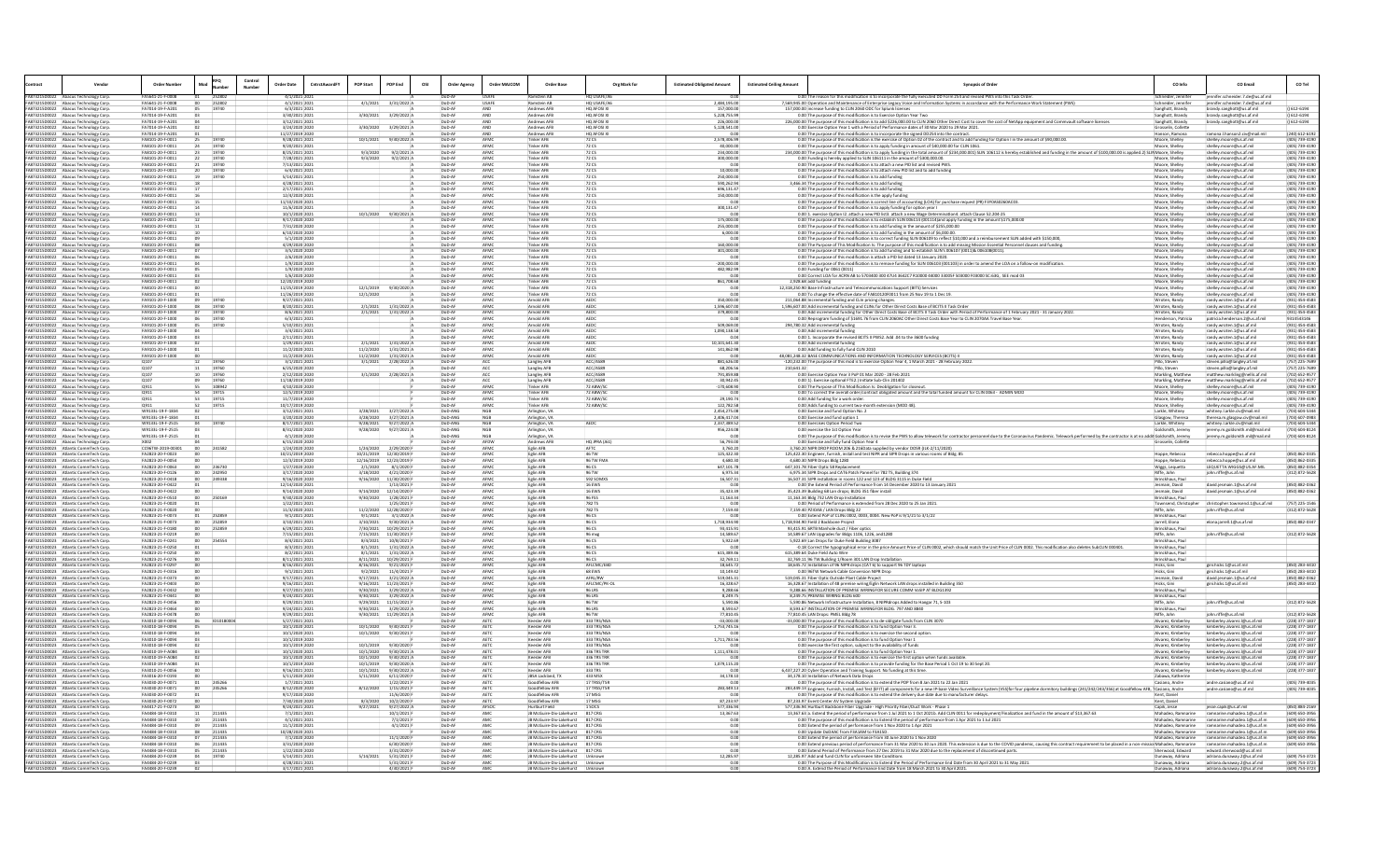|                                       |                                                                              | <b>Order Numbe</b>                   | <b>RFO</b>       | Control<br>Number | Order Date<br>CntrctAwardF        | <b>POP Start</b>       | POP End                                      | OSI<br><b>Order Agency</b> | Order MAJCON              | Order Base                                                  | Org Mark for                | <b>Estimated Obligated Amount</b>       | <b>Estimated Ceiling Amoun</b> | <b>ynopsis of Orde</b>                                                                                                                                                                                                                                                                              | CO Info                                  | CO Email                                                        | CO Tel                              |
|---------------------------------------|------------------------------------------------------------------------------|--------------------------------------|------------------|-------------------|-----------------------------------|------------------------|----------------------------------------------|----------------------------|---------------------------|-------------------------------------------------------------|-----------------------------|-----------------------------------------|--------------------------------|-----------------------------------------------------------------------------------------------------------------------------------------------------------------------------------------------------------------------------------------------------------------------------------------------------|------------------------------------------|-----------------------------------------------------------------|-------------------------------------|
| FA873215                              | Abacus Technology Corp<br>FA873215D0022 Abacus Technology Corp               | FAS641-21-F-0008                     | 252802           |                   | 4/1/2021 2021                     |                        | $4/1/2021$ $3/31/2022$                       | DoD-AF                     | LISAF                     | mstein Al                                                   | HO USAFE/A                  | 2.484.195.00                            |                                | 1.00 The reason for this modification is to incorporate the fully executed DD Form 254 and revised PWS into this Task Order<br>7,569,945.00 Operation and Maintenance of Enterprise Legacy Voice and Information Systems in accordance with the Performance Work Statement (PWS)                    | Schneider Jennife                        | ennifer.schneider.7.de@us.af.m<br>nifer.schneider.7.de@us.af.mi |                                     |
|                                       | FA873215D0022 Abacus Technology Corp                                         | FA7014-19-F-A201                     | 19740            |                   | 6/3/2021 2021                     |                        |                                              | DoD-AF                     | AND                       | Andrews AFF                                                 | HO AFOSLYL                  | 157,000.00                              |                                | 157,000,00 increase funding to CUN 2060 ODC for Solunk licenses                                                                                                                                                                                                                                     | Sanghott, Brandy                         | brandy.sanghott@us.af.mil                                       | 0.612-6194                          |
| FA873215D0022                         | FA873215D0022 Abacus Technology Corp<br>Abacus Technology Corp               | FA7014-19-F-A201<br>FA7014-19-F-A20  |                  |                   | 3/30/2021 2021<br>3/12/2021 202:  |                        | 3/30/2021 3/29/2022 A                        | DoD-A<br>DoD-A             |                           | Indrews AFE<br>Andrews AF                                   | HQ AFOSI X<br>HQ AFOSI >    | 5,228,755.99                            |                                | 0.00 The purpose of this modification is to Exercise Option Year Tw<br>226,000.00 The purpose of this modification is to add \$226,000.00 to CLIN 2060 Other Direct Cost to cover the cost of NetApp equipment and Commvault software licenses                                                      | Sanghott, Brandy<br>Sanghott, Brandy     | brandy.sanghott@us.af.mi<br>brandy.sanghott@us.af.mi            | $(1612 - 6194)$<br>$(1612 - 6194)$  |
|                                       | FAB73215D0022 Abacus Technology Co                                           | FA7014-19-F-A201                     |                  |                   | 3/24/2020 2020                    |                        | 3/30/2020 3/29/2021 A                        | $D \cap D - \Delta$        | AND                       | Indrews AFE                                                 | HO AFOSLYL                  | 5,128,541.00                            |                                | $0.00$ Exercise Option Year 1 with a Period of Performance dates of 30 Mar 2020 to 29 Mar 2021.<br>$0.00$ The purpose of this modification is to incorporate the signed DD254 into the contract.                                                                                                    | rosselin, Collet                         |                                                                 |                                     |
| FA873215D0022                         | Abacus Technology Corp<br>FA873215D0022 Abacus Technology Cor                | FA7014-19-F-A20<br>FA8101-20-F-0011  | 19740            |                   | 1/27/2019 2020<br>9/28/2021 2021  | 10/1/2021              | 9/30/2022                                    | DoD-A<br>DoD-Al            | <b>AEMA</b>               | Andrews AFI<br><b>Tinker AFB</b>                            | HO AFOSI X<br>7200          | 2,578,306.99                            |                                | 0.00 The purpose of this modification is the exercise of Option 02 of the contract and to add funding for Option I in the amount of \$90,000.00.                                                                                                                                                    | Hanson, Ramona<br>Moore, Shelley         | amona.l.hanson2.civ@mail.mi<br>shelley.moore@us.af.mil          | (240) 612-619<br>(405) 739-419      |
|                                       | FA873215D0022 Abacus Technology Corp                                         | FA8101-20-F-0011                     | 19740            |                   | 9/20/2021 2021                    |                        |                                              | DoD-Al                     | <b>AFM</b>                | Tinker AFB                                                  | 72 CS                       | 40,000.00                               |                                | 0.00 The purpose of this modification is to apply funding in amount of \$40,000.00 for CLIN 1061                                                                                                                                                                                                    | Moore, Shelley                           | shelley.moore@us.af.mi                                          | (405) 739-4190                      |
| FA873215D0022                         | FA873215D0022 Abacus Technology Corp<br>Abacus Technology Corp               | FA8101-20-F-0011<br>FA8101-20-F-001  | 19740<br>1974    |                   | 8/25/2021 2021<br>7/28/2021 202:  |                        | 9/3/2020 9/2/2021 A<br>$9/3/2020$ $9/2/2021$ | DoD-A<br>DoD-A             | AFM<br>AFM                | Tinker AFB<br>Tinker AFB                                    | 72 CS                       | 234,000.00<br>300,000.00                |                                | 234,000.00 The purpose of this modification is to apply funding in the total amount of \$234,000.001) SLIN 106112 is hereby established and funding in the amount of \$100,000.00 is applied.2) SLIN Moore, Shelley<br>0.00 Funding is hereby applied to SLIN 106111 in the amount of \$300,000.00. | Moore, Shelley                           | shelley.moore@us.af.mi<br>helley.moore@us.af.m                  | (405) 739-4190<br>(405) 739-419     |
|                                       | FAB73215D0022 Abacus Technology Cor                                          | FA8101-20-F-0011                     | 19740            |                   | 7/13/2021 2021                    |                        |                                              | DoD-AF                     | <b>AFMO</b>               | Tinker AFR                                                  | 72 CS                       | 0.00                                    |                                | 0.00 The purpose of this modification is to attach a new PID list and revised PWS.                                                                                                                                                                                                                  | Moore, Shelley                           | shelley.moore@us.af.mi                                          | (405) 739-419                       |
| FA87321500022                         | FA873215D0022 Abacus Technology Corp<br>Abacus Technology                    | FA8101-20-F-0011<br>FA8101-20-F-001  | 19740<br>19740   |                   | 6/4/2021 2021<br>5/14/2021 2021   |                        |                                              | DoD-Al<br>DoD-A            | <b>AFM</b><br><b>AFM</b>  | Tinker AFB<br>Tinker AFB                                    | 72 CS                       | 10,000.00<br>250,000.00                 |                                | 0.00 The purpose of this modification is to attach new PID list and to add funding<br>0.00 The purpose of this modification is to add funding                                                                                                                                                       | Moore, Shelley<br>Moore, Shelle          | shelley.moore@us.af.mi<br>shelley.moore@us.af.m                 | (405) 739-419<br>(405) 739-419      |
|                                       | FA873215D0022 Abacus Technology Corp                                         | FA8101-20-F-0011                     |                  |                   | 4/28/2021 2021                    |                        |                                              | DoD-Al                     | AFMO                      | <b>Tinker AFB</b>                                           | 72 CS                       | 590.262.94                              |                                | 3.466.34 The purpose of this modification is to add funding                                                                                                                                                                                                                                         | Moore, Shelley                           | shelley.moore@us.af.mi                                          | (405) 739-4190                      |
| CAR72215D0022                         | FA873215D0022 Abacus Technology Corp<br>Abacus Technology Cor                | FA8101-20-F-001<br>FA8101-20-F-001   |                  |                   | 2/17/2021 2021<br>12/4/2020 202:  |                        |                                              | DoD-Al<br>DoD-A            | AFM<br><b>AEMA</b>        | Tinker AFB<br>Tinker AFB                                    | 72 C                        | 696.131.47<br>150,000.00                |                                | 0.00 The purpose of this modification is to add funding<br>0.00 The purpose of this modification is the apply fu                                                                                                                                                                                    | Moore, Shelley<br>Moore, Shelley         | shelley.moore@us.af.mi<br>shelley.moore@us.af.m                 | (405) 739-419<br>(405) 739-419      |
|                                       | FAB73215D0022 Abacus Technology Corp                                         | FA8101-20-F-0011                     |                  |                   | 11/10/2020 2021                   |                        |                                              | DoD-Al                     | <b>AFM</b>                | <b>Tinker AFB</b>                                           | 72 C                        | 0.00                                    |                                | 0.00 The purpose of this modification is correct line of accounting (LOA) for purchase request (PR) F3Y0AS0260AC03.                                                                                                                                                                                 | Moore, Shelley                           | shelley.moore@us.af.mi                                          | (405) 739-419                       |
| FAR73215D0022                         | FA873215D0022 Abacus Technology Corp<br>Abacus Technology Co                 | FA8101-20-F-0011<br>FA8101-20-F-0011 |                  |                   | 11/6/2020 2021<br>10/1/2020 2021  |                        | 10/1/2020 9/30/2021 /                        | DoD-A<br>DoD-AF            | <b>AFM</b><br><b>AFM</b>  | Tinker AFB<br>Tinker AFR                                    |                             | 300,131.47<br>00                        |                                | 0.00 The purpose of this modification is to apply funding for option year I<br>0.00 1. exercise Option I2. attach a new PID list3. attach a new Wage Determination4. attach Clause 52.204-25                                                                                                        | Moore, Shelley<br>Moore Shelle           | shelley.moore@us.af.mi<br>shelley moore@us af mi                | (405) 739-419<br>(405) 739-419      |
|                                       | FA873215D0022 Abacus Technology Corp                                         | FA8101-20-F-0011                     |                  |                   | 9/17/2020 2020                    |                        |                                              | DoD-Al                     | <b>AFMO</b>               | <b>Tinker AFB</b>                                           | 72 CS                       | 175,000.00                              |                                | 0.00 The purpose of this modification is to establish SLIN 006114 (001114)and apply funding in the amount \$175,000.00                                                                                                                                                                              | Moore, Shelley                           | shelley.moore@us.af.mi                                          | (405) 739-4190                      |
| FA873215D0022<br><b>EAR73215D0022</b> | Abacus Technology Corp<br>Abacus Technology Corr                             | FA8101-20-F-001<br>FA8101-20-F-001   |                  |                   | 7/31/2020 2021<br>6/10/2020 2020  |                        |                                              | $DoD-l$<br>DoD-A           | AFM<br>AFM                | inker AFE<br><b>Tinker AFB</b>                              |                             | 255,000.00<br>6,000.00                  |                                | 1.00 The purpose of this modification is to add funding in the amount of \$255,000.00<br>0.00 The purpose of this modification is to add funding in the amount of \$6,000.00.                                                                                                                       | Moore, Shelley<br>Moore, Shelley         | shelley.moore@us.af.m<br>shelley.moore@us.af.m                  | (405) 739-419<br>(405) 739-419      |
|                                       | FA873215D0022 Abacus Technology Corp                                         | FA8101-20-F-0011                     |                  |                   | 5/1/2020 2020                     |                        |                                              | DoD-Al                     | AFM                       | <b>Tinker AFB</b>                                           | 72 CS                       | 0.00                                    |                                | 0.00 The purpose of this modification is to correct funding SLIN 006109 to reflect \$10,000 and a reimbursement SLIN added with \$150,000,                                                                                                                                                          | Moore, Shelley                           | shelley.moore@us.af.mi                                          | (405) 739-419                       |
|                                       | FA873215D0022 Abacus Technology Corp<br>FA873215D0022 Abacus Technology Cor  | FA8101-20-F-0011<br>FA8101-20-F-0011 |                  |                   | 4/29/2020 2020<br>3/5/2020 2020   |                        |                                              | DoD-A<br>DoD-AF            | <b>AFM</b><br><b>AFMO</b> | Tinker AFB<br>Tinker AFR                                    | 72 CS<br>72C                | 160,000.00<br>301,000.00                |                                | 0.00 The Purpose of This Modification Is: The purpose of this modification is to add missing Mission Essential Personnel clauses and funding.<br>0.00 The purpose of this modification is to add funding and to establish SLIN's 006107 (0011)& 006108(0011).                                       | Moore, Shelley<br>Moore Shelley          | shelley.moore@us.af.mi<br>shelley moore@us af mi                | (405) 739-4190<br>(405) 739-419     |
|                                       | FA873215D0022 Abacus Technology Corp                                         | FA8101-20-F-0011                     |                  |                   | 2/6/2020 2020                     |                        |                                              | DoD-A                      | <b>AFM</b>                | Tinker AFB                                                  | 72 C                        | 0.00                                    |                                | 0.00 The purpose of this modification is attach a PID list dated 13 January 2020.                                                                                                                                                                                                                   | Moore, Shelley                           | shelley.moore@us.af.mi                                          | (405) 739-419                       |
| FA873215D0022                         | Abacus Technology Corp<br>FAB73215D0022 Abacus Technology Cor                | FA8101-20-F-001<br>FA8101-20-F-0011  |                  |                   | 1/9/2020 202<br>1/9/2020 2020     |                        |                                              | DoD-A<br>DoD-AF            | AFM<br>AFMO               | Tinker AFE<br><b>Tinker AFB</b>                             | 72C                         | $-200,000.00$<br>482,982.99             |                                | 1.00 The purpose of this modification is to remove funding for SLIN 006103 (001103) in order to amend the LOA on a follow-on modification<br>0.00 Funding for 0061 (0011)                                                                                                                           | Moore, Shelley<br>Moore, Shelley         | shelley.moore@us.af.m<br>shelley.moore@us.af.mi                 | 405) 739-419<br>(405) 739-419       |
|                                       | FA873215D0022 Abacus Technology Corp                                         | FA8101-20-F-0011                     |                  |                   | 1/6/2020 2020                     |                        |                                              | DoD-Al                     | <b>AFM</b>                | <b>Tinker AFB</b>                                           | 72C                         | 0.OO                                    |                                | 0.00 Correct LOA for ACRN AB to 5703400 300 47U4 3642C7 R10000 44000 33005F 503000 F03000 SC:63G, SEE mod 03                                                                                                                                                                                        | Moore, Shelley                           | shelley.moore@us.af.mi                                          | (405) 739-419                       |
| FA873215D0022                         | Abacus Technology Corp<br>FA873215D0022 Abacus Technology Cor                | A8101-20-F-001<br>FA8101-20-F-0011   |                  |                   | 2/20/2019 202<br>11/25/2019 2020  | 12/1/2019              | 9/30/2020                                    | DoD-Al                     | AFM<br>AFM                | inker AFB<br>Tinker AFB                                     | 72 CS                       | 861,708.68<br>00                        |                                | .928.68 add funding<br>12.318.250.90 Base Infrastructure and Telecommunications Support (BITS) Services                                                                                                                                                                                             | Moore, Shelley<br>Moore, Shelley         | shelley.moore@us.af.mi<br>shelley.moore@us.af.mi                | (405) 739-419<br>(405) 739-419      |
|                                       | FA873215D0022 Abacus Technology Corp                                         | FA8101-20-F-0011                     |                  |                   | 11/26/2019 2020                   | 12/1/2020              |                                              | DoD-A                      | AFM                       | Tinker AFB                                                  |                             |                                         |                                | 0.00 To change the effective date of FA810120F0011 from 25 Nov 19 to 1 Dec 19.                                                                                                                                                                                                                      | Moore, Shelley                           | shelley.moore@us.af.mi                                          | (405) 739-419                       |
|                                       | FA873215D0022 Abacus Technology Corp<br>FAB73215D0022 Abacus Technology Cor  | FA9101-20-F-1000<br>FA9101-20-F-1000 | 19740<br>19740   |                   | 9/27/2021 202:<br>8/20/2021 2021  |                        | $2/1/2021$ $1/31/2022$ $\Delta$              | DoD-Al<br>DoD-AF           | AFM<br>AFMO               | Arnold AFE<br>Arnold AFR                                    | AFF<br>AFDO                 | 350,000.00<br>1.596.607.00              |                                | 211,064.88 Incremental funding and CLIn pricing changes.                                                                                                                                                                                                                                            | Wroten, Randy<br>Wroten Randy            | andy.wroten.1@us.af.m<br>randy wroten 1@us af mil               | (931) 454-458<br>(931) 454-458      |
|                                       | FA873215D0022 Abacus Technology Corp                                         | FA9101-20-F-1000                     | 19740            |                   | 8/6/2021 2021                     |                        | 2/1/2021 1/31/2022 A                         | DoD-Al                     | <b>AFM</b>                | Arnold AFB                                                  | AED                         | 379,800.00                              |                                | 1,596,607.00 Add incremental funding and CLINs for Other Direct Costs Base of BCITS II Task Order<br>0.00 Add incremental funding for Other Direct Costs Base of BCITS II Task Order with Period of Performance of 1 February 2021 - 31 January 2022.                                               | Wroten, Randy                            | randy.wroten.1@us.af.mil                                        | (931) 454-4583                      |
|                                       | FA873215D0022 Abacus Technology Corp<br>FAB73215D0022 Abacus Technology Corp | A9101-20-F-1000<br>FA9101-20-F-1000  | 19740            |                   | 6/3/2021 2021<br>5/10/2021 2021   |                        |                                              | DoD-A<br>DoD-AF            | <b>AFM</b>                | Arnold AFB<br>Arnold AFE                                    | <b>AFD</b>                  | 509,069.00                              |                                | 0.00 Reprogram funding of \$1691.76 from CLIN 2060AC Other Direct Costs Base Year to CLIN 2070AA Travel Base Year.<br>294,780.32 Add incremental funding                                                                                                                                            | Henderson, Patrici<br>Wroten, Randy      | patricia.henderson.2@us.al<br>andy.wroten.1@us.af.mil           | 9314543146<br>(931) 454-458         |
| FA873215D0022                         | Abacus Technology Corp                                                       | FA9101-20-F-1000                     | 19740            |                   | 3/4/2021 2021                     |                        |                                              | $DoD-A$                    | AFM                       | Arnold AFE                                                  | <b>AED</b>                  | 1,090,138.58                            |                                | 0.00 Add incremental funding                                                                                                                                                                                                                                                                        | Wroten, Randy                            | randy.wroten.1@us.af.mi                                         | (931) 454-458                       |
|                                       | FA873215D0022 Abacus Technology Corp<br>FA873215D0022 Abacus Technology Cor  | FA9101-20-F-1000<br>FA9101-20-F-1000 |                  |                   | 2/11/2021 202:<br>1/29/2021 2021  | 2/1/2021               | 1/31/2022 A                                  | DoD-Al<br>DoD-AF           | <b>AFMO</b><br>AFMO       | Arnold AFE<br>Arnold AFB                                    | <b>AED</b><br>AEDO          | 10.101.641.30                           |                                | 0.00 1. Incorporate the revised BCITS II PWS2. Add .04 to the 3600 funding<br>0.00 Add incremental funding                                                                                                                                                                                          | Wroten, Randy<br>Wroten, Randy           | andy.wroten.1@us.af.m<br>randy.wroten.1@us.af.mi                | (931) 454-458<br>(931) 454-458      |
|                                       | FA873215D0022 Abacus Technology Corp                                         | FA9101-20-F-1000                     |                  |                   | 11/2/2020 2021                    | 11/2/2020              | 1/31/2021 A                                  | DoD-A                      | AFM                       | Arnold AFE                                                  | AEDO                        | 141,862.98                              |                                | 0.00 Add funding to fully fund CLIN 2010                                                                                                                                                                                                                                                            | Wroten, Randy                            | randy.wroten.1@us.af.mil                                        | (931) 454-458                       |
| FA873215D0022                         | Abacus Technology Corp                                                       | FA9101-20-F-1000                     |                  |                   | 11/2/2020 202:<br>3/1/2021 2021   | 11/2/2020              | $1/31/2021$ /                                | DoD-Al<br>DoD-AF           |                           | Arnold AFB                                                  | ACC/AS89                    | 881 626 00                              |                                | 48,081,248.32 BASE COMMUNICATIONS AND INFORMATION TECHNOLOGY SERVICES (BCITS) II                                                                                                                                                                                                                    | Wroten, Randy                            | randy.wroten.1@us.af.mi                                         | 931) 454-458<br>(757) 225-769       |
| FA873215D0022                         | FAB73215D0022 Abacus Technology Co<br>Abacus Technology Corp                 | 0107                                 | 1976<br>19760    |                   | 6/25/2020 2020                    | 3/1/2021               | 2/28/2022 A                                  | DoD-Al                     |                           | Langley AFB<br>Langley AFI                                  | ACC/A589                    | 68,206.56                               | 210.641.32                     | -120,232.00 The purpose of this mod is to exercise Option Year 4, 1 March 2021 - 28 February 2022.                                                                                                                                                                                                  | Pillo, Steven<br>Pillo, Steven           | steven.pillo@langley.af.mil<br>steven.pillo@langley.af.mi       | (757) 225-7699                      |
|                                       | FAB73215D0022 Abacus Technology Cor                                          | 0107                                 | 19760            |                   | 2/12/2020 2020                    |                        | 3/1/2020 2/28/2021 A                         | DoD-AF<br>DoD-AF           |                           | angley AFB                                                  | ACC/AS89                    | 791.859.88                              |                                | 0.00 Exercise Option Year 3 PoP 01 Mar 2020 - 28 Feb 2021                                                                                                                                                                                                                                           | Markling, Matthe                         | natthew.markling@nellis.af.m                                    | (702) 652-957                       |
|                                       | FA873215D0022 Abacus Technology Cor<br>A873215D0022 Abacus Technology Corp   | 0107<br>Q911                         | 19760<br>108942  |                   | 11/18/2019 2020<br>4/10/2020 2020 |                        |                                              | DoD-A                      | AFM                       | Langley AFB<br>inker AFB                                    | ACC/A589<br>72 ABW/S        | 30,942.45<br>$-170,608.90$              |                                | 0.00 1). Exercise optional FTE2.) Initiate Sub-Clin 201402<br>0.00 The Purpose of This Modification Is: Deobligation for closeout                                                                                                                                                                   | Markling, Matthew<br>Moore, Shelley      | matthew.markling@nellis.af.mil<br>shelley.moore@us.af.mi        | (702) 652-957<br>(405) 739-419      |
| FA873215D0022                         | Abacus Technology Corp                                                       |                                      | 1971             |                   | 12/5/2019 202                     |                        |                                              | DoD-A                      | AFM                       | inker AFB                                                   | 2 ABW/S                     |                                         |                                | 1.00 To correct the overall order/contract obligated amount and the total funded amount for CLIN 0063 - ADMIN MOD                                                                                                                                                                                   | Moore, Shelley                           | shelley.moore@us.af.m                                           | (405) 739-419                       |
| FA873215D0022                         | FAB73215D0022 Abacus Technology Cor<br>Abacus Technology Corp                | 0911                                 | 19715<br>19715   |                   | 11/7/2019 2020<br>10/17/2019 202  |                        |                                              | DoD-AF                     | AFM                       | <b>Tinker AFB</b><br>inker AFB                              | 72 ABW/S<br>72 ABW/S        | 29.190.74<br>122,782.58                 |                                | 0.00 Add funding for a work order.<br>0.00 Adds funding to current two-month extension (MOD 48).                                                                                                                                                                                                    | Moore, Shelley<br>Moore, Shelley         | shelley.moore@us.af.mi<br>shelley.moore@us.af.m                 | (405) 739-419<br>405) 739-419       |
|                                       | FA873215D0022 Abacus Technology Cor                                          | W9133L-19-F-1834                     |                  |                   | 3/12/2021 2021                    | 3/28/2021              | 3/27/2022 A                                  | DoD-ANG                    | <b>NGR</b>                | Arlington, VA                                               |                             | 2 454 275 08                            |                                | 0.00 Exercise and fund Option No. 2                                                                                                                                                                                                                                                                 | Larkle, Whitney                          | whitney.Larkle.civ@mail.mi                                      | (703) 604-534                       |
|                                       | FA873215D0022 Abacus Technology Corp<br>FA873215D0022 Abacus Technology Corp | W9133L-19-F-1834<br>W9133L-19-F-2515 | 19740            |                   | 3/20/2020 2020<br>8/17/2021 2021  | 3/28/2020<br>9/28/2021 | 3/27/2021 A<br>9/27/2022 A                   | DoD-ANG<br>DoD-ANG         | <b>NGB</b><br>NGB         | Arlington, VA<br>Arlington, VA                              | AEDC                        | 2,406,417.04<br>2.337.389.52            |                                | 0.00 Exercise and fund option 1<br>0.00 Exercises Option Period Two                                                                                                                                                                                                                                 | Glasgow, Theresa<br>Larkle, Whitney      | theresa.m.glasgow.civ@mail.mi<br>whitney.l.arkle.civ@mail.mil   | (703) 607-098<br>(703) 604-534      |
|                                       | FA873215D0022 Abacus Technology Corp                                         | W9133L-19-F-2519                     |                  |                   | 8/31/2020 202                     | 9/28/2020              | 9/27/2021                                    | DoD-AN                     | NGB                       | Arlington, VA                                               |                             | 956,224.08                              |                                | 0.00 exercise the 1st Option Year                                                                                                                                                                                                                                                                   | oldsmith, Jeremy                         | jeremy.m.goldsmith.mil@mail.mi                                  | (703) 604-812                       |
| FA873215D0022                         | FA873215D0022 Abacus Technology Cor<br>Abacus Technology Corp                | W9133L-19-F-2515                     |                  |                   | 4/1/2020 2020<br>6/15/2020 202    |                        |                                              | DoD-ANO<br>oD-A            | <b>NGB</b>                | Arlington, VA<br>Andrews AFI                                | HQ JPRA (J61                | 00<br>56,793.00                         |                                | 0.00 The purpose of this modification is to revise the PWS to allow telework for contractor personnel due to the Coronavirus Pandemic. Telework performed by the contractor is at no addit Goldsmith, Jerem<br>.00 Exercise and fully fund Option Year 4                                            | Grosselin, Collett                       | eremy.m.goldsmith.mil@mail.mil                                  | (703) 604-812                       |
|                                       | EAR73215D0023 Atlantic CommTech Corr                                         | CC96TW-2019-00301                    | 241582           |                   | 1/24/2020 2020                    | 1/24/2020              | 2/29/2020 F                                  | DoD-AF                     | AFMO                      | Eglin AFB                                                   | <b>AETC</b>                 | 3.760.20                                |                                | 3.760.20 NIPR DROP ROOM 206 & 216Data supplied by vendor DOSR (JLK-2/11/2020)                                                                                                                                                                                                                       |                                          |                                                                 |                                     |
| FA873215D0023                         | FA873215D0023 Atlantic CommTech Corp<br>Atlantic CommTech Corp               | FA2823-20-F-0023<br>A2823-20-F-005-  |                  |                   | 10/21/2019 2020<br>12/3/2019 202  | 12/16/2019             | 10/21/2019 12/30/2019 F<br>12/23/2019        | DoD-AF<br>$DoD-l$          | <b>AFMO</b>               | Eglin AFB<br>Eglin AFE                                      | 46 TW                       | 125,422.30<br>4,680.30                  |                                | 125,422.30 Engineer, furnish, install and test NIPR and SIPR Drops in various rooms of Bldg. 85<br>4,680.30 NIPR Drops Bldg 1280                                                                                                                                                                    | Hoppe, Rebecca<br>Hoppe, Rebecca         | rebecca.hoppe@us.af.mil<br>rebecca.hoppe@us.af.mil              | (850) 862-033<br>(850) 862-033      |
|                                       | FA873215D0023 Atlantic CommTech Cor                                          | FA2823-20-F-0063                     | 236730           |                   | 1/27/2020 2020                    | 2/1/2020               | 8/1/2020 F                                   | DoD-A                      | <b>AFM</b>                | Eglin AFB                                                   |                             | 647.101.78                              |                                | 547,101.78 Fiber Optic 58 Replacemen                                                                                                                                                                                                                                                                | Wiggs, Lequetta                          | LEQUETTA.WIGGS@US.AF.                                           | (850) 882-0354                      |
|                                       | FA873215D0023 Atlantic CommTech Core<br>FA873215D0023 Atlantic CommTech Corp | FA2823-20-F-0126<br>FA2823-20-F-0418 | 242950<br>249338 |                   | 3/17/2020 2020<br>9/16/2020 2020  | 3/18/2020<br>9/16/2020 | 4/21/2020 F<br>11/30/2020 F                  | DoD-Al<br>DoD-A            | <b>AFMO</b><br><b>AFM</b> | Eglin AFE<br>Eglin AFE                                      | 96 TW<br>592 SOMXS          | 6.975.34<br>16,507.31                   |                                | 6.975.34 SIPR Drops and CAT6 Patch Pannel for 782 TS, Building 374<br>16,507.31 SIPR installation in rooms 122 and 123 of BLDG 3115 in Duke Field                                                                                                                                                   | Riffe, John<br>Brinckhaus, Pau           | hn.riffe@us.af.mil                                              | (312) 872-562                       |
|                                       | EA87321500023 Atlantic CommTech Cor                                          | FA2823-20-F-0422                     |                  |                   | 12/14/2020 2021                   |                        | $1/13/2021$ F                                | DoD-AF                     | <b>AFMO</b>               | Eglin AFB                                                   | 16 FWS                      | 0.00                                    |                                | 0.00 the Extend Period of Performance from 14 December 2020 to 13 January 2021                                                                                                                                                                                                                      | <b>Jesmain David</b>                     | lim ta zu@t niemzei hiveh                                       | (850) 882-036                       |
| FA873215D0023                         | FA873215D0023 Atlantic CommTech Corp<br>Atlantic CommTech Corp               | FA2823-20-F-0422<br>FA2823-20-F-0510 | 250169           |                   | 9/14/2020 2020<br>9/30/2020 2020  | 9/14/2020<br>9/30/2020 | 12/14/2020 F<br>1/28/2021                    | DoD-Al<br>DoD-A            | <b>AFM</b><br>AFM         | Eglin AFE<br>Eglin AFE                                      | <b>16 EWS</b>               | 35.423.39<br>11,163.34                  |                                | 35,423.39 Building 68 Lan drops; BLDG 351 fiber install<br>11,163.34 Bldg 732 LAN-Drop Installation                                                                                                                                                                                                 | Jesmain, David<br>Brinckhaus, Pau        | david.jesmain.1@us.af.mil                                       | (850) 882-036                       |
|                                       | FA873215D0023 Atlantic CommTech Cor                                          | FA2823-21-F-0020                     |                  |                   | /22/2021 202                      |                        | $125/2021$ F                                 | DoD-A                      | <b>AFM</b>                | Eglin AFB                                                   | 782 T                       | 0.00                                    |                                | 0.00 Period of Performance is extended from 28 Dec 2020 to 25 Jan 202                                                                                                                                                                                                                               | ownsend, Chr.                            | christopher.townsend.1@us.af.m                                  | (757) 225-154                       |
|                                       | FA873215D0023 Atlantic CommTech Core<br>FA873215D0023 Atlantic CommTech Corp | FA2823-21-F-0020<br>FA2823-21-F-0073 | 252859           |                   | 11/3/2020 2021<br>9/1/2021 2021   | 11/2/2020<br>9/1/2021  | 12/28/2020 F<br>$3/1/2022$ A                 | DoD-A<br>DoD-Al            | <b>AFM</b><br>AFM         | Eglin AFE<br>Eglin AF                                       | <b>782 TS</b><br>96 CS      | 7.159.40                                |                                | 7.159.40 PZIOAB / LAN Drops Bldg 22<br>0.00 Extend PoP of CLINs 0002, 0003, 0004. New PoP is 9/1/21 to 3/1/22                                                                                                                                                                                       | Riffe, John<br>Brinckhaus, Paul          | iohn.riffe@us.af.mil                                            | (312) 872-562                       |
|                                       | FA873215D0023 Atlantic CommTech Cor                                          | FA2823-21-F-0073                     | 252859           |                   | 3/10/2021 2021                    | 3/10/2021              | 9/30/2021 A                                  | DoD-Al                     | AFMO                      | Eglin AFB<br>Eglin AFB                                      | 96.09                       | 1,718,934.90                            |                                | 1,718,934.90 Field 2 Backbone Project                                                                                                                                                                                                                                                               | Jarrell, Elona                           | elona.jarrell.1@us.af.mil                                       | (850) 882-034                       |
| FA873215D0023                         | FA873215D0023 Atlantic CommTech Corp<br>Atlantic CommTech Corp               | FA2823-21-F-0180<br>FA2823-21-F-0219 | 252859           |                   | 6/29/2021 2021<br>7/15/2021 2021  | 7/30/2021<br>7/15/2021 | 10/29/2021 F<br>11/30/2021                   | DoD-Al<br>DoD-Al           | <b>AFM</b><br>AFM         | Eglin AFE                                                   | 96 CS                       | 93,415.91<br>4,589.67                   |                                | 93,415.91 6RTB Manhole duct / Fiber optic<br>14,589.67 LAN Upgrades for Bldgs 1106, 1226, and 1280                                                                                                                                                                                                  | Brinckhaus, Pau<br>Riffe, John           | john.riffe@us.af.mil                                            | (312) 872-5628                      |
|                                       | EA87321500023 Atlantic CommTech Cor                                          | FA2823-21-F-024                      | 254554           |                   | 8/4/2021 2021                     | 8/4/2021               | $10/8/2021$ F                                | $D_0D-\Delta$              | <b>AFM</b>                | Eglin AFB<br>Eglin AFB                                      |                             | 5,922.69                                |                                | 5,922.69 Lan Drops for Duke Field Building 3087                                                                                                                                                                                                                                                     | Brinckhaus, Par                          |                                                                 |                                     |
| A873215D0023                          | FA873215D0023 Atlantic CommTech Corp<br>Atlantic CommTech Corp               | FA2823-21-F-0250<br>A2823-21-F-025   |                  |                   | 8/3/2021 2021<br>8/2/2021 2021    | 8/1/2021<br>8/1/2021   | 1/31/2022 A<br>1/31/2022 A                   | DoD-Al<br>DoD-A            | AFM                       |                                                             | 96 CS                       | 0.00<br>615,389.46                      |                                | -0.18 Correct the typographical error in the price Amount Price of CLIN 0002, which should match the Unit Price of CLIN 0002. This modification also deletes SubCLIN 000401<br>615,389.64 Duke Field Auto Wire                                                                                      | Brinckhaus, Pau<br>Brinckhaus, Par       |                                                                 |                                     |
|                                       | FA873215D0023 Atlantic CommTech Core                                         | FA2823-21-F-0276                     |                  |                   | 8/11/2021 2021                    | 8/11/2021              | 10/29/2021 F                                 | DoD-Al                     | AFMO                      | Eglin AFB<br>Eglin AFB                                      | 96.09                       | 32,769.11                               |                                | 32.769.11 96 TW Building 1/Room 301 LAN Drop Installatio                                                                                                                                                                                                                                            | Brinckhaus, Pau                          |                                                                 |                                     |
|                                       | FA873215D0023 Atlantic CommTech Corp<br>FA873215D0023 Atlantic CommTech Cor  | FA2823-21-F-029<br>FA2823-21-F-0316  |                  |                   | 8/16/2021 2021<br>9/1/2021 2021   | 8/16/2021<br>9/2/2021  | $9/21/2021$ F<br>11/4/2021 F                 | DoD-A<br>DoD-Al            | <b>AFM</b><br><b>AFM</b>  | Eglin AFB<br>Eglin AFE                                      | AFLCMC/EBD<br><b>68 FWS</b> | 18,645.72<br>10 149 47                  |                                | 18,645.72 Installation of 96 NIPR drops (CAT 6) to support 96 TDY laptops<br>0.00 96TW Network Cable Conversion NIPR Drop                                                                                                                                                                           | Hicks, Gini<br>Hicks, Gini               | zini.hicks.1@us.af.mil<br>gini.hicks.1@us.af.mil                | (850) 283-441<br>(850) 283-441      |
|                                       | FA873215D0023 Atlantic CommTech Core                                         | FA2823-21-F-0373                     |                  |                   | 9/17/2021 2021                    | 9/17/2021              | 3/21/2022 A                                  | DoD-Al                     | AFM                       | Eglin AFB                                                   | AFRL/RW                     | 519.045.31                              |                                | 519.045.31 Fiber Optic Outside Plant Cable Project                                                                                                                                                                                                                                                  | Jesmain, David                           | david.iesmain.1@us.af.m                                         | (850) 882-036                       |
| FA873215D0023                         | FA873215D0023 Atlantic CommTech Corp<br>Atlantic CommTech Corp               | FA2823-21-F-0403<br>FA2823-21-F-043  |                  |                   | 9/16/2021 2021<br>9/27/2021 202:  | 9/16/2021<br>9/30/2021 | 11/23/2021 F<br>3/29/2022                    | DoD-A<br>DoD-A             | AFM<br>AFM                | Eglin AFE<br>Eglin AFE                                      | AFLCMC/PK-<br>96 LRS        | 16,328.67<br>9,288.6                    |                                | 16,328.67 Installation of 48 premise wiring/Eglin Network LAN drops installed in Building 350<br>9,288.66 INSTALLATION OF PREMISE WIRINGFOR SECURE COMM VoSIP AT BLDG1392                                                                                                                           | Hicks, Gini<br>Brinckhaus, Pa            | gini.hicks.1@us.af.mil                                          | (850) 283-441                       |
|                                       | FA873215D0023 Atlantic CommTech Core                                         | FA2823-21-F-0441                     |                  |                   | 9/24/2021 2021                    | 9/30/2021              | 3/29/2022 A                                  | DoD-Al                     | <b>AFM</b>                | Eglin AFB                                                   | <b>96 LRS</b>               | 8.249.75                                |                                | 8.249.75 PREMISE WIRING BLDG 600                                                                                                                                                                                                                                                                    | Brinckhaus, Pau                          |                                                                 |                                     |
| FA873215D0023                         | Atlantic CommTech Corp<br>FA873215D0023 Atlantic CommTech Cor                | FA2823-21-F-045<br>FA2823-21-F-0464  |                  |                   | 9/29/2021 202:<br>9/24/2021 2021  | 9/29/2021<br>9/30/2021 | 11/15/2021<br>3/29/2022 A                    | DoD-A<br>DoD-Al            | AFM<br><b>AFMO</b>        | Eglin AFB<br>Eglin AFB                                      | 96 TW<br>29189              | 5,590.86<br>859367                      |                                | 5,590.86 Network Infrastructure Installation, 8 NIPRdrops Added to Hangar 71, S-103<br>8,593.67 INSTALLATION OF PREMISE WIRINGFOR BLDG. 797 AND 8840                                                                                                                                                | Riffe, John<br>Brinckhaus, Pau           | john.riffe@us.af.mil                                            | $(312) 872 - 5621$                  |
|                                       | FA873215D0023 Atlantic CommTech Core                                         | FA2823-21-F-0478                     |                  |                   | 9/29/2021 2021                    |                        | 9/30/2021 11/29/2021 A                       | DoD-Al                     | AFM                       | Eglin AFB                                                   | 96 TW                       | 77,810.45                               |                                | 77,810.45 LAN Drops: PMEL Bldg 78                                                                                                                                                                                                                                                                   | Riffe, John                              | phn.riffe@us.af.mil                                             | (312) 872-562                       |
| FA873215D0023                         | Atlantic CommTech Core<br>FA873215D0023 Atlantic CommTech Cor                | FA3010-18-F-009<br>FA3010-18-F-0094  | ID1018000        |                   | 5/27/2021 2021<br>10/1/2020 202:  | 10/1/2020              | 9/30/2021                                    | DoD-A<br>DoD-AF            | <b>AET</b>                | Keesler AF<br>Keesler AFE                                   | 333 TRS/NS<br>333 TRS/NSA   | 33,000.00<br>1,753,745.16               |                                | -33,000.00 The purpose of this modification is to de-obligate funds from CLIN 3070<br>0.00 The purpose of this modification is to fund Option Year 3.                                                                                                                                               | Alvarez, Kimberley<br>Alvarez, Kimberley | kimberley.alvarez.l@us.af.n<br>cimberley.alvarez.l@us.af.m      | (228) 377-183<br>(228) 377-183      |
|                                       | FA873215D0023 Atlantic CommTech Core                                         | FA3010-18-F-0094                     |                  |                   | 10/1/2020 2021                    | 10/1/2020              | 9/30/2021 F                                  | DoD-Al                     | <b>AET</b>                | Keesler AFE                                                 | 333 TRS/NS/                 |                                         |                                | 0.00 The purpose of this modification is to exercise the second option                                                                                                                                                                                                                              | Alvarez, Kimberle                        | kimberley.alvarez.l@us.af.mil                                   | (228) 377-1837                      |
| FA873215D0023                         | Atlantic CommTech Corp<br>FAR73215D0023 Atlantic CommTech Cor                | A3010-18-F-009<br>FA3010-18-F-0094   |                  |                   | 10/1/2019 202<br>10/1/2019 2020   | 10/1/2019              | 9/30/2020                                    | DoD-A<br>DoD-AF            | AFT                       | Keesler AFE<br>Keesler AFB                                  | 33 TRS/NSA<br>333 TRS/NSA   | 1,711,783.56<br>00                      |                                | 1.00 The purpose of this modification is to fund Option Year<br>0.00 exercise the first option, subject to the availability of fund                                                                                                                                                                 | Alvarez, Kimberley<br>Alvarez Kimberle   | mberley.alvarez.l@us.af.m<br>kimberley.alvarez.l@us.af.mil      | $(228) 377 - 183$<br>(228) 377-1837 |
|                                       | FA873215D0023 Atlantic CommTech Core                                         | FA3010-19-F-A084                     |                  |                   | 10/1/2020 2021                    | 10/1/2020              | 9/30/2021 A                                  | DoD-Al                     | AFT                       | Keesler AFB                                                 | 336 TRS TRR                 | 1.111.478.01                            |                                | 0.00 The purpose of this modification is to fund Option Year 1.                                                                                                                                                                                                                                     | Alvarez, Kimberley                       | kimberley.alvarez.l@us.af.mil                                   | (228) 377-1837                      |
| FA873215D0023                         | Atlantic CommTech Corp<br>FA873215D0023 Atlantic CommTech Co                 | FA3010-19-F-A084<br>FA3010-19-F-A084 |                  |                   | 10/1/2020 202:<br>10/1/2019 2020  | 10/1/2020<br>10/1/2019 | 9/30/2021<br>$9/30/2020$ A                   | $DoD-l$<br>DoD-Al          |                           | Keesler AFB<br>Keesler AFB                                  | 336 TRS TRE<br>336 TRS TRR  | 1,079,115.20                            |                                | 0.00 The purpose of this modification is to exercise the first option when funds available<br>0.00 The purpose of this modification is to provide funding for the Base Period 1 Oct 19 to 30 Sept 20.                                                                                               | Alvarez, Kimberley<br>Alvarez, Kimberle  | kimberley.alvarez.l@us.af.m<br>kimberley.alvarez.l@us.af.m      | $(228) 377 - 183$<br>(228) 377-183  |
|                                       | FA873215D0023 Atlantic CommTech Core                                         | FA3010-21-F-0056                     |                  |                   | 9/16/2021 2021                    | 10/1/2021              | 9/30/2022 A                                  | DoD-Al                     | <b>AET</b>                | Keesler AFB                                                 | 333 TRS                     |                                         |                                | 6,437,227.20 Cyber Operation and Training Support. No funding at this time.                                                                                                                                                                                                                         | Alvarez, Kimberle                        | kimberley.alvarez.l@us.af.mil                                   | (228) 377-183                       |
| FA873215D0023                         | Atlantic CommTech Corp<br>EAR73215D0023 Atlantic CommTech Corr               | FA3016-20-F-019<br>FA3030-20-F-0071  | 245266           |                   | 5/11/2020 202<br>1/7/2021 2021    | 5/11/2020              | 6/11/2020<br>$1/22/2021$ F                   | DoD-Al<br>DoD-AF           | <b>AFTI</b>               | JBSA Lackland, T<br>Goodfellow AFR                          | 433 MS<br>17 TRSS/TSR       | 34,178.10<br>00                         |                                | 34,178.10 Installation of Network Data Drops<br>0.00 The purpose of this modification is to extend the POP from 8 Jan 2021 to 22 Jan 2021                                                                                                                                                           | Zabawa, Katheri<br>Casiano Andre         | andre casiano@us af mil                                         | (405) 739-403                       |
|                                       | FA873215D0023 Atlantic CommTech Corp                                         | FA3030-20-F-007                      | 245266           |                   | 8/12/2020 2020                    | 8/12/2020              | 1/15/2021 F                                  | DoD-A                      | AET                       | Goodfellow AFB                                              | 17 TRSS/TSR                 | 283,449.13                              |                                | 283,449.13 Engineer, Furnish, Install, and Test (EFIT) all components for a new IP-base Video Surveillance System (VSS)for four pipeline dormitory buildings (241/242/243/356) at Goodfellow AFB, 1Casiano, Andre                                                                                   |                                          | andre.casiano@us.af.mil                                         | (405) 739-403                       |
| FA873215D0023                         | Atlantic CommTech Corp<br>FA873215D0023 Atlantic CommTech Cor                | FA3030-20-F-007<br>FA3030-20-F-007   |                  |                   | 9/17/2020 202<br>7/30/2020 2020   | 8/3/2020               | 1/6/2020<br>10/2/2020 F                      | DoD-Al<br>DoD-Al           | AFT                       | oodfellow AF<br><b>Goodfellow AFR</b>                       | 17 MSG                      | 87,233.97                               |                                | 0.00 The purpose of this modification is to extend the delivery due date due to manufacturer delays.<br>87,233.97 Event Center AV System Upgrade                                                                                                                                                    | Kent, Daniel<br>Kent Daniel              |                                                                 |                                     |
|                                       | FA873215D0023 Atlantic CommTech Corp                                         | FA4417-21-F-0273                     |                  |                   | 9/24/2021 2021                    | 9/27/2021              | 9/27/2022 A                                  | DoD-Al                     | AFSOC                     | Hurlburt Field                                              | 2002 <sup>t</sup>           | 577.336.94                              |                                | 577,336.94 Hurlburt Backbone Fiber Upgrade - High Priority Fiber/Duct Work - Phase 1                                                                                                                                                                                                                | Capik, Jesse                             | iesse.capik@us.af.mil                                           | (850) 884-216                       |
| <b>FAR73215D0023</b>                  | Atlantic CommTech C<br>FA873215D0023 Atlantic CommTech Core                  | FA4484-18-F-031<br>FA4484-18-F-0310  | 211429<br>211435 |                   | 7/1/2021 202:<br>4/1/2021 2021    |                        | 0/1/2021<br>7/1/2021 F                       | DoD-AF<br>DoD-Al           | <b>AMA</b>                | JB McGuire-Dix-Lakehurst<br>JB McGuire-Dix-Lakehurst        | 817 CRO<br>817 CRG          | 13,367.63<br>0 <sup>0<sup>c</sup></sup> |                                | 13,367.63 a. Extend the period of performance from 1 Jul 2021 to 1 Oct 2021b. Add CLIN 0011 for redeployment/Finalization and fund in the amount of \$13,367.63<br>0.00 The purpose of this modification is to Extend the period of performance from 1 Apr 2021 to 1 Jul 2021                       | Mahadeo, Ramnarin<br>Mahadeo, Ramnarine  | ramnarine.mahadeo.1@us.af.m<br>ramnarine.mahadeo.1@us.af.m      | (609) 650-395<br>(609) 650-395      |
|                                       | FA873215D0023 Atlantic CommTech Corp                                         | FA4484-18-F-0310                     | 211435           |                   | 11/1/2020 2021                    |                        | $4/1/2021$ F                                 | DoD-A                      | AM                        | JB McGuire-Dix-Lakehurst                                    | 817 CRG                     | 0.00                                    |                                | 0.00 Extend the period of performance from 1 Nov 2020 to 1 Apr 2021                                                                                                                                                                                                                                 | Mahadeo, Ramnarine                       | ramnarine.mahadeo.1@us.af.m                                     | (609) 650-395                       |
|                                       | FA873215D0023 Atlantic CommTech Corp<br>EAR73215D0023 Atlantic CommTech Cor  | FA4484-18-F-0310<br>FA4484-18-F-0310 | 211435<br>211435 |                   | 10/28/2020 202:<br>7/1/2020 2020  |                        | 11/1/2020 F                                  | DoD-Al<br>DoD-AF           |                           | B McGuire-Dix-Lakehurst<br>IR McGuire-Dix-Lakeburst 817 CRC | 817 CRO                     | 0.00<br>0.00                            |                                | 0.00 Update DoDAAC from F3A1AM to F3A15D<br>0.00 Extend the period of performance from 30 June 2020 to 1 Nov 2020                                                                                                                                                                                   | Mahadeo, Ramnarine<br>Mahadeo Ramnarine  | ramnarine.mahadeo.1@us.af.n<br>ramnarine mahaden 1@us af m      | (609) 650-395<br>(609) 650-395      |
|                                       | FA873215D0023 Atlantic CommTech Corp                                         | FA4484-18-F-0310                     | 211435           |                   | 3/31/2020 2020                    |                        | 6/30/2020 F                                  | DoD-A                      |                           | JB McGuire-Dix-Lakehurst                                    | 817 CRO                     | 0.00                                    |                                | 0.00 Extend previous period of performance from 31 Mar 2020 to 30 Jun 2020. This extension is due to the COVID pandemic, causing this contract requirement to be placed in a non-missio (Mahadeo, Ramnarine                                                                                         |                                          | ramnarine.mahadeo.1@us.af.m                                     | (609) 650-3956                      |
| <b>FAR73215D0023</b>                  | Atlantic CommTech Co<br>FA873215D0023 Atlantic CommTech Corp                 | FA4484-18-F-031<br>FA4484-20-F-0239  | 211435<br>19740  |                   | 1/22/2020 2020<br>5/14/2021 2021  | 5/14/2021              | /31/2020<br>5/31/2021 F                      | DoD-A<br>DoD-Al            |                           | <b>B McGuire-Dix-Lakehurst</b><br>JB McGuire-Dix-Lakehurst  | 817 CRO<br>Unknow           | 0 <sub>0</sub><br>12,285.97             |                                | 0.00 Extend Period of Performance from 27 Dec 2019 to 31 Mar 2020 due to the replacement of discontinued parts.<br>12.285.97 Add and fund CLIN for unforeseen Site Conditions                                                                                                                       | Sherwood, Edward<br>Dunaway, Adriana     | edward.sherwood@us.af.mi<br>adriana.dunaway.2@us.af.mil         | (609) 754-372                       |
|                                       | FA873215D0023 Atlantic CommTech Corp                                         | FA4484-20-F-0239                     |                  |                   | 4/28/2021 2021                    |                        | 5/31/2021 F                                  | DoD-A                      |                           | <b>B McGuire-Dix-Lakehurst</b>                              | Unknown                     | 0.00                                    |                                | 0.00 The Purpose of this Modification is to Extend the Period of Performance End Date from 30 April 2021 to 31 May 2021.                                                                                                                                                                            | Junaway, Adriana                         | adriana.dunaway.2@us.af.mi                                      | (609) 754-3723                      |
| FA873215D0023                         | Atlantic CommTech Core                                                       | FA4484-20-F-023                      |                  |                   | 17/2021 202                       |                        | 1/30/2021                                    | oD-A                       |                           | <b>B McGuire-Dix-Lakehurst</b>                              |                             |                                         |                                | 0.00 A. Extend the Period of Performance End Date from 18 March 2021 to 30 April 2021                                                                                                                                                                                                               |                                          | driana.dunaway.2@us.af.m                                        | (609) 754-3723                      |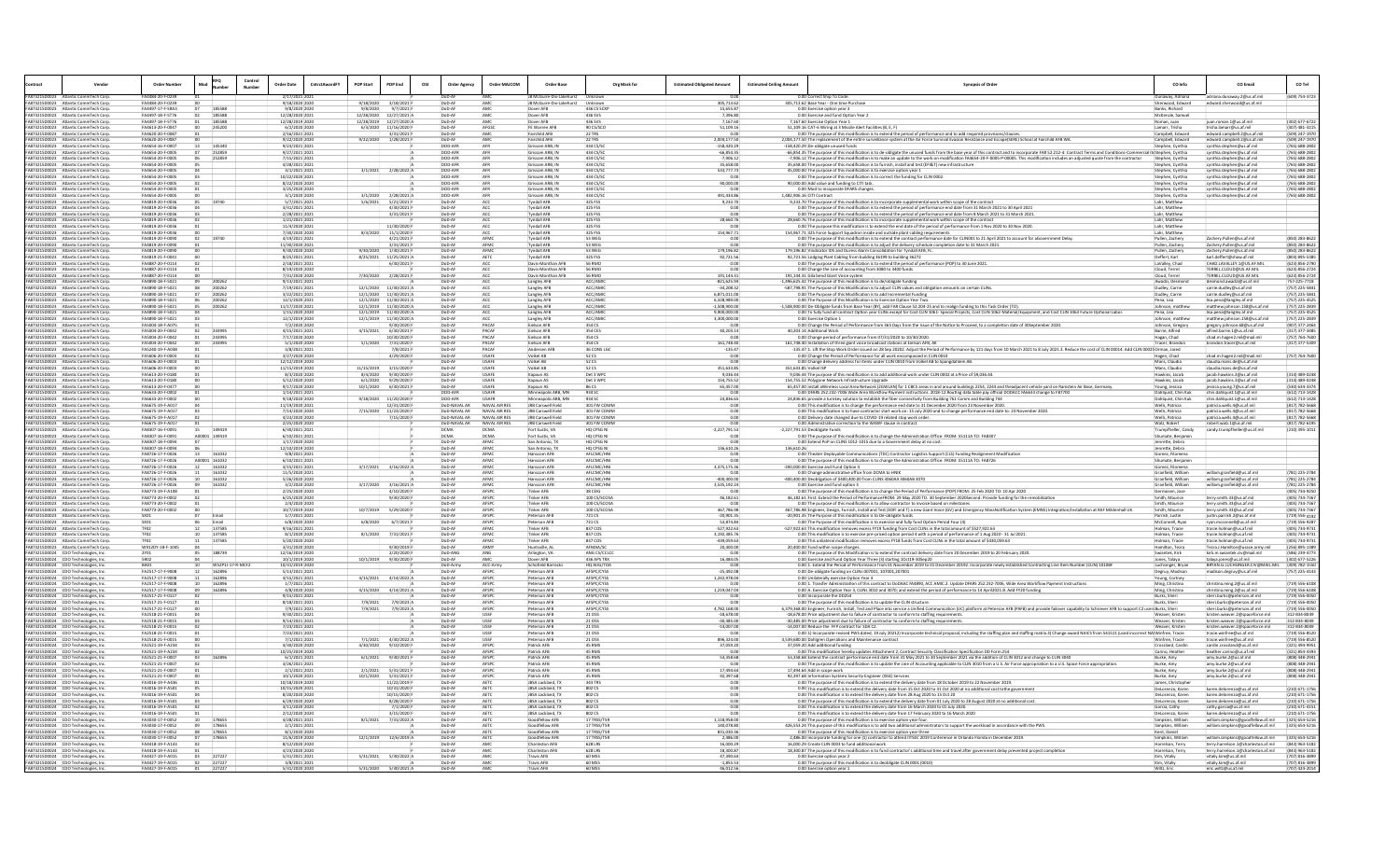|                      |                                                                                | <b>Order Numbe</b>                   | <b>RFQ</b><br>Mor | Control<br>Number | <b>Order Date</b>                 | CntrctAwardF | <b>POP Start</b>        | POP End                      | OSI | Order Agency                    | Order MAJCOM                   | <b>Order Base</b>                                                  | Org Mark for                 | <b>Estimated Obligated Amount</b> | <b>Estimated Ceiling Amount</b> | <b>Synopsis of Order</b>                                                                                                                                                                                                                                                                | CO Info                                  |                                                                  | CO Tel                                 |
|----------------------|--------------------------------------------------------------------------------|--------------------------------------|-------------------|-------------------|-----------------------------------|--------------|-------------------------|------------------------------|-----|---------------------------------|--------------------------------|--------------------------------------------------------------------|------------------------------|-----------------------------------|---------------------------------|-----------------------------------------------------------------------------------------------------------------------------------------------------------------------------------------------------------------------------------------------------------------------------------------|------------------------------------------|------------------------------------------------------------------|----------------------------------------|
|                      | FAR73215D0023 Atlantic CommTech Corp.<br>FA873215D0023 Atlantic CommTech Corp. | FA4484-20-F-0239<br>A4484-20-F-0239  |                   |                   | 2/17/2021 2021<br>9/18/2020 2020  |              | 9/18/2020               | 3/18/2021                    |     |                                 |                                | JB McGuire-Dix-Lakehurst Unknown<br><b>B McGuire-Dix-Lakehurst</b> |                              | 305.713.62                        |                                 | 0.00 Correct Ship To Code.<br>305.713.62 Base Year - One time Purchas                                                                                                                                                                                                                   | Dunaway, Adriana<br>Sherwood, Edward     | adriana.dunaway.2@us.af.mil<br>edward.sherwood@us.af.mil         | (609) 754-3723                         |
|                      | FAR73215D0023 Atlantic CommTech Corp                                           | FA4497-17-F-SRA3                     | 185588            |                   | 9/8/2020 2020                     |              | 9/8/2020                | $9/7/2021$ F                 |     | DoD-AF                          | AMA                            | lover AFR                                                          | 436 CS SCXP                  | 15,655.87                         |                                 | 0.00 Exercise option year 3                                                                                                                                                                                                                                                             | Banks, Richard                           |                                                                  |                                        |
|                      | FA873215D0023 Atlantic CommTech Corp                                           | FA4497-18-F-5T76                     | 185588            |                   | 12/28/2020 2021                   |              | 12/28/2020 12/27/2021 A |                              |     | DoD-AF                          | AM                             | Dover AFB                                                          | 436 SVS                      | 7,396.80                          |                                 | 0.00 Exercise and fund Option Year 2                                                                                                                                                                                                                                                    | McKenzie, Samue                          |                                                                  |                                        |
| <b>EAR73215D0023</b> | FA873215D0023 Atlantic CommTech Corp                                           | A4497-18-F-5T76<br>A4613-20-F-004    | 185588<br>245200  |                   | 12/28/2019 2020<br>6/2/2020 202   |              | 12/28/2019<br>6/3/2020  | 12/27/2020 A<br>11/16/2020   |     | DoD-AF<br>OoD-AF                |                                | Dover AFB<br>E Warren Al                                           | 436 SVS<br>90 CS/SC          | 7.167.60<br>51,109.1              |                                 | 7.167.60 Exercise Option Year 1<br>51,109.16 CAT-6 Wiring at 3 Missile Alert Facilities (B, E, F)                                                                                                                                                                                       | Roman, Juan<br>Lamarr, Trish             | juan.roman.1@us.af.mil<br>trisha.lamarr@us.af.mil                | (302) 677-672<br>307) 481-32           |
|                      | FA873215D0023 Atlantic CommTech Corp                                           | FA4620-20-F-0087                     |                   |                   | 2/16/2021 2021                    |              |                         | 3/31/2021 F                  |     | DoD-AF                          |                                | Fairchild AFB                                                      | <b>22 TRS</b>                | 000                               |                                 | 0.00 The purpose of this modification is to extend the period of performance and to add required provisions/clause                                                                                                                                                                      | Campbell, Edwar                          | edward.campbell.2@us.af.m                                        | (509) 247-197                          |
|                      | FA873215D0023 Atlantic CommTech Corp<br>EAR73215D0023 Atlantic CommTech Corr   | A4620-20-F-008<br>FA4654-16-F-0007   | 145340            |                   | 9/22/2020 2021<br>9/23/2021 2021  |              | 9/22/2020 1/28/2021 F   |                              |     | DoD-AF<br>DOD-AFR               | AFR                            | airchild AFE<br>Grissom ARB. IN                                    | 434 05/56                    | 2,004,177.50<br>$-15842029$       |                                 | 2,004,177.50 The replacement of the entire surveillance system at the Air Force Survival Evasion Resistance and Escape(SERE) School at Fairchild AFB WA<br>158,420.29 De-obligate unused funds                                                                                          | Campbell, Edwar<br>Stephen, Cynthi       | edward.campbell.2@us.af.m<br>ynthia.stephen@us.af.mil            | (509) 247-197<br>765) 688-280          |
|                      | FA873215D0023 Atlantic CommTech Corp                                           | FA4654-20-F-0005                     | 252859            |                   | 9/27/2021 2021                    |              |                         |                              |     | DOD-AFR                         | AFR                            | Grissom ARB, IN                                                    | 434 CS/S                     | $-66.854.35$                      |                                 | -66.854.35 The purpose of this modification is to de-obligate the unused funds from the base year of this contract and to incorporate FAR 52.212-4: Contract Terms and Conditions-Commercial IteStephen. Cynthia                                                                        |                                          | cynthia.stephen@us.af.mil                                        | 765) 688-280                           |
|                      | FA873215D0023 Atlantic CommTech Corp                                           | A4654-20-F-0005                      | 252859            |                   | 7/15/2021 2021                    |              |                         |                              |     | DOD-AFI                         |                                | Grissom ARB, IN                                                    | 434 CS/S                     | 7,906.1                           |                                 | 7,906.12 The purpose of this modification is to make an update to the work on modification FA4654-20-F-0005-P-00005. This modification includes an adjusted quote from the contractor                                                                                                   | Stephen, Cynthia                         | cynthia.stephen@us.af.mi                                         | 765) 688-280                           |
|                      | FA873215D0023 Atlantic CommTech Corp<br>FA873215D0023 Atlantic CommTech Corp   | A4654-20-F-0005<br>FA4654-20-F-0005  |                   |                   | 4/28/2021 202:<br>3/1/2021 2021   |              | 3/1/2021 2/28/2022 A    |                              |     | DOD-AFR<br>DOD-AFR              | AFR<br>AFR                     | irissom ARB, IN<br>Grissom ARB, IN                                 | 434 CS/S<br>434 CS/S         | 35,658.00<br>533,777.73           |                                 | 35,658.00 The purpose of this modification is to furnish, install and test (EFI&T) new infrastructure                                                                                                                                                                                   | itephen, Cynth<br>Stephen, Cynthia       | ynthia.stephen@us.af.mi<br>cynthia.stephen@us.af.mil             | (765) 688-280<br>(765) 688-280         |
| FA873215D0023        |                                                                                | A4654-20-F-000                       |                   |                   | 0/22/2020 202                     |              |                         |                              |     | OD-AF                           |                                | rissom ARB, I                                                      |                              |                                   |                                 | 45,000.00 The purpose of this modification is to exercise option year 1<br>0.00 The purpose of this modification is to correct the funding for CLIN 0002.                                                                                                                               | Stephen, Cynthi                          | ynthia.stephen@us.af.r                                           | 765) 688-280                           |
|                      | EAR73215D0023 Atlantic CommTech Corr                                           | FA4654-20-F-0005                     |                   |                   | 8/22/2020 2020                    |              |                         |                              |     | DOD-AFR                         | AFR                            | Grissom ARR IN                                                     | 434 05/56                    | 90,000.00                         |                                 | 90,000,00 Add value and funding to CITI task.                                                                                                                                                                                                                                           | Stephen, Cynthia                         | cynthia.stephen@us.af.mil                                        | 7651 688-2802                          |
|                      | FA873215D0023 Atlantic CommTech Corp<br>FA873215D0023 Atlantic CommTech Corp   | FA4654-20-F-0005<br>A4654-20-F-000   |                   |                   | 3/25/2020 2020<br>3/1/2020 2021   |              | 3/1/2020                | 2/28/2021                    |     | DOD-AFR<br>DOD-AFI              | AFR                            | Grissom ARB, IN<br>Grissom ARB, IN                                 | 434 CS/S                     | 0.00<br>491,434.8                 |                                 | 0.00 Mod to incoporate DFARS changes.<br>1,482,906.16 CITI Contract                                                                                                                                                                                                                     | Stephen, Cynthia<br>Stephen, Cynthia     | cynthia.stephen@us.af.mil<br>cynthia.stephen@us.af.mil           | (765) 688-280<br>(765) 688-2802        |
|                      | FA873215D0023 Atlantic CommTech Corp                                           | FA4819-20-F-0036                     | 19740             |                   | 5/7/2021 2021                     |              | 5/6/2021                | 5/21/2021                    |     | DoD-AF                          | ACC                            | Tyndall AFB                                                        | 325 FSS                      | 9,233.70                          |                                 | 9,233.70 The purpose of this modification is to incorporate supplemental work within scope of the contract                                                                                                                                                                              | Lahr, Matthew                            |                                                                  |                                        |
|                      | FA873215D0023 Atlantic CommTech Corp<br>FA873215D0023 Atlantic CommTech Corp   | FA4819-20-F-0036<br>FA4819-20-F-003  |                   |                   | 3/31/2021 2021<br>2/28/2021 202   |              |                         | 4/30/2021 F                  |     | DoD-AF<br>DoD-AF                |                                | Tyndall AFB<br>vndall AFE                                          | 325 FSS<br>325 FS            | 000                               |                                 | 0.00 The purpose of this modification is to extend the period of performance end date from 31 March 2021 to 30 April 2021<br>0.00 The purpose of this modification is to extend the period of performance end date from 8 March 2021 to 31 March 2021                                   | Lahr. Matthew<br>Lahr, Matthey           |                                                                  |                                        |
|                      | FA873215D0023 Atlantic CommTech Corp.                                          | FA4819-20-F-0036                     |                   |                   | 1/21/2021 2021                    |              |                         | 3/31/2021                    |     | DoD-AF                          | ACC                            | Tyndall AFB                                                        | 325 FSS                      | 28.660.76                         |                                 | 28.660.76 The purpose of this modification is to incorporate supplemental work within scope of the contract                                                                                                                                                                             | Lahr, Matthew                            |                                                                  |                                        |
|                      | FA873215D0023 Atlantic CommTech Corp                                           | FA4819-20-F-0036                     |                   |                   | 11/4/2020 2021                    |              |                         | 11/30/2020                   |     | DoD-AF                          | AC                             | yndall AFB                                                         | 325 FSS                      | 0.00                              |                                 | 0.00 The purpose this modification is to extend the end date of the period of performance from 1 Nov 2020 to 30 Nov 2020.                                                                                                                                                               | Lahr, Matthew                            |                                                                  |                                        |
|                      | FA873215D0023 Atlantic CommTech Corp<br>FA873215D0023 Atlantic CommTech Corp   | FA4819-20-F-003<br>FA4819-20-F-0090  | 19740             |                   | 7/30/2020 202<br>4/19/2021 2021   |              | 8/3/2020                | 11/1/2020<br>4/21/2021 8     |     | $D \cap D - \Delta F$<br>DoD-AF | <b>AFM</b>                     | yndall AFB<br>Tyndall AFB                                          | 325 FS<br>53 WFG             | 154,967.7<br>000                  |                                 | 154,967.71 325 Force Support Squadron inside and outside plant cabling requirements<br>0.00 The purpose of this modification is to extend the contract performance date for CLIN001 to 21 April 2021 to account for aGovernment Delay.                                                  | Lahr, Matthew<br>Pullen, Zachery         | Zachery.Pullen@us.af.mi                                          | 8501283-862                            |
|                      | FA873215D0023 Atlantic CommTech Corp                                           | FA4819-20-F-0090                     |                   |                   | 11/30/2020 2021                   |              |                         | 3/31/2021 F                  |     | DoD-AF                          | <b>AFM</b>                     | Tyndall AFB                                                        | 53 WEG                       | 0.00                              |                                 | 0.00 The purpose of this modification is to adjust the delivery schedule completion date to 31 March 2021.                                                                                                                                                                              | Pullen, Zachery                          | Zachery.Pullen@us.af.mi                                          | (850) 283-862                          |
|                      | FA873215D0023 Atlantic CommTech Cor                                            | FA4819-20-F-0090                     |                   |                   | 9/30/2020 2020                    |              | 9/30/2020               | 1/30/2021                    |     | DoD-AF                          | <b>AFM</b>                     | vndall AFB                                                         | 53 WFG                       | 179.196.82                        |                                 | 179,196.82 Vindicator IDS and Duress Alarm Consolidation for Tyndall AFB, FL.                                                                                                                                                                                                           | Pullen, Zachen                           | Zachery.Pullen@us.af.mil                                         | (850) 283-862                          |
|                      | FA873215D0023 Atlantic CommTech Corp.<br>FA873215D0023 Atlantic CommTech Corp  | FA4819-21-F-0041<br>A4887-20-F-0114  |                   |                   | 8/25/2021 2021<br>2/18/2021 2021  |              | 8/25/2021 11/25/2021 A  | 6/30/2021 F                  |     | DoD-AF<br>DoD-AF                | AETC<br>ACC                    | Tyndall AFB<br>avis-Monthan AF                                     | 325 FSS<br>56 RMC            | 92,721.56<br>0.01                 |                                 | 92.721.56 Lodging Plant Cabling from building 36199 to building 36272<br>0.00 The purpose of this modification is to extend the period of performance (POP) to 30 June 2021.                                                                                                            | Deffert, Karl<br>LaValley, Chad          | karl.deffert@shaw.af.mil<br>CHAD.LAVALLEY.1@US.AF.M              | (803) 895-5385<br>(623) 856-279        |
|                      | FA873215D0023 Atlantic CommTech Corp                                           | FA4887-20-F-0114                     |                   |                   | 8/19/2020 2020                    |              |                         |                              |     | DoD-AF                          | AC                             | Davis-Monthan AFE                                                  | S6 PM                        | 000                               |                                 | 0.00 Change the Line of accounting from 3080 to 3400 funds                                                                                                                                                                                                                              | Cloud, Terrel                            | TERREL.CLOUD@US.AF.MIL                                           | (623) 856-272                          |
|                      | FA873215D0023 Atlantic CommTech Corp<br>FA873215D0023 Atlantic CommTech Corp   | FA4887-20-F-0114                     | 200262            |                   | 7/31/2020 2020                    |              | 7/30/2020 2/28/2021 F   |                              |     | DoD-AF                          | ACC                            | Davis-Monthan AFB                                                  | 56 RMC                       | 191.144.31                        |                                 | 191,144.31 Gila bend Giant Voice system<br>1,496,625.42 The purpose of this modification is to de/obligate funding                                                                                                                                                                      | Cloud, Terrel                            | TERREL.CLOUD@US.AF.MIL                                           | (623) 856-2724<br>757-225-7718         |
|                      | EAR73215D0023 Atlantic CommTech Cor                                            | A4890-18-F-5021<br>FA4890-18-F-5021  | 200262            |                   | 9/13/2021 2021<br>7/19/2021 2021  |              | 12/1/2020 11/30/2021 4  |                              |     | DoD-AF<br>DoD-AF                | ACC<br>ACC                     | Langley AFB<br>angley AFB                                          | ACC/AMI<br>ACC/AMI           | $-821,625.94$<br>$-34,208,32$     |                                 | -587,798.91 The Purpose of this Modification is to adjust CLIN values and obligation amounts on certain CLINs.                                                                                                                                                                          | Awadzi, Desmono<br>Dudley Carrie         | desmond.awadzi@us.af.mil<br>carrie dudlev@us af mil              | 7571225-584                            |
|                      | FA873215D0023 Atlantic CommTech Corp                                           | FA4890-18-F-5021                     | 200262            |                   | 3/22/2021 2021                    |              | 12/1/2020 11/30/2021 A  |                              |     | DoD-AF                          | ACC                            | Langley AFB                                                        | ACC/AMI                      | 6.871.011.00                      |                                 | 0.00 The Purpose of this Modification is to add Incremental Funding                                                                                                                                                                                                                     | Dudley, Carrie                           | carrie.dudley@us.af.mil                                          | 757) 225-5841                          |
|                      | FA873215D0023 Atlantic CommTech Corp<br>FA873215D0023 Atlantic CommTech Corp   | A4890-18-F-5021<br>FA4890-18-F-5021  | 200262<br>200262  |                   | 12/1/2020 202:<br>11/17/2020 2021 |              | 12/1/2020<br>12/1/2019  | 11/30/2021 A<br>11/30/2020 4 |     | DoD-AF<br>DoD-AF                | ACC<br>AC                      | Langley AFB<br>Langley AFB                                         | ACC/AMI<br>ACC/AMI           | 6,328,989.0<br>1.508.900.00       |                                 | 0.00 The Purpose of this Modification is to Exercise Option Year Two<br>-1,508,900.00 De-Obligate funds from Base Year (BY), add FAR Clause 52.204-25 and to realign funding to this Task Order (TO).                                                                                   | Pena, Lisa                               | lisa.pena@langley.af.mi<br>matthew.johnson.158@us.af.n           | 757) 225-452<br>(757) 225-283          |
|                      | FA873215D0023 Atlantic CommTech Corp                                           | FA4890-18-F-5021                     |                   |                   | 1/15/2020 2020                    |              | 12/1/2019 11/30/2020 A  |                              |     | DoD-AF                          | ACC                            | Langley AFB                                                        | ACC/AMI                      | 9.900.000.00                      |                                 | 0.00 To fully fund all contract Option year CLINs except for Cost CLIN 1061- Special Projects, Cost CLIN 1062-Material/Equipment, and Cost CLIN 1063 Future Optional Labor.                                                                                                             | Pena, Lisa                               | lisa.pena@langley.af.mil                                         | 757) 225-4525                          |
|                      | FA873215D0023 Atlantic CommTech Corp.                                          | A4890-18-F-5021                      |                   |                   | 12/1/2019 2020                    |              | 12/1/2019               | 11/30/2020 A                 |     | DoD-AF                          | ACC                            | Langley AFB                                                        | ACC/AMI                      | 3,300,000.00                      |                                 | 0.00 Exercise Option 1                                                                                                                                                                                                                                                                  | Johnson, matther                         | matthew.johnson.158@us.af.m                                      | (757) 225-2839                         |
|                      | FA873215D0023 Atlantic CommTech Corp<br>FA873215D0023 Atlantic CommTech Corp   | FAS004-18-F-A07<br>FAS004-20-F-0042  | 243995            |                   | 7/2/2020 2021<br>4/15/2021 2021   |              | 4/15/2021               | 3/30/2020<br>6/30/2021       |     | DoD-AF<br>DoD-AF                | PACA<br>PACAF                  | ielson AF<br>Eielson AFB                                           | 354 CS<br>354 CES            | 40,203.14                         |                                 | 0.00 Change the Period of Performance from 365 Days from the Issue of the Notice to Proceed, to a completion date of 30September 2020.<br>40,203.14 Additional Work                                                                                                                     | Johnson, Gregory<br>Barrie, Alfred       | gregory.johnson.68@us.af.mil<br>alfred.barrie.1@us.af.mil        | (907) 377-246<br>(317) 377-3489        |
|                      | FA873215D0023 Atlantic CommTech Corp                                           | FAS004-20-F-0042                     | 243995            |                   | 7/17/2020 2021                    |              |                         | 10/30/2020                   |     | DoD-AF                          | PACAR                          | Eielson AFB                                                        | 354 CS                       |                                   |                                 | 0.00 Change period of performance from 07/31/2020 to 10/30/2020.                                                                                                                                                                                                                        | Hagan, Chad                              | chad.m.hagen2.mil@mail.mil                                       | 757) 764-760                           |
|                      | FA873215D0023 Atlantic CommTech Corp                                           | FA5004-20-F-0042                     | 243995            |                   | 5/1/2020 2020                     |              | 5/1/2020                | 7/31/2020 F                  |     | DoD-AF                          | <b>PACAR</b>                   | Eielson AFB                                                        | 354.05                       | 161,748.40                        |                                 | 161,748.40 Installation of three giant voice broadcast stations at Eielson AFB, AK                                                                                                                                                                                                      | Tracer, Brandor                          | $branchor.tracer@us.af.mil$                                      | (317) 377-5309                         |
|                      | FA873215D0023 Atlantic CommTech Corp<br>FA873215D0023 Atlantic CommTech Corp   | FAS240-19-F-A038<br>FAS606-20-F-0003 |                   |                   | 3/8/2021 2021<br>3/27/2020 2020   |              |                         | 7/8/2021 F<br>4/29/2020      |     | DoD-AF<br>DoD-AF                | PACAR<br>USAFE                 | Andersen AFB<br>Volkel AB                                          | 36 CONS LO<br>52 CS          | $-135.47$<br>0.00                 |                                 | -135.47 1. Lift the Stop Work Order issued on 28 Sep 20202. Adjust the Period of Performance by 121 days from 10 March 2021 to 8 July 2021.3. Reduce the cost of CLIN 00014. Add CLIN 00025 Orman, Jared<br>0.00 Change the Period of Performance for all work encompassed in CLIN 0010 | Hagen, Chad                              | chad.m.hagen2.mil@mail.mil                                       | (757) 764-7600                         |
|                      | FA873215D0023 Atlantic CommTech Corp                                           | FAS606-20-F-0003                     |                   |                   | 12/12/2019 2020                   |              |                         |                              |     | DoD-AF                          | USAFE                          | Volkel AB                                                          | 52 C                         | 0.00                              |                                 | 0.00 Change delivery address for items under CLIN 0010 from Volkel AB to Spangdahlem AB                                                                                                                                                                                                 | Mans, Claudia                            | claudia.mans.de@us.af.mil                                        |                                        |
|                      | FA873215D0023 Atlantic CommTech Corp.<br>FA873215D0023 Atlantic CommTech Corp  | FAS606-20-F-0003<br>FAS613-20-F-0180 |                   |                   | 11/15/2019 2020<br>8/3/2020 2020  |              | 11/15/2019<br>8/4/2020  | 3/15/2020<br>9/30/2020 F     |     | DoD-AF<br>DoD-AF                | USAFE<br>USAFE                 | Volkel AB<br>Kapaun AS                                             | 52 CS<br>Det 3 WP            | 351,633.85<br>9,036.44            |                                 | 351.633.85 Volkel ISP<br>9,036.44 The purpose of this modification is to add additional work under CLIN 0002 at a Price of \$9,036.44.                                                                                                                                                  | Mans, Claudia<br>Hawkins, Jacob          | claudia.mans.de@us.af.mil<br>jacob.hawkins.3@us.af.mi            | (314) 489-024                          |
|                      | FA873215D0023 Atlantic CommTech Corp                                           | FAS613-20-F-0180                     |                   |                   | 5/12/2020 2020                    |              | 6/1/2020                | 9/29/2020                    |     | DoD-AF                          | LISAFF                         | Kapaun AS                                                          | Det 3 WP                     | 154 755 52                        |                                 | 154,755.52 Polygone Network Infrastructure Upgrade                                                                                                                                                                                                                                      | Hawkins, Jacob                           | iacob.hawkins.3@us.af.mil                                        | 314) 489-024                           |
|                      | FA873215D0023 Atlantic CommTech Corp                                           | FAS613-20-F-0477                     |                   |                   | 9/17/2020 2020                    |              | 10/1/2020 6/30/2021     |                              |     | DoD-AF                          | USAFI                          | Kapaun AS                                                          |                              | 65,457.00                         |                                 | 65,457.00 install aWireless Local Area Network (2GWLAN) for 1 CBCS areas in and around buildings 2254, 2243 and theadjacent vehicle yard on Ramstein Air Base, Germany.                                                                                                                 | Young, Jessica                           | jessica.young.7@us.af.mi                                         | (530) 634-337                          |
|                      | FA873215D0023 Atlantic CommTech Corp<br>FA873215D0023 Atlantic CommTech Corp   | A6633-20-F-0002<br>FA6633-20-F-0002  |                   |                   | 1/14/2021 202:<br>9/18/2020 2020  |              | 9/18/2020 11/20/2020    |                              |     | DOD-AFR<br>DOD-AFR              | USAFF<br>LISAFR                | Minneapolis ARB, MM<br>finneapolis ARB, MN                         | 934 St<br>934.56             | 24,836.65                         |                                 | 0.00 DFARS 252.232-7006 Wide Area Workflow Payment instructions. 2018-12.Routing data table pay official DODACC FA6633 change to F87700<br>24,836.65 provide a turnkey solution to establish the fiber connectivity from Building 761 Comm and Building 744                             | Dahlquist, Chin K<br>Dahlquist, Chin Kuk | chin.dahlquist.1@us.af.mi<br>chin.dahlquist.1@us.af.mil          | (612) 713-142<br>(612) 713-1428        |
|                      | FA873215D0023 Atlantic CommTech Corp                                           | A6675-19-F-A01                       |                   |                   | 11/19/2020 202:                   |              |                         | 12/31/2020                   |     | DoD-NAVAL A                     | NAVAL AIR RES                  | <b>IRB Carswell Field</b>                                          | 301 FW COM                   | 0.01                              |                                 | 0.00 This modification is to change the performance end date to 31 December 2020 from 23 November 2020                                                                                                                                                                                  | Wells, Patricia                          | patricia.wells.4@us.af.mi                                        | 817) 782-5668                          |
|                      | FA873215D0023 Atlantic CommTech Cor                                            | FA6675-19-F-A017                     |                   |                   | 7/14/2020 2020                    |              | 7/15/2020 11/23/2020    |                              |     | DoD-NAVAL AR                    | NAVAL AIR RES                  | <b>JRB Carswell Field</b>                                          | 301 FW COMM                  | 000                               |                                 | 0.00 This modification is to have contractor start work on: 15 July 2020 and to change performance end date to: 23 November 2020.                                                                                                                                                       | Wells, Patricia                          | patricia.wells.4@us.af.mil                                       | (817) 782-5668                         |
|                      | FA873215D0023 Atlantic CommTech Corp.<br>FA873215D0023 Atlantic CommTech Corp  | FA6675-19-F-A017<br>A6675-19-F-A017  |                   |                   | 4/23/2020 2020<br>2/25/2020 2020  |              |                         | 7/15/2020 F                  |     | DoD-NAVAL AR<br>DoD-NAVAL AP    | NAVAL AIR RES<br>NAVAL AIR RES | <b>JRB Carswell Field</b><br><b>JRB Carswell Field</b>             | 301 FW COMM<br>301 FW COMI   | 0.00                              |                                 | 0.00 Delivery date changed due to COVID-19 related stop work order.<br>0.00 Administrative correction to the WAWF clause in contract.                                                                                                                                                   | Wells, Patricia<br>Walz, Robert          | patricia.wells.4@us.af.mil<br>obert.walz.1@us.af.mil             | (817) 782-5668<br>(817) 782-6195       |
|                      | FA873215D0023 Atlantic CommTech Corp                                           | FA8307-16-F-009:                     | 149419            |                   | 6/30/2021 202                     |              |                         |                              |     | <b>DCMA</b>                     |                                | ort Eustis, VA                                                     | HQ CPSG NI                   | $-2,227,791.53$                   |                                 | -2,227,791.53 Deobligate Funds                                                                                                                                                                                                                                                          | Trumpfheller, Cand                       | candy.trumpfheller@us.af.m                                       | $(210)$ 395-101                        |
|                      | EAR73215D0023 Atlantic CommTech Corr<br>FA873215D0023 Atlantic CommTech Corp   | FA8307-16-F-0091<br>A8307-18-F-009   | A00001 149419     |                   | 6/10/2021 2021<br>1/17/2020 2021  |              |                         |                              |     | DCMA                            | <b>DCMA</b>                    | Fort Eustis, VA<br>an Antonio, TX                                  | HO CPSG NI<br>HQ CPSG N      | 000                               |                                 | 0.00 The purpose of this modification is to change the Administration Office: FROM: S5111A TO: FA8307<br>0.00 Extend PoP on CLINS 1012-1015 due to a Government delay at no cost.                                                                                                       | Shumate Reniami<br>Jenrette, Debra       |                                                                  |                                        |
|                      | FA873215D0023 Atlantic CommTech Cor                                            | FA8307-18-F-0094                     |                   |                   | 12/10/2019 2020                   |              |                         |                              |     | DoD-AF                          | AFMO                           | San Antonio, TX                                                    | HO CPSG NI                   | 136,610.26                        | 35.013.351                      |                                                                                                                                                                                                                                                                                         | Jenrette, Debra                          |                                                                  |                                        |
|                      | FA873215D0023 Atlantic CommTech Corp                                           | FA8726-17-F-0026                     | 161032<br>13      |                   | 9/8/2021 2021                     |              |                         |                              |     | DoD-AF                          | AFMC                           | Hanscom AFB                                                        | AFLCMC/HN                    | 000                               |                                 | 0.00 Theater Deployable Communications (TDC) Contractor Logistics Support (CLS) Funding Realignment Modification                                                                                                                                                                        | Gomez, Filomena                          |                                                                  |                                        |
|                      | FAB73215D0023 Atlantic CommTech Corp<br>FA873215D0023 Atlantic CommTech Corp   | A8726-17-F-0026<br>FA8726-17-F-0026  | 161032<br>161032  |                   | 6/10/2021 2021<br>3/15/2021 202   |              | 3/17/2021 3/16/2022 A   |                              |     | DoD-AF                          | AFM<br>AFM                     | Hanscom AFE<br>Hanscom AFI                                         | AFLCMC/HI<br>AFLCMC/HI       | 3,375,175.36                      |                                 | 0.00 The purpose of this modification is to change the Administration Office: FROM: S5111A TO: FA8726<br>200,000.00 Exercise and Fund Option 4                                                                                                                                          | Shumate, Benjami<br>Gomez, Filomena      |                                                                  |                                        |
|                      | FA873215D0023 Atlantic CommTech Corp                                           | FA8726-17-F-0026                     | 161032            |                   | 11/5/2020 2021                    |              |                         |                              |     | DoD-AF                          | AFM                            | Hanscom AFB                                                        | AFLCMC/HN                    |                                   |                                 | 0.00 Change administrative office from DCMA to HNIK                                                                                                                                                                                                                                     | Granfield, William                       | william.granfield@us.af.m                                        | 781) 225-278                           |
|                      | FA873215D0023 Atlantic CommTech Corp<br>EAR73215D0023 Atlantic CommTech Cor    | FA8726-17-F-0026<br>FA8726-17-F-0026 | 161032<br>161032  |                   | 5/26/2020 2020<br>3/2/2020 2020   |              | 3/17/2020               | 3/16/2021A                   |     | DoD-AF<br>DoD-AF                | AFM<br><b>AFM</b>              | Hanscom AFB<br>lanscom AFB                                         | AFLCMC/HN<br>AFLCMC/HN       | $-400,400.00$<br>3.535.192.24     |                                 | 400,400.00 Deobligation of \$400,400.00 from CLINS 3050AA 3050AB 3070<br>0.00 Exercise and fund option 3                                                                                                                                                                                | Granfield, William<br>Granfield, William | william.granfield@us.af.mi                                       | (781) 225-2784<br>7811225-278          |
|                      | FA873215D0023 Atlantic CommTech Corp                                           | FA8773-19-F-A108                     |                   |                   | 2/25/2020 2020                    |              |                         | 4/10/2020 F                  |     | DoD-AF                          | AFSPO                          | Tinker AFB                                                         | 38 CEIG                      | 000                               |                                 | 0.00 The purpose of this modification is to change the Period of Performance (POP) FROM: 25 Feb 2020 TO: 10 Apr 2020                                                                                                                                                                    | Germosen, Jose                           | william.granfield@us.af.mil                                      | (405) 734-9250                         |
|                      | FA873215D0023 Atlantic CommTech Corp                                           | A8773-20-F-0002                      |                   |                   | 6/25/2020 2021                    |              |                         | 9/30/2020                    |     |                                 | AFSI                           | inker AFE                                                          | 100 CS/SCOS                  | 46,182.61                         |                                 | 46,182.61 First: Extend the Period of PerformanceFROM: 29 May 2020 TO: 30 September 2020Second: Provide funding for the remobilization                                                                                                                                                  | Smith, Maurice                           | terry.smith.33@us.af.mi                                          | (405) 734-736                          |
|                      | FA873215D0023 Atlantic CommTech Corp<br>FA873215D0023 Atlantic CommTech Corp   | FA8773-20-F-0002<br>FA8773-20-F-0002 |                   |                   | 2/4/2020 2021<br>10/7/2019 2020   |              | 10/7/2019 5/29/2020     |                              |     | $00 - 45$<br>DoD-AF             | AFS<br>AFSP                    | Tinker AFF<br><b>Tinker AFB</b>                                    | 100 CS/SCOSA<br>100 CS/SCOSA | 467,786.98                        |                                 | $0.00$ The purpose of this modification is to allow contractor to invoice based on milestones                                                                                                                                                                                           | mith, Maurice<br>Smith, Maurice          | terry.smith.33@us.af.mi<br>terry.smith.33@us.af.mil              | (405) 734-736<br>(405) 734-736         |
|                      | FAB73215D0023 Atlantic CommTech Corp.                                          | SX01                                 | Email             |                   | 1/7/2021 2021                     |              |                         |                              |     | DoD-AF                          | AFSP                           | Peterson AFE                                                       | 721 CS                       | $-20,901.35$                      |                                 | 467,786.98 Engineer, Design, Furnish, Install and Test (EDFI and T) a new Giant Voice (GV) and Emergency MassNotification System (EMNS) Integration/Installation at RAF Mildenhall UK.<br>-20,901.35 The Purpose of this modification is to De-obligate funds                           | Parrish, Justin                          | justin.parrish.2@us.af.mi                                        | 719) 556-419                           |
|                      | EA873215D0023 Atlantic CommTech Corr                                           | cyn1                                 | Fmail             |                   | 6/8/2020 2020                     |              | 6/8/2020                | 6/7/2021                     |     | DoD-AF                          | AFSP                           | Peterson AFF                                                       | 721.05                       | 53,874.84                         |                                 | 0.00 The Purpose of this modification is to exercise and fully fund Option Period Four (4)                                                                                                                                                                                              | McConnell Rya                            | rvan mrconnell@us af m                                           | 7191556-928                            |
|                      | FA873215D0023 Atlantic CommTech Corp<br>FA873215D0023 Atlantic CommTech Corp   |                                      | 137585<br>13758   |                   | 9/16/2021 2021<br>8/1/2020 2020   |              | 8/1/2020 7/31/2021      |                              |     | DoD-AF<br>DoD-AF                | <b>AFM</b><br>AFM              | Tinker AFB<br>Tinker AFE                                           | 837 COS<br>837 COS           | $-527,922.63$<br>3,192,385.7      |                                 | 527,922.63 This modification removes excess FY19 funding from Cost CLINs in the total amount of \$527,922.63<br>0.00 This modification is to exercise pre-priced option period 4 with a period of performance of 1 Aug 2020 - 31 Jul 2021.                                              | Holman, Tracie<br>Holman, Tracie         | tracie.holman@us.af.mil<br>tracie.holman@us.af.mil               | (405) 734-973<br>(405) 734-973         |
|                      | FAB73215D0023 Atlantic CommTech Corp                                           |                                      | 137585            |                   | 5/20/2020 2020                    |              |                         |                              |     | DoD-AF                          | <b>AFM</b>                     | <b>Tinker AFB</b>                                                  | 837 00*                      | -439.059.63                       |                                 | 0.00 This unliateral modification removes excess FY18 funds from Cost CLINs in the total amount of \$430,059.63                                                                                                                                                                         | Holman, Tracie                           | tracie.holman@us.af.mil                                          | (405) 734-9731<br>(256) 895-1389       |
|                      | FA873215D0023 Atlantic CommTech Corp                                           | W912DY-18-F-1045                     | 188739            |                   | 3/31/2020 2020                    |              |                         | 9/30/2019                    |     | DoD-AF                          | ARM                            | Huntsville, A                                                      | AFMAA/S                      | 20,400.00                         |                                 | 20,400.00 Fund within scope changes.<br>0.00 The purpose of this Modification is to extend the contract delivery date from 20 December 2019 to 20 February 2020.                                                                                                                        | Hamilton, Tezra                          | Tezra.J.Hamilton@usace.army.mil                                  | (586) 239-47                           |
|                      | FA873215D0024 CDO Technologies, Inc.<br>FA873215D0024 CDO Technologies, Inc    | <b>SR02</b>                          |                   |                   | 12/16/2019 2020<br>10/1/2019 2020 |              | 10/1/2019               | 2/20/2020<br>9/30/2020 F     |     | DoD-ANG<br>DoD-AF               | ANG<br>AMO                     | Arlington, V<br>over AFB                                           | ANG CS/CCLC<br>436 APS TRX   | 16,484.05                         |                                 |                                                                                                                                                                                                                                                                                         | Swiantek, Kirk<br>Jones, Talaya          | kirk.m.swiantek.civ@mail.mil<br>talava.iones@us.af.mil           | 3021 677-5226                          |
|                      | FA873215D0024 CDO Technologies, Inc.                                           |                                      | WS2P1J-17-R-MCF   |                   | 10/31/2019 2020                   |              |                         |                              |     | DoD-Army                        | ACC-Arm                        | <b>Schofield Barrack</b>                                           | HQ AUG/TDA                   | 0.00                              |                                 | 0.00 Exercise and Fund Option Year Three (3) starting 10ct19-30Sep20<br>0.00 1. Extend the Period of Performance from 01 November 2019 to 01 December 20192. Incorporate newly established Contracting Line Item Number (CLIN) 10                                                       | Luchsinger, Brya                         | BRYAN.G.LUCHSINGER.CIV@MAIL.MIL                                  | (309) 782-155                          |
|                      | FA873215D0024 CDO Technologies, In<br>FA873215D0024 CDO Technologies, Inc      | FA2517-17-F-9008<br>FA2517-17-F-9008 | 162896<br>162896  |                   | 5/13/2021 2021<br>4/15/2021 2021  |              | 4/15/2021 4/14/2022 A   |                              |     | DoD-AF<br>DoD-AF                | AFSPO<br>AFSP                  | eterson AFB<br>Peterson AFB                                        | AFSPC/CYSS<br>AFSPC/CYSS     | $-25.492.08$<br>1,242,978.04      |                                 | 0.00 De-obligate funding on CLINs 007001, 107001, 207001<br>0.00 Unilaterally exercise Option Year 4                                                                                                                                                                                    | Degruy, Madiso                           | nadison.degruy@us.af.mil                                         | (757) 225-414                          |
|                      | FA873215D0024 CDO Technologies, Inc                                            | FA2517-17-F-9008                     | 162896            |                   | 1/7/2021 2021                     |              |                         |                              |     | DoD-AF                          | AFSP                           | Peterson AFE                                                       | AFSPC/CYS                    |                                   |                                 | 0.00 1. Transfer Administration of this contract to DoDAAC FA4890, ACC AMIC.2. Update DFARS 252.232-7006, Wide Area Workflow Payment Instructions                                                                                                                                       | Young, Cortney<br>Ming, Christina        | christina.ming.2@us.af.mil                                       | 719) 556-610                           |
|                      | FA873215D0024 CDO Technologies, In                                             | FA2517-17-F-900                      | 162896            |                   | 4/8/2020 202                      |              | 4/15/2020               | $4/14/2021$ A                |     |                                 |                                | Peterson AF                                                        | AFSPC/CYS                    | 1,219,047.0                       |                                 | 0.00 A. Exercise Option Year 3, CLINs 3010 and 3070; and extend the period of performance to 14 April2021.B. Add FY20 funding                                                                                                                                                           | Ming, Christina                          | christina.ming.2@us.af.mil                                       | 719) 556-610                           |
|                      | FA873215D0024 CDO Technologies, Inc.<br>FA873215D0024 CDO Technologies, Inc    | FA2517-21-F-0127<br>FA2517-21-F-012  |                   |                   | 9/15/2021 2021<br>8/18/2021 2021  |              | 7/9/2021                | 7/9/2023 A                   |     | DoD-AF<br>DoD-AF                | AFSPO<br>AFSP                  | Peterson AFE<br>eterson AFB                                        | AFSPC/CYSS<br>AFSPC/CYS      | 000                               |                                 | 0.00 Incorporate the DD254<br>0.00 The purpose of this modification is to update the CLIN structure                                                                                                                                                                                     | Burks, Sheri<br>Burks, Sheri             | sheri.burks@peterson.af.mil<br>sheri.burks@peterson.af.m         | 719) 556-0050<br>719) 556-005          |
|                      | FA873215D0024 CDO Technologies, Inc                                            | EA2517-21-E-0121                     |                   |                   | 7/9/2021 202:                     |              | 7/9/2021                | 7/9/2023 A                   |     | DoD-AF                          | <b>AFSPO</b>                   | Peterson AFE                                                       | AFSPC/CYSS                   | 4.782.168.00                      |                                 | 6,379,368.00 Engineer, Furnish, Install, Test and Place into service a Unified Communication (UC) platform at Peterson AFB (PAFB) and provide failover capability to Schriever AFB to support C2 users Burks, Sheri                                                                     |                                          | sheri.burks@peterson.af.mil                                      | 719) 556-0050                          |
|                      | FA873215D0024 CDO Technologies, Inc                                            | FA2518-21-F-0015                     |                   |                   | 9/30/2021 2021                    |              |                         |                              |     | DoD-AF                          | USSI                           | Peterson AFB                                                       | 21 OSS                       | $-18.678.00$                      |                                 | -18,678.00 Price adjustment due to failure of contractor to conform to staffing requirements.                                                                                                                                                                                           | Weaver, Krister                          | kristen.weaver.2@spaceforce.mil                                  | 312-834-8049                           |
|                      | FA873215D0024 CDO Technologies, Inc<br>FA873215D0024 CDO Technologies, In      | FA2518-21-F-0015<br>FA2518-21-F-001  |                   |                   | 9/14/2021 2021<br>7/23/2021 202   |              |                         |                              |     | DoD-AF<br>0.0.45                | USSI<br>USSI                   | Peterson AFE<br>eterson AF                                         | 21 OSS<br>21.03              | 30,485.00<br>$-14,007.0$          |                                 | -30,485.00 Price adjustment due to failure of contractor to conform to staffing requirements.<br>-14,007.00 Reduce the FFP contract for SDA C2                                                                                                                                          | Weaver, Krister                          | kristen.weaver.2@spaceforce.mil<br>kristen.weaver.2@spaceforce.n | 312-834-804<br>312-834-8049            |
|                      | FA873215D0024 CDO Technologies, Inc                                            | FA2518-21-F-0015                     |                   |                   | 7/23/2021 2021                    |              |                         |                              |     | DoD-AF                          | LISSE                          | Peterson AFR                                                       | 21.059                       | 000                               |                                 | 0.00 1) Incorporate revised PWS dated, 19 July 20212) Incorporate technical proposal, including the staffing plan and staffing matrix.3) Change award NAICS from 541511 (used incorrect NAIWinfree, Tracie                                                                              |                                          | tracie winfree@us af mil                                         | 719) 556-8520                          |
| FA873215D0024        | CDO Technologies, In<br>FAB73215D0024 CDO Technologies, Inc                    | A2518-21-F-001<br>FA2521-19-F-A234   |                   |                   | 7/1/2021 202:<br>4/30/2020 2020   |              | 7/1/2021<br>4/30/2020   | 4/30/2022<br>9/10/2020 F     |     | DoD-AF                          | AFSPO                          | eterson AF<br>Patrick AFR                                          | 21 OS<br>45 RMS              | 896,324.00<br>37,059.20           |                                 | 4,539,680.00 Dahlgren Operations and Maintenance contract                                                                                                                                                                                                                               | Winfree, Tracie<br>Crossland, Cardin     | tracie.winfree@us.af.mi<br>cardin.crossland@us.af.mil            | 719) 556-852<br>(321) 494-995          |
|                      | FA873215D0024 CDO Technologies, Inc                                            | FA2521-19-F-A234                     |                   |                   | 10/25/2019 2020                   |              |                         |                              |     | DoD-AF                          | <b>AFSPO</b>                   | Patrick AFB                                                        | 45 RMS                       | 000                               |                                 | 37,059.20 Add additional funding<br>0.00 This modification hereby updates Attachment 2, Contract Security Classification Specification DD Form 254                                                                                                                                      | Carino, Heather                          | heather.carino@us.af.mil                                         | 321) 854-4393                          |
|                      | FA873215D0024 CDO Technologies, Inc                                            | A2521-21-F-0007                      | 162896            |                   | 6/1/2021 2021                     |              | 6/1/2021                | 9/30/2021                    |     | DoD-AF                          | AFSP                           | Patrick AFB                                                        | 45 RM                        | 53.358.68                         |                                 | 53,358.68 Extend the contract performance end date from 31 May 2021 to 30 September 2021 via the addition of CLIN 3012 and change to CLIN 3040                                                                                                                                          | Burke, Amy                               | amy.burke.2@us.af.mil                                            | (808) 448-294                          |
|                      | FA873215D0024 CDO Technologies, In<br>FA873215D0024 CDO Technologies, Inc      | FA2521-21-F-0007<br>FA2521-21-F-0007 |                   |                   | 3/26/2021 202<br>2/1/2021 2021    |              | 2/1/2021                | 5/31/2021                    |     | DoD-AP<br>DoD-AF                | AFSI<br>AFSP                   | Patrick AFB<br>Patrick AFB                                         | 45 <sub>RM</sub><br>45 RMS   | 17,494.64                         |                                 | 0.00 The purpose of this modification is to update the Line of Accounting applicable to CLIN 3010 from a U.S. Air Force appropriation to a U.S. Space Force appropriation.<br>17.494.64 Add in scope work                                                                               | Burke, Amy<br>Burke, Amy                 | amy.burke.2@us.af.mi<br>amy.burke.2@us.af.mil                    | 808) 448-294<br>(808) 448-294          |
|                      | FA873215D0024 CDO Technologies, In                                             | A2521-21-F-000                       |                   |                   | 10/1/2020 202:                    |              | 10/1/2020               | 5/31/2021                    |     | OoD-AF                          | AFSI                           | Patrick AFB                                                        | 45 RM                        | 92,397.68                         |                                 | 2,397.68 Information Systems Security Engineer (ISSE) Services                                                                                                                                                                                                                          | Burke, Amy                               | amy.burke.2@us.af.mi                                             | 808) 448-294                           |
|                      | FA873215D0024 CDO Technologies, Inc                                            | FA3016-19-F-A436                     |                   |                   | 10/18/2019 2020                   |              |                         | 11/22/2019 F                 |     | DoD-AF                          | AFTO                           | <b>IRSA Lackland TX</b>                                            | 343 TRS                      | 000                               |                                 | 0.00 The purpose of this modification is to extend the delivery date from 18 October 2019 to 22 November 2019.                                                                                                                                                                          | James, Christoph                         |                                                                  |                                        |
|                      | FA873215D0024 CDO Technologies, Inc<br>FA873215D0024 CDO Technologies, Inc.    | FA3016-19-F-A501<br>A3016-19-F-A50   |                   |                   | 10/15/2020 2021<br>8/20/2020 2021 |              |                         | 10/31/2020 F<br>10/15/2020   |     | DoD-AF<br>DoD-AF                | AET<br>AET                     | JBSA Lackland, TX<br>JBSA Lackland, TX                             | 802 CS<br>802 CS             | 000                               |                                 | 0.00 This modification is to extend the delivery date from 15 Oct 2020 to 31 Oct 2020 at no additional cost tothe government<br>0.00 This modification is to extend the delivery date from 28 Aug 2020 to 15 Oct 20                                                                     | DeLorenzo, Karen<br>DeLorenzo, Karer     | karen.delorenzo@us.af.mi<br>karen.delorenzo@us.af.mi             | $(210) 671 - 175$<br>$(210) 671 - 175$ |
|                      | FAB73215D0024 CDO Technologies, In                                             | FA3016-19-F-AS0:                     |                   |                   | 6/29/2020 2021                    |              |                         | 8/28/2020                    |     | DoD-AF                          | AET                            | <b>BSA Lackland</b> , T.                                           | 802 C                        |                                   |                                 | 0.00 The purpose of this modification is to extend the delivery date from 01 July 2020 to 28 August 2020 at no additional cost.                                                                                                                                                         | DeLorenzo, Karer                         | karen.delorenzo@us.af.mi                                         | (210) 671-175                          |
|                      | FA873215D0024 CDO Technologies, Inc<br>FA873215D0024 CDO Technologies, In      | FA3016-19-F-A501<br>FA3016-19-F-AS0  |                   |                   | 3/11/2020 2020<br>2/12/2020 202   |              |                         | 7/1/2020 F<br>3/15/2020      |     | DoD-AF<br>DoD-AF                | <b>AET</b><br>AET              | JBSA Lackland, TX<br><b>BSA Lackland</b> , T.                      | 802 CS<br>802 <sup>o</sup>   |                                   |                                 | 0.00 This modification is to extend the delivery date from 16 March 2020 to 01 July 2020.<br>0.00 This modification is to extend the delivery date from 17 February 2020 to 16 March 2020                                                                                               | Garcia, Cathy<br>DeLorenzo, Kare         | cathy.garcia@us.af.mil<br>caren.delorenzo@us.af.mi               | (210) 671-4151<br>(210) 671-175        |
|                      | FAB73215D0024 CDO Technologies, Inc                                            | FA3030-17-F-0052                     | 178655            |                   | 4/28/2021 2021                    |              | 8/1/2021                | 7/31/2022 A                  |     | DoD-AF                          | AFT                            | <b>Goodfellow AFR</b>                                              | 17 TRSS/TS                   | 1 118 958 00                      |                                 | 0.00 The purpose of this modification is to exercise option year four.                                                                                                                                                                                                                  | Simpkins, William                        | william.simpkins@goodfellow.af.mil                               | (325) 654-521                          |
|                      | FA873215D0024 CDO Technologies, Inc                                            | FA3030-17-F-0052                     | 178655            |                   | 2/1/2021 2021                     |              |                         |                              |     | DoD-AF                          | AET                            | Goodfellow AFB                                                     | 17 TRSS/TSF                  | 140,078.80                        |                                 | 426,553.24 This purpose of this modification is to add two additional administrators to support the workload in accordance with the PWS.                                                                                                                                                | Simpkins, William                        | william.simpkins@goodfellow.af.mil                               | (325) 654-5216                         |
|                      | FAB73215D0024 CDO Technologies, Inc<br>FAB73215D0024 CDO Technologies, Inc     | FA3030-17-F-0052<br>FA3030-17-F-0052 | 178655<br>178655  |                   | 8/1/2020 2021<br>11/6/2019 2020   |              | 12/1/2019 12/6/2019 A   |                              |     | DoD-AF<br>DoD-AF                | AET<br>AFT                     | oodfellow AFE<br>oodfellow AFE                                     | 17 TRSS/TS<br>17 TRSS/TS     | 831,030.36<br>2,486.00            |                                 | 0.00 The purpose of this modification is to exercise option year three<br>2,486.00 incorporate funding for one (1) contractor to attend IITSEC 2019 Conference in Orlando Florida in December 2019.                                                                                     | Kent, Daniel<br>Simpkins, William        | william.simpkins@goodfellow.af.mil                               | (325) 654-521                          |
|                      | FA873215D0024 CDO Technologies, Inc                                            | FA4418-19-F-A143                     |                   |                   | 8/12/2020 2020                    |              |                         |                              |     | DoD-AF                          |                                | Charleston AFB                                                     | 628 LBS                      | 16,000.29                         |                                 | 16,000.29 Create CLIN 0003 to fund additional work                                                                                                                                                                                                                                      | Harrelson, Terry                         | terry.harrelson.1@charleston.af.mil                              | (843) 963-5182                         |
|                      | FAB73215D0024 CDO Technologies, In                                             | FA4418-19-F-A143                     | 227227            |                   | 4/23/2020 2021                    |              |                         |                              |     | DoD-AP                          |                                | harleston AFE                                                      | 628 LRS                      | 18,300.87                         |                                 | 18,300.87 The purpose of this modification is to fund contractor's additional time and travel after government delay prevented project completion                                                                                                                                       | Harrelson, Terr                          | terry.harrelson.1@charleston.af.mil                              | (843) 963-5182                         |
|                      | FA873215D0024 CDO Technologies, Inc.<br>FA873215D0024 CDO Technologies, Inc.   | FA4427-19-F-A015<br>FA4427-19-F-A015 | 227227            |                   | 5/31/2021 2021<br>3/8/2021 202:   |              | 5/31/2021 5/30/2022 A   |                              |     | DoD-AF                          |                                | Travis AFB<br>ravis AFB                                            | 60 MSS<br>60 MS              | 47,390.64<br>$-1.855.53$          |                                 | 0.00 Exercise option year 2<br>0.00 The purpose of this modification is to deobligate CLIN 0001 (0010)                                                                                                                                                                                  | Kim, Vitaliv<br>Kim, Vitaliv             | vitaliv.kim@us.af.mil<br>vitaliy.kim@us.af.mil                   | 707) 816-3899<br>707) 816-3899         |
|                      | FA873215D0024 CDO Technologies, Inc.                                           | FA4427-19-F-A015                     | 227227            |                   | 5/31/2020 2020                    |              | 5/31/2020 5/30/2021 A   |                              |     |                                 |                                | Travis AFB                                                         | 60 MS                        | 46.012.5                          |                                 | 0.00 Exercise option year 1                                                                                                                                                                                                                                                             | Wiltz, Eric                              | eric.wiltz@us.af.mil                                             | (707) 424-2014                         |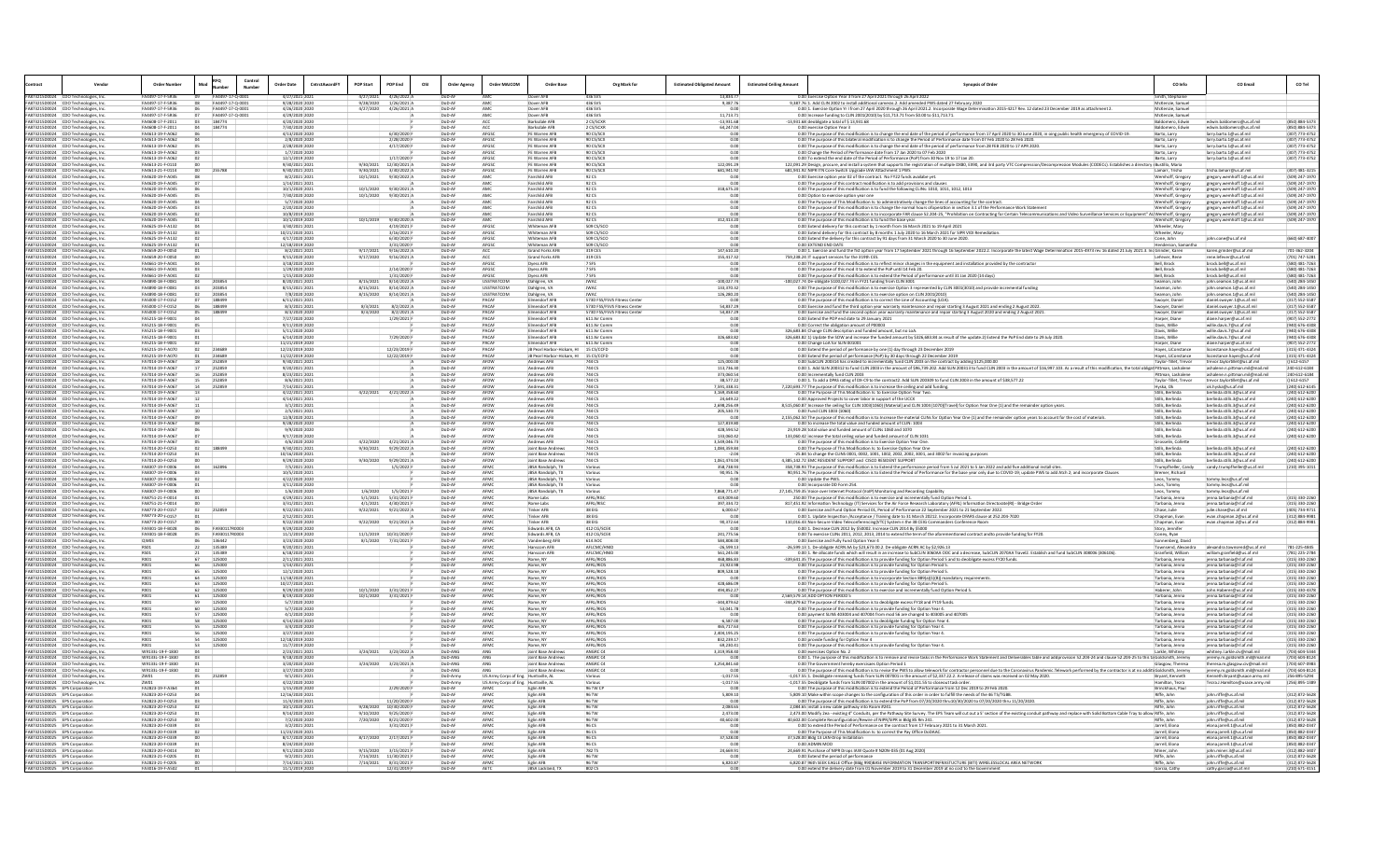|                                                                |                                                                             | <b>Order Numbe</b>                          |                  | Control<br>Number | Order Date<br>CntrctAwardF         | <b>POP Start</b>       | POP End                                      | OSI<br><b>Order Agenc</b>        | Order MAJCOM                        | Order Base                                              | Org Mark for                 | <b>Estimated Obligated Amount</b> | <b>Estimated Ceiling Amoun</b> | Synopsis of Ord                                                                                                                                                                                                                                                                                                                                         | CO Info                                   | CO Emai                                                        |                                    |
|----------------------------------------------------------------|-----------------------------------------------------------------------------|---------------------------------------------|------------------|-------------------|------------------------------------|------------------------|----------------------------------------------|----------------------------------|-------------------------------------|---------------------------------------------------------|------------------------------|-----------------------------------|--------------------------------|---------------------------------------------------------------------------------------------------------------------------------------------------------------------------------------------------------------------------------------------------------------------------------------------------------------------------------------------------------|-------------------------------------------|----------------------------------------------------------------|------------------------------------|
| FA873215D002                                                   | CDO Technologies, In-<br>FAB73215D0024 CDO Technologies, In                 | FA4497-17-F-5R36                            | FA4497-17-Q-000  |                   | 9/28/2020 2020                     | 9/28/2020              | 1/26/2021                                    | DoD-AF                           |                                     | over AFB                                                | 436 SVS                      | 9,387.76                          |                                | 00 Exercise Option Year 3 from 27 April 2021 through 26 April 202.<br>9,387.76 1. Add CLIN 2002 to install additional cameras.2. Add amended PWS dated 27 February 2020                                                                                                                                                                                 | McKenzie, Samur                           |                                                                |                                    |
|                                                                | FAB73215D0024 CDO Technologies, Inc                                         | FA4497-17-F-5836                            | FA4497-17-0-0001 |                   | 4/26/2020 2020                     |                        | $4/27/2020$ $4/26/2021$ $4$                  | $D \cap D - \Delta F$            | AMA                                 | Dover AFR                                               | 436 SVS                      | 000                               |                                | 0.00 1. Exercise Option Yr I from 27 April 2020 through 26 April 2021.2. Incorporate Wage Determination 2015-4217 Rev. 12 dated 23 December 2019 as attachment 2.                                                                                                                                                                                       | McKenzie Samue                            |                                                                |                                    |
|                                                                | FA873215D0024 CDO Technologies, Inc                                         | FA4497-17-F-5R36                            | FA4497-17-Q-0001 |                   | 4/29/2020 2020                     |                        |                                              | DoD-AF                           |                                     | Oover AFB                                               | 436 SV                       | 11.713.7                          |                                | 0.00 Increase funding to CLIN 2001(2010) by \$11,713.71 from \$0.00 to \$11,713.71.                                                                                                                                                                                                                                                                     | McKenzie, Samue                           |                                                                |                                    |
|                                                                | FA873215D0024 CDO Technologies, In<br>FA873215D0024 CDO Technologies, In    | FA4608-17-F-2011<br>FA4608-17-F-2011        | 184774<br>184774 |                   | 4/20/2020 202<br>7/30/2020 2020    |                        |                                              | $\ln 0$<br>$D \cap D - \Delta F$ |                                     | Barksdale AFI<br><b>Barksdale AFB</b>                   | 2 CS/SCX<br>205/500          | 13,931.6<br>64,247.04             |                                | -13,931.68 deobligate a total of \$ 13,931.68<br>0.00 exercise Option Year 3                                                                                                                                                                                                                                                                            | Baldomero, Edwin<br>Baldomero, Edwin      | edwin.baldomero@us.af.mi<br>edwin.baldomero@us.af.mil          | (850) 884-537<br>(850) 884-537     |
|                                                                | FA873215D0024 CDO Technologies, Inc                                         | FA4613-19-F-A062                            |                  |                   | 4/13/2020 2020                     |                        | 6/30/2020                                    | OoD-A                            | AFGS                                | E Warren AFE                                            | 90 CS/SC                     |                                   |                                | 0.00 The purpose of this modification is to change the end date of the period of performance from 17 April 2020 to 30 June 2020, in oing public health emergency of COVID-19.                                                                                                                                                                           | Barto, Larry                              | larry.barto.1@us.af.mil                                        | (307) 773-4752                     |
|                                                                | FA873215D0024 CDO Technologies, In                                          | EA4612-10-E-A062                            |                  |                   | 2/8/2020 2020                      |                        | 2/28/2020                                    | DoD-AP                           | AFGS                                | FE Warren AFB                                           | 90 CS/SC                     | 000                               |                                | 0.00 The purpose of this bilateral modification is to change the Period of Performance date from 07 Feb 2020 to 28 Feb 2020.                                                                                                                                                                                                                            | Barto, Larry                              | larry.barto.1@us.af.mil                                        | (307) 773-475                      |
|                                                                | FA873215D0024 CDO Technologies, Inc<br>FA873215D0024 CDO Technologies, Inc. | FA4613-19-F-A062<br>FA4613-19-F-A062        |                  |                   | 2/28/2020 2020<br>1/7/2020 2021    |                        | 4/17/2020                                    | DoD-AF<br>DoD-AF                 | AFGSO<br>AFGS                       | FE Warren AFB<br>FE Warren AFE                          | 90 CS/SCX<br>90 CS/SC        | 0.00                              |                                | 0.00 The purpose of this modification is to change the end date of the period of performance from 28 FEB 2020 to 17 APR 2020.<br>0.00 Change the Period of Performance date from 17 Jan 2020 to 07 Feb 2020                                                                                                                                             | Barto, Larry<br>Barto, Larry              | larry.barto.1@us.af.mil<br>larry.barto.1@us.af.mil             | (307) 773-4752<br>(307) 773-4752   |
| FA873215D0024                                                  | CDO Technologies, In                                                        | FA4613-19-F-A062                            |                  |                   | 12/1/2019 202                      |                        | 1/17/2020                                    | 0 <sup>o</sup>                   |                                     | E Warren AFE                                            | 90 CS/SC                     |                                   |                                | 0.00 To extend the end date of the Period of Performance (PoP) from 30 Nov 19 to 17 Jan 20                                                                                                                                                                                                                                                              | Barto, Larry                              | larry.barto.1@us.af.mil                                        | (307) 773-475                      |
|                                                                | FAB73215D0024 CDO Technologies, Inc                                         | FA4613-21-F-0110                            |                  |                   | 9/30/2021 2021                     |                        | 9/30/2021 12/30/2021 4                       | DoD-AF                           | <b>AFGS</b>                         | FE Warren AFB                                           | 90 05/50                     | 122 091 29                        |                                | 122,091.29 Design, procure, and install a system that supports the registration of multiple DX80, EX90, and 3rd party VTC Compression/Decompression Modules (CODECs). Establishes a directory :Bustillo, Maria                                                                                                                                          |                                           |                                                                |                                    |
|                                                                | FA873215D0024 CDO Technologies, Inc<br>FA873215D0024 CDO Technologies, I    | FA4613-21-F-0114<br>FA4620-19-F-A045        | 255788           |                   | 9/30/2021 2021<br>8/2/2021 2021    | 9/30/2021<br>10/1/2021 | 3/30/2022 A<br>$9/30/2022$ A                 | DoD-AF<br>DoD-AF                 | AFGSO                               | FE Warren AFB<br>airchild AFF                           | 90 CS/SCX                    | 681,941.92                        |                                | 681,941.92 NIPR ITN Core Switch Upgrade IAW Attachment 1 PWS<br>0.00 Exercise option year 02 of the contract. No FY22 funds availabe ye                                                                                                                                                                                                                 | Lamarr, Trisha<br>Wemhoff, Gregor         | trisha.lamarr@us.af.mil<br>gregory.wemhoff.1@us.af.mi          | $(307)$ 481-321<br>(509) 247-197   |
|                                                                | FA873215D0024 CDO Technologies, Inc.                                        | FA4620-19-F-A045                            |                  |                   | 1/14/2021 2021                     |                        |                                              | DoD-AF                           | AM                                  | Fairchild AFB                                           | 92 CS                        | 0.00                              |                                | 0.00 The purpose of this contract modification is to add provisions and clause                                                                                                                                                                                                                                                                          | Wemhoff, Gregory                          | gregory.wemhoff.1@us.af.mi                                     | (509) 247-1970                     |
|                                                                | FA873215D0024 CDO Technologies, Inc.                                        | FA4620-19-F-A045                            |                  |                   | 10/1/2020 2021                     |                        | 10/1/2020 9/30/2021 A                        | DoD-AF                           |                                     | Fairchild AFE                                           | 92 CS                        | 318,675.20                        |                                | 0.00 The purpose of this modification is to fund the following CLINs: 1010, 1011, 1012, 1013                                                                                                                                                                                                                                                            | Wemhoff, Gregory                          | gregory.wemhoff.1@us.af.mil                                    | (509) 247-197                      |
| FA873215D0024                                                  | CDO Technologies, In<br>FA873215D0024 CDO Technologies, In                  | <b>EA4620-19-E-A045</b><br>FA4620-19-F-A045 |                  |                   | /30/2020 202<br>5/7/2020 2020      |                        | 10/1/2020 9/30/2021                          | DoD-A<br>DoD-AF                  |                                     | airchild AF<br>Fairchild AFB                            | 92 CS                        |                                   |                                | cise option year one<br>0.00 The Purpose of This Modification Is: to administratively change the lines of accounting for the contract                                                                                                                                                                                                                   | Wemhoff, Gregory<br>Wemhoff, Gregory      | gregory.wemhoff.1@us.af.m                                      | 509) 247-197<br>(509) 247-197      |
|                                                                | FA873215D0024 CDO Technologies, Inc                                         | FA4620-19-F-A045                            |                  |                   | 2/20/2020 2020                     |                        |                                              | DoD-AF                           |                                     | Fairchild AFB                                           | 92 CS                        |                                   |                                | 0.00 The purpose of this modification is to change the normal hours of peration in section 3.1 of the Performance Work Statement                                                                                                                                                                                                                        | Wemhoff, Gregory                          | gregory.wemhoff.1@us.af.mil<br>gregory.wemhoff.1@us.af.mi      | (509) 247-197                      |
|                                                                | FA873215D0024 CDO Technologies, In                                          | FA4620-19-F-A045                            |                  |                   | 10/8/2019 2020                     |                        |                                              | DoD-AF                           | AM                                  | Fairchild AFF                                           | 92.09                        |                                   |                                | 0.00 The purpose of this modification is to incorporate FAR clause 52.204-25, "Prohibition on Contracting for Certain Telecommunications and Video Surveillance Services or Equipment" AUWemhoff, Gregory                                                                                                                                               |                                           | gregory.wemhoff.1@us.af.mil                                    | (509) 247-197                      |
|                                                                | FA873215D0024 CDO Technologies, Inc<br>FA873215D0024 CDO Technologies, Inc. | FA4620-19-F-A045<br>FA4625-19-F-A132        |                  |                   | 10/1/2019 2020<br>3/30/2021 202:   |                        | 10/1/2019 9/30/2020 A<br>4/19/2021           | DoD-AF<br>DoD-A                  | AM<br>AFGS                          | Fairchild AFB<br>Whiteman AFE                           | 92.05<br>509 CS/S            | 312,413.20                        |                                | 0.00 The purpose of this modification is to fund the base year.<br>0.00 Extend delivery for this contract by 1 month from 16 March 2021 to 19 April 2021                                                                                                                                                                                                | Wemhoff, Gregory<br>Wheeler, Mary         | gregory.wemhoff.1@us.af.mil                                    | (509) 247-1970                     |
|                                                                | FA873215D0024 CDO Technologies, In                                          | FA4625-19-F-A132                            |                  |                   | 10/21/2020 202                     |                        | 3/16/2021                                    | DoD-A                            | AFG!                                | Whiteman AFE                                            | 509 CS/SC                    |                                   |                                | 0.00 Extend delivery for this contract by 8 months 1 July 2020 to 16 March 2021 for SIPR VIDI Remediation                                                                                                                                                                                                                                               | Wheeler, Mary                             |                                                                |                                    |
|                                                                | FA873215D0024 CDO Technologies, In                                          | FA4625-19-F-A132                            |                  |                   | 4/17/2020 2020                     |                        | 6/30/2020                                    | DoD-AF                           | AFGS                                | Whiteman AFB                                            | 509 CS/SCC                   |                                   |                                | 0.00 Extend the delivery for this contract by 91 days from 31 March 2020 to 30 June 2020.                                                                                                                                                                                                                                                               | Cone, John                                | john.cone@us.af.mil                                            | (660) 687-400                      |
|                                                                | FA873215D0024 CDO Technologies, Inc<br>FAB73215D0024 CDO Technologies, In   | FA4625-19-F-A132<br>FA4659-20-F-0050        |                  |                   | 12/18/2019 2020<br>8/2/2021 2021   | 9/17/2021              | 3/31/2020<br>9/16/2022                       | DoD-AF<br>DoD-AF                 | AFGSO<br>ACC                        | Whiteman AFB<br><b>Grand Forks AFR</b>                  | 509 CS/SCC<br>319 CFS        | 147 610 20                        |                                | 0.00 EXTEND END DATE                                                                                                                                                                                                                                                                                                                                    | Henderson, Saman                          | karen.grinder@us.af.mil                                        | 701-362-3204                       |
|                                                                | FA873215D0024 CDO Technologies, Inc                                         | FA4659-20-F-0050                            |                  |                   | 9/15/2020 2020                     |                        | 9/17/2020 9/16/2021 A                        | DoD-AF                           |                                     | Grand Forks AFB                                         | 319 CES                      | 155,417.32                        |                                | 0.00 1. Exercise and fund the fist option year from 17 September 2021 through 16 September 2022.2. Incorporate the latest Wage Determination 2015-4973 rev 16 dated 21 July 2021.3. IncGrinder, Karen<br>759,238.24 IT support services for the 319th CES.                                                                                              | LeFever, Rene                             | rene.lefever@us.af.mil                                         | (701) 747-5281                     |
|                                                                | FA873215D0024 CDO Technologies, In                                          | FA4661-19-F-A041                            |                  |                   | 3/18/2020 2021                     |                        |                                              | DoD-AF                           | AFGS                                | Dyess AFB                                               | 7 SFS                        |                                   |                                | 0.00 The purpose of this modification is to reflect minor changes in the equipment and installation provided by the contractor                                                                                                                                                                                                                          | Bell, Brock                               | brock.bell@us.af.mi                                            | $(580)$ 481-726                    |
|                                                                | FA873215D0024 CDO Technologies, Inc<br>FA873215D0024 CDO Technologies, In   | FA4661-19-F-A041<br>FA4661-19-F-A041        |                  |                   | 1/29/2020 2020<br>1/15/2020 202    |                        | 2/14/2020<br>1/31/2020                       | DoD-AF<br>JoD-AF                 | AFGS<br>AFGS                        | Dyess AFB<br>Ovess AFB                                  | 7 SF<br>7 SF                 | 0.00                              |                                | 0.00 The purpose of this mod it to extend the PoP until 14 Feb 20.<br>0.00 The purpose of this modification is to extend the Period of performance until 31 Jan 2020 (14 days)                                                                                                                                                                          | Bell, Brock<br>Bell, Brock                | brock.bell@us.af.mil<br>brock.bell@us.af.mil                   | (580) 481-726<br>(580) 481-726     |
|                                                                | FA873215D0024 CDO Technologies, Inc                                         | FA4890-18-F-008:                            |                  |                   | 8/20/2021 2021                     | 8/15/2021              | 8/14/2022 A                                  | DoD-A                            | <b>USSTRATCO</b>                    | Dahlgren, V.                                            | <b>JWA</b>                   | 100,027.7                         |                                | 100,027.74 De-obligate \$100,027.74 in FY21 funding from CLIN 3001                                                                                                                                                                                                                                                                                      | Seamon, Joh                               | john.seamon.1@us.af.m                                          | (540) 284-145                      |
|                                                                | FAB73215D0024 CDO Technologies, In                                          | FA4890-18-F-0081                            | 203854           |                   | 8/15/2021 202:                     | 8/15/2021              | 8/14/2022 A                                  | DoD-AF                           | USSTRATCOM                          | Dahlgren, VA                                            | <b>JWA</b>                   | 133, 370, 32                      |                                | 0.00 The purpose of this modification is to exercise Option 3 represented by CLIN 3001(3010) and provide incremental funding                                                                                                                                                                                                                            | Seamon, John                              | iohn.seamon.1@us.af.mi                                         | (540) 284-145                      |
|                                                                | FA873215D0024 CDO Technologies, Inc<br>FA873215D0024 CDO Technologies, In   | FA4890-18-F-0081<br>FAS000-17-F-0152        | 203854<br>188499 |                   | 7/8/2020 2020<br>6/11/2021 202:    | 8/15/2020              | 8/14/2021 A                                  | DoD-AF<br>DoD-AF                 | <b>USSTRATCOM</b><br>PACAR          | Jahlgren, VA<br>mendorf AFB                             | 573D FSS/FSVS Fitness Cent   | 126,280.20<br>0.01                |                                | 0.00 The purpose of this modification is to exercise option on CLIN 2001(2010)<br>0.00 The purpose of this modification is to correct the Line of Accounting (LOA)                                                                                                                                                                                      | Seamon, John<br>Swoyer, Danie             | john.seamon.1@us.af.m<br>daniel.swoyer.1@us.af.m               | (540) 284-145<br>(317) 552-558     |
|                                                                | FA873215D0024 CDO Technologies, Inc                                         | FA5000-17-F-0152                            | 188499           |                   | 8/3/2021 2021                      | 8/3/2021               | 8/2/2022                                     | DoD-AF                           | PACAR                               | Fimendorf AFR                                           | 573D ESS/ESVS Fitness Cente  | 54.837.29                         |                                | 0.00 Exercise and fund the third option year warranty maintenance and repair starting 3 August 2021 and ending 2 August 2022.                                                                                                                                                                                                                           | Swover, Daniel                            | daniel.swover.1@us.af.mi                                       | (317) 552-5583                     |
|                                                                | FA873215D0024 CDO Technologies, Inc                                         | FAS000-17-F-0152                            | 188499           |                   | 8/3/2020 202                       | 8/3/2020               | 8/2/2021                                     | DoD-AF                           | PACA                                | Imendorf AFE                                            | 573D FSS/FSVS Fitness Cente  | 54,837.29                         |                                | 0.00 Exercise and fund the second option year warranty maintenance and repair starting 3 August 2020 and ending 2 August 2021.                                                                                                                                                                                                                          | Swoyer, Daniel                            | daniel.swoyer.1@us.af.mi                                       | (317) 552-558                      |
|                                                                | FA873215D0024 CDO Technologies, Inc                                         | FAS215-18-F-9001<br>FAS215-18-F-9001        |                  |                   | 7/27/2020 2021<br>$9/11/2020$ 2021 |                        | 1/29/2021                                    | DoD-AF<br>DoD-AF                 | PACA<br>PACA                        | Imendorf AF<br>Imendorf AFF                             | 611 Air Comm                 |                                   |                                | 0.00 Extend the POP end date to 29 January 2021                                                                                                                                                                                                                                                                                                         | Harper, Diane                             | diane.harper@us.af.mil                                         | (907) 552-27<br>940) 676-430       |
|                                                                | FA873215D0024 CDO Technologies, In<br>FA873215D0024 CDO Technologies, Inc   | FAS215-18-F-9001                            |                  |                   | 5/11/2020 2020                     |                        |                                              | DoD-AF                           | PACA                                | Imendorf AFB                                            | 611 Air Comr<br>611 Air Comm |                                   |                                | 0.00 Correct the obligation amount of P00003<br>326,683.84 Change CLIN description and funded amount, but no LoA                                                                                                                                                                                                                                        | Davis, Willie<br>Davis, Willie            | willie.davis.7@us.af.mi<br>willie.davis.7@us.af.mi             | (940) 676-430                      |
|                                                                | FA873215D0024 CDO Technologies, In                                          | FAS215-18-F-9001                            |                  |                   | 6/14/2020 2020                     |                        | 7/29/2020                                    | DoD-AF                           | PACAF                               | Imendorf AFB                                            | 611 Air Comm                 | 326.683.82                        |                                | 326,683.82 1) Update the SOW and increase the funded amount by \$326,683.84 as result of the update.2) Extend the PoP End date to 29 July 2020.                                                                                                                                                                                                         | Davis, Willie                             | willie.davis.7@us.af.mil                                       | (940) 676-430                      |
|                                                                | FAB73215D0024 CDO Technologies, In                                          | FAS215-18-F-9001                            | 234689           |                   | 11/21/2019 202                     |                        |                                              | DoD-AF                           | PACAR                               | Elmendorf AFB                                           | 611 Air Comm                 |                                   |                                | 0.00 Change LoA for SLIN 001001                                                                                                                                                                                                                                                                                                                         | Harper, Diane                             | diane.harper@us.af.mil                                         | (907) 552-277                      |
|                                                                | FA873215D0024 CDO Technologies, Inc<br>FA873215D0024 CDO Technologies, Inc  | FAS215-19-F-A070<br>FAS215-19-F-A070        |                  |                   | 12/23/2019 202<br>11/22/2019 202   |                        | 12/23/2019<br>12/22/2019                     | DoD-AF<br>DoD-AF                 | PACA<br>PACA                        | JB Pearl Harbor-Hickam, HI<br><b>B Pearl Harbor-His</b> | 15 CS/CCFD<br>15 CS/CCF      |                                   |                                | 0.00 Extend the period of performance by one (1) day through 23 December 2019<br>0.00 Extend the period of performance (PoP) by 30 days through 22 December 2019                                                                                                                                                                                        | Hayes, LiConstance<br>Hayes, LiConstance  | liconstance.hayes@us.af.m<br>liconstance.hayes@us.af.n         | (315) 471-432<br>$(315) 471 - 432$ |
|                                                                | FAB73215D0024 CDO Technologies, Inc                                         | FA7014-19-F-A057                            | 252859           |                   | $9/30/2021$ 2021                   |                        |                                              | DoD-AF                           | AFDW                                | Andrews AFR                                             | 744 05                       | 125,000.00                        |                                | 0.00 SubCLIN 200314 has created to incrementally fund CLIN 2003 on the contract by adding \$125,000.00<br>0.00 1. Add SLIN 200312 to fund CLIN 2003 in the amount of \$96,739.202. Add SLIN 20031 to fund CLIN 2003 in the amount o                                                                                                                     |                                           | trevor taylortillet@us af mi                                   | 0.612-6157                         |
|                                                                | FA873215D0024 CDO Technologies, Inc<br>FA873215D0024 CDO Technologies, In   | FA7014-19-F-A067<br>FA7014-19-F-A067        | 252859<br>252859 |                   | 9/20/2021 2021<br>8/23/2021 2021   |                        |                                              | OoD-A<br>DoD-AF                  | AFDW<br>AFDW                        | Andrews AFB                                             | 744.05                       | 113,736.30<br>373,060.54          |                                | 0.00 Incrementally fund CLIN 2003                                                                                                                                                                                                                                                                                                                       | Pittman, Lashalen                         | ashalene.n.pittman.mil@mail.                                   | 240-612-618<br>240-612-6184        |
|                                                                | FA873215D0024 CDO Technologies, In                                          | FA7014-19-F-A067                            | 252859           |                   | 8/6/2021 2021                      |                        |                                              | DoD-AF                           | AFDW                                | Andrews AFB<br>Andrews AFB                              | 744 CS                       | 38,577.22                         |                                | 0.00 1. To add a DPAS rating of DX-C9 to the contract2. Add SLIN 200309 to fund CLIN 2003 in the amount of \$38,577.22                                                                                                                                                                                                                                  | Taylor-Tillet, Trevor                     | ashalene.n.pittman.mil@mail.m<br>trevor.taylortillet@us.af.mil | (1612-6157                         |
|                                                                | FA873215D0024 CDO Technologies, Inc                                         | FA7014-19-F-A067                            | 252859           |                   | 7/14/2021 202:                     |                        |                                              | DoD-A                            | AFDV                                | Andrews AFI                                             |                              | 7,591,338.31                      |                                | 7,220,693.77 The purpose of this modification is to increase the ceiling and add funding.                                                                                                                                                                                                                                                               | Hyska, Ok                                 | ok.hyska@us.af.mil                                             | (240) 612-614                      |
|                                                                | FA873215D0024 CDO Technologies, In                                          | FA7014-19-F-A067                            |                  |                   | 4/22/2021 202                      |                        | $4/22/2021$ $4/21/2022$                      | OoD-A                            |                                     | <b>Indrews AF</b>                                       | 7440                         | 3,169,358.60                      |                                | 0.00 The Purpose of This Modification Is: to Exercise Option Year Two.                                                                                                                                                                                                                                                                                  | stills, Berlinda                          | erlinda.stills.3@us.af.m                                       | (240) 612-620                      |
| FA873215D0024                                                  | FA873215D0024 CDO Technologies, In<br>CDO Technologies, In                  | FA7014-19-F-A067<br>A7014-19-F-A06          |                  |                   | 4/14/2021 2021<br>3/1/2021 202:    |                        |                                              | DoD-AF                           | AFDW                                | Andrews AFB<br><b>Andrews AF</b>                        | 744 CS                       | 24.649.22<br>2,698,256.4          |                                | 0.00 Approved Projects to cover labor in support of the UCCX<br>8,515,060.87 Increase the ceiling for CLIN 1003(1060) (Material) and CLIN 1004 (1070)(Travel) for Option Year One (1) and the remainder option years.                                                                                                                                   | Stills, Berlinda<br>Stills, Berlinda      | berlinda.stills.3@us.af.mi<br>erlinda.stills.3@us.af.m         | (240) 612-620<br>$(240)$ 612-620   |
|                                                                | FA873215D0024 CDO Technologies, In                                          | FA7014-19-F-A057                            |                  |                   | 2/5/2021 2021                      |                        |                                              | DoD-AF                           | AFDW                                | Andrews AFB                                             | 744.05                       | 205,530.73                        |                                | 0.00 Fund CLIN 1003 (1060)                                                                                                                                                                                                                                                                                                                              | Stills Reclinda                           | berlinda.stills.3@us.af.mi                                     | (240) 612-620                      |
|                                                                | FA873215D0024 CDO Technologies, Inc                                         | FA7014-19-F-A067<br>FA7014-19-F-A067        |                  |                   | 12/8/2020 2021<br>9/28/2020 2020   |                        |                                              | DoD-AF                           | AFDW                                | Andrews AFB                                             | 744 CS<br>744 C              | 0.00<br>127,819.80                |                                | 2,155,062.50 The purpose of this modification is to:Increase the material CLINs for Option Year One (1) and the remainder option years to account for the cost of materials.                                                                                                                                                                            | Stills, Berlinda                          | berlinda.stills.3@us.af.mi                                     | (240) 612-620<br>(240) 612-620     |
|                                                                | FA873215D0024 CDO Technologies, Inc.<br>FA873215D0024 CDO Technologies, In  | FA7014-19-F-A067                            |                  |                   | 9/9/2020 2020                      |                        |                                              | OoD-A<br>DoD-AF                  | AFDW<br>AFD!                        | Andrews AFI<br>Indrews AFB                              | 744 C                        | 428,594.52                        |                                | 0.00 to increase the total value and funded amount of CLIN: 1003<br>23,919.28 total value and funded amount of CLINs 1060 and 1070                                                                                                                                                                                                                      | Stills, Berlinda<br>Stills, Berlind       | berlinda.stills.3@us.af.m<br>erlinda.stills.3@us.af.m          | (240) 612-620                      |
|                                                                | FA873215D0024 CDO Technologies, In                                          | FA7014-19-F-A067                            |                  |                   | 9/17/2020 2020                     |                        |                                              | DoD-AF                           | AFDW                                | Andrews AFB                                             | 744 C                        | 133,060.42                        |                                | 133,060.42 increase the total ceiling value and funded amount of CLIN 1031                                                                                                                                                                                                                                                                              | Stills, Berlinda                          | berlinda.stills.3@us.af.mil                                    | (240) 612-620                      |
| FA873215D0024                                                  | CDO Technologies, In<br>FAB73215D0024 CDO Technologies, In                  | A7014-19-F-A06<br>FA7014-20-F-0253          | 188499           |                   | 4/6/2020 2021<br>9/30/2021 2021    |                        | 4/22/2020 4/21/2021<br>9/30/2021 9/29/2022 A | DoD-AF                           | AFDW                                | <b>Andrews AF</b><br><b>Inint Rase Andrew</b>           | 744.05                       | 3,549,046.7<br>1.084.359.84       |                                | 0.00 The purpose of this modification is to Exercise Option Year One<br>0.00 The Purpose of This Modification Is: to Exercise Option Year One                                                                                                                                                                                                           | Grosselin, Collett<br>Stills Reclinda     | herlinda stilk 3@us af mil                                     | (240) 612-620                      |
|                                                                | FA873215D0024 CDO Technologies, Inc                                         | FA7014-20-F-0253                            |                  |                   | 10/16/2020 2021                    |                        |                                              | DoD-AF                           | AFDW                                | Joint Base Andrew:                                      | 744 CS                       | $-2.04$                           |                                | -25.84 to change the CLINS 0001, 0002, 1001, 1002, 2002, 2002, 3001, and 3002 for invoicing purposes                                                                                                                                                                                                                                                    | Stills, Berlinda                          | berlinda.stills.3@us.af.mil                                    | (240) 612-620                      |
|                                                                | FA873215D0024 CDO Technologies, Inc                                         | A7014-20-F-0253                             |                  |                   | 9/29/2020 2021                     |                        | 9/30/2020 9/29/2021                          | DoD-A                            | AFDV                                | oint Base Andrew                                        | 744 C                        | 1,061,474.0                       |                                | 4,385,142.72 EMC RESIDENT SUPPORT and CISCO RESIDENT SUPPORT                                                                                                                                                                                                                                                                                            | Stills, Berlinda                          | erlinda.stills.3@us.af.m                                       | $(240) 612 - 620$                  |
|                                                                | FA873215D0024 CDO Technologies, In                                          | FA8307-19-F-0006                            | 162896           |                   | 7/5/2021 202:                      |                        | 1/5/2022                                     | DoD-AF                           | AFM                                 | JBSA Randolph, TX                                       |                              | 358,738.93                        |                                | 358,738.93 The purpose of this modification is to Extend the performance period from 5 Jul 2021 to 5 Jan 2022 and add five additional install sites                                                                                                                                                                                                     | Frumpfheller, Cand                        | candy.trumpfheller@us.af.n                                     | (210) 395-101                      |
|                                                                | FA873215D0024 CDO Technologies, In<br>FA873215D0024 CDO Technologies, Inc   | FA8307-19-F-0006<br>FA8307-19-F-0006        |                  |                   | 10/5/2020 202:<br>4/22/2020 2020   |                        |                                              | DoD-AF<br>DoD-AF                 | AFM<br>AFM                          | JBSA Randolph, T.<br>JBSA Randolph, TX                  | Variou<br>Variou             | 90,951.76<br>0.00                 |                                | 90,951.76 The purpose of this modification is to Extend the Period of Performance for the base year only due to COVID-19; update PWS to add Atch 2; and incorporate Clauses<br>0.00 Update the PWS                                                                                                                                                      | Bremer, Richard<br>Leos, Tommy            | tommy.leos@us.af.mi                                            |                                    |
|                                                                | FAB73215D0024 CDO Technologies, In                                          | FA8307-19-F-0006                            |                  |                   | 3/11/2020 2020                     |                        |                                              | $D \cap D - \Delta F$            | AFMO                                | <b>IRSA Randolph TX</b>                                 | Variou                       |                                   |                                | 0.00 Incorporate DD Form 254.                                                                                                                                                                                                                                                                                                                           | Leos, Tomm                                | tommy.leos@us.af.mil                                           |                                    |
|                                                                | FA873215D0024 CDO Technologies, Inc.                                        | FA8307-19-F-0006                            |                  |                   | 1/6/2020 2020                      | 1/6/2020               | $1/5/2021$ F                                 | DoD-AF                           | <b>AFM</b>                          | JBSA Randolph, TX                                       | Variou                       | 7.868.771.47                      |                                | 27,145,759.35 Voice over Internet Protocol (VoIP) Monitoring and Recording Capability                                                                                                                                                                                                                                                                   | Leos, Tommy                               | tommy.leos@us.af.mil                                           |                                    |
|                                                                | FA873215D0024 CDO Technologies, Inc<br>FA873215D0024 CDO Technologies, In   | FA8751-21-F-0014<br>FAR751-21-F-0014        |                  |                   | 4/29/2021 202:<br>3/31/2021 202:   | 5/1/2021<br>4/1/2021   | 5/31/2021<br>4/30/2021                       | DoD-A<br>DoD-AF                  | AFM<br>AFM                          | come Labs<br>come Lab                                   | AFRL/RIS<br>AFRI /RIS        | 419,009.6<br>397 334 77           |                                | 250.00 The purpose of this modification is to exercise and incrementally fund Option Period 1.<br>817,451.92 Information Technology (IT) Services for the Air Force Research Laboratory (AFRL) Information Directorate(RI) - Bridge Order                                                                                                               | Tarbania, Jenna<br>Tarbania, Jenna        | jenna.tarbania@rl.af.mil<br>jenna.tarbania@rl.af.mil           | (315) 330-226<br>(315) 330-2260    |
|                                                                | FA873215D0024 CDO Technologies, In                                          | FA8773-20-F-0157                            | 252859           |                   | 9/22/2021 2021                     |                        | 9/22/2021 9/21/2022 A                        | DoD-AF                           | AFM                                 | <b>Tinker AFB</b>                                       | 38 FIG                       | 6.000.67                          |                                | 0.00 Exercise and Fund Option Period 01, Period of Performance 22 September 2021 to 21 September 2022                                                                                                                                                                                                                                                   | Chase, Julie                              | iulie.chase@us.af.mil                                          | (405) 734-971:                     |
|                                                                | FA873215D0024 CDO Technologies, Inc<br>FA873215D0024 CDO Technologies, In   | FA8773-20-F-015<br>FA8773-20-F-0157         |                  |                   | 2/12/2021 202:<br>9/22/2020 2020   |                        | 9/22/2020 9/21/2021 A                        | OoD-A<br>DoD-AF                  | AFM                                 | inker AFB<br><b>Tinker AFB</b>                          | 38 EIG<br>38 EIG             | 90.372.64                         |                                | 0.00 1. Update Inspection /Acceptance / Training date to 31 March 20212. Incorporate DFARS clause at 252.204-7020                                                                                                                                                                                                                                       | Chapman, Evar<br>Chapman, Evan            | evan.chapman.2@us.af.mi                                        | (312) 884-998                      |
|                                                                | FA873215D0024 CDO Technologies, Inc.                                        | FA9301-18-F-B028                            | FA930117R000     |                   | 9/29/2020 2020                     |                        |                                              | DoD-AF                           | AFMO                                | Edwards AFB, CA                                         | 412 CG/SCE                   |                                   |                                | 110,016.43 Non-Secure Video Teleconferencing(VTC) System n the 38 CEIG Commanders Conference Room<br>0.00 1. Decrease CLIN 2012 by \$50002. Increase CLIN 2014 By \$5000                                                                                                                                                                                | Story, Jennifer                           | evan.chapman.2@us.af.mil                                       | (312) 884-998                      |
|                                                                | FA873215D0024 CDO Technologies, In                                          | FA9301-18-F-B028                            | FA930117R0003    |                   | 11/1/2019 2020                     |                        | 11/1/2019 10/31/2020                         | DoD-AF                           | AFM                                 | Edwards AFB, CA                                         | 412 CG/SCEK                  | 241,775.56                        |                                | 0.00 To exercise CLINs 2011, 2012, 2013, 2014 to extend the term of the aforementioned contract andto provide funding for FY20.                                                                                                                                                                                                                         | Coney, Ryan                               |                                                                |                                    |
|                                                                | FA873215D0024 CDO Technologies, Inc                                         |                                             | 136442           |                   | 3/23/2020 2020                     |                        | 8/1/2020 7/31/2021                           | DoD-AF                           | AFSP                                | Vandenberg AFB                                          | 614,400                      | 584 808 00                        |                                | 0.00 Exercise and Fully Fund Option Year 4                                                                                                                                                                                                                                                                                                              | Sonnenberg, Davir                         |                                                                | 781-225-484                        |
| FA873215D0024                                                  | FA873215D0024 CDO Technologies, Inc<br>CDO Technologies, Inc                | <b>RS01</b>                                 | 135389<br>135389 |                   | 9/20/2021 202:<br>6/18/2020 2021   |                        |                                              | DoD-AF                           | <b>AFM</b>                          | Hanscom AFB<br>lanscom AFB                              | AFLCMC/HN                    | $-26,599.13$<br>61,245.0          |                                | 26,599.13 1. De-obligate ACRN AA by \$23,673.00.2. De-obligate ACRN AC by \$2,926.13<br>0.00 1. Re-allocate funds which will result in an increase to SubCLIN 3060AA ODC and a decrease, SubCLIN 2070AA Travel2. Establish and fund SubCLIN 308006 (306106).                                                                                            | Townsend, Alexandra<br>Granfield, William | alexandra.townsend@us.af.mi<br>william.granfield@us.af.mil     | (781) 225-278                      |
|                                                                | FA873215D0024 CDO Technologies, Inc.                                        | RX01                                        | 125000           |                   | 2/11/2021 202:                     |                        |                                              | DoD-AF                           | AFM                                 | Rome, NY                                                | AFRL/RIOS                    | 468,886.83                        |                                | -339,641.35 The purpose of this modification is to provide funding for Option Period 5 and to deobligate excess FY20 funds.                                                                                                                                                                                                                             | Tarbania, Jenna                           | ienna.tarbania@rl.af.mil                                       | (315) 330-226                      |
|                                                                | FA873215D0024 CDO Technologies, Inc.<br>FA873215D0024 CDO Technologies, In  | RX01<br>RX01                                | 125000<br>125000 |                   | 1/14/2021 2021<br>12/1/2020 2021   |                        |                                              | DoD-AF<br>DoD-AF                 | AFMO<br><b>AFM</b>                  | tome, NY<br>come, N                                     | AFRL/RIOS<br>AERI /RIOS      | 23,923.98<br>809,528.18           |                                | 0.00 The purpose of this modification is to provide funding for Option Period 5.                                                                                                                                                                                                                                                                        | Tarbania, Jenna<br>Tarbania, Jenna        | jenna.tarbania@rl.af.mil<br>enna.tarbania@rl.af.mil            | (315) 330-226<br>(315) 330-226     |
|                                                                | FA873215D0024 CDO Technologies, Inc                                         | RX01                                        | 125000           |                   | 11/18/2020 2021                    |                        |                                              | DoD-AF                           | AFMO                                | Rome, NY                                                | AFRL/RIOS                    | 0.00                              |                                | 0.00 The purpose of this modification is to provide funding for Option Period S.<br>0.00 The purpose of this modification is to incorporate Section 889(a)(1)(B)) mandatory requirements                                                                                                                                                                | Tarbania, Jenna                           | enna.tarbania@rl.af.mil                                        | (315) 330-226                      |
|                                                                | FA873215D0024 CDO Technologies, Inc                                         | RX01                                        | 125000           |                   | 10/27/2020 202:                    |                        |                                              | DoD-AF                           | <b>AFM</b>                          | Rome, N'                                                | AFRL/RIOS                    | 428.686.09                        |                                | 0.00 The purpose of this modification is to provide funding for Option Period 5.                                                                                                                                                                                                                                                                        | Tarbania, Jenna                           | jenna.tarbania@rl.af.mil                                       | (315) 330-226                      |
| FA873215D0024                                                  | CDO Technologies, In<br>FA873215D0024 CDO Technologies, Inc                 | RX01                                        | 125000<br>125000 |                   | 9/29/2020 202<br>8/19/2020 2020    |                        | 10/1/2020 3/31/2021<br>10/1/2020 3/31/2021   | OoD-A<br>DoD-AF                  | AFN<br>AFMO                         | kome, N<br>Rome, NY                                     | AFRL/RIO<br>AFRL/RIOS        | 494,852.2<br>0.00                 |                                | 0.00 The purpose of this modification is to exercise and incrementally fund Option Period 5.<br>2.569.579.14 ADD OPTION PERIOD 5                                                                                                                                                                                                                        | Haberer, John<br>Tarbania, Jenna          | John.Haberer@us.af.mi<br>ienna.tarbania@rl.af.mil              | $(315) 330 - 437$<br>(315) 330-226 |
| FA873215D0024                                                  | CDO Technologies, Inc                                                       |                                             | 125000           |                   | 5/7/2020 202                       |                        |                                              | OoD-A                            | AFM                                 | come, N                                                 | AFRL/RIO:                    | 344,879.62                        |                                | -344,879.62 The purpose of this modification is to deobligate excess FY18 and FY19 funds.                                                                                                                                                                                                                                                               | Farbania, Jenna                           | jenna.tarbania@rl.af.mi                                        | $(315) 330 - 226$                  |
|                                                                | FA873215D0024 CDO Technologies, In                                          | RX01                                        | 125000           |                   | 5/7/2020 2021                      |                        |                                              | DoD-AF                           | <b>AFM</b>                          | Rome, N'                                                | AFRI /RIO*                   | 53,041.78                         |                                | 0.00 The purpose of this modification is to provide funding for Option Year 4.                                                                                                                                                                                                                                                                          | Tarbania, Jenna                           | nna.tarbania@rl.af.mil                                         | (315) 330-226                      |
|                                                                | FA873215D0024 CDO Technologies, Inc                                         | RX01<br>RX01                                | 125000<br>125000 |                   | 4/1/2020 2020<br>4/14/2020 2020    |                        |                                              | DoD-AF<br>DoD-AF                 | AFMO                                | Rome, NY                                                | AFRL/RIOS<br>AFRL/RIOS       | 0.00<br>$-6.587.00$               |                                | 0.00 payment SLINS 403004 and 407004 from mod 56 are changed to 403005 and 407005<br>0.00 The purpose of this modification is to deobligate funding for Option Year 4.                                                                                                                                                                                  | Tarbania, Jenna<br>Tarbania, Jenna        | enna.tarbania@rl.af.mil                                        | (315) 330-226                      |
|                                                                | FA873215D0024 CDO Technologies, Inc.<br>FA873215D0024 CDO Technologies, In  |                                             | 125000           |                   | 3/4/2020 202                       |                        |                                              | DoD-AF                           | <b>AFM</b><br>AFN                   | Rome, N'<br>tome, N                                     | AFRI /RIO                    | 465,717.63                        |                                | 0.00 The purpose of this modification is to provide funding for Option Year 4                                                                                                                                                                                                                                                                           | Tarbania, Jenna                           | jenna.tarbania@rl.af.mil<br>jenna.tarbania@rl.af.mil           | (315) 330-226<br>(315) 330-226     |
|                                                                | FA873215D0024 CDO Technologies, In                                          | RX01                                        | 125000           |                   | 3/27/2020 2020                     |                        |                                              | DoD-AF                           | AFM                                 | Rome, NY                                                | AFRL/RIOS                    | 2.404.195.25                      |                                | $0.00$ The purpose of this modification is to provide funding for Option Year 4. $0.00$ provide funding for Option Year 4                                                                                                                                                                                                                               | Tarbania, Jenna                           | enna.tarbania@rl.af.mil                                        | (315) 330-226                      |
| FA873215D0024                                                  | CDO Technologies, In                                                        | RXO1                                        | 125000           |                   | 12/18/2019 202<br>11/7/2019 2020   |                        |                                              | DoD-AF                           | AFMO                                | come, N<br>Rome NY                                      | AFRL/RIO<br>AFRI /RIO*       | 832,239.1<br>69.230.41            |                                |                                                                                                                                                                                                                                                                                                                                                         | Farbania, Jenna<br>Tarbania, Jenna        | jenna.tarbania@rl.af.mi                                        | $(315) 330 - 226$<br>(315) 330-226 |
|                                                                | FA873215D0024 CDO Technologies, In<br>FA873215D0024 CDO Technologies, Inc   | W9133L-19-F-1830                            | 125000           |                   | 2/23/2021 2021                     |                        | 3/24/2021 3/23/2022 A                        | DoD-ANG                          | ANG                                 | Joint Base Andrew:                                      | ANGRC C4                     | 3.319.958.40                      |                                | 0.00 The purpose of this modification is to provide funding for Option Year 4.<br>0.00 exercises Option No. 2                                                                                                                                                                                                                                           | Larkle, Whitney                           | nna.tarbania@rl.af.mil<br>vhitney.Larkle.civ@mail.mi           | (703) 604-534                      |
|                                                                | FA873215D0024 CDO Technologies, Inc.                                        | W9133L-19-F-1830                            |                  |                   | 9/18/2020 202                      |                        |                                              | DoD-ANO                          |                                     | Joint Base Andrew:                                      | ANGRC C                      |                                   |                                | 0.00 1. The purpose of this modification is to remove and revise tasks in the Performance Work Statement and Deliverables table and addprovision 52.204-24 and clause 52.204-25 to this ta Goldsmith, Jeremy                                                                                                                                            |                                           | jeremy.m.goldsmith.mil@mail.m                                  | (703) 604-812                      |
|                                                                | FA873215D0024 CDO Technologies, In                                          | W9133L-19-F-1830                            |                  |                   | 3/20/2020 2021                     |                        | 3/24/2020 3/23/2021 A                        | DoD-AN                           |                                     | oint Base Andrey                                        | ANGRC C                      | 3,254,841.6                       |                                | 0.00 The Government hereby exercisaes Option Period 1                                                                                                                                                                                                                                                                                                   | Glasgow, Theres:                          | heresa.m.glasgow.civ@mail.mi                                   | (703) 607-098                      |
| FA873215D0024                                                  | FA873215D0024 CDO Technologies, In<br>CDO Technologies, In                  | W9133L-19-F-1830                            | 252859           |                   | 3/27/2020 2020<br>9/1/2021 202:    |                        |                                              | DoD-ANG<br>DoD-Arm               | US Army Corps of Eng.               | Joint Base Andrew<br>funtsville, A                      | ANGRC C4<br>Various          | $-1,017.55$                       |                                | 0.00 The purpose of this modification is to revise the PWS to allow telework for contractor personnel due to the Coronavirus Pandemic. Telework performed by the contractor is at no additi(Goldsmith, Jerem<br>1,017.55 1. Deobligate remaining funds from SLIN 007001 in the amount of \$2,337.22.2. A release of claims was received on 02 May 2020. | Bryant, Kennetl                           | jeremy.m.goldsmith.mil@mail.mil<br>neth.Bryant@usace.army.mi   | (703) 604-812<br>256-895-5294      |
|                                                                | FAB73215D0024 CDO Technologies, In                                          |                                             |                  |                   | 4/22/2020 2020                     |                        |                                              | DoD-Army                         | US Army Corps of Eng. Huntsville, A |                                                         |                              | $-1.017.55$                       |                                | -1,017.55 Deobligate funds from SLIN 007002 in the amount of \$1,011.55 to closeout task order.                                                                                                                                                                                                                                                         | Hamilton Terra                            | Tezra.J.Hamilton@usace.army.mil                                | (256) 895-138                      |
| FA873215D0025 EPS Corporation                                  |                                                                             | FA2823-19-F-A364                            |                  |                   | 1/15/2020 2020                     |                        | 2/29/2020                                    | DoD-AF                           | <b>AFM</b>                          | Eglin AFB                                               | 96 TW CF                     |                                   |                                | 0.00 The purpose of this modification is to extend the Period of Performance from 12 Dec 2019 to 29 Feb 2020.                                                                                                                                                                                                                                           | Brinckhaus, Pau                           |                                                                |                                    |
| FA873215D0025 EPS Corporation<br>FA873215D0025 EPS Corporatio  |                                                                             | FA2823-20-F-0253<br>FA2823-20-F-0253        |                  |                   | 12/16/2020 202:<br>11/4/2020 2021  |                        | 11/20/2020                                   | DoD-AF<br>DoD-AF                 | AFM                                 | Eglin AFB<br>Eglin AFB                                  | 96 TW<br>96 TW               | 5,809.10                          |                                | 5,809.10 Make within scope changes to the configuration of this order in order to fulfill the needs of the 46 TS/TGBB<br>0.00 The purpose of this modification is to extend the PoP from 07/20/2020 thru10/30/2020 to 07/20/2020 thru 11/20/2020.                                                                                                       | Riffe, John<br>Riffe, John                | john.riffe@us.af.m<br>john.riffe@us.af.mi                      | $(312) 872 - 562$<br>(312) 872-562 |
| FA873215D0025 EPS Corporation                                  |                                                                             | FA2823-20-F-0253                            |                  |                   | 10/1/2020 2021                     | 9/28/2020              | 10/30/2020                                   | DoD-AF                           | AFM                                 | Eglin AFB                                               | 96 TW                        | 2.084.65                          |                                | 2.084.65 install a new cable pathway into Room #241.                                                                                                                                                                                                                                                                                                    | Riffe, John                               | iohn.riffe@us.af.mil                                           | (312) 872-5628                     |
| FA873215D0025 EPS Corporatio                                   |                                                                             | FA2823-20-F-0253                            |                  |                   | 9/14/2020 2020                     | 9/10/2020              | 9/25/2020                                    | DoD-AF                           | <b>AFM</b>                          | Eglin AFB<br>Eglin AFB                                  | 96 TV                        | 2,473.00                          |                                | 2,473.00 Modify 2ea - existing 4" Conduits, per the Pathway Site Survey. The EPS Team will cut out a 5' section of the existing conduit pathway and replace with Solid Bottom Cable Tray to allow Riffe, John                                                                                                                                           |                                           | ohn.riffe@us.af.mil                                            | (312) 872-562                      |
| FA873215D0025 EPS Corporation<br>FAB73215D0025 EPS Corporation |                                                                             | FA2823-20-F-0253<br>FA2823-20-F-0339        |                  |                   | 7/2/2020 2020<br>3/2/2021 202:     | 7/20/2020              | 8/21/2020<br>3/31/2021                       | DoD-AF<br>DoD-AF                 | AFM<br>AFM                          | Eglin AFB                                               | 96 TW<br>96 CS               | 40,602.00<br>0.00                 |                                | 40,602.00 Complete Reconfiguration/Rewire of NIPR/SIPR in Bldg 85 Rm 241.<br>0.00 to extend the Period of Performance on the contract from 17 February 2021 to 31 March 2021.                                                                                                                                                                           | Riffe, John<br>Jarrell, Elona             | iohn.riffe@us.af.mil<br>elona.jarrell.1@us.af.mi               | (312) 872-562<br>(850) 882-034     |
| FA873215D0025 EPS Corporation                                  |                                                                             | FA2823-20-F-0339                            |                  |                   | 11/23/2020 202:                    |                        |                                              | DoD-AF                           | AFM                                 | Eglin AFB                                               | 96 C                         |                                   |                                | 0.00 The Purpose of This Modification Is: to correct the Pay Office DoDAAC.                                                                                                                                                                                                                                                                             | Jarrell, Elona                            | elona.jarrell.1@us.af.mi                                       | (850) 882-034                      |
| FAR73215D0025 FPS Corporatio                                   |                                                                             | FA2823-20-F-0339                            |                  |                   | 8/17/2020 2020                     |                        | 8/17/2020 2/17/2021                          | DoD-AF                           | AFM                                 | Eglin AFB                                               | 96C                          | 37.528.00                         |                                | 37,528.00 Bldg 13 LAN-Drop Installation                                                                                                                                                                                                                                                                                                                 | Jarrell, Elona                            | elona.jarrell.1@us.af.mi                                       | (850) 882-034                      |
| FA873215D0025 EPS Corporation<br>FA873215D0025 EPS Corpor      |                                                                             | FA2823-20-F-0339<br>FA2823-20-F-0414        |                  |                   | 8/24/2020 2020<br>9/11/2020 2020   | 9/15/2020              | 3/15/2021                                    | DoD-AF<br>DoD-AF                 | AFM<br>AFM                          | Eglin AFB<br>Eglin AFB                                  | 96 CS<br>782 T               | 24.669.91                         |                                | 0.00 ADMIN MOD<br>24,669.91 Purchase of NIPR Drops IAW Quote # N20N-035 (01 Aug 2020)                                                                                                                                                                                                                                                                   | Jarrell, Elona<br>Miner, Joh              | elona.jarrell.1@us.af.mi<br>hn.miner.3@us.af.mi                | (850) 882-034<br>(312) 882-340     |
| FA873215D0025 EPS Corporation                                  |                                                                             | FA2823-21-F-0205                            |                  |                   | 9/2/2021 2021                      | 7/14/2021              | 11/30/2021                                   | DoD-AF                           | AFMO                                | Eglin AFB                                               | 96 TW                        | 0.00                              |                                | 0.00 Extend the period of performance                                                                                                                                                                                                                                                                                                                   | Riffe, John                               | iohn.riffe@us.af.mil                                           | (312) 872-562                      |
| FA873215D0025 EPS Corporation                                  |                                                                             | FA2823-21-F-0205                            |                  |                   | 7/14/2021 202:                     | 7/14/2021              | $8/31/2021$ F                                | DoD-AF                           | AFM                                 | Eglin AFB                                               | 96 TW                        | 6,820.87                          |                                | 6,820.87 96th SEEK EAGLE Office (Bldg 990)BASE INFORMATION TRANSPORTINFRASTUCTURE (BITI) WIRELESSLOCAL AREA NETWORK                                                                                                                                                                                                                                     | Riffe, John                               | ohn.riffe@us.af.mil                                            | (312) 872-5628                     |
| FA873215D0025                                                  | EPS Corporatio                                                              | FA3016-19-F-A502                            |                  |                   | 11/1/2019 2020                     |                        | 31/2019                                      | DoD-AF                           | <b>AET</b>                          |                                                         | 802 0                        |                                   |                                | nber 2019 to 31 December 2019 at no cost to                                                                                                                                                                                                                                                                                                             | Garcia, Cathy                             | athy.garcia@us.af.m                                            | (210) 671-415                      |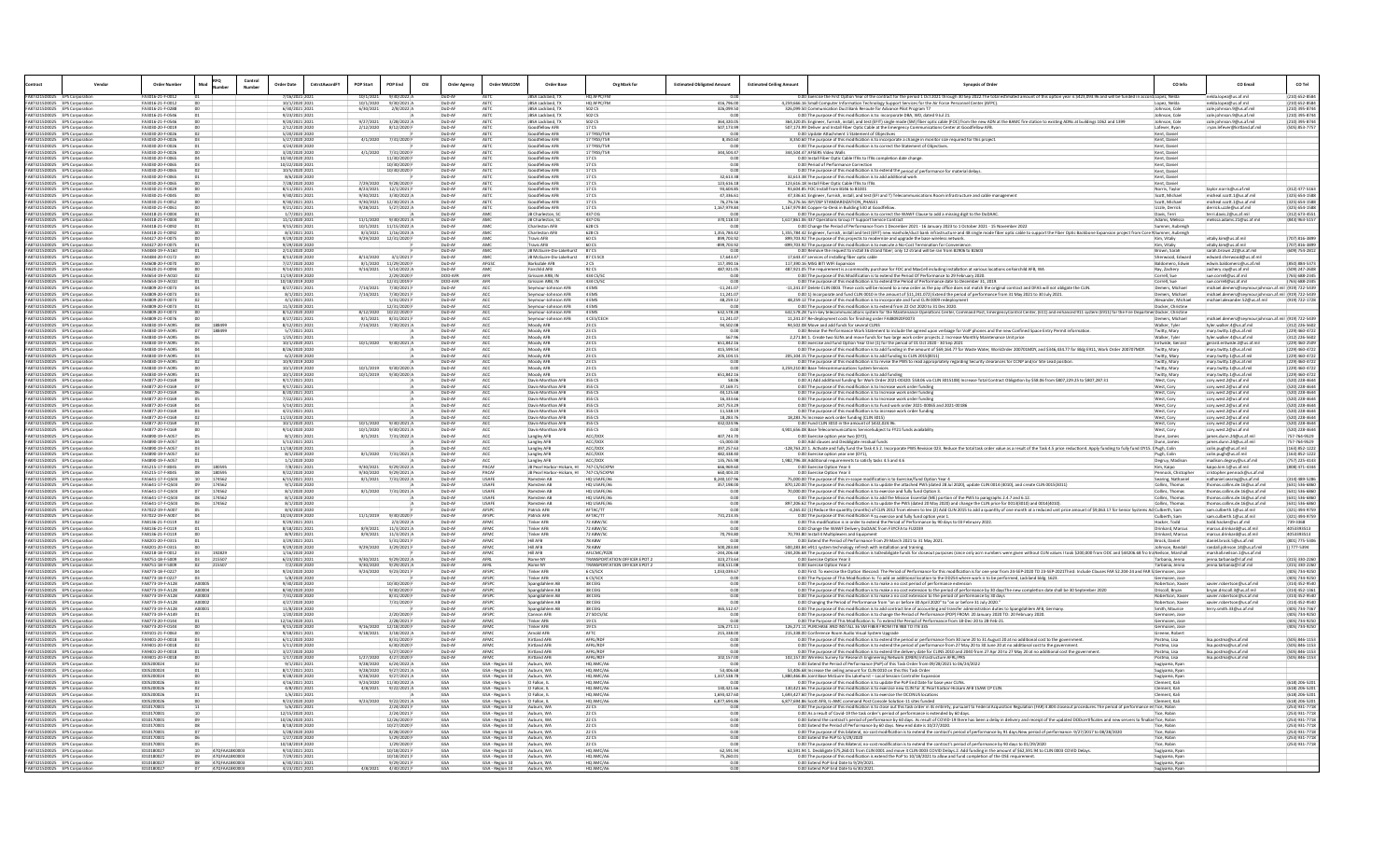|               |                                                                      | <b>Order Numbe</b>                   |                              | Control<br>Number | <b>Order Date</b>                    | CntrctAwardF | <b>POP Start</b>                 | POP End                               | OSI               | <b>Order Agency</b>      | Order MAJCOM                       | <b>Order Base</b>                                    | Org Mark for                                | <b>Estimated Obligated Amount</b> | <b>Estimated Ceiling Amoun</b> | <b>Synopsis of Order</b>                                                                                                                                                                                                                                                                                                                             | CO Info                                 | CO Email                                                                             | CO Tel                             |
|---------------|----------------------------------------------------------------------|--------------------------------------|------------------------------|-------------------|--------------------------------------|--------------|----------------------------------|---------------------------------------|-------------------|--------------------------|------------------------------------|------------------------------------------------------|---------------------------------------------|-----------------------------------|--------------------------------|------------------------------------------------------------------------------------------------------------------------------------------------------------------------------------------------------------------------------------------------------------------------------------------------------------------------------------------------------|-----------------------------------------|--------------------------------------------------------------------------------------|------------------------------------|
| FA873215D0    | <b>EPS Corporatio</b><br>FA873215D0025 EPS Corporatio                | FA3016-21-F-0012                     |                              |                   | 10/1/2020 2021                       |              | 10/1/2020                        | 9/30/2021                             |                   | DoD-AF                   |                                    | <b>JBSA Lackland.</b><br>JBSA Lackland, TX           | HO AFPC/FM                                  | 416,796.00                        |                                | 0.00 Exercise the First Option Year of the contract for the period 1 Oct 2021 through 30 Sep 2022. The total estimated amount of this option year is \$423,093.96 and will be funded in accord. Lopez, Nelds<br>4,259,666.16 Small Computer Information Technology Support Services for the Air Force Personnel Center (AFPC).                       | Lopez, Nelda                            | elda.lopez@us.af.mi<br>elda.lopez@us.af.mil                                          | (210) 652-858<br>(210) 652-858     |
|               | <b>EAR73215D0025 FPS Cornoration</b>                                 | FA3016-21-F-0288                     |                              |                   | 6/30/2021 2021                       |              | 6/30/2021                        | $2/8/2022$ $\triangle$                |                   | DoD-AF                   | <b>AFT</b>                         | <b>IRSA Lackland TX</b>                              | 502.05                                      | 326,099.50                        |                                | 326.099.50 Communication Duct Bank Recoute for Advance Pilot Program T7                                                                                                                                                                                                                                                                              | <b>Inhoson</b> Cole                     | ale johnson 9@us af mil                                                              | (210) 395-8744                     |
| FA873215D0025 | FAB73215D0025 EPS Corporation<br>EPS Corporatio                      | FA3016-21-F-0546<br>FA3016-21-F-054  |                              |                   | 9/23/2021 2021<br>9/20/2021 202      |              | 9/27/2021                        | 3/28/2022                             |                   | DoD-Al<br>$DnD-AI$       |                                    | JBSA Lackland, T<br>JBSA Lackland,                   | 502 CS                                      | 364.320.0                         |                                | 0.00 The purpose of this modification is to: incorporate DBA, WD, dated 9 Jul 21<br>364,320.05 Engineer, furnish, install, and test (EFIT) single mode (SM) fiber optic cable (FOC) from the new ADN at the BAMC fire station to existing ADNs at buildings 1062 and 1399                                                                            | Johnson, Cole<br>Johnson, Cole          | tole.johnson.9@us.af.mi<br>cole.johnson.9@us.af.m                                    | (210) 395-874<br>(210) 395-874     |
|               | FA873215D0025 EPS Corporatio                                         | FA3030-20-F-0019                     |                              |                   | 2/12/2020 2020                       |              | 2/12/2020 8/12/2020              |                                       |                   | DoD-AF                   |                                    | <b>Sondfellow AFR</b>                                | 17CS                                        | 507.173.99                        |                                | 507,173.99 Deliver and Install Fiber Optic Cable at the Emergency Communications Center at Goodfellow AFB.                                                                                                                                                                                                                                           | Lafever Rya                             | ryan.lefever@kirtland.af.m                                                           | (505) 853-775                      |
|               | FA873215D0025 EPS Corporatio<br>FA873215D0025 EPS Corporatio         | FA3030-20-F-0026<br>EA2020-20-F-0026 |                              |                   | 5/20/2020 2020<br>$5/27/2020$ , 2020 |              | 4/1/2020 7/31/2020               |                                       |                   | DoD-Al<br>DoD-AF         | <b>AFT</b>                         | oodfellow AFI<br>Goodfellow AFB                      | 17 TRSS/TSF<br>17 TRSS/TSR                  | 8,350.60                          |                                | 0.00 Update Attachment 1 Statement of Objectives<br>8,350.60 The purpose of this modification is to incorporate a change in monitor size required for this project.                                                                                                                                                                                  | Kent, Danie<br>Kent, Danie              |                                                                                      |                                    |
|               | FA873215D0025 EPS Corporatio                                         | FA3030-20-F-0026                     |                              |                   | 4/24/2020 2020                       |              |                                  |                                       |                   | DoD-AF                   | <b>AFTO</b>                        | Goodfellow AFB                                       | 17 TRSS/TSR                                 | 0.00                              |                                | 0.00 The purpose of this modification is to correct the Statement of Objectives.                                                                                                                                                                                                                                                                     | Kent, Daniel                            |                                                                                      |                                    |
| FA873215D0025 | FA873215D0025 EPS Corporation<br><b>EPS</b> Corporatio               | FA3030-20-F-0026<br>E43030-20-F-006  |                              |                   | 3/20/2020 2020<br>0/30/2020 202      |              |                                  | 4/1/2020 7/31/2020<br>1/30/2020       |                   | DoD-Al<br>$DnD-AI$       |                                    | Soodfellow AFB<br>odfellow AFI                       | 17 TRSS/TSR                                 | 344,504.47                        |                                | 344,504.47 AFSERS Video Walls<br>0.00 Install Fiber Optic Cable ITBs to ITBs completion date change.                                                                                                                                                                                                                                                 | Kent, Daniel<br>Kent, Dani              |                                                                                      |                                    |
|               | FA873215D0025 EPS Corporatio                                         | FA3030-20-F-0065                     |                              |                   | 10/22/2020 2021                      |              |                                  | 10/30/2020 1                          |                   | DoD-AF                   |                                    | <b>Goodfellow AFR</b>                                | 17C5                                        | n nr                              |                                | 0.00 Period of Performance Correction                                                                                                                                                                                                                                                                                                                | Kent Daniel                             |                                                                                      |                                    |
|               | FA873215D0025 EPS Corporation<br>FAB73215D0025 EPS Corporati         | FA3030-20-F-0065<br>FA3030-20-F-0065 |                              |                   | 10/5/2020 2021<br>8/6/2020 202       |              |                                  | 10/30/2020                            |                   | DoD-AF<br>DoD-AF         | AETC                               | Goodfellow AFB<br><b>Soodfellow AFR</b>              | 17 CS<br>17 <sub>c</sub>                    | 0.00<br>32 613 38                 |                                | 0.00 The purpose of this modification is to extend the period of performance for material delays<br>32,613.38 The purpose of this modification is to add additional wor                                                                                                                                                                              | Kent, Daniel<br>Kent, Danie             |                                                                                      |                                    |
|               | FA873215D0025 EPS Corporation                                        | FA3030-20-F-0065                     |                              |                   | 7/28/2020 2020                       |              | 7/29/2020                        | 9/28/2020                             |                   | DoD-AF                   | AFTO                               | Goodfellow AFB                                       | 17 CS                                       | 123.616.18                        |                                | 123.616.18 Install Fiber Optic Cable ITBs to ITBs                                                                                                                                                                                                                                                                                                    | Kent, Daniel                            |                                                                                      |                                    |
|               | FA873215D0025 EPS Corporation                                        | FA3030-21-F-0029<br>FA3030-21-F-004  |                              |                   | 8/11/2021 2021                       |              | 8/23/2021                        | 12/1/2021                             |                   | DoD-Al<br>0 <sub>0</sub> |                                    | Soodfellow AFB                                       | 17 <sub>CS</sub>                            | 93,604.85                         |                                | 93.604.85 FOC Install from B146 to B1001                                                                                                                                                                                                                                                                                                             | Norris, Taylor                          | tavlor.norris@us.af.mi                                                               | $(312)477 - 516$                   |
| FA873215D0025 | FA873215D0025 EPS Corporatio                                         | FA3030-21-F-0052                     |                              |                   | 9/30/2021 202<br>9/30/2021 2021      |              | 9/30/202:<br>9/30/2021           | 3/30/2022<br>12/30/2021 A             |                   | DoD-Al                   |                                    | oodfellow AFI<br>Goodfellow AFB                      | 17 C                                        | 47,336.6<br>76,276.56             |                                | 47,336.61 Engineer, furnish, install, and test (EFI and T) Telecommunications Room infrastructure and cable management<br>76.276.56 ISP/OSP STANDARDIZATION PHASE1                                                                                                                                                                                   | Scott, Michar<br>Scott, Michael         | nicheal.scott.1@us.af.m<br>micheal.scott.1@us.af.mil                                 | (325) 654-15<br>(325) 654-1588     |
|               | FA873215D0025 EPS Corporation                                        | FA3030-21-F-0061<br>FA4418-21-F-0004 |                              |                   | 9/21/2021 2021<br>1/7/2021 202       |              | 9/28/2021                        | 5/27/2022 A                           |                   | DoD-Al<br>DoD-AF         | AET(                               | Goodfellow AFB<br>JB Charleston, S                   | 17 CS<br>4370                               | 1,167,979.84                      |                                | 1,167,979.84 Copper-to-Desk in Building 530 at Goodfellow                                                                                                                                                                                                                                                                                            | Uzzle, Derrick<br>Davis Terr            | derrick.uzzle@us.af.mil                                                              | (325) 654-158<br>(312) 673-455     |
|               | FA873215D0025 EPS Corporatio<br>FA873215D0025 EPS Corporation        | FA4418-21-F-0004                     |                              |                   | 11/1/2020 2021                       |              | 11/1/2020                        | $9/30/2021$ A                         |                   | DoD-Al                   |                                    | JB Charleston, SC                                    | 437.00                                      | 370.118.10                        |                                | 0.00 The purpose of this modification is to correct the WAWF Clause to add a missing digit to the DoDAAC<br>1,617,861.06 437 Operations Group IT Support Service Contract                                                                                                                                                                            | Adams, Melissa                          | terri.davis.2@us.af.mil<br>melissa.adams.21@us.af.mil                                | (843) 963-5157                     |
|               | FA873215D0025 EPS Corporatio                                         | FA4418-21-F-0092                     |                              |                   | 9/15/2021 202                        |              | 10/1/2021                        | 11/15/2022                            |                   | DoD-Al                   |                                    | Charleston AFB                                       | 628 C                                       |                                   |                                | 0.00 Change the Period of Performance from 1 December 2021 - 16 January 2023 to 1 October 2021 - 15 November 2022                                                                                                                                                                                                                                    | Sumner, Aubreigh                        |                                                                                      |                                    |
|               | FA873215D0025 EPS Corporatio<br>FA873215D0025 EPS Corporation        | FA4418-21-F-0092<br>FA4427-20-F-0075 |                              |                   | 8/3/2021 202<br>9/29/2020 2020       |              | 8/3/2021<br>9/29/2020 12/31/2020 | 1/16/2023                             |                   | DoD-Al<br>DoD-Al         |                                    | Charleston AFB<br>Travis AFB                         | 628 C<br>60.03                              | 1.355.784.42<br>899,703.92        |                                | 1,355,784.42 Engineer, furnish, install and test (EFIT) new manhole/duct bank infrastructure and 48 single mode fiber optic cable to support the Fiber Optic Backbone Expansion project from Core NSumner, Aubreigh<br>899,703.92 The purpose of this projectis to modernize and upgrade the base wireless network.                                  | Kim, Vitaliy                            | vitaliv.kim@us.af.mil                                                                | (707) 816-389                      |
|               | FA873215D0025 EPS Corporation                                        | FA4427-20-F-0075                     |                              |                   | 9/29/2020 2020                       |              |                                  |                                       |                   | DoD-Al                   |                                    | <b>Travis AFB</b>                                    |                                             | $-899,703.92$                     |                                | -899,703.92 The purpose of this modification is to execute a No-Cost Termination for Convenience                                                                                                                                                                                                                                                     | Kim, Vitaliy                            | vitaliy.kim@us.af.mil                                                                | (707) 816-389                      |
|               | <b>EAR73215D0025 FPS Cornoratio</b><br>FAB73215D0025 EPS Corporation | FA4484-19-F-A160<br>FA4484-20-F-0172 |                              |                   | 2/13/2020 2020<br>8/13/2020 2020     |              | 8/13/2020                        | 3/1/2021                              |                   | DoD-AF<br>DoD-Al         |                                    | IB McGuire-Dix-Lakehurst<br>JB McGuire-Dix-Lakehurst | 87C5<br>87 CS SC                            | 0.00<br>17,643.47                 |                                | 0.00 Remove the request to install 36 strand fiber; only 12 strand will be ran from B2906 to B2603<br>17,643.47 services of installing fiber optic cable                                                                                                                                                                                             | <b>Brown Sarah</b><br>Sherwood, Edward  | arah.brown.22@us.af.mil<br>edward.sherwood@us.af.mi                                  | (609) 754-281                      |
|               | FA873215D0025 EPS Corporatio                                         | FA4608-20-F-0070                     |                              |                   | 7/27/2020 202                        |              | 8/1/2020                         | 11/29/2020                            |                   | DoD-Al                   |                                    | <b>Barksdale AFE</b>                                 |                                             | 117,390.16                        |                                | 117,390.16 MSG BITI WIFI Expansion                                                                                                                                                                                                                                                                                                                   | Baldomero, Edwi                         | edwin.baldomero@us.af.mi                                                             | (850) 884-537                      |
|               | FA873215D0025 EPS Corporatio<br>FA873215D0025 EPS Corporation        | FA4620-21-F-0094<br>FA4654-19-F-A010 |                              |                   | 9/14/2021 2021<br>11/19/2019 2020    |              | 9/14/2021                        | 5/14/2022<br>2/29/2020                |                   | DoD-AF<br>DOD-AFR        |                                    | Fairchild AFR<br>Grissom ARB, IN                     | 92C5<br>434 05/5                            | 487,921.05                        |                                | 487,921.05 The requirement is a commodity purchase for FOC and MaxCell including installation at various locations on Fairchild AFB, WA<br>0.00 The purpose of this Modification is to extend the Period Of Performance to 29 February 2020.                                                                                                         | Ray, Zachery<br>Correll, Sue            | achery.ray@us.af.mil<br>sue.correll@us.af.mil                                        | (509) 247-2608<br>(765) 688-234    |
|               | FA873215D0025 EPS Corporatio                                         | FA4654-19-F-A01                      |                              |                   | 10/18/2019 202                       |              |                                  | 2/31/2019                             |                   | DOD-AF                   |                                    | Grissom ARB, IN                                      | 434 CS/S                                    | 0.00                              |                                | 0.00 The purpose of this modification is to extend the Period of Performance date to December 31, 2019                                                                                                                                                                                                                                               | Correll, Sue                            | sue.correll@us.af.mil                                                                | (765) 688-234                      |
|               | FA873215D0025 EPS Corporation                                        | FA4809-20-F-0073<br>FA4809-20-F-0073 |                              |                   | 8/27/2021 2021                       |              | 7/14/2021                        | 7/30/2021                             |                   | DoD-AF<br>DoD-Al         |                                    | Seymour-Johnson AFB                                  | 4 EMS                                       | $-11.241.07$                      |                                | -11,241.07 Delete CLIN 0003. These costs will be moved to a new order as the pay office does not match the original contract and DFAS will not obligate the CLIN.                                                                                                                                                                                    | Demers, Michae                          | michael.demers@seymou                                                                | hnson.af.mil (919) 722-543         |
|               | FA873215D0025 EPS Corporatio<br>FA873215D0025 EPS Corporatio         | FA4809-20-F-0073                     |                              |                   | 8/1/2021 2021<br>4/1/2021 202        |              | 7/14/2021                        | 7/30/2021<br>5/31/2021                |                   | DoD-AF                   |                                    | Seymour-Johnson AFB<br>Seymour-Johnson AFB           | 4 EM<br>4 FM                                | 11,241.07<br>48,259.12            |                                | 0.00 1) Incorporate and fund CLIN 0010 in the amount of \$11,241.072) Extend the period of performance from 31 May 2021 to 30 July 2021.<br>48,259.12 The purpose of this modification is to incorporate and fund CLIN 0009 redeployment                                                                                                             | Demers, Michae<br>Alexander, Micha      | michael.demers@seymourjohnson.af.mil (919) 722-543<br>michael.alexander.52@us.af.mil | $(919) 722 - 172$                  |
|               | <b>EAR73215D0025 FPS Corporatio</b>                                  | FA4809-20-F-0073                     |                              |                   | 11/3/2020 2021                       |              |                                  | 12/31/2020                            |                   | DoD-AF                   |                                    | Sevmour-Johnson AFR                                  | 4 FMS                                       | 0.00                              |                                | 0.00 The purpose of this modification is to extend from 22 Oct 2020 to 31 Dec 2020.                                                                                                                                                                                                                                                                  | Docker Christine                        |                                                                                      |                                    |
|               | FA873215D0025 EPS Corporation<br>FA873215D0025 EPS Corporatio        | FA4809-20-F-0073<br>FA4809-21-F-0076 |                              |                   | 8/12/2020 2020<br>8/27/2021 202      |              | 8/12/2020 10/22/2020<br>8/1/2021 | 8/31/2021                             |                   | DoD-Al<br>DoD-Al         |                                    | Seymour-Johnson AFB<br>Seymour-Johnson AFB           | 4 EM:<br>4 CES/CEC                          | 632,578.28<br>11,241.0            |                                | 632,578.28 Turn-key telecommunications system for the Maintenance Operations Center, Command Post, EmergencyControl Center, (ECC) and enhanced 911 system (E911) for the Fire Depar<br>11,241.07 Re-deployment costs for finishing order FA480920F0073                                                                                               | tmerDocker, Christine<br>Demers, Michae | michael.demers@seymourjohnson.af.mil (919) 722-543                                   |                                    |
|               | FAB73215D0025 EPS Corporatio                                         | FA4830-19-F-A095                     | 188499                       |                   | 8/12/2021 2021                       |              | 7/14/2021                        | 7/30/2021 A                           |                   | DoD-AF                   |                                    | Moody AFB                                            |                                             | 94,502.08                         |                                | 94,502.08 Move and add funds for several CLINS                                                                                                                                                                                                                                                                                                       | Walker, Tyler                           | tyler.walker.4@us.af.mil                                                             | (312) 226-560                      |
|               | FA873215D0025 EPS Corporation<br>FA873215D0025 EPS Corporatio        | FA4830-19-F-A095<br>FA4830-19-F-A095 | 188499                       |                   | 5/7/2021 2021<br>1/25/2021 2021      |              |                                  |                                       |                   | DoD-Al<br>DoD-AF         |                                    | Moody AFB<br>Moody AFB                               | 23 CS<br>23 C                               | 567.96                            |                                | 0.00 Revise the Performance Work Statement to include the agreed upon verbiage for VoIP phones and the new Confined Space Entry Permit information.<br>2,271.84 1. Create two SLINs and move funds for two large work order projects.2. Increase Monthly Maintenance Unit price                                                                      | Twitty, Mary<br>Walker, Tyle            | mary.twitty.1@us.af.mil<br>tyler.walker.4@us.af.mi                                   | (229) 460-4722<br>$(312)$ 226-5602 |
|               | FA873215D0025 EPS Corporatio                                         | FA4830-19-F-A095                     |                              |                   | 10/1/2020 2021                       |              |                                  | 10/1/2020 9/30/2021 A                 |                   | DoD-AF                   |                                    | Moody AFB                                            | 23 CS                                       | 651.842.16                        |                                | 0.00 exercise and fund Option Year One (1) for the period of 01 Oct 2020 - 30 Sep 2021                                                                                                                                                                                                                                                               | Entwisle, Geran                         | gerard.entwisle.2@us.af.mi                                                           | (229) 460-250                      |
|               | FA873215D0025 EPS Corporation                                        | FA4830-19-F-A095                     |                              |                   | 8/26/2020 2020                       |              |                                  |                                       |                   | DoD-Al                   |                                    | Moody AFB                                            | 23 CS                                       | 415,599.54                        |                                | 0.00 The purpose of this modification is to add funding in the amount of \$69,164.77 for Waste Water, WorkOrder 200701MDY, and \$346,434.77 for Bldg E911, Work Order 200707MDY.                                                                                                                                                                     | Twitty, Mary                            | mary.twitty.1@us.af.mil                                                              | (229) 460-472                      |
|               | FA873215D0025 EPS Corporatio<br>FA873215D0025 EPS Corporatio         | FA4830-19-F-A095<br>FA4830-19-F-A095 |                              |                   | 6/2/2020 202<br>10/9/2019 2020       |              |                                  |                                       |                   | DoD-Al<br>DoD-AF         |                                    | Moody AFB<br>Moody AFR                               | 23 CS<br>23C                                | 205,104.15<br>0.01                |                                | 205,104.15 The purpose of this modification is to add funding to CLIN 2015(0011)<br>0.00 The purpose of this modification is to revise the PWS to read appropriately regarding Security clearances for CCNP and/or Site Lead position.                                                                                                               | Twitty, Mary<br>Twitty, Mary            | mary.twitty.1@us.af.mi<br>mary.twitty.1@us.af.mil                                    | $(229)460-472$<br>(229) 460-472    |
|               | FA873215D0025 EPS Corporatio                                         | FA4830-19-F-A095                     |                              |                   | 10/1/2019 2020                       |              | 10/1/2019 9/30/2020              |                                       |                   | DoD-Al                   |                                    | Moody AFB                                            | 23 C                                        |                                   |                                | 3,259,210.80 Base Telecommunications System Services                                                                                                                                                                                                                                                                                                 | Twitty, Mary                            | mary.twitty.1@us.af.mi                                                               | (229) 460-472                      |
|               | FA873215D0025 EPS Corporatio<br>FA873215D0025 EPS Corporation        | FA4830-19-F-A095<br>FA4877-20-F-0169 |                              |                   | 10/1/2019 2020<br>9/17/2021 2021     |              | 10/1/2019 9/30/2020              |                                       |                   | DoD-AF<br>DoD-AF         |                                    | Moody AFB<br>Davis-Monthan AFB                       | 23 CS<br>355 C                              | 651,842.16<br>58.06               |                                | 0.00 The purpose of this modification is to add funding<br>0.00 A) Add additional funding for Work Order 2021-00320: \$58.06 via CLIN 3015108) Increase Total Contract Obligation by \$58.06 from \$807,229.25 to \$807,287.31                                                                                                                       | Twitty, Mar<br>West, Cory               | mary.twitty.1@us.af.mi<br>cory.west.2@us.af.mil                                      | (229) 460-472<br>(520) 228-464     |
|               | FA873215D0025 EPS Corporation                                        | FA4877-20-F-0169                     |                              |                   | 9/17/2021 2021                       |              |                                  |                                       |                   | DoD-Al                   |                                    | Davis-Monthan AFB                                    | 355 C                                       | 37.169.71                         |                                | 0.00 The purpose of this modification is to Increase work order funding                                                                                                                                                                                                                                                                              | West, Cory                              | cory.west.2@us.af.mil                                                                | (520) 228-464                      |
|               | FAB73215D0025 EPS Corporatio<br>FA873215D0025 EPS Corporation        | FA4877-20-F-0169<br>FA4877-20-F-0169 |                              |                   | 8/20/2021 202<br>7/22/2021 2021      |              |                                  |                                       |                   | DoD-Al<br>DoD-AF         |                                    | Davis-Monthan AFB<br>Davis-Monthan AFB               | 355 C<br>355 C                              | 44,125.68<br>16.333.66            |                                | 0.00 The purpose of this modification is to Increase work order fur<br>0.00 The purpose of this modification is to Increase work order fundin                                                                                                                                                                                                        | West, Cory<br>West, Cory                | cory.west.2@us.af.mi<br>cory.west.2@us.af.mil                                        | (520) 228-464<br>(520) 228-464     |
| FA873215D0025 | <b>EPS Corporatio</b>                                                |                                      |                              |                   | 5/14/2021 2021                       |              |                                  |                                       |                   |                          |                                    | Davis-Monthan AFB                                    |                                             | 247,753.2                         |                                | 0.00 The purpose of this modification is to:Fund work order 2021-00065 and 2021-00186                                                                                                                                                                                                                                                                | West, Cory                              | cory.west.2@us.af.mi                                                                 | (520) 228-464                      |
|               | FAB73215D0025 EPS Corporatio<br>FA873215D0025 EPS Corporation        | FA4877-20-F-0169<br>FA4877-20-F-0169 |                              |                   | 4/21/2021 2021<br>11/23/2020 2021    |              |                                  |                                       |                   | DoD-AF<br>DoD-Al         |                                    | Davis-Monthan AFB<br>Davis-Monthan AFB               | 3550<br>355 CS                              | 11.538.19<br>18,283.76            |                                | 0.00 The purpose of this modification is to:increase work order funding<br>18.283.76 Increase work order funding (CLIN 3015)                                                                                                                                                                                                                         | West, Cory<br>West, Corv                | cory.west.2@us.af.mil<br>corv.west.2@us.af.mil                                       | (520) 228-464<br>(520) 228-464     |
|               | FA873215D0025 EPS Corporatio                                         | FA4877-20-F-0169                     |                              |                   | 10/1/2020 2021                       |              | 10/1/2020                        | 9/30/2021                             |                   |                          |                                    | Davis-Monthan AFB                                    | 355 C                                       | 432,024.9                         |                                | 0.00 Fund CLIN 3010 in the amount of \$432,024.96                                                                                                                                                                                                                                                                                                    | West, Cory                              | cory.west.2@us.af.mi                                                                 | (520) 228-464                      |
|               | FA873215D0025 EPS Corporatio                                         | FA4877-20-F-0169                     |                              |                   | 9/14/2020 2020                       |              | 10/1/2020                        | 9/30/2021 A                           |                   | DoD-Al                   |                                    | Davis-Monthan AFB                                    | 355 CS                                      | 0.01                              |                                | 4,901,656.08 Base Telecommunications ServiceSubject to FY21 funds availability                                                                                                                                                                                                                                                                       | West, Cory                              | cory.west.2@us.af.mil                                                                | (520) 228-464                      |
| FA873215D0025 | FA873215D0025 EPS Corporation<br><b>EPS Corporatio</b>               | FA4890-19-F-A057<br>FA4890-19-F-A057 |                              |                   | 8/1/2021 2021<br>5/13/2021 202       |              | 8/1/2021                         | 7/31/2022 A                           |                   | DoD-Al<br>DoD-Al         |                                    | Langley AFB<br>Langley AFB                           | ACC/DOX<br>ACC/DO                           | 407.743.70<br>$-15,000.0$         |                                | 0.00 Exercise option year two (OY2).<br>0.00 Add clauses and Deobligate residual funds                                                                                                                                                                                                                                                               | Dunn, James                             | ames.dunn.24@us.af.m<br>ames.dunn.24@us.af.mi                                        | 757-764-9529<br>757-764-9529       |
|               | FA873215D0025 EPS Corporatio                                         | FA4890-19-F-A057                     |                              |                   | 11/18/2020 2021                      |              |                                  |                                       |                   | DoD-AF                   |                                    | angley AFB                                           | ACC/DOX                                     | 397 257 63                        |                                | -128,763.20 1. Activate and fully fund the Task 4.5 2. Incorporate PWS Revision 023. Reduce the total task order value as a result of the Task 4.5 price reduction4. Apply funding to fully fund OY15. EPugh, Colin                                                                                                                                  |                                         | iolin.pugh@us.af.mil                                                                 | (163) 852-122                      |
| FA873215D0025 | FA873215D0025 EPS Corporation<br><b>EPS</b> Corporatio               | FA4890-19-F-A057<br>FA4890-19-F-A057 |                              |                   | 8/1/2020 2020<br>1/1/2020 202        |              |                                  | 8/1/2020 7/31/2021 A                  |                   | DoD-Al<br>DoD-Al         |                                    | Langley AFB<br>angley AFB                            | ACC/DOX<br>ACC/DO                           | 482,438.40<br>135,765.9           |                                | 0.00 Exercise option year one (OY1),<br>1,982,796.38 Additional requirements to satisfy tasks 4.5 and 4.6                                                                                                                                                                                                                                            | Pugh, Colin<br>Degruy, Madiso           | colin.pugh@us.af.mil<br>madison.degruy@us.af.mi                                      | (163) 852-122<br>(757) 225-414     |
|               | FA873215D0025 EPS Corporatio                                         | FAS215-17-F-R045                     | 180595                       |                   | 7/8/2021 2021                        |              |                                  | $9/30/2021$ 9/29/2022 A               |                   | DoD-AF                   | <b>PACA</b>                        | JB Pearl Harbor-Hickam, HI                           | 747 CS/SCXPM                                | 08 888 888                        |                                | 0.00 Exercise Option Year 4                                                                                                                                                                                                                                                                                                                          | Kim, Kaipo                              | kaipo.kim.1@us.af.mil                                                                | (808) 471-434                      |
|               | FA873215D0025 EPS Corporation<br>FA873215D0025 EPS Corporation       | FAS215-17-F-8045<br>FAS641-17-F-Q503 | 180595<br>174562             |                   | 9/22/2020 2020<br>6/15/2021 2021     |              | 9/30/2020                        | $9/29/2021$ A<br>8/1/2021 7/31/2022 A |                   | DoD-AF<br>DoD-Al         | PACA                               | JB Pearl Harbor-Hickam, HI<br>Ramstein AB            | 747 CS/SCXPM<br>HO USAFE/A                  | 660,403.20<br>8,240,107.96        |                                | 0.00 Exercise Option Year 3<br>5,000.00 The purpose of this in-scope modification is to Exercise/fund Option Year 4                                                                                                                                                                                                                                  | Pennock, Chistoph<br>Searing, Nathaniel | cristopher.pennock@us.af.mil<br>nathaniel.searing@us.af.mil                          | (314) 489-528                      |
|               | <b>EAR73215D0025 FPS Cornoratio</b>                                  | FAS641-17-F-0503                     | 174562                       |                   | 9/1/2020 2020                        |              |                                  |                                       |                   | DoD-AF                   | LISAFI                             | <b>Ramstein AR</b>                                   | HO USAFE/A                                  | 357 198.00                        |                                | 870,120.00 The purpose of this modification is to update the attached PWS (dated 28 Jul 2020), update CLIN 0014 (4010), and create CLIN 0015(3011)                                                                                                                                                                                                   | Collins Thomas                          | thomas collins de 16@us af mi                                                        | (631) 536-686                      |
| FA873215D0025 | FAB73215D0025 EPS Corporation<br>EPS Corporatio                      | FAS641-17-F-Q503<br>FAS641-17-F-Q503 | 174562<br>174562             |                   | 8/1/2020 2020<br>8/1/2020 202        |              |                                  | 8/1/2020 7/31/2021 A                  |                   | DoD-Al<br>DoD-Al         | USAFI<br>USAF                      | Ramstein AB<br>tamstein Al                           | HQ USAFE/A<br>HQ USAFE/A                    | 0.00                              |                                | 70,000.00 The purpose of this modification is to exercise and fully fund Option 3.<br>0.00 The purpose of this modification is to add the Mission Essential (ME) portion of the PWS to paragraphs 2.4.7 and 6.12                                                                                                                                     | Collins, Thomas<br>Collins, Thomas      | thomas.collins.de.16@us.af.mi<br>thomas.collins.de.16@us.af.m                        | (631) 536-686<br>$(631) 536 - 686$ |
|               | FAB73215D0025 EPS Corporatio                                         | FAS641-17-F-0503                     | 174562                       |                   | 8/1/2020 2020                        |              |                                  |                                       |                   | DoD-AF                   | LISAFI                             | amstein Al                                           | HO USAFE/A                                  |                                   |                                | 897,206.62 The purpose of this modification is to update the PWS (dated 20 May 2020) and change the CLIN price for 0013(3010) and 0014(4010).                                                                                                                                                                                                        | Collins Thoma                           | homas.collins.de.16@us.af.mi                                                         | (631) 536-686                      |
|               | FAB73215D0025 EPS Corporation                                        | FA7022-19-F-A007<br>FA7022-19-F-A007 |                              |                   | 8/4/2020 2020                        |              |                                  |                                       |                   | DoD-AF<br>DoD-Al         | AFSPO                              | Patrick AFB                                          | AFTAC/TT<br>AFTAC/T                         | 0.OC<br>731,213.35                |                                | -4,265.02 [1] Reduce the quantity (months) of CLIN 2012 from eleven to ten.(2) Add CLIN 2015 to add a quantity of one month at a reduced unit price amount of \$9,063.17 for Senior Systems Ad Culberth, Sam                                                                                                                                         |                                         | sam.culberth.1@us.af.mil                                                             | (321) 494-975                      |
|               | FA873215D0025 EPS Corporation<br>FA873215D0025 EPS Corporatio        | FA8136-21-F-0119                     |                              |                   | 10/24/2019 2020<br>9/29/2021 2021    |              | 11/1/2019 9/30/2020              | 2/3/2022 A                            |                   | DoD-AF                   | <b>AFSPO</b><br>AFM                | Patrick AFB<br><b>Tinker AFB</b>                     | 72 ABW/SO                                   | 0.00                              |                                | 0.00 The purpose of this modification is to exercise and fully fund option year 1.<br>0.00 This modification is in order to extend the Period of Performance by 90 days to 03 February 2022.                                                                                                                                                         | Culberth, Sam<br>Hacker, Todd           | sam.culberth.1@us.af.mil<br>lodd.hacker@us.af.mil                                    | (321) 494-9759<br>739-3368         |
|               | FAB73215D0025 EPS Corporation                                        | FA8136-21-F-0119<br>FA8136-21-F-0119 |                              |                   | 8/18/2021 2021                       |              | 8/9/2021                         | $11/3/2021$ A                         |                   | DoD-Al<br>DoD-Al         | <b>AFM</b><br>AFN                  | <b>Tinker AFB</b><br>Tinker AFB                      | 72 ABW/SO<br>72 ABW/SO                      | 0.00                              |                                | 0.00 Change the WAWF Delivery DoDAAC from F3YCFA to FU2039                                                                                                                                                                                                                                                                                           | Drinkard, Marcus                        | marcus.drinkard@us.af.m                                                              | 4053393513                         |
| FA873215D0025 | <b>EPS</b> Corporatio<br>FA873215D0025 EPS Corporatio                | FA8201-20-F-0315                     |                              |                   | 8/9/2021 202<br>3/29/2021 202        |              | 8/9/2021                         | 11/3/2021<br>5/31/2021                |                   | $DnD-A8$                 | AFM                                | Hill AFR                                             | 78 ARW                                      | 70,793.80                         |                                | 70,793.80 Install 4 Multiplexers and Equipment<br>0.00 Extend the Period of Performance from 29 March 2021 to 31 May 2021.                                                                                                                                                                                                                           | Drinkard, Marcus<br>Brock, Daniel       | marcus.drinkard@us.af.m<br>daniel.brock.5@us.af.mil                                  | 405339351<br>8011 775-530          |
|               | FA873215D0025 EPS Corporation                                        | FA8201-20-F-0315                     |                              |                   | 9/29/2020 2020                       |              | 9/29/2020                        | 3/29/2021                             |                   | DoD-Al                   | <b>AFM</b>                         | Hill AFB                                             | <b>78 ABW</b>                               | 500.283.84                        |                                | 500,283.84 e911 system technology refresh with installation and training.                                                                                                                                                                                                                                                                            | Johnson, Randa                          | randall.johnson.14@us.af.m                                                           | () 777-5394                        |
|               | FA873215D0025 EPS Corporation<br>FA873215D0025 EPS Corporatio        | FA8218-18-F-0012<br>FA8751-18-F-5009 | 192829<br>215507             |                   | 1/16/2020 2020<br>6/23/2021 2021     |              | 9/30/2021                        | $9/29/2022$ A                         |                   | DoD-Al<br>DoD-AF         | AFR                                | Hill AFB<br>Rome NY                                  | AFLCMC/PZZ<br>TRANSPORTATION OFFICER EPOT 2 | 244,206.68<br>323.273.64          |                                | -244,206.68 The purpose of this modification is to Deobligate funds for closeout purposes (since only acrn numbers were given without CLIN values I took \$200,000 from ODC and \$44206.68 fro tra/Neilson, Marshall<br>0.00 Exercise Option Year 3                                                                                                  | Tarbania, Jenna                         | marshall.neilson.1@us.af.mi<br>enna.tarbania@rl.af.mi                                | (315) 330-226                      |
|               | FA873215D0025 EPS Corporatio                                         | FA8751-18-F-5009                     | 215507                       |                   | 7/2/2020 2020                        |              | 9/30/2020                        | $9/29/2021$ A                         |                   | DoD-Al                   |                                    | Rome NY                                              | <b>TRANSPORTATION OFFICER EPOT 2</b>        | 318,511.08                        |                                | 0.00 Exercise Option Year 2                                                                                                                                                                                                                                                                                                                          | Tarbania, Jenna                         | enna.tarbania@rl.af.mi                                                               | (315) 330-226                      |
|               | FA873215D0025 EPS Corporatio<br>FA873215D0025 EPS Corporation        | FA8773-18-F-0227<br>FA8773-18-F-0227 |                              |                   | 9/24/2020 2020<br>5/8/2020 2020      |              | 9/24/2020                        | 9/23/2021                             |                   | DoD-AF<br>DoD-Al         | AFSP<br>AFSP                       | <b>Tinker AFB</b><br><b>Tinker AFB</b>               | 603/303<br>6CS/SCX                          | 1,033,039.6<br>0.00               |                                | 0.00 First: To exercise the Option IlSecond: The Period of Performance for this modification is for one year from 24-SEP-2020 TO 23-SEP-2021Third: Include Clauses FAR 52.204-24 and FAR 5 Germosen, Jos<br>0.00 The Purpose of This Modification Is: To add an additional location to the DD254 where work is to be performed, Lackland bldg. 1623. | Germosen, Jos                           |                                                                                      | (405) 734-925<br>(405) 734-9250    |
|               | FA873215D0025 EPS Corporation                                        | FA8773-19-F-A128                     |                              |                   | 9/30/2020 202                        |              |                                  | 0/30/2020                             |                   | DoD-Al                   | AFSP                               | Spangdahlem A                                        | 38 CEIG                                     |                                   |                                | 0.00 The purpose of this modification is to make a no cost period of performance extension                                                                                                                                                                                                                                                           | Robertson, Xavier                       | xavier.robertson@us.af.m                                                             | $(314)452-954$                     |
| FA873215D0025 | EPS Corporatio<br>FA873215D0025 EPS Corporatio                       | FA8773-19-F-A128<br>FA8773-19-F-A128 | ADDDDR                       |                   | 8/30/2020 202<br>7/31/2020 2020      |              |                                  | 9/30/2020<br>8/31/2020                |                   | DoD-Al<br>DoD-Al         | AFSPO                              | Spangdahlem AB                                       | 38 CEIG<br>38 CEIG                          | 0.0C                              |                                | 0.00 The purpose of this modification is to make a no cost extension to the period of performance by 30 daysThe new completion date shall be 30 September 2020<br>0.00 The purpose of this modification is to make a no cost extension to the period of performance by 30 days                                                                       | Driscoll, Bryan<br>Robertson, Xavie     | bryan.driscoll.3@us.af.m<br>xavier.robertson@us.af.mi                                | (314) 452-136<br>(314) 452-9540    |
|               | FA873215D0025 EPS Corporatio                                         | FA8773-19-F-A128                     | A00002                       |                   | 4/27/2020 202                        |              |                                  | 7/31/2020                             |                   | DoD-Al                   | AFSP                               | Spangdahlem AB<br>Spangdahlem Al                     | 38 CEIG                                     |                                   |                                | 0.00 Changing the Period of Performance from "on or before 30 April 2020" to "on or before 31 July 2020."                                                                                                                                                                                                                                            | Robertson, Xavie                        | cavier.robertson@us.af.m                                                             | (314) 452-954                      |
|               | FA873215D0025 EPS Corporatio                                         | FA8773-19-F-A128                     | A00001                       |                   | 11/8/2019 2020                       |              |                                  |                                       |                   | DoD-AF                   | AFSPO                              | pangdahlem AB                                        | 38 CFIG                                     | 365.512.47                        |                                | 0.00 The purpose of this modification is to add contract line of accounting and transfer administration duties to Spangdahlem AFB, Germany.                                                                                                                                                                                                          | Smith, Maurice                          | terry.smith.33@us.af.mil                                                             | (405) 734-736                      |
| FA873215D0025 | FA873215D0025 EPS Corporation<br><b>EPS Corporatio</b>               | FA8773-19-F-A149<br>FA8773-20-F-0144 |                              |                   | 1/20/2020 2020<br>12/16/2020 2021    |              |                                  | 2/20/2020<br>2/28/2021                |                   | DoD-AF<br>DoD-Al         | AFSPO                              | Cannon AFB<br>inker AFB                              | 27 SOCS/SO                                  | 0.00                              |                                | 0.00 The purpose of this modification is to change the Period of Performance (POP) FROM: 20 January 2020 TO: 20 February 2020.<br>0.00 The Purpose of This Modification Is: To extend the Period of Performance from 18-Dec-20 to 28-Feb-21.                                                                                                         | Germosen, Jose<br>Germosen, Jose        |                                                                                      | (405) 734-9250<br>(405) 734-925    |
|               | FA873215D0025 EPS Corporatio                                         | FA8773-20-F-0144                     |                              |                   | 9/15/2020 202                        |              | 9/16/2020                        | 12/18/2020                            |                   | DoD-AF                   | AFM                                | Tinker AFB                                           | 19 CS                                       | 126,271.1                         |                                | 126,271.11 PURCHASE AND INSTALL 36 SM FIBER FROM ITB 988 TO ITB 335                                                                                                                                                                                                                                                                                  | Sermosen, Jo                            |                                                                                      | (405) 734-925                      |
| FA873215D0025 | FA873215D0025 EPS Corporatio<br><b>EPS</b> Corporatio                | FA9101-21-F-0063<br>FA9401-20-F-0018 |                              |                   | 9/18/2021 2021<br>6/11/2020 202      |              | 9/18/2021                        | $3/18/2022$ A<br>31/2020              |                   | DoD-AF<br>DoD-Al         | AFMO                               | Arnold AFB<br>irtland AF                             | AFTO<br>AFRL/RD                             | 215.338.00                        |                                | 215,338.00 Conference Room Audio Visual System Upgrade<br>0.00 The purpose of this modification is to extend the period or performance from 30 June 20 to 31 August 20 at no additional cost to the government                                                                                                                                       | Greene, Robert<br>'ostma, Lisa          | sa.postma@us.af.m                                                                    | (505) 846-115                      |
|               | FA873215D0025 EPS Corporatio                                         | FA9401-20-F-0018                     |                              |                   | 5/11/2020 2020                       |              |                                  | 6/30/2020 8                           |                   | DoD-AF                   | <b>AFM</b>                         | Kirtland AFR                                         | AFRI /RD                                    | 0 <sup>0<sup>c</sup></sup>        |                                | 0.00 The purpose of this modification is to extend the period of performance from 27 May 20 to 30 June 20 at no additional cost to the government.                                                                                                                                                                                                   | Postma, Lisa                            | lisa.postma@us.af.mi                                                                 | (505) 846-115                      |
|               | FA873215D0025 EPS Corporation<br>FA873215D0025 EPS Corporation       | FA9401-20-F-0018<br>FA9401-20-F-0018 |                              |                   | 3/27/2020 2020<br>1/17/2020 202      |              | 1/27/2020                        | 5/27/2020  <br>4/27/2020              |                   | DoD-Al<br>DoD-Al         | AFMO                               | Kirtland AFB                                         | AFRL/RD<br>AFRL/RD                          | 0.001<br>102,157.00               |                                | 0.00 The purpose of this modification is to extend the delivery date for CLINS 2010 and 2040 from 27 Apr 20 to 27 May 20 at no additional cost the government.                                                                                                                                                                                       | Postma, Lisa                            | lisa.postma@us.af.mi                                                                 | (505) 846-1153                     |
|               | FA873215D0025 EPS Corporatio                                         | ID05200024                           |                              |                   | 9/1/2021 202                         |              | 9/28/2020                        | $6/24/2022$ A                         | GSA               |                          | GSA - Region                       | Kirtland AFB<br>Auburn, W/                           | HO AMC/A                                    |                                   |                                | 102,157.00 Wireless Survey for Research Engineering Network (DREN) Infrastructure AFRL/PRS<br>0.00 Extend the Period of Performance (PoP) of this Task Order from 09/28/2021 to 06/24/2022                                                                                                                                                           | Postma, Lisa<br>Sugiyama, Rya           | lisa.postma@us.af.mi                                                                 | (505) 846-115                      |
|               | FA873215D0025 EPS Corporatio                                         | ID05200024                           |                              |                   | 8/17/2021 2021                       |              | 9/28/2020                        | 9/27/2021 A                           | GSA<br>GSA        |                          | GSA - Region 10<br>GSA - Region 10 | Auburn, WA                                           | HO AMC/A6                                   | 53,406.68                         |                                | 53,406.68 Increase the ceiling amount for CLIN 0010 on this this Task Order<br>1,880,466.86 Joint Base McGuire Dix Lakehurst – Local Session Controller Expansic                                                                                                                                                                                     | Sugiyama, Ryan                          |                                                                                      |                                    |
| FA873215D0025 | EPS Corporatio<br><b>EAR73215D0025 FPS Corporation</b>               | ID0520002<br>1005200026              |                              |                   | 9/28/2020 2020<br>4/16/2021 2021     |              | 9/28/2020                        | 9/27/2021<br>$9/24/2020$ 11/30/2022 A | GSA               |                          | GSA - Region 5                     | Auburn, W<br>O Fallon II                             | HQ AMC/A<br>HO AMC/AF                       | 1,337,538.7<br>0.00               |                                | 0.00 The purpose of this modification is to update the PoP End Date for base year CLINs.                                                                                                                                                                                                                                                             | Sugiyama, Ryar<br>Clement, Kali         |                                                                                      | (618) 206-520                      |
|               | FAB73215D0025 EPS Corporation                                        | ID05200026                           |                              |                   | 4/8/2021 2021                        |              |                                  | 4/8/2021 9/22/2021 A                  | <b>GSA</b>        |                          | GSA - Region 5                     | O Fallon, IL                                         | HQ AMC/A6                                   | 130,421.66                        |                                | 130,421.66 The purpose of this modification is to exercise new CLIN for JC Pearl harbor-Hickam AFB 15AW CP CLIN.                                                                                                                                                                                                                                     | Clement, Kali                           |                                                                                      | (618) 206-520                      |
|               | FA873215D0025 EPS Corporation<br>FA873215D0025 EPS Corporatio        | ID0520002<br>ID0520002               |                              |                   | 1/6/2021 202<br>9/23/2020 202        |              | 9/23/2020                        | 9/22/2021                             |                   |                          | GSA - Region 5<br>GSA - Region     | Fallon, IL<br>O Fallon, I                            | HQ AMC/A<br>HQ AMC/A                        | 1,693,427.60<br>6,877,694.8       |                                | 1,693,427.60 The purpose of this modification is to exercise the OCONUS locations<br>6,877,694.86 Scott AFB, IL-AMC command Post Console Solution-11 sites funded                                                                                                                                                                                    | Clement, Kali<br>Clement, Kali          |                                                                                      | $(618)$ 206-52<br>$(618)$ 206-520  |
|               | FA873215D0025 EPS Corporation                                        | ID10170001                           |                              |                   | 5/6/2021 2021                        |              |                                  | 2/24/2021                             | GSA               |                          | GSA - Region 10                    | Auburn, WA                                           | 22 CS                                       | 0.00                              |                                | 0.00 The purpose of this modification is to close out this task order in its entirety, pursuant to Federal Acquisition Regulation (FAR) 4.804 closeout procedures. The period of performance en Tice, Robin                                                                                                                                          |                                         |                                                                                      | (253) 931-7718                     |
| FA873215D0025 | <b>EPS Corporatio</b><br>FA873215D0025 EPS Corporation               | ID1017000<br>ID10170001              |                              |                   | 12/15/2020 202<br>10/26/2020 2021    |              |                                  | 2/24/2021<br>12/26/2020               | GSA<br><b>GSA</b> |                          | GSA - Region 1<br>GSA - Region 1   | Auburn, W/<br>Auburn, WA                             | 22 CS<br>22 CS                              | n ni<br>0.00                      |                                | 0.00 As a result of Covid-19 the task order's period of performance is extended by 60 days<br>0.00 Extend the contract's period of performance by 60 days. As result of COVID-19 there has been a delay in delivery and receipt of the updated DODcertificates and new servers to finalize Tice, Robin                                               | Tice, Robir                             |                                                                                      | (253) 931-771<br>(253) 931-7718    |
|               | FAB73215D0025 EPS Corporation                                        | ID10170003                           |                              |                   | 8/18/2020 2020                       |              |                                  | 10/27/2020                            | GSA               |                          | GSA - Region 10                    | Auburn, WA                                           | 22 CS                                       | 0.00                              |                                | 0.00 Extend the Period of Performance by 60 days. New end date is 10/27/2020.                                                                                                                                                                                                                                                                        | Tice, Robin                             |                                                                                      | (253) 931-7718                     |
|               | FA873215D0025 EPS Corporatio<br>FA873215D0025 EPS Corporatio         | ID1017000<br>101017000               |                              |                   | 5/28/2020 2020<br>1/27/2020 202      |              |                                  | 8/28/2020<br>5/29/2020                | GSA               |                          | GSA - Region 10                    | Auburn, WA                                           | 22 CS<br>2205                               | 0.00                              |                                | 0.00 The purpose of this bilateral, no-cost modification is to extend the contract's period of performance by 91 days. New period of performance: 9/27/2017 to 08/28/2020<br>0.00 Extend the PoP to 5/29/2020                                                                                                                                        | Tice, Robin<br>Tire Robin               |                                                                                      | (253) 931-771<br>(253) 931-771     |
|               | FA873215D0025 EPS Corporation                                        | ID1017000                            |                              |                   | 10/18/2019 2020                      |              |                                  | 1/29/2020                             | GSA               |                          | GSA - Region 1<br>GSA - Region 10  | Auburn, WA<br>Auburn, WA                             | 22 CS                                       |                                   |                                | 0.00 The purpose of this Bilateral, no-cost modification is to extend the contract's period of performance by 90 days to 01/29/2020                                                                                                                                                                                                                  | Tice, Robin                             |                                                                                      | (253) 931-7718                     |
|               | FA873215D0025 EPS Corporatio<br>FA873215D0025 EPS Corporation        | 101018002                            | 470FA418K000                 |                   | 9/10/2021 202                        |              |                                  | 0/18/2021                             | GSA<br>GSA        |                          | GSA - Region 1                     | Auburn, WA                                           | HQ AMC/A                                    | 62.591.94                         |                                | 62,591.94 1. Deobligate \$75,260.01 from CLIN 0001 and move it CLIN 0003 COVID Delays.2. Add funding in the amount of \$62,591.94 to CLIN 0003 COVID Delays.                                                                                                                                                                                         | Sugiyama, Rya                           |                                                                                      |                                    |
|               | FAB73215D0025 EPS Corporation                                        | ID10180027<br>ID1018002              | 470FAA18K000<br>470FAA18K000 |                   | 7/29/2021 2021<br>6/30/2021 2021     |              |                                  | 10/18/2021<br>9/29/2021               |                   |                          | GSA - Region 10<br>GSA - Region 10 | Auburn, WA<br>Auburn, WA                             | HO AMC/A<br>HO AMC/A                        | 75.260.01<br>0.00                 |                                | 0.00 The purpose of this modification is extend the PoP to 10/18/2021 to allow and fund completion of the OSE requirement.<br>0.00 Extend PoP End Date to 9/29/2021                                                                                                                                                                                  | Sugiyama, Ryan<br>Sugiyama, Ryar        |                                                                                      |                                    |
| FA873215D0025 | EPS Corporation                                                      | ID10180027                           | 47QFAA18K000                 |                   | 4/23/2021 202                        |              | 4/8/2021                         | 4/30/2021                             |                   |                          | GSA - Region 1                     |                                                      | HQ AMC/A                                    | 0.00                              |                                | 0.00 Extend PoP End Date to 6/30/202                                                                                                                                                                                                                                                                                                                 | Sugiyama, Rya                           |                                                                                      |                                    |